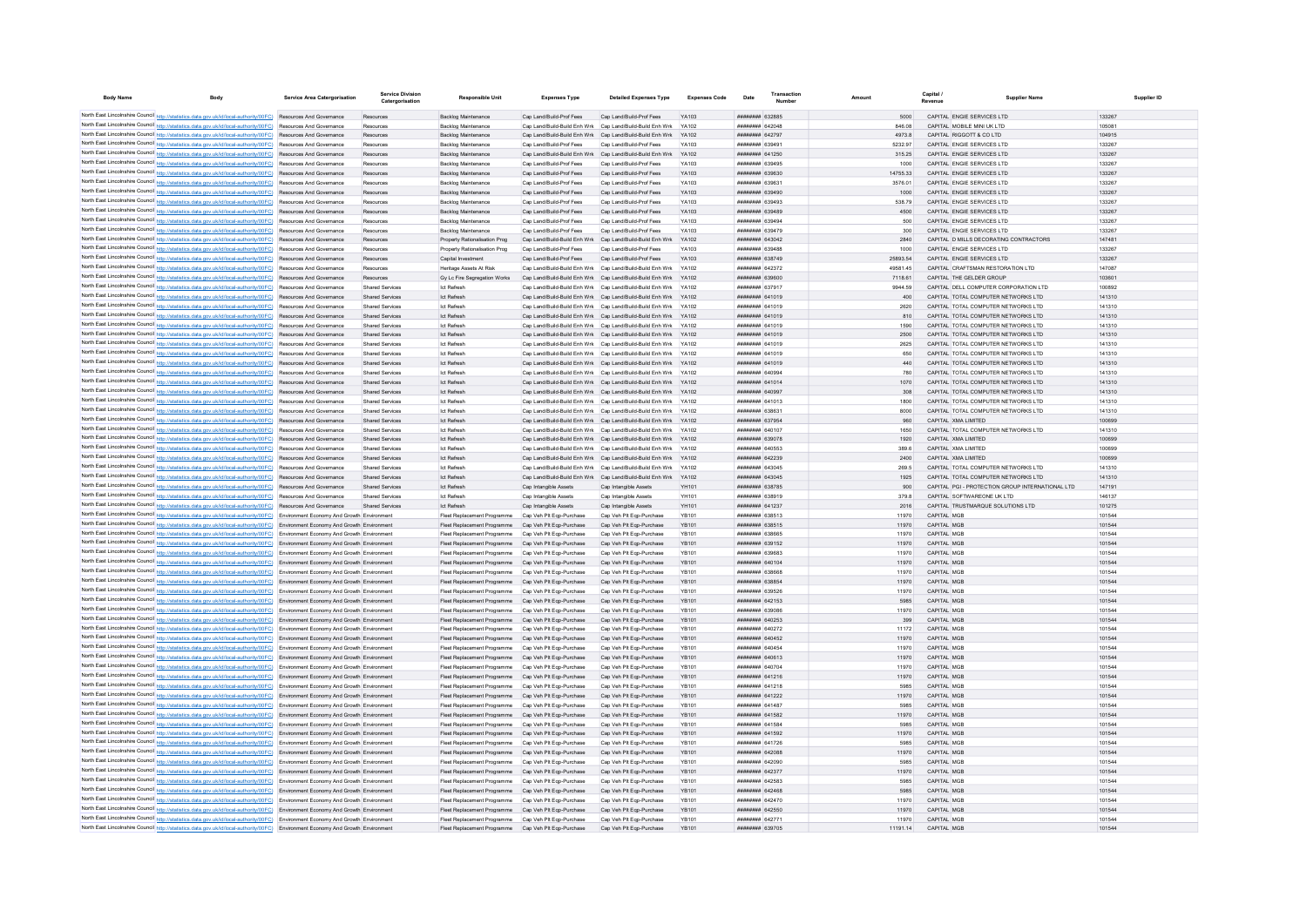| <b>Body Name</b> | Body                                                                                                                                                                                                                                                                   | <b>Service Area Catergorisation</b>       | Service Divisio<br>Catergorisation               | <b>Responsible Unit</b>                                                                                      | <b>Expenses Type</b>                                      | <b>Detailed Expenses Type</b>                                                                                                      | <b>Expenses Code</b>  | Date                                     |                | Capital<br><b>Supplier Name</b>                                             | Supplier ID      |
|------------------|------------------------------------------------------------------------------------------------------------------------------------------------------------------------------------------------------------------------------------------------------------------------|-------------------------------------------|--------------------------------------------------|--------------------------------------------------------------------------------------------------------------|-----------------------------------------------------------|------------------------------------------------------------------------------------------------------------------------------------|-----------------------|------------------------------------------|----------------|-----------------------------------------------------------------------------|------------------|
|                  |                                                                                                                                                                                                                                                                        |                                           |                                                  |                                                                                                              |                                                           |                                                                                                                                    |                       |                                          |                |                                                                             |                  |
|                  | North East Lincolnshire Council http://statistics.data.gov.uk/id/local-authority/00FC) Resources And Governance<br>North East Lincolnshire Council http://statistics.data.gov.uk/id/local-authority/00FC) Resources And Governance                                     |                                           | Resources                                        | Backlog Maintenance<br><b>Backlog Maintenance</b>                                                            | Cap Land/Build-Prof Fees<br>Cap Land/Build-Build Enh Wrk  | Cap Land/Build-Prof Fees<br>Cap Land/Build-Build Enh Wrk                                                                           | YA102                 | ######## 632885<br>пппннннн 642048       | 846.08         | CAPITAL ENGIE SERVICES LTD<br>CAPITAL MOBILE MINI UK LTD                    | 133267<br>105081 |
|                  | North East Lincolnshire Council http://statistics.data.gov.uk/id/local-authority/00FC) Resources And Governance                                                                                                                                                        |                                           | Resources                                        | Backlog Maintenance                                                                                          |                                                           | Cap Land/Build-Build Enh Wrk Cap Land/Build-Build Enh Wrk YA102                                                                    |                       | ######## 642797                          | 4973.8         | CAPITAL RIGGOTT & CO LTD                                                    | 104915           |
|                  | North East Lincolnshire Council http://statistics.data.gov.uk/id/local-authority/00FC) Resources And Governance                                                                                                                                                        |                                           | Resources                                        | Backlog Maintenance                                                                                          | Can Land/Build-Prof Fees                                  | Cap Land/Build-Prof Fees                                                                                                           | YA103                 | <b>HHHHHHH 639491</b>                    | 5232.97        | CAPITAL ENGIF SERVICES LTD                                                  | 133267           |
|                  | North East Lincolnshire Council http://statistics.data.gov.uk/id/local-authority/00FC) Resources And Governance                                                                                                                                                        |                                           | Resources                                        | Backlog Maintenance                                                                                          |                                                           | Cap Land/Build-Build Enh Wrk Cap Land/Build-Build Enh Wrk                                                                          | <b>YA102</b>          | ######## 641250                          | 315.25         | CAPITAL ENGIE SERVICES LTD                                                  | 133267           |
|                  | North East Lincolnshire Council http://statistics.data.gov.uk/id/local-authority/00FC) Resources And Governance                                                                                                                                                        |                                           | Resources                                        | Backlog Maintenance                                                                                          | Cap Land/Build-Prof Fees                                  | Cap Land/Build-Prof Fees                                                                                                           | YA103                 | ######## 639495                          | 1000           | CAPITAL ENGIE SERVICES LTD                                                  | 133267           |
|                  | North East Lincolnshire Council http://statistics.data.gov.uk/id/local-authority/00FC) Resources And Governance                                                                                                                                                        |                                           | Resources                                        | Backlog Maintenance                                                                                          | Cap Land/Build-Prof Fees                                  | Cap Land/Build-Prof Fees                                                                                                           | YA103                 | ######## 639630                          | 14755.33       | CAPITAL ENGIE SERVICES LTD                                                  | 133267           |
|                  | North East Lincolnshire Council http://statistics.data.gov.uk/id/local-authority/00FC) Resources And Governance                                                                                                                                                        |                                           | Resources                                        | <b>Backlog Maintenance</b>                                                                                   | Cap Land/Build-Prof Fees                                  | Cap Land/Build-Prof Fees                                                                                                           | YA103                 | ######## 639631                          | 3576.01        | CAPITAL ENGIE SERVICES LTD                                                  | 133267           |
|                  | North East Lincolnshire Council http://statistics.data.gov.uk/id/local-authority/00FC) Resources And Governance                                                                                                                                                        |                                           | Resources                                        | <b>Backlog Maintenance</b>                                                                                   | Cap Land/Build-Prof Fees                                  | Cap Land/Build-Prof Fees                                                                                                           | YA103                 | ######## 639490                          | 1000           | CAPITAL ENGIE SERVICES LTD                                                  | 133267           |
|                  | North East Lincolnshire Council http://statistics.data.gov.uk/id/local-authority/00FC) Resources And Governance                                                                                                                                                        |                                           | Resources                                        | <b>Backlog Maintenance</b>                                                                                   | Cap Land/Build-Prof Fees                                  | Cap Land/Build-Prof Fees                                                                                                           | YA103                 | <b>пппппппп</b> 639493                   | 538.79         | CAPITAL ENGIE SERVICES LTD                                                  | 133267           |
|                  | North East Lincolnshire Council http://statistics.data.gov.uk/id/local-authority/00FC) Resources And Governance<br>North East Lincolnshire Council http://statistics.data.gov.uk/id/local-authority/00FC) Resources And Governance                                     |                                           | Resources<br>Resources                           | Backlog Maintenance<br><b>Backlog Maintenance</b>                                                            | Cap Land/Build-Prof Fees<br>Cap Land/Build-Prof Fees      | Cap Land/Build-Prof Fees<br>Cap Land/Build-Prof Fees                                                                               | YA103<br>YA103        | ######## 639489<br>######## 63949        | 4500<br>500    | CAPITAL ENGIE SERVICES LTD<br>CAPITAL ENGIE SERVICES LTD                    | 133267<br>133267 |
|                  | North East Lincolnshire Council http://statistics.data.gov.uk/id/local-authority/00FC) Resources And Governance                                                                                                                                                        |                                           | Resources                                        | <b>Backlog Maintenance</b>                                                                                   | Cap Land/Build-Prof Fees                                  | Cap Land/Build-Prof Fees                                                                                                           | YA103                 | ######## 639479                          | 300            | CAPITAL ENGIE SERVICES LTD                                                  | 133267           |
|                  | North East Lincolnshire Council http://statistics.data.gov.uk/id/local-authority/00FC)                                                                                                                                                                                 | Resources And Governance                  | Resources                                        | Property Rationalisation Prog                                                                                | Cap Land/Build-Build Enh Wrk                              | Cap Land/Build-Build Enh Wrk                                                                                                       | YA102                 | ######## 643042                          | 2840           | CAPITAL D MILLS DECORATING CONTRACTORS                                      | 147481           |
|                  | North East Lincolnshire Council http://statistics.data.gov.uk/id/local-authority/00FC) Resources And Governance                                                                                                                                                        |                                           | Resources                                        | Property Rationalisation Prog                                                                                | Cap Land/Build-Prof Fees                                  | Cap Land/Build-Prof Fees                                                                                                           | YA103                 | ниннини 639488                           | 1000           | CAPITAL ENGIE SERVICES LTD                                                  | 133267           |
|                  | North East Lincolnshire Council http://statistics.data.gov.uk/id/local-authority/00FC)                                                                                                                                                                                 | Resources And Governance                  | Resources                                        | Capital Investm                                                                                              | Cap Land/Build-Prof Fees                                  | Cap Land/Build-Prof Fees                                                                                                           | YA103                 | ######## 638749                          | 25893.54       | CAPITAL ENGIE SERVICES LTD                                                  | 133267           |
|                  | North East Lincolnshire Council http://statistics.data.gov.uk/id/local-authority/00FC) Resources And Governance                                                                                                                                                        |                                           | Resources                                        | Heritage Assets At Risk                                                                                      | Cap Land/Build-Build Enh Wrk                              | Cap Land/Build-Build Enh Wrk                                                                                                       | YA102                 | ######## 642372                          | 49581.45       | CAPITAL CRAFTSMAN RESTORATION LTD                                           | 147087           |
|                  | North East Lincolnshire Council http://statistics.data.gov.uk/id/local-authority/00FC)                                                                                                                                                                                 | Resources And Governance                  | Resources                                        | Gy Lc Fire Segregation Works                                                                                 | Cap Land/Build-Build Enh Wrk Cap Land/Build-Build Enh Wrk |                                                                                                                                    | YA102                 | ######## 639600                          | 7118.61        | CAPITAL THE GELDER GROUP                                                    | 103601           |
|                  | North East Lincolnshire Council http://statistics.data.gov.uk/id/local-authority/00FC) Resources And Governance                                                                                                                                                        |                                           | <b>Shared Services</b>                           | <b>Ict Refresh</b>                                                                                           | Cap Land/Build-Build Enh Wrk Cap Land/Build-Build Enh Wrk |                                                                                                                                    | YA102                 | ######## 637917                          | 9944.59        | CAPITAL DELL COMPUTER CORPORATION LTD                                       | 100892           |
|                  | North East Lincolnshire Council http://statistics.data.gov.uk/id/local-authority/00FC) Resources And Governance                                                                                                                                                        |                                           | <b>Shared Services</b>                           | Ict Refresh                                                                                                  |                                                           | Cap Land/Build-Build Enh Wrk Cap Land/Build-Build Enh Wrk                                                                          |                       | ######## 641019                          | 400            | CAPITAL TOTAL COMPUTER NETWORKS LTD                                         | 141310           |
|                  | North East Lincolnshire Council http://statistics.data.gov.uk/id/local-authority/00FC) Resources And Governance                                                                                                                                                        |                                           | Shared Services                                  | <b>Ict Refresh</b>                                                                                           |                                                           | Cap Land/Build-Build Enh Wrk Cap Land/Build-Build Enh Wrk                                                                          | YA102                 | <b>BRENHAM 641019</b>                    | 2620           | CAPITAL TOTAL COMPLITER NETWORKS LTD                                        | 141310           |
|                  | North East Lincolnshire Council http://statistics.data.gov.uk/id/local-authority/00FC) Resources And Governance<br>North East Lincolnshire Council http://statistics.data.gov.uk/id/local-authority/00FC) Resources And Governance                                     |                                           | <b>Shared Services</b><br>Shared Services        | <b>Ict Refresh</b><br><b>Ict Refresh</b>                                                                     |                                                           | Cap Land/Build-Build Enh Wrk Cap Land/Build-Build Enh Wrk<br>Can Land/Build-Build Enh Wrk Can Land/Build-Build Enh Wrk YA102       | YA102                 | ######## 641019<br><b>HHHHHHH 641019</b> | 810<br>1590    | CAPITAL TOTAL COMPUTER NETWORKS LTD<br>CAPITAL TOTAL COMPLITER NETWORKS LTD | 141310<br>141310 |
|                  | North East Lincolnshire Council http://statistics.data.gov.uk/id/local-authority/00FC) Resources And Governance                                                                                                                                                        |                                           | <b>Shared Services</b>                           | <b>Ict Refresh</b>                                                                                           |                                                           | Cap Land/Build-Build Enh Wrk Cap Land/Build-Build Enh Wrk YA102                                                                    |                       | ######## 641019                          | 2500           | CAPITAL TOTAL COMPUTER NETWORKS LTD                                         | 141310           |
|                  | North East Lincolnshire Council http://statistics.data.gov.uk/id/local-authority/00FC) Resources And Governance                                                                                                                                                        |                                           | <b>Shared Services</b>                           | <b>Ict Refresh</b>                                                                                           |                                                           | Cap Land/Build-Build Enh Wrk Cap Land/Build-Build Enh Wrk YA102                                                                    |                       | ######## 641019                          | 2625           | CAPITAL TOTAL COMPUTER NETWORKS LTD                                         | 141310           |
|                  | North East Lincolnshire Council http://statistics.data.gov.uk/id/local-authority/00FC)                                                                                                                                                                                 | Resources And Governance                  | <b>Shared Services</b>                           | <b>Ict Refresh</b>                                                                                           |                                                           | Cap Land/Build-Build Enh Wrk Cap Land/Build-Build Enh Wrk                                                                          |                       | ####### 641019                           | 650            | CAPITAL TOTAL COMPUTER NETWORKS LTD                                         | 141310           |
|                  | North East Lincolnshire Council http://statistics.data.gov.uk/id/local-authority/00FC) Resources And Governance                                                                                                                                                        |                                           | <b>Shared Services</b>                           | Ict Refresh                                                                                                  |                                                           | Cap Land/Build-Build Enh Wrk Cap Land/Build-Build Enh Wrk                                                                          | <b>YA102</b>          | ######## 641019                          | 440            | CAPITAL TOTAL COMPUTER NETWORKS LTD                                         | 141310           |
|                  | North East Lincolnshire Council http://statistics.data.gov.uk/id/local-authority/00FC) Resources And Governance                                                                                                                                                        |                                           | <b>Shared Services</b>                           | <b>Ict Refresh</b>                                                                                           |                                                           | Cap Land/Build-Build Enh Wrk Cap Land/Build-Build Enh Wrk YA102                                                                    |                       | HHHHHHH 640994                           | 780            | CAPITAL TOTAL COMPUTER NETWORKS LTD                                         | 141310           |
|                  | North East Lincolnshire Council http://statistics.data.gov.uk/id/local-authority/00FC) Resources And Governance                                                                                                                                                        |                                           | Shared Services                                  | Ict Refresh                                                                                                  |                                                           | Cap Land/Build-Build Enh Wrk Cap Land/Build-Build Enh Wrk YA102                                                                    |                       | <b>HHHHHHH 641014</b>                    | 1070           | CAPITAL TOTAL COMPLITER NETWORKS LTD                                        | 141310           |
|                  | North East Lincolnshire Council http://statistics.data.gov.uk/id/local-authority/00FC) Resources And Governance                                                                                                                                                        |                                           | <b>Shared Services</b>                           | <b>Ict Refresh</b>                                                                                           |                                                           | Cap Land/Build-Build Enh Wrk Cap Land/Build-Build Enh Wrk YA102                                                                    |                       | ######## 640997                          | 308            | CAPITAL TOTAL COMPUTER NETWORKS LTD                                         | 141310           |
|                  | North East Lincolnshire Council http://statistics.data.gov.uk/id/local-authority/00FC) Resources And Governance                                                                                                                                                        |                                           | <b>Shared Services</b>                           | <b>Ict Refresh</b>                                                                                           |                                                           | Cap Land/Build-Build Enh Wrk Cap Land/Build-Build Enh Wrk YA102                                                                    |                       | ######## 641013                          | 1800           | CAPITAL TOTAL COMPUTER NETWORKS LTD                                         | 141310           |
|                  | North East Lincolnshire Council http://statistics.data.gov.uk/id/local-authority/00FC) Resources And Governance                                                                                                                                                        |                                           | <b>Shared Services</b>                           | <b>Ict Refresh</b>                                                                                           |                                                           | Cap Land/Build-Build Enh Wrk Cap Land/Build-Build Enh Wrk YA102                                                                    |                       | ######## 63863                           | 8000           | CAPITAL TOTAL COMPUTER NETWORKS LTD                                         | 141310           |
|                  | North East Lincolnshire Council http://statistics.data.gov.uk/id/local-authority/00FC) Resources And Governance                                                                                                                                                        |                                           | <b>Shared Services</b>                           | Ict Refresh                                                                                                  |                                                           | Cap Land/Build-Build Enh Wrk Cap Land/Build-Build Enh Wrk YA102                                                                    |                       | ######## 637954                          | 960            | CAPITAL XMA LIMITED                                                         | 100699           |
|                  | North East Lincolnshire Council http://statistics.data.gov.uk/id/local-authority/00FC) Resources And Governance<br>North East Lincolnshire Council http://statistics.data.gov.uk/id/local-authority/00FC) Resources And Governance                                     |                                           | <b>Shared Services</b><br><b>Shared Services</b> | Ict Refresh<br>Ict Refresh                                                                                   |                                                           | Cap Land/Build-Build Enh Wrk Cap Land/Build-Build Enh Wrk YA102<br>Cap Land/Build-Build Enh Wrk Cap Land/Build-Build Enh Wrk YA102 |                       | ######## 640107<br>######## 639078       | 1650<br>1920   | CAPITAL TOTAL COMPUTER NETWORKS LTD<br>CAPITAL XMA LIMITED                  | 141310<br>100699 |
|                  | North East Lincolnshire Council http://statistics.data.gov.uk/id/local-authority/00FC) Resources And Governance                                                                                                                                                        |                                           | <b>Shared Services</b>                           | <b>Ict Refresh</b>                                                                                           |                                                           | Cap Land/Build-Build Enh Wrk Cap Land/Build-Build Enh Wrk                                                                          | YA102                 | ######## 640553                          | 389.6          | CAPITAL XMA LIMITED                                                         | 100699           |
|                  | North East Lincolnshire Council http://statistics.data.gov.uk/id/local-authority/00FC) Resources And Governance                                                                                                                                                        |                                           | <b>Shared Services</b>                           | <b>Ict Refresh</b>                                                                                           |                                                           | Cap Land/Build-Build Enh Wrk Cap Land/Build-Build Enh Wrk                                                                          | YA102                 | ######## 642239                          | 2400           | CAPITAL XMA LIMITED                                                         | 100699           |
|                  | North East Lincolnshire Council http://statistics.data.gov.uk/id/local-authority/00FC) Resources And Governance                                                                                                                                                        |                                           | <b>Shared Services</b>                           | <b>Ict Refresh</b>                                                                                           |                                                           | Cap Land/Build-Build Enh Wrk Cap Land/Build-Build Enh Wrk                                                                          |                       | ######## 643045                          | 269.5          | CAPITAL TOTAL COMPUTER NETWORKS LTD                                         | 141310           |
|                  | North East Lincolnshire Council http://statistics.data.gov.uk/id/local-authority/00FC)                                                                                                                                                                                 | Resources And Governance                  | <b>Shared Services</b>                           | Ict Refresh                                                                                                  |                                                           | Cap Land/Build-Build Enh Wrk Cap Land/Build-Build Enh Wrk                                                                          | YA102                 | ######## 643045                          | 1925           | CAPITAL TOTAL COMPUTER NETWORKS LTD                                         | 141310           |
|                  | North East Lincolnshire Council http://statistics.data.gov.uk/id/local-authority/00FC)                                                                                                                                                                                 | Resources And Governance                  | <b>Shared Services</b>                           | Ict Refresh                                                                                                  | Cap Intangible Assets                                     | Cap Intangible Assets                                                                                                              | YH101                 | ######## 638785                          | 900            | CAPITAL PGI - PROTECTION GROUP INTERNATIONAL LTD                            | 147191           |
|                  | North East Lincolnshire Council http://statistics.data.gov.uk/id/local-authority/00FC) Resources And Governance                                                                                                                                                        |                                           | <b>Shared Services</b>                           | <b>Ict Refresh</b>                                                                                           | Cap Intangible Assets                                     | Cap Intangible Assets                                                                                                              | YH101                 | <b>пппппппп</b> 638919                   | 379.8          | CAPITAL SOFTWAREONE LIK LTD                                                 | 146137           |
|                  | North East Lincolnshire Council http://statistics.data.gov.uk/id/local-authority/00FC) Resources And Governance                                                                                                                                                        |                                           | <b>Shared Services</b>                           | <b>Ict Refresh</b>                                                                                           | Cap Intangible Assets                                     | Cap Intangible Assets                                                                                                              | YH101                 | ######## 641237                          | 2016           | CAPITAL TRUSTMARQUE SOLUTIONS LTD                                           | 101275           |
|                  | North East Lincolnshire Council http://statistics.data.gov.uk/id/local-authority/00FC) Environment Economy And Growth Environment                                                                                                                                      |                                           |                                                  | Fleet Replacement Programme                                                                                  | Cap Veh Plt Egp-Purchase                                  | Cap Veh Pit Eqp-Purchase                                                                                                           | <b>YB101</b>          | ######## 638513                          | 11970          | CAPITAL MGE                                                                 | 101544           |
|                  | North East Lincolnshire Council http://statistics.data.gov.uk/id/local-authority/00FC) Environment Economy And Growth Environment                                                                                                                                      |                                           |                                                  | Fleet Replacement Programme                                                                                  | Cap Veh Plt Eqp-Purchase                                  | Cap Veh Plt Eqp-Purchase                                                                                                           | <b>YB101</b>          | ######## 638515                          | 11970          | CAPITAL MGE                                                                 | 101544           |
|                  | North East Lincolnshire Council http://statistics.data.gov.uk/id/local-authority/00FC) Environment Economy And Growth Environmen<br>North East Lincolnshire Council http://statistics.data.gov.uk/id/local-authority/00FC) Environment Economy And Growth Environment  |                                           |                                                  | Fleet Replacement Programme<br>Fleet Replacement Programme                                                   | Cap Veh Plt Egp-Purchase<br>Cap Veh Plt Eqp-Purchase      | Cap Veh Plt Eqp-Purchase<br>Cap Veh Pit Eqp-Purchase                                                                               | YB101<br><b>YB101</b> | ######## 638665<br>######## 639152       | 11970<br>11970 | CAPITAL MGE<br>CAPITAL MGE                                                  | 101544<br>101544 |
|                  | North East Lincolnshire Council http://statistics.data.gov.uk/id/local-authority/00FC) Environment Economy And Growth Environment                                                                                                                                      |                                           |                                                  | Fleet Replacement Programme                                                                                  | Cap Veh Plt Eqp-Purchase                                  | Cap Veh Plt Eqp-Purchase                                                                                                           | <b>YB101</b>          | пппппппп 639683                          | 11970          | CAPITAL MGE                                                                 | 101544           |
|                  | North East Lincolnshire Council http://statistics.data.gov.uk/id/local-authority/00FC) Environment Economy And Growth Environment                                                                                                                                      |                                           |                                                  | Fleet Replacement Programme                                                                                  | Cap Veh Plt Eqp-Purchase                                  | Cap Veh Plt Eqp-Purchase                                                                                                           | <b>YR101</b>          | <b>HHHHHHHH</b> 640104                   | 11970          | CAPITAL MGP                                                                 | 101544           |
|                  | North East Lincolnshire Council http://statistics.data.gov.uk/id/local-authority/00FC) Environment Economy And Growth Environment                                                                                                                                      |                                           |                                                  | Fleet Replacement Programme                                                                                  | Cap Veh Plt Egp-Purchase                                  | Cap Veh Pit Egp-Purchase                                                                                                           | YB101                 | ######## 638661                          | 11970          | CAPITAL MGE                                                                 | 101544           |
|                  | North East Lincolnshire Council http://statistics.data.gov.uk/id/local-authority/00FC) Environment Economy And Growth Environment                                                                                                                                      |                                           |                                                  | Fleet Replacement Programme                                                                                  | Cap Veh Plt Egp-Purchase                                  | Cap Veh Plt Egp-Purchase                                                                                                           | <b>YR101</b>          | ######## 638854                          | 11970          | CAPITAL MGE                                                                 | 101544           |
|                  | North East Lincolnshire Council http://statistics.data.gov.uk/id/local-authority/00FC) Environment Economy And Growth Environmen                                                                                                                                       |                                           |                                                  | Fleet Replacement Programme                                                                                  | Cap Veh Plt Egp-Purchase                                  | Cap Veh Plt Eqp-Purchase                                                                                                           | <b>YB101</b>          | ************ 63952                       | 11970          | CAPITAL MGE                                                                 | 101544           |
|                  | North East Lincolnshire Council http://statistics.data.gov.uk/id/local-authority/00FC) Environment Economy And Growth Environment                                                                                                                                      |                                           |                                                  | Fleet Replacement Programme                                                                                  | Cap Veh Plt Eqp-Purchase                                  | Cap Veh Plt Eqp-Purchase                                                                                                           | <b>YB101</b>          | ######## 642153                          | 5985           | CAPITAL MGE                                                                 | 101544           |
|                  | North East Lincolnshire Council http://statistics.data.gov.uk/id/local-authority/00FC) Environment Economy And Growth Environment                                                                                                                                      |                                           |                                                  | Fleet Replacement Programme                                                                                  | Cap Veh Plt Egp-Purchase                                  | Cap Veh Plt Eqp-Purchase                                                                                                           | YB101                 | ######## 63908#                          | 11970          | CAPITAL MGP                                                                 | 101544           |
|                  | North East Lincolnshire Council http://statistics.data.gov.uk/id/local-authority/00FC) Environment Economy And Growth Environment                                                                                                                                      |                                           |                                                  | Fleet Replacement Programme Cap Veh Plt Ego-Purchase                                                         |                                                           | Cap Veh Plt Eqp-Purchase                                                                                                           | <b>YR101</b>          | <b><i>BRENHHHH 640253</i></b>            | 399            | CAPITAL MGB                                                                 | 101544           |
|                  | North East Lincolnshire Council http://statistics.data.gov.uk/id/local-authority/00FC) Environment Economy And Growth Environment                                                                                                                                      |                                           |                                                  | Fleet Replacement Programme Cap Veh Plt Ego-Purchase                                                         |                                                           | Cap Veh Plt Egp-Purchase                                                                                                           | YB101                 | ######## 640272                          | 11172          | CAPITAL MGE<br>CAPITAL MGB                                                  | 101544           |
|                  | North East Lincolnshire Council http://statistics.data.gov.uk/id/local-authority/00FC) Environment Economy And Growth Environment<br>North East Lincolnshire Council http://statistics.data.gov.uk/id/local-authority/00FC) Environment Economy And Growth Environment |                                           |                                                  | Fleet Replacement Programme Cap Veh Plt Ego-Purchase<br>Fleet Replacement Programme Cap Veh Plt Ego-Purchase |                                                           | Cap Veh Plt Egp-Purchase<br>Cap Veh Plt Eqp-Purchase                                                                               | <b>YB101</b><br>YB101 | ######## 640452<br>####### 640454        | 11970<br>11970 | CAPITAL MGE                                                                 | 101544<br>101544 |
|                  | North East Lincolnshire Council http://statistics.data.gov.uk/id/local-authority/00FC) Environment Economy And Growth Environment                                                                                                                                      |                                           |                                                  | Fleet Replacement Programme Cap Veh Plt Eqp-Purchase                                                         |                                                           | Cap Veh Pit Eqp-Purchase                                                                                                           | <b>YB101</b>          | ######## 640613                          | 11970          | CAPITAL MGE                                                                 | 101544           |
|                  | North East Lincolnshire Council http://statistics.data.gov.uk/id/local-authority/00FC) Environment Economy And Growth Environment                                                                                                                                      |                                           |                                                  | Fleet Replacement Programme Cap Veh Plt Eqp-Purchase                                                         |                                                           | Cap Veh Plt Eqp-Purchase                                                                                                           | <b>YB101</b>          | ######## 640704                          | 11970          | CAPITAL MGE                                                                 | 101544           |
|                  | North East Lincolnshire Council http://statistics.data.gov.uk/id/local-authority/00FC) Environment Economy And Growth Environment                                                                                                                                      |                                           |                                                  | Fleet Replacement Programme Cap Veh Plt Eqp-Purchase                                                         |                                                           | Cap Veh Pit Eqp-Purchase                                                                                                           | <b>YB101</b>          | ######## 641216                          | 11970          | CAPITAL MGP                                                                 | 101544           |
|                  | North East Lincolnshire Council http://statistics.data.gov.uk/id/local-authority/00FC) Environment Economy And Growth Environment                                                                                                                                      |                                           |                                                  | Fleet Replacement Programme Cap Veh Plt Eqp-Purchase                                                         |                                                           | Cap Veh Plt Eqp-Purchase                                                                                                           | YB101                 | ######## 641218                          | 5985           | CAPITAL MGE                                                                 | 101544           |
|                  | North East Lincolnshire Council http://statistics.data.gov.uk/id/local-authority/00FC) Environment Economy And Growth Environment                                                                                                                                      |                                           |                                                  | Fleet Replacement Programme Cap Veh Plt Ego-Purchase                                                         |                                                           | Cap Veh Plt Egp-Purchase                                                                                                           | <b>YB101</b>          | ######## 641222                          | 11970          | CAPITAL MGE                                                                 | 101544           |
|                  | North East Lincolnshire Council http://statistics.data.gov.uk/id/local-authority/00FC) Environment Economy And Growth Environmen                                                                                                                                       |                                           |                                                  | Fleet Replacement Programme                                                                                  | Cap Veh Plt Eqp-Purchase                                  | Cap Veh Plt Eqp-Purchase                                                                                                           | <b>YB101</b>          | ######## 64148                           | 5985           | CAPITAL MGE                                                                 | 101544           |
|                  | North East Lincolnshire Council http://statistics.data.gov.uk/id/local-authority/00FC) Environment Economy And Growth Environment                                                                                                                                      |                                           |                                                  | Fleet Replacement Programme                                                                                  | Cap Veh Plt Eqp-Purchase                                  | Cap Veh Plt Eqp-Purchase                                                                                                           | <b>YB101</b>          | ######## 641582                          | 11970          | CAPITAL MGE                                                                 | 101544           |
|                  | North East Lincolnshire Council http://statistics.data.gov.uk/id/local-authority/00FC)                                                                                                                                                                                 | Environment Economy And Growth Environmen |                                                  | Fleet Replacement Programme                                                                                  | Cap Veh Plt Eqp-Purchase                                  | Cap Veh Plt Eqp-Purchase                                                                                                           | <b>YB101</b>          | ####### 64158                            | 5985           | CAPITAL MGE                                                                 | 101544           |
|                  | North East Lincolnshire Council http://statistics.data.gov.uk/id/local-authority/00FC) Environment Economy And Growth Environment                                                                                                                                      |                                           |                                                  | Fleet Replacement Programme                                                                                  | Cap Veh Plt Eqp-Purchase                                  | Cap Veh Pit Eqp-Purchase                                                                                                           | <b>YB101</b>          | ######## 641592<br>######## 641726       | 11970          | CAPITAL MGP<br>CAPITAL MGE                                                  | 101544           |
|                  | North East Lincolnshire Council http://statistics.data.gov.uk/id/local-authority/00FC) Environment Economy And Growth Environment<br>North East Lincolnshire Council http://statistics.data.gov.uk/id/local-authority/00FC) Environment Economy And Growth Environment |                                           |                                                  | Fleet Replacement Programme<br>Fleet Replacement Programme                                                   | Cap Veh Plt Eqp-Purchase<br>Cap Veh Plt Eqp-Purchase      | Cap Veh Plt Eqp-Purchase<br>Cap Veh Plt Eqp-Purchase                                                                               | YB101<br><b>YB101</b> | ######## 642088                          | 5985<br>11970  | CAPITAL MGB                                                                 | 101544<br>101544 |
|                  | North East Lincolnshire Council http://statistics.data.gov.uk/id/local-authority/00FC) Environment Economy And Growth Environment                                                                                                                                      |                                           |                                                  | Fleet Replacement Programme                                                                                  | Cap Veh Plt Eqp-Purchase                                  | Cap Veh Plt Eqp-Purchase                                                                                                           | <b>YB101</b>          | ######## 642090                          | 5985           | CAPITAL MGE                                                                 | 101544           |
|                  | North East Lincolnshire Council http://statistics.data.gov.uk/id/local-authority/00FC) Environment Economy And Growth Environmen                                                                                                                                       |                                           |                                                  | Fleet Replacement Programme                                                                                  | Cap Veh Plt Eqp-Purchase                                  | Cap Veh Pit Eqp-Purchase                                                                                                           | YB101                 | ######## 642377                          | 11970          | CAPITAL MGE                                                                 | 101544           |
|                  | North East Lincolnshire Council http://statistics.data.gov.uk/id/local-authority/00FC) Environment Economy And Growth Environmen                                                                                                                                       |                                           |                                                  | Fleet Replacement Programme                                                                                  | Cap Veh Plt Eqp-Purchase                                  | Cap Veh Plt Eqp-Purchase                                                                                                           | YB101                 | ######## 642583                          | 5985           | CAPITAL MGE                                                                 | 101544           |
|                  | North East Lincolnshire Council http://statistics.data.gov.uk/id/local-authority/00FC) Environment Economy And Growth Environment                                                                                                                                      |                                           |                                                  | Fleet Replacement Programme                                                                                  | Cap Veh Plt Eqp-Purchase                                  | Cap Veh Pit Eqp-Purchase                                                                                                           | <b>YB101</b>          | ######## 642468                          | 5985           | CAPITAL MGE                                                                 | 101544           |
|                  | North East Lincolnshire Council http://statistics.data.gov.uk/id/local-authority/00FC) Environment Economy And Growth Environment                                                                                                                                      |                                           |                                                  | Fleet Replacement Programme Cap Veh Plt Egp-Purchase                                                         |                                                           | Cap Veh Pit Eqp-Purchase                                                                                                           | YB101                 | <b>ПППННННН</b> 642470                   | 11970          | CAPITAL MGE                                                                 | 101544           |
|                  | North East Lincolnshire Council http://statistics.data.gov.uk/id/local-authority/00FC) Environment Economy And Growth Environment                                                                                                                                      |                                           |                                                  | Fleet Replacement Programme Cap Veh Plt Ego-Purchase                                                         |                                                           | Cap Veh Plt Egp-Purchase                                                                                                           | YB101                 | <b><i>BRENHHHH 642550</i></b>            | 11970          | CAPITAL MGP                                                                 | 101544           |
|                  | North East Lincolnshire Council http://statistics.data.gov.uk/id/local-authority/00FC) Environment Economy And Growth Environment                                                                                                                                      |                                           |                                                  | Fleet Replacement Programme Cap Veh Plt Ego-Purchase                                                         |                                                           | Cap Veh Pit Egp-Purchase                                                                                                           | YR101                 | <b>пппппппп</b> 64277                    | 11970          | CAPITAL MGE                                                                 | 101544           |
|                  | North East Lincolnshire Council http://statistics.data.gov.uk/id/local-authority/00FC) Environment Economy And Growth Environmen                                                                                                                                       |                                           |                                                  | Fleet Replacement Programme                                                                                  | Cap Veh Plt Egp-Purchase                                  | Cap Veh Plt Egp-Purchase                                                                                                           |                       | ######## 639705                          | 11191.14       | CAPITAL MGE                                                                 | 101544           |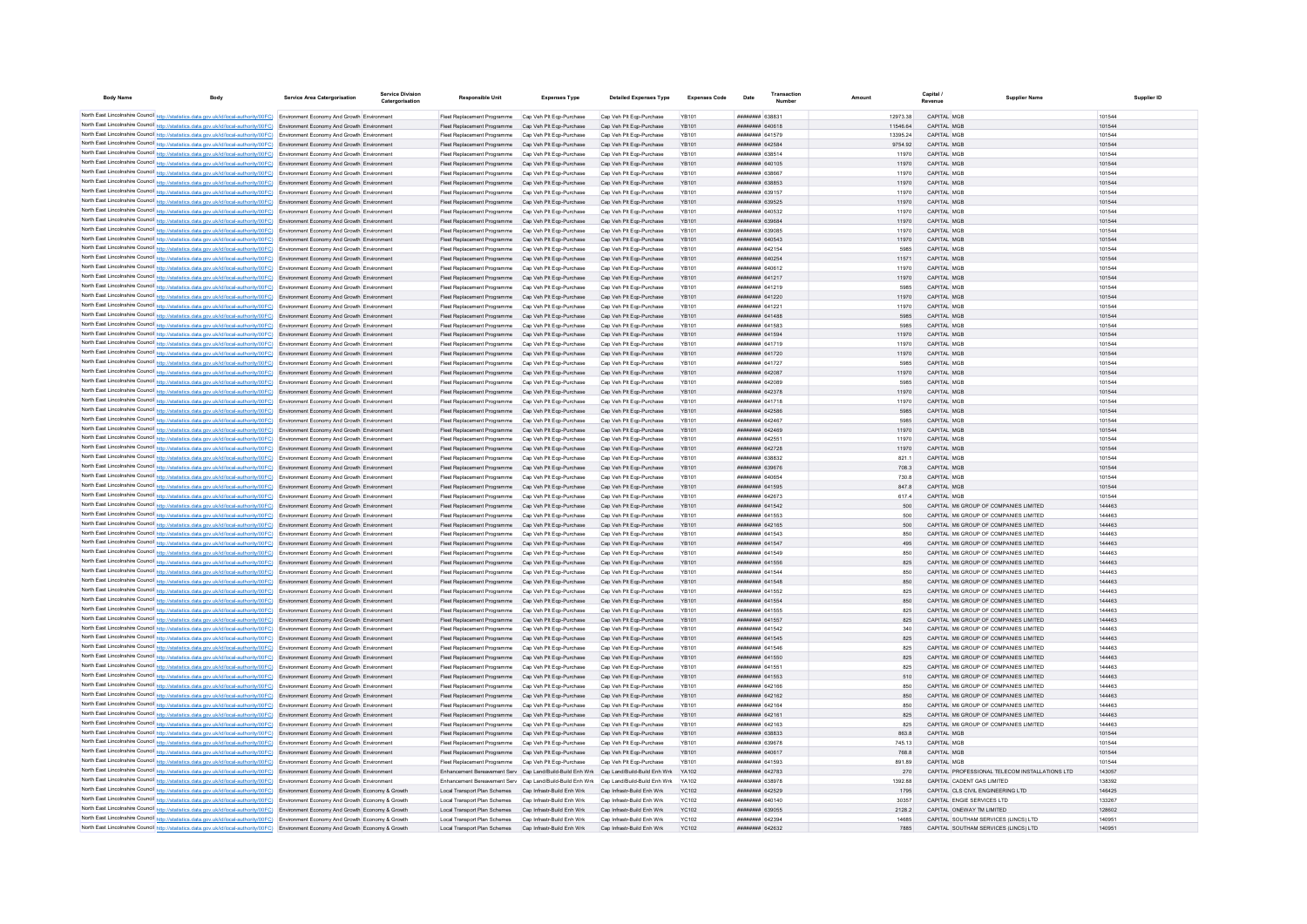| <b>Body Name</b> | <b>Body</b>                                                                                                                                                                                                                                                            | Service Area Catergorisation              | <b>Service Division</b><br>Catergorisation | <b>Responsible Unit</b>                                                                                                                        | <b>Expenses Type</b>                                 | <b>Detailed Expenses Type</b>                        | <b>Expenses Code</b>         | Date                                     | Transaction | Amount         | Capital | <b>Supplier Name</b>                                                           | Supplier ID      |
|------------------|------------------------------------------------------------------------------------------------------------------------------------------------------------------------------------------------------------------------------------------------------------------------|-------------------------------------------|--------------------------------------------|------------------------------------------------------------------------------------------------------------------------------------------------|------------------------------------------------------|------------------------------------------------------|------------------------------|------------------------------------------|-------------|----------------|---------|--------------------------------------------------------------------------------|------------------|
|                  | North East Lincolnshire Council http://statistics.data.gov.uk/id/local-authority/00FC) Environment Economy And Growth Environment                                                                                                                                      |                                           |                                            | Fleet Replacement Programme Cap Veh Plt Ego-Purchase                                                                                           |                                                      | Cap Veh Plt Ego-Purchase                             | YR101                        | <b>пппппппп</b> 638831                   |             | 12973.38       |         | CAPITAL MGB                                                                    | 101544           |
|                  | North East Lincolnshire Council http://statistics.data.gov.uk/id/local-authority/00FC) Environment Economy And Growth Environment                                                                                                                                      |                                           |                                            | Fleet Replacement Programme Cap Veh Plt Ego-Purchase                                                                                           |                                                      | Cap Veh Plt Eqp-Purchase                             | <b>YB101</b>                 | ######## 640618                          |             | 11546.64       |         | CAPITAL MGB                                                                    | 101544           |
|                  | North East Lincolnshire Council http://statistics.data.gov.uk/id/local-authority/00FC) Environment Economy And Growth Environmen                                                                                                                                       |                                           |                                            | Fleet Replacement Programme                                                                                                                    | Cap Veh Plt Egp-Purchase                             | Cap Veh Plt Egp-Purchase                             | <b>YB101</b>                 | ####### 641579                           |             | 13395.24       |         | CAPITAL MGE                                                                    | 101544           |
|                  | North East Lincolnshire Council http://statistics.data.gov.uk/id/local-authority/00FC) Environment Economy And Growth Environment                                                                                                                                      |                                           |                                            | Fleet Replacement Programme                                                                                                                    | Cap Veh Plt Eqp-Purchase                             | Cap Veh Plt Eqp-Purchase                             | <b>YB101</b>                 | ######## 642584                          |             | 9754.92        |         | CAPITAL MGB                                                                    | 101544           |
|                  | North East Lincolnshire Council http://statistics.data.gov.uk/id/local-authority/00FC) Environment Economy And Growth Environment                                                                                                                                      |                                           |                                            | Fleet Replacement Programme Cap Veh Plt Ego-Purchase                                                                                           |                                                      | Cap Veh Plt Eqp-Purchase                             | <b>YR101</b>                 | ######## 638514                          |             | 11970          |         | CAPITAL MGB                                                                    | 101544           |
|                  | North East Lincolnshire Council http://statistics.data.gov.uk/id/local-authority/00FC) Environment Economy And Growth Environment                                                                                                                                      |                                           |                                            | Fleet Replacement Programme Cap Veh Plt Ego-Purchase                                                                                           |                                                      | Cap Veh Plt Egp-Purchase                             | <b>YR101</b>                 | ######## 640105                          |             | 11970          |         | CAPITAL MGB                                                                    | 101544           |
|                  | North East Lincolnshire Council http://statistics.data.gov.uk/id/local-authority/00FC) Environment Economy And Growth Environment<br>North East Lincolnshire Council http://statistics.data.gov.uk/id/local-authority/00FC) Environment Economy And Growth Environment |                                           |                                            | Fleet Replacement Programme Cap Veh Plt Ego-Purchase<br>Fleet Replacement Programme Cap Veh Plt Eqp-Purchase                                   |                                                      | Cap Veh Plt Egp-Purchase<br>Cap Veh Pit Eqp-Purchase | YB101<br><b>YB101</b>        | плинини 638667<br>######## 638853        |             | 11970<br>11970 |         | CAPITAL MGB<br>CAPITAL MGB                                                     | 101544<br>101544 |
|                  | North East Lincolnshire Council http://statistics.data.gov.uk/id/local-authority/00FC) Environment Economy And Growth Environment                                                                                                                                      |                                           |                                            | Fleet Replacement Programme Cap Veh Plt Egp-Purchase                                                                                           |                                                      | Cap Veh Plt Ego-Purchase                             | <b>YB101</b>                 | ######## 639157                          |             | 11970          |         | CAPITAL MGB                                                                    | 101544           |
|                  | North East Lincolnshire Council http://statistics.data.gov.uk/id/local-authority/00FC) Environment Economy And Growth Environment                                                                                                                                      |                                           |                                            | Fleet Replacement Programme Cap Veh Plt Eqp-Purchase                                                                                           |                                                      | Cap Veh Plt Eqp-Purchase                             | <b>YB101</b>                 | ######## 639525                          |             | 11970          |         | CAPITAL MGB                                                                    | 101544           |
|                  | North East Lincolnshire Council http://statistics.data.gov.uk/id/local-authority/00FC) Environment Economy And Growth Environment                                                                                                                                      |                                           |                                            | Fleet Replacement Programme Cap Veh Plt Eqp-Purchase                                                                                           |                                                      | Cap Veh Plt Eqp-Purchase                             | <b>YR101</b>                 | ######## 640532                          |             | 11970          |         | CAPITAL MGB                                                                    | 101544           |
|                  | North East Lincolnshire Council http://statistics.data.gov.uk/id/local-authority/00FC) Environment Economy And Growth Environment                                                                                                                                      |                                           |                                            | Fleet Replacement Programme Cap Veh Plt Ego-Purchase                                                                                           |                                                      | Cap Veh Pit Eqp-Purchase                             | <b>YB101</b>                 | ######## 639684                          |             | 11970          |         | CAPITAL MGB                                                                    | 101544           |
|                  | North East Lincolnshire Council http://statistics.data.gov.uk/id/local-authority/00FC) Environment Economy And Growth Environment                                                                                                                                      |                                           |                                            | Fleet Replacement Programme Cap Veh Plt Ego-Purchase                                                                                           |                                                      | Cap Veh Plt Egp-Purchase                             | YB101                        | ######## 639085                          |             | 11970          |         | CAPITAL MGB                                                                    | 101544           |
|                  | North East Lincolnshire Council http://statistics.data.gov.uk/id/local-authority/00FC) Environment Economy And Growth Environment                                                                                                                                      |                                           |                                            | Fleet Replacement Programme Cap Veh Plt Ego-Purchase                                                                                           |                                                      | Cap Veh Plt Eqp-Purchase                             | <b>YB101</b>                 | ######## 640543                          |             | 11970          |         | CAPITAL MGB                                                                    | 101544           |
|                  | North East Lincolnshire Council http://statistics.data.gov.uk/id/local-authority/00FC) Environment Economy And Growth Environmen                                                                                                                                       |                                           |                                            |                                                                                                                                                | Cap Veh Plt Eqp-Purchase                             | Cap Veh Pit Eqp-Purchase                             | YB101                        | ######## 642154                          |             | 5985           |         | CAPITAL MGB                                                                    | 101544           |
|                  | North East Lincolnshire Council http://statistics.data.gov.uk/id/local-authority/00FC)                                                                                                                                                                                 | Environment Economy And Growth Environmen |                                            |                                                                                                                                                | Cap Veh Plt Eqp-Purchase                             | Cap Veh Plt Eqp-Purchase                             | <b>YB101</b>                 | ######## 640254                          |             | 11571          |         | CAPITAL MGB                                                                    | 101544           |
|                  | North East Lincolnshire Council http://statistics.data.gov.uk/id/local-authority/00FC) Environment Economy And Growth Environment<br>North East Lincolnshire Council http://statistics.data.gov.uk/id/local-authority/00FC) Environment Economy And Growth Environment |                                           |                                            | Fleet Replacement Programme<br>Fleet Replacement Programme                                                                                     | Cap Veh Plt Egp-Purchase<br>Cap Veh Plt Egp-Purchase | Cap Veh Plt Eqp-Purchase<br>Cap Veh Pit Eqp-Purchase | YR101<br><b>YB101</b>        | <b>HHHHHHH 640612</b><br>######## 641217 |             | 11970<br>11970 |         | CAPITAL MGB<br>CAPITAL MGB                                                     | 101544<br>101544 |
|                  | North East Lincolnshire Council http://statistics.data.gov.uk/id/local-authority/00FC) Environment Economy And Growth Environment                                                                                                                                      |                                           |                                            | Fleet Replacement Programme                                                                                                                    | Cap Veh Plt Egp-Purchase                             | Cap Veh Plt Egp-Purchase                             | YB101                        | ######## 641219                          |             | 5985           |         | CAPITAL MGB                                                                    | 101544           |
|                  | North East Lincolnshire Council http://statistics.data.gov.uk/id/local-authority/00FC) Environment Economy And Growth Environment                                                                                                                                      |                                           |                                            | Fleet Replacement Programme                                                                                                                    | Cap Veh Plt Eqp-Purchase                             | Cap Veh Plt Eqp-Purchase                             | <b>YB101</b>                 | ######## 641220                          |             | 11970          |         | CAPITAL MGB                                                                    | 101544           |
|                  | North East Lincolnshire Council http://statistics.data.gov.uk/id/local-authority/00FC) Environment Economy And Growth Environment                                                                                                                                      |                                           |                                            | Fleet Replacement Programme                                                                                                                    | Cap Veh Plt Eqp-Purchase                             | Cap Veh Plt Eqp-Purchase                             | YB101                        | ######## 641221                          |             | 11970          |         | CAPITAL MGB                                                                    | 101544           |
|                  | North East Lincolnshire Council http://statistics.data.gov.uk/id/local-authority/00FC) Environment Economy And Growth Environmen                                                                                                                                       |                                           |                                            | Fleet Replacement Programme Cap Veh Plt Eqp-Purchase                                                                                           |                                                      | Cap Veh Plt Eqp-Purchase                             | <b>YB101</b>                 | ######## 641488                          |             | 5985           |         | CAPITAL MGB                                                                    | 101544           |
|                  | North East Lincolnshire Council http://statistics.data.gov.uk/id/local-authority/00FC) Environment Economy And Growth Environment                                                                                                                                      |                                           |                                            | Fleet Replacement Programme                                                                                                                    | Cap Veh Plt Eqp-Purchase                             | Cap Veh Plt Eqp-Purchase                             | YR101                        | <b>пппппппп</b> 641583                   |             | 5985           |         | CAPITAL MGB                                                                    | 101544           |
|                  | North East Lincolnshire Council http://statistics.data.gov.uk/id/local-authority/00FC) Environment Economy And Growth Environment                                                                                                                                      |                                           |                                            | Fleet Replacement Programme Cap Veh Plt Eqp-Purchase                                                                                           |                                                      | Cap Veh Plt Eqp-Purchase                             | <b>YB101</b>                 | ######## 641594                          |             | 11970          |         | CAPITAL MGB                                                                    | 101544           |
|                  | North East Lincolnshire Council http://statistics.data.gov.uk/id/local-authority/00FC) Environment Economy And Growth Environment                                                                                                                                      |                                           |                                            | Fleet Replacement Programme                                                                                                                    | Cap Veh Plt Egp-Purchase                             | Cap Veh Plt Egp-Purchase                             | <b>YB101</b>                 | ######## 641719                          |             | 11970          |         | CAPITAL MGB                                                                    | 101544           |
|                  | North East Lincolnshire Council http://statistics.data.gov.uk/id/local-authority/00FC) Environment Economy And Growth Environment                                                                                                                                      |                                           |                                            | Fleet Replacement Programme                                                                                                                    | Cap Veh Plt Eqp-Purchase                             | Cap Veh Plt Eqp-Purchase                             | <b>YB101</b>                 | ######## 641720                          |             | 11970          |         | CAPITAL MGB                                                                    | 101544           |
|                  | North East Lincolnshire Council http://statistics.data.gov.uk/id/local-authority/00FC) Environment Economy And Growth Environmen                                                                                                                                       |                                           |                                            | Fleet Replacement Programme                                                                                                                    | Cap Veh Plt Eqp-Purchase                             | Cap Veh Pit Eqp-Purchase                             | YB101                        | ######## 641727                          |             | 5985           |         | CAPITAL MGE                                                                    | 101544           |
|                  | North East Lincolnshire Council http://statistics.data.gov.uk/id/local-authority/00FC) Environment Economy And Growth Environmen<br>North East Lincolnshire Council http://statistics.data.gov.uk/id/local-authority/00FC) Environment Economy And Growth Environment  |                                           |                                            | Fleet Replacement Programme<br>Fleet Replacement Programme                                                                                     | Cap Veh Plt Eqp-Purchase<br>Cap Veh Plt Eqp-Purchase | Cap Veh Plt Eqp-Purchase<br>Cap Veh Pit Eqp-Purchase | <b>YB101</b><br>YR101        | ######## 642087<br>ннинини 642089        |             | 11970<br>5985  |         | CAPITAL MGB<br>CAPITAL MGB                                                     | 101544<br>101544 |
|                  | North East Lincolnshire Council http://statistics.data.gov.uk/id/local-authority/00FC) Environment Economy And Growth Environment                                                                                                                                      |                                           |                                            | Fleet Replacement Programme Cap Veh Plt Eqp-Purchase                                                                                           |                                                      | Cap Veh Plt Eqp-Purchase                             | <b>YB101</b>                 | ######## 642378                          |             | 11970          |         | CAPITAL MGB                                                                    | 101544           |
|                  | North East Lincolnshire Council http://statistics.data.gov.uk/id/local-authority/00FC) Environment Economy And Growth Environment                                                                                                                                      |                                           |                                            | Fleet Replacement Programme Cap Veh Plt Ego-Purchase                                                                                           |                                                      | Cap Veh Plt Egp-Purchase                             | YB101                        | ######## 641718                          |             | 11970          |         | CAPITAL MGB                                                                    | 101544           |
|                  | North East Lincolnshire Council http://statistics.data.gov.uk/id/local-authority/00FC) Environment Economy And Growth Environment                                                                                                                                      |                                           |                                            | Fleet Replacement Programme Cap Veh Plt Eqp-Purchase                                                                                           |                                                      | Cap Veh Pit Eqp-Purchase                             | <b>YB101</b>                 | ######## 642586                          |             | 5985           |         | CAPITAL MGB                                                                    | 101544           |
|                  | North East Lincolnshire Council http://statistics.data.gov.uk/id/local-authority/00FC) Environment Economy And Growth Environment                                                                                                                                      |                                           |                                            | Fleet Replacement Programme Cap Veh Plt Eqp-Purchase                                                                                           |                                                      | Cap Veh Plt Eqp-Purchase                             | YB101                        | ####### 642467                           |             | 5985           |         | CAPITAL MGE                                                                    | 101544           |
|                  | North East Lincolnshire Council http://statistics.data.gov.uk/id/local-authority/00FC) Environment Economy And Growth Environment                                                                                                                                      |                                           |                                            | Fleet Replacement Programme Cap Veh Plt Eqp-Purchase                                                                                           |                                                      | Cap Veh Pit Eqp-Purchase                             | <b>YB101</b>                 | ######## 642469                          |             | 11970          |         | CAPITAL MGB                                                                    | 101544           |
|                  | North East Lincolnshire Council http://statistics.data.gov.uk/id/local-authority/00FC) Environment Economy And Growth Environment                                                                                                                                      |                                           |                                            | Fleet Replacement Programme Cap Veh Plt Eqp-Purchase                                                                                           |                                                      | Cap Veh Pit Eqp-Purchase                             | YB101                        | ######## 642551                          |             | 11970          |         | CAPITAL MGB                                                                    | 101544           |
|                  | North East Lincolnshire Council http://statistics.data.gov.uk/id/local-authority/00FC) Environment Economy And Growth Environment                                                                                                                                      |                                           |                                            | Fleet Replacement Programme Cap Veh Plt Eqp-Purchase                                                                                           |                                                      | Cap Veh Plt Eqp-Purchase                             | <b>YB101</b>                 | ######## 642728                          |             | 11970          |         | CAPITAL MGB                                                                    | 101544           |
|                  | North East Lincolnshire Council http://statistics.data.gov.uk/id/local-authority/00FC) Environment Economy And Growth Environment                                                                                                                                      |                                           |                                            | Fleet Replacement Programme Cap Veh Plt Ego-Purchase                                                                                           |                                                      | Cap Veh Plt Egp-Purchase                             | YB101                        | ######## 638832                          |             | 821.1          |         | CAPITAL MGB                                                                    | 101544           |
|                  | North East Lincolnshire Council http://statistics.data.gov.uk/id/local-authority/00FC) Environment Economy And Growth Environment                                                                                                                                      |                                           |                                            | Fleet Replacement Programme                                                                                                                    | Cap Veh Plt Eqp-Purchase<br>Cap Veh Plt Eqp-Purchase | Cap Veh Plt Eqp-Purchase<br>Cap Veh Pit Eqp-Purchase | <b>YB101</b><br>YB101        | ######## 639676<br>####### 64065         |             | 708.3<br>730.8 |         | CAPITAL MGB<br>CAPITAL MGE                                                     | 101544<br>101544 |
|                  | North East Lincolnshire Council http://statistics.data.gov.uk/id/local-authority/00FC) Environment Economy And Growth Environmen<br>North East Lincolnshire Council http://statistics.data.gov.uk/id/local-authority/00FC)                                             | Environment Economy And Growth Environmen |                                            | Fleet Replacement Programme<br>Fleet Replacement Programme                                                                                     | Cap Veh Plt Eqp-Purchase                             | Cap Veh Plt Eqp-Purchase                             | <b>YB101</b>                 | ######## 641595                          |             | 847.8          |         | CAPITAL MGB                                                                    | 101544           |
|                  | North East Lincolnshire Council http://statistics.data.gov.uk/id/local-authority/00FC) Environment Economy And Growth Environmen                                                                                                                                       |                                           |                                            | Fleet Replacement Programme                                                                                                                    | Cap Veh Plt Eqp-Purchase                             | Cap Veh Plt Eqp-Purchase                             | <b>YB101</b>                 | ######## 642673                          |             | 617.4          |         | CAPITAL MGB                                                                    | 101544           |
|                  | North East Lincolnshire Council http://statistics.data.gov.uk/id/local-authority/00FC) Environment Economy And Growth Environment                                                                                                                                      |                                           |                                            | Fleet Replacement Programme                                                                                                                    | Cap Veh Plt Eqp-Purchase                             | Cap Veh Plt Eqp-Purchase                             | <b>YB101</b>                 | ######## 641542                          |             | 500            |         | CAPITAL M6 GROUP OF COMPANIES LIMITED                                          | 144463           |
|                  | North East Lincolnshire Council http://statistics.data.gov.uk/id/local-authority/00FC) Environment Economy And Growth Environment                                                                                                                                      |                                           |                                            | Fleet Replacement Programme                                                                                                                    | Cap Veh Plt Egp-Purchase                             | Cap Veh Plt Egp-Purchase                             | YB101                        | ######## 641553                          |             | 500            |         | CAPITAL M6 GROUP OF COMPANIES LIMITED                                          | 144463           |
|                  | North East Lincolnshire Council http://statistics.data.gov.uk/id/local-authority/00FC) Environment Economy And Growth Environment                                                                                                                                      |                                           |                                            | Fleet Replacement Programme                                                                                                                    | Cap Veh Plt Eqp-Purchase                             | Cap Veh Pit Eqp-Purchase                             | <b>YB101</b>                 | ######## 642165                          |             | 500            |         | CAPITAL M6 GROUP OF COMPANIES LIMITED                                          | 144463           |
|                  | North East Lincolnshire Council http://statistics.data.gov.uk/id/local-authority/00FC) Environment Economy And Growth Environmen                                                                                                                                       |                                           |                                            | Fleet Replacement Programme                                                                                                                    | Cap Veh Plt Eqp-Purchase                             | Cap Veh Plt Eqp-Purchase                             | YB101                        | ######## 641543                          |             |                |         | CAPITAL M6 GROUP OF COMPANIES LIMITED                                          | 144463           |
|                  | North East Lincolnshire Council http://statistics.data.gov.uk/id/local-authority/00FC) Environment Economy And Growth Environmen                                                                                                                                       |                                           |                                            | Fleet Replacement Programme Cap Veh Plt Eqp-Purchase                                                                                           |                                                      | Cap Veh Plt Eqp-Purchase                             | <b>YB101</b>                 | ####### 641547                           |             | 495            |         | CAPITAL M6 GROUP OF COMPANIES LIMITED                                          | 144463           |
|                  | North East Lincolnshire Council http://statistics.data.gov.uk/id/local-authority/00FC) Environment Economy And Growth Environment                                                                                                                                      |                                           |                                            | Fleet Replacement Programme                                                                                                                    | Cap Veh Plt Eqp-Purchase                             | Cap Veh Plt Eqp-Purchase                             | YB101                        | ######## 641549                          |             | 850            |         | CAPITAL M6 GROUP OF COMPANIES LIMITED                                          | 144463           |
|                  | North East Lincolnshire Council http://statistics.data.gov.uk/id/local-authority/00FC) Environment Economy And Growth Environment                                                                                                                                      |                                           |                                            | Fleet Replacement Programme                                                                                                                    | Cap Veh Plt Eqp-Purchase                             | Cap Veh Pit Eqp-Purchase                             | <b>YB101</b><br>YB101        | ######## 641556                          |             | 825<br>850     |         | CAPITAL M6 GROUP OF COMPANIES LIMITED                                          | 144463<br>144463 |
|                  | North East Lincolnshire Council http://statistics.data.gov.uk/id/local-authority/00FC) Environment Economy And Growth Environmen<br>North East Lincolnshire Council http://statistics.data.gov.uk/id/local-authority/00FC) Environment Economy And Growth Environment  |                                           |                                            | Fleet Replacement Programme<br>Fleet Replacement Programme                                                                                     | Cap Veh Plt Eqp-Purchase<br>Cap Veh Plt Eqp-Purchase | Cap Veh Plt Eqp-Purchase<br>Cap Veh Plt Eqp-Purchase | <b>YB101</b>                 | ######## 641544<br>######## 641548       |             | 850            |         | CAPITAL M6 GROUP OF COMPANIES LIMITED<br>CAPITAL M6 GROUP OF COMPANIES LIMITED | 144463           |
|                  | North East Lincolnshire Council http://statistics.data.gov.uk/id/local-authority/00FC) Environment Economy And Growth Environmen                                                                                                                                       |                                           |                                            | Fleet Replacement Programme                                                                                                                    | Cap Veh Plt Eqp-Purchase                             | Cap Veh Pit Eqp-Purchase                             | YB101                        | ######## 641552                          |             | 825            |         | CAPITAL M6 GROUP OF COMPANIES LIMITED                                          | 144463           |
|                  | North East Lincolnshire Council http://statistics.data.gov.uk/id/local-authority/00FC) Environment Economy And Growth Environment                                                                                                                                      |                                           |                                            | Fleet Replacement Programme                                                                                                                    | Cap Veh Plt Eqp-Purchase                             | Cap Veh Pit Eqp-Purchase                             | <b>YB101</b>                 | ######## 641554                          |             | 850            |         | CAPITAL M6 GROUP OF COMPANIES LIMITED                                          | 144463           |
|                  | North East Lincolnshire Council http://statistics.data.gov.uk/id/local-authority/00FC) Environment Economy And Growth Environment                                                                                                                                      |                                           |                                            | Fleet Replacement Programme                                                                                                                    | Cap Veh Plt Eqp-Purchase                             | Cap Veh Pit Eqp-Purchase                             | <b>YB101</b>                 | <b>HHHHHHH</b> 641555                    |             | 825            |         | CAPITAL M6 GROUP OF COMPANIES LIMITED                                          | 144463           |
|                  | North East Lincolnshire Council http://statistics.data.gov.uk/id/local-authority/00FC) Environment Economy And Growth Environment                                                                                                                                      |                                           |                                            | Fleet Replacement Programme Cap Veh Plt Eqp-Purchase                                                                                           |                                                      | Cap Veh Plt Eqp-Purchase                             | <b>YR101</b>                 | <b>HHHHHHHH 641557</b>                   |             | 825            |         | CAPITAL M6 GROUP OF COMPANIES LIMITED.                                         | 144463           |
|                  | North East Lincolnshire Council http://statistics.data.gov.uk/id/local-authority/00FC) Environment Economy And Growth Environment                                                                                                                                      |                                           |                                            | Fleet Replacement Programme Cap Veh Plt Eqp-Purchase                                                                                           |                                                      | Cap Veh Plt Eqp-Purchase                             | YR101                        | <b>пппппппп</b> 641542                   |             | 340            |         | CAPITAL M6 GROUP OF COMPANIES LIMITED                                          | 144463           |
|                  | North East Lincolnshire Council http://statistics.data.gov.uk/id/local-authority/00FC) Environment Economy And Growth Environment                                                                                                                                      |                                           |                                            | Fleet Replacement Programme Cap Veh Plt Eqp-Purchase                                                                                           |                                                      | Cap Veh Pit Eqp-Purchase                             | <b>YR101</b>                 | ######## 641545                          |             | 825            |         | CAPITAL M6 GROUP OF COMPANIES LIMITED                                          | 144463           |
|                  | North East Lincolnshire Council http://statistics.data.gov.uk/id/local-authority/00FC) Environment Economy And Growth Environment                                                                                                                                      |                                           |                                            | Fleet Replacement Programme Cap Veh Plt Eqp-Purchase                                                                                           |                                                      | Cap Veh Plt Eqp-Purchase                             | YB101                        | ######## 641546                          |             | 825            |         | CAPITAL M6 GROUP OF COMPANIES LIMITED                                          | 144463           |
|                  | North East Lincolnshire Council http://statistics.data.gov.uk/id/local-authority/00FC) Environment Economy And Growth Environment                                                                                                                                      |                                           |                                            | Fleet Replacement Programme Cap Veh Plt Eqp-Purchase                                                                                           |                                                      | Cap Veh Pit Eqp-Purchase                             | <b>YB101</b>                 | ######## 641550                          |             | 825            |         | CAPITAL M6 GROUP OF COMPANIES LIMITED<br>CAPITAL M6 GROUP OF COMPANIES LIMITED | 144463<br>144463 |
|                  | North East Lincolnshire Council http://statistics.data.gov.uk/id/local-authority/00FC) Environment Economy And Growth Environment<br>North East Lincolnshire Council http://statistics.data.gov.uk/id/local-authority/00FC) Environment Economy And Growth Environment |                                           |                                            | Fleet Replacement Programme Cap Veh Plt Eqp-Purchase<br>Fleet Replacement Programme Cap Veh Plt Ego-Purchase                                   |                                                      | Cap Veh Pit Eqp-Purchase<br>Cap Veh Plt Eqp-Purchase | YB101<br><b>YR101</b>        | ####### 641551<br><b>HHHHHHH 641553</b>  |             | 825<br>510     |         | CAPITAL M6 GROUP OF COMPANIES LIMITED                                          | 144463           |
|                  | North East Lincolnshire Council http://statistics.data.gov.uk/id/local-authority/00FC) Environment Economy And Growth Environmen                                                                                                                                       |                                           |                                            | Fleet Replacement Programme Cap Veh Plt Ego-Purchase                                                                                           |                                                      | Cap Veh Plt Egp-Purchase                             | YR101                        | ######## 642166                          |             | 850            |         | CAPITAL M6 GROUP OF COMPANIES LIMITED                                          | 144463           |
|                  | North East Lincolnshire Council http://statistics.data.gov.uk/id/local-authority/00FC) Environment Economy And Growth Environment                                                                                                                                      |                                           |                                            | Fleet Replacement Programme Cap Veh Plt Ego-Purchase                                                                                           |                                                      | Cap Veh Plt Egp-Purchase                             | YR101                        | ######## 642162                          |             | 850            |         | CAPITAL M6 GROUP OF COMPANIES LIMITED                                          | 144463           |
|                  | North East Lincolnshire Council http://statistics.data.gov.uk/id/local-authority/00FC) Environment Economy And Growth Environmen                                                                                                                                       |                                           |                                            | Fleet Replacement Programme                                                                                                                    | Cap Veh Plt Egp-Purchase                             | Cap Veh Pit Egp-Purchase                             | <b>YB101</b>                 | ####### 64216                            |             |                |         | CAPITAL M6 GROUP OF COMPANIES LIMITED                                          | 144463           |
|                  | North East Lincolnshire Council http://statistics.data.gov.uk/id/local-authority/00FC)                                                                                                                                                                                 | Environment Economy And Growth Environmen |                                            | Fleet Replacement Programme                                                                                                                    | Cap Veh Plt Eqp-Purchase                             | Cap Veh Plt Eqp-Purchase                             | <b>YB101</b>                 | ######## 642161                          |             | 825            |         | CAPITAL M6 GROUP OF COMPANIES LIMITED                                          | 144463           |
|                  | North East Lincolnshire Council http://statistics.data.gov.uk/id/local-authority/00FC) Environment Economy And Growth Environmen                                                                                                                                       |                                           |                                            | Fleet Replacement Programme                                                                                                                    | Cap Veh Plt Eqp-Purchase                             | Cap Veh Plt Eqp-Purchase                             | YB101                        | ######## 642163                          |             | 825            |         | CAPITAL M6 GROUP OF COMPANIES LIMITED                                          | 144463           |
|                  | North East Lincolnshire Council http://statistics.data.gov.uk/id/local-authority/00FC) Environment Economy And Growth Environment                                                                                                                                      |                                           |                                            | Fleet Replacement Programme                                                                                                                    | Cap Veh Plt Egp-Purchase                             | Cap Veh Plt Eqp-Purchase                             | <b>YB101</b>                 | <b><i>BREARER BARRAS</i></b>             |             | 8638           |         | CAPITAL MGB                                                                    | 101544           |
|                  | North East Lincolnshire Council http://statistics.data.gov.uk/id/local-authority/00FC) Environment Economy And Growth Environment                                                                                                                                      |                                           |                                            | Fleet Replacement Programme                                                                                                                    | Cap Veh Plt Egp-Purchase                             | Cap Veh Plt Egp-Purchase                             | YB101                        | ######## 639678                          |             | 745.13         |         | CAPITAL MGB                                                                    | 101544           |
|                  | North East Lincolnshire Council http://statistics.data.gov.uk/id/local-authority/00FC) Environment Economy And Growth Environment                                                                                                                                      |                                           |                                            | Fleet Replacement Programme Cap Veh Plt Ego-Purchase                                                                                           |                                                      | Cap Veh Plt Ego-Purchase                             | <b>YB101</b>                 | ######## 640617                          |             | 768.8          |         | CAPITAL MGB                                                                    | 101544           |
|                  | North East Lincolnshire Council http://statistics.data.gov.uk/id/local-authority/00FC) Environment Economy And Growth Environment<br>North East Lincolnshire Council http://statistics.data.gov.uk/id/local-authority/00FC) Environment Economy And Growth Environment |                                           |                                            | Fleet Replacement Programme Cap Veh Plt Egp-Purchase<br>Enhancement Bereavement Serv Cap Land/Build-Build Enh Wrk Cap Land/Build-Build Enh Wrk |                                                      | Cap Veh Plt Egp-Purchase                             | <b>YB101</b><br><b>YA102</b> | ######## 641593<br>######## 642783       |             | 891.89<br>270  |         | CAPITAL MGB<br>CAPITAL PROFESSIONAL TELECOM INSTALLATIONS LTD                  | 101544<br>143057 |
|                  | North East Lincolnshire Council http://statistics.data.gov.uk/id/local-authority/00FC) Environment Economy And Growth Environmen                                                                                                                                       |                                           |                                            | Enhancement Bereavement Serv Cap Land/Build-Build Enh Wrk                                                                                      |                                                      | Cap Land/Build-Build Enh Wrk                         | YA102                        | ######## 638978                          |             | 1392.88        |         | CAPITAL CADENT GAS LIMITED                                                     | 138392           |
|                  | North East Lincolnshire Council http://statistics.data.gov.uk/id/local-authority/00FC) Environment Economy And Growth Economy & Growth                                                                                                                                 |                                           |                                            | Local Transport Plan Schemes Cap Infrastr-Build Enh Wrk                                                                                        |                                                      | Cap Infrastr-Build Enh Wrk                           | <b>YC102</b>                 | ######## 642529                          |             | 1795           |         | CAPITAL CLS CIVIL ENGINEERING LTD                                              | 146425           |
|                  | North East Lincolnshire Council http://statistics.data.gov.uk/id/local-authority/00FC) Environment Economy And Growth Economy & Growth                                                                                                                                 |                                           |                                            | Local Transport Plan Schemes                                                                                                                   | Cap Infrastr-Build Enh Wrk                           | Cap Infrastr-Build Enh Wrk                           | <b>YC102</b>                 | ######## 640140                          |             | 30357          |         | CAPITAL ENGIE SERVICES LTD                                                     | 133267           |
|                  | North East Lincolnshire Council http://statistics.data.gov.uk/id/local-authority/00FC) Environment Economy And Growth Economy & Growth                                                                                                                                 |                                           |                                            | Local Transport Plan Schemes Cap Infrastr-Build Enh Wrk                                                                                        |                                                      | Cap Infrastr-Build Enh Wrk                           | <b>YC102</b>                 | ######## 639055                          |             | 2128.2         |         | CAPITAL ONEWAY TM LIMITED                                                      | 128602           |
|                  | North East Lincolnshire Council http://statistics.data.gov.uk/id/local-authority/00FC) Environment Economy And Growth Economy & Growth                                                                                                                                 |                                           |                                            | Local Transport Plan Schemes                                                                                                                   | Cap Infrastr-Build Enh Wrk                           | Cap Infrastr-Build Enh Wrk                           | <b>YC102</b>                 | ######## 64239                           |             | 14685          |         | CAPITAL SOUTHAM SERVICES (LINCS) LTD                                           | 140951           |
|                  | North East Lincolnshire Council http://statistics.data.gov.uk/id/local-authority/00FC) Environment Economy And Growth Economy & Growth                                                                                                                                 |                                           |                                            | Local Transport Plan Schemes                                                                                                                   | Cap Infrastr-Build Enh Wrk                           | Cap Infrastr-Build Enh Wrk                           | <b>YC102</b>                 | ######## 642632                          |             | 7885           |         | CAPITAL SOUTHAM SERVICES (LINCS) LTD                                           | 140951           |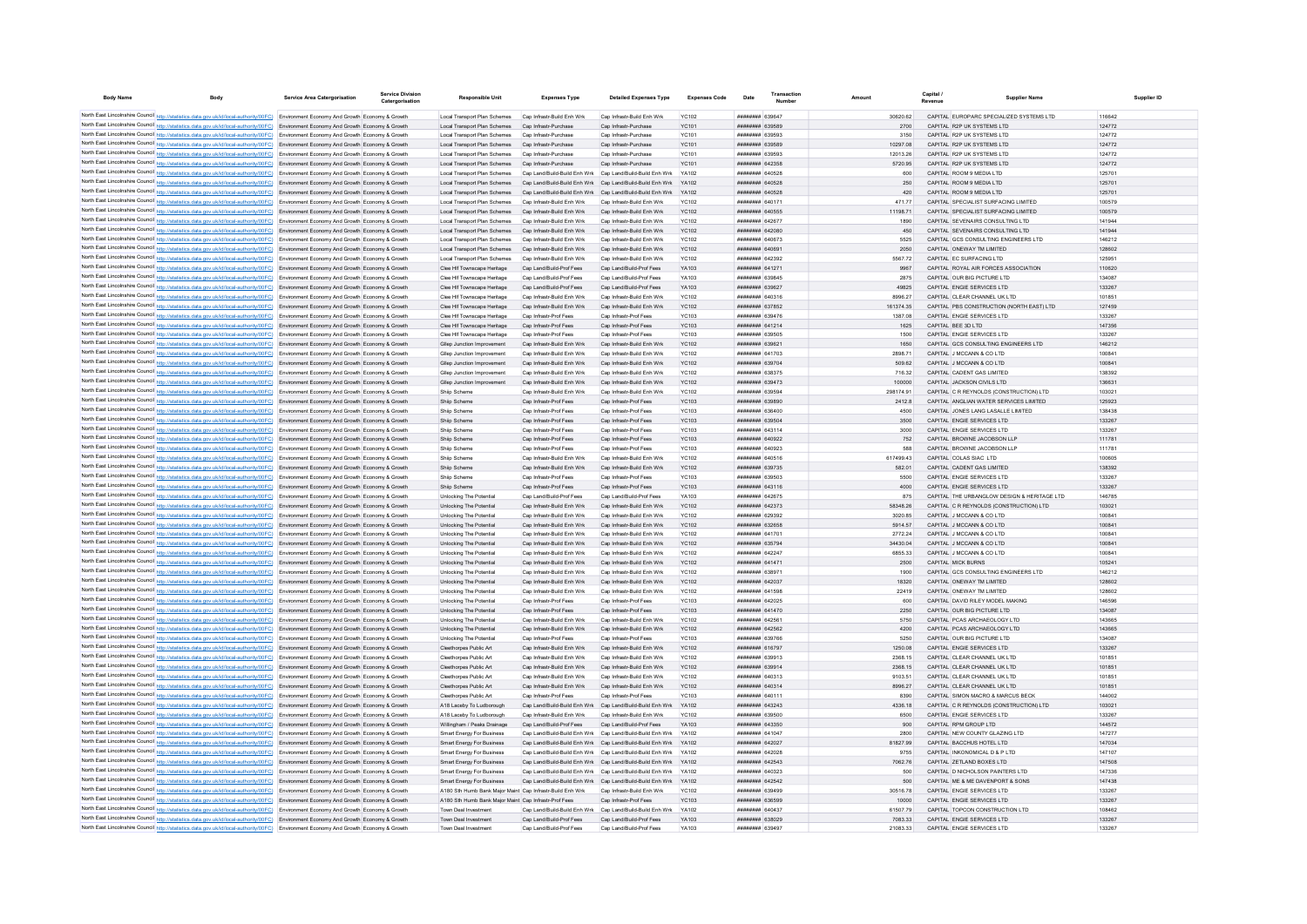| <b>Body Name</b>                           | <b>Body</b>                                                                                                                                                                                                                                                                      | Service Area Catergorisation                                                             | Service Divisio<br>Catergorisation | <b>Responsible Unit</b>                                                            | <b>Expenses Type</b>                                                                                                   | <b>Detailed Expenses Type</b>                            | <b>Expenses Code</b>         | Date                               | <b>Numbe</b> |                      | Canital<br>Revenue |                                                              | <b>Supplier Name</b> | Supplier ID |
|--------------------------------------------|----------------------------------------------------------------------------------------------------------------------------------------------------------------------------------------------------------------------------------------------------------------------------------|------------------------------------------------------------------------------------------|------------------------------------|------------------------------------------------------------------------------------|------------------------------------------------------------------------------------------------------------------------|----------------------------------------------------------|------------------------------|------------------------------------|--------------|----------------------|--------------------|--------------------------------------------------------------|----------------------|-------------|
|                                            |                                                                                                                                                                                                                                                                                  |                                                                                          |                                    |                                                                                    |                                                                                                                        |                                                          |                              |                                    |              |                      |                    |                                                              |                      |             |
|                                            | North East Lincolnshire Council http://statistics.data.gov.uk/id/local-authority/00FC) Environment Economy And Growth Economy & Growth                                                                                                                                           |                                                                                          |                                    | Local Transport Plan Schemes                                                       | Cap Infrastr-Build Enh Wrk                                                                                             | Cap Infrastr-Build Enh Wrk                               | <b>YC102</b>                 | <b>HHHHHHH</b> 630647              |              | 30620.62             |                    | CAPITAL EUROPARC SPECIALIZED SYSTEMS LTD                     | 116642               |             |
|                                            | North East Lincolnshire Council http://statistics.data.gov.uk/id/local-authority/00FC) Environment Economy And Growth Economy & Growth                                                                                                                                           |                                                                                          |                                    | Local Transport Plan Schemes Cap Infrastr-Purchase                                 |                                                                                                                        | Can Infrastr-Purchase                                    | YC101                        | <b>######## 639589</b>             |              | 2700                 |                    | CAPITAL R2P LIK SYSTEMS LTD                                  | 124772               |             |
|                                            | North East Lincolnshire Council http://statistics.data.gov.uk/id/local-authority/00FC) Environment Economy And Growth Economy & Growth                                                                                                                                           |                                                                                          |                                    | Local Transport Plan Schemes                                                       | Cap Infrastr-Purchase                                                                                                  | Can Infrastr-Purchase                                    | YC101                        | ######## 639593                    |              | 3150                 |                    | CAPITAL R2P LIK SYSTEMS LTD                                  | 124772               |             |
|                                            | North East Lincolnshire Council http://statistics.data.gov.uk/id/local-authority/00FC) Environment Economy And Growth Economy & Growth                                                                                                                                           |                                                                                          |                                    | Local Transport Plan Schemes Cap Infrastr-Purchase<br>Local Transport Plan Schemes | Cap Infrastr-Purchase                                                                                                  | Cap Infrastr-Purchase<br>Cap Infrastr-Purchase           | <b>YC101</b><br>YC101        | ######## 639589<br>######## 639593 |              | 10297.08<br>12013.26 |                    | CAPITAL R2P UK SYSTEMS LTD<br>CAPITAL R2P UK SYSTEMS LTD     | 124772<br>124772     |             |
|                                            | North East Lincolnshire Council http://statistics.data.gov.uk/id/local-authority/00FC) Environment Economy And Growth Economy & Growth                                                                                                                                           |                                                                                          |                                    |                                                                                    |                                                                                                                        |                                                          |                              |                                    |              |                      |                    |                                                              |                      |             |
|                                            | North East Lincolnshire Council http://statistics.data.gov.uk/id/local-authority/00FC) Environment Economy And Growth Economy & Growth                                                                                                                                           |                                                                                          |                                    | Local Transport Plan Schemes Cap Infrastr-Purchase                                 |                                                                                                                        | Cap Infrastr-Purchase                                    | <b>YC101</b>                 | ####### 642358                     |              | 5720.95              |                    | CAPITAL R2P UK SYSTEMS LTD                                   | 124772               |             |
|                                            | North East Lincolnshire Council http://statistics.data.gov.uk/id/local-authority/00FC) Environment Economy And Growth Economy & Growth                                                                                                                                           |                                                                                          |                                    | Local Transport Plan Schemes                                                       | Cap Land/Build-Build Enh Wrk Cap Land/Build-Build Enh Wrk<br>Cap Land/Build-Build Enh Wrk Cap Land/Build-Build Enh Wrk |                                                          | YA102<br>YA102               | ######## 640528<br>######## 640528 |              | 600<br>250           |                    | CAPITAL ROOM 9 MEDIA LTD<br>CAPITAL ROOM 9 MEDIA LTD         | 125701<br>125701     |             |
|                                            | North East Lincolnshire Council http://statistics.data.gov.uk/id/local-authority/00FC) Environment Economy And Growth Economy & Growth                                                                                                                                           |                                                                                          |                                    | Local Transport Plan Schemes<br>Local Transport Plan Schemes                       | Cap Land/Build-Build Enh Wrk Cap Land/Build-Build Enh Wrk                                                              |                                                          | YA102                        | ######## 640528                    |              | 420                  |                    | CAPITAL ROOM 9 MEDIA LTD                                     | 125701               |             |
|                                            | North East Lincolnshire Council http://statistics.data.gov.uk/id/local-authority/00FC) Environment Economy And Growth Economy & Growth<br>North East Lincolnshire Council http://statistics.data.gov.uk/id/local-authority/00FC) Environment Economy And Growth Economy & Growth |                                                                                          |                                    | Local Transport Plan Schemes                                                       | Cap Infrastr-Build Enh Wrk                                                                                             | Cap Infrastr-Build Enh Wrk                               | <b>YC102</b>                 | ######## 640171                    |              | 471.77               |                    | CAPITAL SPECIALIST SURFACING LIMITED                         | 100579               |             |
|                                            | North East Lincolnshire Council http://statistics.data.gov.uk/id/local-authority/00FC) Environment Economy And Growth Economy & Growth                                                                                                                                           |                                                                                          |                                    | Local Transport Plan Schemes                                                       | Cap Infrastr-Build Enh Wrk                                                                                             | Cap Infrastr-Build Enh Wrk                               | <b>YC102</b>                 | ######## 640555                    |              | 11198.71             |                    | CAPITAL SPECIALIST SURFACING LIMITED                         | 100579               |             |
|                                            | North East Lincolnshire Council http://statistics.data.gov.uk/id/local-authority/00FC) Environment Economy And Growth Economy & Growth                                                                                                                                           |                                                                                          |                                    | Local Transport Plan Schemes                                                       | Cap Infrastr-Build Enh Wrk                                                                                             | Cap Infrastr-Build Enh Wrk                               | <b>YC102</b>                 | ######## 64267                     |              | 1890                 |                    | CAPITAL SEVENAIRS CONSULTING LTD                             | 141944               |             |
|                                            | North East Lincolnshire Council http://statistics.data.gov.uk/id/local-authority/00FC) Environment Economy And Growth Economy & Growth                                                                                                                                           |                                                                                          |                                    | Local Transport Plan Schemes                                                       | Cap Infrastr-Build Enh Wrk                                                                                             | Cap Infrastr-Build Enh Wrk                               | <b>YC102</b>                 | ######## 642080                    |              | 450                  |                    | CAPITAL SEVENAIRS CONSULTING LTD                             | 141944               |             |
|                                            | North East Lincolnshire Council http://statistics.data.gov.uk/id/local-authority/00FC) Environment Economy And Growth Economy & Growth                                                                                                                                           |                                                                                          |                                    | Local Transport Plan Schemes                                                       | Cap Infrastr-Build Enh Wrk                                                                                             | Cap Infrastr-Build Enh Wrk                               | <b>YC102</b>                 | ######## 640673                    |              | 5525                 |                    | CAPITAL GCS CONSULTING ENGINEERS LTD                         | 146212               |             |
|                                            | North East Lincolnshire Council http://statistics.data.gov.uk/id/local-authority/00FC) Environment Economy And Growth Economy & Growth                                                                                                                                           |                                                                                          |                                    | Local Transport Plan Schemes                                                       | Cap Infrastr-Build Enh Wrk                                                                                             | Cap Infrastr-Build Enh Wrk                               | <b>YC102</b>                 | ######## 640691                    |              | 2050                 |                    | CAPITAL ONEWAY TM LIMITED                                    | 128602               |             |
|                                            | North East Lincolnshire Council http://statistics.data.gov.uk/id/local-authority/00FC) Environment Economy And Growth Economy & Growth                                                                                                                                           |                                                                                          |                                    | Local Transport Plan Schemes                                                       | Cap Infrastr-Build Enh Wrk                                                                                             | Cap Infrastr-Build Enh Wrk                               | <b>YC102</b>                 | ######## 642392                    |              | 5567.72              |                    | CAPITAL EC SURFACING LTD                                     | 125951               |             |
|                                            | North East Lincolnshire Council http://statistics.data.gov.uk/id/local-authority/00FC) Environment Economy And Growth Economy & Growth                                                                                                                                           |                                                                                          |                                    | Clee Hif Townscape Heritage                                                        | Cap Land/Build-Prof Fees                                                                                               | Cap Land/Build-Prof Fees                                 | YA103                        | ######## 641271                    |              | 9967                 |                    | CAPITAL ROYAL AIR FORCES ASSOCIATION                         | 110620               |             |
|                                            | North East Lincolnshire Council http://statistics.data.gov.uk/id/local-authority/00FC) Environment Economy And Growth Economy & Growth                                                                                                                                           |                                                                                          |                                    | Clee Hif Townscape Heritage                                                        | Cap Land/Build-Prof Fees                                                                                               | Cap Land/Build-Prof Fees                                 | YA103                        | ######## 639845                    |              | 2875                 |                    | CAPITAL OUR BIG PICTURE LTD                                  | 134087               |             |
|                                            | North East Lincolnshire Council http://statistics.data.gov.uk/id/local-authority/00FC) Environment Economy And Growth Economy & Growth                                                                                                                                           |                                                                                          |                                    | Clee Hif Townscape Heritage                                                        | Cap Land/Build-Prof Fees                                                                                               | Cap Land/Build-Prof Fees                                 | YA103                        | ######## 639627                    |              | 49825                |                    | CAPITAL ENGIE SERVICES LTD                                   | 133267               |             |
|                                            | North East Lincolnshire Council http://statistics.data.gov.uk/id/local-authority/00FC) Environment Economy And Growth Economy & Growth                                                                                                                                           |                                                                                          |                                    | Clee Hif Townscape Heritage                                                        | Cap Infrastr-Build Enh Wrk                                                                                             | Cap Infrastr-Build Enh Wrk                               | <b>YC102</b>                 | ######## 640316                    |              | 8996.27              |                    | CAPITAL CLEAR CHANNEL UK LTD                                 | 101851               |             |
|                                            | North East Lincolnshire Council http://statistics.data.gov.uk/id/local-authority/00FC) Environment Economy And Growth Economy & Growth                                                                                                                                           |                                                                                          |                                    | Clee Hif Townscape Heritage                                                        | Cap Infrastr-Build Enh Wrk                                                                                             | Cap Infrastr-Build Enh Wrk                               | YC102                        | <b>######## 637852</b>             |              | 161374 35            |                    | CAPITAL PBS CONSTRUCTION (NORTH EAST) LTD                    | 127459               |             |
|                                            | North East Lincolnshire Council http://statistics.data.gov.uk/id/local-authority/00FC) Environment Economy And Growth Economy & Growth                                                                                                                                           |                                                                                          |                                    | Clee Hif Townscape Heritage                                                        | Can Infrastr-Prof Fees                                                                                                 | Cap Infrastr-Prof Fees                                   | YC103                        | ######## 639476                    |              | 1387.08              |                    | CAPITAL ENGIE SERVICES LTD                                   | 133267               |             |
|                                            | North East Lincolnshire Council http://statistics.data.gov.uk/id/local-authority/00FC) Environment Economy And Growth Economy & Growth                                                                                                                                           |                                                                                          |                                    | Clee Hif Townscape Heritage                                                        | Cap Infrastr-Prof Fees                                                                                                 | Cap Infrastr-Prof Fees                                   | <b>YC103</b>                 | ######## 641214                    |              | 1625                 |                    | CAPITAL BEE 3D LTD                                           | 147356               |             |
|                                            | North East Lincolnshire Council http://statistics.data.gov.uk/id/local-authority/00FC) Environment Economy And Growth Economy & Growth                                                                                                                                           |                                                                                          |                                    | Clee Hif Townscape Heritage                                                        | Cap Infrastr-Prof Fees                                                                                                 | Cap Infrastr-Prof Fees                                   | <b>YC103</b>                 | ######## 639505                    |              | 1500                 |                    | CAPITAL ENGIE SERVICES LTD                                   | 133267               |             |
| North East Lincolnshire Council http://sta | tics.data.gov.uk/id/local-authority/00FC) Environment Economy And Growth Economy & Growth                                                                                                                                                                                        |                                                                                          |                                    | Gliep Junction Improvement                                                         | Cap Infrastr-Build Enh Wrk                                                                                             | Cap Infrastr-Build Enh Wrk                               | <b>YC102</b>                 | ######## 639621                    |              | 1650                 |                    | CAPITAL GCS CONSULTING ENGINEERS LTD                         | 146212               |             |
|                                            | North East Lincolnshire Council http://statistics.data.gov.uk/id/local-authority/00FC) Environment Economy And Growth Economy & Growth                                                                                                                                           |                                                                                          |                                    | Gliep Junction Improvemen                                                          | Cap Infrastr-Build Enh Wrl                                                                                             | Cap Infrastr-Build Enh Wrk                               | <b>YC102</b>                 | <b>HHHHHHH 641703</b>              |              | 2898.71              |                    | CAPITAL J MCCANN & CO LTD                                    | 100841               |             |
|                                            | North East Lincolnshire Council http://statistics.data.gov.uk/id/local-authority/00FC) Environment Economy And Growth Economy & Growth                                                                                                                                           |                                                                                          |                                    | Gllep Junction Improvement                                                         | Cap Infrastr-Build Enh Wrk                                                                                             | Cap Infrastr-Build Enh Wrk                               | <b>YC102</b>                 | ######## 639704                    |              | 509.62               |                    | CAPITAL J MCCANN & CO LTD                                    | 100841               |             |
|                                            | North East Lincolnshire Council http://statistics.data.gov.uk/id/local-authority/00FC) Environment Economy And Growth Economy & Growth                                                                                                                                           |                                                                                          |                                    | Gliep Junction Improvement                                                         | Cap Infrastr-Build Enh Wrk                                                                                             | Can Infrastr-Build Enh Wrk                               | YC102                        | ######## 638375                    |              | 716.32               |                    | CAPITAL CADENT GAS LIMITED                                   | 138392               |             |
|                                            | North East Lincolnshire Council http://statistics.data.gov.uk/id/local-authority/00FC) Environment Economy And Growth Economy & Growth                                                                                                                                           |                                                                                          |                                    | Gliep Junction Improvement                                                         | Cap Infrastr-Build Enh Wrk                                                                                             | Cap Infrastr-Build Enh Wrk                               | <b>YC102</b>                 | ######## 639473                    |              | 100000               |                    | CAPITAL JACKSON CIVILS LTD                                   | 136631               |             |
|                                            | North East Lincolnshire Council http://statistics.data.gov.uk/id/local-authority/00FC) Environment Economy And Growth Economy & Growth                                                                                                                                           |                                                                                          |                                    | Shiip Scheme                                                                       | Cap Infrastr-Build Enh Wrk                                                                                             | Cap Infrastr-Build Enh Wrk                               | <b>YC102</b>                 | ######## 639594                    |              | 298174.91            |                    | CAPITAL C R REYNOLDS (CONSTRUCTION) LTD                      | 103021               |             |
|                                            | North East Lincolnshire Council http://statistics.data.gov.uk/id/local-authority/00FC) Environment Economy And Growth Economy & Growth                                                                                                                                           |                                                                                          |                                    | Shiip Scheme                                                                       | Cap Infrastr-Prof Fees                                                                                                 | Cap Infrastr-Prof Fees                                   | <b>YC103</b>                 | ######## 639890                    |              | 2412.8               |                    | CAPITAL ANGLIAN WATER SERVICES LIMITED                       | 125923               |             |
|                                            | North East Lincolnshire Council http://statistics.data.gov.uk/id/local-authority/00FC) Environment Economy And Growth Economy & Growth                                                                                                                                           |                                                                                          |                                    | Shiip Scheme                                                                       | Cap Infrastr-Prof Fees                                                                                                 | Cap Infrastr-Prof Fees                                   | YC103                        | ######## 636400                    |              | 4500                 |                    | CAPITAL JONES LANG LASALLE LIMITED                           | 138438               |             |
|                                            | North East Lincolnshire Council http://statistics.data.gov.uk/id/local-authority/00FC) Environment Economy And Growth Economy & Growth                                                                                                                                           |                                                                                          |                                    | Shiip Scheme                                                                       | Cap Infrastr-Prof Fees                                                                                                 | Cap Infrastr-Prof Fees                                   | <b>YC103</b>                 | ######## 639504                    |              | 3500                 |                    | CAPITAL ENGIE SERVICES LTD                                   | 133267               |             |
|                                            | North East Lincolnshire Council http://statistics.data.gov.uk/id/local-authority/00FC) Environment Economy And Growth Economy & Growth                                                                                                                                           |                                                                                          |                                    | Shiip Scheme                                                                       | Cap Infrastr-Prof Fees                                                                                                 | Cap Infrastr-Prof Fees                                   | <b>YC103</b>                 | ######## 643114                    |              | 3000                 |                    | CAPITAL ENGIE SERVICES LTD                                   | 133267               |             |
|                                            | North East Lincolnshire Council http://statistics.data.gov.uk/id/local-authority/00FC) Environment Economy And Growth Economy & Growth                                                                                                                                           |                                                                                          |                                    | Shiip Scheme                                                                       | Cap Infrastr-Prof Fees                                                                                                 | Cap Infrastr-Prof Fees                                   | <b>YC103</b>                 | ######## 640922                    |              | 752                  |                    | CAPITAL BROWNE JACOBSON LLP                                  | 111781               |             |
|                                            | North East Lincolnshire Council http://statistics.data.gov.uk/id/local-authority/00FC) Environment Economy And Growth Economy & Growth                                                                                                                                           |                                                                                          |                                    | Shiip Scheme                                                                       | Cap Infrastr-Prof Fees                                                                                                 | Cap Infrastr-Prof Fees                                   | <b>YC103</b>                 | ######## 640923                    |              | 588                  |                    | CAPITAL BROWNE JACOBSON LLP                                  | 111781               |             |
| North East Lincolnshire Council http://str |                                                                                                                                                                                                                                                                                  | ics.data.gov.uk/id/local-authority/00FC) Environment Economy And Growth Economy & Growth |                                    | Shiip Scheme                                                                       | Cap Infrastr-Build Enh Wrk                                                                                             | Cap Infrastr-Build Enh Wrk                               | <b>YC102</b>                 | ####### 640516                     |              | 617499.43            |                    | CAPITAL COLAS SIAC LTD                                       | 100605               |             |
|                                            | North East Lincolnshire Council http://statistics.data.gov.uk/id/local-authority/00FC) Environment Economy And Growth Economy & Growth                                                                                                                                           |                                                                                          |                                    | Shiip Scheme                                                                       | Cap Infrastr-Build Enh Wrk                                                                                             | Cap Infrastr-Build Enh Wrk                               | <b>YC102</b>                 | ######## 639735                    |              | 582.01               |                    | CAPITAL CADENT GAS LIMITED                                   | 138392               |             |
|                                            | North East Lincolnshire Council http://statistics.data.gov.uk/id/local-authority/00FC) Environment Economy And Growth Economy & Growth                                                                                                                                           |                                                                                          |                                    | Shiip Scheme                                                                       | Cap Infrastr-Prof Fee                                                                                                  | Cap Infrastr-Prof Fees                                   | YC103                        | ######## 639503                    |              | 5500                 |                    | CAPITAL ENGIE SERVICES LTD                                   | 133267               |             |
|                                            | North East Lincolnshire Council http://statistics.data.gov.uk/id/local-authority/00FC) Environment Economy And Growth Economy & Growth                                                                                                                                           |                                                                                          |                                    | Shiip Scheme                                                                       | Cap Infrastr-Prof Fees                                                                                                 | Cap Infrastr-Prof Fees                                   | <b>YC103</b>                 | ######## 643116                    |              | 4000                 |                    | CAPITAL ENGIE SERVICES LTD                                   | 133267               |             |
|                                            | North East Lincolnshire Council http://statistics.data.gov.uk/id/local-authority/00FC) Environment Economy And Growth Economy & Growth                                                                                                                                           |                                                                                          |                                    | Unlocking The Potential                                                            | Cap Land/Build-Prof Fees                                                                                               | Cap Land/Build-Prof Fees                                 | YA103                        | ######## 642675                    |              | 875                  |                    | CAPITAL THE URBANGLOW DESIGN & HERITAGE LTD                  | 146785               |             |
|                                            | North East Lincolnshire Council http://statistics.data.gov.uk/id/local-authority/00FC) Environment Economy And Growth Economy & Growth                                                                                                                                           |                                                                                          |                                    | <b>Unlocking The Potential</b>                                                     | Cap Infrastr-Build Enh Wrk                                                                                             | Cap Infrastr-Build Enh Wrk                               | <b>YC102</b>                 | ######## 642373                    |              | 58348.26             |                    | CAPITAL C R REYNOLDS (CONSTRUCTION) LTD                      | 103021               |             |
|                                            | North East Lincolnshire Council http://statistics.data.gov.uk/id/local-authority/00FC) Environment Economy And Growth Economy & Growth                                                                                                                                           |                                                                                          |                                    | <b>Unlocking The Potential</b>                                                     | Cap Infrastr-Build Enh Wrk                                                                                             | Cap Infrastr-Build Enh Wrk                               | <b>YC102</b>                 | ######## 629392                    |              | 3020.85              |                    | CAPITAL J MCCANN & CO LTD                                    | 100841               |             |
|                                            | North East Lincolnshire Council http://statistics.data.gov.uk/id/local-authority/00FC) Environment Economy And Growth Economy & Growth                                                                                                                                           |                                                                                          |                                    | Unlocking The Potential                                                            | Cap Infrastr-Build Enh Wrk                                                                                             | Cap Infrastr-Build Enh Wrk                               | <b>YC102</b>                 | ######## 632658                    |              | 5914.57              |                    | CAPITAL J MCCANN & CO LTD                                    | 10084                |             |
|                                            | North East Lincolnshire Council http://statistics.data.gov.uk/id/local-authority/00FC) Environment Economy And Growth Economy & Growth                                                                                                                                           |                                                                                          |                                    | Unlocking The Potential                                                            | Cap Infrastr-Build Enh Wrk                                                                                             | Cap Infrastr-Build Enh Wrk                               | <b>YC102</b>                 | ######## 641701                    |              | 2772.24              |                    | CAPITAL J MCCANN & CO LTD                                    | 100841               |             |
|                                            | North East Lincolnshire Council http://statistics.data.gov.uk/id/local-authority/00FC) Environment Economy And Growth Economy & Growth                                                                                                                                           |                                                                                          |                                    | Unlocking The Potential                                                            | Cap Infrastr-Build Enh Wrk                                                                                             | Cap Infrastr-Build Enh Wrk                               | <b>YC102</b>                 | ######## 635794                    |              | 34430.04             |                    | CAPITAL J MCCANN & CO LTD                                    | 10084                |             |
|                                            | North East Lincolnshire Council http://statistics.data.gov.uk/id/local-authority/00FC) Environment Economy And Growth Economy & Growth                                                                                                                                           |                                                                                          |                                    | Unlocking The Potential                                                            | Can Infrastr-Build Enh Wrk                                                                                             | Can Infrastr-Build Enh Wrk                               | YC102                        | <b>ПППННННН</b> 642247             |              | 685533               |                    | CAPITAL J MCCANN & CO LTD                                    | 10084                |             |
|                                            | North East Lincolnshire Council http://statistics.data.gov.uk/id/local-authority/00FC) Environment Economy And Growth Economy & Growth                                                                                                                                           |                                                                                          |                                    | Unlocking The Potential                                                            | Cap Infrastr-Build Enh Wrk                                                                                             | Cap Infrastr-Build Enh Wrk                               | <b>YC102</b>                 | ######## 641471                    |              | 2500                 |                    | CAPITAL MICK BURNS                                           | 105241               |             |
|                                            | North East Lincolnshire Council http://statistics.data.gov.uk/id/local-authority/00FC) Environment Economy And Growth Economy & Growth                                                                                                                                           |                                                                                          |                                    | <b>Unlocking The Potentia</b>                                                      | Cap Infrastr-Build Enh Wrk                                                                                             | Cap Infrastr-Build Enh Wrk                               | <b>YC102</b>                 | ####### 63897                      |              | 1900                 |                    | CAPITAL GCS CONSULTING ENGINEERS LTD                         | 146212               |             |
|                                            | North East Lincolnshire Council http://statistics.data.gov.uk/id/local-authority/00FC) Environment Economy And Growth Economy & Growth                                                                                                                                           |                                                                                          |                                    | <b>Unlocking The Potential</b>                                                     | Cap Infrastr-Build Enh Wrk                                                                                             | Cap Infrastr-Build Enh Wrk                               | <b>YC102</b>                 | ######## 642037                    |              | 18320                |                    | CAPITAL ONEWAY TM LIMITED                                    | 128602               |             |
|                                            | North East Lincolnshire Council http://statistics.data.gov.uk/id/local-authority/00FC) Environment Economy And Growth Economy & Growth                                                                                                                                           |                                                                                          |                                    | Unlocking The Potentia                                                             | Cap Infrastr-Build Enh Wrk                                                                                             | Cap Infrastr-Build Enh Wrk                               | YC102                        | ######## 641598                    |              | 22419                |                    | CAPITAL ONEWAY TM LIMITED                                    | 128602               |             |
|                                            | North East Lincolnshire Council http://statistics.data.gov.uk/id/local-authority/00FC) Environment Economy And Growth Economy & Growth                                                                                                                                           |                                                                                          |                                    | <b>Unlocking The Potential</b>                                                     | Cap Infrastr-Prof Fees                                                                                                 | Cap Infrastr-Prof Fees                                   | <b>YC103</b>                 | <b>ПППННННН</b> 642025             |              | 600                  |                    | CAPITAL DAVID RILEY MODEL MAKING                             | 146596               |             |
|                                            | North East Lincolnshire Council http://statistics.data.gov.uk/id/local-authority/00FC) Environment Economy And Growth Economy & Growth                                                                                                                                           |                                                                                          |                                    | Unlocking The Potential                                                            | Cap Infrastr-Prof Fees                                                                                                 | Cap Infrastr-Prof Fees                                   | <b>YC103</b>                 | <b>HHHHHHHH 641470</b>             |              | 2250                 |                    | CAPITAL OUR BIG PICTURE LTD                                  | 134087               |             |
|                                            | North East Lincolnshire Council http://statistics.data.gov.uk/id/local-authority/00FC) Environment Economy And Growth Economy & Growth                                                                                                                                           |                                                                                          |                                    | Unlocking The Potential                                                            | Cap Infrastr-Build Enh Wrk<br>Cap Infrastr-Build Enh Wrk                                                               | Cap Infrastr-Build Enh Wrk<br>Cap Infrastr-Build Enh Wrk | <b>YC102</b><br><b>YC102</b> | ######## 642561<br>######## 642562 |              | 5750<br>4200         |                    | CAPITAL PCAS ARCHAEOLOGY LTD<br>CAPITAL PCAS ARCHAEOLOGY LTD | 143665<br>143665     |             |
|                                            | North East Lincolnshire Council http://statistics.data.gov.uk/id/local-authority/00FC) Environment Economy And Growth Economy & Growth                                                                                                                                           |                                                                                          |                                    | <b>Unlocking The Potential</b>                                                     | Cap Infrastr-Prof Fees                                                                                                 | Cap Infrastr-Prof Fees                                   | <b>YC103</b>                 | ######## 639766                    |              | 5250                 |                    | CAPITAL OUR BIG PICTURE LTD                                  | 134087               |             |
|                                            | North East Lincolnshire Council http://statistics.data.gov.uk/id/local-authority/00FC) Environment Economy And Growth Economy & Growth<br>North East Lincolnshire Council http://statistics.data.gov.uk/id/local-authority/00FC) Environment Economy And Growth Economy & Growth |                                                                                          |                                    | <b>Unlocking The Potential</b><br>Cleethorpes Public Art                           | Cap Infrastr-Build Enh Wrk                                                                                             | Cap Infrastr-Build Enh Wrk                               | <b>YC102</b>                 | ######## 616797                    |              | 1250.08              |                    | CAPITAL ENGIE SERVICES LTD                                   | 133267               |             |
|                                            | North East Lincolnshire Council http://statistics.data.gov.uk/id/local-authority/00FC) Environment Economy And Growth Economy & Growth                                                                                                                                           |                                                                                          |                                    | Cleethorpes Public Art                                                             | Cap Infrastr-Build Enh Wrk                                                                                             | Cap Infrastr-Build Enh Wrk                               | <b>YC102</b>                 | ######## 639913                    |              | 2368.15              |                    | CAPITAL CLEAR CHANNEL UK LTD                                 | 101851               |             |
|                                            | North East Lincolnshire Council http://statistics.data.gov.uk/id/local-authority/00FC) Environment Economy And Growth Economy & Growth                                                                                                                                           |                                                                                          |                                    | Cleethorpes Public Art                                                             | Cap Infrastr-Build Enh Wrk                                                                                             | Cap Infrastr-Build Enh Wrk                               | <b>YC102</b>                 | ######## 639914                    |              | 2368.15              |                    | CAPITAL CLEAR CHANNEL UK LTD                                 | 101851               |             |
|                                            | North East Lincolnshire Council http://statistics.data.gov.uk/id/local-authority/00FC) Environment Economy And Growth Economy & Growth                                                                                                                                           |                                                                                          |                                    | Cleethorpes Public Art                                                             | Cap Infrastr-Build Enh Wrk                                                                                             | Cap Infrastr-Build Enh Wrk                               | <b>YC102</b>                 | ######## 640313                    |              | 9103.51              |                    | CAPITAL CLEAR CHANNEL UK LTD                                 | 101851               |             |
|                                            | North East Lincolnshire Council http://statistics.data.gov.uk/id/local-authority/00FC) Environment Economy And Growth Economy & Growth                                                                                                                                           |                                                                                          |                                    | Cleethorpes Public Art                                                             | Cap Infrastr-Build Enh Wrk                                                                                             | Cap Infrastr-Build Enh Wrk                               | <b>YC102</b>                 | ######## 640314                    |              | 8996.27              |                    | CAPITAL CLEAR CHANNEL UK LTD                                 | 101851               |             |
|                                            | North East Lincolnshire Council http://statistics.data.gov.uk/id/local-authority/00FC) Environment Economy And Growth Economy & Growth                                                                                                                                           |                                                                                          |                                    | Cleethorpes Public Art                                                             | Cap Infrastr-Prof Fees                                                                                                 | Cap Infrastr-Prof Fees                                   | <b>YC103</b>                 | ####### 64011                      |              | 8390                 |                    | CAPITAL SIMON MACRO & MARCUS BECK                            | 144002               |             |
|                                            | North East Lincolnshire Council http://statistics.data.gov.uk/id/local-authority/00FC) Environment Economy And Growth Economy & Growth                                                                                                                                           |                                                                                          |                                    | A18 Laceby To Ludborough                                                           | Cap Land/Build-Build Enh Wrk                                                                                           | Cap Land/Build-Build Enh Wrk                             | YA102                        | ######## 643243                    |              | 4336.18              |                    | CAPITAL C R REYNOLDS (CONSTRUCTION) LTD                      | 103021               |             |
|                                            | North East Lincolnshire Council http://statistics.data.gov.uk/id/local-authority/00FC) Environment Economy And Growth Economy & Growth                                                                                                                                           |                                                                                          |                                    | A18 Laceby To Ludborough                                                           | Cap Infrastr-Build Enh Wrk                                                                                             | Cap Infrastr-Build Enh Wrk                               | <b>YC102</b>                 | ######## 639500                    |              | 6500                 |                    | CAPITAL ENGIE SERVICES LTD                                   | 133267               |             |
|                                            | North East Lincolnshire Council http://statistics.data.gov.uk/id/local-authority/00FC).                                                                                                                                                                                          | Environment Economy And Growth Economy & Growth                                          |                                    | Willingham / Peaks Drainage                                                        | Cap Land/Build-Prof Fees                                                                                               | Cap Land/Build-Prof Fees                                 | YA103                        | ######## 643350                    |              | 900                  |                    | CAPITAL RPM GROUP LTD                                        | 144572               |             |
|                                            | North East Lincolnshire Council http://statistics.data.gov.uk/id/local-authority/00FC) Environment Economy And Growth Economy & Growth                                                                                                                                           |                                                                                          |                                    | <b>Smart Energy For Business</b>                                                   | Cap Land/Build-Build Enh Wrk                                                                                           | Cap Land/Build-Build Enh Wrk                             | YA102                        | ######## 641047                    |              | 2800                 |                    | CAPITAL NEW COUNTY GLAZING LTD                               | 147277               |             |
|                                            | North East Lincolnshire Council http://statistics.data.gov.uk/id/local-authority/00FC) Environment Economy And Growth Economy & Growth                                                                                                                                           |                                                                                          |                                    | <b>Smart Energy For Business</b>                                                   | Cap Land/Build-Build Enh Wrk Cap Land/Build-Build Enh Wrk                                                              |                                                          | YA102                        | ######## 642027                    |              | 81827.99             |                    | CAPITAL BACCHUS HOTEL LTD                                    | 147034               |             |
|                                            | North East Lincolnshire Council http://statistics.data.gov.uk/id/local-authority/00FC) Environment Economy And Growth Economy & Growth                                                                                                                                           |                                                                                          |                                    | <b>Smart Energy For Business</b>                                                   | Cap Land/Build-Build Enh Wrk Cap Land/Build-Build Enh Wrk                                                              |                                                          | YA102                        | нниннин 642028                     |              | 9755                 |                    | CAPITAL INKONOMICAL D & P LTD                                | 147107               |             |
|                                            | North East Lincolnshire Council http://statistics.data.gov.uk/id/local-authority/00FC) Environment Economy And Growth Economy & Growth                                                                                                                                           |                                                                                          |                                    | Smart Energy For Business                                                          | Cap Land/Build-Build Enh Wrk Cap Land/Build-Build Enh Wrk                                                              |                                                          | YA102                        | ######## 642543                    |              | 7062.76              |                    | CAPITAL ZETLAND BOXES LTD                                    | 147508               |             |
|                                            | North East Lincolnshire Council http://statistics.data.gov.uk/id/local-authority/00FC) Environment Economy And Growth Economy & Growth                                                                                                                                           |                                                                                          |                                    | <b>Smart Energy For Business</b>                                                   | Cap Land/Build-Build Enh Wrk Cap Land/Build-Build Enh Wrk                                                              |                                                          | YA102                        | ######## 640323                    |              | 500                  |                    | CAPITAL D NICHOLSON PAINTERS LTD                             | 147336               |             |
|                                            | North East Lincolnshire Council http://statistics.data.gov.uk/id/local-authority/00FC) Environment Economy And Growth Economy & Growth                                                                                                                                           |                                                                                          |                                    | <b>Smart Energy For Business</b>                                                   | Cap Land/Build-Build Enh Wrk Cap Land/Build-Build Enh Wrk                                                              |                                                          | YA102                        | ####### 642542                     |              | 500                  |                    | CAPITAL ME & ME DAVENPORT & SONS                             | 147438               |             |
|                                            | North East Lincolnshire Council http://statistics.data.gov.uk/id/local-authority/00FC) Environment Economy And Growth Economy & Growth                                                                                                                                           |                                                                                          |                                    | A180 Sth Humb Bank Maior Maint Cap Infrastr-Build Enh Wrk                          |                                                                                                                        | Cap Infrastr-Build Enh Wrk                               | YC102                        | <b><i>BREADER BAGGARET</i></b>     |              | 30516.78             |                    | CAPITAL ENGIF SERVICES LTD                                   | 133267               |             |
|                                            | North East Lincolnshire Council http://statistics.data.gov.uk/id/local-authority/00FC) Environment Economy And Growth Economy & Growth                                                                                                                                           |                                                                                          |                                    | A180 Sth Humb Bank Major Maint Cap Infrastr-Prof Fees                              |                                                                                                                        | Cap Infrastr-Prof Fees                                   | <b>YC103</b>                 | ######## 636599                    |              | 10000                |                    | CAPITAL ENGIE SERVICES LTD                                   | 133267               |             |
|                                            | North East Lincolnshire Council http://statistics.data.gov.uk/id/local-authority/00FC) Environment Economy And Growth Economy & Growth                                                                                                                                           |                                                                                          |                                    | Town Deal Investment                                                               | Cap Land/Build-Build Enh Wrk Cap Land/Build-Build Enh Wrk                                                              |                                                          | <b>YA102</b>                 | ######## 640437                    |              | 61507.79             |                    | CAPITAL TOPCON CONSTRUCTION LTD                              | 108462               |             |
|                                            | North East Lincolnshire Council http://statistics.data.gov.uk/id/local-authority/00FC) Environment Economy And Growth Economy & Growth                                                                                                                                           |                                                                                          |                                    | Town Deal Investment                                                               | Cap Land/Build-Prof Fees                                                                                               | Cap Land/Build-Prof Fees                                 | YA103                        | ######## 638029                    |              | 7083.33              |                    | CAPITAL ENGIE SERVICES LTD                                   | 133267               |             |
|                                            | North East Lincolnshire Council http://statistics.data.gov.uk/id/local-authority/00FC) Environment Economy And Growth Economy & Growth                                                                                                                                           |                                                                                          |                                    | Town Deal Investment                                                               | Cap Land/Build-Prof Fees                                                                                               | Cap Land/Build-Prof Fees                                 | YA103                        | <b>HARBAR 639497</b>               |              | 21083.33             |                    | CAPITAL ENGIE SERVICES LTD                                   | 133267               |             |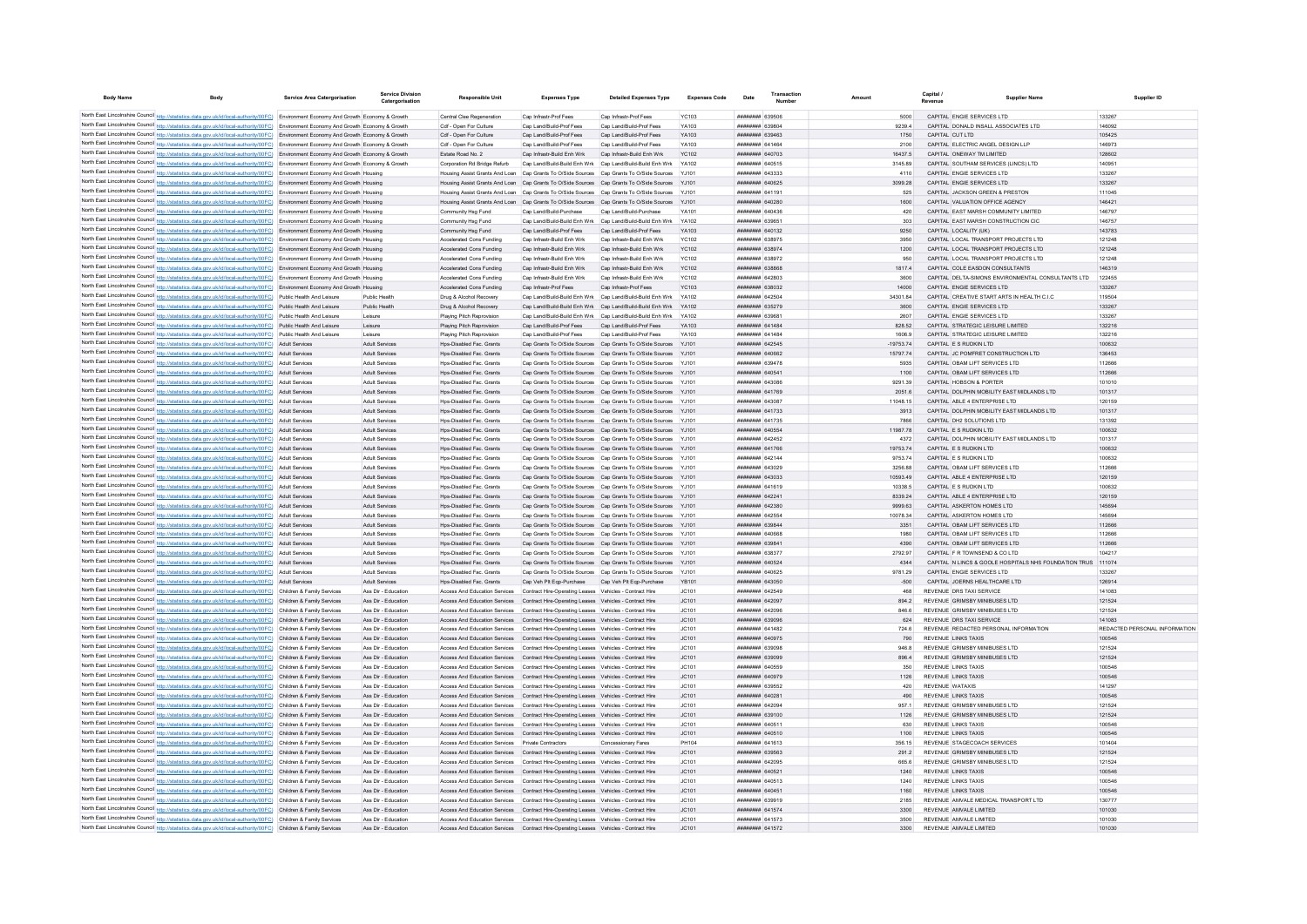| <b>Body Name</b>                            | Body                                                                                                                                                                                                                                                                             | Service Area Catergorisation | Service Division<br>Catergorisation        | <b>Responsible Unit</b>                              | <b>Expenses Type</b>                                                                                                                             | <b>Detailed Expenses Type</b>                                                                                                       | <b>Expenses Code</b>  | Date                                             | Number | Amount |                    | Canital<br>Revenue                                                           | <b>Supplier Name</b>                                         | Supplier ID                   |
|---------------------------------------------|----------------------------------------------------------------------------------------------------------------------------------------------------------------------------------------------------------------------------------------------------------------------------------|------------------------------|--------------------------------------------|------------------------------------------------------|--------------------------------------------------------------------------------------------------------------------------------------------------|-------------------------------------------------------------------------------------------------------------------------------------|-----------------------|--------------------------------------------------|--------|--------|--------------------|------------------------------------------------------------------------------|--------------------------------------------------------------|-------------------------------|
|                                             |                                                                                                                                                                                                                                                                                  |                              |                                            | Central Clee Regeneration                            | Cap Infrastr-Prof Fees                                                                                                                           |                                                                                                                                     |                       | BOZOSA HHHHHHH                                   |        |        | 5000               | CAPITAL ENGIE SERVICES LTD                                                   |                                                              | 133267                        |
|                                             | North East Lincolnshire Council http://statistics.data.gov.uk/id/local-authority/00FC) Environment Economy And Growth Economy & Growth<br>North East Lincolnshire Council http://statistics.data.gov.uk/id/local-authority/00FC) Environment Economy And Growth Economy & Growth |                              |                                            | Cdf - Onen For Culture                               | Can Land/Build-Prof Fees                                                                                                                         | Cap Infrastr-Prof Fees<br>Can Land/Build-Prof Fees                                                                                  | <b>YC103</b><br>YA103 | <b>плинини 639804</b>                            |        |        | 92394              | CAPITAL DONALD INSALL ASSOCIATES LTD                                         |                                                              | 146092                        |
|                                             | North East Lincolnshire Council http://statistics.data.gov.uk/id/local-authority/00FC) Environment Economy And Growth Economy & Growth                                                                                                                                           |                              |                                            | Cdf - Onen For Culture                               | Can Land/Build-Prof Fees                                                                                                                         | Can Land/Build-Prof Fees                                                                                                            | YA103                 | EAMAREA BRBBBBBB                                 |        |        | 1750               | CAPITAL CUT ITD                                                              |                                                              | 105425                        |
|                                             | North East Lincolnshire Council http://statistics.data.gov.uk/id/local-authority/00FC) Environment Economy And Growth Economy & Growth                                                                                                                                           |                              |                                            | Cdf - Open For Culture                               | Cap Land/Build-Prof Fees                                                                                                                         | Cap Land/Build-Prof Fees                                                                                                            | YA103                 | <b>HENHHHHH</b> 641464                           |        |        | 2100               | CAPITAL ELECTRIC ANGEL DESIGN LLP                                            |                                                              | 146973                        |
|                                             | North East Lincolnshire Council http://statistics.data.gov.uk/id/local-authority/00FC) Environment Economy And Growth Economy & Growth                                                                                                                                           |                              |                                            | Estate Road No. 2                                    | Cap Infrastr-Build Enh Wrk                                                                                                                       | Cap Infrastr-Build Enh Wrk                                                                                                          | <b>YC102</b>          | ######## 640703                                  |        |        | 16437.5            | CAPITAL ONEWAY TM LIMITED                                                    |                                                              | 128602                        |
|                                             | North East Lincolnshire Council http://statistics.data.gov.uk/id/local-authority/00FC) Environment Economy And Growth Economy & Growth                                                                                                                                           |                              |                                            |                                                      | Corporation Rd Bridge Refurb Cap Land/Build-Build Enh Wrk Cap Land/Build-Build Enh Wrk YA102                                                     |                                                                                                                                     |                       | ######## 640515                                  |        |        | 3145.89            | CAPITAL SOUTHAM SERVICES (LINCS) LTD                                         |                                                              | 140951                        |
|                                             | North East Lincolnshire Council http://statistics.data.gov.uk/id/local-authority/00FC) Environment Economy And Growth Housing                                                                                                                                                    |                              |                                            |                                                      | Housing Assist Grants And Loan Cap Grants To O/Side Sources Cap Grants To O/Side Sources                                                         |                                                                                                                                     | YJ101                 | ######## 643333                                  |        |        | 4110               | CAPITAL ENGIE SERVICES LTD                                                   |                                                              | 133267                        |
|                                             | North East Lincolnshire Council http://statistics.data.gov.uk/id/local-authority/00FC) Environment Economy And Growth Housing                                                                                                                                                    |                              |                                            |                                                      | Housing Assist Grants And Loan Cap Grants To O/Side Sources Cap Grants To O/Side Sources                                                         |                                                                                                                                     | Y.1101                | <b>ПЕВЕЦИИ 640625</b>                            |        |        | 3099.28            | CAPITAL ENGIE SERVICES LTD                                                   |                                                              | 133267                        |
|                                             | North East Lincolnshire Council http://statistics.data.gov.uk/id/local-authority/00FC) Environment Economy And Growth Housing                                                                                                                                                    |                              |                                            |                                                      | Housing Assist Grants And Loan Cap Grants To O/Side Sources Cap Grants To O/Side Sources YJ101                                                   |                                                                                                                                     |                       | <b>HHHHHHH</b> 641191                            |        |        | 525                | CAPITAL JACKSON GREEN & PRESTON                                              |                                                              | 111045                        |
|                                             | North East Lincolnshire Council http://statistics.data.gov.uk/id/local-authority/00FC) Environment Economy And Growth Housing                                                                                                                                                    |                              |                                            |                                                      | Housing Assist Grants And Loan Cap Grants To O/Side Sources Cap Grants To O/Side Sources                                                         |                                                                                                                                     | Y.1101                | ######## 640280                                  |        |        | 1600               | CAPITAL VALUATION OFFICE AGENCY                                              |                                                              | 146421                        |
|                                             | North East Lincolnshire Council http://statistics.data.gov.uk/id/local-authority/00FC) Environment Economy And Growth Housing                                                                                                                                                    |                              |                                            | Community Hsg Fund                                   | Cap Land/Build-Purchase                                                                                                                          | Cap Land/Build-Purchase                                                                                                             | <b>YA101</b>          | ####### 640436                                   |        |        | 420                | CAPITAL EAST MARSH COMMUNITY LIMITED                                         |                                                              | 146797                        |
|                                             | North East Lincolnshire Council http://statistics.data.gov.uk/id/local-authority/00FC) Environment Economy And Growth Housing                                                                                                                                                    |                              |                                            | Community Hsg Fund                                   | Cap Land/Build-Build Enh Wrk                                                                                                                     | Cap Land/Build-Build Enh Wrk                                                                                                        | YA102                 | ####### 639651                                   |        |        | 303                | CAPITAL EAST MARSH CONSTRUCTION CIC                                          |                                                              | 146757                        |
|                                             | North East Lincolnshire Council http://statistics.data.gov.uk/id/local-authority/00FC) Environment Economy And Growth Housing                                                                                                                                                    |                              |                                            | Community Hsg Fund                                   | Cap Land/Build-Prof Fees                                                                                                                         | Cap Land/Build-Prof Fees                                                                                                            | YA103                 | ######## 640132                                  |        |        | 9250               | CAPITAL LOCALITY (UK)                                                        |                                                              | 143783                        |
|                                             | North East Lincolnshire Council http://statistics.data.gov.uk/id/local-authority/00FC) Environment Economy And Growth Housing                                                                                                                                                    |                              |                                            | Accelerated Cons Funding                             | Can Infrastr-Build Enh Wrk                                                                                                                       | Can Infrastr-Build Enh Wrk                                                                                                          | <b>YC102</b>          | <b>пппппппп</b> 638975                           |        |        | 3950               | CAPITAL LOCAL TRANSPORT PROJECTS LTD.                                        |                                                              | 121248                        |
|                                             | North East Lincolnshire Council http://statistics.data.gov.uk/id/local-authority/00FC) Environment Economy And Growth Housing                                                                                                                                                    |                              |                                            | Accelerated Cons Funding                             | Cap Infrastr-Build Enh Wrk                                                                                                                       | Cap Infrastr-Build Enh Wrk<br>Cap Infrastr-Build Enh Wrk                                                                            | <b>YC102</b>          | ######## 638974<br>######## 638972               |        |        | 1200               | CAPITAL LOCAL TRANSPORT PROJECTS LTD<br>CAPITAL LOCAL TRANSPORT PROJECTS LTD |                                                              | 121248<br>121248              |
|                                             | North East Lincolnshire Council http://statistics.data.gov.uk/id/local-authority/00FC) Environment Economy And Growth Housing<br>North East Lincolnshire Council http://statistics.data.gov.uk/id/local-authority/00FC) Environment Economy And Growth Housing                   |                              |                                            | Accelerated Cons Funding<br>Accelerated Cons Funding | Cap Infrastr-Build Enh Wrk<br>Cap Infrastr-Build Enh Wrk                                                                                         | Cap Infrastr-Build Enh Wrk                                                                                                          | <b>YC102</b><br>YC102 | ######## 638868                                  |        |        | 950<br>1817.4      | CAPITAL COLE FASDON CONSULTANTS                                              |                                                              | 146319                        |
|                                             | North East Lincolnshire Council http://statistics.data.gov.uk/id/local-authority/00FC) Environment Economy And Growth Housing                                                                                                                                                    |                              |                                            | Accelerated Cons Funding                             | Cap Infrastr-Build Enh Wrk                                                                                                                       | Cap Infrastr-Build Enh Wrk                                                                                                          | YC102                 | <b>пппппппп</b> 642803                           |        |        | 3600               |                                                                              | CAPITAL DELTA-SIMONS ENVIRONMENTAL CONSULTANTS LTD           | 122455                        |
|                                             | North East Lincolnshire Council http://statistics.data.gov.uk/id/local-authority/00FC) Environment Economy And Growth Housing                                                                                                                                                    |                              |                                            | Accelerated Cons Funding                             | Cap Infrastr-Prof Fees                                                                                                                           | Cap Infrastr-Prof Fees                                                                                                              | YC103                 | ######## 638032                                  |        |        | 14000              | CAPITAL ENGIE SERVICES LTD                                                   |                                                              | 133267                        |
|                                             | North East Lincolnshire Council http://statistics.data.gov.uk/id/local-authority/00FC) Public Health And Leisure                                                                                                                                                                 |                              | Public Health                              | Drug & Alcohol Recovery                              |                                                                                                                                                  | Cap Land/Build-Build Enh Wrk Cap Land/Build-Build Enh Wrk                                                                           | V4102                 | <b>ПЕПИНИН 642504</b>                            |        |        | 34301.84           |                                                                              | CAPITAL CREATIVE START ARTS IN HEALTH C.L.C.                 | 119504                        |
|                                             | North East Lincolnshire Council http://statistics.data.gov.uk/id/local-authority/00FC) Public Health And Leisure                                                                                                                                                                 |                              | Public Health                              | Drug & Alcohol Recovery                              |                                                                                                                                                  | Can Land/Build-Build Enh Wrk Can Land/Build-Build Enh Wrk YA102                                                                     |                       | <b>ПППНИНИН</b> 635279                           |        |        | 3600               | CAPITAL ENGIF SERVICES LTD.                                                  |                                                              | 133267                        |
|                                             | North East Lincolnshire Council http://statistics.data.gov.uk/id/local-authority/00FC) Public Health And Leisure                                                                                                                                                                 |                              | Leisure                                    | Plaving Pitch Reprovision                            |                                                                                                                                                  | Can Land/Build-Build Enh Wrk Can Land/Build-Build Enh Wrk                                                                           | YA102                 | ######## 639681                                  |        |        | 2607               | CAPITAL ENGIF SERVICES LTD                                                   |                                                              | 133267                        |
|                                             | North East Lincolnshire Council http://statistics.data.gov.uk/id/local-authority/00FC) Public Health And Leisure                                                                                                                                                                 |                              | Leisure                                    | Plaving Pitch Reprovision                            | Cap Land/Build-Prof Fees                                                                                                                         | Cap Land/Build-Prof Fees                                                                                                            | YA103                 | <b>пппппппп</b> 641484                           |        |        | 828.52             | CAPITAL STRATEGIC LEISURE LIMITED                                            |                                                              | 132216                        |
|                                             | North East Lincolnshire Council http://statistics.data.gov.uk/id/local-authority/00FC) Public Health And Leisure                                                                                                                                                                 |                              | Leisure                                    | Plaving Pitch Reprovision                            | Cap Land/Build-Prof Fees                                                                                                                         | Cap Land/Build-Prof Fees                                                                                                            | YA103                 | <del>шаннинн</del> 641484                        |        |        | 1606.9             | CAPITAL STRATEGIC LEISURE LIMITED                                            |                                                              | 132216                        |
|                                             | North East Lincolnshire Council http://statistics.data.gov.uk/id/local-authority/00FC) Adult Services                                                                                                                                                                            |                              | Adult Services                             | Hos-Disabled Fac. Grants                             | Cap Grants To O/Side Sources Cap Grants To O/Side Sources                                                                                        |                                                                                                                                     | YJ101                 |                                                  |        |        | $-19753.74$        | CAPITAL E S RUDKIN LTD                                                       |                                                              | 100632                        |
|                                             | North East Lincolnshire Council http://statistics.data.gov.uk/id/local-authority/00FC) Adult Services                                                                                                                                                                            |                              | Adult Servicer                             | Hos-Disabled Fac. Grants                             |                                                                                                                                                  | Cap Grants To O/Side Sources Cap Grants To O/Side Sources YJ101                                                                     |                       | ######## 640662                                  |        |        | 1579774            | CAPITAL JC POMFRET CONSTRUCTION LTD                                          |                                                              | 136453                        |
|                                             | North East Lincolnshire Council http://statistics.data.gov.uk/id/local-authority/00FC) Adult Services                                                                                                                                                                            |                              | Adult Services                             | Hos-Disabled Fac Grants                              |                                                                                                                                                  | Can Grants To O/Side Sources Can Grants To O/Side Sources Y.1101                                                                    |                       | <b><i>BRENHHHH 639478</i></b>                    |        |        | 5935               | CAPITAL OBAM LIFT SERVICES LTD.                                              |                                                              | 112666                        |
|                                             | North East Lincolnshire Council http://statistics.data.gov.uk/id/local-authority/00FC) Adult Services                                                                                                                                                                            |                              | <b>Adult Services</b>                      | Hos-Disabled Fac Grants                              |                                                                                                                                                  | Can Grants To O/Side Sources Can Grants To O/Side Sources Y.1101                                                                    |                       | <b>########</b> 640541                           |        |        | 1100               | CAPITAL OBAM LIFT SERVICES LTD                                               |                                                              | 112666                        |
|                                             | North East Lincolnshire Council http://statistics.data.gov.uk/id/local-authority/00FC) Adult Services                                                                                                                                                                            |                              | Adult Services                             | Hos-Disabled Fac. Grants                             |                                                                                                                                                  | Cap Grants To O/Side Sources Cap Grants To O/Side Sources YJ101                                                                     |                       | <b>пппппппп</b> 643086                           |        |        | 9291.39            | CAPITAL HOBSON & PORTER                                                      |                                                              | 101010                        |
|                                             | North East Lincolnshire Council http://statistics.data.gov.uk/id/local-authority/00FC) Adult Services                                                                                                                                                                            |                              | <b>Adult Services</b><br>Adult Services    | Hos-Disabled Fac. Grants<br>Hos-Disabled Fac. Grants |                                                                                                                                                  | Cap Grants To O/Side Sources Cap Grants To O/Side Sources YJ101<br>Cap Grants To O/Side Sources Cap Grants To O/Side Sources YJ101  |                       | ######## 641769<br>######## 643087               |        |        | 2051.6<br>11048.15 | CAPITAL ABLE 4 ENTERPRISE LTD                                                | CAPITAL DOLPHIN MOBILITY EAST MIDLANDS LTD                   | 101317<br>120159              |
|                                             | North East Lincolnshire Council http://statistics.data.gov.uk/id/local-authority/00FC) Adult Services<br>North East Lincolnshire Council http://statistics.data.gov.uk/id/local-authority/00FC) Adult Services                                                                   |                              | Adult Services                             | Hps-Disabled Fac. Grants                             |                                                                                                                                                  | Cap Grants To O/Side Sources Cap Grants To O/Side Sources YJ101                                                                     |                       | ######## 641733                                  |        |        | 3913               |                                                                              | CAPITAL DOLPHIN MOBILITY EAST MIDLANDS LTD                   | 101317                        |
|                                             | North East Lincolnshire Council http://statistics.data.gov.uk/id/local-authority/00FC) Adult Services                                                                                                                                                                            |                              | Adult Services                             | Hos-Disabled Fac Grants                              |                                                                                                                                                  | Cap Grants To O/Side Sources Cap Grants To O/Side Sources YJ101                                                                     |                       | <b>пппппппп</b> 641735                           |        |        | 7866               | CAPITAL DH2 SOLUTIONS LTD.                                                   |                                                              | 131392                        |
|                                             | North East Lincolnshire Council http://statistics.data.gov.uk/id/local-authority/00FC) Adult Services                                                                                                                                                                            |                              | Adult Services                             | Hos-Disabled Fac. Grants                             |                                                                                                                                                  | Cap Grants To O/Side Sources Cap Grants To O/Side Sources YJ101                                                                     |                       | <b>########</b> 640554                           |        |        | 11987.78           | CAPITAL ES RUDKIN LTD.                                                       |                                                              | 100632                        |
|                                             | North East Lincolnshire Council http://statistics.data.gov.uk/id/local-authority/00FC) Adult Services                                                                                                                                                                            |                              | Adult Services                             | Hos-Disabled Fac. Grants                             |                                                                                                                                                  | Cap Grants To O/Side Sources Cap Grants To O/Side Sources YJ101                                                                     |                       | ####### 642452                                   |        |        | 4372               |                                                                              | CAPITAL DOLPHIN MOBILITY EAST MIDLANDS LTD                   | 101317                        |
|                                             | North East Lincolnshire Council http://statistics.data.gov.uk/id/local-authority/00FC) Adult Services                                                                                                                                                                            |                              | Adult Services                             | Hps-Disabled Fac. Grants                             |                                                                                                                                                  | Cap Grants To O/Side Sources Cap Grants To O/Side Sources                                                                           | YJ101                 | ######## 641766                                  |        |        | 19753.74           | CAPITAL E S RUDKIN LTD                                                       |                                                              | 100632                        |
| North East Lincolnshire Council http://stat | tics.data.gov.uk/id/local-authority/00FC) Adult Services                                                                                                                                                                                                                         |                              | Adult Services                             | Hos-Disabled Fac. Grants                             |                                                                                                                                                  | Cap Grants To O/Side Sources Cap Grants To O/Side Sources                                                                           | YJ101                 | ####### 642144                                   |        |        | 9753.74            | CAPITAL E S RUDKIN LTD                                                       |                                                              | 100632                        |
|                                             | North East Lincolnshire Council http://statistics.data.gov.uk/id/local-authority/00FC) Adult Services                                                                                                                                                                            |                              | Adult Services                             | Hps-Disabled Fac. Grant                              | Cap Grants To O/Side Sources Cap Grants To O/Side Sources                                                                                        |                                                                                                                                     |                       | ######## 643029                                  |        |        | 3256.88            | CAPITAL OBAM LIFT SERVICES LTD                                               |                                                              | 112666                        |
|                                             | North East Lincolnshire Council http://statistics.data.gov.uk/id/local-authority/00FC) Adult Services                                                                                                                                                                            |                              | Adult Services                             | Hps-Disabled Fac. Grants                             |                                                                                                                                                  | Cap Grants To O/Side Sources Cap Grants To O/Side Sources                                                                           | YJ101                 | <b>пппппппп</b> 643033                           |        |        | 10593.49           | CAPITAL ABLE 4 ENTERPRISE LTD                                                |                                                              | 120159                        |
|                                             | North East Lincolnshire Council http://statistics.data.gov.uk/id/local-authority/00FC) Adult Services                                                                                                                                                                            |                              | Adult Servicer                             | Hos-Disabled Fac. Grants                             |                                                                                                                                                  | Cap Grants To O/Side Sources Cap Grants To O/Side Sources                                                                           | Y.1101                | <b>пппппппп</b> 641619                           |        |        | 10338.5            | CAPITAL FS RUDKIN LTD.                                                       |                                                              | 100632                        |
|                                             | North East Lincolnshire Council http://statistics.data.gov.uk/id/local-authority/00FC) Adult Services                                                                                                                                                                            |                              | Adult Services                             | Hos-Disabled Fac. Grants                             |                                                                                                                                                  | Cap Grants To O/Side Sources Cap Grants To O/Side Sources YJ101                                                                     |                       | ######## 642241                                  |        |        | 8339.24            | CAPITAL ABLE 4 ENTERPRISE LTD                                                |                                                              | 120159                        |
|                                             | North East Lincolnshire Council http://statistics.data.gov.uk/id/local-authority/00FC) Adult Services                                                                                                                                                                            |                              | Adult Services                             | Hps-Disabled Fac. Grants                             |                                                                                                                                                  | Cap Grants To O/Side Sources Cap Grants To O/Side Sources YJ101                                                                     |                       | ######## 642380                                  |        |        | 9999.63            | CAPITAL ASKERTON HOMES LTD                                                   |                                                              | 145694                        |
|                                             | North East Lincolnshire Council http://statistics.data.gov.uk/id/local-authority/00FC) Adult Services                                                                                                                                                                            |                              | Adult Services                             | Hps-Disabled Fac. Grants                             |                                                                                                                                                  | Cap Grants To O/Side Sources Cap Grants To O/Side Sources YJ101                                                                     |                       | ######## 642554                                  |        |        | 10078.34           | CAPITAL ASKERTON HOMES LTD                                                   |                                                              | 145694                        |
|                                             | North East Lincolnshire Council http://statistics.data.gov.uk/id/local-authority/00FC) Adult Services                                                                                                                                                                            |                              | <b>Adult Services</b>                      | Hps-Disabled Fac. Grants                             |                                                                                                                                                  | Cap Grants To O/Side Sources Cap Grants To O/Side Sources YJ101                                                                     |                       | ######## 639844                                  |        |        | 3351               | CAPITAL OBAM LIFT SERVICES LTD                                               |                                                              | 112666                        |
|                                             | North East Lincolnshire Council http://statistics.data.gov.uk/id/local-authority/00FC) Adult Services                                                                                                                                                                            |                              | Adult Services                             | Hos-Disabled Fac. Grants                             |                                                                                                                                                  | Cap Grants To O/Side Sources Cap Grants To O/Side Sources YJ101                                                                     |                       | BAODAR MEMMERIAN                                 |        |        | 1980               | CAPITAL ORAM LIFT SERVICES LTD                                               |                                                              | 112666                        |
|                                             | North East Lincolnshire Council http://statistics.data.gov.uk/id/local-authority/00FC) Adult Services<br>North East Lincolnshire Council http://statistics.data.gov.uk/id/local-authority/00FC) Adult Services                                                                   |                              | Adult Services<br>Adult Services           | Hos-Disabled Fac. Grants<br>Hos-Disabled Fac Grants  |                                                                                                                                                  | Cap Grants To O/Side Sources Cap Grants To O/Side Sources YJ101<br>Can Grants To O/Side Sources Can Grants To O/Side Sources Y.1101 |                       | <b>пппппппп</b> 639841<br><b>######## 638377</b> |        |        | 4390<br>2792.97    | CAPITAL OBAM LIFT SERVICES LTD<br>CAPITAL F R TOWNSEND & CO LTD              |                                                              | 112666<br>104217              |
|                                             | North East Lincolnshire Council http://statistics.data.gov.uk/id/local-authority/00FC) Adult Services                                                                                                                                                                            |                              | Adult Services                             | Hos-Disabled Fac. Grants                             |                                                                                                                                                  | Cap Grants To O/Side Sources Cap Grants To O/Side Sources                                                                           | Y.1101                | <b>ППИНИНИ 640524</b>                            |        |        | 4344               |                                                                              | CAPITAL N LINCS & GOOLE HOSPITALS NHS FOUNDATION TRUS 111074 |                               |
|                                             | North East Lincolnshire Council http://statistics.data.gov.uk/id/local-authority/00FC) Adult Services                                                                                                                                                                            |                              | Adult Servicer                             | Hos-Disabled Fac. Grant                              |                                                                                                                                                  | Cap Grants To O/Side Sources Cap Grants To O/Side Sources                                                                           |                       | <b>пппппппп</b> 640625                           |        |        | 9781.29            | CAPITAL ENGIE SERVICES LTD                                                   |                                                              | 133267                        |
|                                             | North East Lincolnshire Council http://statistics.data.gov.uk/id/local-authority/00FC) Adult Services                                                                                                                                                                            |                              | Adult Services                             | Hos-Disabled Fac. Grants                             | Cap Veh Plt Ego-Purchase Cap Veh Plt Ego-Purchase                                                                                                |                                                                                                                                     | <b>YB101</b>          | ####### 643050                                   |        |        | $-500$             | CAPITAL JOERNS HEALTHCARE LTD                                                |                                                              | 126914                        |
|                                             | North East Lincolnshire Council http://statistics.data.gov.uk/id/local-authority/00FC) Children & Family Services                                                                                                                                                                |                              | Ass Dir - Education                        | <b>Access And Education Services</b>                 | Contract Hire-Operating Leases Vehicles - Contract Hire                                                                                          |                                                                                                                                     | JC101                 | <b><i><u>RHRHHHHH</u></i></b> 642540             |        |        | 468                | REVENUE DRS TAXLSERVICE                                                      |                                                              | 141083                        |
|                                             | North East Lincolnshire Council http://statistics.data.gov.uk/id/local-authority/00FC) Children & Family Services                                                                                                                                                                |                              | Ass Dir - Education                        |                                                      | Access And Education Services Contract Hire-Operating Leases Vehicles - Contract Hire                                                            |                                                                                                                                     | IC101                 | <b>пппппппп</b> 642097                           |        |        | 8942               | REVENUE GRIMSBY MINIBUSES LTD                                                |                                                              | 121524                        |
|                                             | North East Lincolnshire Council http://statistics.data.gov.uk/id/local-authority/00FC) Children & Family Services                                                                                                                                                                |                              | Ass Dir - Education                        |                                                      | Access And Education Services Contract Hire-Operating Leases Vehicles - Contract Hire                                                            |                                                                                                                                     | IC101                 | <b>пппппппп</b> 642096                           |        |        | 846.6              | REVENUE GRIMSBY MINIBUSES LTD                                                |                                                              | 121524                        |
|                                             | North East Lincolnshire Council http://statistics.data.gov.uk/id/local-authority/00FC) Children & Family Services                                                                                                                                                                |                              | Ass Dir - Education                        |                                                      | Access And Education Services Contract Hire-Operating Leases Vehicles - Contract Hire                                                            |                                                                                                                                     | JC101                 | <b>НЕННИИН 639096</b>                            |        |        | 624                | REVENUE DRS TAXI SERVICE                                                     |                                                              | 141083                        |
|                                             | North East Lincolnshire Council http://statistics.data.gov.uk/id/local-authority/00FC) Children & Family Services                                                                                                                                                                |                              | Ass Dir - Education                        |                                                      | Access And Education Services Contract Hire-Operating Leases Vehicles - Contract Hire                                                            |                                                                                                                                     | JC101                 | ####### 641482                                   |        |        | 724.6              | REVENUE REDACTED PERSONAL INFORMATION                                        |                                                              | REDACTED PERSONAL INFORMATION |
|                                             | North East Lincolnshire Council http://statistics.data.gov.uk/id/local-authority/00FC) Children & Family Services                                                                                                                                                                |                              | Ass Dir - Education                        |                                                      | Access And Education Services Contract Hire-Operating Leases Vehicles - Contract Hire                                                            |                                                                                                                                     | JC101                 | ######## 640975                                  |        |        | 790                | <b>REVENUE LINKS TAXIS</b>                                                   |                                                              | 100546                        |
|                                             | North East Lincolnshire Council http://statistics.data.gov.uk/id/local-authority/00FC) Children & Family Services                                                                                                                                                                |                              | Ass Dir - Education                        |                                                      | Access And Education Services Contract Hire-Operating Leases Vehicles - Contract Hire                                                            |                                                                                                                                     | JC101                 | ######## 639098                                  |        |        | 946.8              | REVENUE GRIMSBY MINIBUSES LTD                                                |                                                              | 121524                        |
|                                             | North East Lincolnshire Council http://statistics.data.gov.uk/id/local-authority/00FC) Children & Family Services                                                                                                                                                                |                              | Ass Dir - Education                        |                                                      | Access And Education Services Contract Hire-Operating Leases Vehicles - Contract Hire                                                            |                                                                                                                                     | JC101                 | <b>HUHHHHH 639099</b>                            |        |        | 8964               | REVENUE GRIMSBY MINIBUSES LTD                                                |                                                              | 121524                        |
|                                             | North East Lincolnshire Council http://statistics.data.gov.uk/id/local-authority/00FC) Children & Family Services                                                                                                                                                                |                              | Ass Dir - Education                        |                                                      | Access And Education Services Contract Hire-Operating Leases Vehicles - Contract Hire                                                            |                                                                                                                                     | JC101                 | <b>HHHHHHH 640559</b>                            |        |        | 350                | <b>REVENUE LINKS TAXIS</b>                                                   |                                                              | 100546                        |
|                                             | North East Lincolnshire Council http://statistics.data.gov.uk/id/local-authority/00FC) Children & Family Services                                                                                                                                                                |                              | Ass Dir - Education                        |                                                      | Access And Education Services Contract Hire-Operating Leases Vehicles - Contract Hire                                                            |                                                                                                                                     | JC101                 | ######## 640979                                  |        |        | 1126               | <b>REVENUE LINKS TAXIS</b>                                                   |                                                              | 100546                        |
|                                             | North East Lincolnshire Council http://statistics.data.gov.uk/id/local-authority/00FC) Children & Family Services                                                                                                                                                                |                              | Ass Dir - Education                        |                                                      | Access And Education Services Contract Hire-Operating Leases Vehicles - Contract Hire                                                            |                                                                                                                                     | JC101                 |                                                  |        |        | 420                | REVENUE WATAXIS                                                              |                                                              | 141297                        |
|                                             | North East Lincolnshire Council http://statistics.data.gov.uk/id/local-authority/00FC) Children & Family Services<br>North East Lincolnshire Council http://statistics.data.gov.uk/id/local-authority/00FC) Children & Family Services                                           |                              | Ass Dir - Education<br>Ass Dir - Education | Access And Education Services                        | Access And Education Services  Contract Hire-Operating Leases  Vehicles - Contract Hire                                                          |                                                                                                                                     | JC101                 | ######## 640281<br>######## 642094               |        |        | 490<br>957.1       | REVENUE LINKS TAXIS<br>REVENUE GRIMSBY MINIBUSES LTD                         |                                                              | 100546<br>121524              |
|                                             | North East Lincolnshire Council http://statistics.data.gov.uk/id/local-authority/00FC) Children & Family Services                                                                                                                                                                |                              | Ass Dir - Education                        |                                                      | Contract Hire-Operating Leases Vehicles - Contract Hire<br>Access And Education Services Contract Hire-Operating Leases Vehicles - Contract Hire |                                                                                                                                     | JC101<br>JC101        | <b>########</b> 639100                           |        |        | 1126               | REVENUE GRIMSBY MINIBUSES LTD                                                |                                                              | 121524                        |
|                                             | North East Lincolnshire Council http://statistics.data.gov.uk/id/local-authority/00FC) Children & Family Services                                                                                                                                                                |                              | Ass Dir - Education                        |                                                      | Access And Education Services Contract Hire-Operating Leases Vehicles - Contract Hire                                                            |                                                                                                                                     | JC101                 | <b>HUHHHHH 640511</b>                            |        |        | 630                | <b>REVENUE LINKS TAXIS</b>                                                   |                                                              | 100546                        |
|                                             | North East Lincolnshire Council http://statistics.data.gov.uk/id/local-authority/00FC) Children & Family Services                                                                                                                                                                |                              | Ass Dir - Education                        |                                                      | Access And Education Services Contract Hire-Operating Leases Vehicles - Contract Hire                                                            |                                                                                                                                     | JC101                 | ######## 640510                                  |        |        | 1100               | <b>REVENUE LINKS TAXIS</b>                                                   |                                                              | 100546                        |
|                                             | North East Lincolnshire Council http://statistics.data.gov.uk/id/local-authority/00FC) Children & Family Services                                                                                                                                                                |                              | Ass Dir - Education                        | Access And Education Services Private Contractors    |                                                                                                                                                  | Concessionary Fares                                                                                                                 | PH104                 | ####### 641613                                   |        |        | 356.15             | REVENUE STAGECOACH SERVICES                                                  |                                                              | 101404                        |
|                                             | North East Lincolnshire Council http://statistics.data.gov.uk/id/local-authority/00FC) Children & Family Services                                                                                                                                                                |                              | Ass Dir - Education                        |                                                      | Access And Education Services Contract Hire-Operating Leases Vehicles - Contract Hire                                                            |                                                                                                                                     | JC101                 | ########### 639563                               |        |        | 291.2              | REVENUE GRIMSBY MINIBUSES LTD                                                |                                                              | 121524                        |
|                                             | North East Lincolnshire Council http://statistics.data.gov.uk/id/local-authority/00FC) Children & Family Services                                                                                                                                                                |                              | Ass Dir - Education                        |                                                      | Access And Education Services Contract Hire-Operating Leases Vehicles - Contract Hire                                                            |                                                                                                                                     | JC101                 | ######## 642095                                  |        |        | 665.6              | REVENUE GRIMSBY MINIBUSES LTD                                                |                                                              | 121524                        |
|                                             | North East Lincolnshire Council http://statistics.data.gov.uk/id/local-authority/00FC) Children & Family Services                                                                                                                                                                |                              | Ass Dir - Education                        |                                                      | Access And Education Services Contract Hire-Operating Leases Vehicles - Contract Hire                                                            |                                                                                                                                     | JC101                 | <b>НИНИНИН 640521</b>                            |        |        | 1240               | <b>REVENUE LINKS TAXIS</b>                                                   |                                                              | 100546                        |
|                                             | North East Lincolnshire Council http://statistics.data.gov.uk/id/local-authority/00FC) Children & Family Services                                                                                                                                                                |                              | Ass Dir - Education                        |                                                      | Access And Education Services Contract Hire-Operating Leases Vehicles - Contract Hire                                                            |                                                                                                                                     | JC101                 | <b>пппппппп</b> 640513                           |        |        | 1240               | <b>REVENUE LINKS TAXIS</b>                                                   |                                                              | 100546                        |
|                                             | North East Lincolnshire Council http://statistics.data.gov.uk/id/local-authority/00FC) Children & Family Services                                                                                                                                                                |                              | Ass Dir - Education                        |                                                      | Access And Education Services Contract Hire-Operating Leases Vehicles - Contract Hire                                                            |                                                                                                                                     | JC101                 | <b>########</b> 640451                           |        |        | 1160               | REVENUE LINKS TAXIS                                                          |                                                              | 100546                        |
|                                             | North East Lincolnshire Council http://statistics.data.gov.uk/id/local-authority/00FC) Children & Family Services                                                                                                                                                                |                              | Ass Dir - Education                        |                                                      | Access And Education Services    Contract Hire-Operating Leases    Vehicles - Contract Hire                                                      |                                                                                                                                     | JC101                 | <b>HEHHHHH 639919</b>                            |        |        | 2185               | REVENUE AMVALE MEDICAL TRANSPORT LTD                                         |                                                              | 130777                        |
|                                             | North East Lincolnshire Council http://statistics.data.gov.uk/id/local-authority/00FC) Children & Family Services                                                                                                                                                                |                              | Ass Dir - Education                        |                                                      | Access And Education Services Contract Hire-Operating Leases Vehicles - Contract Hire                                                            |                                                                                                                                     | JC101                 | <b>пппппппп</b> 641574                           |        |        | 3300               | REVENUE AMVALE LIMITED                                                       |                                                              | 101030                        |
|                                             | North East Lincolnshire Council http://statistics.data.gov.uk/id/local-authority/00FC) Children & Family Services                                                                                                                                                                |                              | Ass Dir - Education                        |                                                      | Access And Education Services  Contract Hire-Operating Leases  Vehicles - Contract Hire                                                          |                                                                                                                                     | JC101                 | <b>пппппппп</b> 641573                           |        |        | 3500               | REVENUE AMVALE LIMITED                                                       |                                                              | 101030                        |
|                                             | North East Lincolnshire Council http://statistics.data.gov.uk/id/local-authority/00FC) Children & Family Services                                                                                                                                                                |                              | Ass Dir - Education                        |                                                      | Access And Education Services Contract Hire-Operating Leases Vehicles - Contract Hire                                                            |                                                                                                                                     | JC101                 | <b>пппппппп</b> 641572                           |        |        | 3300               | REVENUE AMVALE LIMITED                                                       |                                                              | 101030                        |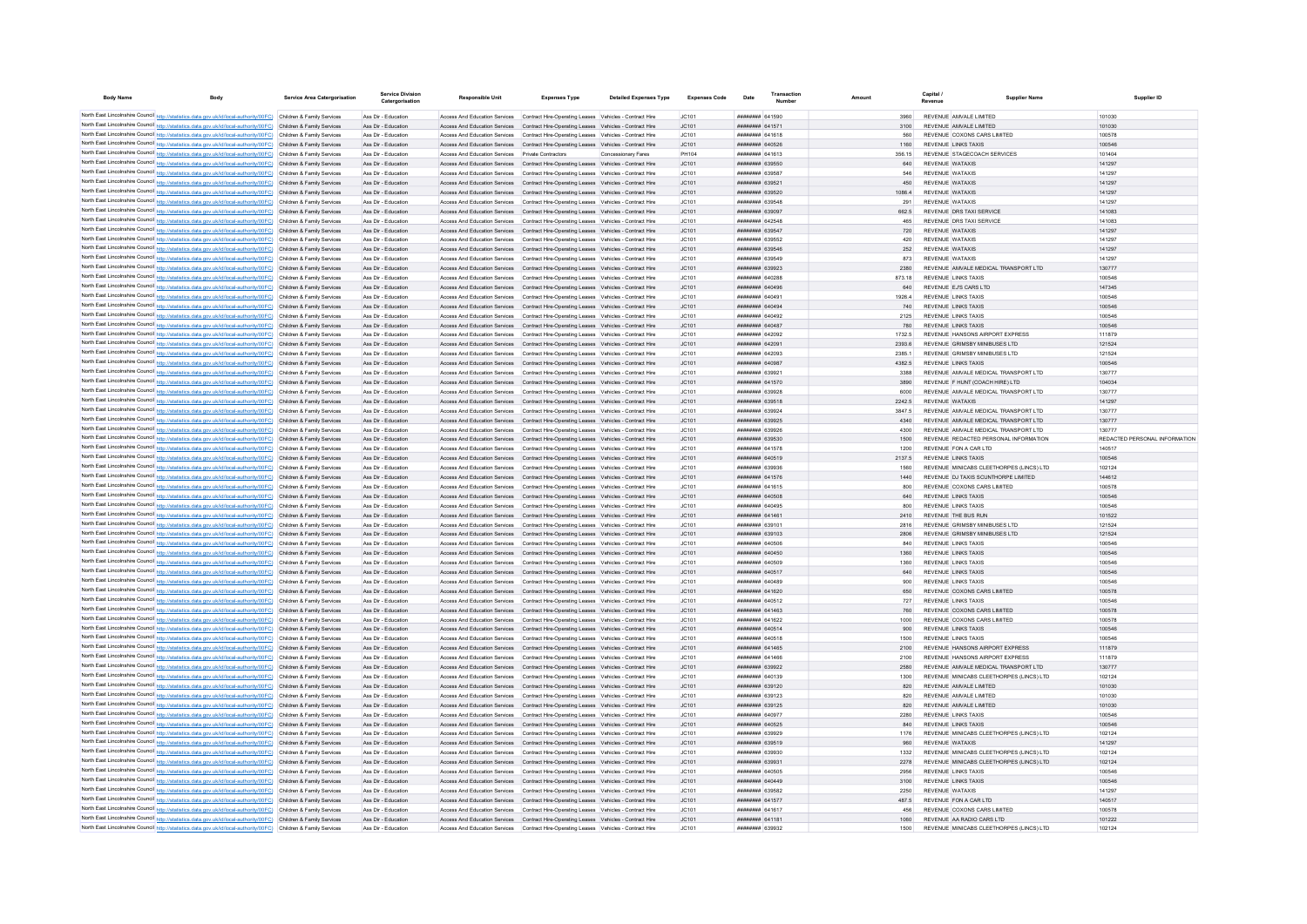| <b>Body Name</b>                                                                                                                                                                                                                       | Body | <b>Service Area Catergorisation</b> | Service Divisio<br>Catergorisation         | <b>Responsible Unit</b>                           | <b>Expenses Type</b>                                                                                                                                                               | <b>Detailed Expenses Type</b> | <b>Expenses Code</b> | Date                                      | Amoun |                  |                                                          | <b>Supplier Name</b> | Supplier ID                   |
|----------------------------------------------------------------------------------------------------------------------------------------------------------------------------------------------------------------------------------------|------|-------------------------------------|--------------------------------------------|---------------------------------------------------|------------------------------------------------------------------------------------------------------------------------------------------------------------------------------------|-------------------------------|----------------------|-------------------------------------------|-------|------------------|----------------------------------------------------------|----------------------|-------------------------------|
|                                                                                                                                                                                                                                        |      |                                     |                                            |                                                   |                                                                                                                                                                                    |                               |                      | <b>########</b> 641590                    |       |                  |                                                          |                      |                               |
| North East Lincolnshire Council http://statistics.data.gov.uk/id/local-authority/00FC) Children & Family Services<br>North East Lincolnshire Council http://statistics.data.gov.uk/id/local-authority/00FC) Children & Family Services |      |                                     | Ass Dir - Education<br>Ass Dir - Education |                                                   | Access And Education Services  Contract Hire-Operating Leases  Vehicles - Contract Hire<br>Access And Education Services Contract Hire-Operating Leases Vehicles - Contract Hire   |                               | JC101<br>JC101       | <b><i>HHHHHHHH 641571</i></b>             |       | 3100             | REVENUE AMVALE LIMITED<br>REVENUE AMVALE LIMITED         | 101030<br>101030     |                               |
| North East Lincolnshire Council http://statistics.data.gov.uk/id/local-authority/00FC) Children & Family Services                                                                                                                      |      |                                     | Ass Dir - Education                        |                                                   | Access And Education Services Contract Hire-Operating Leases Vehicles - Contract Hire                                                                                              |                               | JC101                | <b>HRHHHHH</b> 641618                     |       | 560              | REVENUE COXONS CARS LIMITED                              | 100578               |                               |
| North East Lincolnshire Council http://statistics.data.gov.uk/id/local-authority/00FC) Children & Family Services                                                                                                                      |      |                                     | Ass Dir - Education                        |                                                   | Access And Education Services Contract Hire-Operating Leases Vehicles - Contract Hire                                                                                              |                               | IC.101               | <b>######## 640526</b>                    |       | 1160             | REVENUE LINKS TAXIS                                      | 100546               |                               |
| North East Lincolnshire Council http://statistics.data.gov.uk/id/local-authority/00FC) Children & Family Services                                                                                                                      |      |                                     | Ass Dir - Education                        | Access And Education Services Private Contractors |                                                                                                                                                                                    | Concessionary Fares           | PH104                | <b>HUHHHHH 641613</b>                     |       | 356.15           | REVENUE STAGECOACH SERVICES                              | 101404               |                               |
| North East Lincolnshire Council http://statistics.data.gov.uk/id/local-authority/00FC) Children & Family Services                                                                                                                      |      |                                     | Ass Dir - Education                        |                                                   | Access And Education Services Contract Hire-Operating Leases Vehicles - Contract Hire                                                                                              |                               | JC101                | ######## 639550                           |       | 640              | <b>REVENUE WATAXIS</b>                                   | 141297               |                               |
| North East Lincolnshire Council http://statistics.data.gov.uk/id/local-authority/00FC) Children & Family Services                                                                                                                      |      |                                     | Ass Dir - Education                        |                                                   | Access And Education Services  Contract Hire-Operating Leases  Vehicles - Contract Hire                                                                                            |                               | JC101                | ######## 639587                           |       | 546              | REVENUE WATAXIS                                          | 141297               |                               |
| North East Lincolnshire Council http://statistics.data.gov.uk/id/local-authority/00FC) Children & Family Services                                                                                                                      |      |                                     | Ass Dir - Education                        |                                                   | Access And Education Services Contract Hire-Operating Leases Vehicles - Contract Hire                                                                                              |                               | JC101                | ######## 639521                           |       | 450              | REVENUE WATAXIS                                          | 141297               |                               |
| North East Lincolnshire Council http://statistics.data.gov.uk/id/local-authority/00FC) Children & Family Services<br>North East Lincolnshire Council http://statistics.data.gov.uk/id/local-authority/00FC) Children & Family Services |      |                                     | Ass Dir - Education<br>Ass Dir - Education |                                                   | Access And Education Services Contract Hire-Operating Leases Vehicles - Contract Hire<br>Access And Education Services  Contract Hire-Operating Leases  Vehicles - Contract Hire   |                               | JC101<br>JC101       | ######## 639520<br><b>пппппппп</b> 639548 |       | 1086.4<br>291    | REVENUE WATAXIS<br>REVENUE WATAXIS                       | 141297<br>141297     |                               |
| North East Lincolnshire Council http://statistics.data.gov.uk/id/local-authority/00FC) Children & Family Services                                                                                                                      |      |                                     | Ass Dir - Education                        |                                                   | Access And Education Services Contract Hire-Operating Leases Vehicles - Contract Hire                                                                                              |                               | JC101                | ######## 639097                           |       | 662.5            | REVENUE DRS TAXI SERVICE                                 | 141083               |                               |
| North East Lincolnshire Council http://statistics.data.gov.uk/id/local-authority/00FC) Children & Family Services                                                                                                                      |      |                                     | Ass Dir - Education                        |                                                   | Access And Education Services Contract Hire-Operating Leases Vehicles - Contract Hire                                                                                              |                               | JC101                | ######## 642548                           |       | 465              | REVENUE DRS TAXI SERVICE                                 | 141083               |                               |
| North East Lincolnshire Council http://statistics.data.gov.uk/id/local-authority/00FC) Children & Family Services                                                                                                                      |      |                                     | Ass Dir - Education                        |                                                   | Access And Education Services Contract Hire-Operating Leases Vehicles - Contract Hire                                                                                              |                               | JC101                | ######## 639547                           |       | 720              | REVENUE WATAXIS                                          | 141297               |                               |
| North East Lincolnshire Council http://statistics.data.gov.uk/id/local-authority/00FC) Children & Family Services                                                                                                                      |      |                                     | Ass Dir - Education                        | Access And Education Services                     | Contract Hire-Operating Leases Vehicles - Contract Hire                                                                                                                            |                               | JC101                | ######## 639552                           |       | 420              | <b>REVENUE WATAXIS</b>                                   | 141297               |                               |
| North East Lincolnshire Council http://statistics.data.gov.uk/id/local-authority/00FC) Children & Family Services                                                                                                                      |      |                                     | Ass Dir - Education                        |                                                   | Access And Education Services Contract Hire-Operating Leases Vehicles - Contract Hire                                                                                              |                               | JC101                | <b>пппппппп</b> 639546                    |       | 252              | REVENUE WATAXIS                                          | 141297               |                               |
| North East Lincolnshire Council http://statistics.data.gov.uk/id/local-authority/00FC) Children & Family Services                                                                                                                      |      |                                     | Ass Dir - Education                        |                                                   | Access And Education Services Contract Hire-Operating Leases Vehicles - Contract Hire                                                                                              |                               | JC101                | <b>пппппппп</b> 639549                    |       | 873              | REVENUE WATAXIS                                          | 141297               |                               |
| North East Lincolnshire Council http://statistics.data.gov.uk/id/local-authority/00FC) Children & Family Services                                                                                                                      |      |                                     | Ass Dir - Education                        |                                                   | Access And Education Services Contract Hire-Operating Leases Vehicles - Contract Hire                                                                                              |                               | JC101                | ######## 639923                           |       | 2380             | REVENUE AMVALE MEDICAL TRANSPORT LTD                     | 130777               |                               |
| North East Lincolnshire Council http://statistics.data.gov.uk/id/local-authority/00FC) Children & Family Services                                                                                                                      |      |                                     | Ass Dir - Education                        |                                                   | Access And Education Services Contract Hire-Operating Leases Vehicles - Contract Hire                                                                                              |                               | JC101                | ######## 640288                           |       | 873.18           | <b>REVENUE LINKS TAXIS</b>                               | 100546               |                               |
| North East Lincolnshire Council http://statistics.data.gov.uk/id/local-authority/00FC) Children & Family Services<br>North East Lincolnshire Council http://statistics.data.gov.uk/id/local-authority/00FC) Children & Family Services |      |                                     | Ass Dir - Education<br>Ass Dir - Education |                                                   | Access And Education Services Contract Hire-Operating Leases Vehicles - Contract Hire<br>Access And Education Services Contract Hire-Operating Leases Vehicles - Contract Hire     |                               | JC101<br>JC101       | ######## 640496<br>######## 640491        |       | 640<br>1926.4    | REVENUE EJ'S CARS LTD<br><b>REVENUE LINKS TAXIS</b>      | 147345<br>100546     |                               |
| North East Lincolnshire Council http://statistics.data.gov.uk/id/local-authority/00FC) Children & Family Services                                                                                                                      |      |                                     | Ass Dir - Education                        |                                                   | Access And Education Services Contract Hire-Operating Leases Vehicles - Contract Hire                                                                                              |                               | JC101                | пппппппп 640494                           |       | 740              | <b>REVENUE LINKS TAXIS</b>                               | 100546               |                               |
| North East Lincolnshire Council http://statistics.data.gov.uk/id/local-authority/00FC) Children & Family Services                                                                                                                      |      |                                     | Ass Dir - Education                        |                                                   | Access And Education Services Contract Hire-Operating Leases Vehicles - Contract Hire                                                                                              |                               | JC101                | <b>ПЕПЕННИН</b> 640492                    |       | 2125             | <b>REVENUE LINKS TAXIS</b>                               | 100546               |                               |
| North East Lincolnshire Council http://statistics.data.gov.uk/id/local-authority/00FC) Children & Family Services                                                                                                                      |      |                                     | Ass Dir - Education                        |                                                   | Access And Education Services Contract Hire-Operating Leases Vehicles - Contract Hire                                                                                              |                               | IC.101               | <b><i>BRENHHHH 640487</i></b>             |       | 780              | <b>REVENUE LINKS TAXIS</b>                               | 100546               |                               |
| North East Lincolnshire Council http://statistics.data.gov.uk/id/local-authority/00FC) Children & Family Services                                                                                                                      |      |                                     | Ass Dir - Education                        |                                                   | Access And Education Services  Contract Hire-Operating Leases  Vehicles - Contract Hire                                                                                            |                               | IC101                | ######## 642092                           |       | 1732.5           | REVENUE HANSONS AIRPORT EXPRESS                          | 111879               |                               |
| North East Lincolnshire Council http://statistics.data.gov.uk/id/local-authority/00FC) Children & Family Services                                                                                                                      |      |                                     | Ass Dir - Education                        |                                                   | Access And Education Services Contract Hire-Operating Leases Vehicles - Contract Hire                                                                                              |                               | JC101                | <b>НЕННИНИ 642091</b>                     |       | 2393.6           | REVENUE GRIMSBY MINIBUSES LTD                            | 121524               |                               |
| North East Lincolnshire Council http://statistics.data.gov.uk/id/local-authority/00FC) Children & Family Services                                                                                                                      |      |                                     | Ass Dir - Education                        | Access And Education Services                     | Contract Hire-Operating Leases Vehicles - Contract Hire                                                                                                                            |                               | JC101                | ####### 642093                            |       | 2385.1           | REVENUE GRIMSBY MINIBUSES LTD                            | 121524               |                               |
| North East Lincolnshire Council http://statistics.data.gov.uk/id/local-authority/00FC) Children & Family Services                                                                                                                      |      |                                     | Ass Dir - Education                        |                                                   | Access And Education Services Contract Hire-Operating Leases Vehicles - Contract Hire                                                                                              |                               | JC101                | <b>НЕННИНИ 640987</b>                     |       | 4382.5           | REVENUE LINKS TAXIS                                      | 100546               |                               |
| North East Lincolnshire Council http://statistics.data.gov.uk/id/local-authority/00FC) Children & Family Services                                                                                                                      |      |                                     | Ass Dir - Education                        | Access And Education Services                     | Contract Hire-Operating Leases Vehicles - Contract Hire                                                                                                                            |                               | JC101                | <b>COOPS</b> <i>BRHBBBBBB</i>             |       | 3388             | REVENUE AMVALE MEDICAL TRANSPORT LTD                     | 130777               |                               |
| North East Lincolnshire Council http://statistics.data.gov.uk/id/local-authority/00FC) Children & Family Services                                                                                                                      |      |                                     | Ass Dir - Education                        |                                                   | Access And Education Services Contract Hire-Operating Leases Vehicles - Contract Hire                                                                                              |                               | IC.101               | <b><i>BRENHHHH 641570</i></b>             |       | 3890             | REVENUE E HUNT (COACH HIRE) I TD                         | 104034               |                               |
| North East Lincolnshire Council http://statistics.data.gov.uk/id/local-authority/00FC) Children & Family Services<br>North East Lincolnshire Council http://statistics.data.gov.uk/id/local-authority/00FC) Children & Family Services |      |                                     | Ass Dir - Education                        |                                                   | Access And Education Services  Contract Hire-Operating Leases  Vehicles - Contract Hire                                                                                            |                               | JC101<br>JC101       | <b>пппппппп</b> 639928<br>######## 639518 |       | 6000             | REVENUE AMVALE MEDICAL TRANSPORT LTD<br>REVENUE WATAXIS  | 130777<br>141297     |                               |
| North East Lincolnshire Council http://statistics.data.gov.uk/id/local-authority/00FC) Children & Family Services                                                                                                                      |      |                                     | Ass Dir - Education<br>Ass Dir - Education |                                                   | Access And Education Services Contract Hire-Operating Leases Vehicles - Contract Hire<br>Access And Education Services  Contract Hire-Operating Leases  Vehicles - Contract Hire   |                               | JC101                | ######## 639924                           |       | 2242.5<br>3847.5 | REVENUE AMVALE MEDICAL TRANSPORT LTD                     | 130777               |                               |
| North East Lincolnshire Council http://statistics.data.gov.uk/id/local-authority/00FC) Children & Family Services                                                                                                                      |      |                                     | Ass Dir - Education                        |                                                   | Access And Education Services Contract Hire-Operating Leases Vehicles - Contract Hire                                                                                              |                               | JC101                | ######## 639925                           |       | 4340             | REVENUE AMVALE MEDICAL TRANSPORT LTD                     | 130777               |                               |
| North East Lincolnshire Council http://statistics.data.gov.uk/id/local-authority/00FC) Children & Family Services                                                                                                                      |      |                                     | Ass Dir - Education                        |                                                   | Access And Education Services Contract Hire-Operating Leases Vehicles - Contract Hire                                                                                              |                               | JC101                | ######## 639926                           |       | 4300             | REVENUE AMVALE MEDICAL TRANSPORT LTD                     | 130777               |                               |
| North East Lincolnshire Council http://statistics.data.gov.uk/id/local-authority/00FC) Children & Family Services                                                                                                                      |      |                                     | Ass Dir - Education                        |                                                   | Access And Education Services  Contract Hire-Operating Leases  Vehicles - Contract Hire                                                                                            |                               | JC101                | ######## 639530                           |       | 1500             | REVENUE REDACTED PERSONAL INFORMATION                    |                      | REDACTED PERSONAL INFORMATION |
| North East Lincolnshire Council http://statistics.data.gov.uk/id/local-authority/00FC) Children & Family Services                                                                                                                      |      |                                     | Ass Dir - Education                        |                                                   | Access And Education Services Contract Hire-Operating Leases Vehicles - Contract Hire                                                                                              |                               | JC101                | ####### 641578                            |       | 1200             | REVENUE FON A CAR LTD                                    | 140517               |                               |
| North East Lincolnshire Council http://statistics.data.gov.uk/id/local-authority/00FC) Children & Family Services                                                                                                                      |      |                                     | Ass Dir - Education                        |                                                   | Access And Education Services  Contract Hire-Operating Leases  Vehicles - Contract Hire                                                                                            |                               | JC101                | ######## 640519                           |       | 2137.5           | REVENUE LINKS TAXIS                                      | 100546               |                               |
| North East Lincolnshire Council http://statistics.data.gov.uk/id/local-authority/00FC) Children & Family Services                                                                                                                      |      |                                     | Ass Dir - Education                        |                                                   | Access And Education Services  Contract Hire-Operating Leases  Vehicles - Contract Hire                                                                                            |                               | JC101                | ######## 639936                           |       | 1560             | REVENUE MINICABS CLEETHORPES (LINCS) LTD                 | 102124               |                               |
| North East Lincolnshire Council http://statistics.data.gov.uk/id/local-authority/00FC) Children & Family Services                                                                                                                      |      |                                     | Ass Dir - Education                        | Access And Education Services                     | Contract Hire-Operating Leases Vehicles - Contract Hire                                                                                                                            |                               | JC101                | ######## 641576                           |       | 1440             | REVENUE DJ TAXIS SCUNTHORPE LIMITED                      | 144612               |                               |
| North East Lincolnshire Council http://statistics.data.gov.uk/id/local-authority/00FC) Children & Family Services                                                                                                                      |      |                                     | Ass Dir - Education                        | Access And Education Services                     | Contract Hire-Operating Leases Vehicles - Contract Hire                                                                                                                            |                               | JC101                | ####### 641615                            |       |                  | REVENUE COXONS CARS LIMITED                              | 100578               |                               |
| North East Lincolnshire Council http://statistics.data.gov.uk/id/local-authority/00FC) Children & Family Services<br>North East Lincolnshire Council http://statistics.data.gov.uk/id/local-authority/00FC) Children & Family Services |      |                                     | Ass Dir - Education<br>Ass Dir - Education |                                                   | Access And Education Services  Contract Hire-Operating Leases  Vehicles - Contract Hire<br>Access And Education Services  Contract Hire-Operating Leases  Vehicles - Contract Hire |                               | JC101<br>JC101       | <b>HHHHHHH 640508</b><br>######## 640495  |       | 640<br>800       | <b>REVENUE LINKS TAXIS</b><br><b>REVENUE LINKS TAXIS</b> | 100546<br>100546     |                               |
| North East Lincolnshire Council http://statistics.data.gov.uk/id/local-authority/00FC) Children & Family Services                                                                                                                      |      |                                     | Ass Dir - Education                        |                                                   | Access And Education Services Contract Hire-Operating Leases Vehicles - Contract Hire                                                                                              |                               | JC101                | ######## 641461                           |       | 2410             | REVENUE THE BUS RUN                                      | 101522               |                               |
| North East Lincolnshire Council http://statistics.data.gov.uk/id/local-authority/00FC) Children & Family Services                                                                                                                      |      |                                     | Ass Dir - Education                        |                                                   | Access And Education Services Contract Hire-Operating Leases Vehicles - Contract Hire                                                                                              |                               | JC101                | ######## 63910                            |       | 2816             | REVENUE GRIMSBY MINIBUSES LTD                            | 121524               |                               |
| North East Lincolnshire Council http://statistics.data.gov.uk/id/local-authority/00FC) Children & Family Services                                                                                                                      |      |                                     | Ass Dir - Education                        |                                                   | Access And Education Services Contract Hire-Operating Leases Vehicles - Contract Hire                                                                                              |                               | JC101                | ######## 639103                           |       | 2806             | REVENUE GRIMSBY MINIBUSES LTD                            | 121524               |                               |
| North East Lincolnshire Council http://statistics.data.gov.uk/id/local-authority/00FC) Children & Family Services                                                                                                                      |      |                                     | Ass Dir - Education                        |                                                   | Access And Education Services Contract Hire-Operating Leases Vehicles - Contract Hire                                                                                              |                               | JC101                | ######## 640506                           |       | 840              | <b>REVENUE LINKS TAXIS</b>                               | 100546               |                               |
| North East Lincolnshire Council http://statistics.data.gov.uk/id/local-authority/00FC) Children & Family Services                                                                                                                      |      |                                     | Ass Dir - Education                        |                                                   | Access And Education Services  Contract Hire-Operating Leases  Vehicles - Contract Hire                                                                                            |                               | JC101                | <b>########</b> 640450                    |       | 1360             | <b>REVENUE LINKS TAXIS</b>                               | 100546               |                               |
| North East Lincolnshire Council http://statistics.data.gov.uk/id/local-authority/00FC) Children & Family Services                                                                                                                      |      |                                     | Ass Dir - Education                        |                                                   | Access And Education Services Contract Hire-Operating Leases Vehicles - Contract Hire                                                                                              |                               | IC101                | <b>########</b> 640509                    |       | 1360             | <b>REVENUE LINKS TAXIS</b>                               | 100546               |                               |
| North East Lincolnshire Council http://statistics.data.gov.uk/id/local-authority/00FC) Children & Family Services                                                                                                                      |      |                                     | Ass Dir - Education                        |                                                   | Access And Education Services Contract Hire-Operating Leases Vehicles - Contract Hire                                                                                              |                               | JC101                | <b>########</b> 640517                    |       | 640              | <b>REVENUE LINKS TAXIS</b>                               | 100546               |                               |
| North East Lincolnshire Council http://statistics.data.gov.uk/id/local-authority/00FC) Children & Family Services                                                                                                                      |      |                                     | Ass Dir - Education                        |                                                   | Access And Education Services  Contract Hire-Operating Leases  Vehicles - Contract Hire                                                                                            |                               | JC101                | <b>пппппппп</b> 640489                    |       | 900              | <b>REVENUE LINKS TAXIS</b>                               | 100546               |                               |
| North East Lincolnshire Council http://statistics.data.gov.uk/id/local-authority/00FC) Children & Family Services                                                                                                                      |      |                                     | Ass Dir - Education                        | Access And Education Services                     | Contract Hire-Operating Leases Vehicles - Contract Hire                                                                                                                            |                               | JC101<br>JC101       | ####### 641620<br><b>HHHHHHH</b> 640512   |       |                  | REVENUE COXONS CARS LIMITED<br>REVENUE LINKS TAXIS       | 100578<br>100546     |                               |
| North East Lincolnshire Council http://statistics.data.gov.uk/id/local-authority/00FC) Children & Family Services<br>North East Lincolnshire Council http://statistics.data.gov.uk/id/local-authority/00FC) Children & Family Services |      |                                     | Ass Dir - Education<br>Ass Dir - Education |                                                   | Access And Education Services Contract Hire-Operating Leases Vehicles - Contract Hire<br>Access And Education Services Contract Hire-Operating Leases Vehicles - Contract Hire     |                               | JC101                | FALLAR HHHHHHH                            |       | 727              | REVENUE COXONS CARS LIMITED                              | 100578               |                               |
| North East Lincolnshire Council http://statistics.data.gov.uk/id/local-authority/00FC) Children & Family Services                                                                                                                      |      |                                     | Ass Dir - Education                        |                                                   | Access And Education Services  Contract Hire-Operating Leases  Vehicles - Contract Hire                                                                                            |                               | IC101                | <b>ППИНИНИ 641622</b>                     |       | 1000             | REVENUE COXONS CARS LIMITED                              | 100578               |                               |
| North East Lincolnshire Council http://statistics.data.gov.uk/id/local-authority/00FC) Children & Family Services                                                                                                                      |      |                                     | Ass Dir - Education                        |                                                   | Access And Education Services Contract Hire-Operating Leases Vehicles - Contract Hire                                                                                              |                               | JC101                | ######## 640514                           |       | 900              | <b>REVENUE LINKS TAXIS</b>                               | 100546               |                               |
| North East Lincolnshire Council http://statistics.data.gov.uk/id/local-authority/00FC) Children & Family Services                                                                                                                      |      |                                     | Ass Dir - Education                        |                                                   | Access And Education Services  Contract Hire-Operating Leases  Vehicles - Contract Hire                                                                                            |                               | JC101                | <b>########</b> 640518                    |       | 1500             | <b>REVENUE LINKS TAXIS</b>                               | 100546               |                               |
| North East Lincolnshire Council http://statistics.data.gov.uk/id/local-authority/00FC) Children & Family Services                                                                                                                      |      |                                     | Ass Dir - Education                        |                                                   | Access And Education Services Contract Hire-Operating Leases Vehicles - Contract Hire                                                                                              |                               | JC101                | ####### 641465                            |       | 2100             | REVENUE HANSONS AIRPORT EXPRESS                          | 111879               |                               |
| North East Lincolnshire Council http://statistics.data.gov.uk/id/local-authority/00FC) Children & Family Services                                                                                                                      |      |                                     | Ass Dir - Education                        |                                                   | Access And Education Services Contract Hire-Operating Leases Vehicles - Contract Hire                                                                                              |                               | JC101                | ######## 641466                           |       | 2100             | REVENUE HANSONS AIRPORT EXPRESS                          | 111879               |                               |
| North East Lincolnshire Council http://statistics.data.gov.uk/id/local-authority/00FC) Children & Family Services                                                                                                                      |      |                                     | Ass Dir - Education                        |                                                   | Access And Education Services Contract Hire-Operating Leases Vehicles - Contract Hire                                                                                              |                               | JC101                | ######## 639922                           |       | 2580             | REVENUE AMVALE MEDICAL TRANSPORT LTD                     | 130777               |                               |
| North East Lincolnshire Council http://statistics.data.gov.uk/id/local-authority/00FC) Children & Family Services                                                                                                                      |      |                                     | Ass Dir - Education                        |                                                   | Access And Education Services  Contract Hire-Operating Leases  Vehicles - Contract Hire                                                                                            |                               | JC101                | <b><i>BREADER BACKSON</i></b>             |       | 1300             | REVENUE MINICARS CLEETHORPES (LINCS) LTD                 | 102124               |                               |
| North East Lincolnshire Council http://statistics.data.gov.uk/id/local-authority/00FC) Children & Family Services                                                                                                                      |      |                                     | Ass Dir - Education                        |                                                   | Access And Education Services Contract Hire-Operating Leases Vehicles - Contract Hire                                                                                              |                               | JC101                | ######## 639120                           |       | 820              | REVENUE AMVALE LIMITED                                   | 101030               |                               |
| North East Lincolnshire Council http://statistics.data.gov.uk/id/local-authority/00FC) Children & Family Services                                                                                                                      |      |                                     | Ass Dir - Education                        |                                                   | Access And Education Services  Contract Hire-Operating Leases  Vehicles - Contract Hire                                                                                            |                               | JC101                | ####### 639123                            |       | 820              | REVENUE AMVALE LIMITED                                   | 101030               |                               |
| North East Lincolnshire Council http://statistics.data.gov.uk/id/local-authority/00FC) Children & Family Services<br>North East Lincolnshire Council http://statistics.data.gov.uk/id/local-authority/00FC) Children & Family Services |      |                                     | Ass Dir - Education<br>Ass Dir - Education | Access And Education Services                     | Access And Education Services Contract Hire-Operating Leases Vehicles - Contract Hire<br>Contract Hire-Operating Leases Vehicles - Contract Hire                                   |                               | JC101<br>JC101       | ####### 639125<br><b>BREADER RADATI</b>   |       | 820<br>2280      | REVENUE AMVALE LIMITED<br><b>REVENUE LINKS TAXIS</b>     | 101030<br>100546     |                               |
| North East Lincolnshire Council http://statistics.data.gov.uk/id/local-authority/00FC) Children & Family Services                                                                                                                      |      |                                     | Ass Dir - Education                        | Access And Education Services                     | Contract Hire-Operating Leases Vehicles - Contract Hire                                                                                                                            |                               | JC101                | ######## 640525                           |       | 840              | <b>REVENUE LINKS TAXIS</b>                               | 100546               |                               |
| North East Lincolnshire Council http://statistics.data.gov.uk/id/local-authority/00FC) Children & Family Services                                                                                                                      |      |                                     | Ass Dir - Education                        |                                                   | Access And Education Services Contract Hire-Operating Leases Vehicles - Contract Hire                                                                                              |                               | JC101                | <b>плинини 639929</b>                     |       | 1176             | REVENUE MINICABS CLEETHORPES (LINCS) LTD                 | 102124               |                               |
| North East Lincolnshire Council http://statistics.data.gov.uk/id/local-authority/00FC) Children & Family Services                                                                                                                      |      |                                     | Ass Dir - Education                        |                                                   | Access And Education Services Contract Hire-Operating Leases Vehicles - Contract Hire                                                                                              |                               | JC101                | ######## 639519                           |       | 960              | REVENUE WATAXIS                                          | 141297               |                               |
| North East Lincolnshire Council http://statistics.data.gov.uk/id/local-authority/00FC) Children & Family Services                                                                                                                      |      |                                     | Ass Dir - Education                        |                                                   | Access And Education Services  Contract Hire-Operating Leases  Vehicles - Contract Hire                                                                                            |                               | JC101                | ######## 639930                           |       | 1332             | REVENUE MINICABS CLEETHORPES (LINCS) LTD                 | 102124               |                               |
| North East Lincolnshire Council http://statistics.data.gov.uk/id/local-authority/00FC) Children & Family Services                                                                                                                      |      |                                     | Ass Dir - Education                        |                                                   | Access And Education Services Contract Hire-Operating Leases Vehicles - Contract Hire                                                                                              |                               | JC101                | ######## 639931                           |       | 2278             | REVENUE MINICABS CLEETHORPES (LINCS) LTD                 | 102124               |                               |
| North East Lincolnshire Council http://statistics.data.gov.uk/id/local-authority/00FC) Children & Family Services                                                                                                                      |      |                                     | Ass Dir - Education                        |                                                   | Access And Education Services Contract Hire-Operating Leases Vehicles - Contract Hire                                                                                              |                               | JC101                | <b>########</b> 640505                    |       | 2956             | <b>REVENUE LINKS TAXIS</b>                               | 100546               |                               |
| North East Lincolnshire Council http://statistics.data.gov.uk/id/local-authority/00FC) Children & Family Services                                                                                                                      |      |                                     | Ass Dir - Education                        |                                                   | Access And Education Services Contract Hire-Operating Leases Vehicles - Contract Hire                                                                                              |                               | JC101                | ######## 640449                           |       | 3100             | <b>REVENUE LINKS TAXIS</b>                               | 100546               |                               |
| North East Lincolnshire Council http://statistics.data.gov.uk/id/local-authority/00FC) Children & Family Services                                                                                                                      |      |                                     | Ass Dir - Education                        |                                                   | Access And Education Services Contract Hire-Operating Leases Vehicles - Contract Hire                                                                                              |                               | JC101                | <b>пппппппп</b> 639582                    |       | 2250             | REVENUE WATAXIS                                          | 141297               |                               |
| North East Lincolnshire Council http://statistics.data.gov.uk/id/local-authority/00FC) Children & Family Services                                                                                                                      |      |                                     | Ass Dir - Education                        |                                                   | Access And Education Services  Contract Hire-Operating Leases  Vehicles - Contract Hire                                                                                            |                               | JC101                | <b><i>BRENHHHH 641577</i></b>             |       | 487.5            | REVENUE FON A CAR LTD                                    | 140517               |                               |
| North East Lincolnshire Council http://statistics.data.gov.uk/id/local-authority/00FC) Children & Family Services                                                                                                                      |      |                                     | Ass Dir - Education                        |                                                   | Access And Education Services Contract Hire-Operating Leases Vehicles - Contract Hire                                                                                              |                               | IC.101               | ######## 641617                           |       | 456              | REVENUE COXONS CARS LIMITED<br>REVENUE AA RADIO CARS ITD | 100578               |                               |
| North East Lincolnshire Council http://statistics.data.gov.uk/id/local-authority/00FC) Children & Family Services<br>North East Lincolnshire Council http://statistics.data.gov.uk/id/local-authority/00FC) Children & Family Services |      |                                     | Ass Dir - Education<br>Ass Dir - Education | Access And Education Services                     | Access And Education Services  Contract Hire-Operating Leases  Vehicles - Contract Hire<br>Contract Hire-Operating Leases Vehicles - Contract Hire                                 |                               | JC101<br>JC101       | <b>пппппппп</b> 641181<br>######## 639932 |       | 1060<br>1500     | REVENUE MINICABS CLEETHORPES (LINCS) LTD                 | 101222<br>102124     |                               |
|                                                                                                                                                                                                                                        |      |                                     |                                            |                                                   |                                                                                                                                                                                    |                               |                      |                                           |       |                  |                                                          |                      |                               |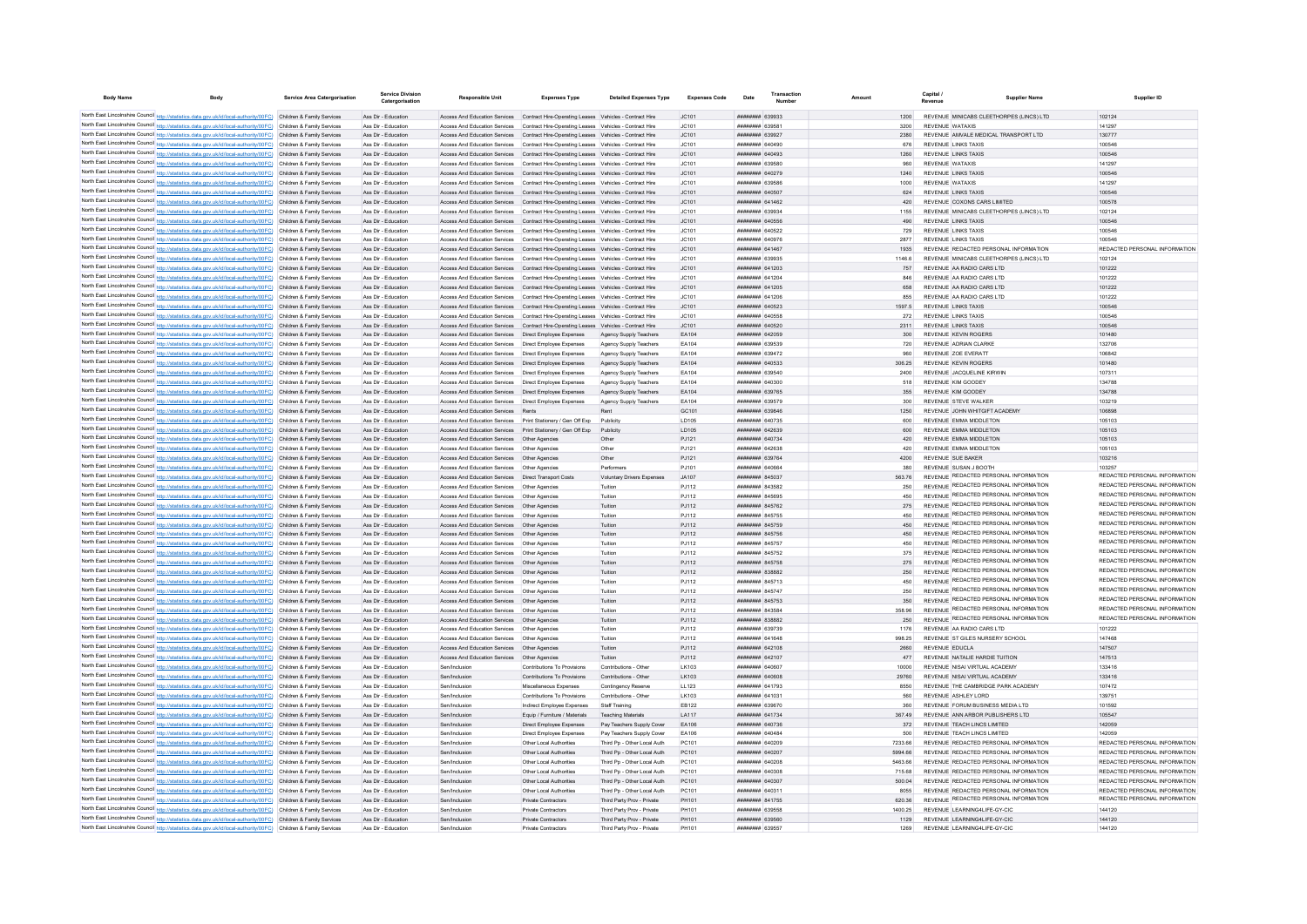| <b>Body Name</b> | <b>Body</b>                                                                                                                                                                                                                            | Service Area Catergorisation | <b>Service Division</b><br>Catergorisation | Responsible Unit                                                                                                     | <b>Expenses Type</b>                                                                                                                                                           | <b>Detailed Expenses Type</b>                              | <b>Expenses Code</b> | Date                                                    | Transaction | Amount |                | Capital                                                                               | <b>Supplier Name</b> | Supplier ID                                                    |
|------------------|----------------------------------------------------------------------------------------------------------------------------------------------------------------------------------------------------------------------------------------|------------------------------|--------------------------------------------|----------------------------------------------------------------------------------------------------------------------|--------------------------------------------------------------------------------------------------------------------------------------------------------------------------------|------------------------------------------------------------|----------------------|---------------------------------------------------------|-------------|--------|----------------|---------------------------------------------------------------------------------------|----------------------|----------------------------------------------------------------|
|                  | North East Lincolnshire Council http://statistics.data.gov.uk/id/local-authority/00FC) Children & Family Services                                                                                                                      |                              | Ass Dir - Education                        |                                                                                                                      | Access And Education Services Contract Hire-Operating Leases Vehicles - Contract Hire                                                                                          |                                                            | JC101                | ######## 639933                                         |             |        | 1200           | REVENUE MINICABS CLEETHORPES (LINCS) LTD                                              |                      | 102124                                                         |
|                  | North East Lincolnshire Council http://statistics.data.gov.uk/id/local-authority/00FC) Children & Family Services                                                                                                                      |                              | Ass Dir - Education                        |                                                                                                                      | Access And Education Services  Contract Hire-Operating Leases  Vehicles - Contract Hire                                                                                        |                                                            | JC101                | ######## 639581                                         |             |        | 3200           | <b>REVENUE WATAXIS</b>                                                                |                      | 141297                                                         |
|                  | North East Lincolnshire Council http://statistics.data.gov.uk/id/local-authority/00FC) Children & Family Services                                                                                                                      |                              | Ass Dir - Education                        |                                                                                                                      | Access And Education Services Contract Hire-Operating Leases Vehicles - Contract Hire                                                                                          |                                                            | JC101                | ######## 639927                                         |             |        | 2380           | REVENUE AMVALE MEDICAL TRANSPORT LTD                                                  |                      | 130777                                                         |
|                  | North East Lincolnshire Council http://statistics.data.gov.uk/id/local-authority/00FC) Children & Family Services                                                                                                                      |                              | Ass Dir - Education                        |                                                                                                                      | Access And Education Services Contract Hire-Operating Leases Vehicles - Contract Hire                                                                                          |                                                            | JC101                | <b>HERHHHH GAOAOO</b>                                   |             |        | 676            | <b>REVENUE LINKS TAXIS</b>                                                            |                      | 100546                                                         |
|                  | North East Lincolnshire Council http://statistics.data.gov.uk/id/local-authority/00FC) Children & Family Services                                                                                                                      |                              | Ass Dir - Education                        |                                                                                                                      | Access And Education Services Contract Hire-Operating Leases Vehicles - Contract Hire                                                                                          |                                                            | IC101                | EPAOSA BERREER                                          |             |        | 1260           | <b>REVENUE LINKS TAXIS</b>                                                            |                      | 100546                                                         |
|                  | North East Lincolnshire Council http://statistics.data.gov.uk/id/local-authority/00FC) Children & Family Services                                                                                                                      |                              | Ass Dir - Education                        |                                                                                                                      | Access And Education Services Contract Hire-Operating Leases Vehicles - Contract Hire                                                                                          |                                                            | IC101                | <b>плинини 639580</b>                                   |             |        | 960            | <b>REVENUE WATAXIS</b>                                                                |                      | 141297                                                         |
|                  | North East Lincolnshire Council http://statistics.data.gov.uk/id/local-authority/00FC) Children & Family Services                                                                                                                      |                              | Ass Dir - Education                        |                                                                                                                      | Access And Education Services Contract Hire-Operating Leases Vehicles - Contract Hire                                                                                          |                                                            | JC101                | <b>НЕННИИН 640279</b>                                   |             |        | 1240           | REVENUE LINKS TAXIS                                                                   |                      | 100546                                                         |
|                  | North East Lincolnshire Council http://statistics.data.gov.uk/id/local-authority/00FC) Children & Family Services                                                                                                                      |                              | Ass Dir - Education                        |                                                                                                                      | Access And Education Services  Contract Hire-Operating Leases  Vehicles - Contract Hire                                                                                        |                                                            | JC101                | ######## 639586                                         |             |        | 1000           | REVENUE WATAXIS                                                                       |                      | 141297                                                         |
|                  | North East Lincolnshire Council http://statistics.data.gov.uk/id/local-authority/00FC) Children & Family Services<br>North East Lincolnshire Council http://statistics.data.gov.uk/id/local-authority/00FC) Children & Family Services |                              | Ass Dir - Education<br>Ass Dir - Education |                                                                                                                      | Access And Education Services Contract Hire-Operating Leases Vehicles - Contract Hire<br>Access And Education Services Contract Hire-Operating Leases Vehicles - Contract Hire |                                                            | JC101<br>JC101       | ######## 640507<br>######## 641462                      |             |        | 624<br>420     | <b>REVENUE LINKS TAXIS</b><br>REVENUE COXONS CARS LIMITED                             |                      | 100546<br>100578                                               |
|                  | North East Lincolnshire Council http://statistics.data.gov.uk/id/local-authority/00FC) Children & Family Services                                                                                                                      |                              | Ass Dir - Education                        |                                                                                                                      | Access And Education Services  Contract Hire-Operating Leases  Vehicles - Contract Hire                                                                                        |                                                            | JC101                | <b>плинини 639934</b>                                   |             |        | 1155           | REVENUE MINICARS CLEETHORPES (LINCS) LTD                                              |                      | 102124                                                         |
|                  | North East Lincolnshire Council http://statistics.data.gov.uk/id/local-authority/00FC) Children & Family Services                                                                                                                      |                              | Ass Dir - Education                        |                                                                                                                      | Access And Education Services  Contract Hire-Operating Leases  Vehicles - Contract Hire                                                                                        |                                                            | JC101                | ######## 640556                                         |             |        | 490            | <b>REVENUE LINKS TAXIS</b>                                                            |                      | 100546                                                         |
|                  | North East Lincolnshire Council http://statistics.data.gov.uk/id/local-authority/00FC) Children & Family Services                                                                                                                      |                              | Ass Dir - Education                        |                                                                                                                      | Access And Education Services  Contract Hire-Operating Leases  Vehicles - Contract Hire                                                                                        |                                                            | JC101                | ######## 640522                                         |             |        | 729            | <b>REVENUE LINKS TAXIS</b>                                                            |                      | 100546                                                         |
|                  | North East Lincolnshire Council http://statistics.data.gov.uk/id/local-authority/00FC) Children & Family Services                                                                                                                      |                              | Ass Dir - Education                        |                                                                                                                      | Access And Education Services  Contract Hire-Operating Leases  Vehicles - Contract Hire                                                                                        |                                                            | JC101                |                                                         |             |        | 2877           | REVENUE LINKS TAXIS                                                                   |                      | 100546                                                         |
|                  | North East Lincolnshire Council http://statistics.data.gov.uk/id/local-authority/00FC) Children & Family Services                                                                                                                      |                              | Ass Dir - Education                        |                                                                                                                      | Access And Education Services Contract Hire-Operating Leases Vehicles - Contract Hire                                                                                          |                                                            | JC101                | ######## 641467                                         |             |        | 1935           | REVENUE REDACTED PERSONAL INFORMATION                                                 |                      | REDACTED PERSONAL INFORMATION                                  |
|                  | North East Lincolnshire Council http://statistics.data.gov.uk/id/local-authority/00FC) Children & Family Services                                                                                                                      |                              | Ass Dir - Education                        |                                                                                                                      | Access And Education Services Contract Hire-Operating Leases Vehicles - Contract Hire                                                                                          |                                                            | JC101                | <b>пппппппп</b> 639935                                  |             |        | 1146.6         | REVENUE MINICABS CLEETHORPES (LINCS) LTD                                              |                      | 102124                                                         |
|                  | North East Lincolnshire Council http://statistics.data.gov.uk/id/local-authority/00FC) Children & Family Services                                                                                                                      |                              | Ass Dir - Education                        |                                                                                                                      | Access And Education Services  Contract Hire-Operating Leases  Vehicles - Contract Hire                                                                                        |                                                            | JC101                | <b>пппппппп</b> 641203                                  |             |        | 757            | REVENUE AA RADIO CARS LTD                                                             |                      | 101222                                                         |
|                  | North East Lincolnshire Council http://statistics.data.gov.uk/id/local-authority/00FC) Children & Family Services                                                                                                                      |                              | Ass Dir - Education                        |                                                                                                                      | Access And Education Services Contract Hire-Operating Leases Vehicles - Contract Hire                                                                                          |                                                            | JC101                | ######## 641204<br>######## 641205                      |             |        | 846            | REVENUE AA RADIO CARS LTD<br>REVENUE AA RADIO CARS LTD                                |                      | 101222                                                         |
|                  | North East Lincolnshire Council http://statistics.data.gov.uk/id/local-authority/00FC) Children & Family Services<br>North East Lincolnshire Council http://statistics.data.gov.uk/id/local-authority/00FC) Children & Family Services |                              | Ass Dir - Education<br>Ass Dir - Education |                                                                                                                      | Access And Education Services Contract Hire-Operating Leases Vehicles - Contract Hire<br>Access And Education Services Contract Hire-Operating Leases Vehicles - Contract Hire |                                                            | JC101<br>JC101       | ####### 641206                                          |             |        | 658<br>855     | REVENUE AA RADIO CARS LTD                                                             |                      | 101222<br>101222                                               |
|                  | North East Lincolnshire Council http://statistics.data.gov.uk/id/local-authority/00FC) Children & Family Services                                                                                                                      |                              | Ass Dir - Education                        |                                                                                                                      | Access And Education Services Contract Hire-Operating Leases Vehicles - Contract Hire                                                                                          |                                                            | JC101                | ######## 640523                                         |             |        | 1597.5         | <b>REVENUE LINKS TAXIS</b>                                                            |                      | 100546                                                         |
|                  | North East Lincolnshire Council http://statistics.data.gov.uk/id/local-authority/00FC) Children & Family Services                                                                                                                      |                              | Ass Dir - Education                        |                                                                                                                      | Access And Education Services Contract Hire-Operating Leases Vehicles - Contract Hire                                                                                          |                                                            | JC101                | ######## 640558                                         |             |        | 272            | <b>REVENUE LINKS TAXIS</b>                                                            |                      | 100546                                                         |
|                  | North East Lincolnshire Council http://statistics.data.gov.uk/id/local-authority/00FC) Children & Family Services                                                                                                                      |                              | Ass Dir - Education                        |                                                                                                                      | Access And Education Services  Contract Hire-Operating Leases  Vehicles - Contract Hire                                                                                        |                                                            | JC101                | <b>ПЕПЕННИН</b> 640520                                  |             |        | 2311           | <b>REVENUE LINKS TAXIS</b>                                                            |                      | 100546                                                         |
|                  | North East Lincolnshire Council http://statistics.data.gov.uk/id/local-authority/00FC) Children & Family Services                                                                                                                      |                              | Ass Dir - Education                        | Access And Education Services  Direct Employee Expenses                                                              |                                                                                                                                                                                | Agency Supply Teachers                                     | FA104                | <b><i>BRENHHHH 642059</i></b>                           |             |        | 300            | REVENUE KEVIN ROGERS                                                                  |                      | 101480                                                         |
|                  | North East Lincolnshire Council http://statistics.data.gov.uk/id/local-authority/00FC) Children & Family Services                                                                                                                      |                              | Ass Dir - Education                        | Access And Education Services Direct Employee Expenses                                                               |                                                                                                                                                                                | Anency Supply Teachers                                     | FA104                | ######## 639539                                         |             |        | 720            | REVENUE ADRIAN CLARKE                                                                 |                      | 132706                                                         |
|                  | North East Lincolnshire Council http://statistics.data.gov.uk/id/local-authority/00FC) Children & Family Services                                                                                                                      |                              | Ass Dir - Education                        | Access And Education Services  Direct Employee Expenses                                                              |                                                                                                                                                                                | Agency Supply Teachers                                     | FA104                | <b>пппппппп</b> 639472                                  |             |        | 960            | REVENUE ZOE EVERATT                                                                   |                      | 106842                                                         |
|                  | North East Lincolnshire Council http://statistics.data.gov.uk/id/local-authority/00FC) Children & Family Services                                                                                                                      |                              | Ass Dir - Education                        | Access And Education Services   Direct Employee Expenses                                                             |                                                                                                                                                                                | Agency Supply Teachers                                     | EA104                | ######## 640533                                         |             |        | 306.25         | <b>REVENUE KEVIN ROGERS</b>                                                           |                      | 101480                                                         |
|                  | North East Lincolnshire Council http://statistics.data.gov.uk/id/local-authority/00FC) Children & Family Services                                                                                                                      |                              | Ass Dir - Education                        | Access And Education Services                                                                                        | Direct Employee Expenses                                                                                                                                                       | Agency Supply Teachers                                     | EA104                | ######## 639540                                         |             |        | 2400           | REVENUE JACQUELINE KIRWIN                                                             |                      | 107311                                                         |
|                  | North East Lincolnshire Council http://statistics.data.gov.uk/id/local-authority/00FC) Children & Family Services<br>North East Lincolnshire Council http://statistics.data.gov.uk/id/local-authority/00FC) Children & Family Services |                              | Ass Dir - Education                        | Access And Education Services   Direct Employee Expenses                                                             |                                                                                                                                                                                | Agency Supply Teachers                                     | EA104<br>FA104       | BRENAN HERBEH<br>######## 639765                        |             |        | 518<br>355     | REVENUE KIM GOODEY<br>REVENUE KIM GOODEY                                              |                      | 134788<br>134788                                               |
|                  | North East Lincolnshire Council http://statistics.data.gov.uk/id/local-authority/00FC) Children & Family Services                                                                                                                      |                              | Ass Dir - Education<br>Ass Dir - Education | Access And Education Services   Direct Employee Expenses<br>Access And Education Services   Direct Employee Expenses |                                                                                                                                                                                | Agency Supply Teachers<br>Agency Supply Teachers           | FA104                | <b>HUHHHHH 639579</b>                                   |             |        | 300            | REVENUE STEVE WALKER                                                                  |                      | 103219                                                         |
|                  | North East Lincolnshire Council http://statistics.data.gov.uk/id/local-authority/00FC) Children & Family Services                                                                                                                      |                              | Ass Dir - Education                        | Access And Education Services Rents                                                                                  |                                                                                                                                                                                | Rent                                                       | GC101                | ######## 639846                                         |             |        | 1250           | REVENUE JOHN WHITGIFT ACADEMY                                                         |                      | 106898                                                         |
|                  | North East Lincolnshire Council http://statistics.data.gov.uk/id/local-authority/00FC) Children & Family Services                                                                                                                      |                              | Ass Dir - Education                        | Access And Education Services    Print Stationery / Gen Off Exp                                                      |                                                                                                                                                                                | Publicity                                                  | LD105                | ######## 640735                                         |             |        | 600            | REVENUE EMMA MIDDLETON                                                                |                      | 105103                                                         |
|                  | North East Lincolnshire Council http://statistics.data.gov.uk/id/local-authority/00FC) Children & Family Services                                                                                                                      |                              | Ass Dir - Education                        | Access And Education Services Print Stationery / Gen Off Exp                                                         |                                                                                                                                                                                | Publicity                                                  | LD105                | ######## 642639                                         |             |        | 600            | REVENUE EMMA MIDDLETON                                                                |                      | 105103                                                         |
|                  | North East Lincolnshire Council http://statistics.data.gov.uk/id/local-authority/00FC) Children & Family Services                                                                                                                      |                              | Ass Dir - Education                        | Access And Education Services   Other Agencies                                                                       |                                                                                                                                                                                | Other                                                      | PJ121                | ######## 640734                                         |             |        | 420            | REVENUE EMMA MIDDLETON                                                                |                      | 105103                                                         |
|                  | North East Lincolnshire Council http://statistics.data.gov.uk/id/local-authority/00FC) Children & Family Services                                                                                                                      |                              | Ass Dir - Education                        | Access And Education Services   Other Agencies                                                                       |                                                                                                                                                                                | Other                                                      | P.1121               | ниннини 642638                                          |             |        | 420            | REVENUE EMMA MIDDLETON                                                                |                      | 105103                                                         |
|                  | North East Lincolnshire Council http://statistics.data.gov.uk/id/local-authority/00FC) Children & Family Services                                                                                                                      |                              | Ass Dir - Education                        | Access And Education Services   Other Agencies                                                                       |                                                                                                                                                                                | Other                                                      | P.1121               | <b>пппппппп</b> 639764                                  |             |        | 4200           | REVENUE SUE BAKER                                                                     |                      | 103216                                                         |
|                  | North East Lincolnshire Council http://statistics.data.gov.uk/id/local-authority/00FC) Children & Family Services                                                                                                                      |                              | Ass Dir - Education                        | Access And Education Services   Other Agencies                                                                       |                                                                                                                                                                                | Performers                                                 | PJ101                | ######## 640664                                         |             |        | 380            | REVENUE SUSAN J BOOTH                                                                 |                      | 103257<br>REDACTED PERSONAL INFORMATION                        |
|                  | North East Lincolnshire Council http://statistics.data.gov.uk/id/local-authority/00FC) Children & Family Services                                                                                                                      |                              | Ass Dir - Education                        | Access And Education Services   Direct Transport Costs                                                               |                                                                                                                                                                                | Voluntary Drivers Expenses                                 | JA107                | ######## 845037                                         |             |        | 563.76         | REVENUE REDACTED PERSONAL INFORMATION<br>REVENUE REDACTED PERSONAL INFORMATION        |                      | REDACTED PERSONAL INFORMATION                                  |
|                  | North East Lincolnshire Council http://statistics.data.gov.uk/id/local-authority/00FC) Children & Family Services<br>North East Lincolnshire Council http://statistics.data.gov.uk/id/local-authority/00FC) Children & Family Services |                              | Ass Dir - Education<br>Ass Dir - Education | Access And Education Services   Other Agencies<br>Access And Education Services                                      | Other Agencies                                                                                                                                                                 | Tuition                                                    | PJ112                | ######## 843582<br>######## 845695                      |             |        | 250<br>450     | REVENUE REDACTED PERSONAL INFORMATION                                                 |                      | REDACTED PERSONAL INFORMATION                                  |
|                  | North East Lincolnshire Council http://statistics.data.gov.uk/id/local-authority/00FC) Children & Family Services                                                                                                                      |                              | Ass Dir - Education                        | Access And Education Services Other Agencies                                                                         |                                                                                                                                                                                | Tuition<br>Tuition                                         | PJ112<br>PJ112       | <b>НИНИНИН 845762</b>                                   |             |        | 275            | REVENUE REDACTED PERSONAL INFORMATION                                                 |                      | REDACTED PERSONAL INFORMATION                                  |
|                  | North East Lincolnshire Council http://statistics.data.gov.uk/id/local-authority/00FC). Children & Family Services                                                                                                                     |                              | Ass Dir - Education                        | Access And Education Services   Other Agencies                                                                       |                                                                                                                                                                                | Tuition                                                    | PJ112                | <b>HUHHHHH 845755</b>                                   |             |        | 450            | REVENUE REDACTED PERSONAL INFORMATION                                                 |                      | REDACTED PERSONAL INFORMATION                                  |
|                  | North East Lincolnshire Council http://statistics.data.gov.uk/id/local-authority/00FC) Children & Family Services                                                                                                                      |                              | Ass Dir - Education                        | Access And Education Services  Other Agencies                                                                        |                                                                                                                                                                                | Tuition                                                    | PJ112                | ######## 845759                                         |             |        | 450            | REVENUE REDACTED PERSONAL INFORMATION                                                 |                      | REDACTED PERSONAL INFORMATION                                  |
|                  | North East Lincolnshire Council http://statistics.data.gov.uk/id/local-authority/00FC) Children & Family Services                                                                                                                      |                              | Ass Dir - Education                        | Access And Education Services   Other Agencies                                                                       |                                                                                                                                                                                | Tuition                                                    | PJ112                | ######## 845756                                         |             |        | 450            | REVENUE REDACTED PERSONAL INFORMATION                                                 |                      | REDACTED PERSONAL INFORMATION                                  |
|                  | North East Lincolnshire Council http://statistics.data.gov.uk/id/local-authority/00FC) Children & Family Services                                                                                                                      |                              | Ass Dir - Education                        | Access And Education Services Other Agencies                                                                         |                                                                                                                                                                                | Tuition                                                    | PJ112                | ######## 845757                                         |             |        | 450            | REVENUE REDACTED PERSONAL INFORMATION                                                 |                      | REDACTED PERSONAL INFORMATION                                  |
|                  | North East Lincolnshire Council http://statistics.data.gov.uk/id/local-authority/00FC) Children & Family Services                                                                                                                      |                              | Ass Dir - Education                        | Access And Education Services                                                                                        | Other Agencie                                                                                                                                                                  | Tuition                                                    | PJ112                | <b>HUHHHHH 845752</b>                                   |             |        | 375            | REVENUE REDACTED PERSONAL INFORMATION                                                 |                      | REDACTED PERSONAL INFORMATION                                  |
|                  | North East Lincolnshire Council http://statistics.data.gov.uk/id/local-authority/00FC) Children & Family Services                                                                                                                      |                              | Ass Dir - Education                        | Access And Education Services   Other Agencies                                                                       |                                                                                                                                                                                | Tuition                                                    | PJ112                | <b>НИНИНИН 845758</b>                                   |             |        | 275            | REVENUE REDACTED PERSONAL INFORMATION                                                 |                      | REDACTED PERSONAL INFORMATION                                  |
|                  | North East Lincolnshire Council http://statistics.data.gov.uk/id/local-authority/00FC) Children & Family Services                                                                                                                      |                              | Ass Dir - Education                        | Access And Education Services Other Agencies                                                                         |                                                                                                                                                                                | Tuition                                                    | P.I112               | пппннннн 838882                                         |             |        | 250            | <b>REVENUE REDACTED PERSONAL INFORMATION</b><br>REVENUE REDACTED PERSONAL INFORMATION |                      | REDACTED PERSONAL INFORMATION<br>REDACTED PERSONAL INFORMATION |
|                  | North East Lincolnshire Council http://statistics.data.gov.uk/id/local-authority/00FC) Children & Family Services                                                                                                                      |                              | Ass Dir - Education                        | Access And Education Services Other Agencies<br>Access And Education Services Other Agencies                         |                                                                                                                                                                                | Tuition<br>Tuition                                         | P.I112<br>P.I112     | <b><i>BRENHBHH</i></b> 845713<br><b>пппппппп</b> 845747 |             |        | 450<br>250     | REVENUE REDACTED PERSONAL INFORMATION                                                 |                      | REDACTED PERSONAL INFORMATION                                  |
|                  | North East Lincolnshire Council http://statistics.data.gov.uk/id/local-authority/00FC) Children & Family Services<br>North East Lincolnshire Council http://statistics.data.gov.uk/id/local-authority/00FC) Children & Family Services |                              | Ass Dir - Education<br>Ass Dir - Education | Access And Education Services                                                                                        | Other Agencie                                                                                                                                                                  | Tuition                                                    | PJ112                | ######## 845753                                         |             |        |                | REVENUE REDACTED PERSONAL INFORMATION                                                 |                      | REDACTED PERSONAL INFORMATION                                  |
|                  | North East Lincolnshire Council http://statistics.data.gov.uk/id/local-authority/00FC) Children & Family Services                                                                                                                      |                              | Ass Dir - Education                        | Access And Education Services                                                                                        | Other Agencie                                                                                                                                                                  | Tuition                                                    | PJ112                | пппппппп 843584                                         |             |        | 358.96         | REVENUE REDACTED PERSONAL INFORMATION                                                 |                      | REDACTED PERSONAL INFORMATION                                  |
|                  | North East Lincolnshire Council http://statistics.data.gov.uk/id/local-authority/00FC) Children & Family Services                                                                                                                      |                              | Ass Dir - Education                        | Access And Education Services   Other Agencies                                                                       |                                                                                                                                                                                | Tuition                                                    | PJ112                | пппппппп 838882                                         |             |        | 250            | REVENUE REDACTED PERSONAL INFORMATION                                                 |                      | REDACTED PERSONAL INFORMATION                                  |
|                  | North East Lincolnshire Council http://statistics.data.gov.uk/id/local-authority/00FC) Children & Family Services                                                                                                                      |                              | Ass Dir - Education                        | Access And Education Services Other Agencies                                                                         |                                                                                                                                                                                | Tuition                                                    | P.I112               | <b>BETOCA MARBARA</b>                                   |             |        | 1176           | REVENUE AA RADIO CARS LTD                                                             |                      | 101222                                                         |
|                  | North East Lincolnshire Council http://statistics.data.gov.uk/id/local-authority/00FC) Children & Family Services                                                                                                                      |                              | Ass Dir - Education                        | Access And Education Services Other Agencies                                                                         |                                                                                                                                                                                | Tuition                                                    | P.I112               | <b>HUHHHHH 641648</b>                                   |             |        | 998.25         | REVENUE ST GILES NURSERY SCHOOL                                                       |                      | 147468                                                         |
|                  | North East Lincolnshire Council http://statistics.data.gov.uk/id/local-authority/00FC) Children & Family Services                                                                                                                      |                              | Ass Dir - Education                        | Access And Education Services   Other Agencies                                                                       |                                                                                                                                                                                | Tuition                                                    | PJ112                | <b>HHHHHHH</b> 642108                                   |             |        | 2660           | REVENUE EDUCLA                                                                        |                      | 147507                                                         |
|                  | North East Lincolnshire Council http://statistics.data.gov.uk/id/local-authority/00FC) Children & Family Services                                                                                                                      |                              | Ass Dir - Education                        | Access And Education Services   Other Agencies                                                                       |                                                                                                                                                                                | Tuition                                                    | PJ112                | ######## 642107                                         |             |        | 477            | REVENUE NATALIE HARDIE TUITION                                                        |                      | 147513                                                         |
|                  | North East Lincolnshire Council http://statistics.data.gov.uk/id/local-authority/00FC) Children & Family Services                                                                                                                      |                              | Ass Dir - Education                        | Sen/Inclusion                                                                                                        | Contributions To Provisions                                                                                                                                                    | Contributions - Other                                      | LK103                | ######## 640607                                         |             |        | 10000          | REVENUE NISAI VIRTUAL ACADEMY                                                         |                      | 133416                                                         |
|                  | North East Lincolnshire Council http://statistics.data.gov.uk/id/local-authority/00FC) Children & Family Services<br>North East Lincolnshire Council http://statistics.data.gov.uk/id/local-authority/00FC) Children & Family Services |                              | Ass Dir - Education                        | Sen/Inclusion<br>Sen/Inclusion                                                                                       | Contributions To Provisions                                                                                                                                                    | Contributions - Other                                      | LK103                | ######## 640608<br><b>пппппппп</b> 641793               |             |        | 29760<br>8550  | REVENUE NISAI VIRTUAL ACADEMY<br>REVENUE THE CAMBRIDGE PARK ACADEMY                   |                      | 133416                                                         |
|                  | North East Lincolnshire Council http://statistics.data.gov.uk/id/local-authority/00FC) Children & Family Services                                                                                                                      |                              | Ass Dir - Education<br>Ass Dir - Education | Sen/Inclusion                                                                                                        | Miscellaneous Expenses<br>Contributions To Provisions                                                                                                                          | Contingency Reserve<br>Contributions - Other               | LL123<br>LK103       | ######## 641031                                         |             |        | 560            | REVENUE ASHLEY LORD                                                                   |                      | 107472<br>139751                                               |
|                  | North East Lincolnshire Council http://statistics.data.gov.uk/id/local-authority/00FC) Children & Family Services                                                                                                                      |                              | Ass Dir - Education                        | Sen/Inclusion                                                                                                        | Indirect Employee Expenses                                                                                                                                                     | Staff Training                                             | EB122                | ######## 639670                                         |             |        | 360            | REVENUE FORUM BUSINESS MEDIA LTD                                                      |                      | 101592                                                         |
|                  | North East Lincolnshire Council http://statistics.data.gov.uk/id/local-authority/00FC) Children & Family Services                                                                                                                      |                              | Ass Dir - Education                        | Sen/Inclusion                                                                                                        | Equip / Furniture / Materials                                                                                                                                                  | <b>Teaching Materials</b>                                  | LA117                | ######## 641734                                         |             |        | 367.49         | REVENUE ANN ARBOR PUBLISHERS LTD                                                      |                      | 105547                                                         |
|                  | North East Lincolnshire Council http://statistics.data.gov.uk/id/local-authority/00FC) Children & Family Services                                                                                                                      |                              | Ass Dir - Education                        | Sen/Inclusion                                                                                                        | Direct Employee Expenses                                                                                                                                                       | Pay Teachers Supply Cover                                  | EA106                | ######## 640736                                         |             |        | 372            | REVENUE TEACH LINCS LIMITED                                                           |                      | 142059                                                         |
|                  | North East Lincolnshire Council http://statistics.data.gov.uk/id/local-authority/00FC) Children & Family Services                                                                                                                      |                              | Ass Dir - Education                        | Sen/Inclusion                                                                                                        | Direct Employee Expenses                                                                                                                                                       | Pay Teachers Supply Cover                                  | EA106                | HHHHHHH 640484                                          |             |        | 500            | REVENUE TEACH LINCS LIMITED                                                           |                      | 142059                                                         |
|                  | North East Lincolnshire Council http://statistics.data.gov.uk/id/local-authority/00FC) Children & Family Services                                                                                                                      |                              | Ass Dir - Education                        | Sen/Inclusion                                                                                                        | Other Local Authorities                                                                                                                                                        | Third Po - Other Local Auth                                | PC101                | HHHHHHH 640209                                          |             |        | 7233.66        | REVENUE REDACTED PERSONAL INFORMATION                                                 |                      | REDACTED PERSONAL INFORMATION                                  |
|                  | North East Lincolnshire Council http://statistics.data.gov.uk/id/local-authority/00FC) Children & Family Services                                                                                                                      |                              | Ass Dir - Education                        | Sen/Inclusion                                                                                                        | Other Local Authorities                                                                                                                                                        | Third Pp - Other Local Auth                                | PC101                | <b>НЕННИИН 640207</b>                                   |             |        | 5994.66        | REVENUE REDACTED PERSONAL INFORMATION                                                 |                      | REDACTED PERSONAL INFORMATION                                  |
|                  | North East Lincolnshire Council http://statistics.data.gov.uk/id/local-authority/00FC) Children & Family Services                                                                                                                      |                              | Ass Dir - Education                        | Sen/Inclusion                                                                                                        | Other Local Authorities                                                                                                                                                        | Third Po - Other Local Auth                                | PC101                | ######## 640208                                         |             |        | 5463.66        | REVENUE REDACTED PERSONAL INFORMATION                                                 |                      | REDACTED PERSONAL INFORMATION                                  |
|                  | North East Lincolnshire Council http://statistics.data.gov.uk/id/local-authority/00FC) Children & Family Services                                                                                                                      |                              | Ass Dir - Education                        | Sen/Inclusion                                                                                                        | Other Local Authorities                                                                                                                                                        | Third Pp - Other Local Auth                                | PC101                | ######## 640308                                         |             |        | 715.68         | REVENUE REDACTED PERSONAL INFORMATION                                                 |                      | REDACTED PERSONAL INFORMATION                                  |
|                  | North East Lincolnshire Council http://statistics.data.gov.uk/id/local-authority/00FC) Children & Family Services<br>North East Lincolnshire Council http://statistics.data.gov.uk/id/local-authority/00FC) Children & Family Services |                              | Ass Dir - Education<br>Ass Dir - Education | Sen/Inclusion<br>Sen/Inclusion                                                                                       | Other Local Authorities<br>Other Local Authorities                                                                                                                             | Third Pp - Other Local Auth<br>Third Pp - Other Local Auth | PC101<br>PC101       | ######## 640307<br><b>BREEZER MARGARIT</b>              |             |        | 500.04<br>8055 | REVENUE REDACTED PERSONAL INFORMATION<br>REVENUE REDACTED PERSONAL INFORMATION        |                      | REDACTED PERSONAL INFORMATION<br>REDACTED PERSONAL INFORMATION |
|                  | North East Lincolnshire Council http://statistics.data.gov.uk/id/local-authority/00FC) Children & Family Services                                                                                                                      |                              | Ass Dir - Education                        | Sen/Inclusion                                                                                                        | Private Contractors                                                                                                                                                            | Third Party Prov - Private                                 | PH101                | <b>HENNHHHH</b> 841755                                  |             |        | 620.36         | REVENUE REDACTED PERSONAL INFORMATION                                                 |                      | REDACTED PERSONAL INFORMATION                                  |
|                  | North East Lincolnshire Council http://statistics.data.gov.uk/id/local-authority/00FC) Children & Family Services                                                                                                                      |                              | Ass Dir - Education                        | Sen/Inclusion                                                                                                        | <b>Private Contractors</b>                                                                                                                                                     | Third Party Prov - Private                                 | PH101                | ######## 639558                                         |             |        | 1400.25        | REVENUE LEARNING4LIFE-GY-CIC                                                          |                      | 144120                                                         |
|                  | North East Lincolnshire Council http://statistics.data.gov.uk/id/local-authority/00FC) Children & Family Services                                                                                                                      |                              | Ass Dir - Education                        | Sen/Inclusion                                                                                                        | Private Contractors                                                                                                                                                            | Third Party Prov - Private                                 | PH101                | ######## 639560                                         |             |        | 1129           | REVENUE LEARNING4LIFE-GY-CIC                                                          |                      | 144120                                                         |
|                  | North East Lincolnshire Council http://statistics.data.gov.uk/id/local-authority/00FC) Children & Family Services                                                                                                                      |                              | Ass Dir - Education                        | Sen/Inclusion                                                                                                        | <b>Private Contractors</b>                                                                                                                                                     | Third Party Prov - Private                                 | PH101                | ######## 63955                                          |             |        | 1269           | REVENUE LEARNING4LIFE-GY-CIO                                                          |                      | 144120                                                         |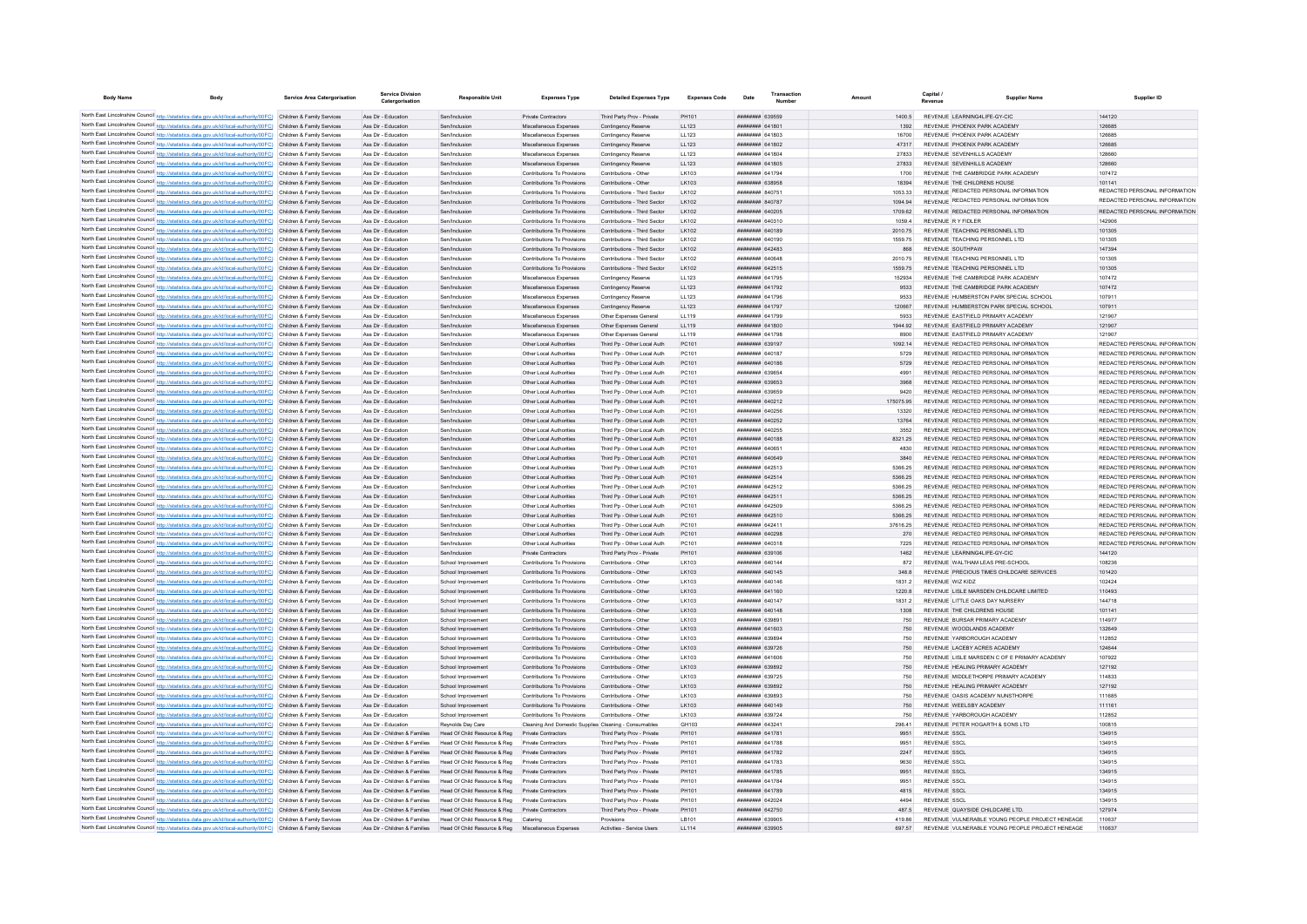| <b>Body Name</b> | <b>Body</b>                                                                                                                                                                                                                            | Service Area Catergorisation | <b>Service Division</b><br>Catergorisation                     | Responsible Unit                                                                 | <b>Expenses Type</b>                                       | <b>Detailed Expenses Type</b>                                | <b>Expenses Code</b> | Date                                             | Transaction | Amount             | Capital /<br><b>Supplier Name</b>                                              | Supplier ID                                                    |
|------------------|----------------------------------------------------------------------------------------------------------------------------------------------------------------------------------------------------------------------------------------|------------------------------|----------------------------------------------------------------|----------------------------------------------------------------------------------|------------------------------------------------------------|--------------------------------------------------------------|----------------------|--------------------------------------------------|-------------|--------------------|--------------------------------------------------------------------------------|----------------------------------------------------------------|
|                  | North East Lincolnshire Council http://statistics.data.gov.uk/id/local-authority/00FC) Children & Family Services                                                                                                                      |                              | Ass Dir - Education                                            | Sen/Inclusion                                                                    | Private Contractors                                        | Third Party Prov - Private                                   | PH101                | ######## 639559                                  |             | 1400.5             | REVENUE I FARNING4LIFE-GY-CIC                                                  | 144120                                                         |
|                  | North East Lincolnshire Council http://statistics.data.gov.uk/id/local-authority/00FC) Children & Family Services                                                                                                                      |                              | Ass Dir - Education                                            | Sen/Inclusion                                                                    | Miscellaneous Expenses                                     | Contingency Reserve                                          | LL123                | <b>ПЕПЕЦИИ 641801</b>                            |             | 1392               | REVENUE PHOENIX PARK ACADEMY                                                   | 126685                                                         |
|                  | North East Lincolnshire Council http://statistics.data.gov.uk/id/local-authority/00FC) Children & Family Services                                                                                                                      |                              | Ass Dir - Education                                            | Sen/Inclusion                                                                    | Miscellaneous Expenser                                     | Contingency Reserve                                          | LL123                | FORT BASEMENT                                    |             | 16700              | REVENUE PHOENIX PARK ACADEMY                                                   | 126685                                                         |
|                  | North East Lincolnshire Council http://statistics.data.gov.uk/id/local-authority/00FC) Children & Family Services                                                                                                                      |                              | Ass Dir - Education                                            | Sen/Inclusion                                                                    | Miscellaneous Expenser                                     | Contingency Reserve                                          | LL123                | <b>ПЕПЕЦИИ 641802</b>                            |             | 47317              | REVENUE PHOENIX PARK ACADEMY                                                   | 126685                                                         |
|                  | North East Lincolnshire Council http://statistics.data.gov.uk/id/local-authority/00FC) Children & Family Services                                                                                                                      |                              | Ass Dir - Education                                            | Sen/Inclusion                                                                    | Miscellaneous Expenses                                     | Contingency Reserve                                          | 11123                | <b>пппппппп</b> 641804                           |             | 27833              | REVENUE SEVENHILLS ACADEMY                                                     | 128660                                                         |
|                  | North East Lincolnshire Council http://statistics.data.gov.uk/id/local-authority/00FC) Children & Family Services                                                                                                                      |                              | Ass Dir - Education                                            | Sen/Inclusion                                                                    | Miscellaneous Expenses                                     | Contingency Reserve                                          | 11 123               | <b>HHHHHHH 641805</b>                            |             | 27833              | REVENUE SEVENHILLS ACADEMY                                                     | 128660                                                         |
|                  | North East Lincolnshire Council http://statistics.data.gov.uk/id/local-authority/00FC) Children & Family Services                                                                                                                      |                              | Ass Dir - Education                                            | Sen/Inclusion                                                                    | Contributions To Provisions                                | Contributions - Other                                        | LK103                | <b>HHHHHHHH</b> 641794                           |             | 1700               | REVENUE THE CAMBRIDGE PARK ACADEMY                                             | 107472                                                         |
|                  | North East Lincolnshire Council http://statistics.data.gov.uk/id/local-authority/00FC) Children & Family Services                                                                                                                      |                              | Ass Dir - Education                                            | Sen/Inclusion                                                                    | Contributions To Provisions                                | Contributions - Other                                        | LK103                | ######## 638958                                  |             | 18394              | REVENUE THE CHILDRENS HOUSE                                                    | 101141<br>REDACTED PERSONAL INFORMATION                        |
|                  | North East Lincolnshire Council http://statistics.data.gov.uk/id/local-authority/00FC) Children & Family Services                                                                                                                      |                              | Ass Dir - Education                                            | Sen/Inclusion                                                                    | Contributions To Provisions                                | Contributions - Third Sector                                 | LK102                | ######## 840751                                  |             | 1053.33            | REVENUE REDACTED PERSONAL INFORMATION<br>REVENUE REDACTED PERSONAL INFORMATION | REDACTED PERSONAL INFORMATION                                  |
|                  | North East Lincolnshire Council http://statistics.data.gov.uk/id/local-authority/00FC) Children & Family Services<br>North East Lincolnshire Council http://statistics.data.gov.uk/id/local-authority/00FC) Children & Family Services |                              | Ass Dir - Education<br>Ass Dir - Education                     | Sen/Inclusion<br>Sen/Inclusion                                                   | Contributions To Provisions<br>Contributions To Provisions | Contributions - Third Sector<br>Contributions - Third Sector | LK102<br>I K102      | <b>НЕННИНИИ</b> 840787<br>######## 640205        |             | 1094.94<br>1709.62 | REVENUE REDACTED PERSONAL INFORMATION                                          | REDACTED PERSONAL INFORMATION                                  |
|                  | North East Lincolnshire Council http://statistics.data.gov.uk/id/local-authority/00FC) Children & Family Services                                                                                                                      |                              | Ass Dir - Education                                            | Sen/Inclusion                                                                    | Contributions To Provisions                                | Contributions - Third Sector                                 | I K102               | <b>пппппппп</b> 640310                           |             | 1059.4             | REVENUE R Y FIDI FR                                                            | 142906                                                         |
|                  | North East Lincolnshire Council http://statistics.data.gov.uk/id/local-authority/00FC) Children & Family Services                                                                                                                      |                              | Ass Dir - Education                                            | Sen/Inclusion                                                                    | Contributions To Provisions                                | Contributions - Third Sector                                 | I K102               | <b>НЕННИИН 640189</b>                            |             | 2010 75            | REVENUE TEACHING PERSONNEL LTD                                                 | 101305                                                         |
|                  | North East Lincolnshire Council http://statistics.data.gov.uk/id/local-authority/00FC) Children & Family Services                                                                                                                      |                              | Ass Dir - Education                                            | Sen/Inclusio                                                                     | Contributions To Provisions                                | Contributions - Third Sector                                 | LK102                | ######## 640190                                  |             | 1559.75            | REVENUE TEACHING PERSONNEL LTD                                                 | 101305                                                         |
|                  | North East Lincolnshire Council http://statistics.data.gov.uk/id/local-authority/00FC) Children & Family Services                                                                                                                      |                              | Ass Dir - Education                                            | Sen/Inclusion                                                                    | Contributions To Provisions                                | Contributions - Third Sector                                 | LK102                | пппппппп 642483                                  |             | 868                | REVENUE SOUTHPAW                                                               | 147394                                                         |
|                  | North East Lincolnshire Council http://statistics.data.gov.uk/id/local-authority/00FC) Children & Family Services                                                                                                                      |                              | Ass Dir - Education                                            | Sen/Inclusion                                                                    | Contributions To Provisions                                | Contributions - Third Sector                                 | LK102                | <b>HRHHHHH</b> GAOGAS                            |             | 2010.75            | REVENUE TEACHING PERSONNEL LTD                                                 | 101305                                                         |
|                  | North East Lincolnshire Council http://statistics.data.gov.uk/id/local-authority/00FC) Children & Family Services                                                                                                                      |                              | Ass Dir - Education                                            | Sen/Inclusion                                                                    | Contributions To Provisions                                | Contributions - Third Sector                                 | LK102                | <b>ПППНИНИН</b> 642515                           |             | 1559 75            | REVENUE TEACHING PERSONNEL LTD                                                 | 101305                                                         |
|                  | North East Lincolnshire Council http://statistics.data.gov.uk/id/local-authority/00FC) Children & Family Services                                                                                                                      |                              | Ass Dir - Education                                            | Sen/Inclusion                                                                    | Miscellaneous Expenses                                     | Contingency Reserve                                          | LL123                | <b>пппппппп</b> 641795                           |             | 152934             | REVENUE THE CAMBRIDGE PARK ACADEMY                                             | 107472                                                         |
|                  | North East Lincolnshire Council http://statistics.data.gov.uk/id/local-authority/00FC) Children & Family Services                                                                                                                      |                              | Ass Dir - Education                                            | Sen/Inclusion                                                                    | Miscellaneous Expenses                                     | Contingency Reserve                                          | LL123                | ######## 641792                                  |             | 9533               | REVENUE THE CAMBRIDGE PARK ACADEMY                                             | 107472                                                         |
|                  | North East Lincolnshire Council http://statistics.data.gov.uk/id/local-authority/00FC) Children & Family Services                                                                                                                      |                              | Ass Dir - Education                                            | Sen/Inclusion                                                                    | Miscellaneous Expenses                                     | Contingency Reserve                                          | LL123                | ######## 641796                                  |             | 9533               | REVENUE HUMBERSTON PARK SPECIAL SCHOOL                                         | 10791                                                          |
|                  | North East Lincolnshire Council http://statistics.data.gov.uk/id/local-authority/00FC) Children & Family Services                                                                                                                      |                              | Ass Dir - Education                                            | Sen/Inclusion                                                                    | Miscellaneous Expenses                                     | Contingency Reserve                                          | LL123                | ######## 641797                                  |             | 120667             | REVENUE HUMBERSTON PARK SPECIAL SCHOOL                                         | 107911                                                         |
|                  | North East Lincolnshire Council http://statistics.data.gov.uk/id/local-authority/00FC) Children & Family Services                                                                                                                      |                              | Ass Dir - Education                                            | Sen/Inclusion                                                                    | Miscellaneous Expenser                                     | Other Expenses General                                       | LL119                | ####### 641799                                   |             | 5933               | REVENUE EASTFIELD PRIMARY ACADEMY                                              | 121907                                                         |
|                  | North East Lincolnshire Council http://statistics.data.gov.uk/id/local-authority/00FC) Children & Family Services                                                                                                                      |                              | Ass Dir - Education                                            | Sen/Inclusion                                                                    | Miscellaneous Expenses                                     | Other Expenses General                                       | LL119                | <b>ПЛИНИНИ 641800</b>                            |             | 1944 92            | REVENUE FASTEIELD PRIMARY ACADEMY                                              | 121907                                                         |
|                  | North East Lincolnshire Council http://statistics.data.gov.uk/id/local-authority/00FC) Children & Family Services                                                                                                                      |                              | Ass Dir - Education                                            | Sen/Inclusion                                                                    | Miscellaneous Expenses                                     | Other Expenses General                                       | LL119                | <b>пппппппп</b> 641798                           |             | 8900               | REVENUE EASTFIELD PRIMARY ACADEMY                                              | 121907                                                         |
|                  | North East Lincolnshire Council http://statistics.data.gov.uk/id/local-authority/00FC) Children & Family Services                                                                                                                      |                              | Ass Dir - Education                                            | Sen/Inclusion                                                                    | Other Local Authorities                                    | Third Pp - Other Local Auth                                  | PC101                | ######## 639197                                  |             | 1092.14            | REVENUE REDACTED PERSONAL INFORMATION                                          | REDACTED PERSONAL INFORMATION                                  |
|                  | North East Lincolnshire Council http://statistics.data.gov.uk/id/local-authority/00FC) Children & Family Services                                                                                                                      |                              | Ass Dir - Educatio                                             | Sen/Inclusion                                                                    | Other Local Authorities                                    | Third Pp - Other Local Auth                                  | PC101                | ####### 640187                                   |             | 5729               | REVENUE REDACTED PERSONAL INFORMATION                                          | REDACTED PERSONAL INFORMATION                                  |
|                  | North East Lincolnshire Council http://statistics.data.gov.uk/id/local-authority/00FC) Children & Family Services                                                                                                                      |                              | Ass Dir - Education                                            | Sen/Inclusion                                                                    | Other Local Authorities                                    | Third Pp - Other Local Auth                                  | PC101                | ####### 640186                                   |             | 5729               | REVENUE REDACTED PERSONAL INFORMATION                                          | REDACTED PERSONAL INFORMATION                                  |
|                  | North East Lincolnshire Council http://statistics.data.gov.uk/id/local-authority/00FC) Children & Family Services                                                                                                                      |                              | Ass Dir - Education                                            | Sen/Inclusion<br>Sen/Inclusion                                                   | Other Local Authorities                                    | Third Pp - Other Local Auth                                  | PC101<br>PC101       | <b>пппппппп</b> 639654<br><b>пппппппп</b> 639653 |             | 4991               | REVENUE REDACTED PERSONAL INFORMATION<br>REVENUE REDACTED PERSONAL INFORMATION | REDACTED PERSONAL INFORMATION<br>REDACTED PERSONAL INFORMATION |
|                  | North East Lincolnshire Council http://statistics.data.gov.uk/id/local-authority/00FC) Children & Family Services<br>North East Lincolnshire Council http://statistics.data.gov.uk/id/local-authority/00FC) Children & Family Services |                              | Ass Dir - Education<br>Ass Dir - Education                     | Sen/Inclusion                                                                    | Other Local Authorities<br>Other Local Authorities         | Third Po - Other Local Auth<br>Third Pp - Other Local Auth   | PC101                | ####### 639659                                   |             | 3968<br>9420       | REVENUE REDACTED PERSONAL INFORMATION                                          | REDACTED PERSONAL INFORMATION                                  |
|                  | North East Lincolnshire Council http://statistics.data.gov.uk/id/local-authority/00FC) Children & Family Services                                                                                                                      |                              | Ass Dir - Education                                            | Sen/Inclusion                                                                    | Other Local Authorities                                    | Third Po - Other Local Auth                                  | PC101                | ######## 640212                                  |             | 175075.95          | REVENUE REDACTED PERSONAL INFORMATION                                          | REDACTED PERSONAL INFORMATION                                  |
|                  | North East Lincolnshire Council http://statistics.data.gov.uk/id/local-authority/00FC) Children & Family Services                                                                                                                      |                              | Ass Dir - Education                                            | Sen/Inclusion                                                                    | Other Local Authorities                                    | Third Pp - Other Local Auth                                  | PC101                | ####### 640256                                   |             | 13320              | REVENUE REDACTED PERSONAL INFORMATION                                          | REDACTED PERSONAL INFORMATION                                  |
|                  | North East Lincolnshire Council http://statistics.data.gov.uk/id/local-authority/00FC) Children & Family Services                                                                                                                      |                              | Ass Dir - Education                                            | Sen/Inclusion                                                                    | Other Local Authorities                                    | Third Pp - Other Local Auth                                  | PC101                | ######## 640252                                  |             | 13764              | REVENUE REDACTED PERSONAL INFORMATION                                          | REDACTED PERSONAL INFORMATION                                  |
|                  | North East Lincolnshire Council http://statistics.data.gov.uk/id/local-authority/00FC) Children & Family Services                                                                                                                      |                              | Ass Dir - Education                                            | Sen/Inclusion                                                                    | Other Local Authorities                                    | Third Pp - Other Local Auth                                  | PC101                | ######## 640255                                  |             | 3552               | REVENUE REDACTED PERSONAL INFORMATION                                          | REDACTED PERSONAL INFORMATION                                  |
|                  | North East Lincolnshire Council http://statistics.data.gov.uk/id/local-authority/00FC) Children & Family Services                                                                                                                      |                              | Ass Dir - Education                                            | Sen/Inclusion                                                                    | Other Local Authorities                                    | Third Pp - Other Local Auth                                  | PC101                | ######## 640188                                  |             | 8321 25            | REVENUE REDACTED PERSONAL INFORMATION                                          | REDACTED PERSONAL INFORMATION                                  |
|                  | North East Lincolnshire Council http://statistics.data.gov.uk/id/local-authority/00FC) Children & Family Services                                                                                                                      |                              | Ass Dir - Education                                            | Sen/Inclusion                                                                    | Other Local Authorities                                    | Third Pp - Other Local Auth                                  | PC101                | ######## 640651                                  |             | 4830               | REVENUE REDACTED PERSONAL INFORMATION                                          | REDACTED PERSONAL INFORMATION                                  |
|                  | North East Lincolnshire Council http://statistics.data.gov.uk/id/local-authority/00FC) Children & Family Services                                                                                                                      |                              | Ass Dir - Education                                            | Sen/Inclusion                                                                    | Other Local Authorities                                    | Third Pp - Other Local Auth                                  | PC101                | ######## 640649                                  |             | 3840               | REVENUE REDACTED PERSONAL INFORMATION                                          | REDACTED PERSONAL INFORMATION                                  |
|                  | North East Lincolnshire Council http://statistics.data.gov.uk/id/local-authority/00FC) Children & Family Services                                                                                                                      |                              | Ass Dir - Education                                            | Sen/Inclusion                                                                    | Other Local Authorities                                    | Third Po - Other Local Auth                                  | PC101                | ######## 642513                                  |             | 5366.25            | REVENUE REDACTED PERSONAL INFORMATION                                          | REDACTED PERSONAL INFORMATION                                  |
|                  | North East Lincolnshire Council http://statistics.data.gov.uk/id/local-authority/00FC) Children & Family Services                                                                                                                      |                              | Ass Dir - Education                                            | Sen/Inclusion                                                                    | Other Local Authorities                                    | Third Pp - Other Local Auth                                  | PC101                | ######## 642514                                  |             | 5366.25            | REVENUE REDACTED PERSONAL INFORMATION                                          | REDACTED PERSONAL INFORMATION                                  |
|                  | North East Lincolnshire Council http://statistics.data.gov.uk/id/local-authority/00FC) Children & Family Services                                                                                                                      |                              | Ass Dir - Education                                            | Sen/Inclusion                                                                    | Other Local Authorities                                    | Third Pp - Other Local Auth                                  | PC101                | ######## 642512                                  |             | 5366.25            | REVENUE REDACTED PERSONAL INFORMATION                                          | REDACTED PERSONAL INFORMATION                                  |
|                  | North East Lincolnshire Council http://statistics.data.gov.uk/id/local-authority/00FC) Children & Family Services                                                                                                                      |                              | Ass Dir - Education                                            | Sen/Inclusion                                                                    | Other Local Authorities                                    | Third Po - Other Local Auth                                  | PC101                | <b>ППИНИНИН</b> 642511                           |             | 5366.25            | REVENUE REDACTED PERSONAL INFORMATION                                          | REDACTED PERSONAL INFORMATION                                  |
|                  | North East Lincolnshire Council http://statistics.data.gov.uk/id/local-authority/00FC) Children & Family Services                                                                                                                      |                              | Ass Dir - Education                                            | Sen/Inclusion                                                                    | Other Local Authorities                                    | Third Po - Other Local Auth                                  | PC101                | ######## 642509                                  |             | 5366.25            | REVENUE REDACTED PERSONAL INFORMATION                                          | REDACTED PERSONAL INFORMATION                                  |
|                  | North East Lincolnshire Council http://statistics.data.gov.uk/id/local-authority/00FC) Children & Family Services                                                                                                                      |                              | Ass Dir - Education                                            | Sen/Inclusion                                                                    | Other Local Authorities                                    | Third Po - Other Local Auth                                  | PC101                | ######## 642510                                  |             | 5366.25            | REVENUE REDACTED PERSONAL INFORMATION                                          | REDACTED PERSONAL INFORMATION                                  |
|                  | North East Lincolnshire Council http://statistics.data.gov.uk/id/local-authority/00FC) Children & Family Services                                                                                                                      |                              | Ass Dir - Education                                            | Sen/Inclusion                                                                    | Other Local Authorities                                    | Third Pp - Other Local Auth                                  | PC101                | ####### 642411                                   |             | 37616.25           | REVENUE REDACTED PERSONAL INFORMATION                                          | REDACTED PERSONAL INFORMATION                                  |
|                  | North East Lincolnshire Council http://statistics.data.gov.uk/id/local-authority/00FC) Children & Family Services                                                                                                                      |                              | Ass Dir - Education                                            | Sen/Inclusion                                                                    | Other Local Authorities                                    | Third Pp - Other Local Auth                                  | PC101                | ######## 640298                                  |             | 270                | REVENUE REDACTED PERSONAL INFORMATION                                          | REDACTED PERSONAL INFORMATION                                  |
|                  | North East Lincolnshire Council http://statistics.data.gov.uk/id/local-authority/00FC) Children & Family Services                                                                                                                      |                              | Ass Dir - Education                                            | Sen/Inclusion                                                                    | Other Local Authorities                                    | Third Pp - Other Local Auth                                  | PC101                | ######## 640318                                  |             | 7225               | REVENUE REDACTED PERSONAL INFORMATION                                          | REDACTED PERSONAL INFORMATION                                  |
|                  | North East Lincolnshire Council http://statistics.data.gov.uk/id/local-authority/00FC) Children & Family Services                                                                                                                      |                              | Ass Dir - Education<br>Ass Dir - Education                     | Sen/Inclusion                                                                    | Private Contractors                                        | Third Party Prov - Private<br>Contributions - Other          | PH101                | ######## 639106                                  |             | 1462               | REVENUE LEARNING4LIFE-GY-CIC<br>REVENUE WALTHAM LEAS PRE-SCHOOL                | 144120<br>108236                                               |
|                  | North East Lincolnshire Council http://statistics.data.gov.uk/id/local-authority/00FC) Children & Family Services<br>North East Lincolnshire Council http://statistics.data.gov.uk/id/local-authority/00FC) Children & Family Services |                              | Ass Dir - Education                                            | School Improvement<br>School Improvement                                         | Contributions To Provisions<br>Contributions To Provisions | Contributions - Other                                        | LK103<br>LK103       | ######## 640144<br>####### 640145                |             | 872<br>348.8       | REVENUE PRECIOUS TIMES CHILDCARE SERVICES                                      | 101420                                                         |
|                  | North East Lincolnshire Council http://statistics.data.gov.uk/id/local-authority/00FC) Children & Family Services                                                                                                                      |                              | Ass Dir - Education                                            | School Improvement                                                               | Contributions To Provisions                                | Contributions - Other                                        | LK103                | ####### 640146                                   |             | 1831.2             | REVENUE WIZ KIDZ                                                               | 102424                                                         |
|                  | North East Lincolnshire Council http://statistics.data.gov.uk/id/local-authority/00FC) Children & Family Services                                                                                                                      |                              | Ass Dir - Education                                            | School Improvement                                                               | Contributions To Provisions                                | Contributions - Other                                        | LK103                | ######## 641160                                  |             | 1220.8             | REVENUE LISLE MARSDEN CHILDCARE LIMITED                                        | 110493                                                         |
|                  | North East Lincolnshire Council http://statistics.data.gov.uk/id/local-authority/00FC) Children & Family Services                                                                                                                      |                              | Ass Dir - Education                                            | School Improvement                                                               | Contributions To Provisions                                | Contributions - Other                                        | LK103                | <b>HRHHHHHH</b> GAO147                           |             | 1831.2             | REVENUE LITTLE OAKS DAY NURSERY                                                | 144718                                                         |
|                  | North East Lincolnshire Council http://statistics.data.gov.uk/id/local-authority/00FC) Children & Family Services                                                                                                                      |                              | Ass Dir - Education                                            | School Improvement                                                               | Contributions To Provisions                                | Contributions - Other                                        | LK103                | HHHHHHH GAO148                                   |             | 1308               | REVENUE THE CHILDRENS HOUSE                                                    | 101141                                                         |
|                  | North East Lincolnshire Council http://statistics.data.gov.uk/id/local-authority/00FC) Children & Family Services                                                                                                                      |                              | Ass Dir - Education                                            | School Improvement                                                               | Contributions To Provisions                                | Contributions - Other                                        | I K103               | <b>HUHHHHH 639891</b>                            |             | 750                | REVENUE BURSAR PRIMARY ACADEMY                                                 | 114977                                                         |
|                  | North East Lincolnshire Council http://statistics.data.gov.uk/id/local-authority/00FC) Children & Family Services                                                                                                                      |                              | Ass Dir - Education                                            | School Improvement                                                               | Contributions To Provisions                                | Contributions - Other                                        | I K103               | <b>плиннин</b> 641603                            |             | 750                | REVENUE WOODLANDS ACADEMY                                                      | 132649                                                         |
|                  | North East Lincolnshire Council http://statistics.data.gov.uk/id/local-authority/00FC) Children & Family Services                                                                                                                      |                              | Ass Dir - Education                                            | School Improvement                                                               | Contributions To Provisions                                | Contributions - Other                                        | I K103               | <b>пппппппп</b> 639894                           |             | 750                | REVENUE YARROROUGH ACADEMY                                                     | 112852                                                         |
|                  | North East Lincolnshire Council http://statistics.data.gov.uk/id/local-authority/00FC) Children & Family Services                                                                                                                      |                              | Ass Dir - Education                                            | School Improvement                                                               | Contributions To Provisions                                | Contributions - Other                                        | LK103                | ######## 639726                                  |             | 750                | REVENUE LACEBY ACRES ACADEMY                                                   | 124644                                                         |
|                  | North East Lincolnshire Council http://statistics.data.gov.uk/id/local-authority/00FC) Children & Family Services                                                                                                                      |                              | Ass Dir - Education                                            | School Improvement                                                               | Contributions To Provisions                                | Contributions - Other                                        | LK103                | <b>плянини 641606</b>                            |             | 750                | REVENUE LISLE MARSDEN C OF E PRIMARY ACADEMY                                   | 107922                                                         |
|                  | North East Lincolnshire Council http://statistics.data.gov.uk/id/local-authority/00FC) Children & Family Services                                                                                                                      |                              | Ass Dir - Education                                            | School Improvement                                                               | Contributions To Provisions                                | Contributions - Other                                        | LK103                | <b>пппппппп</b> 639892                           |             | 750                | REVENUE HEALING PRIMARY ACADEMY                                                | 127192                                                         |
|                  | North East Lincolnshire Council http://statistics.data.gov.uk/id/local-authority/00FC) Children & Family Services                                                                                                                      |                              | Ass Dir - Education                                            | School Improvement                                                               | Contributions To Provisions                                | Contributions - Other                                        | LK103                | <b><i>BBBBBBBB</i></b> 639725                    |             | 750                | REVENUE MIDDI ETHORPE PRIMARY ACADEMY                                          | 114833                                                         |
|                  | North East Lincolnshire Council http://statistics.data.gov.uk/id/local-authority/00FC) Children & Family Services                                                                                                                      |                              | Ass Dir - Education                                            | School Improvement                                                               | Contributions To Provisions                                | Contributions - Other                                        | LK103                | <b>пппппппп</b> 639892                           |             | 750                | REVENUE HEALING PRIMARY ACADEMY                                                | 127192                                                         |
|                  | North East Lincolnshire Council http://statistics.data.gov.uk/id/local-authority/00FC) Children & Family Services                                                                                                                      |                              | Ass Dir - Education                                            | School Improvement                                                               | Contributions To Provisions                                | Contributions - Other                                        | I K103               | <b>плинини 639893</b>                            |             | 750                | REVENUE OASIS ACADEMY NUNSTHORPE                                               | 111685                                                         |
|                  | North East Lincolnshire Council http://statistics.data.gov.uk/id/local-authority/00FC) Children & Family Services                                                                                                                      |                              | Ass Dir - Education                                            | School Improvement                                                               | Contributions To Provisions                                | Contributions - Other                                        | LK103                | ######## 640149                                  |             | 750                | REVENUE WEELSBY ACADEMY                                                        | 111161                                                         |
|                  | North East Lincolnshire Council http://statistics.data.gov.uk/id/local-authority/00FC) Children & Family Services                                                                                                                      |                              | Ass Dir - Education                                            | School Improvement                                                               | Contributions To Provisions                                | Contributions - Other                                        | LK103                | <b>пппппппп</b> 639724                           |             | 750                | REVENUE YARROROUGH ACADEMY                                                     | 112852                                                         |
|                  | North East Lincolnshire Council http://statistics.data.gov.uk/id/local-authority/00FC) Children & Family Services                                                                                                                      |                              | Ass Dir - Education                                            | Reynolds Day Care                                                                | Cleaning And Domestic Supplies Cleaning - Consumables      |                                                              | GH103                | <b>ППИНИНИ 643241</b>                            |             | 296.41             | REVENUE PETER HOGARTH & SONS LTD                                               | 100815                                                         |
|                  | North East Lincolnshire Council http://statistics.data.gov.uk/id/local-authority/00FC) Children & Family Services                                                                                                                      |                              | Ass Dir - Children & Families<br>Ass Dir - Children & Families | Head Of Child Resource & Reg<br>Head Of Child Resource & Reg                     | Private Contractors<br>Private Contractors                 | Third Party Prov - Private                                   | PH101<br>PH101       | ######## 641781<br><b>пппппппп</b> 641788        |             | 9951               | REVENUE SSCI<br>REVENUE SSCI                                                   | 134915<br>134915                                               |
|                  | North East Lincolnshire Council http://statistics.data.gov.uk/id/local-authority/00FC) Children & Family Services<br>North East Lincolnshire Council http://statistics.data.gov.uk/id/local-authority/00FC) Children & Family Services |                              |                                                                | Ass Dir - Children & Families Head Of Child Resource & Reg                       | Private Contractors                                        | Third Party Prov - Private<br>Third Party Prov - Private     | PH101                | <b>пппппппп</b> 641782                           |             | 9951<br>2247       | REVENUE SSCI                                                                   | 134915                                                         |
|                  | North East Lincolnshire Council http://statistics.data.gov.uk/id/local-authority/00FC) Children & Family Services                                                                                                                      |                              | Ass Dir - Children & Families                                  | Head Of Child Resource & Reg                                                     | Private Contractors                                        | Third Party Prov - Private                                   | PH101                | ######## 641783                                  |             | 9630               | <b>REVENUE SSCI</b>                                                            | 134915                                                         |
|                  | North East Lincolnshire Council http://statistics.data.gov.uk/id/local-authority/00FC) Children & Family Services                                                                                                                      |                              | Ass Dir - Children & Families                                  | Head Of Child Resource & Reg                                                     | Private Contractors                                        | Third Party Prov - Private                                   | PH101                | ######## 641785                                  |             | 9951               | <b>REVENUE SSCL</b>                                                            | 134915                                                         |
|                  | North East Lincolnshire Council http://statistics.data.gov.uk/id/local-authority/00FC) Children & Family Services                                                                                                                      |                              | Ass Dir - Children & Families                                  | Head Of Child Resource & Reg                                                     | Private Contractors                                        | Third Party Prov - Private                                   | PH101                | <b>пппппппп</b> 641784                           |             | 9951               | <b>REVENUE SSCI</b>                                                            | 134915                                                         |
|                  | North East Lincolnshire Council http://statistics.data.gov.uk/id/local-authority/00FC) Children & Family Services                                                                                                                      |                              | Ass Dir - Children & Families                                  | Head Of Child Resource & Reg                                                     | Private Contractors                                        | Third Party Prov - Private                                   | PH101                | <b>HHHHHHH 641789</b>                            |             | 4815               | REVENUE SSCI                                                                   | 134915                                                         |
|                  | North East Lincolnshire Council http://statistics.data.gov.uk/id/local-authority/00FC) Children & Family Services                                                                                                                      |                              | Ass Dir - Children & Families                                  | Head Of Child Resource & Reg                                                     | Private Contractors                                        | Third Party Prov - Private                                   | PH101                | <b>НИННИИН 642024</b>                            |             | 4494               | REVENUE SSCI                                                                   | 134915                                                         |
|                  | North East Lincolnshire Council http://statistics.data.gov.uk/id/local-authority/00FC) Children & Family Services                                                                                                                      |                              | Ass Dir - Children & Families                                  | Head Of Child Resource & Reg                                                     | Private Contractors                                        | Third Party Prov - Private                                   | PH101                | <b>ППИНИНИ 642750</b>                            |             | 4875               | REVENUE QUAYSIDE CHILDCARE LTD.                                                | 127974                                                         |
|                  | North East Lincolnshire Council http://statistics.data.gov.uk/id/local-authority/00FC) Children & Family Services                                                                                                                      |                              | Ass Dir - Children & Families                                  | Head Of Child Resource & Reg Catering                                            |                                                            | Provisions                                                   | LB101                | GRRR MENNING                                     |             | 419.86             | REVENUE VULNERABLE YOUNG PEOPLE PROJECT HENEAGE                                | 110637                                                         |
|                  | North East Lincolnshire Council http://statistics.data.gov.uk/id/local-authority/00FC) Children & Family Services                                                                                                                      |                              |                                                                | Ass Dir - Children & Families Head Of Child Resource & Reg Miscellaneous Expense |                                                            | Activities - Service Users                                   | LL114                | ######## 639905                                  |             | 697.57             | REVENUE VULLNERABLE VOLING PEOPLE PROJECT HENEAGE                              | 110637                                                         |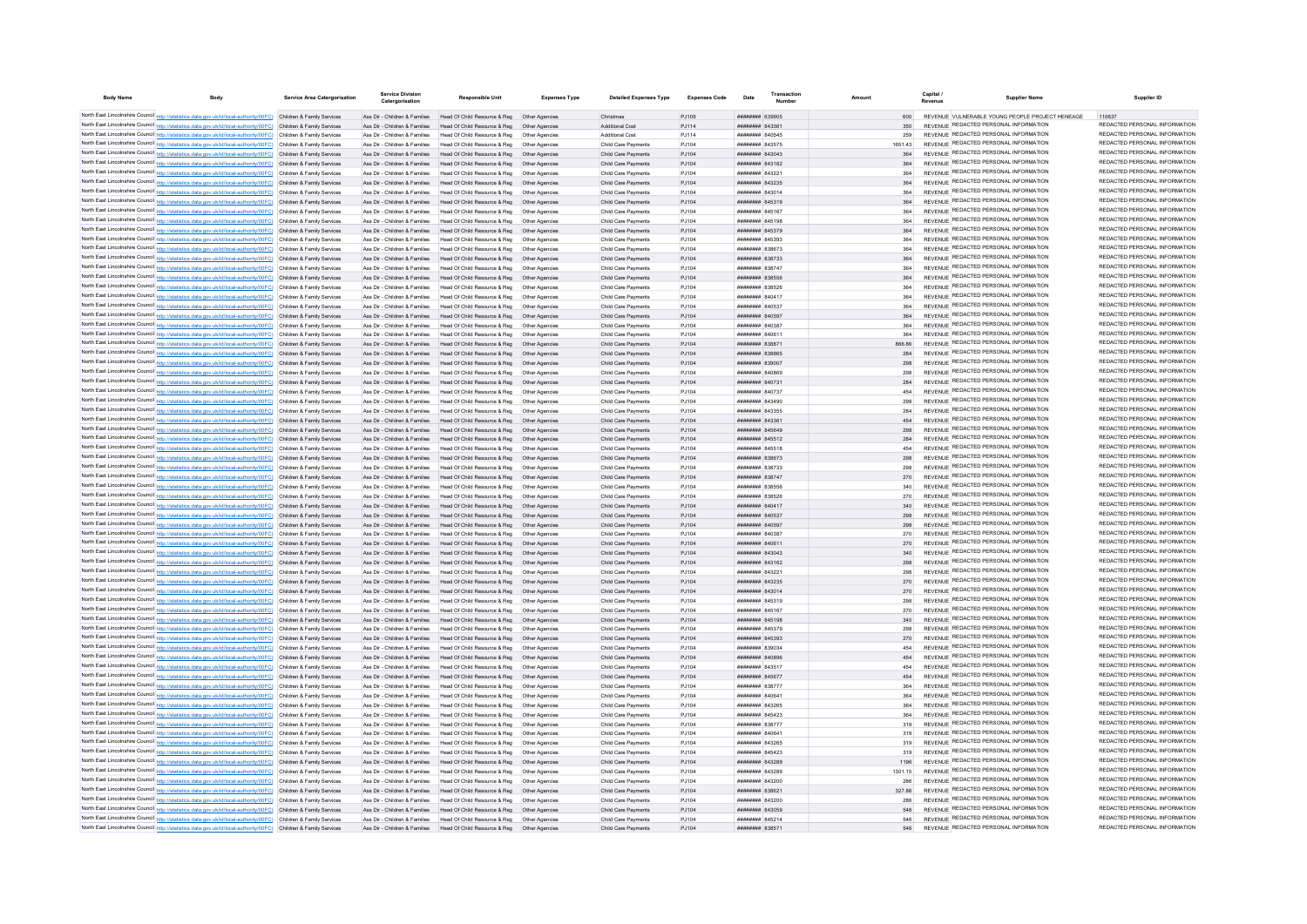| <b>Body Name</b> | <b>Body</b>                                                                                                                                                                                                                            | Service Area Catergorisation | Service Division<br>Caternorisation                            | <b>Responsible Unit</b>                                                                                                                                  | <b>Expenses Type</b>             | <b>Detailed Expenses Type</b>              | <b>Expenses Code</b> |                                                  | Transaction | <b>Amount</b> |            | Canital<br>Revenue | Supplier Name                                                                  | Supplier ID                                                    |
|------------------|----------------------------------------------------------------------------------------------------------------------------------------------------------------------------------------------------------------------------------------|------------------------------|----------------------------------------------------------------|----------------------------------------------------------------------------------------------------------------------------------------------------------|----------------------------------|--------------------------------------------|----------------------|--------------------------------------------------|-------------|---------------|------------|--------------------|--------------------------------------------------------------------------------|----------------------------------------------------------------|
|                  | North East Lincolnshire Council http://statistics.data.gov.uk/id/local-authority/00FC) Children & Family Services                                                                                                                      |                              |                                                                | Ass Dir - Children & Families Head Of Child Resource & Reg Other Agencies                                                                                |                                  | Christmas                                  | P.1109               | $mmmm$ $630005$                                  |             |               |            |                    | REVENUE VULNERABLE YOUNG PEOPLE PROJECT HENEAGE.                               | 110637                                                         |
|                  | North East Lincolnshire Council http://statistics.data.gov.uk/id/local-authority/00FC) Children & Family Services                                                                                                                      |                              |                                                                | Ass Dir - Children & Families Head Of Child Resource & Reg. Other Agencies                                                                               |                                  | Additional Cost                            | P.I114               | ######## 843361                                  |             |               |            |                    | <b>REVENUE REDACTED PERSONAL INFORMATION</b>                                   | REDACTED PERSONAL INFORMATION                                  |
|                  | North East Lincolnshire Council http://statistics.data.gov.uk/id/local-authority/00FC) Children & Family Services                                                                                                                      |                              |                                                                | Ass Dir - Children & Families Head Of Child Resource & Reg. Other Agencies                                                                               |                                  | Additional Cost                            | P.1114               | <b>HUHHHHH RAOSAS</b>                            |             |               | 259        |                    | REVENUE REDACTED PERSONAL INFORMATION                                          | REDACTED PERSONAL INFORMATION                                  |
|                  | North East Lincolnshire Council http://statistics.data.gov.uk/id/local-authority/00FC) Children & Family Services                                                                                                                      |                              |                                                                | Ass Dir - Children & Families Head Of Child Resource & Reg  Other Agencies                                                                               |                                  | Child Care Payments                        | PJ104                | ######## 843575                                  |             |               | 1651.43    |                    | REVENUE REDACTED PERSONAL INFORMATION                                          | REDACTED PERSONAL INFORMATION                                  |
|                  | North East Lincolnshire Council http://statistics.data.gov.uk/id/local-authority/00FC) Children & Family Services                                                                                                                      |                              |                                                                | Ass Dir - Children & Families Head Of Child Resource & Reg Other Agencies                                                                                |                                  | Child Care Payments                        | PJ104                | ######## 843043                                  |             |               | 364        |                    | REVENUE REDACTED PERSONAL INFORMATION                                          | REDACTED PERSONAL INFORMATION                                  |
|                  | North East Lincolnshire Council http://statistics.data.gov.uk/id/local-authority/00FC) Children & Family Services                                                                                                                      |                              |                                                                | Ass Dir - Children & Families Head Of Child Resource & Reg Other Agencies                                                                                |                                  | Child Care Payments                        | PJ104                | ######## 843162                                  |             |               | 364        |                    | REVENUE REDACTED PERSONAL INFORMATION<br>REVENUE REDACTED PERSONAL INFORMATION | REDACTED PERSONAL INFORMATION<br>REDACTED PERSONAL INFORMATION |
|                  | North East Lincolnshire Council http://statistics.data.gov.uk/id/local-authority/00FC) Children & Family Services<br>North East Lincolnshire Council http://statistics.data.gov.uk/id/local-authority/00FC) Children & Family Services |                              | Ass Dir - Children & Families                                  | Head Of Child Resource & Reg   Other Agencies<br>Ass Dir - Children & Families Head Of Child Resource & Reg Other Agencies                               |                                  | Child Care Payments<br>Child Care Payments | PJ104<br>P.1104      | ######## 84322<br><b>пппппппп</b> 843235         |             |               | 364        |                    | REVENUE REDACTED PERSONAL INFORMATION                                          | REDACTED PERSONAL INFORMATION                                  |
|                  | North East Lincolnshire Council http://statistics.data.gov.uk/id/local-authority/00FC) Children & Family Services                                                                                                                      |                              |                                                                | Ass Dir - Children & Families Head Of Child Resource & Reg Other Agencies                                                                                |                                  | Child Care Payments                        | PJ104                | ######## 843014                                  |             |               | 364        |                    | REVENUE REDACTED PERSONAL INFORMATION                                          | REDACTED PERSONAL INFORMATION                                  |
|                  | North East Lincolnshire Council http://statistics.data.gov.uk/id/local-authority/00FC) Children & Family Services                                                                                                                      |                              |                                                                | Ass Dir - Children & Families Head Of Child Resource & Reg                                                                                               | Other Agencies                   | Child Care Payments                        | PJ104                | ######## 845319                                  |             |               | 364        |                    | REVENUE REDACTED PERSONAL INFORMATION                                          | REDACTED PERSONAL INFORMATION                                  |
|                  | North East Lincolnshire Council http://statistics.data.gov.uk/id/local-authority/00FC) Children & Family Services                                                                                                                      |                              | Ass Dir - Children & Families                                  | Head Of Child Resource & Reg                                                                                                                             | Other Agencies                   | Child Care Payments                        | PJ104                | ####### 84516                                    |             |               |            |                    | REVENUE REDACTED PERSONAL INFORMATION                                          | REDACTED PERSONAL INFORMATION                                  |
|                  | North East Lincolnshire Council http://statistics.data.gov.uk/id/local-authority/00FC) Children & Family Services                                                                                                                      |                              | Ass Dir - Children & Families                                  | Head Of Child Resource & Reg                                                                                                                             | Other Agencie                    | Child Care Payments                        | PJ104                | ######## 845198                                  |             |               | 364        |                    | <b>REVENUE REDACTED PERSONAL INFORMATION</b>                                   | REDACTED PERSONAL INFORMATION                                  |
|                  | North East Lincolnshire Council http://statistics.data.gov.uk/id/local-authority/00FC) Children & Family Services                                                                                                                      |                              | Ass Dir - Children & Families                                  | Head Of Child Resource & Reg                                                                                                                             | Other Agencie                    | Child Care Payments                        | PJ104                | ######## 845379                                  |             |               | 364        |                    | REVENUE REDACTED PERSONAL INFORMATION                                          | REDACTED PERSONAL INFORMATION                                  |
|                  | North East Lincolnshire Council http://statistics.data.gov.uk/id/local-authority/00FC) Children & Family Services                                                                                                                      |                              | Ass Dir - Children & Families                                  | Head Of Child Resource & Reg                                                                                                                             | Other Agencies                   | Child Care Payments                        | P.1104               | FOFRA MUNIMUM                                    |             |               |            |                    | REVENUE REDACTED PERSONAL INFORMATION                                          | REDACTED PERSONAL INFORMATION                                  |
|                  | North East Lincolnshire Council http://statistics.data.gov.uk/id/local-authority/00FC) Children & Family Services                                                                                                                      |                              | Ass Dir - Children & Families                                  | Head Of Child Resource & Reg. Other Agencies                                                                                                             |                                  | Child Care Payments                        | P.1104               | <b>HUHHHHH 838673</b>                            |             |               | 364        |                    | REVENUE REDACTED PERSONAL INFORMATION                                          | REDACTED PERSONAL INFORMATION<br>REDACTED PERSONAL INFORMATION |
|                  | North East Lincolnshire Council http://statistics.data.gov.uk/id/local-authority/00FC) Children & Family Services                                                                                                                      |                              | Ass Dir - Children & Families                                  | Ass Dir - Children & Families Head Of Child Resource & Reg. Other Agencies<br>Head Of Child Resource & Reg                                               |                                  | Child Care Payments                        | P.1104               | <b>HUHHHHH 838733</b><br><b>пппппппп</b> 83874   |             |               | 364        |                    | REVENUE REDACTED PERSONAL INFORMATION<br>REVENUE REDACTED PERSONAL INFORMATION | REDACTED PERSONAL INFORMATION                                  |
|                  | North East Lincolnshire Council http://statistics.data.gov.uk/id/local-authority/00FC) Children & Family Services<br>North East Lincolnshire Council http://statistics.data.gov.uk/id/local-authority/00FC) Children & Family Services |                              |                                                                | Ass Dir - Children & Families Head Of Child Resource & Reg                                                                                               | Other Anencies<br>Other Agencie  | Child Care Payments<br>Child Care Payments | P.1104<br>PJ104      | ######## 838556                                  |             |               | 364        |                    | REVENUE REDACTED PERSONAL INFORMATION                                          | REDACTED PERSONAL INFORMATION                                  |
|                  | North East Lincolnshire Council http://statistics.data.gov.uk/id/local-authority/00FC) Children & Family Services                                                                                                                      |                              | Ass Dir - Children & Families                                  | Head Of Child Resource & Reg                                                                                                                             | Other Agencie                    | Child Care Payments                        | PJ104                | ######## 838526                                  |             |               | 364        |                    | REVENUE REDACTED PERSONAL INFORMATION                                          | REDACTED PERSONAL INFORMATION                                  |
|                  | North East Lincolnshire Council http://statistics.data.gov.uk/id/local-authority/00FC) Children & Family Services                                                                                                                      |                              | Ass Dir - Children & Families                                  | Head Of Child Resource & Reg                                                                                                                             | Other Agencies                   | Child Care Payments                        | PJ104                | ######## 840417                                  |             |               | 364        |                    | REVENUE REDACTED PERSONAL INFORMATION                                          | REDACTED PERSONAL INFORMATION                                  |
|                  | North East Lincolnshire Council http://statistics.data.gov.uk/id/local-authority/00FC) Children & Family Services                                                                                                                      |                              | Ass Dir - Children & Families                                  | Head Of Child Resource & Reg. Other Agencies                                                                                                             |                                  | Child Care Payments                        | P.1104               | <b>BREEZER RADS3</b>                             |             |               | 364        |                    | REVENUE REDACTED PERSONAL INFORMATION                                          | REDACTED PERSONAL INFORMATION                                  |
|                  | North East Lincolnshire Council http://statistics.data.gov.uk/id/local-authority/00FC) Children & Family Services                                                                                                                      |                              |                                                                | Ass Dir - Children & Families Head Of Child Resource & Reg                                                                                               | Other Agencies                   | Child Care Payments                        | P.1104               | ######## 840593                                  |             |               | 364        |                    | REVENUE REDACTED PERSONAL INFORMATION                                          | REDACTED PERSONAL INFORMATION                                  |
|                  | North East Lincolnshire Council http://statistics.data.gov.uk/id/local-authority/00FC) Children & Family Services                                                                                                                      |                              | Ass Dir - Children & Families                                  | Head Of Child Resource & Reg                                                                                                                             | Other Agencie                    | Child Care Payments                        | PJ104                | ######## 840387                                  |             |               | 364        |                    | REVENUE REDACTED PERSONAL INFORMATION                                          | REDACTED PERSONAL INFORMATION                                  |
|                  | North East Lincolnshire Council http://statistics.data.gov.uk/id/local-authority/00FC) Children & Family Services                                                                                                                      |                              | Ass Dir - Children & Families                                  | Head Of Child Resource & Reg                                                                                                                             | Other Agencie                    | Child Care Payments                        | PJ104                | ####### 84061                                    |             |               | 364        |                    | REVENUE REDACTED PERSONAL INFORMATION                                          | REDACTED PERSONAL INFORMATION                                  |
|                  | North East Lincolnshire Council http://statistics.data.gov.uk/id/local-authority/00FC) Children & Family Services                                                                                                                      |                              | Ass Dir - Children & Families                                  | Head Of Child Resource & Reg                                                                                                                             |                                  | Child Care Payments                        | PJ104                | ######## 83887                                   |             |               | 866.86     |                    | REVENUE REDACTED PERSONAL INFORMATION<br>REVENUE REDACTED PERSONAL INFORMATION | REDACTED PERSONAL INFORMATION<br>REDACTED PERSONAL INFORMATION |
|                  | North East Lincolnshire Council http://statistics.data.gov.uk/id/local-authority/00FC) Children & Family Services                                                                                                                      |                              | Ass Dir - Children & Families                                  | Head Of Child Resource & Reg                                                                                                                             | Other Agencies                   | Child Care Payments                        | PJ104                | ниннини взявес                                   |             |               | 284        |                    | REVENUE REDACTED PERSONAL INFORMATION                                          | REDACTED PERSONAL INFORMATION                                  |
|                  | North East Lincolnshire Council http://statistics.data.gov.uk/id/local-authority/00FC) Children & Family Services<br>North East Lincolnshire Council http://statistics.data.gov.uk/id/local-authority/00FC) Children & Family Services |                              |                                                                | Ass Dir - Children & Families Head Of Child Resource & Reg Other Agencies<br>Ass Dir - Children & Families Head Of Child Resource & Reg. Other Agencies  |                                  | Child Care Payments<br>Child Care Payments | P.1104<br>PJ104      | ######## 839007<br>RAODA HEBBERH                 |             |               | 298<br>298 |                    | REVENUE REDACTED PERSONAL INFORMATION                                          | REDACTED PERSONAL INFORMATION                                  |
|                  | North East Lincolnshire Council http://statistics.data.gov.uk/id/local-authority/00FC) Children & Family Services                                                                                                                      |                              |                                                                | Ass Dir - Children & Families Head Of Child Resource & Reg Other Agencies                                                                                |                                  | Child Care Payments                        | PJ104                | ######## 840731                                  |             |               | 284        |                    | REVENUE REDACTED PERSONAL INFORMATION                                          | REDACTED PERSONAL INFORMATION                                  |
|                  | North East Lincolnshire Council http://statistics.data.gov.uk/id/local-authority/00FC) Children & Family Services                                                                                                                      |                              |                                                                | Ass Dir - Children & Families Head Of Child Resource & Reg Other Agencies                                                                                |                                  | Child Care Payments                        | PJ104                | ######## 840737                                  |             |               | 454        |                    | REVENUE REDACTED PERSONAL INFORMATION                                          | REDACTED PERSONAL INFORMATION                                  |
|                  | North East Lincolnshire Council http://statistics.data.gov.uk/id/local-authority/00FC) Children & Family Services                                                                                                                      |                              |                                                                | Ass Dir - Children & Families Head Of Child Resource & Reg Other Agencies                                                                                |                                  | Child Care Payments                        | PJ104                | ######## 843490                                  |             |               | 298        |                    | REVENUE REDACTED PERSONAL INFORMATION                                          | REDACTED PERSONAL INFORMATION                                  |
|                  | North East Lincolnshire Council http://statistics.data.gov.uk/id/local-authority/00FC) Children & Family Services                                                                                                                      |                              |                                                                | Ass Dir - Children & Families Head Of Child Resource & Reg Other Agencies                                                                                |                                  | Child Care Payments                        | PJ104                | ######## 843355                                  |             |               | 284        |                    | REVENUE REDACTED PERSONAL INFORMATION                                          | REDACTED PERSONAL INFORMATION                                  |
|                  | North East Lincolnshire Council http://statistics.data.gov.uk/id/local-authority/00FC) Children & Family Services                                                                                                                      |                              |                                                                | Ass Dir - Children & Families Head Of Child Resource & Reg Other Agencies                                                                                |                                  | Child Care Payments                        | P.1104               | пининин 84336:                                   |             |               | A5A        |                    | REVENUE REDACTED PERSONAL INFORMATION                                          | REDACTED PERSONAL INFORMATION                                  |
|                  | North East Lincolnshire Council http://statistics.data.gov.uk/id/local-authority/00FC) Children & Family Services                                                                                                                      |                              |                                                                | Ass Dir - Children & Families Head Of Child Resource & Reg. Other Agencies                                                                               |                                  | Child Care Payments                        | P.1104               | <b>ПЕПИНИН 845649</b>                            |             |               | 208        |                    | REVENUE REDACTED PERSONAL INFORMATION                                          | REDACTED PERSONAL INFORMATION                                  |
|                  | North East Lincolnshire Council http://statistics.data.gov.uk/id/local-authority/00FC) Children & Family Services                                                                                                                      |                              |                                                                | Ass Dir - Children & Families Head Of Child Resource & Reg. Other Agencies                                                                               |                                  | Child Care Payments                        | P.1104               | <b>ППИНИНИ 845512</b>                            |             |               | 284        |                    | REVENUE REDACTED PERSONAL INFORMATION<br>REVENUE REDACTED PERSONAL INFORMATION | REDACTED PERSONAL INFORMATION<br>REDACTED PERSONAL INFORMATION |
|                  | North East Lincolnshire Council http://statistics.data.gov.uk/id/local-authority/00FC) Children & Family Services                                                                                                                      |                              | Ass Dir - Children & Families                                  | Head Of Child Resource & Reg                                                                                                                             | Other Agencie                    | Child Care Payments                        | P.1104               | <b>HHHHHHH</b> 845518                            |             |               | 454        |                    | REVENUE REDACTED PERSONAL INFORMATION                                          | REDACTED PERSONAL INFORMATION                                  |
|                  | North East Lincolnshire Council http://statistics.data.gov.uk/id/local-authority/00FC) Children & Family Services<br>North East Lincolnshire Council http://statistics.data.gov.uk/id/local-authority/00FC) Children & Family Services |                              | Ass Dir - Children & Families                                  | Ass Dir - Children & Families Head Of Child Resource & Reg<br>Head Of Child Resource & Reg                                                               | Other Agencies                   | Child Care Payments<br>Child Care Payments | P.1104<br>PJ104      | <b>пппппппп</b> 838673<br>######## 838733        |             |               | 298        |                    | REVENUE REDACTED PERSONAL INFORMATION                                          | REDACTED PERSONAL INFORMATION                                  |
|                  | North East Lincolnshire Council http://statistics.data.gov.uk/id/local-authority/00FC) Children & Family Services                                                                                                                      |                              | Ass Dir - Children & Families                                  | Head Of Child Resource & Reg  Other Agencies                                                                                                             |                                  | Child Care Payments                        | PJ104                | ######## 838747                                  |             |               | 270        |                    | REVENUE REDACTED PERSONAL INFORMATION                                          | REDACTED PERSONAL INFORMATION                                  |
|                  | North East Lincolnshire Council http://statistics.data.gov.uk/id/local-authority/00FC) Children & Family Services                                                                                                                      |                              | Ass Dir - Children & Families                                  | Head Of Child Resource & Reg                                                                                                                             | Other Agencies                   | Child Care Payments                        | PJ104                | <b>пппппппп</b> 838556                           |             |               | 340        |                    | REVENUE REDACTED PERSONAL INFORMATION                                          | REDACTED PERSONAL INFORMATION                                  |
|                  | North East Lincolnshire Council http://statistics.data.gov.uk/id/local-authority/00FC) Children & Family Services                                                                                                                      |                              | Ass Dir - Children & Families                                  | Head Of Child Resource & Reg                                                                                                                             | Other Anencies                   | Child Care Payments                        | P.1104               | <b>пппппппп</b> 838526                           |             |               | 270        |                    | REVENUE REDACTED PERSONAL INFORMATION                                          | REDACTED PERSONAL INFORMATION                                  |
|                  | North East Lincolnshire Council http://statistics.data.gov.uk/id/local-authority/00FC) Children & Family Services                                                                                                                      |                              | Ass Dir - Children & Families                                  | Head Of Child Resource & Reg                                                                                                                             | Other Agencies                   | Child Care Payments                        | PJ104                | ######## 840417                                  |             |               | 340        |                    | REVENUE REDACTED PERSONAL INFORMATION                                          | REDACTED PERSONAL INFORMATION                                  |
|                  | North East Lincolnshire Council http://statistics.data.gov.uk/id/local-authority/00FC) Children & Family Services                                                                                                                      |                              |                                                                | Ass Dir - Children & Families Head Of Child Resource & Reg                                                                                               | Other Agencies                   | Child Care Payments                        | PJ104                | <b>HHHHHHH</b> 840537                            |             |               | 298        |                    | REVENUE REDACTED PERSONAL INFORMATION                                          | REDACTED PERSONAL INFORMATION                                  |
|                  | North East Lincolnshire Council http://statistics.data.gov.uk/id/local-authority/00FC) Children & Family Services                                                                                                                      |                              | Ass Dir - Children & Families                                  | Head Of Child Resource & Reg                                                                                                                             | Other Agencie                    | Child Care Payments                        | PJ104                | ######## 840597                                  |             |               |            |                    | REVENUE REDACTED PERSONAL INFORMATION                                          | REDACTED PERSONAL INFORMATION<br>REDACTED PERSONAL INFORMATION |
|                  | North East Lincolnshire Council http://statistics.data.gov.uk/id/local-authority/00FC) Children & Family Services                                                                                                                      |                              | Ass Dir - Children & Families                                  | Head Of Child Resource & Reg                                                                                                                             | Other Agencie                    | Child Care Payments                        | PJ104                | ######## 840387                                  |             |               | 270        |                    | REVENUE REDACTED PERSONAL INFORMATION<br>REVENUE REDACTED PERSONAL INFORMATION | REDACTED PERSONAL INFORMATION                                  |
|                  | North East Lincolnshire Council http://statistics.data.gov.uk/id/local-authority/00FC) Children & Family Services<br>North East Lincolnshire Council http://statistics.data.gov.uk/id/local-authority/00FC) Children & Family Services |                              | Ass Dir - Children & Families<br>Ass Dir - Children & Families | Head Of Child Resource & Reg<br>Head Of Child Resource & Reg                                                                                             | Other Agencie<br>Other Anencie   | Child Care Payments<br>Child Care Payments | PJ104<br>PJ104       | ######## 84061<br><b>пппппппп</b> 843043         |             |               | 270<br>340 |                    | REVENUE REDACTED PERSONAL INFORMATION                                          | REDACTED PERSONAL INFORMATION                                  |
|                  | North East Lincolnshire Council http://statistics.data.gov.uk/id/local-authority/00FC) Children & Family Services                                                                                                                      |                              | Ass Dir - Children & Families                                  | Head Of Child Resource & Reg                                                                                                                             | Other Agencies                   | Child Care Payments                        | PJ104                | ######## 843162                                  |             |               | 298        |                    | REVENUE REDACTED PERSONAL INFORMATION                                          | REDACTED PERSONAL INFORMATION                                  |
|                  | North East Lincolnshire Council http://statistics.data.gov.uk/id/local-authority/00FC) Children & Family Services                                                                                                                      |                              | Ass Dir - Children & Families                                  | Head Of Child Resource & Reg                                                                                                                             | Other Agencie                    | Child Care Payments                        | PJ104                | ####### 84322                                    |             |               | 298        |                    | REVENUE REDACTED PERSONAL INFORMATION                                          | REDACTED PERSONAL INFORMATION                                  |
|                  | North East Lincolnshire Council http://statistics.data.gov.uk/id/local-authority/00FC) Children & Family Services                                                                                                                      |                              | Ass Dir - Children & Families                                  | Head Of Child Resource & Reg                                                                                                                             | Other Agencie                    | Child Care Payments                        | PJ104                | ######## 843235                                  |             |               | 270        |                    | REVENUE REDACTED PERSONAL INFORMATION                                          | REDACTED PERSONAL INFORMATION                                  |
|                  | North East Lincolnshire Council http://statistics.data.gov.uk/id/local-authority/00FC) Children & Family Services                                                                                                                      |                              | Ass Dir - Children & Families                                  | Head Of Child Resource & Reg                                                                                                                             | Other Agencies                   | Child Care Payments                        | PJ104                | ######## 843014                                  |             |               | 270        |                    | REVENUE REDACTED PERSONAL INFORMATION                                          | REDACTED PERSONAL INFORMATION                                  |
|                  | North East Lincolnshire Council http://statistics.data.gov.uk/id/local-authority/00FC) Children & Family Services                                                                                                                      |                              |                                                                | Ass Dir - Children & Families Head Of Child Resource & Reg Other Agencies                                                                                |                                  | Child Care Payments                        | P.1104               | <b>HRHHHHH</b> 845319                            |             |               | 298        |                    | REVENUE REDACTED PERSONAL INFORMATION                                          | REDACTED PERSONAL INFORMATION                                  |
|                  | North East Lincolnshire Council http://statistics.data.gov.uk/id/local-authority/00FC) Children & Family Services                                                                                                                      |                              | Ass Dir - Children & Families                                  | Head Of Child Resource & Reg                                                                                                                             | Other Anencie                    | Child Care Payments                        | P.1104               | <b><i>HHHHHHH 845167</i></b>                     |             |               | 270        |                    | REVENUE REDACTED PERSONAL INFORMATION                                          | REDACTED PERSONAL INFORMATION                                  |
|                  | North East Lincolnshire Council http://statistics.data.gov.uk/id/local-authority/00FC) Children & Family Services                                                                                                                      |                              |                                                                | Ass Dir - Children & Families Head Of Child Resource & Reg. Other Agencies                                                                               |                                  | Child Care Payments                        | P.1104               | <b>HUHHHHH 845198</b>                            |             |               |            |                    | REVENUE REDACTED PERSONAL INFORMATION<br>REVENUE REDACTED PERSONAL INFORMATION | REDACTED PERSONAL INFORMATION<br>REDACTED PERSONAL INFORMATION |
|                  | North East Lincolnshire Council http://statistics.data.gov.uk/id/local-authority/00FC) Children & Family Services                                                                                                                      |                              |                                                                | Ass Dir - Children & Families Head Of Child Resource & Reg   Other Agencies                                                                              |                                  | Child Care Payments                        | P.1104               | <b>пппппппп</b> 845379<br><b>пппппппп</b> 845393 |             |               | 298<br>270 |                    | REVENUE REDACTED PERSONAL INFORMATION                                          | REDACTED PERSONAL INFORMATION                                  |
|                  | North East Lincolnshire Council http://statistics.data.gov.uk/id/local-authority/00FC) Children & Family Services<br>North East Lincolnshire Council http://statistics.data.gov.uk/id/local-authority/00FC) Children & Family Services |                              |                                                                | Ass Dir - Children & Families Head Of Child Resource & Reg Other Agencies<br>Ass Dir - Children & Families Head Of Child Resource & Reg Other Agencies   |                                  | Child Care Payments<br>Child Care Payments | PJ104<br>PJ104       | ######## 839034                                  |             |               |            |                    | REVENUE REDACTED PERSONAL INFORMATION                                          | REDACTED PERSONAL INFORMATION                                  |
|                  | North East Lincolnshire Council http://statistics.data.gov.uk/id/local-authority/00FC) Children & Family Services                                                                                                                      |                              |                                                                | Ass Dir - Children & Families Head Of Child Resource & Reg   Other Agencies                                                                              |                                  | Child Care Payments                        | P.1104               | ######## 840896                                  |             |               | 454        |                    | REVENUE REDACTED PERSONAL INFORMATION                                          | REDACTED PERSONAL INFORMATION                                  |
|                  | North East Lincolnshire Council http://statistics.data.gov.uk/id/local-authority/00FC) Children & Family Services                                                                                                                      |                              |                                                                | Ass Dir - Children & Families Head Of Child Resource & Reg Other Agencies                                                                                |                                  | Child Care Payments                        | PJ104                | ######## 843517                                  |             |               | 454        |                    | REVENUE REDACTED PERSONAL INFORMATION                                          | REDACTED PERSONAL INFORMATION                                  |
|                  | North East Lincolnshire Council http://statistics.data.gov.uk/id/local-authority/00FC) Children & Family Services                                                                                                                      |                              |                                                                | Ass Dir - Children & Families Head Of Child Resource & Reg. Other Agencies                                                                               |                                  | Child Care Payments                        | P.1104               | <b>HHHHHHH 84567</b>                             |             |               | 454        |                    | REVENUE REDACTED PERSONAL INFORMATION                                          | REDACTED PERSONAL INFORMATION                                  |
|                  | North East Lincolnshire Council http://statistics.data.gov.uk/id/local-authority/00FC) Children & Family Services                                                                                                                      |                              | Ass Dir - Children & Families                                  | Head Of Child Resource & Reg   Other Agencies                                                                                                            |                                  | Child Care Payments                        | PJ104                | ######## 83877                                   |             |               | 364        |                    | REVENUE REDACTED PERSONAL INFORMATION                                          | REDACTED PERSONAL INFORMATION                                  |
|                  | North East Lincolnshire Council http://statistics.data.gov.uk/id/local-authority/00FC) Children & Family Services                                                                                                                      |                              |                                                                | Ass Dir - Children & Families Head Of Child Resource & Reg Other Agencies                                                                                |                                  | Child Care Payments                        | PJ104                | ######## 84064                                   |             |               | 364        |                    | REVENUE REDACTED PERSONAL INFORMATION                                          | REDACTED PERSONAL INFORMATION<br>REDACTED PERSONAL INFORMATION |
|                  | North East Lincolnshire Council http://statistics.data.gov.uk/id/local-authority/00FC) Children & Family Services                                                                                                                      |                              | Ass Dir - Children & Families                                  | Head Of Child Resource & Reg                                                                                                                             | Other Agencies                   | Child Care Payments                        | PJ104                | ######## 843265                                  |             |               |            |                    | REVENUE REDACTED PERSONAL INFORMATION<br>REVENUE REDACTED PERSONAL INFORMATION | REDACTED PERSONAL INFORMATION                                  |
|                  | North East Lincolnshire Council http://statistics.data.gov.uk/id/local-authority/00FC) Children & Family Services                                                                                                                      |                              | Ass Dir - Children & Families                                  | Head Of Child Resource & Reg                                                                                                                             | Other Agencies                   | Child Care Payments                        | PJ104                | ####### 845423                                   |             |               |            |                    | REVENUE REDACTED PERSONAL INFORMATION                                          | REDACTED PERSONAL INFORMATION                                  |
|                  | North East Lincolnshire Council http://statistics.data.gov.uk/id/local-authority/00FC) Children & Family Services<br>North East Lincolnshire Council http://statistics.data.gov.uk/id/local-authority/00FC) Children & Family Services |                              | Ass Dir - Children & Families<br>Ass Dir - Children & Families | Head Of Child Resource & Reg<br>Head Of Child Resource & Reg                                                                                             | Other Agencies<br>Other Anencies | Child Care Payments<br>Child Care Payments | PJ104<br>PJ104       | ######## 838777<br>пппппппп 84064                |             |               | 319<br>319 |                    | REVENUE REDACTED PERSONAL INFORMATION                                          | REDACTED PERSONAL INFORMATION                                  |
|                  | North East Lincolnshire Council http://statistics.data.gov.uk/id/local-authority/00FC) Children & Family Services                                                                                                                      |                              |                                                                | Ass Dir - Children & Families Head Of Child Resource & Reg Other Agencies                                                                                |                                  | Child Care Payments                        | PJ104                | ######## 843265                                  |             |               | 319        |                    | REVENUE REDACTED PERSONAL INFORMATION                                          | REDACTED PERSONAL INFORMATION                                  |
|                  | North East Lincolnshire Council http://statistics.data.gov.uk/id/local-authority/00FC) Children & Family Services                                                                                                                      |                              | Ass Dir - Children & Families                                  | Head Of Child Resource & Reg                                                                                                                             | Other Anencies                   | Child Care Payments                        | PJ104                | ######## 845423                                  |             |               | 319        |                    | REVENUE REDACTED PERSONAL INFORMATION                                          | REDACTED PERSONAL INFORMATION                                  |
|                  | North East Lincolnshire Council http://statistics.data.gov.uk/id/local-authority/00FC) Children & Family Services                                                                                                                      |                              |                                                                | Ass Dir - Children & Families Head Of Child Resource & Reg                                                                                               | Other Agencies                   | Child Care Payments                        | PJ104                | ######## 843289                                  |             |               | 1196       |                    | REVENUE REDACTED PERSONAL INFORMATION                                          | REDACTED PERSONAL INFORMATION                                  |
|                  | North East Lincolnshire Council http://statistics.data.gov.uk/id/local-authority/00FC) Children & Family Services                                                                                                                      |                              | Ass Dir - Children & Families                                  | Head Of Child Resource & Reg                                                                                                                             | Other Agencies                   | Child Care Payments                        | PJ104                | ######## 843289                                  |             |               | 1301.15    |                    | REVENUE REDACTED PERSONAL INFORMATION                                          | REDACTED PERSONAL INFORMATION                                  |
|                  | North East Lincolnshire Council http://statistics.data.gov.uk/id/local-authority/00FC) Children & Family Services                                                                                                                      |                              | Ass Dir - Children & Families                                  | Head Of Child Resource & Reg                                                                                                                             | Other Agencie                    | Child Care Payments                        | PJ104                | ######## 843200                                  |             |               | 286        |                    | REVENUE REDACTED PERSONAL INFORMATION                                          | REDACTED PERSONAL INFORMATION                                  |
|                  | North East Lincolnshire Council http://statistics.data.gov.uk/id/local-authority/00FC) Children & Family Services                                                                                                                      |                              |                                                                | Ass Dir - Children & Families Head Of Child Resource & Reg                                                                                               | Other Agencies                   | Child Care Payments                        | PJ104                | <b>плиннин</b> 83862                             |             |               | 327 86     |                    | REVENUE REDACTED PERSONAL INFORMATION                                          | REDACTED PERSONAL INFORMATION                                  |
|                  | North East Lincolnshire Council http://statistics.data.gov.uk/id/local-authority/00FC) Children & Family Services                                                                                                                      |                              |                                                                | Ass Dir - Children & Families Head Of Child Resource & Reg. Other Agencies                                                                               |                                  | Child Care Payments                        | P.1104               | <b>BREADER 843200</b>                            |             |               | 286        |                    | REVENUE REDACTED PERSONAL INFORMATION<br>REVENUE REDACTED PERSONAL INFORMATION | REDACTED PERSONAL INFORMATION<br>REDACTED PERSONAL INFORMATION |
|                  | North East Lincolnshire Council http://statistics.data.gov.uk/id/local-authority/00FC) Children & Family Services<br>North East Lincolnshire Council http://statistics.data.gov.uk/id/local-authority/00FC) Children & Family Services |                              |                                                                | Ass Dir - Children & Families Head Of Child Resource & Reg. Other Agencies<br>Ass Dir - Children & Families Head Of Child Resource & Reg. Other Agencies |                                  | Child Care Payments                        | P.1104<br>P.1104     | <b>HHHHHHH 843059</b><br><b>пппппппп</b> 84521.  |             |               | 546<br>546 |                    | REVENUE REDACTED PERSONAL INFORMATION                                          | REDACTED PERSONAL INFORMATION                                  |
|                  | North East Lincolnshire Council http://statistics.data.gov.uk/id/local-authority/00FC) Children & Family Services                                                                                                                      |                              |                                                                | Ass Dir - Children & Families Head Of Child Resource & Reg                                                                                               |                                  | Child Care Payments<br>Child Care Payments | PJ104                | <b>пппппппп</b> 83857                            |             |               |            |                    | REVENUE REDACTED PERSONAL INFORMATION                                          | REDACTED PERSONAL INFORMATION                                  |
|                  |                                                                                                                                                                                                                                        |                              |                                                                |                                                                                                                                                          |                                  |                                            |                      |                                                  |             |               |            |                    |                                                                                |                                                                |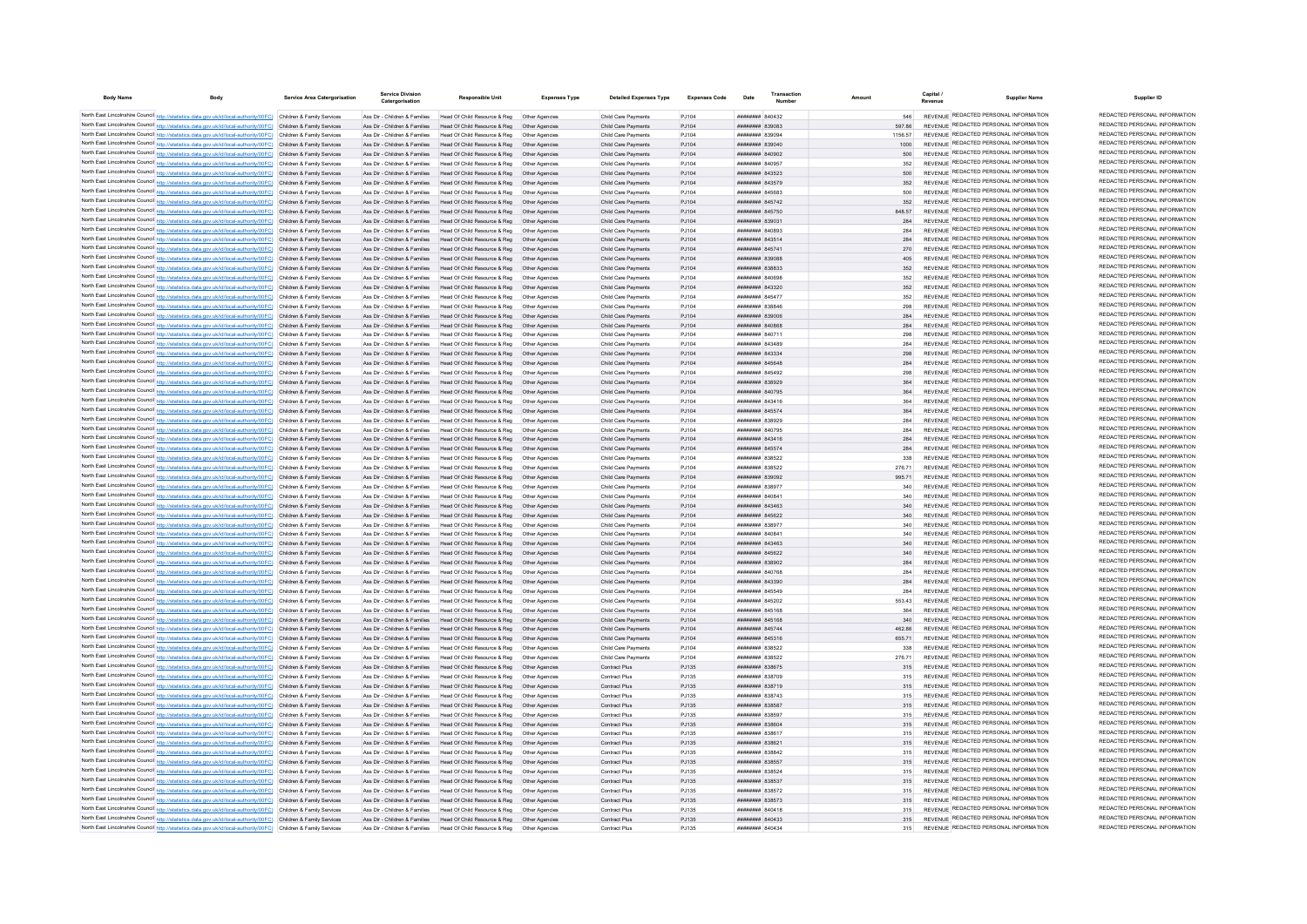| <b>Body Name</b> |                                                                                                                                                                                                                                        | Service Area Catergorisation | <b>Service Division</b><br>Catergorisation                     | <b>Responsible Unit</b>                                                                                                    | <b>Expenses Type</b>             | <b>Detailed Expenses Type</b>              | <b>Expenses Code</b> | Date                                            | Transaction |         |            | Capital /<br><b>Supplier Name</b><br>Revenue                                   | Supplier ID                                                    |
|------------------|----------------------------------------------------------------------------------------------------------------------------------------------------------------------------------------------------------------------------------------|------------------------------|----------------------------------------------------------------|----------------------------------------------------------------------------------------------------------------------------|----------------------------------|--------------------------------------------|----------------------|-------------------------------------------------|-------------|---------|------------|--------------------------------------------------------------------------------|----------------------------------------------------------------|
|                  | North East Lincolnshire Council http://statistics.data.gov.uk/id/local-authority/00FC) Children & Family Services                                                                                                                      |                              | Ass Dir - Children & Families                                  | Head Of Child Resource & Reg. Other Agencies                                                                               |                                  | Child Care Payments                        | P.1104               | <b>пппппппп</b> 840432                          |             |         | <b>546</b> | REVENUE REDACTED PERSONAL INFORMATION                                          | REDACTED PERSONAL INFORMATION                                  |
|                  | North East Lincolnshire Council http://statistics.data.gov.uk/id/local-authority/00FC) Children & Family Services                                                                                                                      |                              | Ass Dir - Children & Families                                  | Head Of Child Resource & Reg                                                                                               | Other Agencies                   | Child Care Payments                        | P.1104               | <b>пппппппп</b> 839083                          |             |         | 597 86     | REVENUE REDACTED PERSONAL INFORMATION                                          | REDACTED PERSONAL INFORMATION                                  |
|                  | North East Lincolnshire Council http://statistics.data.gov.uk/id/local-authority/00FC) Children & Family Services                                                                                                                      |                              | Ass Dir - Children & Families                                  | Head Of Child Resource & Reg                                                                                               | Other Anencies                   | Child Care Payments                        | P.1104               | ######## 83909                                  |             | 1156.57 |            | REVENUE REDACTED PERSONAL INFORMATION                                          | REDACTED PERSONAL INFORMATION                                  |
|                  | North East Lincolnshire Council http://statistics.data.gov.uk/id/local-authority/00FC) Children & Family Services                                                                                                                      |                              | Ass Dir - Children & Families                                  | Head Of Child Resource & Reg                                                                                               | Other Agencies                   | Child Care Payments                        | PJ104                | ######## 839040                                 |             |         | 1000       | REVENUE REDACTED PERSONAL INFORMATION                                          | REDACTED PERSONAL INFORMATION                                  |
|                  | North East Lincolnshire Council http://statistics.data.gov.uk/id/local-authority/00FC) Children & Family Services                                                                                                                      |                              | Ass Dir - Children & Families                                  | Head Of Child Resource & Reg                                                                                               | Other Agencies                   | Child Care Payments                        | PJ104                | <b>пппппппп</b> 840902                          |             |         | 500        | REVENUE REDACTED PERSONAL INFORMATION                                          | REDACTED PERSONAL INFORMATION                                  |
|                  | North East Lincolnshire Council http://statistics.data.gov.uk/id/local-authority/00FC) Children & Family Services                                                                                                                      |                              | Ass Dir - Children & Families                                  | Head Of Child Resource & Reg.                                                                                              | Other Agencies                   | Child Care Payments                        | PJ104                | <b>HHHHHHH</b> 840957                           |             |         | 352        | REVENUE REDACTED PERSONAL INFORMATION                                          | REDACTED PERSONAL INFORMATION                                  |
|                  | North East Lincolnshire Council http://statistics.data.gov.uk/id/local-authority/00FC) Children & Family Services                                                                                                                      |                              | Ass Dir - Children & Families                                  | Head Of Child Resource & Reg. Other Agencies                                                                               |                                  | Child Care Payments                        | P.1104               | <b>пппппппп</b> 843523                          |             |         | 500        | REVENUE REDACTED PERSONAL INFORMATION                                          | REDACTED PERSONAL INFORMATION                                  |
|                  | North East Lincolnshire Council http://statistics.data.gov.uk/id/local-authority/00FC) Children & Family Services                                                                                                                      |                              |                                                                | Ass Dir - Children & Families Head Of Child Resource & Reg Other Agencies                                                  |                                  | Child Care Payments                        | PJ104                | ######## 843579                                 |             |         | 352        | REVENUE REDACTED PERSONAL INFORMATION                                          | REDACTED PERSONAL INFORMATION                                  |
|                  | North East Lincolnshire Council http://statistics.data.gov.uk/id/local-authority/00FC) Children & Family Services                                                                                                                      |                              |                                                                | Ass Dir - Children & Families Head Of Child Resource & Reg Other Agencies                                                  |                                  | Child Care Payments                        | PJ104                | <b>иннинин</b> 845683                           |             |         | 500        | REVENUE REDACTED PERSONAL INFORMATION                                          | REDACTED PERSONAL INFORMATION                                  |
|                  | North East Lincolnshire Council http://statistics.data.gov.uk/id/local-authority/00FC) Children & Family Services                                                                                                                      |                              | Ass Dir - Children & Families                                  | Head Of Child Resource & Reg                                                                                               | Other Agencies                   | Child Care Payments                        | PJ104                | ######## 845742                                 |             |         |            | REVENUE REDACTED PERSONAL INFORMATION<br>REVENUE REDACTED PERSONAL INFORMATION | REDACTED PERSONAL INFORMATION<br>REDACTED PERSONAL INFORMATION |
|                  | North East Lincolnshire Council http://statistics.data.gov.uk/id/local-authority/00FC) Children & Family Services                                                                                                                      |                              | Ass Dir - Children & Families                                  | Head Of Child Resource & Reg                                                                                               | Other Agencies                   | Child Care Payments                        | PJ104                | ######## 845750                                 |             |         | 848.57     | REVENUE REDACTED PERSONAL INFORMATION                                          | REDACTED PERSONAL INFORMATION                                  |
|                  | North East Lincolnshire Council http://statistics.data.gov.uk/id/local-authority/00FC) Children & Family Services                                                                                                                      |                              | Ass Dir - Children & Families                                  | Head Of Child Resource & Reg                                                                                               | Other Agencies                   | Child Care Payments                        | P.1104               | E0239 RRHHHHH                                   |             |         | 284        | REVENUE REDACTED PERSONAL INFORMATION                                          | REDACTED PERSONAL INFORMATION                                  |
|                  | North East Lincolnshire Council http://statistics.data.gov.uk/id/local-authority/00FC) Children & Family Services                                                                                                                      |                              | Ass Dir - Children & Families<br>Ass Dir - Children & Families | Head Of Child Resource & Reg<br>Head Of Child Resource & Reg                                                               | Other Anencies                   | Child Care Payments<br>Child Care Payments | P.1104<br>PJ104      | <b>HRHHHHH RAOSS</b><br>####### 843514          |             |         | 284        | REVENUE REDACTED PERSONAL INFORMATION                                          | REDACTED PERSONAL INFORMATION                                  |
|                  | North East Lincolnshire Council http://statistics.data.gov.uk/id/local-authority/00FC) Children & Family Services<br>North East Lincolnshire Council http://statistics.data.gov.uk/id/local-authority/00FC) Children & Family Services |                              | Ass Dir - Children & Families                                  | Head Of Child Resource & Reg                                                                                               | Other Agencies                   | Child Care Payments                        | PJ104                | ####### 84574                                   |             |         | 284<br>270 | REVENUE REDACTED PERSONAL INFORMATION                                          | REDACTED PERSONAL INFORMATION                                  |
|                  | North East Lincolnshire Council http://statistics.data.gov.uk/id/local-authority/00FC) Children & Family Services                                                                                                                      |                              | Ass Dir - Children & Families                                  | Head Of Child Resource & Reg                                                                                               |                                  | Child Care Payments                        | PJ104                | ######## 83908                                  |             |         |            | REVENUE REDACTED PERSONAL INFORMATION                                          | REDACTED PERSONAL INFORMATION                                  |
|                  | North East Lincolnshire Council http://statistics.data.gov.uk/id/local-authority/00FC) Children & Family Services                                                                                                                      |                              | Ass Dir - Children & Families                                  | Head Of Child Resource & Reg                                                                                               | Other Agencies                   | Child Care Payments                        | PJ104                | <b>пппппппп</b> 838833                          |             |         | 352        | REVENUE REDACTED PERSONAL INFORMATION                                          | REDACTED PERSONAL INFORMATION                                  |
|                  | North East Lincolnshire Council http://statistics.data.gov.uk/id/local-authority/00FC) Children & Family Services                                                                                                                      |                              | Ass Dir - Children & Families                                  | Head Of Child Resource & Reg                                                                                               | Other Agencies                   | Child Care Payments                        | P.1104               | <b>HHHHHHH 840698</b>                           |             |         | 352        | REVENUE REDACTED PERSONAL INFORMATION                                          | REDACTED PERSONAL INFORMATION                                  |
|                  | North East Lincolnshire Council http://statistics.data.gov.uk/id/local-authority/00FC) Children & Family Services                                                                                                                      |                              | Ass Dir - Children & Families                                  | Head Of Child Resource & Reg                                                                                               | Other Agencies                   | Child Care Payments                        | PJ104                | <b>пппппппп</b> 843320                          |             |         | 352        | REVENUE REDACTED PERSONAL INFORMATION                                          | REDACTED PERSONAL INFORMATION                                  |
|                  | North East Lincolnshire Council http://statistics.data.gov.uk/id/local-authority/00FC) Children & Family Services                                                                                                                      |                              | Ass Dir - Children & Families                                  | Head Of Child Resource & Reg                                                                                               | Other Anencies                   | Child Care Payments                        | PJ104                | ####### 845477                                  |             |         | 352        | REVENUE REDACTED PERSONAL INFORMATION                                          | REDACTED PERSONAL INFORMATION                                  |
|                  | North East Lincolnshire Council http://statistics.data.gov.uk/id/local-authority/00FC) Children & Family Services                                                                                                                      |                              | Ass Dir - Children & Families                                  | Head Of Child Resource & Reg                                                                                               | Other Agencies                   | Child Care Payments                        | PJ104                | ####### 83884                                   |             |         | 298        | REVENUE REDACTED PERSONAL INFORMATION                                          | REDACTED PERSONAL INFORMATION                                  |
|                  | North East Lincolnshire Council http://statistics.data.gov.uk/id/local-authority/00FC) Children & Family Services                                                                                                                      |                              | Ass Dir - Children & Families                                  | Head Of Child Resource & Reg                                                                                               | Other Agencie                    | Child Care Payments                        | PJ104                | ######## 839006                                 |             |         | 284        | REVENUE REDACTED PERSONAL INFORMATION                                          | REDACTED PERSONAL INFORMATION                                  |
|                  | North East Lincolnshire Council http://statistics.data.gov.uk/id/local-authority/00FC) Children & Family Services                                                                                                                      |                              | Ass Dir - Children & Families                                  | Head Of Child Resource & Reg                                                                                               | Other Agencies                   | Child Care Payments                        | PJ104                | ######## 840868                                 |             |         | 284        | REVENUE REDACTED PERSONAL INFORMATION                                          | REDACTED PERSONAL INFORMATION                                  |
|                  | North East Lincolnshire Council http://statistics.data.gov.uk/id/local-authority/00FC) Children & Family Services                                                                                                                      |                              | Ass Dir - Children & Families                                  | Head Of Child Resource & Reg                                                                                               | Other Agencies                   | Child Care Payments                        | P.1104               | <b>HHHHHHH 840711</b>                           |             |         | 298        | REVENUE REDACTED PERSONAL INFORMATION                                          | REDACTED PERSONAL INFORMATION                                  |
|                  | North East Lincolnshire Council http://statistics.data.gov.uk/id/local-authority/00FC) Children & Family Services                                                                                                                      |                              | Ass Dir - Children & Families                                  | Head Of Child Resource & Reg                                                                                               | Other Agencie                    | Child Care Payments                        | P.1104               | ппинини 843489                                  |             |         | 284        | REVENUE REDACTED PERSONAL INFORMATION                                          | REDACTED PERSONAL INFORMATION<br>REDACTED PERSONAL INFORMATION |
|                  | North East Lincolnshire Council http://statistics.data.gov.uk/id/local-authority/00FC) Children & Family Services                                                                                                                      |                              | Ass Dir - Children & Families                                  | Head Of Child Resource & Reg                                                                                               | Other Agencies                   | Child Care Payments                        | PJ104                | ######## 843334                                 |             |         | 298        | REVENUE REDACTED PERSONAL INFORMATION<br>REVENUE REDACTED PERSONAL INFORMATION | REDACTED PERSONAL INFORMATION                                  |
|                  | North East Lincolnshire Council http://statistics.data.gov.uk/id/local-authority/00FC) Children & Family Services                                                                                                                      |                              | Ass Dir - Children & Families                                  | Head Of Child Resource & Reg                                                                                               | Other Agencie                    | Child Care Payments                        | PJ104                | ####### 845648                                  |             |         | 284        | REVENUE REDACTED PERSONAL INFORMATION                                          | REDACTED PERSONAL INFORMATION                                  |
|                  | North East Lincolnshire Council http://statistics.data.gov.uk/id/local-authority/00FC) Children & Family Services                                                                                                                      |                              | Ass Dir - Children & Families<br>Ass Dir - Children & Families | Head Of Child Resource & Reg                                                                                               | Other Agencie                    | Child Care Payments                        | PJ104                | ######## 845492<br>######## 838929              |             |         | 298<br>364 | REVENUE REDACTED PERSONAL INFORMATION                                          | REDACTED PERSONAL INFORMATION                                  |
|                  | North East Lincolnshire Council http://statistics.data.gov.uk/id/local-authority/00FC) Children & Family Services<br>North East Lincolnshire Council http://statistics.data.gov.uk/id/local-authority/00FC) Children & Family Services |                              | Ass Dir - Children & Families                                  | Head Of Child Resource & Reg<br>Head Of Child Resource & Reg                                                               | Other Agencies                   | Child Care Payments<br>Child Care Payments | PJ104<br>PJ104       | <b>HHHHHHH</b> 840795                           |             |         | 364        | REVENUE REDACTED PERSONAL INFORMATION                                          | REDACTED PERSONAL INFORMATION                                  |
|                  | North East Lincolnshire Council http://statistics.data.gov.uk/id/local-authority/00FC) Children & Family Services                                                                                                                      |                              | Ass Dir - Children & Families                                  | Head Of Child Resource & Reg                                                                                               | Other Anencies                   | Child Care Payments                        | PJ104                | <b>пппппппп</b> 843416                          |             |         | 364        | REVENUE REDACTED PERSONAL INFORMATION                                          | REDACTED PERSONAL INFORMATION                                  |
|                  | North East Lincolnshire Council http://statistics.data.gov.uk/id/local-authority/00FC) Children & Family Services                                                                                                                      |                              |                                                                | Ass Dir - Children & Families Head Of Child Resource & Reg. Other Agencies                                                 |                                  | Child Care Payments                        | P.1104               | <b>пппппппп</b> 845574                          |             |         | 364        | REVENUE REDACTED PERSONAL INFORMATION                                          | REDACTED PERSONAL INFORMATION                                  |
|                  | North East Lincolnshire Council http://statistics.data.gov.uk/id/local-authority/00FC) Children & Family Services                                                                                                                      |                              |                                                                | Ass Dir - Children & Families Head Of Child Resource & Reg   Other Agencies                                                |                                  | Child Care Payments                        | P.1104               | <b>иннинин</b> 838929                           |             |         | 284        | REVENUE REDACTED PERSONAL INFORMATION                                          | REDACTED PERSONAL INFORMATION                                  |
|                  | North East Lincolnshire Council http://statistics.data.gov.uk/id/local-authority/00FC) Children & Family Services                                                                                                                      |                              |                                                                | Ass Dir - Children & Families Head Of Child Resource & Reg                                                                 | Other Anencies                   | Child Care Payments                        | P.1104               | <b>HHHHHHH</b> 840795                           |             |         | 284        | REVENUE REDACTED PERSONAL INFORMATION                                          | REDACTED PERSONAL INFORMATION                                  |
|                  | North East Lincolnshire Council http://statistics.data.gov.uk/id/local-authority/00FC) Children & Family Services                                                                                                                      |                              | Ass Dir - Children & Families                                  | Head Of Child Resource & Reg                                                                                               | Other Agencies                   | Child Care Payments                        | PJ104                | ######## 843416                                 |             |         | 284        | REVENUE REDACTED PERSONAL INFORMATION                                          | REDACTED PERSONAL INFORMATION                                  |
|                  | North East Lincolnshire Council http://statistics.data.gov.uk/id/local-authority/00FC) Children & Family Services                                                                                                                      |                              |                                                                | Ass Dir - Children & Families Head Of Child Resource & Reg                                                                 | Other Agencies                   | Child Care Payments                        | P.1104               | <b>пппппппп</b> 845574                          |             |         | 284        | REVENUE REDACTED PERSONAL INFORMATION                                          | REDACTED PERSONAL INFORMATION                                  |
|                  | North East Lincolnshire Council http://statistics.data.gov.uk/id/local-authority/00FC) Children & Family Services                                                                                                                      |                              | Ass Dir - Children & Families                                  | Head Of Child Resource & Reg                                                                                               | Other Anencies                   | Child Care Payments                        | P.1104               | <b>пппппппп</b> 838522                          |             |         | 338        | REVENUE REDACTED PERSONAL INFORMATION                                          | REDACTED PERSONAL INFORMATION                                  |
|                  | North East Lincolnshire Council http://statistics.data.gov.uk/id/local-authority/00FC) Children & Family Services                                                                                                                      |                              | Ass Dir - Children & Families                                  | Head Of Child Resource & Reg                                                                                               | Other Anencies                   | Child Care Payments                        | P.1104               | <b><i>BBBBBBBB</i></b> 838522                   |             |         | 276.71     | REVENUE REDACTED PERSONAL INFORMATION                                          | REDACTED PERSONAL INFORMATION                                  |
|                  | North East Lincolnshire Council http://statistics.data.gov.uk/id/local-authority/00FC) Children & Family Services                                                                                                                      |                              | Ass Dir - Children & Families                                  | Head Of Child Resource & Reg                                                                                               | Other Agencies                   | Child Care Payments                        | P.1104               | <b>пппппппп</b> 839092                          |             |         | 995 71     | REVENUE REDACTED PERSONAL INFORMATION                                          | REDACTED PERSONAL INFORMATION                                  |
|                  | North East Lincolnshire Council http://statistics.data.gov.uk/id/local-authority/00FC) Children & Family Services                                                                                                                      |                              | Ass Dir - Children & Families                                  | Head Of Child Resource & Reg.                                                                                              | Other Anencies                   | Child Care Payments                        | P.1104               | <b>пппппппп</b> 83897                           |             |         | 340        | REVENUE REDACTED PERSONAL INFORMATION                                          | REDACTED PERSONAL INFORMATION<br>REDACTED PERSONAL INFORMATION |
|                  | North East Lincolnshire Council http://statistics.data.gov.uk/id/local-authority/00FC) Children & Family Services                                                                                                                      |                              | Ass Dir - Children & Families                                  | Head Of Child Resource & Reg                                                                                               |                                  | Child Care Payments                        | PJ104                | 84084 HERRHH                                    |             |         |            | REVENUE REDACTED PERSONAL INFORMATION<br>REVENUE REDACTED PERSONAL INFORMATION | REDACTED PERSONAL INFORMATION                                  |
|                  | North East Lincolnshire Council http://statistics.data.gov.uk/id/local-authority/00FC) Children & Family Services                                                                                                                      |                              | Ass Dir - Children & Families                                  | Head Of Child Resource & Reg                                                                                               | Other Agencies                   | Child Care Payments                        | PJ104                | <b>пппппппп</b> 843463                          |             |         | 340        | REVENUE REDACTED PERSONAL INFORMATION                                          | REDACTED PERSONAL INFORMATION                                  |
|                  | North East Lincolnshire Council http://statistics.data.gov.uk/id/local-authority/00FC) Children & Family Services                                                                                                                      |                              | Ass Dir - Children & Families                                  | Head Of Child Resource & Reg                                                                                               | Other Agencies                   | Child Care Payments                        | PJ104                | <b>пппппппп</b> 845622                          |             |         | 340        | REVENUE REDACTED PERSONAL INFORMATION                                          | REDACTED PERSONAL INFORMATION                                  |
|                  | North East Lincolnshire Council http://statistics.data.gov.uk/id/local-authority/00FC) Children & Family Services<br>North East Lincolnshire Council http://statistics.data.gov.uk/id/local-authority/00FC) Children & Family Services |                              | Ass Dir - Children & Families<br>Ass Dir - Children & Families | Head Of Child Resource & Reg<br>Head Of Child Resource & Reg                                                               | Other Anencies<br>Other Anencies | Child Care Payments<br>Child Care Payments | P.1104<br>PJ104      | <b><i>BREAGHAN 838977</i></b><br>ниннини влова- |             |         | 340<br>340 | REVENUE REDACTED PERSONAL INFORMATION                                          | REDACTED PERSONAL INFORMATION                                  |
|                  | North East Lincolnshire Council http://statistics.data.gov.uk/id/local-authority/00FC) Children & Family Services                                                                                                                      |                              | Ass Dir - Children & Families                                  | Head Of Child Resource & Reg                                                                                               | Other Agencies                   | Child Care Payments                        | PJ104                | <b>пппппппп</b> 843463                          |             |         | 340        | REVENUE REDACTED PERSONAL INFORMATION                                          | REDACTED PERSONAL INFORMATION                                  |
|                  | North East Lincolnshire Council http://statistics.data.gov.uk/id/local-authority/00FC) Children & Family Services                                                                                                                      |                              | Ass Dir - Children & Families                                  | Head Of Child Resource & Reg                                                                                               | Other Agencie                    | Child Care Payments                        | PJ104                | ######## 845622                                 |             |         |            | REVENUE REDACTED PERSONAL INFORMATION                                          | REDACTED PERSONAL INFORMATION                                  |
|                  | North East Lincolnshire Council http://statistics.data.gov.uk/id/local-authority/00FC) Children & Family Services                                                                                                                      |                              | Ass Dir - Children & Families                                  | Head Of Child Resource & Reg                                                                                               | Other Agencies                   | Child Care Payments                        | PJ104                | ######## 838902                                 |             |         | 284        | REVENUE REDACTED PERSONAL INFORMATION                                          | REDACTED PERSONAL INFORMATION                                  |
|                  | North East Lincolnshire Council http://statistics.data.gov.uk/id/local-authority/00FC) Children & Family Services                                                                                                                      |                              | Ass Dir - Children & Families                                  | Head Of Child Resource & Reg                                                                                               | Other Anencies                   | Child Care Payments                        | P.1104               | <b><i>BRENHHHH BAO768</i></b>                   |             |         | 284        | REVENUE REDACTED PERSONAL INFORMATION                                          | REDACTED PERSONAL INFORMATION                                  |
|                  | North East Lincolnshire Council http://statistics.data.gov.uk/id/local-authority/00FC) Children & Family Services                                                                                                                      |                              | Ass Dir - Children & Families                                  | Head Of Child Resource & Reg                                                                                               | Other Agencie                    | Child Care Payments                        | P.1104               | <b>пппппппп</b> 843390                          |             |         | 284        | REVENUE REDACTED PERSONAL INFORMATION                                          | REDACTED PERSONAL INFORMATION                                  |
|                  | North East Lincolnshire Council http://statistics.data.gov.uk/id/local-authority/00FC) Children & Family Services                                                                                                                      |                              | Ass Dir - Children & Families                                  | Head Of Child Resource & Reg                                                                                               | Other Agencies                   | Child Care Payments                        | PJ104                | ####### 845549                                  |             |         | 284        | REVENUE REDACTED PERSONAL INFORMATION                                          | REDACTED PERSONAL INFORMATION                                  |
|                  | North East Lincolnshire Council http://statistics.data.gov.uk/id/local-authority/00FC) Children & Family Services                                                                                                                      |                              | Ass Dir - Children & Families                                  | Head Of Child Resource & Reg                                                                                               | Other Agencie                    | Child Care Payments                        | PJ104                | ####### 845202                                  |             |         | 553.43     | REVENUE REDACTED PERSONAL INFORMATION                                          | REDACTED PERSONAL INFORMATION                                  |
|                  | North East Lincolnshire Council http://statistics.data.gov.uk/id/local-authority/00FC) Children & Family Services                                                                                                                      |                              | Ass Dir - Children & Families                                  | Head Of Child Resource & Reg                                                                                               |                                  | Child Care Payments                        | PJ104                | ####### 845168                                  |             |         | 364        | REVENUE REDACTED PERSONAL INFORMATION                                          | REDACTED PERSONAL INFORMATION                                  |
|                  | North East Lincolnshire Council http://statistics.data.gov.uk/id/local-authority/00FC) Children & Family Services                                                                                                                      |                              | Ass Dir - Children & Families                                  | Head Of Child Resource & Reg                                                                                               | Other Agencie                    | Child Care Payments                        | PJ104                | <b>HHHHHHH</b> 845168                           |             |         | 340        | REVENUE REDACTED PERSONAL INFORMATION                                          | REDACTED PERSONAL INFORMATION                                  |
|                  | North East Lincolnshire Council http://statistics.data.gov.uk/id/local-authority/00FC) Children & Family Services                                                                                                                      |                              | Ass Dir - Children & Families                                  | Head Of Child Resource & Reg  Other Agencies                                                                               |                                  | Child Care Payments                        | P.1104               | <b>HHHHHHH 845744</b>                           |             |         | 462.86     | REVENUE REDACTED PERSONAL INFORMATION                                          | REDACTED PERSONAL INFORMATION                                  |
|                  | North East Lincolnshire Council http://statistics.data.gov.uk/id/local-authority/00FC) Children & Family Services                                                                                                                      |                              |                                                                | Ass Dir - Children & Families Head Of Child Resource & Reg                                                                 | Other Agencies                   | Child Care Payments                        | P.1104               | <b>ППИНИНИ 845316</b>                           |             |         | 655 71     | REVENUE REDACTED PERSONAL INFORMATION                                          | REDACTED PERSONAL INFORMATION<br>REDACTED PERSONAL INFORMATION |
|                  | North East Lincolnshire Council http://statistics.data.gov.uk/id/local-authority/00FC) Children & Family Services                                                                                                                      |                              |                                                                | Ass Dir - Children & Families Head Of Child Resource & Reg Other Agencies                                                  |                                  | Child Care Payments                        | PJ104                | ######## 838522                                 |             |         | 338        | REVENUE REDACTED PERSONAL INFORMATION<br>REVENUE REDACTED PERSONAL INFORMATION | REDACTED PERSONAL INFORMATION                                  |
|                  | North East Lincolnshire Council http://statistics.data.gov.uk/id/local-authority/00FC) Children & Family Services                                                                                                                      |                              |                                                                | Ass Dir - Children & Families Head Of Child Resource & Reg Other Agencies                                                  |                                  | Child Care Payments                        | PJ104                | ####### 838522                                  |             |         | 276.71     | REVENUE REDACTED PERSONAL INFORMATION                                          | REDACTED PERSONAL INFORMATION                                  |
|                  | North East Lincolnshire Council http://statistics.data.gov.uk/id/local-authority/00FC) Children & Family Services                                                                                                                      |                              | Ass Dir - Children & Families                                  | Ass Dir - Children & Families Head Of Child Resource & Reg Other Agencies                                                  |                                  | Contract Plus                              | PJ135<br>PJ135       | ######## 838675<br>######## 838709              |             |         | 315        | REVENUE REDACTED PERSONAL INFORMATION                                          | REDACTED PERSONAL INFORMATION                                  |
|                  | North East Lincolnshire Council http://statistics.data.gov.uk/id/local-authority/00FC) Children & Family Services<br>North East Lincolnshire Council http://statistics.data.gov.uk/id/local-authority/00FC) Children & Family Services |                              |                                                                | Head Of Child Resource & Reg   Other Agencies<br>Ass Dir - Children & Families Head Of Child Resource & Reg Other Agencies |                                  | Contract Plus<br>Contract Plus             | PJ135                | ######## 838719                                 |             |         | 315        | REVENUE REDACTED PERSONAL INFORMATION                                          | REDACTED PERSONAL INFORMATION                                  |
|                  | North East Lincolnshire Council http://statistics.data.gov.uk/id/local-authority/00FC) Children & Family Services                                                                                                                      |                              | Ass Dir - Children & Families                                  | Head Of Child Resource & Reg  Other Agencies                                                                               |                                  | Contract Plus                              | PJ135                | <b>пппппппп</b> 838743                          |             |         | 315        | REVENUE REDACTED PERSONAL INFORMATION                                          | REDACTED PERSONAL INFORMATION                                  |
|                  | North East Lincolnshire Council http://statistics.data.gov.uk/id/local-authority/00FC) Children & Family Services                                                                                                                      |                              |                                                                | Ass Dir - Children & Families Head Of Child Resource & Reg                                                                 | Other Agencies                   | Contract Plus                              | PJ135                | ######## 838587                                 |             |         | 315        | REVENUE REDACTED PERSONAL INFORMATION                                          | REDACTED PERSONAL INFORMATION                                  |
|                  | North East Lincolnshire Council http://statistics.data.gov.uk/id/local-authority/00FC) Children & Family Services                                                                                                                      |                              | Ass Dir - Children & Families                                  | Head Of Child Resource & Reg                                                                                               | Other Agencie                    | Contract Plus                              | PJ135                | ####### 83859                                   |             |         | 315        | REVENUE REDACTED PERSONAL INFORMATION                                          | REDACTED PERSONAL INFORMATION                                  |
|                  | North East Lincolnshire Council http://statistics.data.gov.uk/id/local-authority/00FC) Children & Family Services                                                                                                                      |                              | Ass Dir - Children & Families                                  | Head Of Child Resource & Reg                                                                                               | Other Agencies                   | Contract Plus                              | PJ135                | ######## 838604                                 |             |         | 315        | REVENUE REDACTED PERSONAL INFORMATION                                          | REDACTED PERSONAL INFORMATION                                  |
|                  | North East Lincolnshire Council http://statistics.data.gov.uk/id/local-authority/00FC) Children & Family Services                                                                                                                      |                              | Ass Dir - Children & Families                                  | Head Of Child Resource & Reg                                                                                               |                                  | Contract Plus                              | PJ135                | ######## 838617                                 |             |         |            | <b>REVENUE REDACTED PERSONAL INFORMATION</b>                                   | REDACTED PERSONAL INFORMATION                                  |
|                  | North East Lincolnshire Council http://statistics.data.gov.uk/id/local-authority/00FC) Children & Family Services                                                                                                                      |                              | Ass Dir - Children & Families                                  | Head Of Child Resource & Reg   Other Agencies                                                                              |                                  | Contract Plus                              | PJ135                | <b><i>HHHHHHH 838621</i></b>                    |             |         | 315        | REVENUE REDACTED PERSONAL INFORMATION                                          | REDACTED PERSONAL INFORMATION                                  |
|                  | North East Lincolnshire Council http://statistics.data.gov.uk/id/local-authority/00FC). Children & Family Services                                                                                                                     |                              | Ass Dir - Children & Families                                  | Head Of Child Resource & Reg                                                                                               | Other Anencies                   | Contract Plus                              | PJ135                | HHHHHHH R38842                                  |             |         | 315        | REVENUE REDACTED PERSONAL INFORMATION                                          | REDACTED PERSONAL INFORMATION                                  |
|                  | North East Lincolnshire Council http://statistics.data.gov.uk/id/local-authority/00FC) Children & Family Services                                                                                                                      |                              |                                                                | Ass Dir - Children & Families Head Of Child Resource & Reg. Other Agencies                                                 |                                  | Contract Plus                              | P.1135               | <b><i>BRENHHHH</i></b> 838557                   |             |         | 315        | REVENUE REDACTED PERSONAL INFORMATION                                          | REDACTED PERSONAL INFORMATION                                  |
|                  | North East Lincolnshire Council http://statistics.data.gov.uk/id/local-authority/00FC) Children & Family Services                                                                                                                      |                              | Ass Dir - Children & Families                                  | Head Of Child Resource & Reg.                                                                                              | Other Agencies                   | Contract Plus                              | P.1135               | <b>пппппппп</b> 838524                          |             |         | 315        | REVENUE REDACTED PERSONAL INFORMATION                                          | REDACTED PERSONAL INFORMATION                                  |
|                  | North East Lincolnshire Council http://statistics.data.gov.uk/id/local-authority/00FC) Children & Family Services                                                                                                                      |                              |                                                                | Ass Dir - Children & Families Head Of Child Resource & Reg. Other Agencies                                                 |                                  | Contract Plus                              | PJ135                | ######## 838537                                 |             |         | 315        | REVENUE REDACTED PERSONAL INFORMATION                                          | REDACTED PERSONAL INFORMATION                                  |
|                  | North East Lincolnshire Council http://statistics.data.gov.uk/id/local-authority/00FC) Children & Family Services                                                                                                                      |                              | Ass Dir - Children & Families                                  | Head Of Child Resource & Reg                                                                                               | Other Agencie                    | Contract Plus                              | PJ135                | ######## 838572                                 |             |         | 315        | REVENUE REDACTED PERSONAL INFORMATION                                          | REDACTED PERSONAL INFORMATION<br>REDACTED PERSONAL INFORMATION |
|                  | North East Lincolnshire Council http://statistics.data.gov.uk/id/local-authority/00FC) Children & Family Services                                                                                                                      |                              |                                                                | Ass Dir - Children & Families Head Of Child Resource & Reg Other Agencies                                                  |                                  | Contract Plus                              | PJ135                | <b><i>BRENHHHH 838573</i></b>                   |             |         | 315        | REVENUE REDACTED PERSONAL INFORMATION                                          | REDACTED PERSONAL INFORMATION                                  |
|                  | North East Lincolnshire Council http://statistics.data.gov.uk/id/local-authority/00FC) Children & Family Services                                                                                                                      |                              | Ass Dir - Children & Families                                  | Head Of Child Resource & Reg                                                                                               | Other Agencie                    | Contract Plus                              | PJ135                | <b>ПЕВЕННИЯ</b> 840418                          |             |         | 315        | REVENUE REDACTED PERSONAL INFORMATION<br>REVENUE REDACTED PERSONAL INFORMATION | REDACTED PERSONAL INFORMATION                                  |
|                  | North East Lincolnshire Council http://statistics.data.gov.uk/id/local-authority/00FC) Children & Family Services<br>North East Lincolnshire Council http://statistics.data.gov.uk/id/local-authority/00FC) Children & Family Services |                              | Ass Dir - Children & Families                                  | Ass Dir - Children & Families Head Of Child Resource & Reg. Other Agencies<br>Head Of Child Resource & Reg                 | Other Anencie                    | Contract Plus<br>Contract Plus             | P.1135<br>P.1135     | <b>пппппппп</b> 840433<br>ниннини вараза        |             |         | 315<br>315 | REVENUE REDACTED PERSONAL INFORMATION                                          | REDACTED PERSONAL INFORMATION                                  |
|                  |                                                                                                                                                                                                                                        |                              |                                                                |                                                                                                                            |                                  |                                            |                      |                                                 |             |         |            |                                                                                |                                                                |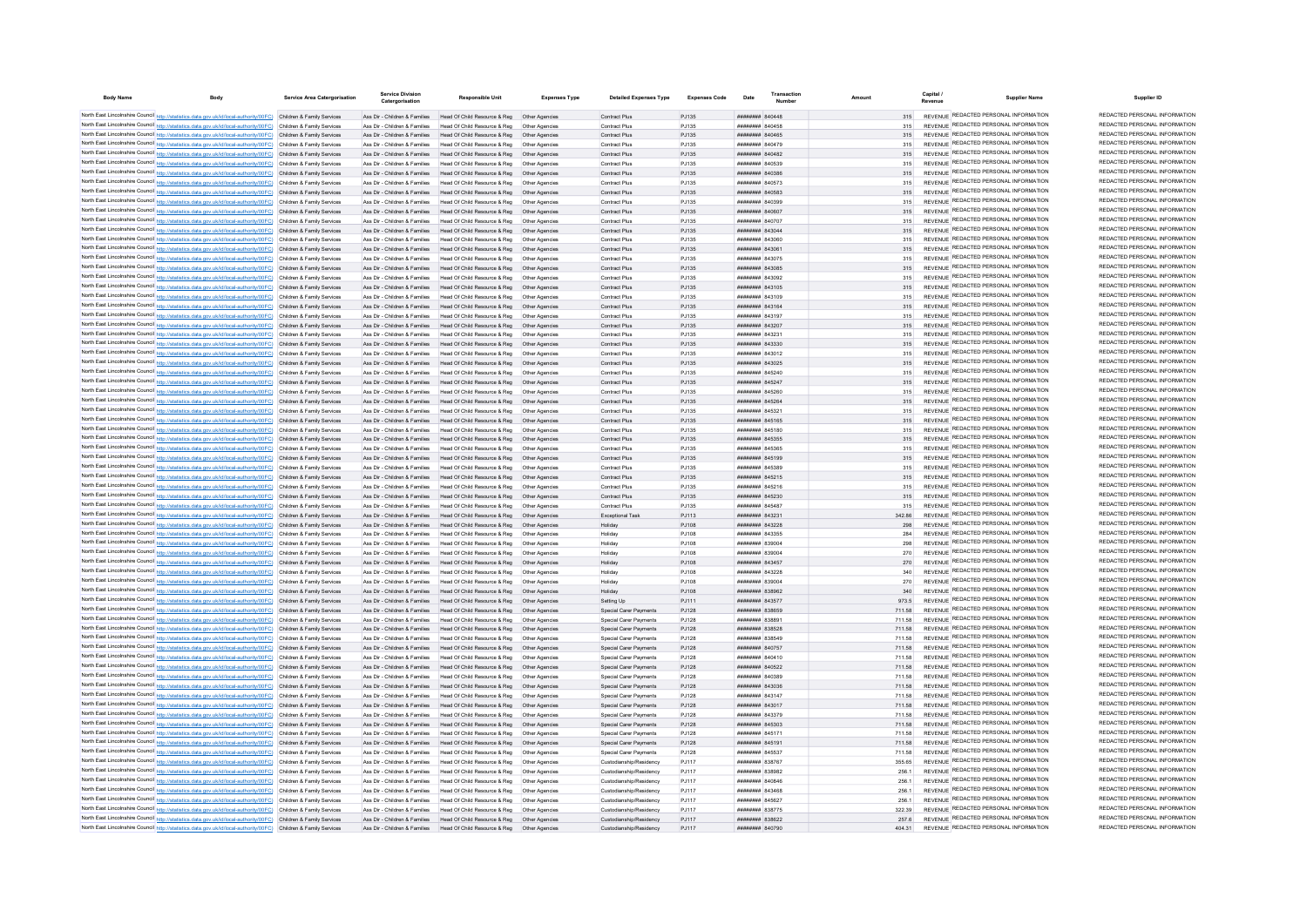| <b>Body Name</b> |                                                                                                                                                                                                                                        | Service Area Catergorisation | <b>Service Division</b><br>Catergorisation                     | <b>Responsible Unit</b>                                                                                                                                 | <b>Expenses Type</b> | <b>Detailed Expenses Type</b>                      | <b>Expenses Code</b> | Date                                            | Transaction |                  | Capital /<br><b>Supplier Name</b><br>Revenue                                   | Supplier ID                                                    |
|------------------|----------------------------------------------------------------------------------------------------------------------------------------------------------------------------------------------------------------------------------------|------------------------------|----------------------------------------------------------------|---------------------------------------------------------------------------------------------------------------------------------------------------------|----------------------|----------------------------------------------------|----------------------|-------------------------------------------------|-------------|------------------|--------------------------------------------------------------------------------|----------------------------------------------------------------|
|                  | North East Lincolnshire Council http://statistics.data.gov.uk/id/local-authority/00FC) Children & Family Services                                                                                                                      |                              |                                                                | Ass Dir - Children & Families Head Of Child Resource & Reg. Other Agencies                                                                              |                      | Contract Plus                                      | P.1135               | HHHHHHH 840448                                  |             | 315              | REVENUE REDACTED PERSONAL INFORMATION                                          | REDACTED PERSONAL INFORMATION                                  |
|                  | North East Lincolnshire Council http://statistics.data.gov.uk/id/local-authority/00FC) Children & Family Services                                                                                                                      |                              | Ass Dir - Children & Families                                  | Head Of Child Resource & Reg. Other Agencies                                                                                                            |                      | Contract Plus                                      | P.1135               | <b>########</b> 840458                          |             | 315              | REVENUE REDACTED PERSONAL INFORMATION                                          | REDACTED PERSONAL INFORMATION                                  |
|                  | North East Lincolnshire Council http://statistics.data.gov.uk/id/local-authority/00FC) Children & Family Services                                                                                                                      |                              | Ass Dir - Children & Families                                  | Head Of Child Resource & Reg. Other Agencies                                                                                                            |                      | Contract Plus                                      | P.1135               | <b>HHHHHHH</b> 840465                           |             |                  | REVENUE REDACTED PERSONAL INFORMATION                                          | REDACTED PERSONAL INFORMATION                                  |
|                  | North East Lincolnshire Council http://statistics.data.gov.uk/id/local-authority/00FC) Children & Family Services                                                                                                                      |                              | Ass Dir - Children & Families                                  | Head Of Child Resource & Reg                                                                                                                            | Other Agencies       | Contract Plus                                      | PJ135                | <b>HHHHHHH 840479</b>                           |             |                  | REVENUE REDACTED PERSONAL INFORMATION                                          | REDACTED PERSONAL INFORMATION                                  |
|                  | North East Lincolnshire Council http://statistics.data.gov.uk/id/local-authority/00FC) Children & Family Services                                                                                                                      |                              | Ass Dir - Children & Families                                  | Head Of Child Resource & Reg  Other Agencies                                                                                                            |                      | Contract Plus                                      | PJ135                | HHHHHHH 840482                                  |             | 315              | REVENUE REDACTED PERSONAL INFORMATION                                          | REDACTED PERSONAL INFORMATION                                  |
|                  | North East Lincolnshire Council http://statistics.data.gov.uk/id/local-authority/00FC) Children & Family Services                                                                                                                      |                              | Ass Dir - Children & Families                                  | Head Of Child Resource & Reg                                                                                                                            | Other Anencies       | Contract Plus                                      | PJ135                | BEZONA HHHHHHH                                  |             | 315              | REVENUE REDACTED PERSONAL INFORMATION                                          | REDACTED PERSONAL INFORMATION                                  |
|                  | North East Lincolnshire Council http://statistics.data.gov.uk/id/local-authority/00FC) Children & Family Services                                                                                                                      |                              |                                                                | Ass Dir - Children & Families Head Of Child Resource & Reg Other Agencies                                                                               |                      | Contract Plus                                      | P.1135               | <b>пппппппп</b> 840386                          |             | 315              | REVENUE REDACTED PERSONAL INFORMATION                                          | REDACTED PERSONAL INFORMATION                                  |
|                  | North East Lincolnshire Council http://statistics.data.gov.uk/id/local-authority/00FC) Children & Family Services                                                                                                                      |                              |                                                                | Ass Dir - Children & Families Head Of Child Resource & Reg  Other Agencies                                                                              |                      | Contract Plus                                      | PJ135                | ######## 840573                                 |             | 315              | REVENUE REDACTED PERSONAL INFORMATION                                          | REDACTED PERSONAL INFORMATION                                  |
|                  | North East Lincolnshire Council http://statistics.data.gov.uk/id/local-authority/00FC) Children & Family Services                                                                                                                      |                              |                                                                | Ass Dir - Children & Families Head Of Child Resource & Reg Other Agencies                                                                               |                      | Contract Plus                                      | PJ135                | ######## 840583                                 |             | 315              | REVENUE REDACTED PERSONAL INFORMATION                                          | REDACTED PERSONAL INFORMATION                                  |
|                  | North East Lincolnshire Council http://statistics.data.gov.uk/id/local-authority/00FC) Children & Family Services                                                                                                                      |                              | Ass Dir - Children & Families                                  | Head Of Child Resource & Reg  Other Agencies                                                                                                            |                      | Contract Plus                                      | PJ135                | ######## 840399                                 |             | 315              | REVENUE REDACTED PERSONAL INFORMATION                                          | REDACTED PERSONAL INFORMATION<br>REDACTED PERSONAL INFORMATION |
|                  | North East Lincolnshire Council http://statistics.data.gov.uk/id/local-authority/00FC) Children & Family Services                                                                                                                      |                              |                                                                | Ass Dir - Children & Families Head Of Child Resource & Reg Other Agencies                                                                               |                      | <b>Contract Plus</b>                               | PJ135                | ######## 840607                                 |             | 315              | REVENUE REDACTED PERSONAL INFORMATION<br>REVENUE REDACTED PERSONAL INFORMATION | REDACTED PERSONAL INFORMATION                                  |
|                  | North East Lincolnshire Council http://statistics.data.gov.uk/id/local-authority/00FC) Children & Family Services                                                                                                                      |                              | Ass Dir - Children & Families                                  | Head Of Child Resource & Reg  Other Agencies                                                                                                            |                      | Contract Plus                                      | P.1135               | <b>HHHHHHH 84070</b>                            |             | 315              | REVENUE REDACTED PERSONAL INFORMATION                                          | REDACTED PERSONAL INFORMATION                                  |
|                  | North East Lincolnshire Council http://statistics.data.gov.uk/id/local-authority/00FC) Children & Family Services<br>North East Lincolnshire Council http://statistics.data.gov.uk/id/local-authority/00FC) Children & Family Services |                              | Ass Dir - Children & Families                                  | Ass Dir - Children & Families Head Of Child Resource & Reg. Other Agencies<br>Head Of Child Resource & Reg                                              | Other Anencies       | Contract Plus                                      | P.1135<br>P.1135     | <b>пппнннн</b> 843044<br><b>иннинин</b> 843060  |             | 315<br>315       | REVENUE REDACTED PERSONAL INFORMATION                                          | REDACTED PERSONAL INFORMATION                                  |
|                  | North East Lincolnshire Council http://statistics.data.gov.uk/id/local-authority/00FC) Children & Family Services                                                                                                                      |                              | Ass Dir - Children & Families                                  | Head Of Child Resource & Reg                                                                                                                            |                      | Contract Plus<br>Contract Plus                     | PJ135                | ######## 84306                                  |             |                  | REVENUE REDACTED PERSONAL INFORMATION                                          | REDACTED PERSONAL INFORMATION                                  |
|                  | North East Lincolnshire Council http://statistics.data.gov.uk/id/local-authority/00FC) Children & Family Services                                                                                                                      |                              | Ass Dir - Children & Families                                  | Head Of Child Resource & Reg                                                                                                                            |                      | Contract Plus                                      | PJ135                | ######## 843075                                 |             |                  | REVENUE REDACTED PERSONAL INFORMATION                                          | REDACTED PERSONAL INFORMATION                                  |
|                  | North East Lincolnshire Council http://statistics.data.gov.uk/id/local-authority/00FC) Children & Family Services                                                                                                                      |                              | Ass Dir - Children & Families                                  | Head Of Child Resource & Reg                                                                                                                            | Other Agencies       | Contract Plus                                      | PJ135                | <b>пппппппп</b> 843085                          |             | 315              | REVENUE REDACTED PERSONAL INFORMATION                                          | REDACTED PERSONAL INFORMATION                                  |
|                  | North East Lincolnshire Council http://statistics.data.gov.uk/id/local-authority/00FC) Children & Family Services                                                                                                                      |                              | Ass Dir - Children & Families                                  | Head Of Child Resource & Reg. Other Agencies                                                                                                            |                      | Contract Plus                                      | P.1135               | <b>пппппппп</b> 843092                          |             | 315              | REVENUE REDACTED PERSONAL INFORMATION                                          | REDACTED PERSONAL INFORMATION                                  |
|                  | North East Lincolnshire Council http://statistics.data.gov.uk/id/local-authority/00FC) Children & Family Services                                                                                                                      |                              | Ass Dir - Children & Families                                  | Head Of Child Resource & Reg                                                                                                                            | Other Agencies       | Contract Plus                                      | PJ135                | <b>HHHHHHH 843105</b>                           |             | 315              | REVENUE REDACTED PERSONAL INFORMATION                                          | REDACTED PERSONAL INFORMATION                                  |
|                  | North East Lincolnshire Council http://statistics.data.gov.uk/id/local-authority/00FC) Children & Family Services                                                                                                                      |                              | Ass Dir - Children & Families                                  | Head Of Child Resource & Reg                                                                                                                            | Other Agencies       | Contract Plus                                      | PJ135                | <b>HUHHHHH 843109</b>                           |             | 315              | REVENUE REDACTED PERSONAL INFORMATION                                          | REDACTED PERSONAL INFORMATION                                  |
|                  | North East Lincolnshire Council http://statistics.data.gov.uk/id/local-authority/00FC) Children & Family Services                                                                                                                      |                              | Ass Dir - Children & Families                                  | Head Of Child Resource & Reg  Other Agencies                                                                                                            |                      | Contract Plus                                      | PJ135                | ####### 84316                                   |             | 315              | REVENUE REDACTED PERSONAL INFORMATION                                          | REDACTED PERSONAL INFORMATION                                  |
|                  | North East Lincolnshire Council http://statistics.data.gov.uk/id/local-authority/00FC) Children & Family Services                                                                                                                      |                              | Ass Dir - Children & Families                                  | Head Of Child Resource & Reg                                                                                                                            | Other Agencie        | Contract Plus                                      | PJ135                | ####### 843197                                  |             | 315              | REVENUE REDACTED PERSONAL INFORMATION                                          | REDACTED PERSONAL INFORMATION                                  |
|                  | North East Lincolnshire Council http://statistics.data.gov.uk/id/local-authority/00FC) Children & Family Services                                                                                                                      |                              | Ass Dir - Children & Families                                  | Head Of Child Resource & Reg                                                                                                                            | Other Agencies       | Contract Plus                                      | PJ135                | ######## 843207                                 |             | 315              | REVENUE REDACTED PERSONAL INFORMATION                                          | REDACTED PERSONAL INFORMATION                                  |
|                  | North East Lincolnshire Council http://statistics.data.gov.uk/id/local-authority/00FC) Children & Family Services                                                                                                                      |                              | Ass Dir - Children & Families                                  | Head Of Child Resource & Reg                                                                                                                            | Other Agencies       | Contract Plus                                      | P.1135               | <b>пппппппп</b> 843231                          |             | 315              | REVENUE REDACTED PERSONAL INFORMATION                                          | REDACTED PERSONAL INFORMATION                                  |
|                  | North East Lincolnshire Council http://statistics.data.gov.uk/id/local-authority/00FC) Children & Family Services                                                                                                                      |                              | Ass Dir - Children & Families                                  | Head Of Child Resource & Reg                                                                                                                            | Other Agencies       | Contract Plus                                      | PJ135                | ######## 843330                                 |             | 315              | REVENUE REDACTED PERSONAL INFORMATION                                          | REDACTED PERSONAL INFORMATION<br>REDACTED PERSONAL INFORMATION |
|                  | North East Lincolnshire Council http://statistics.data.gov.uk/id/local-authority/00FC) Children & Family Services                                                                                                                      |                              | Ass Dir - Children & Families                                  | Head Of Child Resource & Reg                                                                                                                            | Other Agencies       | Contract Plus                                      | PJ135                | ####### 843012                                  |             | 315              | REVENUE REDACTED PERSONAL INFORMATION<br>REVENUE REDACTED PERSONAL INFORMATION | REDACTED PERSONAL INFORMATION                                  |
|                  | North East Lincolnshire Council http://statistics.data.gov.uk/id/local-authority/00FC) Children & Family Services                                                                                                                      |                              | Ass Dir - Children & Families                                  | Head Of Child Resource & Reg                                                                                                                            | Other Agencies       | Contract Plus                                      | PJ135                | ####### 843025                                  |             | 315              | REVENUE REDACTED PERSONAL INFORMATION                                          | REDACTED PERSONAL INFORMATION                                  |
|                  | North East Lincolnshire Council http://statistics.data.gov.uk/id/local-authority/00FC) Children & Family Services                                                                                                                      |                              | Ass Dir - Children & Families                                  | Head Of Child Resource & Reg                                                                                                                            | Other Agencie        | Contract Plus                                      | PJ135                | ####### 845240<br>######## 845247               |             | 315              | REVENUE REDACTED PERSONAL INFORMATION                                          | REDACTED PERSONAL INFORMATION                                  |
|                  | North East Lincolnshire Council http://statistics.data.gov.uk/id/local-authority/00FC) Children & Family Services<br>North East Lincolnshire Council http://statistics.data.gov.uk/id/local-authority/00FC) Children & Family Services |                              | Ass Dir - Children & Families<br>Ass Dir - Children & Families | Head Of Child Resource & Reg<br>Head Of Child Resource & Reg                                                                                            | Other Anencies       | Contract Plus<br>Contract Plus                     | PJ135<br>PJ135       | <b>HHHHHHH</b> 845260                           |             | 315              | REVENUE REDACTED PERSONAL INFORMATION                                          | REDACTED PERSONAL INFORMATION                                  |
|                  | North East Lincolnshire Council http://statistics.data.gov.uk/id/local-authority/00FC) Children & Family Services                                                                                                                      |                              | Ass Dir - Children & Femilies                                  | Head Of Child Resource & Reg                                                                                                                            | Other Anencies       | Contract Plus                                      | PJ135                | <b>HHHHHHH</b> 845264                           |             | 315              | REVENUE REDACTED PERSONAL INFORMATION                                          | REDACTED PERSONAL INFORMATION                                  |
|                  | North East Lincolnshire Council http://statistics.data.gov.uk/id/local-authority/00FC) Children & Family Services                                                                                                                      |                              |                                                                | Ass Dir - Children & Families Head Of Child Resource & Reg. Other Agencies                                                                              |                      | Contract Plus                                      | P.1135               | <b>иннинин</b> 845321                           |             | 315              | REVENUE REDACTED PERSONAL INFORMATION                                          | REDACTED PERSONAL INFORMATION                                  |
|                  | North East Lincolnshire Council http://statistics.data.gov.uk/id/local-authority/00FC) Children & Family Services                                                                                                                      |                              |                                                                | Ass Dir - Children & Families Head Of Child Resource & Reg Other Agencies                                                                               |                      | Contract Plus                                      | P.1135               | <b>HHHHHHH</b> 845165                           |             | 315              | REVENUE REDACTED PERSONAL INFORMATION                                          | REDACTED PERSONAL INFORMATION                                  |
|                  | North East Lincolnshire Council http://statistics.data.gov.uk/id/local-authority/00FC) Children & Family Services                                                                                                                      |                              |                                                                | Ass Dir - Children & Families Head Of Child Resource & Reg. Other Agencies                                                                              |                      | Contract Plus                                      | P.1135               | <b>####### 845180</b>                           |             | 315              | REVENUE REDACTED PERSONAL INFORMATION                                          | REDACTED PERSONAL INFORMATION                                  |
|                  | North East Lincolnshire Council http://statistics.data.gov.uk/id/local-authority/00FC) Children & Family Services                                                                                                                      |                              |                                                                | Ass Dir - Children & Families Head Of Child Resource & Reg  Other Agencies                                                                              |                      | Contract Plus                                      | PJ135                | ####### 845355                                  |             |                  | REVENUE REDACTED PERSONAL INFORMATION                                          | REDACTED PERSONAL INFORMATION                                  |
|                  | North East Lincolnshire Council http://statistics.data.gov.uk/id/local-authority/00FC) Children & Family Services                                                                                                                      |                              | Ass Dir - Children & Families                                  | Head Of Child Resource & Reg  Other Agencies                                                                                                            |                      | Contract Plus                                      | P.1135               | <b>пппппппп</b> 845365                          |             | 315              | REVENUE REDACTED PERSONAL INFORMATION                                          | REDACTED PERSONAL INFORMATION                                  |
|                  | North East Lincolnshire Council http://statistics.data.gov.uk/id/local-authority/00FC) Children & Family Services                                                                                                                      |                              |                                                                | Ass Dir - Children & Families Head Of Child Resource & Reg. Other Agencies                                                                              |                      | Contract Plus                                      | P.1135               | <b>HHHHHHH 845199</b>                           |             | 315              | REVENUE REDACTED PERSONAL INFORMATION                                          | REDACTED PERSONAL INFORMATION                                  |
|                  | North East Lincolnshire Council http://statistics.data.gov.uk/id/local-authority/00FC) Children & Family Services                                                                                                                      |                              | Ass Dir - Children & Families                                  | Head Of Child Resource & Reg. Other Agencies                                                                                                            |                      | Contract Plus                                      | P.1135               | <b><i>BREADER BASSES</i></b>                    |             | 315              | REVENUE REDACTED PERSONAL INFORMATION                                          | REDACTED PERSONAL INFORMATION                                  |
|                  | North East Lincolnshire Council http://statistics.data.gov.uk/id/local-authority/00FC) Children & Family Services                                                                                                                      |                              | Ass Dir - Children & Families                                  | Head Of Child Resource & Reg                                                                                                                            | Other Anencies       | Contract Plus                                      | P.1135               | <b>ППИНИНИ 845215</b>                           |             | 315              | REVENUE REDACTED PERSONAL INFORMATION                                          | REDACTED PERSONAL INFORMATION                                  |
|                  | North East Lincolnshire Council http://statistics.data.gov.uk/id/local-authority/00FC) Children & Family Services                                                                                                                      |                              | Ass Dir - Children & Families                                  | Head Of Child Resource & Reg                                                                                                                            | Other Anencies       | Contract Plus                                      | P.1135               | <b>ППИНИНИ 845216</b>                           |             | 315              | REVENUE REDACTED PERSONAL INFORMATION                                          | REDACTED PERSONAL INFORMATION<br>REDACTED PERSONAL INFORMATION |
|                  | North East Lincolnshire Council http://statistics.data.gov.uk/id/local-authority/00FC) Children & Family Services                                                                                                                      |                              | Ass Dir - Children & Families                                  | Head Of Child Resource & Reg                                                                                                                            |                      | Contract Plus                                      | PJ135                | ######## 845230                                 |             | 315              | REVENUE REDACTED PERSONAL INFORMATION<br>REVENUE REDACTED PERSONAL INFORMATION | REDACTED PERSONAL INFORMATION                                  |
|                  | North East Lincolnshire Council http://statistics.data.gov.uk/id/local-authority/00FC) Children & Family Services                                                                                                                      |                              | Ass Dir - Children & Families                                  | Head Of Child Resource & Reg                                                                                                                            | Other Anencies       | Contract Plus                                      | P.1135               | <b><i>BREAMAN BASAR7</i></b>                    |             | 315              | REVENUE REDACTED PERSONAL INFORMATION                                          | REDACTED PERSONAL INFORMATION                                  |
|                  | North East Lincolnshire Council http://statistics.data.gov.uk/id/local-authority/00FC) Children & Family Services                                                                                                                      |                              | Ass Dir - Children & Families                                  | Head Of Child Resource & Reg                                                                                                                            | Other Agencies       | Exceptional Task                                   | PJ113                | <b>пппппппп</b> 843231                          |             | 342.86           | REVENUE REDACTED PERSONAL INFORMATION                                          | REDACTED PERSONAL INFORMATION                                  |
|                  | North East Lincolnshire Council http://statistics.data.gov.uk/id/local-authority/00FC) Children & Family Services<br>North East Lincolnshire Council http://statistics.data.gov.uk/id/local-authority/00FC) Children & Family Services |                              | Ass Dir - Children & Families<br>Ass Dir - Children & Families | Head Of Child Resource & Reg<br>Head Of Child Resource & Reg   Other Agencies                                                                           | Other Agencies       | Holiday<br>Holidav                                 | P.1108<br>PJ108      | <b>ПППППППП 843228</b><br><b>HHHHHHH 843355</b> |             | 298<br>284       | REVENUE REDACTED PERSONAL INFORMATION                                          | REDACTED PERSONAL INFORMATION                                  |
|                  | North East Lincolnshire Council http://statistics.data.gov.uk/id/local-authority/00FC) Children & Family Services                                                                                                                      |                              | Ass Dir - Children & Families                                  | Head Of Child Resource & Reg. Other Agencies                                                                                                            |                      | Holidav                                            | PJ108                | ######## 839004                                 |             | 298              | REVENUE REDACTED PERSONAL INFORMATION                                          | REDACTED PERSONAL INFORMATION                                  |
|                  | North East Lincolnshire Council http://statistics.data.gov.uk/id/local-authority/00FC) Children & Family Services                                                                                                                      |                              | Ass Dir - Children & Families                                  | Head Of Child Resource & Reg                                                                                                                            | Other Agencie        | Holiday                                            | PJ108                | ######## 839004                                 |             |                  | REVENUE REDACTED PERSONAL INFORMATION                                          | REDACTED PERSONAL INFORMATION                                  |
|                  | North East Lincolnshire Council http://statistics.data.gov.uk/id/local-authority/00FC) Children & Family Services                                                                                                                      |                              | Ass Dir - Children & Families                                  | Head Of Child Resource & Reg                                                                                                                            | Other Agencies       | Holiday                                            | PJ108                | ######## 843457                                 |             | 270              | REVENUE REDACTED PERSONAL INFORMATION                                          | REDACTED PERSONAL INFORMATION                                  |
|                  | North East Lincolnshire Council http://statistics.data.gov.uk/id/local-authority/00FC) Children & Family Services                                                                                                                      |                              | Ass Dir - Children & Families                                  | Head Of Child Resource & Reg                                                                                                                            | Other Anencies       | Holiday                                            | P.1108               | <b>ПППННННН</b> 843228                          |             | 340              | REVENUE REDACTED PERSONAL INFORMATION                                          | REDACTED PERSONAL INFORMATION                                  |
|                  | North East Lincolnshire Council http://statistics.data.gov.uk/id/local-authority/00FC) Children & Family Services                                                                                                                      |                              | Ass Dir - Children & Families                                  | Head Of Child Resource & Reg                                                                                                                            | Other Anencies       | Holiday                                            | P.1108               | <b>BOOSS MERRERARY</b>                          |             | 270              | REVENUE REDACTED PERSONAL INFORMATION                                          | REDACTED PERSONAL INFORMATION                                  |
|                  | North East Lincolnshire Council http://statistics.data.gov.uk/id/local-authority/00FC) Children & Family Services                                                                                                                      |                              | Ass Dir - Children & Families                                  | Head Of Child Resource & Reg                                                                                                                            | Other Agencies       | Holidav                                            | PJ108                | ######## 838962                                 |             | 340              | REVENUE REDACTED PERSONAL INFORMATION                                          | REDACTED PERSONAL INFORMATION                                  |
|                  | North East Lincolnshire Council http://statistics.data.gov.uk/id/local-authority/00FC) Children & Family Services                                                                                                                      |                              | Ass Dir - Children & Families                                  | Head Of Child Resource & Reg                                                                                                                            | Other Agencie        | Setting Up                                         | PJ111                | ####### 84357                                   |             | 973.5            | REVENUE REDACTED PERSONAL INFORMATION                                          | REDACTED PERSONAL INFORMATION                                  |
|                  | North East Lincolnshire Council http://statistics.data.gov.uk/id/local-authority/00FC) Children & Family Services                                                                                                                      |                              | Ass Dir - Children & Families                                  | Head Of Child Resource & Reg                                                                                                                            |                      | Special Carer Payments                             | PJ128                | ######## 838659                                 |             | 711.58           | REVENUE REDACTED PERSONAL INFORMATION                                          | REDACTED PERSONAL INFORMATION                                  |
|                  | North East Lincolnshire Council http://statistics.data.gov.uk/id/local-authority/00FC) Children & Family Services                                                                                                                      |                              | Ass Dir - Children & Families                                  | Head Of Child Resource & Reg                                                                                                                            | Other Agencies       | Special Carer Payments                             | PJ128                | RARER MUNICIPAL                                 |             | 711.58           | REVENUE REDACTED PERSONAL INFORMATION                                          | REDACTED PERSONAL INFORMATION                                  |
|                  | North East Lincolnshire Council http://statistics.data.gov.uk/id/local-authority/00FC) Children & Family Services                                                                                                                      |                              |                                                                | Ass Dir - Children & Families Head Of Child Resource & Reg  Other Agencies                                                                              |                      | Special Carer Payments                             | PJ128                | <b>пппппппп</b> 838528                          |             | 711.58           | REVENUE REDACTED PERSONAL INFORMATION                                          | REDACTED PERSONAL INFORMATION                                  |
|                  | North East Lincolnshire Council http://statistics.data.gov.uk/id/local-authority/00FC) Children & Family Services                                                                                                                      |                              | Ass Dir - Children & Families                                  | Head Of Child Resource & Reg. Other Agencies                                                                                                            |                      | Special Carer Payments                             | P.1128               | <b>пппппппп</b> 838549                          |             | 711.58           | REVENUE REDACTED PERSONAL INFORMATION                                          | REDACTED PERSONAL INFORMATION<br>REDACTED PERSONAL INFORMATION |
|                  | North East Lincolnshire Council http://statistics.data.gov.uk/id/local-authority/00FC) Children & Family Services                                                                                                                      |                              |                                                                | Ass Dir - Children & Families Head Of Child Resource & Reg Other Agencies                                                                               |                      | Special Carer Payments                             | PJ128                | ######## 840757                                 |             | 711.58           | REVENUE REDACTED PERSONAL INFORMATION<br>REVENUE REDACTED PERSONAL INFORMATION | REDACTED PERSONAL INFORMATION                                  |
|                  | North East Lincolnshire Council http://statistics.data.gov.uk/id/local-authority/00FC) Children & Family Services                                                                                                                      |                              |                                                                | Ass Dir - Children & Families Head Of Child Resource & Reg Other Agencies                                                                               |                      | Special Carer Payments                             | PJ128                | ####### 840410                                  |             | 711.58           | REVENUE REDACTED PERSONAL INFORMATION                                          | REDACTED PERSONAL INFORMATION                                  |
|                  | North East Lincolnshire Council http://statistics.data.gov.uk/id/local-authority/00FC) Children & Family Services                                                                                                                      |                              | Ass Dir - Children & Families                                  | Ass Dir - Children & Families Head Of Child Resource & Reg Other Agencies                                                                               |                      | Special Carer Payments                             | PJ128<br>PJ128       | ######## 840522<br>######## 840389              |             | 711.58<br>711.58 | REVENUE REDACTED PERSONAL INFORMATION                                          | REDACTED PERSONAL INFORMATION                                  |
|                  | North East Lincolnshire Council http://statistics.data.gov.uk/id/local-authority/00FC) Children & Family Services<br>North East Lincolnshire Council http://statistics.data.gov.uk/id/local-authority/00FC) Children & Family Services |                              |                                                                | Head Of Child Resource & Reg   Other Agencies<br>Ass Dir - Children & Families Head Of Child Resource & Reg Other Agencies                              |                      | Special Carer Payments<br>Special Carer Payments   | PJ128                | <b>пппппппп</b> 843036                          |             | 711.58           | REVENUE REDACTED PERSONAL INFORMATION                                          | REDACTED PERSONAL INFORMATION                                  |
|                  | North East Lincolnshire Council http://statistics.data.gov.uk/id/local-authority/00FC) Children & Family Services                                                                                                                      |                              | Ass Dir - Children & Families                                  | Head Of Child Resource & Reg  Other Agencies                                                                                                            |                      | Special Carer Payments                             | PJ128                | <b>пппппппп</b> 843147                          |             | 711.58           | REVENUE REDACTED PERSONAL INFORMATION                                          | REDACTED PERSONAL INFORMATION                                  |
|                  | North East Lincolnshire Council http://statistics.data.gov.uk/id/local-authority/00FC) Children & Family Services                                                                                                                      |                              |                                                                | Ass Dir - Children & Families Head Of Child Resource & Reg                                                                                              | Other Agencies       | Special Carer Payments                             | PJ128                | ######## 843017                                 |             | 711.58           | REVENUE REDACTED PERSONAL INFORMATION                                          | REDACTED PERSONAL INFORMATION                                  |
|                  | North East Lincolnshire Council http://statistics.data.gov.uk/id/local-authority/00FC) Children & Family Services                                                                                                                      |                              | Ass Dir - Children & Families                                  | Head Of Child Resource & Reg                                                                                                                            | Other Agencies       | Special Carer Payments                             | PJ128                | <b>####### 843379</b>                           |             | 711.58           | REVENUE REDACTED PERSONAL INFORMATION                                          | REDACTED PERSONAL INFORMATION                                  |
|                  | North East Lincolnshire Council http://statistics.data.gov.uk/id/local-authority/00FC) Children & Family Services                                                                                                                      |                              | Ass Dir - Children & Families                                  | Head Of Child Resource & Reg                                                                                                                            | Other Agencies       | Special Carer Payments                             | PJ128                | ######## 845303                                 |             | 711.58           | REVENUE REDACTED PERSONAL INFORMATION                                          | REDACTED PERSONAL INFORMATION                                  |
|                  | North East Lincolnshire Council http://statistics.data.gov.uk/id/local-authority/00FC) Children & Family Services                                                                                                                      |                              | Ass Dir - Children & Families                                  | Head Of Child Resource & Reg                                                                                                                            |                      | Special Carer Payments                             | PJ128                | ######## 84517                                  |             | 711.58           | <b>REVENUE REDACTED PERSONAL INFORMATION</b>                                   | REDACTED PERSONAL INFORMATION                                  |
|                  | North East Lincolnshire Council http://statistics.data.gov.uk/id/local-authority/00FC) Children & Family Services                                                                                                                      |                              | Ass Dir - Children & Families                                  | Head Of Child Resource & Reg   Other Agencies                                                                                                           |                      | Special Carer Payments                             | PJ128                | <b>HHHHHHH</b> 845191                           |             | 711.58           | REVENUE REDACTED PERSONAL INFORMATION                                          | REDACTED PERSONAL INFORMATION                                  |
|                  | North East Lincolnshire Council http://statistics.data.gov.uk/id/local-authority/00FC) Children & Family Services                                                                                                                      |                              | Ass Dir - Children & Families                                  | Head Of Child Resource & Reg                                                                                                                            | Other Anencies       | Special Carer Payments                             | PJ128                | <b><i>BRENHHHH 845537</i></b>                   |             | 711.58           | REVENUE REDACTED PERSONAL INFORMATION                                          | REDACTED PERSONAL INFORMATION                                  |
|                  | North East Lincolnshire Council http://statistics.data.gov.uk/id/local-authority/00FC) Children & Family Services                                                                                                                      |                              |                                                                | Ass Dir - Children & Families Head Of Child Resource & Reg. Other Agencies                                                                              |                      | Custodianship/Residency                            | P.I117               | <b><i>BRENHHHH</i></b> 838767                   |             | 355 65           | REVENUE REDACTED PERSONAL INFORMATION                                          | REDACTED PERSONAL INFORMATION                                  |
|                  | North East Lincolnshire Council http://statistics.data.gov.uk/id/local-authority/00FC) Children & Family Services                                                                                                                      |                              |                                                                | Ass Dir - Children & Families Head Of Child Resource & Reg   Other Agencies                                                                             |                      | Custodianship/Residency                            | P.I117               | <b>пппппппп</b> 838982                          |             | 256.1            | REVENUE REDACTED PERSONAL INFORMATION                                          | REDACTED PERSONAL INFORMATION                                  |
|                  | North East Lincolnshire Council http://statistics.data.gov.uk/id/local-authority/00FC) Children & Family Services                                                                                                                      |                              |                                                                | Ass Dir - Children & Families Head Of Child Resource & Reg                                                                                              | Other Agencies       | Custodianship/Residency                            | P.I117               | ниннини валвае                                  |             | 256.1            | REVENUE REDACTED PERSONAL INFORMATION                                          | REDACTED PERSONAL INFORMATION                                  |
|                  | North East Lincolnshire Council http://statistics.data.gov.uk/id/local-authority/00FC) Children & Family Services                                                                                                                      |                              | Ass Dir - Children & Families                                  | Head Of Child Resource & Reg                                                                                                                            |                      | Custodianship/Residency                            | PJ117                | ######## 843468                                 |             | 256.1            | REVENUE REDACTED PERSONAL INFORMATION                                          | REDACTED PERSONAL INFORMATION<br>REDACTED PERSONAL INFORMATION |
|                  | North East Lincolnshire Council http://statistics.data.gov.uk/id/local-authority/00FC) Children & Family Services                                                                                                                      |                              | Ass Dir - Children & Families                                  | Head Of Child Resource & Reg                                                                                                                            | Other Agencies       | Custodianship/Residency                            | PJ117                | <b>пппппппп</b> 845627                          |             | 256.1            | REVENUE REDACTED PERSONAL INFORMATION<br>REVENUE REDACTED PERSONAL INFORMATION | REDACTED PERSONAL INFORMATION                                  |
|                  | North East Lincolnshire Council http://statistics.data.gov.uk/id/local-authority/00FC) Children & Family Services                                                                                                                      |                              | Ass Dir - Children & Families                                  | Head Of Child Resource & Reg                                                                                                                            | Other Anencie        | Custodianship/Residency                            | P.1117               | <b>HHHHHHH 838775</b>                           |             | 322.39           | REVENUE REDACTED PERSONAL INFORMATION                                          | REDACTED PERSONAL INFORMATION                                  |
|                  | North East Lincolnshire Council http://statistics.data.gov.uk/id/local-authority/00FC) Children & Family Services<br>North East Lincolnshire Council http://statistics.data.gov.uk/id/local-authority/00FC) Children & Family Services |                              |                                                                | Ass Dir - Children & Families Head Of Child Resource & Reg. Other Agencies<br>Ass Dir - Children & Families Head Of Child Resource & Reg Other Agencies |                      | Custodianship/Residency<br>Custodianship/Residency | P.I117<br>P.I117     | <b>ПППННННН</b> 838622<br><b>HHHHHHH 840790</b> |             | 257.6<br>404.31  | REVENUE REDACTED PERSONAL INFORMATION                                          | REDACTED PERSONAL INFORMATION                                  |
|                  |                                                                                                                                                                                                                                        |                              |                                                                |                                                                                                                                                         |                      |                                                    |                      |                                                 |             |                  |                                                                                |                                                                |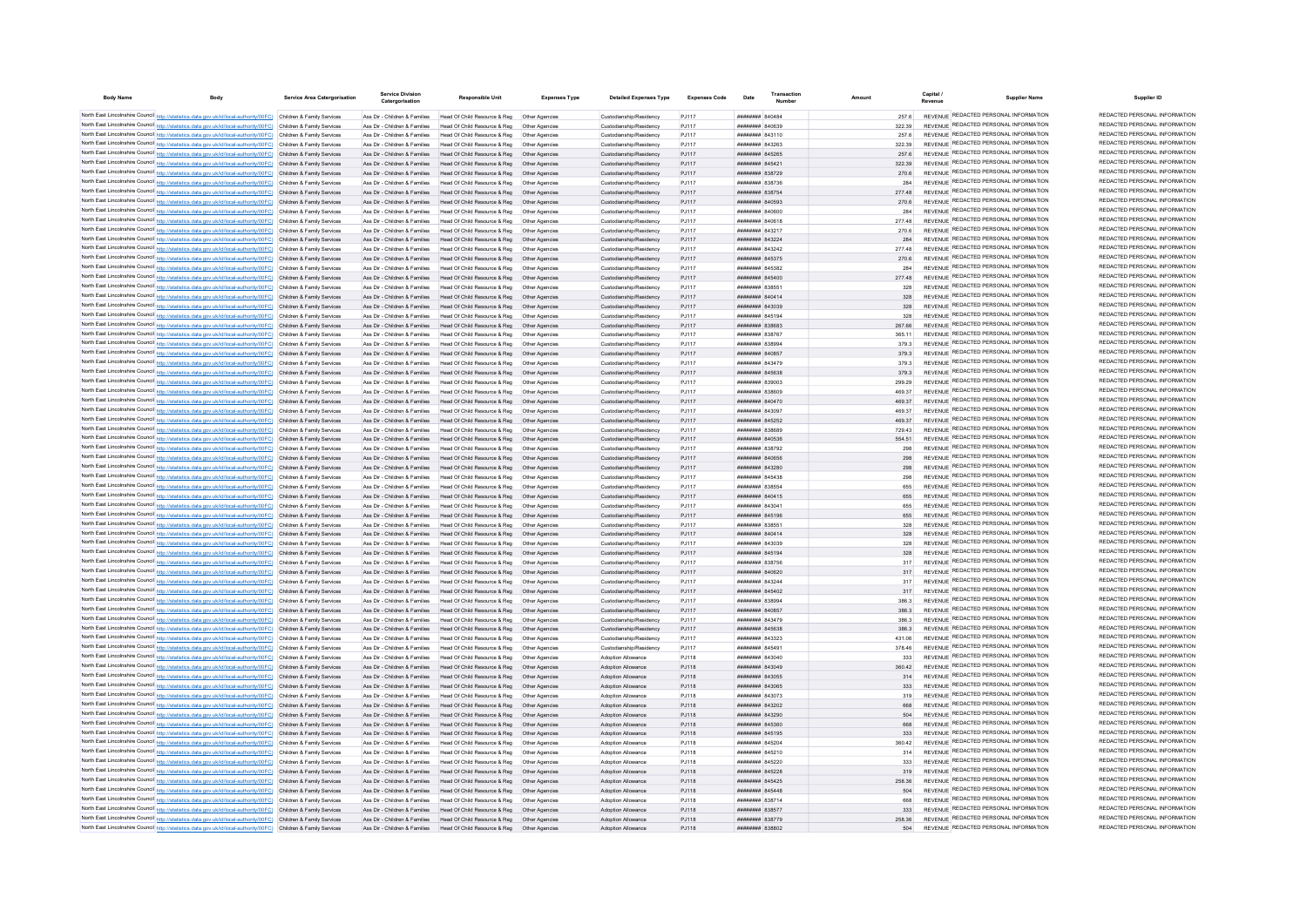| <b>Body Name</b> |                                                                                                                                                                                                                                        | Service Area Catergorisation | <b>Service Division</b><br>Catergorisation                     | Responsible Uni                                                                                                            | <b>Expenses Type</b>            | <b>Detailed Expenses Type</b>                          | <b>Expenses Code</b> |                                                        | Transaction |               | Capital /<br>Supplier Nam<br>Revenue                                           | Supplier ID                                                    |
|------------------|----------------------------------------------------------------------------------------------------------------------------------------------------------------------------------------------------------------------------------------|------------------------------|----------------------------------------------------------------|----------------------------------------------------------------------------------------------------------------------------|---------------------------------|--------------------------------------------------------|----------------------|--------------------------------------------------------|-------------|---------------|--------------------------------------------------------------------------------|----------------------------------------------------------------|
|                  | North East Lincolnshire Council http://statistics.data.gov.uk/id/local-authority/00FC) Children & Family Services                                                                                                                      |                              | Ass Dir - Children & Families                                  | Head Of Child Resource & Reg  Other Agencies                                                                               |                                 | Custodianship/Residency                                | PJ117                | BRANNE BADARA                                          |             | 257.6         | REVENUE REDACTED PERSONAL INFORMATION                                          | REDACTED PERSONAL INFORMATION                                  |
|                  | North East Lincolnshire Council http://statistics.data.gov.uk/id/local-authority/00FC) Children & Family Services                                                                                                                      |                              | Ass Dir - Children & Families                                  | Head Of Child Resource & Reg. Other Agencies                                                                               |                                 | Custodianship/Residency                                | P.I117               | PERODA MMMMMMM                                         |             | 322.39        | REVENUE REDACTED PERSONAL INFORMATION                                          | REDACTED PERSONAL INFORMATION                                  |
|                  | North East Lincolnshire Council http://statistics.data.gov.uk/id/local-authority/00FC) Children & Family Services                                                                                                                      |                              | Ass Dir - Children & Families                                  | Head Of Child Resource & Reg. Other Agencies                                                                               |                                 | Custodianship/Residency                                | P.I117               | <b>HHHHHHH 843110</b>                                  |             | 257.6         | REVENUE REDACTED PERSONAL INFORMATION                                          | REDACTED PERSONAL INFORMATION                                  |
|                  | North East Lincolnshire Council http://statistics.data.gov.uk/id/local-authority/00FC) Children & Family Services                                                                                                                      |                              | Ass Dir - Children & Families                                  | Head Of Child Resource & Reg                                                                                               | Other Anencies                  | Custodianship/Residency                                | P.I117               | <b>иннинни</b> 843263                                  |             | 322.39        | REVENUE REDACTED PERSONAL INFORMATION                                          | REDACTED PERSONAL INFORMATION                                  |
|                  | North East Lincolnshire Council http://statistics.data.gov.uk/id/local-authority/00FC) Children & Family Services                                                                                                                      |                              | Ass Dir - Children & Families                                  | Head Of Child Resource & Reg                                                                                               | Other Agencie                   | Custodianship/Residency                                | PJ117                | ######## 845265                                        |             | 257.6         | REVENUE REDACTED PERSONAL INFORMATION                                          | REDACTED PERSONAL INFORMATION<br>REDACTED PERSONAL INFORMATION |
|                  | North East Lincolnshire Council http://statistics.data.gov.uk/id/local-authority/00FC) Children & Family Services                                                                                                                      |                              | Ass Dir - Children & Families                                  | Head Of Child Resource & Reg                                                                                               |                                 | Custodianship/Residency                                | PJ117                | ######## 845421                                        |             | 322.39        | REVENUE REDACTED PERSONAL INFORMATION<br>REVENUE REDACTED PERSONAL INFORMATION | REDACTED PERSONAL INFORMATION                                  |
|                  | North East Lincolnshire Council http://statistics.data.gov.uk/id/local-authority/00FC) Children & Family Services                                                                                                                      |                              | Ass Dir - Children & Families                                  | Head Of Child Resource & Reg                                                                                               | Other Agencies                  | Custodianship/Residency                                | PJ117                | <b>пппппппп</b> 838729<br><b>пппппппп</b> 838736       |             | 270.6         | REVENUE REDACTED PERSONAL INFORMATION                                          | REDACTED PERSONAL INFORMATION                                  |
|                  | North East Lincolnshire Council http://statistics.data.gov.uk/id/local-authority/00FC) Children & Family Services<br>North East Lincolnshire Council http://statistics.data.gov.uk/id/local-authority/00FC) Children & Family Services |                              | Ass Dir - Children & Families                                  | Head Of Child Resource & Reg. Other Agencies<br>Ass Dir - Children & Eamilies Head Of Child Resource & Reg. Other Agencies |                                 | Custodianship/Residency<br>Custodianship/Residency     | P.I117<br>P.I117     | <b>пппппппп</b> 838754                                 |             | 284<br>277.48 | REVENUE REDACTED PERSONAL INFORMATION                                          | REDACTED PERSONAL INFORMATION                                  |
|                  | North East Lincolnshire Council http://statistics.data.gov.uk/id/local-authority/00FC) Children & Family Services                                                                                                                      |                              |                                                                | Ass Dir - Children & Families Head Of Child Resource & Reg Other Agencies                                                  |                                 | Custodianship/Residency                                | PJ117                | <b>пппппппп</b> 840593                                 |             | 270.6         | REVENUE REDACTED PERSONAL INFORMATION                                          | REDACTED PERSONAL INFORMATION                                  |
|                  | North East Lincolnshire Council http://statistics.data.gov.uk/id/local-authority/00FC) Children & Family Services                                                                                                                      |                              |                                                                | Ass Dir - Children & Families Head Of Child Resource & Reg Other Agencies                                                  |                                 | Custodianship/Residency                                | PJ117                | ######## 840600                                        |             | 284           | REVENUE REDACTED PERSONAL INFORMATION                                          | REDACTED PERSONAL INFORMATION                                  |
|                  | North East Lincolnshire Council http://statistics.data.gov.uk/id/local-authority/00FC) Children & Family Services                                                                                                                      |                              | Ass Dir - Children & Families                                  |                                                                                                                            |                                 | Custodianship/Residency                                | PJ117                | ####### 840618                                         |             | 277.48        | REVENUE REDACTED PERSONAL INFORMATION                                          | REDACTED PERSONAL INFORMATION                                  |
|                  | North East Lincolnshire Council http://statistics.data.gov.uk/id/local-authority/00FC) Children & Family Services                                                                                                                      |                              | Ass Dir - Children & Families                                  | Head Of Child Resource & Reg                                                                                               | Other Agencies                  | Custodianship/Residency                                | PJ117                | ######## 843217                                        |             | 270.6         | REVENUE REDACTED PERSONAL INFORMATION                                          | REDACTED PERSONAL INFORMATION                                  |
|                  | North East Lincolnshire Council http://statistics.data.gov.uk/id/local-authority/00FC) Children & Family Services                                                                                                                      |                              |                                                                | Ass Dir - Children & Families Head Of Child Resource & Reg Other Agencies                                                  |                                 | Custodianship/Residency                                | P.I117               | <b>ПППППННН</b> 843224                                 |             | 284           | REVENUE REDACTED PERSONAL INFORMATION                                          | REDACTED PERSONAL INFORMATION                                  |
|                  | North East Lincolnshire Council http://statistics.data.gov.uk/id/local-authority/00FC) Children & Family Services                                                                                                                      |                              | Ass Dir - Children & Families                                  | Head Of Child Resource & Reg                                                                                               | Other Anencies                  | Custodianship/Residency                                | P.I117               | ######## 843242                                        |             | 277.48        | REVENUE REDACTED PERSONAL INFORMATION                                          | REDACTED PERSONAL INFORMATION                                  |
|                  | North East Lincolnshire Council http://statistics.data.gov.uk/id/local-authority/00FC) Children & Family Services                                                                                                                      |                              |                                                                | Ass Dir - Children & Families Head Of Child Resource & Reg                                                                 | Other Agencies                  | Custodianship/Residency                                | P.I117               | ######## 845375                                        |             | 270.6         | REVENUE REDACTED PERSONAL INFORMATION                                          | REDACTED PERSONAL INFORMATION                                  |
|                  | North East Lincolnshire Council http://statistics.data.gov.uk/id/local-authority/00FC) Children & Family Services                                                                                                                      |                              | Ass Dir - Children & Families                                  | Head Of Child Resource & Reg                                                                                               |                                 | Custodianship/Residency                                | PJ117                | ####### 845382                                         |             | 284           | REVENUE REDACTED PERSONAL INFORMATION                                          | REDACTED PERSONAL INFORMATION                                  |
|                  | North East Lincolnshire Council http://statistics.data.gov.uk/id/local-authority/00FC) Children & Family Services                                                                                                                      |                              | Ass Dir - Children & Families                                  | Head Of Child Resource & Reg                                                                                               | Other Agencies                  | Custodianship/Residency                                | PJ117                | <b>HHHHHHH 845400</b>                                  |             | 277.48        | REVENUE REDACTED PERSONAL INFORMATION                                          | REDACTED PERSONAL INFORMATION                                  |
|                  | North East Lincolnshire Council http://statistics.data.gov.uk/id/local-authority/00FC) Children & Family Services                                                                                                                      |                              | Ass Dir - Children & Families                                  | Head Of Child Resource & Reg                                                                                               | Other Agencie                   | Custodianship/Residency                                | PJ117                | ######## 83855                                         |             | 328           | REVENUE REDACTED PERSONAL INFORMATION                                          | REDACTED PERSONAL INFORMATION<br>REDACTED PERSONAL INFORMATION |
|                  | North East Lincolnshire Council http://statistics.data.gov.uk/id/local-authority/00FC) Children & Family Services                                                                                                                      |                              | Ass Dir - Children & Families                                  | Head Of Child Resource & Reg                                                                                               | Other Agencies                  | Custodianship/Residency                                | PJ117                | <b>пппппппп</b> 840414                                 |             | 328           | REVENUE REDACTED PERSONAL INFORMATION<br>REVENUE REDACTED PERSONAL INFORMATION | REDACTED PERSONAL INFORMATION                                  |
|                  | North East Lincolnshire Council http://statistics.data.gov.uk/id/local-authority/00FC) Children & Family Services                                                                                                                      |                              |                                                                | Ass Dir - Children & Families Head Of Child Resource & Reg                                                                 | Other Agencies                  | Custodianship/Residency                                | PJ117                | ######## 843039                                        |             | 328           | REVENUE REDACTED PERSONAL INFORMATION                                          | REDACTED PERSONAL INFORMATION                                  |
|                  | North East Lincolnshire Council http://statistics.data.gov.uk/id/local-authority/00FC) Children & Family Services                                                                                                                      |                              | Ass Dir - Children & Families<br>Ass Dir - Children & Families | Head Of Child Resource & Reg<br>Head Of Child Resource & Reg                                                               | Other Anencies                  | Custodianship/Residency                                | PJ117<br>PJ117       | ####### 845194<br>######## 838683                      |             | 328<br>267.66 | REVENUE REDACTED PERSONAL INFORMATION                                          | REDACTED PERSONAL INFORMATION                                  |
|                  | North East Lincolnshire Council http://statistics.data.gov.uk/id/local-authority/00FC) Children & Family Services<br>North East Lincolnshire Council http://statistics.data.gov.uk/id/local-authority/00FC) Children & Family Services |                              | Ass Dir - Children & Families                                  |                                                                                                                            | Other Agencies                  | Custodianship/Residency<br>Custodianship/Residency     | PJ117                | ######## 838767                                        |             | 365.11        | REVENUE REDACTED PERSONAL INFORMATION                                          | REDACTED PERSONAL INFORMATION                                  |
|                  | North East Lincolnshire Council http://statistics.data.gov.uk/id/local-authority/00FC) Children & Family Services                                                                                                                      |                              | Ass Dir - Children & Families                                  | Head Of Child Resource & Reg                                                                                               | Other Agencie                   | Custodianship/Residency                                | PJ117                | ######## 838994                                        |             | 379.3         | REVENUE REDACTED PERSONAL INFORMATION                                          | REDACTED PERSONAL INFORMATION                                  |
|                  | North East Lincolnshire Council http://statistics.data.gov.uk/id/local-authority/00FC) Children & Family Services                                                                                                                      |                              | Ass Dir - Children & Families                                  | Head Of Child Resource & Reg                                                                                               | Other Agencies                  | Custodianship/Residency                                | PJ117                | ######## 840857                                        |             | 379.3         | REVENUE REDACTED PERSONAL INFORMATION                                          | REDACTED PERSONAL INFORMATION                                  |
|                  | North East Lincolnshire Council http://statistics.data.gov.uk/id/local-authority/00FC) Children & Family Services                                                                                                                      |                              | Ass Dir - Children & Families                                  | Head Of Child Resource & Reg                                                                                               | Other Agencies                  | Custodianship/Residency                                | PJ117                | ######## 843479                                        |             | 379.3         | REVENUE REDACTED PERSONAL INFORMATION                                          | REDACTED PERSONAL INFORMATION                                  |
|                  | North East Lincolnshire Council http://statistics.data.gov.uk/id/local-authority/00FC) Children & Family Services                                                                                                                      |                              | Ass Dir - Children & Families                                  | Head Of Child Resource & Reg                                                                                               | Other Agencies                  | Custodianship/Residency                                | PJ117                | ######## 845638                                        |             | 379.3         | REVENUE REDACTED PERSONAL INFORMATION                                          | REDACTED PERSONAL INFORMATION                                  |
|                  | North East Lincolnshire Council http://statistics.data.gov.uk/id/local-authority/00FC) Children & Family Services                                                                                                                      |                              | Ass Dir - Children & Families                                  | Head Of Child Resource & Reg                                                                                               | Other Agencies                  | Custodianship/Residency                                | PJ117                | ######## 839003                                        |             | 299.29        | REVENUE REDACTED PERSONAL INFORMATION                                          | REDACTED PERSONAL INFORMATION                                  |
|                  | North East Lincolnshire Council http://statistics.data.gov.uk/id/local-authority/00FC) Children & Family Services                                                                                                                      |                              | Ass Dir - Children & Families                                  | Head Of Child Resource & Reg                                                                                               |                                 | Custodianship/Residency                                | PJ117                | ######## 838609                                        |             | 469.37        | REVENUE REDACTED PERSONAL INFORMATION                                          | REDACTED PERSONAL INFORMATION                                  |
|                  | North East Lincolnshire Council http://statistics.data.gov.uk/id/local-authority/00FC) Children & Family Services                                                                                                                      |                              | Ass Dir - Children & Families                                  | Head Of Child Resource & Reg                                                                                               |                                 | Custodianship/Residency                                | PJ117                | ######## 840470                                        |             | 469.37        | REVENUE REDACTED PERSONAL INFORMATION                                          | REDACTED PERSONAL INFORMATION                                  |
|                  | North East Lincolnshire Council http://statistics.data.gov.uk/id/local-authority/00FC) Children & Family Services                                                                                                                      |                              | Ass Dir - Children & Families                                  | Head Of Child Resource & Reg                                                                                               | Other Anencies                  | Custodianship/Residency                                | PJ117                | <b>HRHHHHH RA3007</b>                                  |             | 469.37        | REVENUE REDACTED PERSONAL INFORMATION                                          | REDACTED PERSONAL INFORMATION                                  |
|                  | North East Lincolnshire Council http://statistics.data.gov.uk/id/local-authority/00FC) Children & Family Services                                                                                                                      |                              |                                                                | Ass Dir - Children & Families Head Of Child Resource & Reg Other Agencies                                                  |                                 | Custodianship/Residency                                | PJ117                | ######## 845252                                        |             | 469.37        | REVENUE REDACTED PERSONAL INFORMATION                                          | REDACTED PERSONAL INFORMATION                                  |
|                  | North East Lincolnshire Council http://statistics.data.gov.uk/id/local-authority/00FC) Children & Family Services                                                                                                                      |                              |                                                                | Ass Dir - Children & Families Head Of Child Resource & Reg    Qther Agencies                                               |                                 | Custodianship/Residency                                | PJ117                | ######## 838689                                        |             | 729.43        | REVENUE REDACTED PERSONAL INFORMATION                                          | REDACTED PERSONAL INFORMATION                                  |
|                  | North East Lincolnshire Council http://statistics.data.gov.uk/id/local-authority/00FC) Children & Family Services                                                                                                                      |                              |                                                                | Ass Dir - Children & Families Head Of Child Resource & Reg Other Agencies                                                  |                                 | Custodianship/Residency                                | P.I117               | <b>иннинни</b> 840536                                  |             | 554.51        | REVENUE REDACTED PERSONAL INFORMATION<br>REVENUE REDACTED PERSONAL INFORMATION | REDACTED PERSONAL INFORMATION<br>REDACTED PERSONAL INFORMATION |
|                  | North East Lincolnshire Council http://statistics.data.gov.uk/id/local-authority/00FC) Children & Family Services                                                                                                                      |                              | Ass Dir - Children & Families                                  | Head Of Child Resource & Reg  Other Agencies                                                                               |                                 | Custodianship/Residency                                | PJ117                | ######## 838792                                        |             | 298           | REVENUE REDACTED PERSONAL INFORMATION                                          | REDACTED PERSONAL INFORMATION                                  |
|                  | North East Lincolnshire Council http://statistics.data.gov.uk/id/local-authority/00FC) Children & Family Services                                                                                                                      |                              |                                                                | Ass Dir - Children & Families Head Of Child Resource & Reg                                                                 | Other Agencies                  | Custodianship/Residency                                | PJ117                | ######## 840656                                        |             | 298           | REVENUE REDACTED PERSONAL INFORMATION                                          | REDACTED PERSONAL INFORMATION                                  |
|                  | North East Lincolnshire Council http://statistics.data.gov.uk/id/local-authority/00FC) Children & Family Services<br>North East Lincolnshire Council http://statistics.data.gov.uk/id/local-authority/00FC) Children & Family Services |                              | Ass Dir - Children & Families                                  | Ass Dir - Children & Families Head Of Child Resource & Reg  Other Agencies<br>Head Of Child Resource & Reg. Other Agencies |                                 | Custodianship/Residency<br>Custodianship/Residency     | PJ117<br>P.I117      | <b>плинини 843280</b><br><b><i>BREAGHAN 845438</i></b> |             | 208<br>298    | REVENUE REDACTED PERSONAL INFORMATION                                          | REDACTED PERSONAL INFORMATION                                  |
|                  | North East Lincolnshire Council http://statistics.data.gov.uk/id/local-authority/00FC) Children & Family Services                                                                                                                      |                              | Ass Dir - Children & Families                                  | Head Of Child Resource & Reg. Other Agencies                                                                               |                                 | Custodianship/Residency                                | P.I117               | <b>######## 83855</b>                                  |             | 655           | REVENUE REDACTED PERSONAL INFORMATION                                          | REDACTED PERSONAL INFORMATION                                  |
|                  | North East Lincolnshire Council http://statistics.data.gov.uk/id/local-authority/00FC) Children & Family Services                                                                                                                      |                              |                                                                | Ass Dir - Children & Families Head Of Child Resource & Reg                                                                 | Other Agencies                  | Custodianship/Residency                                | P.I117               | <b>HHHHHHH 840415</b>                                  |             | 655           | REVENUE REDACTED PERSONAL INFORMATION                                          | REDACTED PERSONAL INFORMATION                                  |
|                  | North East Lincolnshire Council http://statistics.data.gov.uk/id/local-authority/00FC) Children & Family Services                                                                                                                      |                              | Ass Dir - Children & Families                                  | Head Of Child Resource & Reg                                                                                               |                                 | Custodianship/Residency                                | PJ117                | ######## 84304                                         |             |               | REVENUE REDACTED PERSONAL INFORMATION                                          | REDACTED PERSONAL INFORMATION                                  |
|                  | North East Lincolnshire Council http://statistics.data.gov.uk/id/local-authority/00FC) Children & Family Services                                                                                                                      |                              | Ass Dir - Children & Families                                  | Head Of Child Resource & Reg                                                                                               |                                 | Custodianship/Residency                                | PJ117                | ######## 845196                                        |             | 655           | REVENUE REDACTED PERSONAL INFORMATION                                          | REDACTED PERSONAL INFORMATION                                  |
|                  | North East Lincolnshire Council http://statistics.data.gov.uk/id/local-authority/00FC) Children & Family Services                                                                                                                      |                              | Ass Dir - Children & Families                                  | Head Of Child Resource & Reg                                                                                               | Other Agencies                  | Custodianship/Residency                                | PJ117                | <b>BRACK MARBARA</b>                                   |             | 328           | REVENUE REDACTED PERSONAL INFORMATION                                          | REDACTED PERSONAL INFORMATION                                  |
|                  | North East Lincolnshire Council http://statistics.data.gov.uk/id/local-authority/00FC) Children & Family Services                                                                                                                      |                              |                                                                | Ass Dir - Children & Eamilies Head Of Child Resource & Reg. Other Agencies                                                 |                                 | Custodianship/Residency                                | P.I117               | <b>HHHHHHHH</b> 840414                                 |             | 328           | REVENUE REDACTED PERSONAL INFORMATION                                          | REDACTED PERSONAL INFORMATION                                  |
|                  | North East Lincolnshire Council http://statistics.data.gov.uk/id/local-authority/00FC) Children & Family Services                                                                                                                      |                              | Ass Dir - Children & Families                                  | Head Of Child Resource & Reg                                                                                               | Other Anencies                  | Custodianship/Residency                                | P.1117               | нниннин 843039                                         |             | 328           | REVENUE REDACTED PERSONAL INFORMATION                                          | REDACTED PERSONAL INFORMATION                                  |
|                  | North East Lincolnshire Council http://statistics.data.gov.uk/id/local-authority/00FC) Children & Family Services                                                                                                                      |                              |                                                                | Ass Dir - Children & Families Head Of Child Resource & Reg Other Agencies                                                  |                                 | Custodianship/Residency                                | PJ117                | ######## 845194                                        |             | 328           | REVENUE REDACTED PERSONAL INFORMATION                                          | REDACTED PERSONAL INFORMATION                                  |
|                  | North East Lincolnshire Council http://statistics.data.gov.uk/id/local-authority/00FC) Children & Family Services                                                                                                                      |                              | Ass Dir - Children & Families                                  | Head Of Child Resource & Reg   Other Agencie                                                                               |                                 | Custodianship/Residency                                | PJ117                | ######## 838756                                        |             |               | REVENUE REDACTED PERSONAL INFORMATION                                          | REDACTED PERSONAL INFORMATION                                  |
|                  | North East Lincolnshire Council http://statistics.data.gov.uk/id/local-authority/00FC) Children & Family Services                                                                                                                      |                              | Ass Dir - Children & Families                                  | Head Of Child Resource & Reg   Other Agencies                                                                              |                                 | Custodianship/Residency                                | PJ117                | ######## 840620                                        |             | 317           | REVENUE REDACTED PERSONAL INFORMATION                                          | REDACTED PERSONAL INFORMATION                                  |
|                  | North East Lincolnshire Council http://statistics.data.gov.uk/id/local-authority/00FC) Children & Family Services                                                                                                                      |                              | Ass Dir - Children & Families                                  | Head Of Child Resource & Reg                                                                                               | Other Agencie                   | Custodianship/Residency                                | PJ117                | ######## 843244                                        |             | 317           | REVENUE REDACTED PERSONAL INFORMATION                                          | REDACTED PERSONAL INFORMATION<br>REDACTED PERSONAL INFORMATION |
|                  | North East Lincolnshire Council http://statistics.data.gov.uk/id/local-authority/00FC) Children & Family Services                                                                                                                      |                              | Ass Dir - Children & Families                                  | Head Of Child Resource & Reg                                                                                               | Other Agencies                  | Custodianship/Residency                                | PJ117                | <b>HHHHHHHH 845402</b>                                 |             | 317           | REVENUE REDACTED PERSONAL INFORMATION                                          | REDACTED PERSONAL INFORMATION                                  |
|                  | North East Lincolnshire Council http://statistics.data.gov.uk/id/local-authority/00FC) Children & Family Services                                                                                                                      |                              | Ass Dir - Children & Families                                  | Head Of Child Resource & Reg                                                                                               | Other Agencies                  | Custodianship/Residency                                | P.I117               | R3888 HUBBERT                                          |             | 3863          | REVENUE REDACTED PERSONAL INFORMATION<br>REVENUE REDACTED PERSONAL INFORMATION | REDACTED PERSONAL INFORMATION                                  |
|                  | North East Lincolnshire Council http://statistics.data.gov.uk/id/local-authority/00FC) Children & Family Services<br>North East Lincolnshire Council http://statistics.data.gov.uk/id/local-authority/00FC) Children & Family Services |                              | Ass Dir - Children & Families<br>Ass Dir - Children & Families | Head Of Child Resource & Reg<br>Head Of Child Resource & Reg                                                               | Other Agencies<br>Other Agencie | Custodianship/Residency<br>Custodianship/Residency     | PJ117<br>PJ117       | ######## 840857<br>####### 843479                      |             | 3863<br>386.3 | REVENUE REDACTED PERSONAL INFORMATION                                          | REDACTED PERSONAL INFORMATION                                  |
|                  | North East Lincolnshire Council http://statistics.data.gov.uk/id/local-authority/00FC) Children & Family Services                                                                                                                      |                              | Ass Dir - Children & Families                                  | Head Of Child Resource & Reg                                                                                               | Other Agencie                   | Custodianship/Residency                                | PJ117                | ######## 845638                                        |             | 386.3         | <b>REVENUE REDACTED PERSONAL INFORMATION</b>                                   | REDACTED PERSONAL INFORMATION                                  |
|                  | North East Lincolnshire Council http://statistics.data.gov.uk/id/local-authority/00FC) Children & Family Services                                                                                                                      |                              | Ass Dir - Children & Families                                  | Head Of Child Resource & Reg                                                                                               |                                 | Custodianship/Residency                                | PJ117                | <b>пппппппп</b> 843323                                 |             | 431.06        | REVENUE REDACTED PERSONAL INFORMATION                                          | REDACTED PERSONAL INFORMATION                                  |
|                  | North East Lincolnshire Council http://statistics.data.gov.uk/id/local-authority/00FC) Children & Family Services                                                                                                                      |                              | Ass Dir - Children & Families                                  | Head Of Child Resource & Reg                                                                                               | Other Anencies                  | Custodianship/Residency                                | PJ117                | <b>HHHHHHH 845491</b>                                  |             | 378.46        | REVENUE REDACTED PERSONAL INFORMATION                                          | REDACTED PERSONAL INFORMATION                                  |
|                  | North East Lincolnshire Council http://statistics.data.gov.uk/id/local-authority/00FC) Children & Family Services                                                                                                                      |                              | Ass Dir - Children & Families                                  | Head Of Child Resource & Reg   Other Agencies                                                                              |                                 | Adoption Allowance                                     | PJ118                | ниннини вазоло                                         |             | 333           | REVENUE REDACTED PERSONAL INFORMATION                                          | REDACTED PERSONAL INFORMATION                                  |
|                  | North East Lincolnshire Council http://statistics.data.gov.uk/id/local-authority/00FC) Children & Family Services                                                                                                                      |                              |                                                                | Ass Dir - Children & Families Head Of Child Resource & Reg Other Agencies                                                  |                                 | Adoption Allowance                                     | PJ118                | ######## 843049                                        |             | 360.42        | REVENUE REDACTED PERSONAL INFORMATION                                          | REDACTED PERSONAL INFORMATION                                  |
|                  | North East Lincolnshire Council http://statistics.data.gov.uk/id/local-authority/00FC) Children & Family Services                                                                                                                      |                              |                                                                | Ass Dir - Children & Families Head Of Child Resource & Reg Other Agencies                                                  |                                 | Adoption Allowance                                     | PJ118                | ######## 843055                                        |             | 314           | REVENUE REDACTED PERSONAL INFORMATION                                          | REDACTED PERSONAL INFORMATION                                  |
|                  | North East Lincolnshire Council http://statistics.data.gov.uk/id/local-authority/00FC) Children & Family Services                                                                                                                      |                              |                                                                | Ass Dir - Children & Families Head Of Child Resource & Reg Other Agencies                                                  |                                 | Adoption Allowance                                     | PJ118                | ######## 843065                                        |             | 333           | REVENUE REDACTED PERSONAL INFORMATION                                          | REDACTED PERSONAL INFORMATION                                  |
|                  | North East Lincolnshire Council http://statistics.data.gov.uk/id/local-authority/00FC) Children & Family Services                                                                                                                      |                              | Ass Dir - Children & Families                                  | Head Of Child Resource & Reg   Other Agencies                                                                              |                                 | Adoption Allowance                                     | PJ118                | ######## 843073                                        |             | 319           | REVENUE REDACTED PERSONAL INFORMATION                                          | REDACTED PERSONAL INFORMATION                                  |
|                  | North East Lincolnshire Council http://statistics.data.gov.uk/id/local-authority/00FC) Children & Family Services                                                                                                                      |                              | Ass Dir - Children & Families                                  | Head Of Child Resource & Reg                                                                                               | Other Agencies                  | Adoption Allowance                                     | PJ118                | <b>пппппппп</b> 843202                                 |             | 668           | REVENUE REDACTED PERSONAL INFORMATION                                          | REDACTED PERSONAL INFORMATION                                  |
|                  | North East Lincolnshire Council http://statistics.data.gov.uk/id/local-authority/00FC) Children & Family Services                                                                                                                      |                              | Ass Dir - Children & Families                                  | Head Of Child Resource & Reg                                                                                               | Other Agencies                  | Adoption Allowance                                     | PJ118                | ######## 843290                                        |             | 504           | REVENUE REDACTED PERSONAL INFORMATION                                          | REDACTED PERSONAL INFORMATION                                  |
|                  | North East Lincolnshire Council http://statistics.data.gov.uk/id/local-authority/00FC) Children & Family Services                                                                                                                      |                              |                                                                | Ass Dir - Children & Families Head Of Child Resource & Reg                                                                 | Other Agencies                  | Adoption Allowance                                     | PJ118                | ######## 845360                                        |             | 668           | REVENUE REDACTED PERSONAL INFORMATION                                          | REDACTED PERSONAL INFORMATION                                  |
|                  | North East Lincolnshire Council http://statistics.data.gov.uk/id/local-authority/00FC) Children & Family Services                                                                                                                      |                              | Ass Dir - Children & Families                                  | Head Of Child Resource & Reg                                                                                               | Other Agencies                  | Adoption Allowance                                     | PJ118                | ######## 845195                                        |             | 333           | REVENUE REDACTED PERSONAL INFORMATION                                          | REDACTED PERSONAL INFORMATION<br>REDACTED PERSONAL INFORMATION |
|                  | North East Lincolnshire Council http://statistics.data.gov.uk/id/local-authority/00FC) Children & Family Services                                                                                                                      |                              | Ass Dir - Children & Families                                  | Head Of Child Resource & Reg                                                                                               |                                 | Adoption Allowance                                     | PJ118                | ######## 845204                                        |             | 360.42        | REVENUE REDACTED PERSONAL INFORMATION<br>REVENUE REDACTED PERSONAL INFORMATION | REDACTED PERSONAL INFORMATION                                  |
|                  | North East Lincolnshire Council http://statistics.data.gov.uk/id/local-authority/00FC) Children & Family Services                                                                                                                      |                              | Ass Dir - Children & Families                                  | Head Of Child Resource & Reg                                                                                               |                                 | Adoption Allowance                                     | PJ118                | ####### 845210                                         |             | 314           | REVENUE REDACTED PERSONAL INFORMATION                                          | REDACTED PERSONAL INFORMATION                                  |
|                  | North East Lincolnshire Council http://statistics.data.gov.uk/id/local-authority/00FC) Children & Family Services<br>North East Lincolnshire Council http://statistics.data.gov.uk/id/local-authority/00FC) Children & Family Services |                              | Ass Dir - Children & Families                                  | Head Of Child Resource & Reg<br>Ass Dir - Children & Families Head Of Child Resource & Reg. Other Agencies                 | Other Anencies                  | <b>Adoption Allowance</b><br><b>Adoption Allowance</b> | PJ118<br>P.I118      | <b>HHHHHHH</b> 845220<br><b>пппппппп</b> 845228        |             | 333<br>319    | REVENUE REDACTED PERSONAL INFORMATION                                          | REDACTED PERSONAL INFORMATION                                  |
|                  | North East Lincolnshire Council http://statistics.data.gov.uk/id/local-authority/00FC) Children & Family Services                                                                                                                      |                              |                                                                | Ass Dir - Children & Families Head Of Child Resource & Reg                                                                 | Other Agencies                  | <b>Adoption Allowance</b>                              | P.I118               | ######## 845425                                        |             | 258.36        | REVENUE REDACTED PERSONAL INFORMATION                                          | REDACTED PERSONAL INFORMATION                                  |
|                  | North East Lincolnshire Council http://statistics.data.gov.uk/id/local-authority/00FC) Children & Family Services                                                                                                                      |                              |                                                                | Ass Dir - Children & Families Head Of Child Resource & Reg. Other Agencies                                                 |                                 | Adoption Allowance                                     | PJ118                | <b>HHHHHHHH</b> 845448                                 |             | 504           | REVENUE REDACTED PERSONAL INFORMATION                                          | REDACTED PERSONAL INFORMATION                                  |
|                  | North East Lincolnshire Council http://statistics.data.gov.uk/id/local-authority/00FC) Children & Family Services                                                                                                                      |                              | Ass Dir - Children & Families                                  | Head Of Child Resource & Reg                                                                                               |                                 | Adoption Allowance                                     | PJ118                | <b>HHHHHHH 838714</b>                                  |             |               | REVENUE REDACTED PERSONAL INFORMATION                                          | REDACTED PERSONAL INFORMATION                                  |
|                  | North East Lincolnshire Council http://statistics.data.gov.uk/id/local-authority/00FC) Children & Family Services                                                                                                                      |                              |                                                                | Ass Dir - Children & Families Head Of Child Resource & Reg Other Agencie                                                   |                                 | Adoption Allowance                                     | PJ118                | ######## 838577                                        |             | 333           | REVENUE REDACTED PERSONAL INFORMATION                                          | REDACTED PERSONAL INFORMATION                                  |
|                  | North East Lincolnshire Council http://statistics.data.gov.uk/id/local-authority/00FC) Children & Family Services                                                                                                                      |                              |                                                                | Ass Dir - Children & Families Head Of Child Resource & Reg Other Agencies                                                  |                                 | Adoption Allowance                                     | PJ118                | <b>ПЕПИЛИН 838779</b>                                  |             | 258.36        | REVENUE REDACTED PERSONAL INFORMATION                                          | REDACTED PERSONAL INFORMATION                                  |
|                  | North East Lincolnshire Council http://statistics.data.gov.uk/id/local-authority/00FC) Children & Family Services                                                                                                                      |                              |                                                                | Ass Dir - Children & Families Head Of Child Resource & Reg  Other Agencies                                                 |                                 | <b>Adoption Allowance</b>                              | P.I118               | <b>пппппппп</b> 838802                                 |             | 504           | REVENUE REDACTED PERSONAL INFORMATION                                          | REDACTED PERSONAL INFORMATION                                  |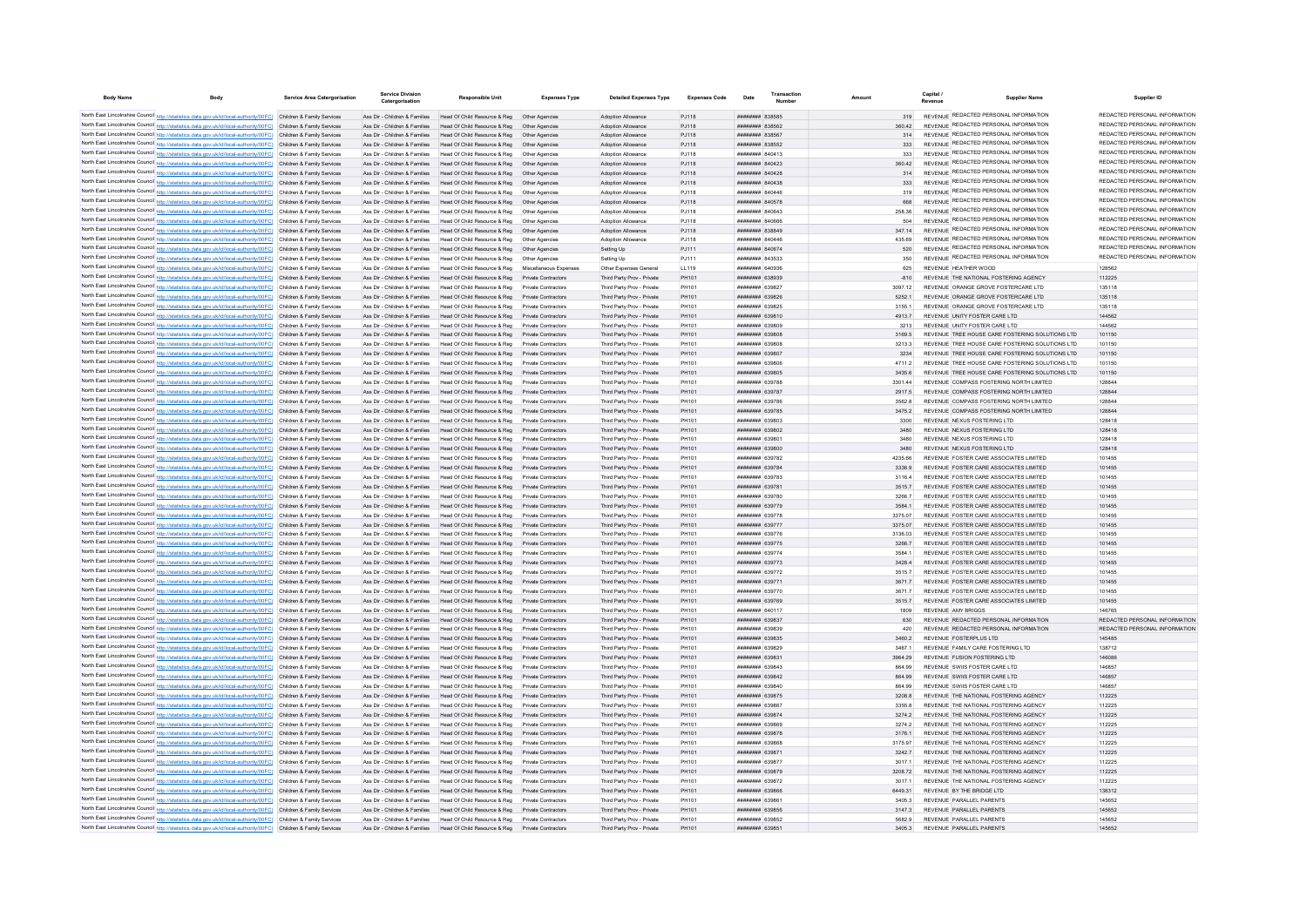| <b>Body Name</b> | <b>Body</b>                                                                                                                                                                                                                            | Service Area Catergorisation | <b>Service Division</b><br>Catergorisatio                      | Responsible Unit                                                                                                                              | <b>Expenses Type</b>                       | <b>Detailed Expenses Type</b>                            | <b>Expenses Code</b> | Date                                                    | Transaction |                   | Capital                                                         | <b>Supplier Name</b>                                                               | Supplier ID                                                    |
|------------------|----------------------------------------------------------------------------------------------------------------------------------------------------------------------------------------------------------------------------------------|------------------------------|----------------------------------------------------------------|-----------------------------------------------------------------------------------------------------------------------------------------------|--------------------------------------------|----------------------------------------------------------|----------------------|---------------------------------------------------------|-------------|-------------------|-----------------------------------------------------------------|------------------------------------------------------------------------------------|----------------------------------------------------------------|
|                  | North East Lincolnshire Council http://statistics.data.gov.uk/id/local-authority/00FC) Children & Family Services                                                                                                                      |                              |                                                                | Ass Dir - Children & Families Head Of Child Resource & Reg Other Agencies                                                                     |                                            | Adoption Allowance                                       | PJ118                | <b>ПИПИНИН</b> 838585                                   |             | 319               |                                                                 | REVENUE REDACTED PERSONAL INFORMATION                                              | REDACTED PERSONAL INFORMATION                                  |
|                  | North East Lincolnshire Council http://statistics.data.gov.uk/id/local-authority/00FC) Children & Family Services                                                                                                                      |                              | Ass Dir - Children & Families                                  | Head Of Child Resource & Reg                                                                                                                  | Other Agencies                             | Adoption Allowance                                       | PJ118                | <b>плинини 838562</b>                                   |             | 360.42            |                                                                 | REVENUE REDACTED PERSONAL INFORMATION                                              | REDACTED PERSONAL INFORMATION                                  |
|                  | North East Lincolnshire Council http://statistics.data.gov.uk/id/local-authority/00FC) Children & Family Services                                                                                                                      |                              | Ass Dir - Children & Families                                  | Head Of Child Resource & Reg                                                                                                                  |                                            | Adoption Allowance                                       | PJ118                | ######## 838567                                         |             | 314               |                                                                 | REVENUE REDACTED PERSONAL INFORMATION                                              | REDACTED PERSONAL INFORMATION                                  |
|                  | North East Lincolnshire Council http://statistics.data.gov.uk/id/local-authority/00FC) Children & Family Services                                                                                                                      |                              |                                                                | Ass Dir - Children & Families Head Of Child Resource & Reg                                                                                    | Other Agencies                             | Adoption Allowance                                       | PJ118                | <b>HHHHHHH 838552</b>                                   |             | 333               |                                                                 | REVENUE REDACTED PERSONAL INFORMATION                                              | REDACTED PERSONAL INFORMATION                                  |
|                  | North East Lincolnshire Council http://statistics.data.gov.uk/id/local-authority/00FC) Children & Family Services                                                                                                                      |                              |                                                                | Ass Dir - Children & Families Head Of Child Resource & Reg. Other Agencies                                                                    |                                            | <b>Adoption Allowance</b>                                | P.I118               | <b>BRENHHHH</b> 840413                                  |             | 333               |                                                                 | REVENUE REDACTED PERSONAL INFORMATION                                              | REDACTED PERSONAL INFORMATION                                  |
|                  | North East Lincolnshire Council http://statistics.data.gov.uk/id/local-authority/00FC) Children & Family Services                                                                                                                      |                              |                                                                | Ass Dir - Children & Families Head Of Child Resource & Reg. Other Agencies                                                                    |                                            | <b>Adoption Allowance</b>                                | PJ118                | <b>ППИНИНИ 840423</b>                                   |             | 360.42            |                                                                 | REVENUE REDACTED PERSONAL INFORMATION                                              | REDACTED PERSONAL INFORMATION<br>REDACTED PERSONAL INFORMATION |
|                  | North East Lincolnshire Council http://statistics.data.gov.uk/id/local-authority/00FC) Children & Family Services                                                                                                                      |                              |                                                                | Ass Dir - Children & Families Head Of Child Resource & Reg Other Agencies                                                                     |                                            | Adoption Allowance                                       | PJ118                | <b>НЕННИНИ ВАЛАЗВ</b>                                   |             | 314               |                                                                 | REVENUE REDACTED PERSONAL INFORMATION<br>REVENUE REDACTED PERSONAL INFORMATION     | REDACTED PERSONAL INFORMATION                                  |
|                  | North East Lincolnshire Council http://statistics.data.gov.uk/id/local-authority/00FC) Children & Family Services                                                                                                                      |                              |                                                                | Ass Dir - Children & Families Head Of Child Resource & Reg Other Agencies                                                                     |                                            | Adoption Allowance                                       | PJ118                | ######## 840438                                         |             |                   |                                                                 | REVENUE REDACTED PERSONAL INFORMATION                                              | REDACTED PERSONAL INFORMATION                                  |
|                  | North East Lincolnshire Council http://statistics.data.gov.uk/id/local-authority/00FC) Children & Family Services<br>North East Lincolnshire Council http://statistics.data.gov.uk/id/local-authority/00FC) Children & Family Services |                              |                                                                | Ass Dir - Children & Families Head Of Child Resource & Reg  Other Agencies<br>Ass Dir - Children & Families Head Of Child Resource & Reg      | Other Agencies                             | Adoption Allowance<br>Adoption Allowance                 | PJ118<br>PJ118       | ####### 840446<br>######## 840578                       |             | 319<br>668        |                                                                 | REVENUE REDACTED PERSONAL INFORMATION                                              | REDACTED PERSONAL INFORMATION                                  |
|                  | North East Lincolnshire Council http://statistics.data.gov.uk/id/local-authority/00FC) Children & Family Services                                                                                                                      |                              |                                                                | Ass Dir - Children & Families Head Of Child Resource & Reg Other Agencies                                                                     |                                            | Adoption Allowance                                       | PJ118                | <b>пппппппп</b> 840643                                  |             | 258.36            |                                                                 | REVENUE REDACTED PERSONAL INFORMATION                                              | REDACTED PERSONAL INFORMATION                                  |
|                  | North East Lincolnshire Council http://statistics.data.gov.uk/id/local-authority/00FC) Children & Family Services                                                                                                                      |                              | Ass Dir - Children & Families                                  | Head Of Child Resource & Reg                                                                                                                  | Other Agencies                             | Adoption Allowance                                       | PJ118                | 8400A BERNHER                                           |             | 504               |                                                                 | REVENUE REDACTED PERSONAL INFORMATION                                              | REDACTED PERSONAL INFORMATION                                  |
|                  | North East Lincolnshire Council http://statistics.data.gov.uk/id/local-authority/00FC) Children & Family Services                                                                                                                      |                              |                                                                | Ass Dir - Children & Families Head Of Child Resource & Reg                                                                                    | Other Agencies                             | Adoption Allowance                                       | PJ118                | ######## 838849                                         |             | 347 14            |                                                                 | REVENUE REDACTED PERSONAL INFORMATION                                              | REDACTED PERSONAL INFORMATION                                  |
|                  | North East Lincolnshire Council http://statistics.data.gov.uk/id/local-authority/00FC) Children & Family Services                                                                                                                      |                              | Ass Dir - Children & Families                                  | Head Of Child Resource & Reg                                                                                                                  | Other Agencies                             | Adoption Allowanc                                        | PJ118                | ######## 84044                                          |             | 435.69            |                                                                 | REVENUE REDACTED PERSONAL INFORMATION                                              | REDACTED PERSONAL INFORMATION                                  |
|                  | North East Lincolnshire Council http://statistics.data.gov.uk/id/local-authority/00FC) Children & Family Services                                                                                                                      |                              | Ass Dir - Children & Families                                  | Head Of Child Resource & Reg                                                                                                                  | Other Agencies                             | Setting Up                                               | PJ111                | ######## 840674                                         |             | 520               |                                                                 | <b>REVENUE REDACTED PERSONAL INFORMATION</b>                                       | REDACTED PERSONAL INFORMATION                                  |
|                  | North East Lincolnshire Council http://statistics.data.gov.uk/id/local-authority/00FC) Children & Family Services                                                                                                                      |                              | Ass Dir - Children & Families                                  | Head Of Child Resource & Reg                                                                                                                  |                                            | Setting Up                                               | PJ111                | <b>пппппппп</b> 843533                                  |             | 350               |                                                                 | REVENUE REDACTED PERSONAL INFORMATION                                              | REDACTED PERSONAL INFORMATION                                  |
|                  | North East Lincolnshire Council http://statistics.data.gov.uk/id/local-authority/00FC) Children & Family Services                                                                                                                      |                              | Ass Dir - Children & Families                                  | Head Of Child Resource & Reg                                                                                                                  | Miscellaneous Expenses                     | Other Expenses General                                   | LL119                | HHHHHHH 640936                                          |             | 625               | REVENUE HEATHER WOOD                                            |                                                                                    | 128562                                                         |
|                  | North East Lincolnshire Council http://statistics.data.gov.uk/id/local-authority/00FC) Children & Family Services                                                                                                                      |                              |                                                                | Ass Dir - Children & Families Head Of Child Resource & Reg Private Contractors                                                                |                                            | Third Party Prov - Private                               | PH101                | ######## 638939<br>######## 639827                      |             | $-810$<br>3097 12 |                                                                 | REVENUE THE NATIONAL FOSTERING AGENCY<br>REVENUE ORANGE GROVE FOSTERCARE LTD       | 112225<br>135118                                               |
|                  | North East Lincolnshire Council http://statistics.data.gov.uk/id/local-authority/00FC) Children & Family Services<br>North East Lincolnshire Council http://statistics.data.gov.uk/id/local-authority/00FC) Children & Family Services |                              | Ass Dir - Children & Families                                  | Head Of Child Resource & Reg Private Contractors<br>Ass Dir - Children & Families Head Of Child Resource & Reg Private Contractors            |                                            | Third Party Prov - Private<br>Third Party Prov - Private | PH101<br>PH101       | ######## 639826                                         |             | 5252.1            |                                                                 | REVENUE ORANGE GROVE FOSTERCARE LTD                                                | 135118                                                         |
|                  | North East Lincolnshire Council http://statistics.data.gov.uk/id/local-authority/00FC) Children & Family Services                                                                                                                      |                              | Ass Dir - Children & Families                                  | Head Of Child Resource & Reg                                                                                                                  | Private Contractors                        | Third Party Prov - Private                               | PH101                | ######## 639825                                         |             | 3155.1            |                                                                 | REVENUE ORANGE GROVE FOSTERCARE LTD                                                | 135118                                                         |
|                  | North East Lincolnshire Council http://statistics.data.gov.uk/id/local-authority/00FC) Children & Family Services                                                                                                                      |                              |                                                                | Ass Dir - Children & Families Head Of Child Resource & Reg                                                                                    | Private Contractors                        | Third Party Prov - Private                               | PH101                | ######## 639810                                         |             | 4913.7            | REVENUE UNITY FOSTER CARE LTD                                   |                                                                                    | 144562                                                         |
|                  | North East Lincolnshire Council http://statistics.data.gov.uk/id/local-authority/00FC) Children & Family Services                                                                                                                      |                              | Ass Dir - Children & Families                                  | Head Of Child Resource & Reg                                                                                                                  | Private Contractors                        | Third Party Prov - Private                               | PH101                | <b>плинини 639809</b>                                   |             | 3213              | REVENUE UNITY FOSTER CARE LTD                                   |                                                                                    | 144562                                                         |
|                  | North East Lincolnshire Council http://statistics.data.gov.uk/id/local-authority/00FC) Children & Family Services                                                                                                                      |                              | Ass Dir - Children & Families                                  | Head Of Child Resource & Reg                                                                                                                  | Private Contractors                        | Third Party Prov - Private                               | PH101                | ######## 639808                                         |             | 3169.5            |                                                                 | REVENUE TREE HOUSE CARE FOSTERING SOLUTIONS LTD                                    | 101150                                                         |
|                  | North East Lincolnshire Council http://statistics.data.gov.uk/id/local-authority/00FC) Children & Family Services                                                                                                                      |                              | Ass Dir - Children & Families                                  | Head Of Child Resource & Reg                                                                                                                  | Private Contractors                        | Third Party Prov - Private                               | PH101                | ######## 639808                                         |             | 3213.3            |                                                                 | REVENUE TREE HOUSE CARE FOSTERING SOLUTIONS LTD                                    | 101150                                                         |
|                  | North East Lincolnshire Council http://statistics.data.gov.uk/id/local-authority/00FC) Children & Family Services                                                                                                                      |                              | Ass Dir - Children & Families                                  | Head Of Child Resource & Reg                                                                                                                  | Private Contractors                        | Third Party Prov - Private                               | PH101                | ######## 639807                                         |             | 3234              |                                                                 | REVENUE TREE HOUSE CARE FOSTERING SOLUTIONS LTD                                    | 101150                                                         |
|                  | North East Lincolnshire Council http://statistics.data.gov.uk/id/local-authority/00FC) Children & Family Services                                                                                                                      |                              | Ass Dir - Children & Families                                  | Head Of Child Resource & Reg                                                                                                                  |                                            | Third Party Prov - Private                               | PH101                | <b>########</b> 63980                                   |             | 4711.2            |                                                                 | REVENUE TREE HOUSE CARE FOSTERING SOLUTIONS LTD                                    | 101150                                                         |
|                  | North East Lincolnshire Council http://statistics.data.gov.uk/id/local-authority/00FC) Children & Family Services                                                                                                                      |                              | Ass Dir - Children & Families                                  | Head Of Child Resource & Reg                                                                                                                  |                                            | Third Party Prov - Private                               | PH101                | ####### 639805                                          |             | 3435.6            |                                                                 | REVENUE TREE HOUSE CARE FOSTERING SOLUTIONS LTD                                    | 101150                                                         |
|                  | North East Lincolnshire Council http://statistics.data.gov.uk/id/local-authority/00FC) Children & Family Services                                                                                                                      |                              | Ass Dir - Children & Families                                  | Head Of Child Resource & Reg                                                                                                                  | Private Contractors                        | Third Party Prov - Private                               | <b>PH101</b>         | <b>HHHHHHH</b> 639788                                   |             | 3301.44           |                                                                 | REVENUE COMPASS FOSTERING NORTH LIMITED                                            | 128844                                                         |
|                  | North East Lincolnshire Council http://statistics.data.gov.uk/id/local-authority/00FC) Children & Family Services<br>North East Lincolnshire Council http://statistics.data.gov.uk/id/local-authority/00FC) Children & Family Services |                              |                                                                | Ass Dir - Children & Families Head Of Child Resource & Reg. Private Contractors<br>Ass Dir - Children & Families Head Of Child Resource & Reg | Private Contractors                        | Third Party Prov - Private<br>Third Party Prov - Private | PH101<br>PH101       | <b><i>BRENHHHH 639787</i></b><br><b>пппппппп</b> 639786 |             | 2917.5<br>35628   |                                                                 | REVENUE COMPASS FOSTERING NORTH LIMITED<br>REVENUE COMPASS FOSTERING NORTH LIMITED | 128844<br>128844                                               |
|                  | North East Lincolnshire Council http://statistics.data.gov.uk/id/local-authority/00FC) Children & Family Services                                                                                                                      |                              |                                                                | Ass Dir - Children & Families Head Of Child Resource & Reg Private Contractors                                                                |                                            | Third Party Prov - Private                               | PH101                | <b>пппппппп</b> 639785                                  |             | 34752             |                                                                 | REVENUE COMPASS FOSTERING NORTH LIMITED                                            | 128844                                                         |
|                  | North East Lincolnshire Council http://statistics.data.gov.uk/id/local-authority/00FC) Children & Family Services                                                                                                                      |                              |                                                                | Ass Dir - Children & Families Head Of Child Resource & Reg                                                                                    | Private Contractors                        | Third Party Prov - Private                               | PH101                | ######## 639803                                         |             | 3300              | REVENUE NEXUS FOSTERING LTD                                     |                                                                                    | 128418                                                         |
|                  | North East Lincolnshire Council http://statistics.data.gov.uk/id/local-authority/00FC) Children & Family Services                                                                                                                      |                              |                                                                | Ass Dir - Children & Families Head Of Child Resource & Reg Private Contractors                                                                |                                            | Third Party Prov - Private                               | PH101                | ######## 639802                                         |             | 3480              | REVENUE NEXUS FOSTERING LTD                                     |                                                                                    | 128418                                                         |
|                  | North East Lincolnshire Council http://statistics.data.gov.uk/id/local-authority/00FC) Children & Family Services                                                                                                                      |                              | Ass Dir - Children & Families                                  | Head Of Child Resource & Reg                                                                                                                  | Private Contractors                        | Third Party Prov - Private                               | PH101                |                                                         |             | 3480              | REVENUE NEXUS FOSTERING LTD                                     |                                                                                    | 128418                                                         |
|                  | North East Lincolnshire Council http://statistics.data.gov.uk/id/local-authority/00FC) Children & Family Services                                                                                                                      |                              |                                                                | Ass Dir - Children & Families Head Of Child Resource & Reg                                                                                    | Private Contractors                        | Third Party Prov - Private                               | PH101                | ######## 639800                                         |             | 3480              | REVENUE NEXUS FOSTERING LTD                                     |                                                                                    | 128418                                                         |
|                  | North East Lincolnshire Council http://statistics.data.gov.uk/id/local-authority/00FC) Children & Family Services                                                                                                                      |                              |                                                                | Ass Dir - Children & Families Head Of Child Resource & Reg                                                                                    | Private Contractors                        | Third Party Prov - Private                               | PH101                | ######## 639782                                         |             | 4235 66           |                                                                 | REVENUE FOSTER CARE ASSOCIATES LIMITED.                                            | 101455                                                         |
|                  | North East Lincolnshire Council http://statistics.data.gov.uk/id/local-authority/00FC) Children & Family Services                                                                                                                      |                              | Ass Dir - Children & Families                                  | Head Of Child Resource & Reg                                                                                                                  | Private Contractors                        | Third Party Prov - Private                               | PH101                | <b>пппппппп</b> 639784                                  |             | 3336.9            |                                                                 | REVENUE FOSTER CARE ASSOCIATES LIMITED                                             | 101455                                                         |
|                  | North East Lincolnshire Council http://statistics.data.gov.uk/id/local-authority/00FC) Children & Family Services                                                                                                                      |                              | Ass Dir - Children & Families                                  | Head Of Child Resource & Reg                                                                                                                  |                                            | Third Party Prov - Private                               | PH101                | ######## 639783                                         |             | 3116.4            |                                                                 | REVENUE FOSTER CARE ASSOCIATES LIMITED                                             | 101455                                                         |
|                  | North East Lincolnshire Council http://statistics.data.gov.uk/id/local-authority/00FC) Children & Family Services<br>North East Lincolnshire Council http://statistics.data.gov.uk/id/local-authority/00FC) Children & Family Services |                              | Ass Dir - Children & Families<br>Ass Dir - Children & Families | Head Of Child Resource & Reg<br>Head Of Child Resource & Reg                                                                                  | Private Contractors<br>Private Contractors | Third Party Prov - Private<br>Third Party Prov - Private | PH101<br>PH101       | ######## 63978<br><del>лллинин</del> 630780             |             | 3515.7<br>3266.7  |                                                                 | REVENUE FOSTER CARE ASSOCIATES LIMITED<br>REVENUE FOSTER CARE ASSOCIATES LIMITED.  | 101455<br>101455                                               |
|                  | North East Lincolnshire Council http://statistics.data.gov.uk/id/local-authority/00FC) Children & Family Services                                                                                                                      |                              |                                                                | Ass Dir - Children & Families Head Of Child Resource & Reg                                                                                    | Private Contractors                        | Third Party Prov - Private                               | PH101                | ######## 639779                                         |             | 35841             |                                                                 | REVENUE FOSTER CARE ASSOCIATES LIMITED                                             | 101455                                                         |
|                  | North East Lincolnshire Council http://statistics.data.gov.uk/id/local-authority/00FC) Children & Family Services                                                                                                                      |                              | Ass Dir - Children & Families                                  | Head Of Child Resource & Reg                                                                                                                  | Private Contractors                        | Third Party Prov - Private                               | PH101                | <b><i>BRENHHHH 639778</i></b>                           |             | 3375.07           |                                                                 | REVENUE FOSTER CARE ASSOCIATES LIMITED.                                            | 101455                                                         |
|                  | North East Lincolnshire Council http://statistics.data.gov.uk/id/local-authority/00FC) Children & Family Services                                                                                                                      |                              |                                                                | Ass Dir - Children & Families Head Of Child Resource & Reg Private Contractors                                                                |                                            | Third Party Prov - Private                               | PH101                | ######## 639777                                         |             | 3375.07           |                                                                 | REVENUE FOSTER CARE ASSOCIATES LIMITED                                             | 101455                                                         |
|                  | North East Lincolnshire Council http://statistics.data.gov.uk/id/local-authority/00FC) Children & Family Services                                                                                                                      |                              | Ass Dir - Children & Families                                  | Head Of Child Resource & Reg                                                                                                                  | Private Contractors                        | Third Party Prov - Private                               | PH101                | ######## 639776                                         |             | 3136.03           |                                                                 | REVENUE FOSTER CARE ASSOCIATES LIMITED                                             | 101455                                                         |
|                  | North East Lincolnshire Council http://statistics.data.gov.uk/id/local-authority/00FC) Children & Family Services                                                                                                                      |                              |                                                                | Ass Dir - Children & Families Head Of Child Resource & Reg Private Contractors                                                                |                                            | Third Party Prov - Private                               | PH101                | ######## 639775                                         |             | 3266.7            |                                                                 | REVENUE FOSTER CARE ASSOCIATES LIMITED                                             | 101455                                                         |
|                  | North East Lincolnshire Council http://statistics.data.gov.uk/id/local-authority/00FC) Children & Family Services                                                                                                                      |                              | Ass Dir - Children & Families                                  | Head Of Child Resource & Reg                                                                                                                  | Private Contractors                        | Third Party Prov - Private                               | PH101                | <b>BRENHHHH 639774</b>                                  |             | 3584 1            |                                                                 | REVENUE FOSTER CARE ASSOCIATES LIMITED                                             | 101455                                                         |
|                  | North East Lincolnshire Council http://statistics.data.gov.uk/id/local-authority/00FC) Children & Family Services                                                                                                                      |                              | Ass Dir - Children & Families                                  | Head Of Child Resource & Reg                                                                                                                  | Private Contractors                        | Third Party Prov - Private                               | PH101                | <b><i>BRENHHHH 639773</i></b>                           |             | 3428.4            |                                                                 | REVENUE FOSTER CARE ASSOCIATES LIMITED                                             | 101455                                                         |
|                  | North East Lincolnshire Council http://statistics.data.gov.uk/id/local-authority/00FC) Children & Family Services                                                                                                                      |                              | Ass Dir - Children & Families                                  | Head Of Child Resource & Reg                                                                                                                  | Private Contractors                        | Third Party Prov - Private                               | PH101                | <b>пппппппп</b> 639772                                  |             | 35157             |                                                                 | REVENUE FOSTER CARE ASSOCIATES LIMITED                                             | 101455                                                         |
|                  | North East Lincolnshire Council http://statistics.data.gov.uk/id/local-authority/00FC) Children & Family Services<br>North East Lincolnshire Council http://statistics.data.gov.uk/id/local-authority/00FC) Children & Family Services |                              | Ass Dir - Children & Families<br>Ass Dir - Children & Families | Head Of Child Resource & Reg<br>Head Of Child Resource & Reg.                                                                                 | Private Contractors<br>Private Contractors | Third Party Prov - Private<br>Third Party Prov - Private | PH101<br>PH101       | ######## 639771<br>######## 63977                       |             | 36717<br>3671.7   |                                                                 | REVENUE FOSTER CARE ASSOCIATES LIMITED<br>REVENUE FOSTER CARE ASSOCIATES LIMITED   | 101455<br>101455                                               |
|                  | North East Lincolnshire Council http://statistics.data.gov.uk/id/local-authority/00FC) Children & Family Services                                                                                                                      |                              | Ass Dir - Children & Families                                  | Head Of Child Resource & Reg                                                                                                                  | Private Contractors                        | Third Party Prov - Private                               | PH101                | ######## 639769                                         |             | 3515.7            |                                                                 | REVENUE FOSTER CARE ASSOCIATES LIMITED                                             | 101455                                                         |
|                  | North East Lincolnshire Council http://statistics.data.gov.uk/id/local-authority/00FC) Children & Family Services                                                                                                                      |                              | Ass Dir - Children & Families                                  | Head Of Child Resource & Reg                                                                                                                  | Private Contractors                        | Third Party Prov - Private                               | PH101                | <b>BRENNESS 640117</b>                                  |             | 1809              | REVENUE AMY BRIGGS                                              |                                                                                    | 146765                                                         |
|                  | North East Lincolnshire Council http://statistics.data.gov.uk/id/local-authority/00FC) Children & Family Services                                                                                                                      |                              |                                                                | Ass Dir - Children & Families Head Of Child Resource & Reg                                                                                    | Private Contractors                        | Third Party Prov - Private                               | PH101                | <b>пппппппп</b> 639837                                  |             | 630               |                                                                 | REVENUE REDACTED PERSONAL INFORMATION                                              | REDACTED PERSONAL INFORMATION                                  |
|                  | North East Lincolnshire Council http://statistics.data.gov.uk/id/local-authority/00FC) Children & Family Services                                                                                                                      |                              |                                                                | Ass Dir - Children & Families Head Of Child Resource & Reg                                                                                    | Private Contractors                        | Third Party Prov - Private                               | PH101                | <b>пппппппп</b> 639839                                  |             | 420               |                                                                 | REVENUE REDACTED PERSONAL INFORMATION                                              | REDACTED PERSONAL INFORMATION                                  |
|                  | North East Lincolnshire Council http://statistics.data.gov.uk/id/local-authority/00FC) Children & Family Services                                                                                                                      |                              |                                                                | Ass Dir - Children & Families Head Of Child Resource & Reg Private Contractors                                                                |                                            | Third Party Prov - Private                               | PH101                | ######## 639835                                         |             | 3460.2            | REVENUE FOSTERPLUS LTD                                          |                                                                                    | 145485                                                         |
|                  | North East Lincolnshire Council http://statistics.data.gov.uk/id/local-authority/00FC) Children & Family Services                                                                                                                      |                              |                                                                | Ass Dir - Children & Families Head Of Child Resource & Reg Private Contractors                                                                |                                            | Third Party Prov - Private                               | PH101                | ######## 639829                                         |             | 3467.1            | REVENUE FAMILY CARE FOSTERING LTD                               |                                                                                    | 138712                                                         |
|                  | North East Lincolnshire Council http://statistics.data.gov.uk/id/local-authority/00FC) Children & Family Services                                                                                                                      |                              |                                                                | Ass Dir - Children & Families Head Of Child Resource & Reg Private Contractors                                                                |                                            | Third Party Prov - Private                               | PH101                | ######## 63983                                          |             | 3964.29           | REVENUE FUSION FOSTERING LTD                                    |                                                                                    | 146086                                                         |
|                  | North East Lincolnshire Council http://statistics.data.gov.uk/id/local-authority/00FC) Children & Family Services                                                                                                                      |                              |                                                                | Ass Dir - Children & Families Head Of Child Resource & Reg                                                                                    | Private Contractors                        | Third Party Prov - Private                               | PH101                | ######## 639843                                         |             | 864.99            | REVENUE SWIIS FOSTER CARE LTD                                   |                                                                                    | 146857                                                         |
|                  | North East Lincolnshire Council http://statistics.data.gov.uk/id/local-authority/00FC) Children & Family Services<br>North East Lincolnshire Council http://statistics.data.gov.uk/id/local-authority/00FC) Children & Family Services |                              | Ass Dir - Children & Families                                  | Ass Dir - Children & Families Head Of Child Resource & Reg<br>Head Of Child Resource & Reg                                                    | Private Contractors<br>Private Contractors | Third Party Prov - Private<br>Third Party Prov - Private | PH101<br>PH101       | ######## 639842<br>######## 639840                      |             | 864.99<br>864.99  | REVENUE SWIIS FOSTER CARE I TD<br>REVENUE SWIIS FOSTER CARE LTD |                                                                                    | 146857<br>146857                                               |
|                  | North East Lincolnshire Council http://statistics.data.gov.uk/id/local-authority/00FC) Children & Family Services                                                                                                                      |                              |                                                                | Ass Dir - Children & Families Head Of Child Resource & Reg Private Contractors                                                                |                                            | Third Party Prov - Private                               | PH101                | ######## 639875                                         |             | 3208.8            |                                                                 | REVENUE THE NATIONAL FOSTERING AGENCY                                              | 112225                                                         |
|                  | North East Lincolnshire Council http://statistics.data.gov.uk/id/local-authority/00FC) Children & Family Services                                                                                                                      |                              | Ass Dir - Children & Families                                  | Head Of Child Resource & Reg                                                                                                                  | Private Contractors                        | Third Party Prov - Private                               | PH101                | ######## 63986                                          |             | 3355.8            |                                                                 | REVENUE THE NATIONAL FOSTERING AGENCY                                              | 112225                                                         |
|                  | North East Lincolnshire Council http://statistics.data.gov.uk/id/local-authority/00FC) Children & Family Services                                                                                                                      |                              | Ass Dir - Children & Families                                  | Head Of Child Resource & Reg                                                                                                                  |                                            | Third Party Prov - Private                               | PH101                | ######## 639874                                         |             | 3274.2            |                                                                 | REVENUE THE NATIONAL FOSTERING AGENCY                                              | 112225                                                         |
|                  | North East Lincolnshire Council http://statistics.data.gov.uk/id/local-authority/00FC) Children & Family Services                                                                                                                      |                              | Ass Dir - Children & Families                                  | Head Of Child Resource & Reg                                                                                                                  |                                            | Third Party Prov - Private                               | PH101                | ######## 639869                                         |             | 3274.2            |                                                                 | REVENUE THE NATIONAL FOSTERING AGENCY                                              | 112225                                                         |
|                  | North East Lincolnshire Council http://statistics.data.gov.uk/id/local-authority/00FC) Children & Family Services                                                                                                                      |                              | Ass Dir - Children & Families                                  | Head Of Child Resource & Reg                                                                                                                  | Private Contractors                        | Third Party Prov - Private                               | PH101                | <b>HHHHHHH G30878</b>                                   |             | 31761             |                                                                 | REVENUE THE NATIONAL EOSTERING AGENCY                                              | 112225                                                         |
|                  | North East Lincolnshire Council http://statistics.data.gov.uk/id/local-authority/00FC) Children & Family Services                                                                                                                      |                              |                                                                | Ass Dir - Children & Families Head Of Child Resource & Reg                                                                                    | Private Contractors                        | Third Party Prov - Private                               | PH101                | ######## 639868                                         |             | 3175.97           |                                                                 | REVENUE THE NATIONAL FOSTERING AGENCY                                              | 112225                                                         |
|                  | North East Lincolnshire Council http://statistics.data.gov.uk/id/local-authority/00FC) Children & Family Services                                                                                                                      |                              |                                                                | Ass Dir - Children & Families Head Of Child Resource & Reg. Private Contractors                                                               |                                            | Third Party Prov - Private                               | PH101                | ######## 639871                                         |             | 32427             |                                                                 | REVENUE THE NATIONAL EOSTERING AGENCY                                              | 112225                                                         |
|                  | North East Lincolnshire Council http://statistics.data.gov.uk/id/local-authority/00FC) Children & Family Services                                                                                                                      |                              | Ass Dir - Children & Families                                  | Head Of Child Resource & Reg                                                                                                                  | Private Contractors                        | Third Party Prov - Private                               | PH101                | <b>пппппппп</b> 639877                                  |             | 30171             |                                                                 | REVENUE THE NATIONAL FOSTERING AGENCY                                              | 112225                                                         |
|                  | North East Lincolnshire Council http://statistics.data.gov.uk/id/local-authority/00FC) Children & Family Services                                                                                                                      |                              |                                                                | Ass Dir - Children & Families Head Of Child Resource & Reg                                                                                    | Private Contractors                        | Third Party Prov - Private                               | PH101                | ######## 639879                                         |             | 3208.72           |                                                                 | REVENUE THE NATIONAL FOSTERING AGENCY                                              | 112225                                                         |
|                  | North East Lincolnshire Council http://statistics.data.gov.uk/id/local-authority/00FC) Children & Family Services<br>North East Lincolnshire Council http://statistics.data.gov.uk/id/local-authority/00FC) Children & Family Services |                              |                                                                | Ass Dir - Children & Families Head Of Child Resource & Reg Private Contractors<br>Ass Dir - Children & Families Head Of Child Resource & Reg  | Private Contractors                        | Third Party Prov - Private                               | PH101<br>PH101       | ######## 639872<br>######## 639866                      |             | 3017.1<br>6449.31 | REVENUE BY THE BRIDGE LTD                                       | REVENUE THE NATIONAL FOSTERING AGENCY                                              | 112225<br>138312                                               |
|                  | North East Lincolnshire Council http://statistics.data.gov.uk/id/local-authority/00FC) Children & Family Services                                                                                                                      |                              | Ass Dir - Children & Families                                  | Head Of Child Resource & Reg                                                                                                                  | Private Contractors                        | Third Party Prov - Private<br>Third Party Prov - Private | PH101                | ######## 63986                                          |             | 34053             | REVENUE PARALLEL PARENTS                                        |                                                                                    | 145652                                                         |
|                  | North East Lincolnshire Council http://statistics.data.gov.uk/id/local-authority/00FC) Children & Family Services                                                                                                                      |                              |                                                                | Ass Dir - Children & Families Head Of Child Resource & Reg. Private Contractors                                                               |                                            | Third Party Prov - Private                               | PH101                | ######## 639856                                         |             | 31473             | REVENUE PARALLEL PARENTS                                        |                                                                                    | 145652                                                         |
|                  | North East Lincolnshire Council http://statistics.data.gov.uk/id/local-authority/00FC) Children & Family Services                                                                                                                      |                              |                                                                | Ass Dir - Children & Families Head Of Child Resource & Reg Private Contractors                                                                |                                            | Third Party Prov - Private                               | PH101                | ######## 639852                                         |             | 56829             | REVENUE PARALLEL PARENTS                                        |                                                                                    | 145652                                                         |
|                  | North East Lincolnshire Council http://statistics.data.gov.uk/id/local-authority/00FC) Children & Family Services                                                                                                                      |                              | Ass Dir - Children & Families                                  | Head Of Child Resource & Reg                                                                                                                  | Private Contractors                        | Third Party Prov - Private                               | PH101                | <b>######## 63985</b>                                   |             | 3405.3            | REVENUE PARALLEL PARENTS                                        |                                                                                    | 145652                                                         |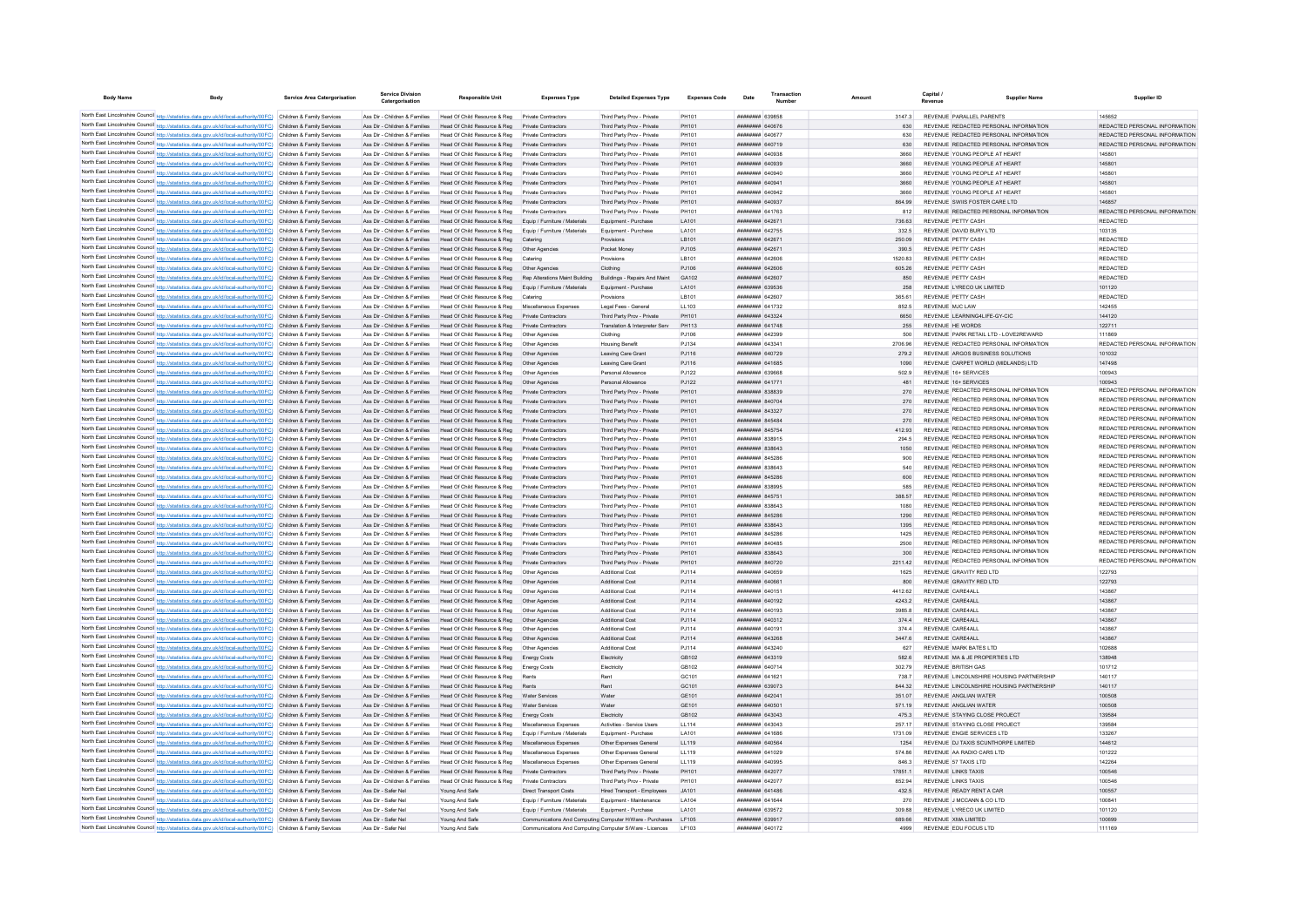| <b>Body Name</b> | Body                                                                                                                                                                                                                                   | <b>Service Area Catergorisation</b> | Catergorisation                                                | <b>Responsible Unit</b>                                                                                                                                | <b>Expenses Type</b>                                                                                                | <b>Detailed Expenses Type</b>                            | <b>Expenses Code</b>   | Date                                            | Amoun |                   | Revenue                                                                        | <b>Supplier Name</b> | Supplier ID                                                    |
|------------------|----------------------------------------------------------------------------------------------------------------------------------------------------------------------------------------------------------------------------------------|-------------------------------------|----------------------------------------------------------------|--------------------------------------------------------------------------------------------------------------------------------------------------------|---------------------------------------------------------------------------------------------------------------------|----------------------------------------------------------|------------------------|-------------------------------------------------|-------|-------------------|--------------------------------------------------------------------------------|----------------------|----------------------------------------------------------------|
|                  | North East Lincolnshire Council http://statistics.data.gov.uk/id/local-authority/00FC) Children & Family Services                                                                                                                      |                                     | Ass Dir - Children & Families                                  | Head Of Child Resource & Reg                                                                                                                           | Private Contractors                                                                                                 | Third Party Prov - Private                               | PH101                  | <b>########</b> 639858                          |       | 31473             | REVENUE PARALLEL PARENTS                                                       |                      | 145652                                                         |
|                  | North East Lincolnshire Council http://statistics.data.gov.uk/id/local-authority/00FC) Children & Family Services                                                                                                                      |                                     | Ass Dir - Children & Families                                  | Head Of Child Resource & Reg                                                                                                                           | Private Contractors                                                                                                 | Third Party Prov - Private                               | PH101                  | <b>HHHHHHH GAOSTS</b>                           |       | 630               | REVENUE REDACTED PERSONAL INFORMATION                                          |                      | REDACTED PERSONAL INFORMATION                                  |
|                  | North East Lincolnshire Council http://statistics.data.gov.uk/id/local-authority/00FC) Children & Family Services                                                                                                                      |                                     | Ass Dir - Children & Families                                  | Head Of Child Resource & Reg                                                                                                                           | Private Contractors                                                                                                 | Third Party Prov - Private                               | PH101                  | <b><i>BRRHHHHH GAOST7</i></b>                   |       | 630               | REVENUE REDACTED PERSONAL INFORMATION                                          |                      | REDACTED PERSONAL INFORMATION                                  |
|                  | North East Lincolnshire Council http://statistics.data.gov.uk/id/local-authority/00FC) Children & Family Services                                                                                                                      |                                     |                                                                | Ass Dir - Children & Families Head Of Child Resource & Reg. Private Contractors                                                                        |                                                                                                                     | Third Party Prov - Private                               | PH101                  | <b><i>BRENHHHH 640719</i></b>                   |       | 630               | REVENUE REDACTED PERSONAL INFORMATION                                          |                      | REDACTED PERSONAL INFORMATION                                  |
|                  | North East Lincolnshire Council http://statistics.data.gov.uk/id/local-authority/00FC) Children & Family Services                                                                                                                      |                                     |                                                                | Ass Dir - Children & Families Head Of Child Resource & Reg Private Contractors                                                                         |                                                                                                                     | Third Party Prov - Private                               | PH101                  | пппппппп 640938                                 |       | 3660              | REVENUE YOUNG PEOPLE AT HEART                                                  |                      | 145801                                                         |
|                  | North East Lincolnshire Council http://statistics.data.gov.uk/id/local-authority/00FC) Children & Family Services                                                                                                                      |                                     |                                                                | Ass Dir - Children & Families Head Of Child Resource & Reg Private Contractors                                                                         |                                                                                                                     | Third Party Prov - Private                               | PH101                  | <b>HUHHHHH 640939</b>                           |       | 3660              | REVENUE YOUNG PEOPLE AT HEART                                                  |                      | 145801                                                         |
|                  | North East Lincolnshire Council http://statistics.data.gov.uk/id/local-authority/00FC) Children & Family Services<br>North East Lincolnshire Council http://statistics.data.gov.uk/id/local-authority/00FC) Children & Family Services |                                     |                                                                | Ass Dir - Children & Families Head Of Child Resource & Reg<br>Ass Dir - Children & Families Head Of Child Resource & Reg                               | Private Contractors<br>Private Contractors                                                                          | Third Party Prov - Private<br>Third Party Prov - Private | PH101<br>PH101         | ######## 640940<br>######## 64094               |       | 3660<br>3660      | REVENUE YOUNG PEOPLE AT HEART<br>REVENUE YOUNG PEOPLE AT HEART                 |                      | 145801<br>145801                                               |
|                  | North East Lincolnshire Council http://statistics.data.gov.uk/id/local-authority/00FC) Children & Family Services                                                                                                                      |                                     | Ass Dir - Children & Families                                  | Head Of Child Resource & Reg                                                                                                                           | Private Contractors                                                                                                 | Third Party Prov - Private                               | PH101                  | ######## 640942                                 |       | 3660              | REVENUE YOUNG PEOPLE AT HEART                                                  |                      | 145801                                                         |
|                  | North East Lincolnshire Council http://statistics.data.gov.uk/id/local-authority/00FC) Children & Family Services                                                                                                                      |                                     |                                                                | Ass Dir - Children & Families Head Of Child Resource & Reg                                                                                             | Private Contractors                                                                                                 | Third Party Prov - Private                               | PH101                  | пянинин 640937                                  |       | 864.99            | REVENUE SWIIS FOSTER CARE LTD                                                  |                      | 146857                                                         |
|                  | North East Lincolnshire Council http://statistics.data.gov.uk/id/local-authority/00FC) Children & Family Services                                                                                                                      |                                     | Ass Dir - Children & Families                                  | Head Of Child Resource & Reg                                                                                                                           | Private Contractors                                                                                                 | Third Party Prov - Private                               | PH101                  | ####### 641763                                  |       | 812               | REVENUE REDACTED PERSONAL INFORMATION                                          |                      | REDACTED PERSONAL INFORMATION                                  |
|                  | North East Lincolnshire Council http://statistics.data.gov.uk/id/local-authority/00FC) Children & Family Services                                                                                                                      |                                     | Ass Dir - Children & Families                                  | Head Of Child Resource & Reg                                                                                                                           | Equip / Furniture / Materials                                                                                       | Equipment - Purchase                                     | LA101                  | ####### 64267                                   |       | 736.63            | REVENUE PETTY CASH                                                             |                      | REDACTED                                                       |
|                  | North East Lincolnshire Council http://statistics.data.gov.uk/id/local-authority/00FC) Children & Family Services                                                                                                                      |                                     | Ass Dir - Children & Families                                  | Head Of Child Resource & Reg                                                                                                                           | Equip / Furniture / Materials                                                                                       | Equipment - Purchase                                     | <b>LA101</b>           | ######## 642755                                 |       | 332.5             | REVENUE DAVID BURY LTD                                                         |                      | 103135                                                         |
|                  | North East Lincolnshire Council http://statistics.data.gov.uk/id/local-authority/00FC) Children & Family Services                                                                                                                      |                                     | Ass Dir - Children & Families                                  | Head Of Child Resource & Reg                                                                                                                           |                                                                                                                     | Provision                                                | LB101                  | пппппппн 64267                                  |       | 250.09            | REVENUE PETTY CASH                                                             |                      | REDACTED                                                       |
|                  | North East Lincolnshire Council http://statistics.data.gov.uk/id/local-authority/00FC) Children & Family Services                                                                                                                      |                                     | Ass Dir - Children & Families                                  | Head Of Child Resource & Reg                                                                                                                           | Other Anencies                                                                                                      | Pocket Money                                             | PJ105                  | <b>ППИНИНИ 642671</b>                           |       | 390.5             | REVENUE PETTY CASH                                                             |                      | <b>REDACTED</b>                                                |
|                  | North East Lincolnshire Council http://statistics.data.gov.uk/id/local-authority/00FC) Children & Family Services<br>North East Lincolnshire Council http://statistics.data.gov.uk/id/local-authority/00FC) Children & Family Services |                                     | Ass Dir - Children & Families<br>Ass Dir - Children & Families | Head Of Child Resource & Reg<br>Head Of Child Resource & Reg  Other Agencies                                                                           | Caterin                                                                                                             | Provision<br>Clothing                                    | I B101<br>PJ106        | <b>ПЕПЕЦИИ 642606</b><br>######## 642606        |       | 1520 83<br>605.26 | REVENUE PETTY CASH<br>REVENUE PETTY CASH                                       |                      | <b>REDACTED</b><br>REDACTED                                    |
|                  | North East Lincolnshire Council http://statistics.data.gov.uk/id/local-authority/00FC) Children & Family Services                                                                                                                      |                                     | Ass Dir - Children & Families                                  | Head Of Child Resource & Reg Rep Alterations Maint Building                                                                                            |                                                                                                                     | Buildings - Repairs And Maint                            | GA102                  | ######## 642607                                 |       | 850               | REVENUE PETTY CASH                                                             |                      | REDACTED                                                       |
|                  | North East Lincolnshire Council http://statistics.data.gov.uk/id/local-authority/00FC) Children & Family Services                                                                                                                      |                                     | Ass Dir - Children & Families                                  | Head Of Child Resource & Reg Equip / Furniture / Materials                                                                                             |                                                                                                                     | Foujoment - Purchase                                     | LA101                  | ######## 639536                                 |       | 258               | REVENUE I YRECO UK LIMITED                                                     |                      | 101120                                                         |
|                  | North East Lincolnshire Council http://statistics.data.gov.uk/id/local-authority/00FC) Children & Family Services                                                                                                                      |                                     | Ass Dir - Children & Families                                  | Head Of Child Resource & Reg Catering                                                                                                                  |                                                                                                                     | Provisions                                               | LB101                  | ######## 642607                                 |       | 365.61            | REVENUE PETTY CASH                                                             |                      | <b>REDACTE</b>                                                 |
|                  | North East Lincolnshire Council http://statistics.data.gov.uk/id/local-authority/00FC) Children & Family Services                                                                                                                      |                                     | Ass Dir - Children & Families                                  | Head Of Child Resource & Reg                                                                                                                           | Miscellaneous Expenses                                                                                              | Legal Fees - General                                     | LL103                  | <b>пппппппп</b> 641732                          |       | 852.5             | REVENUE M.IC.I AW                                                              |                      | 142455                                                         |
|                  | North East Lincolnshire Council http://statistics.data.gov.uk/id/local-authority/00FC) Children & Family Services                                                                                                                      |                                     | Ass Dir - Children & Families                                  | Head Of Child Resource & Reg                                                                                                                           | Private Contractors                                                                                                 | Third Party Prov - Private                               | PH101                  | <b>пппппппп</b> 643324                          |       | 6650              | REVENUE LEARNING4LIFE-GY-CIC                                                   |                      | 144120                                                         |
|                  | North East Lincolnshire Council http://statistics.data.gov.uk/id/local-authority/00FC) Children & Family Services                                                                                                                      |                                     | Ass Dir - Children & Families                                  | Head Of Child Resource & Reg                                                                                                                           | Private Contractors                                                                                                 | Translation & Internreter Serv                           | PH113                  | <b>HHHHHHH 641748</b>                           |       | 255               | REVENUE HE WORDS                                                               |                      | 122711                                                         |
|                  | North East Lincolnshire Council http://statistics.data.gov.uk/id/local-authority/00FC) Children & Family Services                                                                                                                      |                                     | Ass Dir - Children & Families                                  | Head Of Child Resource & Reg                                                                                                                           | Other Anencies                                                                                                      | Clothing                                                 | P.1106                 | <b>пппппппп</b> 642399                          |       | 500               | REVENUE PARK RETAIL LTD - LOVE2REWARD                                          |                      | 111869                                                         |
|                  | North East Lincolnshire Council http://statistics.data.gov.uk/id/local-authority/00FC) Children & Family Services                                                                                                                      |                                     | Ass Dir - Children & Families                                  | Head Of Child Resource & Reg                                                                                                                           | Other Anencie                                                                                                       | <b>Housing Benefit</b>                                   | P.1134                 | виннини 64334 <sup>-</sup>                      |       | 2706.96           | REVENUE REDACTED PERSONAL INFORMATION                                          |                      | REDACTED PERSONAL INFORMATION                                  |
|                  | North East Lincolnshire Council http://statistics.data.gov.uk/id/local-authority/00FC) Children & Family Services<br>North East Lincolnshire Council http://statistics.data.gov.uk/id/local-authority/00FC) Children & Family Services |                                     | Ass Dir - Children & Families<br>Ass Dir - Children & Families | Head Of Child Resource & Reg                                                                                                                           | Other Agencie                                                                                                       | Leaving Care Grant                                       | PJ116                  | ######## 640729<br><b>ПЕПИЛИН 641685</b>        |       | 279.2             | REVENUE ARGOS BUSINESS SOLUTIONS<br>REVENUE CARPET WORLD (MIDLANDS) LTD        |                      | 101032<br>147498                                               |
|                  | North East Lincolnshire Council http://statistics.data.gov.uk/id/local-authority/00FC) Children & Family Services                                                                                                                      |                                     | Ass Dir - Children & Families                                  | Head Of Child Resource & Reg<br>Head Of Child Resource & Reg                                                                                           | Other Agencies<br>Other Agencies                                                                                    | Leaving Care Grant<br>Personal Allowance                 | PJ116<br>PJ122         | н <del>иннини</del> взовая                      |       | 1090<br>502.9     | REVENUE 16+ SERVICES                                                           |                      | 100943                                                         |
|                  | North East Lincolnshire Council http://statistics.data.gov.uk/id/local-authority/00FC) Children & Family Services                                                                                                                      |                                     | Ass Dir - Children & Families                                  | Head Of Child Resource & Reg                                                                                                                           | Other Agencies                                                                                                      | Personal Allowance                                       | P.1122                 | <b><i>BRENHHHH</i></b> 641771                   |       | 481               | REVENUE 16+ SERVICES                                                           |                      | 100943                                                         |
|                  | North East Lincolnshire Council http://statistics.data.gov.uk/id/local-authority/00FC) Children & Family Services                                                                                                                      |                                     |                                                                | Ass Dir - Children & Families Head Of Child Resource & Reg Private Contractors                                                                         |                                                                                                                     | Third Party Prov - Private                               | PH101                  | пппппппп 838839                                 |       | 270               | REVENUE REDACTED PERSONAL INFORMATION                                          |                      | REDACTED PERSONAL INFORMATION                                  |
|                  | North East Lincolnshire Council http://statistics.data.gov.uk/id/local-authority/00FC) Children & Family Services                                                                                                                      |                                     |                                                                | Ass Dir - Children & Families Head Of Child Resource & Reg Private Contractors                                                                         |                                                                                                                     | Third Party Prov - Private                               | PH101                  | <b>НЕННИНИ 840704</b>                           |       | 270               | REVENUE REDACTED PERSONAL INFORMATION                                          |                      | REDACTED PERSONAL INFORMATION                                  |
|                  | North East Lincolnshire Council http://statistics.data.gov.uk/id/local-authority/00FC) Children & Family Services                                                                                                                      |                                     | Ass Dir - Children & Families                                  | Head Of Child Resource & Reg                                                                                                                           | Private Contractors                                                                                                 | Third Party Prov - Private                               | PH101                  | ######## 843327                                 |       | 270               | REVENUE REDACTED PERSONAL INFORMATION                                          |                      | REDACTED PERSONAL INFORMATION                                  |
|                  | North East Lincolnshire Council http://statistics.data.gov.uk/id/local-authority/00FC) Children & Family Services                                                                                                                      |                                     | Ass Dir - Children & Families                                  | Head Of Child Resource & Reg                                                                                                                           | Private Contractors                                                                                                 | Third Party Prov - Private                               | PH101                  | ######## 845484                                 |       | 270               | REVENUE REDACTED PERSONAL INFORMATION                                          |                      | REDACTED PERSONAL INFORMATION                                  |
|                  | North East Lincolnshire Council http://statistics.data.gov.uk/id/local-authority/00FC) Children & Family Services                                                                                                                      |                                     |                                                                | Ass Dir - Children & Families Head Of Child Resource & Reg                                                                                             | Private Contractors                                                                                                 | Third Party Prov - Private                               | PH101                  | ######## 845754                                 |       | 412.93            | REVENUE REDACTED PERSONAL INFORMATION                                          |                      | REDACTED PERSONAL INFORMATION                                  |
|                  | North East Lincolnshire Council http://statistics.data.gov.uk/id/local-authority/00FC) Children & Family Services                                                                                                                      |                                     | Ass Dir - Children & Families                                  | Head Of Child Resource & Reg                                                                                                                           | Private Contractors                                                                                                 | Third Party Prov - Private                               | PH101                  | <b>плинини 838915</b>                           |       | 2945              | REVENUE REDACTED PERSONAL INFORMATION<br>REVENUE REDACTED PERSONAL INFORMATION |                      | REDACTED PERSONAL INFORMATION<br>REDACTED PERSONAL INFORMATION |
|                  | North East Lincolnshire Council http://statistics.data.gov.uk/id/local-authority/00FC) Children & Family Services<br>North East Lincolnshire Council http://statistics.data.gov.uk/id/local-authority/00FC) Children & Family Services |                                     | Ass Dir - Children & Families<br>Ass Dir - Children & Families | Head Of Child Resource & Reg<br>Head Of Child Resource & Reg                                                                                           | Private Contractors<br>Private Contractors                                                                          | Third Party Prov - Private<br>Third Party Prov - Private | PH101<br>PH101         | ######## 838643<br>######## 845286              |       | 1050<br>900       | REVENUE REDACTED PERSONAL INFORMATION                                          |                      | REDACTED PERSONAL INFORMATION                                  |
|                  | North East Lincolnshire Council http://statistics.data.gov.uk/id/local-authority/00FC) Children & Family Services                                                                                                                      |                                     | Ass Dir - Children & Families                                  | Head Of Child Resource & Reg                                                                                                                           | Private Contractors                                                                                                 | Third Party Prov - Private                               | PH101                  | ####### 83864:                                  |       | 540               | REVENUE REDACTED PERSONAL INFORMATION                                          |                      | REDACTED PERSONAL INFORMATION                                  |
|                  | North East Lincolnshire Council http://statistics.data.gov.uk/id/local-authority/00FC) Children & Family Services                                                                                                                      |                                     | Ass Dir - Children & Families                                  | Head Of Child Resource & Reg                                                                                                                           |                                                                                                                     | Third Party Prov - Private                               | PH101                  | ######## 845286                                 |       | 600               | REVENUE REDACTED PERSONAL INFORMATION                                          |                      | REDACTED PERSONAL INFORMATION                                  |
|                  | North East Lincolnshire Council http://statistics.data.gov.uk/id/local-authority/00FC) Children & Family Services                                                                                                                      |                                     | Ass Dir - Children & Families                                  | Head Of Child Resource & Reg                                                                                                                           |                                                                                                                     | Third Party Prov - Private                               | PH101                  | <b>CORER NUMBER</b>                             |       |                   | REVENUE REDACTED PERSONAL INFORMATION                                          |                      | REDACTED PERSONAL INFORMATION                                  |
|                  | North East Lincolnshire Council http://statistics.data.gov.uk/id/local-authority/00FC) Children & Family Services                                                                                                                      |                                     | Ass Dir - Children & Families                                  | Head Of Child Resource & Reg                                                                                                                           | Private Contractors                                                                                                 | Third Party Prov - Private                               | PH101                  | <b>HUHHHHH 845751</b>                           |       | 388.57            | REVENUE REDACTED PERSONAL INFORMATION                                          |                      | REDACTED PERSONAL INFORMATION                                  |
|                  | North East Lincolnshire Council http://statistics.data.gov.uk/id/local-authority/00FC) Children & Family Services                                                                                                                      |                                     | Ass Dir - Children & Families                                  | Head Of Child Resource & Reg                                                                                                                           | Private Contractors                                                                                                 | Third Party Prov - Private                               | PH101                  | ######## 838643                                 |       | 1080              | REVENUE REDACTED PERSONAL INFORMATION                                          |                      | REDACTED PERSONAL INFORMATION                                  |
|                  | North East Lincolnshire Council http://statistics.data.gov.uk/id/local-authority/00FC) Children & Family Services                                                                                                                      |                                     | Ass Dir - Children & Families                                  | Head Of Child Resource & Reg                                                                                                                           | Private Contractors                                                                                                 | Third Party Prov - Private                               | PH101                  | ######## 845286                                 |       | 1290              | REVENUE REDACTED PERSONAL INFORMATION                                          |                      | REDACTED PERSONAL INFORMATION                                  |
|                  | North East Lincolnshire Council http://statistics.data.gov.uk/id/local-authority/00FC) Children & Family Services                                                                                                                      |                                     | Ass Dir - Children & Families                                  | Head Of Child Resource & Reg                                                                                                                           | Private Contractors                                                                                                 | Third Party Prov - Private                               | PH101                  | ####### 838643                                  |       | 1395              | REVENUE REDACTED PERSONAL INFORMATION<br>REVENUE REDACTED PERSONAL INFORMATION |                      | REDACTED PERSONAL INFORMATION<br>REDACTED PERSONAL INFORMATION |
|                  | North East Lincolnshire Council http://statistics.data.gov.uk/id/local-authority/00FC) Children & Family Services<br>North East Lincolnshire Council http://statistics.data.gov.uk/id/local-authority/00FC) Children & Family Services |                                     | Ass Dir - Children & Families                                  | Head Of Child Resource & Reg                                                                                                                           | Private Contractors                                                                                                 | Third Party Prov - Private                               | PH101                  | ####### 845286                                  |       | 1425              | REVENUE REDACTED PERSONAL INFORMATION                                          |                      | REDACTED PERSONAL INFORMATION                                  |
|                  | North East Lincolnshire Council http://statistics.data.gov.uk/id/local-authority/00FC) Children & Family Services                                                                                                                      |                                     | Ass Dir - Children & Families<br>Ass Dir - Children & Families | Head Of Child Resource & Reg<br>Head Of Child Resource & Reg                                                                                           | Private Contractors<br>Private Contractors                                                                          | Third Party Prov - Private<br>Third Party Prov - Private | PH101<br>PH101         | ####### 840485<br><b>пппппппп</b> 838643        |       | 2500<br>300       | REVENUE REDACTED PERSONAL INFORMATION                                          |                      | REDACTED PERSONAL INFORMATION                                  |
|                  | North East Lincolnshire Council http://statistics.data.gov.uk/id/local-authority/00FC) Children & Family Services                                                                                                                      |                                     | Ass Dir - Children & Families                                  | Head Of Child Resource & Reg.                                                                                                                          | Private Contractors                                                                                                 | Third Party Prov - Private                               | PH101                  | <b><i>BRENHHHH 840720</i></b>                   |       | 221142            | REVENUE REDACTED PERSONAL INFORMATION                                          |                      | REDACTED PERSONAL INFORMATION                                  |
|                  | North East Lincolnshire Council http://statistics.data.gov.uk/id/local-authority/00FC) Children & Family Services                                                                                                                      |                                     | Ass Dir - Children & Families                                  | Head Of Child Resource & Reg                                                                                                                           | Other Agencies                                                                                                      | Additional Cost                                          | P.I114                 | <b>HEHHHHH 640659</b>                           |       | 1625              | REVENUE GRAVITY RED LTD                                                        |                      | 122793                                                         |
|                  | North East Lincolnshire Council http://statistics.data.gov.uk/id/local-authority/00FC) Children & Family Services                                                                                                                      |                                     | Ass Dir - Children & Families                                  | Head Of Child Resource & Reg                                                                                                                           | Other Agencies                                                                                                      | <b>Additional Cost</b>                                   | PJ114                  | валья нинных                                    |       | 800               | REVENUE GRAVITY RED LTD                                                        |                      | 122793                                                         |
|                  | North East Lincolnshire Council http://statistics.data.gov.uk/id/local-authority/00FC) Children & Family Services                                                                                                                      |                                     | Ass Dir - Children & Families                                  | Head Of Child Resource & Reg                                                                                                                           |                                                                                                                     | Additional Cost                                          | PJ114                  | <b>BRENHAMM 640151</b>                          |       | 4412.62           | REVENUE CARE4ALI                                                               |                      | 143867                                                         |
|                  | North East Lincolnshire Council http://statistics.data.gov.uk/id/local-authority/00FC) Children & Family Services                                                                                                                      |                                     | Ass Dir - Children & Families                                  | Head Of Child Resource & Reg                                                                                                                           | Other Agencie                                                                                                       | <b>Additional Cost</b>                                   | PJ114                  | <b>ПЕПЕЦИИ 640192</b>                           |       | 4243.2            | REVENUE CARE4AU                                                                |                      | 143867                                                         |
|                  | North East Lincolnshire Council http://statistics.data.gov.uk/id/local-authority/00FC) Children & Family Services                                                                                                                      |                                     | Ass Dir - Children & Families                                  | Head Of Child Resource & Reg                                                                                                                           | Other Agencie                                                                                                       | Additional Cost                                          | PJ114                  | FOTOLA HHHHHHH                                  |       | 3985.8            | REVENUE CARE4AU                                                                |                      | 143867                                                         |
|                  | North East Lincolnshire Council http://statistics.data.gov.uk/id/local-authority/00FC) Children & Family Services                                                                                                                      |                                     |                                                                | Ass Dir - Children & Families Head Of Child Resource & Reg. Other Agencies                                                                             |                                                                                                                     | Additional Cost                                          | PJ114                  | <b>ПППППППП</b> 640312<br><b>BREEZER BAD191</b> |       | 3744              | REVENUE CARE4ALL                                                               |                      | 143867                                                         |
|                  | North East Lincolnshire Council http://statistics.data.gov.uk/id/local-authority/00FC) Children & Family Services<br>North East Lincolnshire Council http://statistics.data.gov.uk/id/local-authority/00FC) Children & Family Services |                                     |                                                                | Ass Dir - Children & Families Head Of Child Resource & Reg Other Agencies<br>Ass Dir - Children & Families Head Of Child Resource & Reg Other Agencies |                                                                                                                     | Additional Cost<br><b>Additional Cost</b>                | PJ114<br>PJ114         | <b>ПЕПЕННИН 643268</b>                          |       | 374.4<br>3447.6   | REVENUE CARE4ALL<br>REVENUE CARE4ALL                                           |                      | 143867<br>143867                                               |
|                  | North East Lincolnshire Council http://statistics.data.gov.uk/id/local-authority/00FC) Children & Family Services                                                                                                                      |                                     | Ass Dir - Children & Families                                  | Head Of Child Resource & Reg  Other Agencies                                                                                                           |                                                                                                                     | Additional Cost                                          | PJ114                  | ######## 643240                                 |       | 627               | REVENUE MARK BATES LTD                                                         |                      | 102688                                                         |
|                  | North East Lincolnshire Council http://statistics.data.gov.uk/id/local-authority/00FC) Children & Family Services                                                                                                                      |                                     |                                                                | Ass Dir - Children & Families Head Of Child Resource & Reg Energy Costs                                                                                |                                                                                                                     | Electricity                                              | GB102                  | ######## 643319                                 |       | 582.6             | REVENUE MA & JE PROPERTIES LTD                                                 |                      | 138948                                                         |
|                  | North East Lincolnshire Council http://statistics.data.gov.uk/id/local-authority/00FC) Children & Family Services                                                                                                                      |                                     |                                                                | Ass Dir - Children & Families Head Of Child Resource & Reg Energy Costs                                                                                |                                                                                                                     | Electricity                                              | GB102                  | ######## 640714                                 |       | 302.79            | REVENUE BRITISH GAS                                                            |                      | 101712                                                         |
|                  | North East Lincolnshire Council http://statistics.data.gov.uk/id/local-authority/00FC) Children & Family Services                                                                                                                      |                                     | Ass Dir - Children & Families                                  | Head Of Child Resource & Reg                                                                                                                           |                                                                                                                     | Rent                                                     | GC101                  | ######## 641621                                 |       | 738.7             | REVENUE I INCOLNSHIRE HOUSING PARTNERSHIP                                      |                      | 140117                                                         |
|                  | North East Lincolnshire Council http://statistics.data.gov.uk/id/local-authority/00FC) Children & Family Services                                                                                                                      |                                     | Ass Dir - Children & Families                                  | Head Of Child Resource & Reg                                                                                                                           | Rents                                                                                                               | Rent                                                     | GC <sub>101</sub>      | ######## 639073                                 |       | 844.32            | REVENUE LINCOLNSHIRE HOUSING PARTNERSHIP                                       |                      | 140117                                                         |
|                  | North East Lincolnshire Council http://statistics.data.gov.uk/id/local-authority/00FC) Children & Family Services                                                                                                                      |                                     | Ass Dir - Children & Families                                  | Head Of Child Resource & Reg                                                                                                                           | Water Services                                                                                                      | Water                                                    | GF101                  | ######## 64204                                  |       | 351.07            | REVENUE ANGLIAN WATER                                                          |                      | 100508                                                         |
|                  | North East Lincolnshire Council http://statistics.data.gov.uk/id/local-authority/00FC) Children & Family Services                                                                                                                      |                                     | Ass Dir - Children & Families                                  | Head Of Child Resource & Reg                                                                                                                           |                                                                                                                     | Water                                                    | GE101                  | ####### 64050                                   |       | 571.19            | REVENUE ANGLIAN WATER                                                          |                      | 100508                                                         |
|                  | North East Lincolnshire Council http://statistics.data.gov.uk/id/local-authority/00FC) Children & Family Services                                                                                                                      |                                     | Ass Dir - Children & Families                                  | Head Of Child Resource & Reg                                                                                                                           | Energy Costs                                                                                                        | Electricity                                              | GB102                  | ######## 643043                                 |       | 475.3             | REVENUE STAYING CLOSE PROJECT                                                  |                      | 139584                                                         |
|                  | North East Lincolnshire Council http://statistics.data.gov.uk/id/local-authority/00FC) Children & Family Services<br>North East Lincolnshire Council http://statistics.data.gov.uk/id/local-authority/00FC) Children & Family Services |                                     | Ass Dir - Children & Families<br>Ass Dir - Children & Families | Head Of Child Resource & Reg<br>Head Of Child Resource & Reg                                                                                           | Miscellaneous Expenses<br>Equip / Furniture / Materials                                                             | Activities - Service Users<br>Equipment - Purchase       | LL114<br>LA101         | пппппппп 643043<br><b>ПЕПЕЦИИ 641686</b>        |       | 257.17<br>1731.09 | REVENUE STAYING CLOSE PROJECT<br>REVENUE ENGIE SERVICES I TD                   |                      | 139584<br>133267                                               |
|                  | North East Lincolnshire Council http://statistics.data.gov.uk/id/local-authority/00FC) Children & Family Services                                                                                                                      |                                     |                                                                | Ass Dir - Children & Families Head Of Child Resource & Reg Miscellaneous Expenses                                                                      |                                                                                                                     | Other Expenses General                                   | LL119                  | ######## 640564                                 |       | 1254              | REVENUE DJ TAXIS SCUNTHORPE LIMITED                                            |                      | 144612                                                         |
|                  | North East Lincolnshire Council http://statistics.data.gov.uk/id/local-authority/00FC) Children & Family Services                                                                                                                      |                                     | Ass Dir - Children & Families                                  | Head Of Child Resource & Reg Miscellaneous Expenses                                                                                                    |                                                                                                                     | Other Expenses General                                   | LL119                  | ######## 641029                                 |       | 574.86            | REVENUE AA RADIO CARS LTD                                                      |                      | 101222                                                         |
|                  | North East Lincolnshire Council http://statistics.data.gov.uk/id/local-authority/00FC) Children & Family Services                                                                                                                      |                                     | Ass Dir - Children & Families                                  | Head Of Child Resource & Reg                                                                                                                           | Miscellaneous Expenses                                                                                              | Other Expenses General                                   | LL119                  | ######## 640995                                 |       | 846.3             | REVENUE 57 TAXIS I TD                                                          |                      | 142264                                                         |
|                  | North East Lincolnshire Council http://statistics.data.gov.uk/id/local-authority/00FC) Children & Family Services                                                                                                                      |                                     |                                                                | Ass Dir - Children & Families Head Of Child Resource & Reg Private Contractors                                                                         |                                                                                                                     | Third Party Prov - Private                               | PH101                  | ######## 64207                                  |       | 17851.1           | REVENUE LINKS TAXIS                                                            |                      | 100546                                                         |
|                  | North East Lincolnshire Council http://statistics.data.gov.uk/id/local-authority/00FC) Children & Family Services                                                                                                                      |                                     | Ass Dir - Children & Families                                  | Head Of Child Resource & Reg                                                                                                                           | Private Contractors                                                                                                 | Third Party Prov - Private                               | PH101                  | ######## 642077                                 |       | 852.94            | REVENUE LINKS TAXIS                                                            |                      | 100546                                                         |
|                  | North East Lincolnshire Council http://statistics.data.gov.uk/id/local-authority/00FC) Children & Family Services                                                                                                                      |                                     | Ass Dir - Safer Nel                                            | Young And Safe                                                                                                                                         | <b>Direct Transport Costs</b>                                                                                       | Hired Transport - Employees                              | JA101                  | <b>ПЕПЕННИН</b> 641486                          |       | 4325              | REVENUE READY RENT A CAR                                                       |                      | 100557                                                         |
|                  | North East Lincolnshire Council http://statistics.data.gov.uk/id/local-authority/00FC) Children & Family Services                                                                                                                      |                                     | Ass Dir - Safer Nel                                            | Young And Safe                                                                                                                                         | Fouin / Furniture / Materials                                                                                       | Equipment - Maintenance                                  | <b>1A104</b>           | <b>BRENHHHH 641644</b>                          |       | 270               | REVENUE J MCCANN & CO LTD                                                      |                      | 100841                                                         |
|                  | North East Lincolnshire Council http://statistics.data.gov.uk/id/local-authority/00FC) Children & Family Services                                                                                                                      |                                     | Ass Dir - Safer Nel                                            | Young And Safe                                                                                                                                         | Fouio / Furniture / Materials                                                                                       | Foujoment - Purchase                                     | I A101                 | ######## 639572                                 |       | 309.88            | REVENUE I YRECO UK LIMITED<br>REVENUE XMA LIMITED                              |                      | 101120                                                         |
|                  | North East Lincolnshire Council http://statistics.data.gov.uk/id/local-authority/00FC) Children & Family Services<br>North East Lincolnshire Council http://statistics.data.gov.uk/id/local-authority/00FC) Children & Family Services |                                     | Ass Dir - Safer Nel<br>Ass Dir - Safer Nel                     | Young And Safe<br>Young And Safe                                                                                                                       | Communications And Computing Computer H/Ware - Purchases<br>Communications And Computing Computer S/Ware - Licences |                                                          | I F105<br><b>LE103</b> | ######## 639917<br><b><i>BREADER BAD172</i></b> |       | 689.66<br>4999    | REVENUE EDU FOCUS LTD                                                          |                      | 100699<br>111169                                               |
|                  |                                                                                                                                                                                                                                        |                                     |                                                                |                                                                                                                                                        |                                                                                                                     |                                                          |                        |                                                 |       |                   |                                                                                |                      |                                                                |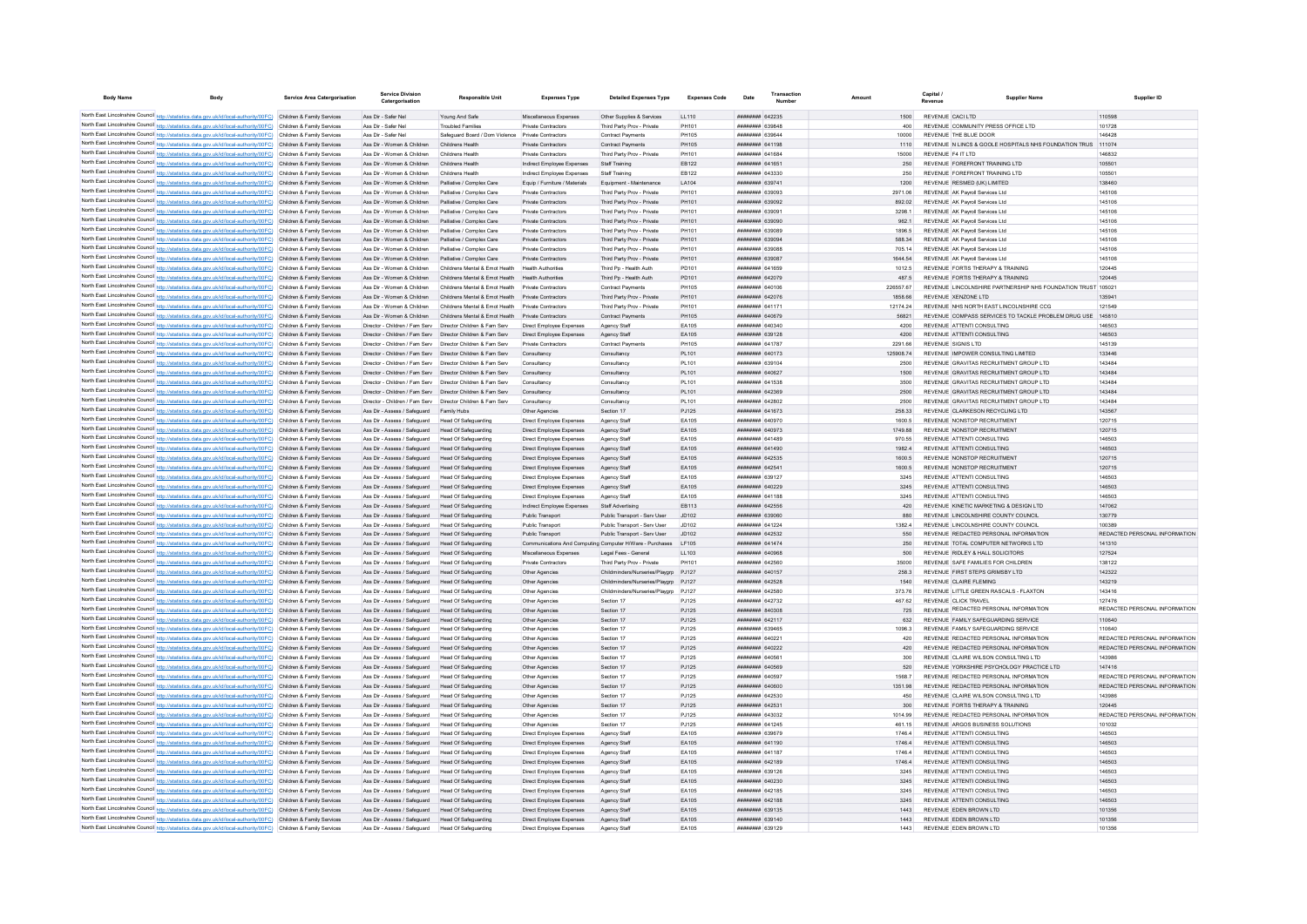| <b>Body Name</b>                                                                                                                                                                                                                       | <b>Body</b> | Service Area Catergorisation | <b>Service Division</b><br>Catergorisation                                                                                  | Responsible Unit                                                                                        | <b>Expenses Type</b>                                     | <b>Detailed Expenses Type</b>                                                | <b>Expenses Code</b> | Date                                      | Transaction | Amoun |                    | Capital                                                                            | <b>Supplier Name</b>                                         | Supplier ID                             |
|----------------------------------------------------------------------------------------------------------------------------------------------------------------------------------------------------------------------------------------|-------------|------------------------------|-----------------------------------------------------------------------------------------------------------------------------|---------------------------------------------------------------------------------------------------------|----------------------------------------------------------|------------------------------------------------------------------------------|----------------------|-------------------------------------------|-------------|-------|--------------------|------------------------------------------------------------------------------------|--------------------------------------------------------------|-----------------------------------------|
| North East Lincolnshire Council http://statistics.data.gov.uk/id/local-authority/00FC) Children & Family Services                                                                                                                      |             |                              | Ass Dir - Safer Nel                                                                                                         | Young And Safe                                                                                          | Miscellaneous Expenses                                   | Other Supplies & Services                                                    | 11110                | <b>ППИНИНИ 642235</b>                     |             |       | 1500               | REVENUE CACLETD                                                                    |                                                              | 110598                                  |
| North East Lincolnshire Council http://statistics.data.gov.uk/id/local-authority/00FC) Children & Family Services                                                                                                                      |             |                              | Ass Dir - Safer Nel                                                                                                         | <b>Troubled Families</b>                                                                                | <b>Private Contractors</b>                               | Third Party Prov - Private                                                   | PH101                | <b>плинини 639848</b>                     |             |       |                    | REVENUE COMMUNITY PRESS OFFICE LTD                                                 |                                                              | 101728                                  |
| North East Lincolnshire Council http://statistics.data.gov.uk/id/local-authority/00FC) Children & Family Services                                                                                                                      |             |                              | Ass Dir - Safer Nel                                                                                                         | Safeguard Board / Dom Violence Private Contractors                                                      |                                                          | <b>Contract Payments</b>                                                     | PH105                | ######## 639644                           |             |       | 10000              | REVENUE THE BLUE DOOR                                                              |                                                              | 146428                                  |
| North East Lincolnshire Council http://statistics.data.gov.uk/id/local-authority/00FC) Children & Family Services                                                                                                                      |             |                              | Ass Dir - Women & Children                                                                                                  | Childrens Health                                                                                        | Private Contractors                                      | <b>Contract Payments</b>                                                     | PH105                | <b>ПЕНИНИН 641198</b>                     |             |       | 1110               |                                                                                    | REVENUE N LINCS & GOOLE HOSPITALS NHS FOUNDATION TRUS 111074 |                                         |
| North East Lincolnshire Council http://statistics.data.gov.uk/id/local-authority/00FC) Children & Family Services                                                                                                                      |             |                              | Ass Dir - Women & Children                                                                                                  | Childrens Health                                                                                        | Private Contractors                                      | Third Party Prov - Private                                                   | PH101                | <b>BRENHHHH 641684</b>                    |             |       | 15000              | REVENUE F4 IT I TD                                                                 |                                                              | 146832                                  |
| North East Lincolnshire Council http://statistics.data.gov.uk/id/local-authority/00FC) Children & Family Services                                                                                                                      |             |                              | Ass Dir - Women & Children                                                                                                  | Childrens Health                                                                                        | Indirect Employee Expenses                               | Staff Training                                                               | FR122                | <b><i>BRENHHHH 641651</i></b>             |             |       | 250                | REVENUE FOREFRONT TRAINING LTD.                                                    |                                                              | 105501                                  |
| North East Lincolnshire Council http://statistics.data.gov.uk/id/local-authority/00FC) Children & Family Services                                                                                                                      |             |                              | Ass Dir - Women & Children                                                                                                  | Childrens Health                                                                                        | Indirect Employee Expenses                               | Staff Training                                                               | EB122                | <b>пининин</b> 643330                     |             |       | 250                | REVENUE FOREFRONT TRAINING LTD                                                     |                                                              | 105501                                  |
| North East Lincolnshire Council http://statistics.data.gov.uk/id/local-authority/00FC) Children & Family Services                                                                                                                      |             |                              | Ass Dir - Women & Children                                                                                                  | Palliative / Complex Care                                                                               | Equip / Furniture / Materials                            | Equipment - Maintenance                                                      | LA104                | ######## 63974                            |             |       | 1200               | REVENUE RESMED (UK) LIMITED                                                        |                                                              | 138460                                  |
| North East Lincolnshire Council http://statistics.data.gov.uk/id/local-authority/00FC) Children & Family Services<br>North East Lincolnshire Council http://statistics.data.gov.uk/id/local-authority/00FC) Children & Family Services |             |                              | Ass Dir - Women & Children<br>Ass Dir - Women & Children                                                                    | Palliative / Complex Care<br>Palliative / Complex Care                                                  | Private Contractors<br><b>Private Contractors</b>        | Third Party Prov - Private<br>Third Party Prov - Private                     | PH101<br>PH101       | ######## 639093<br>######## 639092        |             |       | 2971.06<br>892.02  | REVENUE AK Payroll Services Ltd.<br>REVENUE AK Pavroll Services Ltd.               |                                                              | 145106<br>145106                        |
| North East Lincolnshire Council http://statistics.data.gov.uk/id/local-authority/00FC) Children & Family Services                                                                                                                      |             |                              | Ass Dir - Women & Children                                                                                                  | Palliative / Complex Care                                                                               | Private Contractors                                      | Third Party Prov - Private                                                   | PH101                | ######## 639091                           |             |       | 3298.1             | REVENUE AK Payroll Services Ltd.                                                   |                                                              | 145106                                  |
| North East Lincolnshire Council http://statistics.data.gov.uk/id/local-authority/00FC) Children & Family Services                                                                                                                      |             |                              | Ass Dir - Women & Children                                                                                                  | Palliative / Complex Care                                                                               | <b>Private Contractors</b>                               | Third Party Prov - Private                                                   | PH101                | ######## 639090                           |             |       | 962.1              | REVENUE AK Pavroll Services Ltd                                                    |                                                              | 145106                                  |
| North East Lincolnshire Council http://statistics.data.gov.uk/id/local-authority/00FC) Children & Family Services                                                                                                                      |             |                              | Ass Dir - Women & Children                                                                                                  | Palliative / Complex Care                                                                               | Private Contractors                                      | Third Party Prov - Private                                                   | PH101                | ####### 639089                            |             |       | 1896.5             | REVENUE AK Payroll Services Ltd.                                                   |                                                              | 145106                                  |
| North East Lincolnshire Council http://statistics.data.gov.uk/id/local-authority/00FC) Children & Family Services                                                                                                                      |             |                              | Ass Dir - Women & Children                                                                                                  | Palliative / Complex Care                                                                               | <b>Private Contractors</b>                               | Third Party Prov - Private                                                   | PH101                | ######## 63909                            |             |       | 588.34             | REVENUE AK Payroll Services Ltd                                                    |                                                              | 145106                                  |
| North East Lincolnshire Council http://statistics.data.gov.uk/id/local-authority/00FC) Children & Family Services                                                                                                                      |             |                              | Ass Dir - Women & Children                                                                                                  | Palliative / Complex Care                                                                               | Private Contractors                                      | Third Party Prov - Private                                                   | PH101                | ######## 639088                           |             |       | 705.14             | REVENUE AK Pavroll Services Ltd                                                    |                                                              | 145106                                  |
| North East Lincolnshire Council http://statistics.data.gov.uk/id/local-authority/00FC)                                                                                                                                                 |             | Children & Family Services   | Ass Dir - Women & Children                                                                                                  | Palliative / Complex Care                                                                               | <b>Private Contractors</b>                               | Third Party Prov - Private                                                   | PH101                | ######## 639087                           |             |       | 1644 54            | REVENUE AK Payroll Services Ltd                                                    |                                                              | 145106                                  |
| North East Lincolnshire Council http://statistics.data.gov.uk/id/local-authority/00FC) Children & Family Services                                                                                                                      |             |                              | Ass Dir - Women & Children                                                                                                  | Childrens Mental & Emot Health                                                                          | <b>Health Authorities</b>                                | Third Pn - Health Auth                                                       | PD101                | <b>########</b> 641659                    |             |       | 1012.5             | REVENUE FORTIS THERAPY & TRAINING                                                  |                                                              | 120445                                  |
| North East Lincolnshire Council http://statistics.data.gov.uk/id/local-authority/00FC) Children & Family Services<br>North East Lincolnshire Council http://statistics.data.gov.uk/id/local-authority/00FC) Children & Family Services |             |                              | Ass Dir - Women & Children<br>Ass Dir - Women & Children                                                                    | Childrens Mental & Emot Health Health Authorities<br>Childrens Mental & Emot Health Private Contractors |                                                          | Third Pp - Health Auth                                                       | PD101                | ######## 642079<br><b>HENHHHH 640106</b>  |             |       | 487.5<br>226557.67 | REVENUE FORTIS THERAPY & TRAINING                                                  | REVENUE LINCOLNSHIRE PARTNERSHIP NHS FOUNDATION TRUST 105021 | 120445                                  |
| North East Lincolnshire Council http://statistics.data.gov.uk/id/local-authority/00FC) Children & Family Services                                                                                                                      |             |                              | Ass Dir - Women & Children                                                                                                  | Childrens Mental & Emot Health Private Contractors                                                      |                                                          | <b>Contract Payments</b><br>Third Party Prov - Private                       | PH105<br>PH101       | ######## 642076                           |             |       | 1858.66            | REVENUE XENZONE LTD                                                                |                                                              | 13594                                   |
| North East Lincolnshire Council http://statistics.data.gov.uk/id/local-authority/00FC) Children & Family Services                                                                                                                      |             |                              | Ass Dir - Women & Children                                                                                                  | Childrens Mental & Emot Health Private Contractors                                                      |                                                          | Third Party Prov - Private                                                   | PH101                | ######## 641171                           |             |       | 12174.24           | REVENUE NHS NORTH EAST LINCOLNSHIRE CCG                                            |                                                              | 121549                                  |
| North East Lincolnshire Council http://statistics.data.gov.uk/id/local-authority/00FC) Children & Family Services                                                                                                                      |             |                              | Ass Dir - Women & Children                                                                                                  | Childrens Mental & Emot Health                                                                          | Private Contractors                                      | Contract Payments                                                            | PH105                | ######## 640679                           |             |       | 56821              |                                                                                    | REVENUE COMPASS SERVICES TO TACKLE PROBLEM DRUG USE 145810   |                                         |
| North East Lincolnshire Council http://statistics.data.gov.uk/id/local-authority/00FC) Children & Family Services                                                                                                                      |             |                              | Director - Children / Fam Serv Director Children & Fam Serv                                                                 |                                                                                                         | Direct Employee Expenses                                 | Agency Staff                                                                 | FA105                | <b>пипинин</b> 640340                     |             |       | 4200               | REVENUE ATTENTI CONSULTING                                                         |                                                              | 146503                                  |
| North East Lincolnshire Council http://statistics.data.gov.uk/id/local-authority/00FC) Children & Family Services                                                                                                                      |             |                              | Director - Children / Fam Serv  Director Children & Fam Serv                                                                |                                                                                                         | Direct Employee Expenses                                 | Agency Staff                                                                 | EA105                | ######## 639128                           |             |       | 4200               | REVENUE ATTENTI CONSULTING                                                         |                                                              | 146503                                  |
| North East Lincolnshire Council http://statistics.data.gov.uk/id/local-authority/00FC) Children & Family Services                                                                                                                      |             |                              | Director - Children / Fam Serv  Director Children & Fam Serv                                                                |                                                                                                         | <b>Private Contractors</b>                               | <b>Contract Payments</b>                                                     | <b>PH105</b>         | ####### 641787                            |             |       | 2291.66            | REVENUE SIGNIS LTD                                                                 |                                                              | 145139                                  |
| North East Lincolnshire Council http://statistics.data.gov.uk/id/local-authority/00FC) Children & Family Services                                                                                                                      |             |                              | Director - Children / Fam Serv                                                                                              | Director Children & Fam Serv                                                                            | Consultancy                                              | Consultancy                                                                  | PL101                | ######## 640173                           |             |       | 125908.74          | REVENUE IMPOWER CONSULTING LIMITED                                                 |                                                              | 133446                                  |
| North East Lincolnshire Council http://statistics.data.gov.uk/id/local-authority/00FC) Children & Family Services                                                                                                                      |             |                              | Director - Children / Fam Serv                                                                                              | Director Children & Fam Ser                                                                             | Consultancy                                              | Consultancy                                                                  | PL101                | <b>пппппппп</b> 639104                    |             |       | 2500               | REVENUE GRAVITAS RECRUITMENT GROUP LTD                                             |                                                              | 143484                                  |
| North East Lincolnshire Council http://statistics.data.gov.uk/id/local-authority/00FC) Children & Family Services                                                                                                                      |             |                              | Director - Children / Fam Serv                                                                                              | Director Children & Fam Serv                                                                            | Consultancy                                              | Consultancy                                                                  | PL101                | <b>ПЛИНИНИ 640627</b>                     |             |       | 1500               | REVENUE GRAVITAS RECRUITMENT GROUP LTD                                             |                                                              | 143484                                  |
| North East Lincolnshire Council http://statistics.data.gov.uk/id/local-authority/00FC) Children & Family Services<br>North East Lincolnshire Council http://statistics.data.gov.uk/id/local-authority/00FC) Children & Family Services |             |                              | Director - Children / Fam Serv Director Children & Fam Serv<br>Director - Children / Fam Serv  Director Children & Fam Serv |                                                                                                         | Consultancy<br>Consultancy                               | Consultancy<br>Consultancy                                                   | PL101<br>PL101       | <b>пппппппп</b> 641538<br>######## 642369 |             |       | 3500<br>2500       | REVENUE GRAVITAS RECRUITMENT GROUP LTD<br>REVENUE GRAVITAS RECRUITMENT GROUP LTD   |                                                              | 143484<br>143484                        |
| North East Lincolnshire Council http://statistics.data.gov.uk/id/local-authority/00FC) Children & Family Services                                                                                                                      |             |                              | Director - Children / Fam Serv  Director Children & Fam Serv                                                                |                                                                                                         | Consultancy                                              | Consultancy                                                                  | PL101                | <b>пппппппп</b> 642802                    |             |       | 2500               | REVENUE GRAVITAS RECRUITMENT GROUP LTD                                             |                                                              | 143484                                  |
| North East Lincolnshire Council http://statistics.data.gov.uk/id/local-authority/00FC) Children & Family Services                                                                                                                      |             |                              | Ass Dir - Assess / Safeguard Family Hubs                                                                                    |                                                                                                         | Other Agencies                                           | Section 17                                                                   | PJ125                | ######## 641673                           |             |       | 258.33             | REVENUE CLARKESON RECYCLING LTD                                                    |                                                              | 143567                                  |
| North East Lincolnshire Council http://statistics.data.gov.uk/id/local-authority/00FC) Children & Family Services                                                                                                                      |             |                              | Ass Dir - Assess / Safeguard                                                                                                | Head Of Safeguarding                                                                                    | Direct Employee Expenses                                 | Agency Staff                                                                 | EA105                | ######## 640970                           |             |       | 1600.5             | REVENUE NONSTOP RECRUITMENT                                                        |                                                              | 120715                                  |
| North East Lincolnshire Council http://statistics.data.gov.uk/id/local-authority/00FC) Children & Family Services                                                                                                                      |             |                              | Ass Dir - Assess / Safeguard                                                                                                | Head Of Safeguarding                                                                                    | Direct Employee Expenses                                 | Agency Staff                                                                 | EA105                | ######## 640973                           |             |       | 1749.88            | REVENUE NONSTOP RECRUITMENT                                                        |                                                              | 120715                                  |
| North East Lincolnshire Council http://statistics.data.gov.uk/id/local-authority/00FC) Children & Family Services                                                                                                                      |             |                              | Ass Dir - Assess / Safeguard                                                                                                | Head Of Safeguarding                                                                                    | Direct Employee Expenses                                 | Agency Staff                                                                 | EA105                | <b>HUHHHHH 641489</b>                     |             |       | 970.55             | REVENUE ATTENTI CONSULTING                                                         |                                                              | 146503                                  |
| North East Lincolnshire Council http://statistics.data.gov.uk/id/local-authority/00FC) Children & Family Services                                                                                                                      |             |                              | Ass Dir - Assess / Safeguard                                                                                                | Head Of Safeguarding                                                                                    | Direct Employee Expenses                                 | Agency Staff                                                                 | EA105                | ######## 641490                           |             |       | 1982.4             | REVENUE ATTENTI CONSULTING                                                         |                                                              | 146503                                  |
| North East Lincolnshire Council http://statistics.data.gov.uk/id/local-authority/00FC) Children & Family Services                                                                                                                      |             |                              | Ass Dir - Assess / Safeguard                                                                                                | Head Of Safeguarding                                                                                    | Direct Employee Expenses                                 | Agency Staff                                                                 | EA105                | ######## 642535                           |             |       | 1600.5             | REVENUE NONSTOP RECRUITMENT                                                        |                                                              | 120715                                  |
| North East Lincolnshire Council http://statistics.data.gov.uk/id/local-authority/00FC) Children & Family Services                                                                                                                      |             |                              | Ass Dir - Assess / Safeguard                                                                                                | Head Of Safeguarding                                                                                    | Direct Employee Expenses                                 | Agency Staff                                                                 | EA105                | ######## 64254                            |             |       | 1600.5             | REVENUE NONSTOP RECRUITMENT                                                        |                                                              | 120715                                  |
| North East Lincolnshire Council http://statistics.data.gov.uk/id/local-authority/00FC) Children & Family Services                                                                                                                      |             |                              | Ass Dir - Assess / Safeguard                                                                                                | Head Of Safeguarding                                                                                    | Direct Employee Expenses                                 | Agency Staff                                                                 | EA105                | ####### 639127                            |             |       | 3245               | REVENUE ATTENTI CONSULTING                                                         |                                                              | 146503                                  |
| North East Lincolnshire Council http://statistics.data.gov.uk/id/local-authority/00FC) Children & Family Services<br>North East Lincolnshire Council http://statistics.data.gov.uk/id/local-authority/00FC) Children & Family Services |             |                              | Ass Dir - Assess / Safeguard<br>Ass Dir - Assess / Safeguard                                                                | Head Of Safeguarding<br>Head Of Safeguarding                                                            | Direct Employee Expenses<br>Direct Employee Expenses     | Agency Staff<br>Agency Staff                                                 | EA105<br>FA105       | ######## 640229<br><b>пппппппп</b> 641188 |             |       | 3245<br>3245       | REVENUE ATTENTI CONSULTING<br>REVENUE ATTENTI CONSULTING                           |                                                              | 146503<br>146503                        |
| North East Lincolnshire Council http://statistics.data.gov.uk/id/local-authority/00FC) Children & Family Services                                                                                                                      |             |                              | Ass Dir - Assess / Safeguard                                                                                                | Head Of Safeguarding                                                                                    | Indirect Employee Expenses                               | Staff Advertising                                                            | EB113                | ######## 642556                           |             |       | 420                | REVENUE KINETIC MARKETING & DESIGN LTD                                             |                                                              | 147062                                  |
| North East Lincolnshire Council http://statistics.data.gov.uk/id/local-authority/00FC) Children & Family Services                                                                                                                      |             |                              | Ass Dir - Assess / Safeguard                                                                                                | Head Of Safeguarding                                                                                    | Public Transport                                         | Public Transport - Serv User                                                 | JD102                | ######## 639060                           |             |       | 880                | REVENUE LINCOLNSHIRE COUNTY COUNCIL                                                |                                                              | 130779                                  |
| North East Lincolnshire Council http://statistics.data.gov.uk/id/local-authority/00FC) Children & Family Services                                                                                                                      |             |                              | Ass Dir - Assess / Safeguard                                                                                                | Head Of Safeguarding                                                                                    | Public Transport                                         | Public Transport - Serv User                                                 | JD102                | ######## 641224                           |             |       | 1382.4             | REVENUE LINCOLNSHIRE COUNTY COUNCIL                                                |                                                              | 100389                                  |
| North East Lincolnshire Council http://statistics.data.gov.uk/id/local-authority/00FC) Children & Family Services                                                                                                                      |             |                              | Ass Dir - Assess / Safeguard                                                                                                | Head Of Safeguarding                                                                                    | Public Transport                                         | Public Transport - Serv User                                                 | JD102                | ######## 642532                           |             |       | 550                | REVENUE REDACTED PERSONAL INFORMATION                                              |                                                              | REDACTED PERSONAL INFORMATION           |
| North East Lincolnshire Council http://statistics.data.gov.uk/id/local-authority/00FC) Children & Family Services                                                                                                                      |             |                              | Ass Dir - Assess / Safeguard                                                                                                | Head Of Safeguarding                                                                                    | Communications And Computing Computer H/Ware - Purchases |                                                                              | LF105                | ######## 641474                           |             |       | 250                | REVENUE TOTAL COMPUTER NETWORKS LTD                                                |                                                              | 141310                                  |
| North East Lincolnshire Council http://statistics.data.gov.uk/id/local-authority/00FC) Children & Family Services                                                                                                                      |             |                              | Ass Dir - Assess / Safeguard                                                                                                | Head Of Safeguarding                                                                                    | Miscellaneous Expenses                                   | Legal Fees - General                                                         | LL103                | ######## 640968                           |             |       | 500                | REVENUE RIDLEY & HALL SOLICITORS                                                   |                                                              | 127524                                  |
| North East Lincolnshire Council http://statistics.data.gov.uk/id/local-authority/00FC) Children & Family Services                                                                                                                      |             |                              | Ass Dir - Assess / Safeguard                                                                                                | Head Of Safeguarding                                                                                    | Private Contractors                                      | Third Party Prov - Private                                                   | PH101                | ######## 642560                           |             |       | 35000              | REVENUE SAFE FAMILIES FOR CHILDREN                                                 |                                                              | 138122                                  |
| North East Lincolnshire Council http://statistics.data.gov.uk/id/local-authority/00FC) Children & Family Services                                                                                                                      |             |                              | Ass Dir - Assess / Safeguard                                                                                                | <b>Head Of Safeguarding</b><br>Head Of Safeguarding                                                     | Other Agencies                                           | Childminders/Nurseries/Playgrp PJ127                                         |                      | ####### 640157<br>######## 642528         |             |       | 258.3<br>1540      | REVENUE FIRST STEPS GRIMSBY LTD<br>REVENUE CLAIRE FLEMING                          |                                                              | 142322<br>143219                        |
| North East Lincolnshire Council http://statistics.data.gov.uk/id/local-authority/00FC) Children & Family Services<br>North East Lincolnshire Council http://statistics.data.gov.uk/id/local-authority/00FC) Children & Family Services |             |                              | Ass Dir - Assess / Safeguard<br>Ass Dir - Assess / Safeguard                                                                | <b>Head Of Safeguarding</b>                                                                             | Other Agencies<br>Other Agencie                          | Childminders/Nurseries/Playgrp PJ127<br>Childminders/Nurseries/Playgrp PJ127 |                      | ####### 642580                            |             |       | 373.76             | REVENUE LITTLE GREEN RASCALS - FLAXTON                                             |                                                              | 143416                                  |
| North East Lincolnshire Council http://statistics.data.gov.uk/id/local-authority/00FC) Children & Family Services                                                                                                                      |             |                              | Ass Dir - Assess / Safeguard                                                                                                | Head Of Safeguarding                                                                                    | Other Agencies                                           | Section 17                                                                   | PJ125                | <b><i><u>HHHHHHH</u></i></b> 642732       |             |       | 467.62             | REVENUE CUCK TRAVEL                                                                |                                                              | 127476                                  |
| North East Lincolnshire Council http://statistics.data.gov.uk/id/local-authority/00FC) Children & Family Services                                                                                                                      |             |                              | Ass Dir - Assess / Safeguard                                                                                                | Head Of Safeguarding                                                                                    | Other Agencie                                            | Section 17                                                                   | PJ125                | HUHHHHH BAD308                            |             |       | 725                | REVENUE REDACTED PERSONAL INFORMATION                                              |                                                              | REDACTED PERSONAL INFORMATION           |
| North East Lincolnshire Council http://statistics.data.gov.uk/id/local-authority/00FC) Children & Family Services                                                                                                                      |             |                              | Ass Dir - Assess / Saferward                                                                                                | Head Of Safeguarding                                                                                    | Other Agencies                                           | Section 17                                                                   | P.I125               | <b>HHHHHHHH 642117</b>                    |             |       | 632                | REVENUE FAMILY SAFEGUARDING SERVICE                                                |                                                              | 110640                                  |
| North East Lincolnshire Council http://statistics.data.gov.uk/id/local-authority/00FC) Children & Family Services                                                                                                                      |             |                              | Ass Dir - Assess / Safeguard                                                                                                | Head Of Safeguarding                                                                                    | Other Agencies                                           | Section 17                                                                   | PJ125                | ######## 639465                           |             |       | 10963              | REVENUE FAMILY SAFEGUARDING SERVICE                                                |                                                              | 110640                                  |
| North East Lincolnshire Council http://statistics.data.gov.uk/id/local-authority/00FC) Children & Family Services                                                                                                                      |             |                              | Ass Dir - Assess / Safeguard                                                                                                | Head Of Safeguarding                                                                                    | Other Agencies                                           | Section 17                                                                   | PJ125                | <b>ппининн</b> 64022-                     |             |       | 420                | REVENUE REDACTED PERSONAL INFORMATION                                              |                                                              | REDACTED PERSONAL INFORMATION           |
| North East Lincolnshire Council http://statistics.data.gov.uk/id/local-authority/00FC) Children & Family Services                                                                                                                      |             |                              | Ass Dir - Assess / Safeguard                                                                                                | Head Of Safeguarding                                                                                    | Other Agencies                                           | Section 17                                                                   | PJ125                | ######## 640222                           |             |       | 420                | REVENUE REDACTED PERSONAL INFORMATION                                              |                                                              | REDACTED PERSONAL INFORMATION           |
| North East Lincolnshire Council http://statistics.data.gov.uk/id/local-authority/00FC) Children & Family Services                                                                                                                      |             |                              | Ass Dir - Assess / Safeguard                                                                                                | Head Of Safeguarding                                                                                    | Other Agencies                                           | Section 17                                                                   | P.1125               | ####### 640561                            |             |       | 300                | REVENUE CLAIRE WILSON CONSULTING LTD                                               |                                                              | 143986                                  |
| North East Lincolnshire Council http://statistics.data.gov.uk/id/local-authority/00FC) Children & Family Services<br>North East Lincolnshire Council http://statistics.data.gov.uk/id/local-authority/00FC) Children & Family Services |             |                              | Ass Dir - Assess / Safeguard<br>Ass Dir - Assess / Safeguard                                                                | Head Of Safeguarding<br>Head Of Safeguarding                                                            | Other Agencies<br>Other Anencies                         | Section 17<br>Section 17                                                     | PJ125<br>P.1125      | <b>HHHHHHH 640569</b><br>######## 640597  |             |       | 520<br>1568.7      | REVENUE YORKSHIRE PSYCHOLOGY PRACTICE LTD<br>REVENUE REDACTED PERSONAL INFORMATION |                                                              | 147416<br>REDACTED PERSONAL INFORMATION |
| North East Lincolnshire Council http://statistics.data.gov.uk/id/local-authority/00FC) Children & Family Services                                                                                                                      |             |                              | Ass Dir - Assess / Safeguard                                                                                                | <b>Head Of Safeguarding</b>                                                                             | Other Agencies                                           | Section 17                                                                   | PJ125                | HHHHHHH 640600                            |             |       | 1351.98            | REVENUE REDACTED PERSONAL INFORMATION                                              |                                                              | REDACTED PERSONAL INFORMATION           |
| North East Lincolnshire Council http://statistics.data.gov.uk/id/local-authority/00FC) Children & Family Services                                                                                                                      |             |                              | Ass Dir - Assess / Safeguard                                                                                                | Head Of Safeguarding                                                                                    | Other Agencies                                           | Section 17                                                                   | PJ125                | <b>инниннин</b> 642530                    |             |       | 450                | REVENUE CLAIRE WILSON CONSULTING LTD                                               |                                                              | 143986                                  |
| North East Lincolnshire Council http://statistics.data.gov.uk/id/local-authority/00FC) Children & Family Services                                                                                                                      |             |                              | Ass Dir - Assess / Safeguard                                                                                                | <b>Head Of Safeguarding</b>                                                                             | Other Agencies                                           | Section 17                                                                   | PJ125                | ######## 64253                            |             |       | 300                | REVENUE FORTIS THERAPY & TRAINING                                                  |                                                              | 120445                                  |
| North East Lincolnshire Council http://statistics.data.gov.uk/id/local-authority/00FC) Children & Family Services                                                                                                                      |             |                              | Ass Dir - Assess / Safeguard                                                                                                | Head Of Safeguarding                                                                                    | Other Agencies                                           | Section 17                                                                   | PJ125                | CFOFAR HHHHHHH                            |             |       | 1014.99            | REVENUE REDACTED PERSONAL INFORMATION                                              |                                                              | REDACTED PERSONAL INFORMATION           |
| North East Lincolnshire Council http://statistics.data.gov.uk/id/local-authority/00FC) Children & Family Services                                                                                                                      |             |                              | Ass Dir - Assess / Safeguard                                                                                                | Head Of Safeguarding                                                                                    | Other Agencies                                           | Section 17                                                                   | PJ125                | ######## 641245                           |             |       | 461 15             | REVENUE ARGOS BUSINESS SOLUTIONS                                                   |                                                              | 101032                                  |
| North East Lincolnshire Council http://statistics.data.gov.uk/id/local-authority/00FC) Children & Family Services                                                                                                                      |             |                              | Ass Dir - Assess / Safeguard                                                                                                | Head Of Safeguarding                                                                                    | Direct Employee Expenses                                 | Anency Staff                                                                 | FA105                | <b>######## 639679</b>                    |             |       | 1746.4             | REVENUE ATTENTI CONSULTING                                                         |                                                              | 146503                                  |
| North East Lincolnshire Council http://statistics.data.gov.uk/id/local-authority/00FC) Children & Family Services                                                                                                                      |             |                              | Ass Dir - Assess / Safeguard                                                                                                | <b>Head Of Safeguarding</b>                                                                             | Direct Employee Expenses                                 | Agency Staff                                                                 | EA105                | ######## 641190                           |             |       | 1746.4             | REVENUE ATTENTI CONSULTING                                                         |                                                              | 146503                                  |
| North East Lincolnshire Council http://statistics.data.gov.uk/id/local-authority/00FC) Children & Family Services                                                                                                                      |             |                              | Ass Dir - Assess / Safeguard                                                                                                | Head Of Safeguarding                                                                                    | Direct Employee Expenses                                 | Agency Staff                                                                 | EA105                | <b>пппппппп</b> 641187                    |             |       | 1746.4             | REVENUE ATTENTI CONSULTING                                                         |                                                              | 146503                                  |
| North East Lincolnshire Council http://statistics.data.gov.uk/id/local-authority/00FC) Children & Family Services                                                                                                                      |             |                              | Ass Dir - Assess / Safeguard                                                                                                | Head Of Safeguarding                                                                                    | Direct Employee Expenses                                 | Agency Staff                                                                 | EA105                | ######## 642189<br><b>ПЕПЕЦИИ 639126</b>  |             |       | 1746.4             | REVENUE ATTENTI CONSULTING<br>REVENUE ATTENTI CONSULTING                           |                                                              | 146503<br>146503                        |
| North East Lincolnshire Council http://statistics.data.gov.uk/id/local-authority/00FC) Children & Family Services<br>North East Lincolnshire Council http://statistics.data.gov.uk/id/local-authority/00FC) Children & Family Services |             |                              | Ass Dir - Assess / Safeguard<br>Ass Dir - Assess / Safeguard                                                                | Head Of Safeguarding<br>Head Of Safeguarding                                                            | Direct Employee Expenses<br>Direct Employee Expenses     | Agency Staff<br>Agency Staff                                                 | EA105<br>EA105       | ######## 640230                           |             |       | 3245<br>3245       | REVENUE ATTENTI CONSULTING                                                         |                                                              | 146503                                  |
| North East Lincolnshire Council http://statistics.data.gov.uk/id/local-authority/00FC) Children & Family Services                                                                                                                      |             |                              | Ass Dir - Assess / Safeguard                                                                                                | Head Of Safeguarding                                                                                    | Direct Employee Expenses                                 | Agency Staff                                                                 | FA105                | <b><i>BRENHHHH 642185</i></b>             |             |       | 3245               | REVENUE ATTENTI CONSULTING                                                         |                                                              | 146503                                  |
| North East Lincolnshire Council http://statistics.data.gov.uk/id/local-authority/00FC) Children & Family Services                                                                                                                      |             |                              | Ass Dir - Assess / Safeguard                                                                                                | Head Of Safeguarding                                                                                    | Direct Employee Expenses                                 | Agency Staff                                                                 | EA105                | <b>ППИНИНИ 642188</b>                     |             |       | 3245               | REVENUE ATTENTI CONSULTING                                                         |                                                              | 146503                                  |
| North East Lincolnshire Council http://statistics.data.gov.uk/id/local-authority/00FC) Children & Family Services                                                                                                                      |             |                              | Ass Dir - Assess / Safeguard                                                                                                | Head Of Safeguarding                                                                                    | Direct Employee Expenses                                 | Agency Staff                                                                 | EA105                | ######## 639135                           |             |       | 1443               | REVENUE EDEN BROWN LTD                                                             |                                                              | 101356                                  |
| North East Lincolnshire Council http://statistics.data.gov.uk/id/local-authority/00FC) Children & Family Services                                                                                                                      |             |                              | Ass Dir - Assess / Safeguard                                                                                                | Head Of Safeguarding                                                                                    | Direct Employee Expenses                                 | Agency Staff                                                                 | EA105                | ####### 639140                            |             |       | 1443               | REVENUE EDEN BROWN LTD                                                             |                                                              | 101356                                  |
| North East Lincolnshire Council http://statistics.data.gov.uk/id/local-authority/00FC) Children & Family Services                                                                                                                      |             |                              | Ass Dir - Assess / Safeguard                                                                                                | Head Of Safeguardin                                                                                     | Direct Employee Expenses                                 | Agency Staff                                                                 | EA105                | <b>HHHHHHH</b> 630120                     |             |       | 1443               | REVENUE EDEN BROWN LTD                                                             |                                                              | 101356                                  |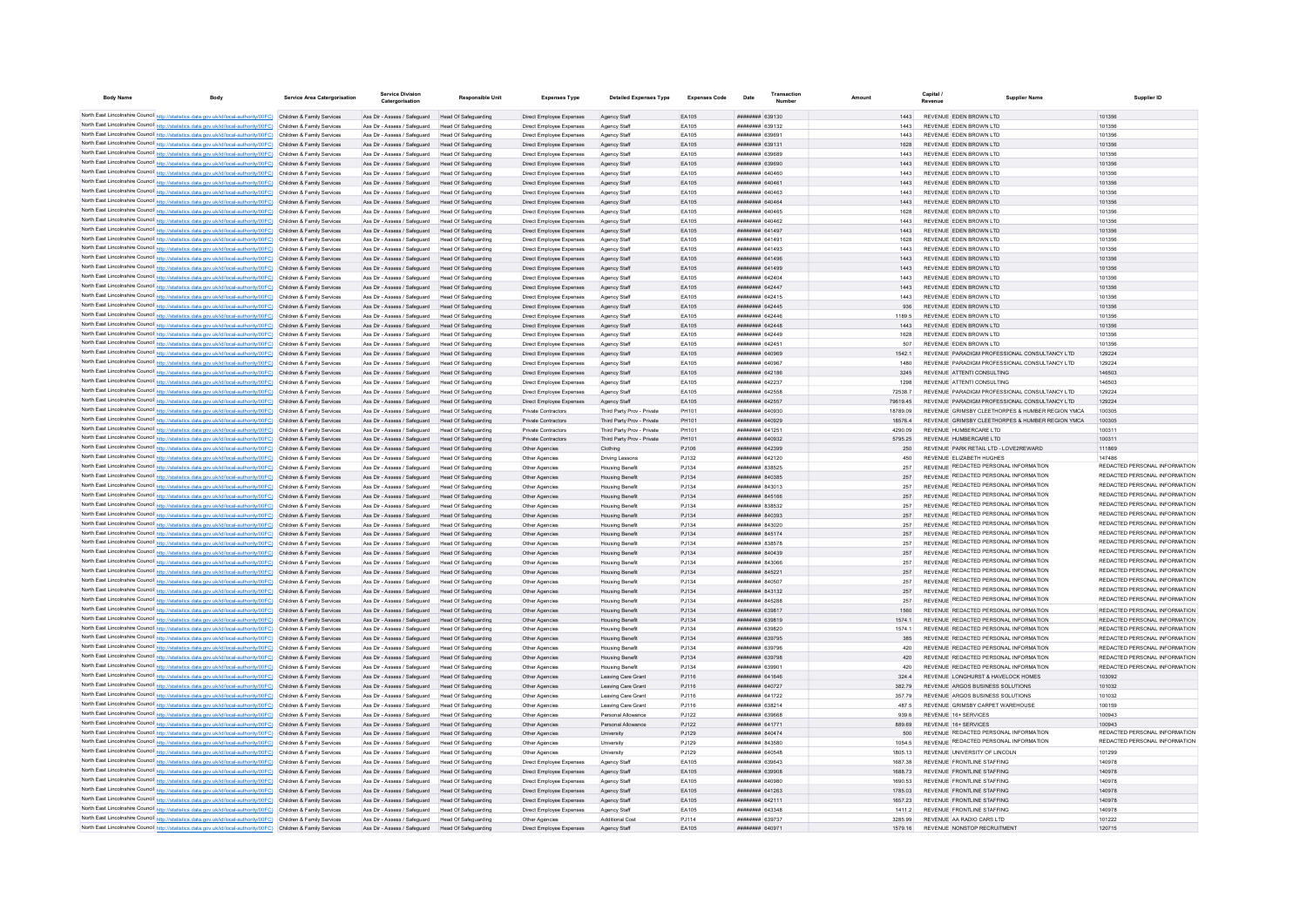| <b>Body Name</b> | Body                                                                                                                                                                                                                                   | Service Area Catergorisation | <b>Service Division</b><br>Catergorisation                                                             | <b>Responsible Uni</b>                              | <b>Expenses Type</b>                                 | <b>Detailed Expenses Type</b>                    | <b>Expenses Code</b> | Date                   | Number                                   | Amount |                    | Canital<br>Revenue                                                                             | <b>Supplier Name</b>                             | Supplier ID                                                    |
|------------------|----------------------------------------------------------------------------------------------------------------------------------------------------------------------------------------------------------------------------------------|------------------------------|--------------------------------------------------------------------------------------------------------|-----------------------------------------------------|------------------------------------------------------|--------------------------------------------------|----------------------|------------------------|------------------------------------------|--------|--------------------|------------------------------------------------------------------------------------------------|--------------------------------------------------|----------------------------------------------------------------|
|                  | North East Lincolnshire Council http://statistics.data.gov.uk/id/local-authority/00FC) Children & Family Services                                                                                                                      |                              |                                                                                                        |                                                     |                                                      |                                                  | FA105                |                        | <b>HRHHHHHH 630130</b>                   |        | 1443               | REVENUE EDEN BROWN LTD                                                                         |                                                  | 101356                                                         |
|                  | North East Lincolnshire Council http://statistics.data.gov.uk/id/local-authority/00FC) Children & Family Services                                                                                                                      |                              | Ass Dir - Assess / Safeguard Head Of Safeguarding<br>Ass Dir - Assess / Safeguard Head Of Safeguarding |                                                     | Direct Employee Expenses<br>Direct Employee Expenses | Agency Staff<br>Agency Staff                     | FA105                |                        | <b>пппппппп</b> 639132                   |        | 1443               | REVENUE EDEN BROWN LTD                                                                         |                                                  | 101356                                                         |
|                  | North East Lincolnshire Council http://statistics.data.gov.uk/id/local-authority/00FC) Children & Family Services                                                                                                                      |                              | Ass Dir - Assess / Safeguard Head Of Safeguarding                                                      |                                                     | Direct Employee Expenses                             | Anency Staff                                     | FA105                |                        | ######## 639691                          |        | 1443               | REVENUE FDEN BROWN LTD                                                                         |                                                  | 101356                                                         |
|                  | North East Lincolnshire Council http://statistics.data.gov.uk/id/local-authority/00FC) Children & Family Services                                                                                                                      |                              | Ass Dir - Assess / Safeguard Head Of Safeguarding                                                      |                                                     | Direct Employee Expenses                             | Agency Staff                                     | EA105                |                        | ######## 639131                          |        | 1628               | REVENUE EDEN BROWN LTD                                                                         |                                                  | 101356                                                         |
|                  | North East Lincolnshire Council http://statistics.data.gov.uk/id/local-authority/00FC) Children & Family Services                                                                                                                      |                              | Ass Dir - Assess / Safeguard                                                                           | Head Of Safeguarding                                | Direct Employee Expenses                             | Agency Staff                                     | EA105                |                        | ######## 639689                          |        | 1443               | REVENUE EDEN BROWN LTD                                                                         |                                                  | 101356                                                         |
|                  | North East Lincolnshire Council http://statistics.data.gov.uk/id/local-authority/00FC) Children & Family Services                                                                                                                      |                              | Ass Dir - Assess / Safeguard Head Of Safeguarding                                                      |                                                     | Direct Employee Expenses                             | Agency Staff                                     | EA105                |                        | ######## 639690                          |        | 1443               | REVENUE EDEN BROWN LTD                                                                         |                                                  | 101356                                                         |
|                  | North East Lincolnshire Council http://statistics.data.gov.uk/id/local-authority/00FC) Children & Family Services                                                                                                                      |                              | Ass Dir - Assess / Safeguard                                                                           | <b>Head Of Safeguarding</b>                         | Direct Employee Expenses                             | Agency Staff                                     | EA105                |                        | ####### 640460                           |        | 1443               | REVENUE EDEN BROWN LTD                                                                         |                                                  | 101356                                                         |
|                  | North East Lincolnshire Council http://statistics.data.gov.uk/id/local-authority/00FC) Children & Family Services                                                                                                                      |                              | Ass Dir - Assess / Safeguard                                                                           | Head Of Safeguarding                                | Direct Employee Expenses                             | Agency Staff                                     | EA105                | <b>BRANCH HERBERT</b>  |                                          |        | 1443               | REVENUE EDEN BROWN LTD                                                                         |                                                  | 101356                                                         |
|                  | North East Lincolnshire Council http://statistics.data.gov.uk/id/local-authority/00FC) Children & Family Services                                                                                                                      |                              | Ass Dir - Assess / Safeguard                                                                           | Head Of Safeguarding                                | Direct Employee Expenses                             | Agency Staff                                     | EA105                |                        | ппинини 640463                           |        | 1443               | REVENUE FDEN BROWN LTD                                                                         |                                                  | 101356                                                         |
|                  | North East Lincolnshire Council http://statistics.data.gov.uk/id/local-authority/00FC) Children & Family Services                                                                                                                      |                              | Ass Dir - Assess / Safeguard                                                                           | Head Of Safeguarding                                | Direct Employee Expenses                             | Agency Staff                                     | EA105                |                        | ######## 640464                          |        | 1443               | REVENUE EDEN BROWN LTD                                                                         |                                                  | 101356                                                         |
|                  | North East Lincolnshire Council http://statistics.data.gov.uk/id/local-authority/00FC) Children & Family Services                                                                                                                      |                              | Ass Dir - Assess / Safeguard                                                                           | <b>Head Of Safeguarding</b>                         | Direct Employee Expenses                             | Agency Staff                                     | EA105                |                        | ####### 640465                           |        | 1628               | REVENUE EDEN BROWN LTD                                                                         |                                                  | 101356                                                         |
|                  | North East Lincolnshire Council http://statistics.data.gov.uk/id/local-authority/00FC) Children & Family Services                                                                                                                      |                              | Ass Dir - Assess / Safeguard                                                                           | <b>Head Of Safeguarding</b>                         | Direct Employee Expenses                             | Agency Staff                                     | EA105                |                        | <b>плиннин</b> 640462                    |        | 1443               | REVENUE EDEN BROWN LTD<br>REVENUE EDEN BROWN LTD                                               |                                                  | 101356                                                         |
|                  | North East Lincolnshire Council http://statistics.data.gov.uk/id/local-authority/00FC) Children & Family Services<br>North East Lincolnshire Council http://statistics.data.gov.uk/id/local-authority/00FC) Children & Family Services |                              | Ass Dir - Assess / Safeguard<br>Ass Dir - Assess / Safeguard                                           | <b>Head Of Safeguarding</b><br>Head Of Safeguarding | Direct Employee Expenses<br>Direct Employee Expenses | Agency Staff<br>Agency Staff                     | EA105<br>EA105       |                        | ######## 641497<br><b>HUHHHHH 641491</b> |        | 1443<br>1628       | REVENUE FDEN BROWN LTD                                                                         |                                                  | 101356<br>101356                                               |
|                  | North East Lincolnshire Council http://statistics.data.gov.uk/id/local-authority/00FC) Children & Family Services                                                                                                                      |                              | Ass Dir - Assess / Safeguard                                                                           | <b>Head Of Safeguarding</b>                         | Direct Employee Expenses                             | Agency Staff                                     | EA105                |                        | ######## 641493                          |        | 1443               | REVENUE EDEN BROWN LTD                                                                         |                                                  | 101356                                                         |
|                  | North East Lincolnshire Council http://statistics.data.gov.uk/id/local-authority/00FC) Children & Family Services                                                                                                                      |                              | Ass Dir - Assess / Safeguard                                                                           | Head Of Safeguarding                                | Direct Employee Expenses                             | Agency Staff                                     | EA105                | ######## 641496        |                                          |        | 1443               | REVENUE EDEN BROWN LTD                                                                         |                                                  | 101356                                                         |
|                  | North East Lincolnshire Council http://statistics.data.gov.uk/id/local-authority/00FC) Children & Family Services                                                                                                                      |                              | Ass Dir - Assess / Safeguard                                                                           | Head Of Safeguarding                                | Direct Employee Expenses                             | Agency Staff                                     | EA105                | ######## 641499        |                                          |        | 1443               | REVENUE EDEN BROWN LTD                                                                         |                                                  | 101356                                                         |
|                  | North East Lincolnshire Council http://statistics.data.gov.uk/id/local-authority/00FC) Children & Family Services                                                                                                                      |                              | Ass Dir - Assess / Safeguard                                                                           | <b>Head Of Safeguarding</b>                         | Direct Employee Expenses                             | Agency Staff                                     | FA105                |                        | <b>пппппппп</b> 642404                   |        | 1443               | REVENUE FDEN BROWN LTD                                                                         |                                                  | 101356                                                         |
|                  | North East Lincolnshire Council http://statistics.data.gov.uk/id/local-authority/00FC) Children & Family Services                                                                                                                      |                              | Ass Dir - Assess / Safeguard                                                                           | Head Of Safeguarding                                | Direct Employee Expenses                             | Agency Staff                                     | EA105                | ######## 642447        |                                          |        | 1443               | REVENUE EDEN BROWN LTD                                                                         |                                                  | 101356                                                         |
|                  | North East Lincolnshire Council http://statistics.data.gov.uk/id/local-authority/00FC) Children & Family Services                                                                                                                      |                              | Ass Dir - Assess / Safeguard                                                                           | Head Of Safeguarding                                | Direct Employee Expenses                             | Agency Staff                                     | FA105                |                        | <b>HRHHHHH 642415</b>                    |        | 1443               | REVENUE FDEN BROWN LTD                                                                         |                                                  | 101356                                                         |
|                  | North East Lincolnshire Council http://statistics.data.gov.uk/id/local-authority/00FC) Children & Family Services                                                                                                                      |                              | Ass Dir - Assess / Safeguard                                                                           | Head Of Safeguarding                                | Direct Employee Expenses                             | Agency Staff                                     | FA105                |                        | <b>пппппппп</b> 642445                   |        | 936                | REVENUE EDEN BROWN LTD                                                                         |                                                  | 101356                                                         |
|                  | North East Lincolnshire Council http://statistics.data.gov.uk/id/local-authority/00FC) Children & Family Services                                                                                                                      |                              | Ass Dir - Assess / Safeguard                                                                           | Head Of Safeguarding                                | Direct Employee Expenses                             | Anency Staff                                     | FA105                |                        | пппппппп 642446                          |        | 1189.5             | REVENUE FDEN BROWN LTD                                                                         |                                                  | 101356                                                         |
|                  | North East Lincolnshire Council http://statistics.data.gov.uk/id/local-authority/00FC) Children & Family Services                                                                                                                      |                              | Ass Dir - Assess / Safeguard                                                                           | Head Of Safeguarding                                | Direct Employee Expenses                             | Agency Staff                                     | EA105                |                        | <b>пппппппп</b> 642448                   |        | 1443               | REVENUE FDEN BROWN I TD                                                                        |                                                  | 101356                                                         |
|                  | North East Lincolnshire Council http://statistics.data.gov.uk/id/local-authority/00FC) Children & Family Services                                                                                                                      |                              | Ass Dir - Assess / Safeguard                                                                           | Head Of Safeguarding                                | Direct Employee Expenses                             | Agency Staff                                     | EA105                |                        | ######## 642449                          |        | 1628               | REVENUE EDEN BROWN LTD                                                                         |                                                  | 101356                                                         |
|                  | North East Lincolnshire Council http://statistics.data.gov.uk/id/local-authority/00FC) Children & Family Services                                                                                                                      |                              | Ass Dir - Assess / Safeguard                                                                           | Head Of Safeguarding                                | Direct Employee Expenses                             | Agency Staff                                     | EA105                |                        | ######## 642451                          |        | 507                | REVENUE FDEN BROWN LTD                                                                         |                                                  | 101356                                                         |
|                  | North East Lincolnshire Council http://statistics.data.gov.uk/id/local-authority/00FC) Children & Family Services<br>North East Lincolnshire Council http://statistics.data.gov.uk/id/local-authority/00FC) Children & Family Services |                              | Ass Dir - Assess / Safeguard                                                                           | Head Of Safeguarding                                | Direct Employee Expenses                             | Agency Staff                                     | EA105                |                        | RAODAR MEMMERIAN                         |        | 15421              | REVENUE PARADIGM PROFESSIONAL CONSULTANCY LTD<br>REVENUE PARADIGM PROFESSIONAL CONSULTANCY LTD |                                                  | 129224                                                         |
|                  | North East Lincolnshire Council http://statistics.data.gov.uk/id/local-authority/00FC) Children & Family Services                                                                                                                      |                              | Ass Dir - Assess / Safeguard<br>Ass Dir - Assess / Safeguard                                           | Head Of Safeguarding<br>Head Of Safeguarding        | Direct Employee Expenses                             | Agency Staff                                     | FA105<br>FA105       |                        | ######## 640967<br><b>HHHHHHH 642186</b> |        | 1480<br>3245       | REVENUE ATTENTI CONSULTING                                                                     |                                                  | 129224<br>146503                                               |
|                  | North East Lincolnshire Council http://statistics.data.gov.uk/id/local-authority/00FC) Children & Family Services                                                                                                                      |                              | Ass Dir - Assess / Safeguard                                                                           | Head Of Safeguarding                                | Direct Employee Expenses<br>Direct Employee Expenses | Agency Staff<br>Agency Staff                     | EA105                | <b>пппппппп</b> 642237 |                                          |        | 1298               | REVENUE ATTENTI CONSULTING                                                                     |                                                  | 146503                                                         |
|                  | North East Lincolnshire Council http://statistics.data.gov.uk/id/local-authority/00FC) Children & Family Services                                                                                                                      |                              | Ass Dir - Assess / Safeguard                                                                           | Head Of Safeguarding                                | Direct Employee Expenses                             | Agency Staff                                     | EA105                |                        | ####### 642558                           |        | 72538.7            | REVENUE PARADIGM PROFESSIONAL CONSULTANCY LTD                                                  |                                                  | 129224                                                         |
|                  | North East Lincolnshire Council http://statistics.data.gov.uk/id/local-authority/00FC) Children & Family Services                                                                                                                      |                              | Ass Dir - Assess / Safeguard                                                                           | Head Of Safeguarding                                | Direct Employee Expenses                             | Agency Staff                                     | EA105                | ######## 642557        |                                          |        | 79619.45           | REVENUE PARADIGM PROFESSIONAL CONSULTANCY LTD                                                  |                                                  | 129224                                                         |
|                  | North East Lincolnshire Council http://statistics.data.gov.uk/id/local-authority/00FC) Children & Family Services                                                                                                                      |                              | Ass Dir - Assess / Safeguard                                                                           | <b>Head Of Safeguarding</b>                         | Private Contractors                                  | Third Party Prov - Private                       | PH101                |                        | ######## 640930                          |        | 18789.09           |                                                                                                | REVENUE GRIMSBY CLEETHORPES & HUMBER REGION YMCA | 100305                                                         |
|                  | North East Lincolnshire Council http://statistics.data.gov.uk/id/local-authority/00FC) Children & Family Services                                                                                                                      |                              | Ass Dir - Assess / Safeguard                                                                           | Head Of Safeguarding                                | Private Contractors                                  | Third Party Prov - Private                       | PH101                |                        | <b>НЕННИИН 640929</b>                    |        | 185764             |                                                                                                | REVENUE GRIMSBY CLEETHORPES & HUMBER REGION YMCA | 100305                                                         |
|                  | North East Lincolnshire Council http://statistics.data.gov.uk/id/local-authority/00FC) Children & Family Services                                                                                                                      |                              | Ass Dir - Assess / Safeguard                                                                           | Head Of Safeguarding                                | Private Contractors                                  | Third Party Prov - Private                       | PH101                |                        | <b>HHHHHHH 641251</b>                    |        | 4290.09            | REVENUE HUMBERCARE LTD                                                                         |                                                  | 100311                                                         |
|                  | North East Lincolnshire Council http://statistics.data.gov.uk/id/local-authority/00FC) Children & Family Services                                                                                                                      |                              | Ass Dir - Assess / Safeguard                                                                           | Head Of Safeguarding                                | Private Contractors                                  | Third Party Prov - Private                       | PH101                |                        | ######## 640932                          |        | 5795.25            | REVENUE HUMBERCARE LTD                                                                         |                                                  | 100311                                                         |
|                  | North East Lincolnshire Council http://statistics.data.gov.uk/id/local-authority/00FC) Children & Family Services                                                                                                                      |                              | Ass Dir - Assess / Safeguard                                                                           | Head Of Safeguarding                                | Other Agencies                                       | Clothing                                         | PJ106                |                        | ######## 642399                          |        | 250                | REVENUE PARK RETAIL LTD - LOVE2REWARD                                                          |                                                  | 111869                                                         |
|                  | North East Lincolnshire Council http://statistics.data.gov.uk/id/local-authority/00FC) Children & Family Services                                                                                                                      |                              | Ass Dir - Assess / Safeguard                                                                           | <b>Head Of Safeguarding</b>                         | Other Agencies                                       | <b>Driving Lessons</b>                           | PJ132                |                        | ######## 642120                          |        | 450                | REVENUE ELIZABETH HUGHES                                                                       |                                                  | 147486                                                         |
|                  | North East Lincolnshire Council http://statistics.data.gov.uk/id/local-authority/00FC) Children & Family Services                                                                                                                      |                              | Ass Dir - Assess / Safeguard                                                                           | <b>Head Of Safeguarding</b>                         | Other Agencies                                       | <b>Housing Benefit</b>                           | PJ134                |                        | <b>иннинин</b> 838525                    |        | 257                | REVENUE REDACTED PERSONAL INFORMATION                                                          |                                                  | REDACTED PERSONAL INFORMATION<br>REDACTED PERSONAL INFORMATION |
|                  | North East Lincolnshire Council http://statistics.data.gov.uk/id/local-authority/00FC) Children & Family Services                                                                                                                      |                              | Ass Dir - Assess / Safeguard                                                                           | Head Of Safeguarding                                | Other Agencies                                       | <b>Housing Benefit</b>                           | PJ134                |                        | <b>пппппппп</b> 840385                   |        | 257                | REVENUE REDACTED PERSONAL INFORMATION<br>REVENUE REDACTED PERSONAL INFORMATION                 |                                                  | REDACTED PERSONAL INFORMATION                                  |
|                  | North East Lincolnshire Council http://statistics.data.gov.uk/id/local-authority/00FC) Children & Family Services                                                                                                                      |                              | Ass Dir - Assess / Safeguard                                                                           | Head Of Safeguarding                                | Other Agencies                                       | <b>Housing Benefit</b>                           | PJ134                |                        | <b>пппппппп</b> 843013                   |        | 257                | REVENUE REDACTED PERSONAL INFORMATION                                                          |                                                  | REDACTED PERSONAL INFORMATION                                  |
|                  | North East Lincolnshire Council http://statistics.data.gov.uk/id/local-authority/00FC) Children & Family Services<br>North East Lincolnshire Council http://statistics.data.gov.uk/id/local-authority/00FC) Children & Family Services |                              | Ass Dir - Assess / Safeguard<br>Ass Dir - Assess / Safeguard                                           | Head Of Safeguarding<br>Head Of Safeguarding        | Other Agencies                                       | <b>Housing Benefit</b>                           | PJ134<br>PJ134       |                        | ######## 845166<br>######## 838532       |        | 257<br>257         | REVENUE REDACTED PERSONAL INFORMATION                                                          |                                                  | REDACTED PERSONAL INFORMATION                                  |
|                  | North East Lincolnshire Council http://statistics.data.gov.uk/id/local-authority/00FC) Children & Family Services                                                                                                                      |                              | Ass Dir - Assess / Safeguard                                                                           | Head Of Safeguarding                                | Other Agencies<br>Other Agencies                     | <b>Housing Benefit</b><br><b>Housing Benefit</b> | PJ134                |                        | ######## 840393                          |        | 257                | REVENUE REDACTED PERSONAL INFORMATION                                                          |                                                  | REDACTED PERSONAL INFORMATION                                  |
|                  | North East Lincolnshire Council http://statistics.data.gov.uk/id/local-authority/00FC) Children & Family Services                                                                                                                      |                              | Ass Dir - Assess / Safeguard                                                                           | <b>Head Of Safeguarding</b>                         | Other Agencies                                       | <b>Housing Benefi</b>                            | PJ134                |                        | <b>пппппппп</b> 843020                   |        | 257                | REVENUE REDACTED PERSONAL INFORMATION                                                          |                                                  | REDACTED PERSONAL INFORMATION                                  |
|                  | North East Lincolnshire Council http://statistics.data.gov.uk/id/local-authority/00FC) Children & Family Services                                                                                                                      |                              | Ass Dir - Assess / Safeguard                                                                           | Head Of Safeguarding                                | Other Agencies                                       | <b>Housing Benefit</b>                           | PJ134                |                        | <b>HUHHHHH 845174</b>                    |        | 257                | REVENUE REDACTED PERSONAL INFORMATION                                                          |                                                  | REDACTED PERSONAL INFORMATION                                  |
|                  | North East Lincolnshire Council http://statistics.data.gov.uk/id/local-authority/00FC) Children & Family Services                                                                                                                      |                              | Ass Dir - Assess / Safeguard                                                                           | Head Of Safeguarding                                | Other Agencies                                       | <b>Housing Benefit</b>                           | PJ134                |                        | <b>пппппппп</b> 838578                   |        | 257                | REVENUE REDACTED PERSONAL INFORMATION                                                          |                                                  | REDACTED PERSONAL INFORMATION                                  |
|                  | North East Lincolnshire Council http://statistics.data.gov.uk/id/local-authority/00FC) Children & Family Services                                                                                                                      |                              | Ass Dir - Assess / Safeguard                                                                           | Head Of Safeguarding                                | Other Anencies                                       | <b>Housing Benefit</b>                           | P.1134               |                        | <b>BELODS</b> <i>BEBBBBBB</i>            |        | 257                | REVENUE REDACTED PERSONAL INFORMATION                                                          |                                                  | REDACTED PERSONAL INFORMATION                                  |
|                  | North East Lincolnshire Council http://statistics.data.gov.uk/id/local-authority/00FC) Children & Family Services                                                                                                                      |                              | Ass Dir - Assess / Safeguard                                                                           | Head Of Safeguarding                                | Other Agencies                                       | <b>Housing Benefit</b>                           | P.1134               |                        | <b>иннинин</b> 843066                    |        | 257                | REVENUE REDACTED PERSONAL INFORMATION                                                          |                                                  | REDACTED PERSONAL INFORMATION                                  |
|                  | North East Lincolnshire Council http://statistics.data.gov.uk/id/local-authority/00FC) Children & Family Services                                                                                                                      |                              | Ass Dir - Assess / Safeguard                                                                           | <b>Head Of Safeguarding</b>                         | Other Agencies                                       | <b>Housing Benefit</b>                           | PJ134                |                        | ######## 845221                          |        | 257                | <b>REVENUE REDACTED PERSONAL INFORMATION</b>                                                   |                                                  | REDACTED PERSONAL INFORMATION                                  |
|                  | North East Lincolnshire Council http://statistics.data.gov.uk/id/local-authority/00FC) Children & Family Services                                                                                                                      |                              | Ass Dir - Assess / Safeguard                                                                           | <b>Head Of Safeguarding</b>                         | Other Agencie                                        | <b>Housing Benefi</b>                            | PJ134                |                        | <b>HHHHHHH 840507</b>                    |        | 257                | REVENUE REDACTED PERSONAL INFORMATION                                                          |                                                  | REDACTED PERSONAL INFORMATION                                  |
|                  | North East Lincolnshire Council http://statistics.data.gov.uk/id/local-authority/00FC) Children & Family Services                                                                                                                      |                              | Ass Dir - Assess / Safeguard                                                                           | Head Of Safeguarding                                | Other Agencies                                       | <b>Housing Benefit</b>                           | PJ134                |                        | ######## 843132                          |        | 257                | REVENUE REDACTED PERSONAL INFORMATION                                                          |                                                  | REDACTED PERSONAL INFORMATION                                  |
|                  | North East Lincolnshire Council http://statistics.data.gov.uk/id/local-authority/00FC) Children & Family Services                                                                                                                      |                              | Ass Dir - Assess / Safeguard                                                                           | Head Of Safeguarding                                | Other Agencies                                       | <b>Housing Benefit</b>                           | P.1134               |                        | <b>ППИНИНИ 845288</b>                    |        | 257                | REVENUE REDACTED PERSONAL INFORMATION                                                          |                                                  | REDACTED PERSONAL INFORMATION                                  |
|                  | North East Lincolnshire Council http://statistics.data.gov.uk/id/local-authority/00FC) Children & Family Services                                                                                                                      |                              | Ass Dir - Assess / Safeguard                                                                           | Head Of Safeguarding                                | Other Agencies                                       | <b>Housing Benefit</b>                           | P.1134               |                        | <b>ПЛИНИНИ 639817</b>                    |        | 1560               | REVENUE REDACTED PERSONAL INFORMATION                                                          |                                                  | REDACTED PERSONAL INFORMATION                                  |
|                  | North East Lincolnshire Council http://statistics.data.gov.uk/id/local-authority/00FC) Children & Family Services                                                                                                                      |                              | Ass Dir - Assess / Safeguard Head Of Safeguarding                                                      |                                                     | Other Agencies                                       | <b>Housing Benefit</b>                           | PJ134                |                        | <b>ПЕПЕННИН</b> 639819                   |        | 1574.1             | REVENUE REDACTED PERSONAL INFORMATION                                                          |                                                  | REDACTED PERSONAL INFORMATION                                  |
|                  | North East Lincolnshire Council http://statistics.data.gov.uk/id/local-authority/00FC) Children & Family Services                                                                                                                      |                              | Ass Dir - Assess / Safeguard<br>Ass Dir - Assess / Safeguard                                           | Head Of Safeguarding<br>Head Of Safeguarding        | Other Agencies<br>Other Agencies                     | <b>Housing Benefit</b><br>Housing Benefit        | PJ134<br>PJ134       |                        | ######## 639820<br>######## 639795       |        | 1574.1<br>385      | REVENUE REDACTED PERSONAL INFORMATION<br>REVENUE REDACTED PERSONAL INFORMATION                 |                                                  | REDACTED PERSONAL INFORMATION<br>REDACTED PERSONAL INFORMATION |
|                  | North East Lincolnshire Council http://statistics.data.gov.uk/id/local-authority/00FC) Children & Family Services<br>North East Lincolnshire Council http://statistics.data.gov.uk/id/local-authority/00FC) Children & Family Services |                              | Ass Dir - Assess / Safeguard                                                                           | <b>Head Of Safeguarding</b>                         | Other Agencies                                       | <b>Housing Benefit</b>                           | PJ134                |                        | ######## 639796                          |        | 420                | REVENUE REDACTED PERSONAL INFORMATION                                                          |                                                  | REDACTED PERSONAL INFORMATION                                  |
|                  | North East Lincolnshire Council http://statistics.data.gov.uk/id/local-authority/00FC) Children & Family Services                                                                                                                      |                              | Ass Dir - Assess / Safeguard                                                                           | Head Of Safeguarding                                | Other Agencies                                       | <b>Housing Benefit</b>                           | P.1134               |                        | <b>пппппппп</b> 639798                   |        | 420                | REVENUE REDACTED PERSONAL INFORMATION                                                          |                                                  | REDACTED PERSONAL INFORMATION                                  |
|                  | North East Lincolnshire Council http://statistics.data.gov.uk/id/local-authority/00FC) Children & Family Services                                                                                                                      |                              | Ass Dir - Assess / Safeguard                                                                           | Head Of Safeguarding                                | Other Agencies                                       | <b>Housing Benefit</b>                           | P.1134               |                        |                                          |        | 420                | REVENUE REDACTED PERSONAL INFORMATION                                                          |                                                  | REDACTED PERSONAL INFORMATION                                  |
|                  | North East Lincolnshire Council http://statistics.data.gov.uk/id/local-authority/00FC) Children & Family Services                                                                                                                      |                              | Ass Dir - Assess / Safeguard                                                                           | Head Of Safeguarding                                | Other Agencies                                       | Leaving Care Grant                               | PJ116                |                        | ####### 641646                           |        | 324.4              | REVENUE LONGHURST & HAVELOCK HOMES                                                             |                                                  | 103092                                                         |
|                  | North East Lincolnshire Council http://statistics.data.gov.uk/id/local-authority/00FC) Children & Family Services                                                                                                                      |                              | Ass Dir - Assess / Safeguard                                                                           | Head Of Safeguarding                                | Other Agencies                                       | Leaving Care Grant                               | PJ116                |                        | ######## 640727                          |        | 382.79             | REVENUE ARGOS BUSINESS SOLUTIONS                                                               |                                                  | 101032                                                         |
|                  | North East Lincolnshire Council http://statistics.data.gov.uk/id/local-authority/00FC) Children & Family Services                                                                                                                      |                              | Ass Dir - Assess / Safeguard                                                                           | Head Of Safeguarding                                | Other Agencies                                       | Leaving Care Grant                               | PJ116                |                        | ######## 641722                          |        | 357.79             | REVENUE ARGOS BUSINESS SOLUTIONS                                                               |                                                  | 101032                                                         |
|                  | North East Lincolnshire Council http://statistics.data.gov.uk/id/local-authority/00FC) Children & Family Services                                                                                                                      |                              | Ass Dir - Assess / Safeguard                                                                           | <b>Head Of Safeguarding</b>                         | Other Agencies                                       | Leaving Care Grant                               | PJ116                | <b>пппппппп</b> 638214 |                                          |        | 487.5              | REVENUE GRIMSBY CARPET WAREHOUSE                                                               |                                                  | 100159                                                         |
|                  | North East Lincolnshire Council http://statistics.data.gov.uk/id/local-authority/00FC) Children & Family Services                                                                                                                      |                              | Ass Dir - Assess / Safeguard                                                                           | Head Of Safeguarding                                | Other Agencies                                       | Personal Allowance                               | PJ122                |                        | <b>BASPER MANUFACTURER</b>               |        | 939.6              | REVENUE 16+ SERVICES                                                                           |                                                  | 100943                                                         |
|                  | North East Lincolnshire Council http://statistics.data.gov.uk/id/local-authority/00FC) Children & Family Services                                                                                                                      |                              | Ass Dir - Assess / Safeguard                                                                           | Head Of Safeguarding                                | Other Agencies                                       | Personal Allowance                               | PJ122                |                        | <b>НЕНИНИН 641771</b>                    |        | 889.69             | REVENUE 16+ SERVICES                                                                           |                                                  | 100943                                                         |
|                  | North East Lincolnshire Council http://statistics.data.gov.uk/id/local-authority/00FC) Children & Family Services                                                                                                                      |                              | Ass Dir - Assess / Safeguard                                                                           | Head Of Safeguarding                                | Other Agencies                                       | University                                       | PJ129                | ######## 840474        |                                          |        | 500                | REVENUE REDACTED PERSONAL INFORMATION                                                          |                                                  | REDACTED PERSONAL INFORMATION                                  |
|                  | North East Lincolnshire Council http://statistics.data.gov.uk/id/local-authority/00FC) Children & Family Services                                                                                                                      |                              | Ass Dir - Assess / Safeguard                                                                           | Head Of Safeguarding                                | Other Agencies                                       | University                                       | PJ129                |                        | ######## 843580                          |        | 1054.5             | REVENUE REDACTED PERSONAL INFORMATION                                                          |                                                  | REDACTED PERSONAL INFORMATION                                  |
|                  | North East Lincolnshire Council http://statistics.data.gov.uk/id/local-authority/00FC) Children & Family Services                                                                                                                      |                              | Ass Dir - Assess / Safeguard                                                                           | Head Of Safeguarding                                | Other Agencies                                       | University                                       | PJ129                | ######## 640548        |                                          |        | 1805.13            | REVENUE UNIVERSITY OF LINCOLN                                                                  |                                                  | 101299                                                         |
|                  | North East Lincolnshire Council http://statistics.data.gov.uk/id/local-authority/00FC) Children & Family Services                                                                                                                      |                              | Ass Dir - Assess / Safeguard                                                                           | <b>Head Of Safeguarding</b>                         | Direct Employee Expenses                             | Agency Staff                                     | EA105                |                        | <b>пппппппп</b> 639643                   |        | 1687.38            | REVENUE FRONTLINE STAFFING                                                                     |                                                  | 140978                                                         |
|                  | North East Lincolnshire Council http://statistics.data.gov.uk/id/local-authority/00FC) Children & Family Services<br>North East Lincolnshire Council http://statistics.data.gov.uk/id/local-authority/00FC) Children & Family Services |                              | Ass Dir - Assess / Safeguard                                                                           | Head Of Safeguarding                                | Direct Employee Expenses                             | Agency Staff                                     | EA105                |                        | <b>######## 639908</b><br>HHHHHHH GAOGRO |        | 1688 73            | REVENUE FRONTLINE STAFFING<br>REVENUE FRONTLINE STAFFING                                       |                                                  | 140978<br>140978                                               |
|                  | North East Lincolnshire Council http://statistics.data.gov.uk/id/local-authority/00FC) Children & Family Services                                                                                                                      |                              | Ass Dir - Assess / Safeguard<br>Ass Dir - Assess / Safeguard                                           | Head Of Safeguarding<br>Head Of Safeguarding        | Direct Employee Expenses<br>Direct Employee Expenses | Agency Staff<br>Agency Staff                     | EA105<br>FA105       |                        | <b>ППИНИНИ 641263</b>                    |        | 1690 53<br>1785 03 | REVENUE FRONTLINE STAFFING                                                                     |                                                  | 140978                                                         |
|                  | North East Lincolnshire Council http://statistics.data.gov.uk/id/local-authority/00FC) Children & Family Services                                                                                                                      |                              | Ass Dir - Assess / Safeguard                                                                           | Head Of Safeguarding                                | Direct Employee Expenses                             | Agency Staff                                     | EA105                | <b>ПЕПИНИН 642111</b>  |                                          |        | 1657 23            | REVENUE FRONTLINE STAFFING                                                                     |                                                  | 140978                                                         |
|                  | North East Lincolnshire Council http://statistics.data.gov.uk/id/local-authority/00FC) Children & Family Services                                                                                                                      |                              | Ass Dir - Assess / Safeguard                                                                           | Head Of Safeguarding                                | Direct Employee Expenses                             | Agency Staff                                     | FA105                |                        | пппппппп 643348                          |        | 14112              | REVENUE FRONTLINE STAFFING                                                                     |                                                  | 140978                                                         |
|                  | North East Lincolnshire Council http://statistics.data.gov.uk/id/local-authority/00FC) Children & Family Services                                                                                                                      |                              | Ass Dir - Assess / Safeguard                                                                           | <b>Head Of Safeguarding</b>                         | Other Agencies                                       | <b>Additional Cos</b>                            | PJ114                |                        | <b>HHHHHHH 639737</b>                    |        | 3285.99            | REVENUE AA RADIO CARS LTD                                                                      |                                                  | 101222                                                         |
|                  | North East Lincolnshire Council http://statistics.data.gov.uk/id/local-authority/00FC) Children & Family Services                                                                                                                      |                              | Ass Dir - Assess / Safeguard                                                                           | Head Of Safeguarding                                | <b>Direct Employee Expenses</b>                      | Agency Staff                                     | FA105                |                        | <b><i>HHHHHHH 640071</i></b>             |        | 1579 16            | REVENUE NONSTOP RECRUITMENT                                                                    |                                                  | 120715                                                         |
|                  |                                                                                                                                                                                                                                        |                              |                                                                                                        |                                                     |                                                      |                                                  |                      |                        |                                          |        |                    |                                                                                                |                                                  |                                                                |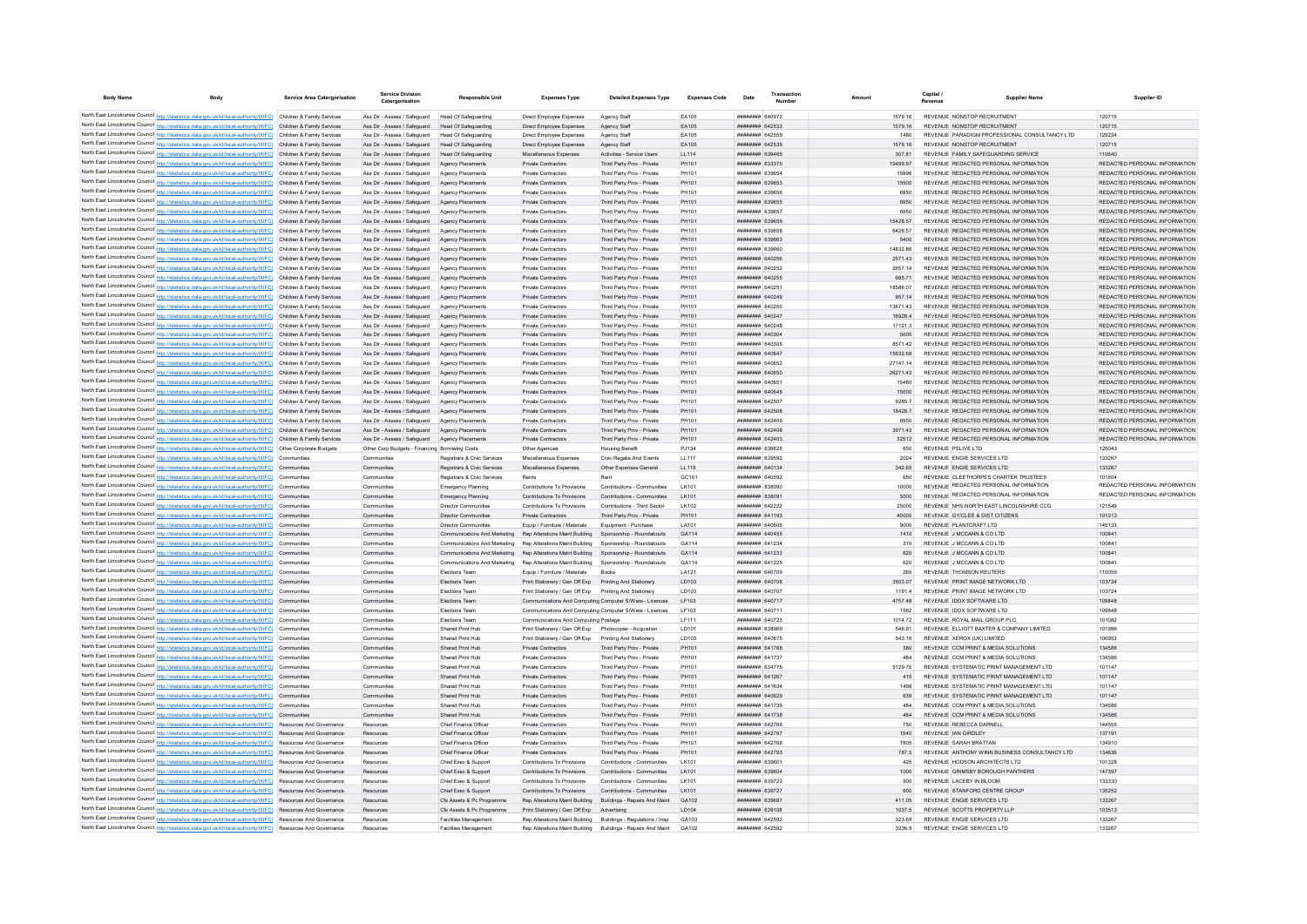| <b>Body Name</b> | Body                                                                                                                                                                                                                                   | Service Area Catergorisation | <b>Service Division</b><br>Catergorisation                                                             | <b>Responsible Unit</b>                                                               | <b>Expenses Type</b>                                                                            | <b>Detailed Expenses Type</b>                            | <b>Expenses Code</b> | Date                                             | Number | Amount              | Canital<br>Supplier Name<br>Revenue                                            | Supplier ID                                                    |
|------------------|----------------------------------------------------------------------------------------------------------------------------------------------------------------------------------------------------------------------------------------|------------------------------|--------------------------------------------------------------------------------------------------------|---------------------------------------------------------------------------------------|-------------------------------------------------------------------------------------------------|----------------------------------------------------------|----------------------|--------------------------------------------------|--------|---------------------|--------------------------------------------------------------------------------|----------------------------------------------------------------|
|                  |                                                                                                                                                                                                                                        |                              |                                                                                                        |                                                                                       |                                                                                                 |                                                          |                      |                                                  |        |                     |                                                                                |                                                                |
|                  | North East Lincolnshire Council http://statistics.data.gov.uk/id/local-authority/00FC) Children & Family Services<br>North East Lincolnshire Council http://statistics.data.gov.uk/id/local-authority/00FC) Children & Family Services |                              | Ass Dir - Assess / Safeguard Head Of Safeguarding<br>Ass Dir - Assess / Safeguard Head Of Safeguarding |                                                                                       | Direct Employee Expenses<br>Direct Employee Expenses                                            | Agency Staff                                             | EA105<br>FA105       | HHHHHHH GAOG72<br><b>пппппппп</b> 642533         |        | 1579 16<br>1579 16  | REVENUE NONSTOP RECRUITMENT<br>REVENUE NONSTOP RECRUITMENT                     | 120715<br>120715                                               |
|                  | North East Lincolnshire Council http://statistics.data.gov.uk/id/local-authority/00FC) Children & Family Services                                                                                                                      |                              | Ass Dir - Assess / Safeguard                                                                           | Head Of Safeguarding                                                                  | Direct Employee Expenses                                                                        | Agency Staff<br>Anency Staff                             | FA105                | <b>HHHHHHH 642559</b>                            |        | 1480                | REVENUE PARADIGM PROFESSIONAL CONSULTANCY LTD.                                 | 129224                                                         |
|                  | North East Lincolnshire Council http://statistics.data.gov.uk/id/local-authority/00FC) Children & Family Services                                                                                                                      |                              | Ass Dir - Assess / Safeguard Head Of Safeguarding                                                      |                                                                                       | Direct Employee Expenses                                                                        | Agency Staff                                             | FA105                | пппппппп 642539                                  |        | 1579.16             | REVENUE NONSTOP RECRUITMENT                                                    | 120715                                                         |
|                  | North East Lincolnshire Council http://statistics.data.gov.uk/id/local-authority/00FC) Children & Family Services                                                                                                                      |                              | Ass Dir - Assess / Safeguard                                                                           | Head Of Safeguarding                                                                  | Miscellaneous Expenses                                                                          | Activities - Service Users                               | LL114                | ######## 639465                                  |        | 307.81              | REVENUE FAMILY SAFEGUARDING SERVICE                                            | 110640                                                         |
|                  | North East Lincolnshire Council http://statistics.data.gov.uk/id/local-authority/00FC) Children & Family Services                                                                                                                      |                              | Ass Dir - Assess / Safeguard                                                                           | Agency Placements                                                                     | Private Contractors                                                                             | Third Party Prov - Private                               | PH101                | ######## 633375                                  |        | 19499.97            | REVENUE REDACTED PERSONAL INFORMATION                                          | REDACTED PERSONAL INFORMATION                                  |
|                  | North East Lincolnshire Council http://statistics.data.gov.uk/id/local-authority/00FC) Children & Family Services                                                                                                                      |                              | Ass Dir - Assess / Safeguard                                                                           | Agency Placements                                                                     | Private Contractors                                                                             | Third Party Prov - Private                               | PH101                | ######## 639654                                  |        | 15996               | REVENUE REDACTED PERSONAL INFORMATION                                          | REDACTED PERSONAL INFORMATION                                  |
|                  | North East Lincolnshire Council http://statistics.data.gov.uk/id/local-authority/00FC) Children & Family Services                                                                                                                      |                              | Ass Dir - Assess / Safeguard                                                                           | Anency Placements                                                                     | Private Contractors                                                                             | Third Party Prov - Private                               | PH101                | ######## 639653                                  |        | 15500               | REVENUE REDACTED PERSONAL INFORMATION                                          | REDACTED PERSONAL INFORMATION                                  |
|                  | North East Lincolnshire Council http://statistics.data.gov.uk/id/local-authority/00FC) Children & Family Services                                                                                                                      |                              | Ass Dir - Assess / Saferward                                                                           | Anency Placements                                                                     | Private Contractors                                                                             | Third Party Prov - Private                               | PH101                | <b>######## 639656</b>                           |        | 6950                | REVENUE REDACTED PERSONAL INFORMATION                                          | REDACTED PERSONAL INFORMATION                                  |
|                  | North East Lincolnshire Council http://statistics.data.gov.uk/id/local-authority/00FC) Children & Family Services                                                                                                                      |                              | Ass Dir - Assess / Safeguard                                                                           | Anency Placements                                                                     | <b>Private Contractors</b>                                                                      | Third Party Prov - Private                               | PH101                | ######## 639655                                  |        | 6950                | REVENUE REDACTED PERSONAL INFORMATION                                          | REDACTED PERSONAL INFORMATION                                  |
|                  | North East Lincolnshire Council http://statistics.data.gov.uk/id/local-authority/00FC) Children & Family Services                                                                                                                      |                              | Ass Dir - Assess / Safeguard                                                                           | Agency Placements                                                                     | Private Contractors                                                                             | Third Party Prov - Private                               | PH101                | ######## 63965                                   |        | 6950                | REVENUE REDACTED PERSONAL INFORMATION                                          | REDACTED PERSONAL INFORMATION                                  |
|                  | North East Lincolnshire Council http://statistics.data.gov.uk/id/local-authority/00FC) Children & Family Services                                                                                                                      |                              | Ass Dir - Assess / Safeguard                                                                           | Agency Placements                                                                     | <b>Private Contractors</b>                                                                      | Third Party Prov - Private                               | PH101                | ######## 639659                                  |        | 15428.57            | REVENUE REDACTED PERSONAL INFORMATION                                          | REDACTED PERSONAL INFORMATION                                  |
|                  | North East Lincolnshire Council http://statistics.data.gov.uk/id/local-authority/00FC) Children & Family Services                                                                                                                      |                              | Ass Dir - Assess / Safeguard                                                                           | Agency Placement                                                                      | Private Contractors                                                                             | Third Party Prov - Private                               | PH101                | ######## 639658                                  |        | 6428.57             | REVENUE REDACTED PERSONAL INFORMATION                                          | REDACTED PERSONAL INFORMATION                                  |
|                  | North East Lincolnshire Council http://statistics.data.gov.uk/id/local-authority/00FC) Children & Family Services                                                                                                                      |                              | Ass Dir - Assess / Safeguard                                                                           | Agency Placements                                                                     | Private Contractors                                                                             | Third Party Prov - Private                               | PH101                | плинини 639663                                   |        | 5400                | REVENUE REDACTED PERSONAL INFORMATION                                          | REDACTED PERSONAL INFORMATION                                  |
|                  | North East Lincolnshire Council http://statistics.data.gov.uk/id/local-authority/00FC) Children & Family Services                                                                                                                      |                              | Ass Dir - Assess / Safeguard                                                                           | Agency Placements                                                                     | Private Contractors                                                                             | Third Party Prov - Private                               | PH101                | 183958 ########                                  |        | 1483286             | REVENUE REDACTED PERSONAL INFORMATION                                          | REDACTED PERSONAL INFORMATION                                  |
|                  | North East Lincolnshire Council http://statistics.data.gov.uk/id/local-authority/00FC) Children & Family Services                                                                                                                      |                              | Ass Dir - Assess / Safeguard                                                                           | Anency Placements                                                                     | Private Contractors                                                                             | Third Party Prov - Private                               | PH101                | ######## 640256                                  |        | 2571.43             | REVENUE REDACTED PERSONAL INFORMATION                                          | REDACTED PERSONAL INFORMATION                                  |
|                  | North East Lincolnshire Council http://statistics.data.gov.uk/id/local-authority/00FC) Children & Family Services                                                                                                                      |                              | Ass Dir - Assess / Safeguard                                                                           | Agency Placements                                                                     | Private Contractors                                                                             | Third Party Prov - Private                               | PH101                | ####### 640252                                   |        | 2657.14             | REVENUE REDACTED PERSONAL INFORMATION                                          | REDACTED PERSONAL INFORMATION                                  |
|                  | North East Lincolnshire Council http://statistics.data.gov.uk/id/local-authority/00FC) Children & Family Services                                                                                                                      |                              | Ass Dir - Assess / Safeguard                                                                           | Agency Placements                                                                     | Private Contractors                                                                             | Third Party Prov - Private                               | PH101                | ######## 640255                                  |        | 685.71              | REVENUE REDACTED PERSONAL INFORMATION                                          | REDACTED PERSONAL INFORMATION                                  |
|                  | North East Lincolnshire Council http://statistics.data.gov.uk/id/local-authority/00FC) Children & Family Services                                                                                                                      |                              | Ass Dir - Assess / Safeguard                                                                           | Agency Placements                                                                     | Private Contractors                                                                             | Third Party Prov - Private                               | PH101                | ######## 640251                                  |        | 18586.07            | REVENUE REDACTED PERSONAL INFORMATION                                          | REDACTED PERSONAL INFORMATION                                  |
|                  | North East Lincolnshire Council http://statistics.data.gov.uk/id/local-authority/00FC) Children & Family Services                                                                                                                      |                              | Ass Dir - Assess / Safeguard                                                                           | Agency Placements                                                                     | Private Contractors                                                                             | Third Party Prov - Private                               | PH101                | пппппппп 640249                                  |        | 957 14              | REVENUE REDACTED PERSONAL INFORMATION                                          | REDACTED PERSONAL INFORMATION                                  |
|                  | North East Lincolnshire Council http://statistics.data.gov.uk/id/local-authority/00FC) Children & Family Services                                                                                                                      |                              | Ass Dir - Assess / Safeguard                                                                           | Agency Placements                                                                     | <b>Private Contractors</b>                                                                      | Third Party Prov - Private                               | PH101                | ######## 640250                                  |        | 13671.43            | REVENUE REDACTED PERSONAL INFORMATION                                          | REDACTED PERSONAL INFORMATION                                  |
|                  | North East Lincolnshire Council http://statistics.data.gov.uk/id/local-authority/00FC) Children & Family Services                                                                                                                      |                              | Ass Dir - Assess / Safeguard                                                                           | Agency Placements                                                                     | Private Contractors                                                                             | Third Party Prov - Private                               | PH101                | ######## 640247                                  |        | 16928.4             | REVENUE REDACTED PERSONAL INFORMATION                                          | REDACTED PERSONAL INFORMATION                                  |
|                  | North East Lincolnshire Council http://statistics.data.gov.uk/id/local-authority/00FC) Children & Family Services                                                                                                                      |                              | Ass Dir - Assess / Safeguard                                                                           | Agency Placement                                                                      | Private Contractors                                                                             | Third Party Prov - Private                               | PH101                | ######## 640248                                  |        | 17121.3             | REVENUE REDACTED PERSONAL INFORMATION                                          | REDACTED PERSONAL INFORMATION                                  |
|                  | North East Lincolnshire Council http://statistics.data.gov.uk/id/local-authority/00FC) Children & Family Services                                                                                                                      |                              | Ass Dir - Assess / Safeguard                                                                           | <b>Agency Placements</b>                                                              | Private Contractors                                                                             | Third Party Prov - Private                               | PH101                | ######## 640304                                  |        | 5000                | REVENUE REDACTED PERSONAL INFORMATION                                          | REDACTED PERSONAL INFORMATION                                  |
|                  | North East Lincolnshire Council http://statistics.data.gov.uk/id/local-authority/00FC) Children & Family Services<br>North East Lincolnshire Council http://statistics.data.gov.uk/id/local-authority/00FC) Children & Family Services |                              | Ass Dir - Assess / Safeguard<br>Ass Dir - Assess / Safeguard                                           | Anency Placements                                                                     | Private Contractors<br>Private Contractors                                                      | Third Party Prov - Private                               | PH101<br>PH101       | <b>пппппппп</b> 640305<br><b>НЕННИИН 640647</b>  |        | 8571.42<br>15632.68 | REVENUE REDACTED PERSONAL INFORMATION<br>REVENUE REDACTED PERSONAL INFORMATION | REDACTED PERSONAL INFORMATION<br>REDACTED PERSONAL INFORMATION |
|                  | North East Lincolnshire Council http://statistics.data.gov.uk/id/local-authority/00FC) Children & Family Services                                                                                                                      |                              | Ass Dir - Assess / Safeguard                                                                           | Agency Placements                                                                     | Private Contractors                                                                             | Third Party Prov - Private<br>Third Party Prov - Private | PH101                | ######## 640652                                  |        | 27147.14            | REVENUE REDACTED PERSONAL INFORMATION                                          | REDACTED PERSONAL INFORMATION                                  |
|                  | North East Lincolnshire Council http://statistics.data.gov.uk/id/local-authority/00FC) Children & Family Services                                                                                                                      |                              | Ass Dir - Assess / Safeguard                                                                           | Agency Placements                                                                     | Private Contractors                                                                             | Third Party Prov - Private                               | PH101                | ######## 640650                                  |        | 26271.43            | REVENUE REDACTED PERSONAL INFORMATION                                          | REDACTED PERSONAL INFORMATION                                  |
|                  | North East Lincolnshire Council http://statistics.data.gov.uk/id/local-authority/00FC) Children & Family Services                                                                                                                      |                              | Ass Dir - Assess / Safeguard                                                                           | Agency Placements                                                                     | Private Contractors                                                                             | Third Party Prov - Private                               | PH101                | ####### 640651                                   |        | 15480               | REVENUE REDACTED PERSONAL INFORMATION                                          | REDACTED PERSONAL INFORMATION                                  |
|                  | North East Lincolnshire Council http://statistics.data.gov.uk/id/local-authority/00FC) Children & Family Services                                                                                                                      |                              | Ass Dir - Assess / Safeguard                                                                           | Agency Placements                                                                     | Private Contractors                                                                             | Third Party Prov - Private                               | PH101                | ######## 640649                                  |        | 15000               | REVENUE REDACTED PERSONAL INFORMATION                                          | REDACTED PERSONAL INFORMATION                                  |
|                  | North East Lincolnshire Council http://statistics.data.gov.uk/id/local-authority/00FC) Children & Family Services                                                                                                                      |                              | Ass Dir - Assess / Safeguard                                                                           | Agency Placements                                                                     | Private Contractors                                                                             | Third Party Prov - Private                               | PH101                | ####### 642507                                   |        | 9285.7              | REVENUE REDACTED PERSONAL INFORMATION                                          | REDACTED PERSONAL INFORMATION                                  |
|                  | North East Lincolnshire Council http://statistics.data.gov.uk/id/local-authority/00FC) Children & Family Services                                                                                                                      |                              | Ass Dir - Assess / Safeguard                                                                           | Agency Placements                                                                     | Private Contractors                                                                             | Third Party Prov - Private                               | PH101                | ######## 642508                                  |        | 18428.7             | REVENUE REDACTED PERSONAL INFORMATION                                          | REDACTED PERSONAL INFORMATION                                  |
|                  | North East Lincolnshire Council http://statistics.data.gov.uk/id/local-authority/00FC) Children & Family Services                                                                                                                      |                              | Ass Dir - Assess / Safeguard                                                                           | Agency Placements                                                                     | <b>Private Contractors</b>                                                                      | Third Party Prov - Private                               | PH101                | ######## 642409                                  |        | 6950                | REVENUE REDACTED PERSONAL INFORMATION                                          | REDACTED PERSONAL INFORMATION                                  |
|                  | North East Lincolnshire Council http://statistics.data.gov.uk/id/local-authority/00FC) Children & Family Services                                                                                                                      |                              | Ass Dir - Assess / Safeguard                                                                           | Agency Placements                                                                     | Private Contractors                                                                             | Third Party Prov - Private                               | PH101                | ######## 642408                                  |        | 3971.43             | REVENUE REDACTED PERSONAL INFORMATION                                          | REDACTED PERSONAL INFORMATION                                  |
|                  | North East Lincolnshire Council http://statistics.data.gov.uk/id/local-authority/00FC) Children & Family Services                                                                                                                      |                              | Ass Dir - Assess / Safeguard                                                                           | Agency Placements                                                                     | Private Contractors                                                                             | Third Party Prov - Private                               | PH101                | ######## 642403                                  |        | 32512               | REVENUE REDACTED PERSONAL INFORMATION                                          | REDACTED PERSONAL INFORMATION                                  |
|                  | North East Lincolnshire Council http://statistics.data.gov.uk/id/local-authority/00FC) Other Corporate Budgets                                                                                                                         |                              | Other Corp Budgets - Financing Borrowing Costs                                                         |                                                                                       | Other Agencies                                                                                  | <b>Housing Benefi</b>                                    | PJ134                | ######## 639626                                  |        | 650                 | REVENUE PSLIVE LTD                                                             | 125043                                                         |
|                  | North East Lincolnshire Council http://statistics.data.gov.uk/id/local-authority/00FC) Communities                                                                                                                                     |                              | Communities                                                                                            | Registrars & Civic Services                                                           | Miscellaneous Expenser                                                                          | Civic Regalia And Events                                 | <b>LL117</b>         | ######## 639592                                  |        | 2024                | REVENUE ENGIE SERVICES LTD                                                     | 133267                                                         |
|                  | North East Lincolnshire Council http://statistics.data.gov.uk/id/local-authority/00FC) Communities                                                                                                                                     |                              | Communities                                                                                            | Registrars & Civic Services                                                           | Miscellaneous Expenses                                                                          | Other Expenses General                                   | LL119                | <b>НЕННИИН 640134</b>                            |        | 342.65              | REVENUE ENGIE SERVICES LTD                                                     | 133267                                                         |
|                  | North East Lincolnshire Council http://statistics.data.gov.uk/id/local-authority/00FC) Communities                                                                                                                                     |                              | Communities                                                                                            | Registrars & Civic Services                                                           | Rents                                                                                           | Rent                                                     | GC101                | ######## 640592                                  |        | 650                 | REVENUE CLEETHORPES CHARTER TRUSTEES                                           | 101604                                                         |
|                  | North East Lincolnshire Council http://statistics.data.gov.uk/id/local-authority/00FC) Communities                                                                                                                                     |                              | Communities                                                                                            | Emergency Planning                                                                    | Contributions To Provisions                                                                     | Contributions - Communities                              | LK101                | ######## 838090                                  |        | 10000               | REVENUE REDACTED PERSONAL INFORMATION                                          | REDACTED PERSONAL INFORMATION                                  |
|                  | North East Lincolnshire Council http://statistics.data.gov.uk/id/local-authority/00FC) Communities                                                                                                                                     |                              | Communities                                                                                            | Emergency Planning                                                                    | Contributions To Provisions                                                                     | Contributions - Communities                              | LK101                | ######## 838091                                  |        | 5000                | REVENUE REDACTED PERSONAL INFORMATION                                          | REDACTED PERSONAL INFORMATION                                  |
|                  | North East Lincolnshire Council http://statistics.data.gov.uk/id/local-authority/00FC) Communities                                                                                                                                     |                              | Communitie                                                                                             | <b>Director Communities</b>                                                           | Contributions To Provisions                                                                     | Contributions - Third Sector                             | LK102                | ######## 642222                                  |        | 25000               | REVENUE NHS NORTH EAST LINCOLNSHIRE CCG                                        | 121549                                                         |
|                  | North East Lincolnshire Council http://statistics.data.gov.uk/id/local-authority/00FC) Communities                                                                                                                                     |                              | Communities                                                                                            | <b>Director Communities</b>                                                           | Private Contractors                                                                             | Third Party Prov - Private                               | PH101                | ######## 641193                                  |        | 40000               | REVENUE GY/CLEE & DIST CITIZENS                                                | 101013                                                         |
|                  | North East Lincolnshire Council http://statistics.data.gov.uk/id/local-authority/00FC) Communities                                                                                                                                     |                              | Communities                                                                                            | <b>Director Communities</b>                                                           | Equip / Furniture / Materials                                                                   | Equipment - Purchase                                     | LA101                | <b>HRRHHHHH</b> 640605                           |        | anno                | REVENUE PLANTCRAFT LTD                                                         | 145133                                                         |
|                  | North East Lincolnshire Council http://statistics.data.gov.uk/id/local-authority/00FC) Communities                                                                                                                                     |                              | Communities                                                                                            | Communications And Marketing Rep Alterations Maint Building Sponsorship - Roundabouts |                                                                                                 |                                                          | GA114                | ######## 640455                                  |        | 1410                | REVENUE J MCCANN & CO LTD                                                      | 100841                                                         |
|                  | North East Lincolnshire Council http://statistics.data.gov.uk/id/local-authority/00FC) Communities                                                                                                                                     |                              | Communities                                                                                            |                                                                                       | Communications And Marketing Rep Alterations Maint Building Sponsorship - Roundabouts           |                                                          | GA114                | ######## 641234                                  |        | 310                 | REVENUE J MCCANN & CO LTD                                                      | 100841                                                         |
|                  | North East Lincolnshire Council http://statistics.data.gov.uk/id/local-authority/00FC) Communities                                                                                                                                     |                              | Communities                                                                                            | Communications And Marketing                                                          | Rep Alterations Maint Building                                                                  | Sponsorship - Roundabouts                                | GA114                | <b>пппппппп</b> 641233                           |        | 620                 | REVENUE J MCCANN & CO LTD                                                      | 100841                                                         |
|                  | North East Lincolnshire Council http://statistics.data.gov.uk/id/local-authority/00FC) Communities                                                                                                                                     |                              | Communitie                                                                                             | Communications And Marketing  Rep Alterations Maint Building                          |                                                                                                 | Sponsorship - Roundabouts                                | GA114                | <b>пппппппп</b> 641225                           |        | 620                 | REVENUE J MCCANN & CO LTD                                                      | 100841                                                         |
|                  | North East Lincolnshire Council http://statistics.data.gov.uk/id/local-authority/00FC) Communities                                                                                                                                     |                              | Communities                                                                                            | <b>Flections Team</b>                                                                 | Fouin / Furniture / Materials                                                                   | <b>Books</b>                                             | LA121                | <b>HRHHHHHH</b> 640709                           |        | 265                 | REVENUE THOMSON REUTERS                                                        | 110059                                                         |
|                  | North East Lincolnshire Council http://statistics.data.gov.uk/id/local-authority/00FC) Communities                                                                                                                                     |                              | Communities                                                                                            | Elections Team                                                                        | Print Stationery / Gen Off Exp                                                                  | Printing And Stationery                                  | <b>ID103</b>         | <b>HRRHHHHH</b> 640706                           |        | 3503.07             | REVENUE PRINT IMAGE NETWORK I TD                                               | 103724                                                         |
|                  | North East Lincolnshire Council http://statistics.data.gov.uk/id/local-authority/00FC) Communities                                                                                                                                     |                              | Communities                                                                                            | <b>Flections Team</b>                                                                 | Print Stationery / Gen Off Exp. Printing And Stationery                                         |                                                          | <b>ID103</b>         | <b>пппппппп</b> 640707<br><b>пппппппп</b> 640717 |        | 11914               | REVENUE PRINT IMAGE NETWORK I TD                                               | 103724                                                         |
|                  | North East Lincolnshire Council http://statistics.data.gov.uk/id/local-authority/00FC) Communities                                                                                                                                     |                              | Communities                                                                                            | Elections Team                                                                        | Communications And Computing Computer S/Ware - Licences                                         |                                                          | LF103<br>I F103      | <b>HERHHHHH</b> 640711                           |        | 475748<br>1562      | REVENUE IDOX SOFTWARE LTD<br>REVENUE IDOX SOFTWARE LTD                         | 109848<br>109848                                               |
|                  | North East Lincolnshire Council http://statistics.data.gov.uk/id/local-authority/00FC) Communities<br>North East Lincolnshire Council http://statistics.data.gov.uk/id/local-authority/00FC) Communities                               |                              | Communities<br>Communities                                                                             | Elections Team<br>Elections Team                                                      | Communications And Computing Computer S/Ware - Licences<br>Communications And Computing Postage |                                                          | LF111                | ######## 640723                                  |        | 1014.72             | REVENUE ROYAL MAIL GROUP PLC                                                   | 101082                                                         |
|                  | North East Lincolnshire Council http://statistics.data.gov.uk/id/local-authority/00FC) Communities                                                                                                                                     |                              | Communities                                                                                            | Shared Print Hub                                                                      | Print Stationery / Gen Off Exp    Photocopier - Acquistion                                      |                                                          | <b>ID101</b>         | <b>HUHHHHH 638969</b>                            |        | 546.91              | REVENUE ELLIOTT BAXTER & COMPANY LIMITED                                       | 101996                                                         |
|                  | North East Lincolnshire Council http://statistics.data.gov.uk/id/local-authority/00FC) Communities                                                                                                                                     |                              | Communities                                                                                            | Shared Print Hub                                                                      | Print Stationery / Gen Off Exp                                                                  | Printing And Stationery                                  | LD103                | <b>пппппппп</b> 640675                           |        | 543.16              | REVENUE XEROX (UK) LIMITED                                                     | 100953                                                         |
|                  | North East Lincolnshire Council http://statistics.data.gov.uk/id/local-authority/00FC) Communities                                                                                                                                     |                              | Communities                                                                                            | Shared Print Hub                                                                      | Private Contractors                                                                             | Third Party Prov - Private                               | PH101                | <b><i>BRENHHHH</i></b> 641768                    |        | 380                 | REVENUE COMPRINT & MEDIA SOLUTIONS                                             | 134586                                                         |
|                  | North East Lincolnshire Council http://statistics.data.gov.uk/id/local-authority/00FC) Communities                                                                                                                                     |                              | Communities                                                                                            | Shared Print Hub                                                                      | <b>Private Contractors</b>                                                                      | Third Party Prov - Private                               | PH101                | <b>пппппппп</b> 641737                           |        | 484                 | REVENUE COM PRINT & MEDIA SOLUTIONS                                            | 134586                                                         |
|                  | North East Lincolnshire Council http://statistics.data.gov.uk/id/local-authority/00FC) Communities                                                                                                                                     |                              | Communities                                                                                            | Shared Print Hub                                                                      | Private Contractors                                                                             | Third Party Prov - Private                               | PH101                | <b>пппппппп</b> 634775                           |        | 5129.75             | REVENUE SYSTEMATIC PRINT MANAGEMENT I TD                                       | 101147                                                         |
|                  | North East Lincolnshire Council http://statistics.data.gov.uk/id/local-authority/00FC) Communities                                                                                                                                     |                              | Communities                                                                                            | Shared Print Hub                                                                      | Private Contractors                                                                             | Third Party Prov - Private                               | PH101                | ######## 641267                                  |        |                     | REVENUE SYSTEMATIC PRINT MANAGEMENT LTD                                        | 101147                                                         |
|                  | North East Lincolnshire Council http://statistics.data.gov.uk/id/local-authority/00FC) Communities                                                                                                                                     |                              | Communities                                                                                            | Shared Print Hub                                                                      | Private Contractors                                                                             | Third Party Prov - Private                               | PH101                | <b>плиннин</b> 641634                            |        | 1498                | REVENUE SYSTEMATIC PRINT MANAGEMENT LTD                                        | 101147                                                         |
|                  | North East Lincolnshire Council http://statistics.data.gov.uk/id/local-authority/00FC) Communities                                                                                                                                     |                              | Communities                                                                                            | Shared Print Hub                                                                      | Private Contractors                                                                             | Third Party Prov - Private                               | PH101                | <b>НЕННИИИ 640629</b>                            |        | 639                 | REVENUE SYSTEMATIC PRINT MANAGEMENT I TD                                       | 101147                                                         |
|                  | North East Lincolnshire Council http://statistics.data.gov.uk/id/local-authority/00FC) Communities                                                                                                                                     |                              | Communities                                                                                            | Shared Print Hub                                                                      | Private Contractors                                                                             | Third Party Prov - Private                               | PH101                | <b>BRENHAMM 641739</b>                           |        | 484                 | REVENUE COMPRINT & MEDIA SOLUTIONS                                             | 134586                                                         |
|                  | North East Lincolnshire Council http://statistics.data.gov.uk/id/local-authority/00FC) Communities                                                                                                                                     |                              | Communities                                                                                            | Shared Print Hub                                                                      | Private Contractors                                                                             | Third Party Prov - Private                               | PH101                | ######## 641738                                  |        | 484                 | REVENUE CCM PRINT & MEDIA SOLUTIONS                                            | 134586                                                         |
|                  | North East Lincolnshire Council http://statistics.data.gov.uk/id/local-authority/00FC) Resources And Governance                                                                                                                        |                              | Resources                                                                                              | Chief Finance Officer                                                                 | Private Contractors                                                                             | Third Party Prov - Private                               | PH101                | <b>пппппппп</b> 642766                           |        | 750                 | REVENUE REBECCA DARNELL                                                        | 144555                                                         |
|                  | North East Lincolnshire Council http://statistics.data.gov.uk/id/local-authority/00FC) Resources And Governance                                                                                                                        |                              | Resources                                                                                              | Chief Finance Office                                                                  | Private Contractors                                                                             | Third Party Prov - Private                               | PH101                | ######## 642767                                  |        | 1540                | REVENUE IAN GIRDLEY                                                            | 137191                                                         |
|                  | North East Lincolnshire Council http://statistics.data.gov.uk/id/local-authority/00FC) Resources And Governance                                                                                                                        |                              | Resources                                                                                              | Chief Finance Officer                                                                 | Private Contractors                                                                             | Third Party Prov - Private                               | PH101                | <b>НЕВИНИИ 642768</b>                            |        | 1905                | REVENUE SARAH BRATTAN                                                          | 134910                                                         |
|                  | North East Lincolnshire Council http://statistics.data.gov.uk/id/local-authority/00FC) Resources And Governance                                                                                                                        |                              | Resources                                                                                              | Chief Finance Officer                                                                 | Private Contractors                                                                             | Third Party Prov - Private                               | PH101                | ######## 642793                                  |        | 787.5               | REVENUE ANTHONY WINN BUSINESS CONSULTANCY LTD                                  | 134636                                                         |
|                  | North East Lincolnshire Council http://statistics.data.gov.uk/id/local-authority/00FC) Resources And Governance                                                                                                                        |                              | Resources                                                                                              | Chief Exec & Sunnor                                                                   | Contributions To Provisions                                                                     | Contributions - Communities                              | I K101               | ######## 639601                                  |        | 425                 | REVENUE HODSON ARCHITECTS LTD.                                                 | 101328                                                         |
|                  | North East Lincolnshire Council http://statistics.data.gov.uk/id/local-authority/00FC) Resources And Governance                                                                                                                        |                              | Resources                                                                                              | Chief Exec & Support                                                                  | Contributions To Provisions                                                                     | Contributions - Communities                              | LK101                | ######## 639604                                  |        | 1000                | REVENUE GRIMSBY BOROUGH PANTHERS                                               | 147397                                                         |
|                  | North East Lincolnshire Council http://statistics.data.gov.uk/id/local-authority/00FC) Resources And Governance                                                                                                                        |                              | Resources                                                                                              | Chief Exec & Support                                                                  | Contributions To Provisions                                                                     | Contributions - Communities                              | I K101               | ######## 639723                                  |        | 500                 | REVENUE LACEBY IN BLOOM                                                        | 133330                                                         |
|                  | North East Lincolnshire Council http://statistics.data.gov.uk/id/local-authority/00FC) Resources And Governance                                                                                                                        |                              | Resources                                                                                              | Chief Exec & Support                                                                  | Contributions To Provisions                                                                     | Contributions - Communities                              | LK101                | ######## 639727                                  |        | 600                 | REVENUE STANFORD CENTRE GROUP                                                  | 135252                                                         |
|                  | North East Lincolnshire Council http://statistics.data.gov.uk/id/local-authority/00FC) Resources And Governance                                                                                                                        |                              |                                                                                                        | Cfs Assets & Pc Programme                                                             | Rep Alterations Maint Building                                                                  | Buildings - Repairs And Maint                            | GA102                | ######## 639687                                  |        | 411.05              | REVENUE ENGIE SERVICES LTD                                                     | 133267                                                         |
|                  | North East Lincolnshire Council http://statistics.data.gov.uk/id/local-authority/00FC) Resources And Governance                                                                                                                        |                              |                                                                                                        | Cfs Assets & Pc Programme                                                             | Print Stationery / Gen Off Exp                                                                  |                                                          | LD104                | ######## 639108                                  |        | 1037.5              | REVENUE SCOTTS PROPERTY LLF                                                    | 103513                                                         |
|                  | North East Lincolnshire Council http://statistics.data.gov.uk/id/local-authority/00FC) Resources And Governance                                                                                                                        |                              | Resources                                                                                              | <b>Facilities Management</b>                                                          | Rep Alterations Maint Building Buildings - Regulations / Insp                                   |                                                          | GA103                | <b>ПЕПЕННИИ</b> 642592                           |        | 323.69              | REVENUE ENGIE SERVICES LTD                                                     | 133267                                                         |
|                  | North East Lincolnshire Council http://statistics.data.gov.uk/id/local-authority/00FC) Resources And Governance                                                                                                                        |                              | Resources                                                                                              | Facilities Management                                                                 | Rep Alterations Maint Building Buildings - Repairs And Maint                                    |                                                          | GA102                | <b>пппппппп</b> 642592                           |        | 3236.9              | REVENUE ENGIE SERVICES LTD                                                     | 133267                                                         |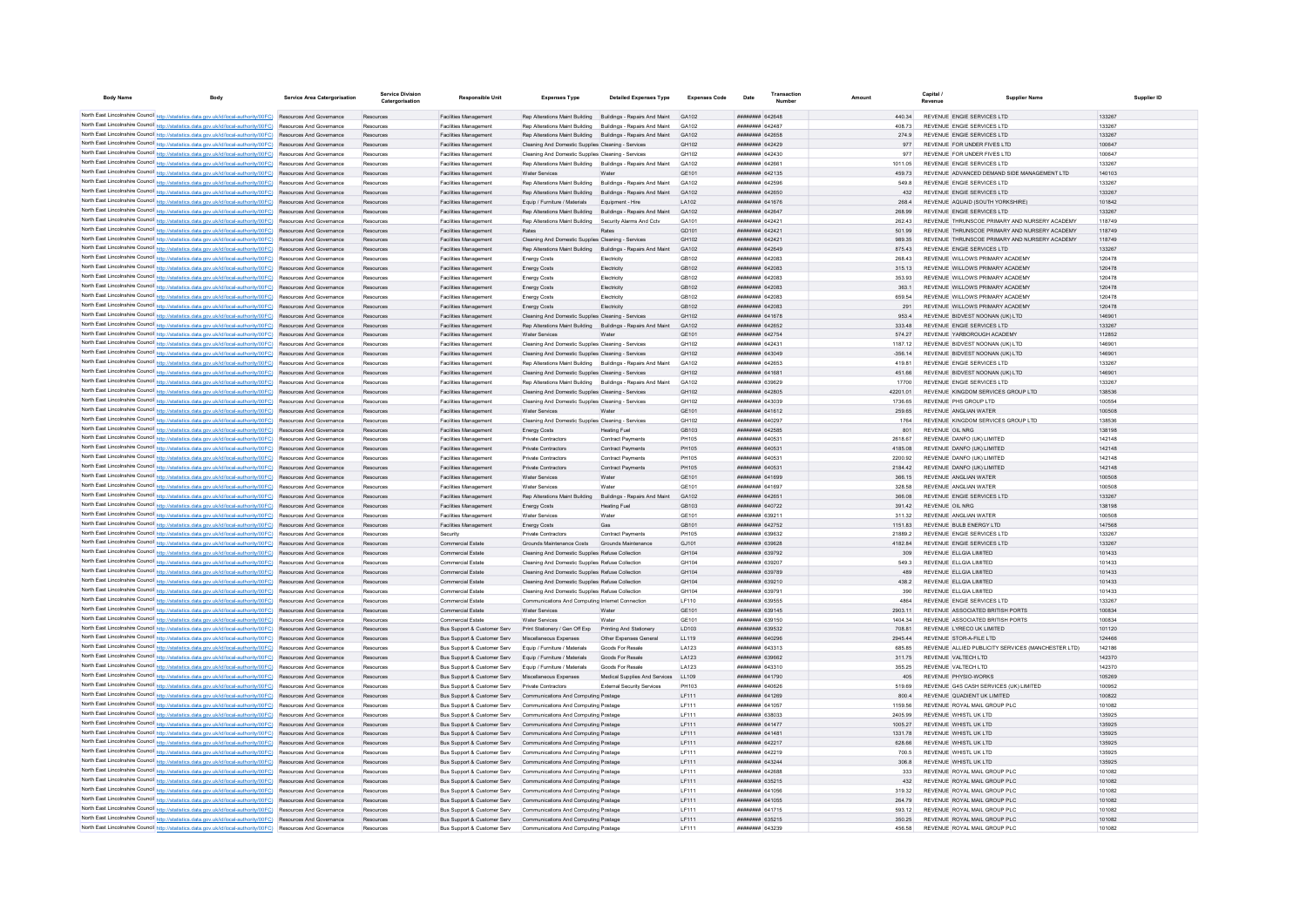| <b>Body Name</b> | Body                                                                                                                                                                                                                               | Service Area Catergorisation    | Service Division<br>Catergorisation | <b>Responsible Unit</b>                                      | <b>Expenses Type</b>                                                                                     | <b>Detailed Expenses Type</b>                                      | <b>Expenses Code</b>       | Date                                            | Transactio<br>Numbe          |                   | <b>Canital</b><br><b>Supplier Name</b><br>Revenue         | Supplier ID      |
|------------------|------------------------------------------------------------------------------------------------------------------------------------------------------------------------------------------------------------------------------------|---------------------------------|-------------------------------------|--------------------------------------------------------------|----------------------------------------------------------------------------------------------------------|--------------------------------------------------------------------|----------------------------|-------------------------------------------------|------------------------------|-------------------|-----------------------------------------------------------|------------------|
|                  |                                                                                                                                                                                                                                    |                                 |                                     |                                                              |                                                                                                          |                                                                    |                            |                                                 |                              |                   |                                                           |                  |
|                  | North East Lincolnshire Council http://statistics.data.gov.uk/id/local-authority/00FC) Resources And Governance<br>North East Lincolnshire Council http://statistics.data.gov.uk/id/local-authority/00FC) Resources And Governance |                                 | Resources                           | Facilities Management                                        |                                                                                                          | Rep Alterations Maint Building Buildings - Repairs And Maint GA102 |                            | <b>ННИНИНИ БАЗБАВ</b><br><b>ППИНИНИ 642487</b>  |                              | 440.34            | REVENUE ENGIE SERVICES LTD<br>REVENUE ENGIE SERVICES LTD  | 133267<br>133267 |
|                  | North East Lincolnshire Council http://statistics.data.gov.uk/id/local-authority/00FC) Resources And Governance                                                                                                                    |                                 | Resources                           | Facilities Management                                        | Ren Alterations Maint Building Buildings - Renairs And Maint                                             |                                                                    | GA102                      |                                                 |                              | 408.73            |                                                           |                  |
|                  | North East Lincolnshire Council http://statistics.data.gov.uk/id/local-authority/00FC) Resources And Governance                                                                                                                    |                                 | Resources                           | <b>Eacilities Management</b><br>Facilities Management        | Rep Alterations Maint Building Buildings - Repairs And Maint                                             |                                                                    | GA102<br>GH102             | <b>HUBHHHHH 642658</b><br>######## 642429       |                              | 2749<br>977       | REVENUE ENGIE SERVICES LTD<br>REVENUE FOR UNDER FIVES LTD | 133267<br>100647 |
|                  | North East Lincolnshire Council http://statistics.data.gov.uk/id/local-authority/00FC) Resources And Governance                                                                                                                    |                                 | Resources<br>Resources              | <b>Facilities Management</b>                                 | Cleaning And Domestic Supplies Cleaning - Services<br>Cleaning And Domestic Supplies Cleaning - Services |                                                                    | GH102                      |                                                 | ####### 642430               | 977               | REVENUE FOR UNDER FIVES LTD                               | 100647           |
|                  | North East Lincolnshire Council http://statistics.data.gov.uk/id/local-authority/00FC) Resources And Governance                                                                                                                    |                                 | Resources                           | <b>Facilities Management</b>                                 |                                                                                                          | Rep Alterations Maint Building Buildings - Repairs And Maint       | GA102                      | ######## 642661                                 |                              | 1011.05           | REVENUE ENGIE SERVICES LTD                                | 133267           |
|                  | North East Lincolnshire Council http://statistics.data.gov.uk/id/local-authority/00FC) Resources And Governance                                                                                                                    |                                 | Resources                           | <b>Facilities Management</b>                                 | <b>Water Services</b>                                                                                    | Water                                                              | GF101                      | ######## 642135                                 |                              | 459 73            | REVENUE ADVANCED DEMAND SIDE MANAGEMENT LTD               | 140103           |
|                  | North East Lincolnshire Council http://statistics.data.gov.uk/id/local-authority/00FC) Resources And Governance                                                                                                                    |                                 | Resources                           | <b>Facilities Management</b>                                 | Rep Alterations Maint Building Buildings - Repairs And Maint                                             |                                                                    | GA102                      | <b>ПЕПИЛИН 642596</b>                           |                              | 549.8             | REVENUE ENGIE SERVICES LTD                                | 133267           |
|                  | North East Lincolnshire Council http://statistics.data.gov.uk/id/local-authority/00FC) Resources And Governance                                                                                                                    |                                 | Resources                           | <b>Facilities Management</b>                                 | Rep Alterations Maint Building Buildings - Repairs And Maint                                             |                                                                    | GA102                      | <b>######## 642650</b>                          |                              | 432               | REVENUE ENGIE SERVICES LTD                                | 133267           |
|                  | North East Lincolnshire Council http://statistics.data.gov.uk/id/local-authority/00FC) Resources And Governance                                                                                                                    |                                 | Resources                           | <b>Facilities Management</b>                                 | Equip / Furniture / Materials                                                                            | Equipment - Hire                                                   | LA102                      |                                                 | ######## 641676              | 268.4             | REVENUE AQUAID (SOUTH YORKSHIRE)                          | 101842           |
|                  | North East Lincolnshire Council http://statistics.data.gov.uk/id/local-authority/00FC) Resources And Governance                                                                                                                    |                                 | <b>Resources</b>                    | Facilities Management                                        | Rep Alterations Maint Building                                                                           | Buildings - Repairs And Maint                                      | GA102                      | ######## 64264                                  |                              | 268.99            | REVENUE ENGIE SERVICES LTD                                | 133267           |
|                  | North East Lincolnshire Council http://statistics.data.gov.uk/id/local-authority/00FC) Resources And Governance                                                                                                                    |                                 | Resources                           | Facilities Managemen                                         | Rep Alterations Maint Building                                                                           | Security Alarms And Cctv                                           | GA101                      | <b>пппппппп</b> 642421                          |                              | 262.43            | REVENUE THRUNSCOE PRIMARY AND NURSERY ACADEMY             | 118749           |
|                  | North East Lincolnshire Council http://statistics.data.gov.uk/id/local-authority/00FC) Resources And Governance                                                                                                                    |                                 | Resources                           | Facilities Management                                        | Rates                                                                                                    |                                                                    | GD101                      | ######## 642421                                 |                              | 501.99            | REVENUE THRUNSCOE PRIMARY AND NURSERY ACADEMY             | 118749           |
|                  | North East Lincolnshire Council http://statistics.data.gov.uk/id/local-authority/00FC) Resources And Governance                                                                                                                    |                                 | Resources                           | <b>Facilities Management</b>                                 | Cleaning And Domestic Supplies Cleaning - Services                                                       |                                                                    | GH102                      | <b>ПППППППП 642421</b>                          |                              | 989 35            | REVENUE THRUNSCOF PRIMARY AND NURSERY ACADEMY             | 118749           |
|                  | North East Lincolnshire Council http://statistics.data.gov.uk/id/local-authority/00FC) Resources And Governance                                                                                                                    |                                 | Resources                           | Facilities Management                                        | Rep Alterations Maint Building Buildings - Repairs And Maint                                             |                                                                    | GA102                      | ######## 642649                                 |                              | 875.43            | REVENUE ENGIE SERVICES LTD                                | 133267           |
|                  | North East Lincolnshire Council http://statistics.data.gov.uk/id/local-authority/00FC) Resources And Governance                                                                                                                    |                                 | Resources                           | <b>Facilities Management</b>                                 | Energy Costs                                                                                             | Electricity                                                        | GR102                      | ######## 642083                                 |                              | 268.43            | REVENUE WILLOWS PRIMARY ACADEMY                           | 120478           |
|                  | North East Lincolnshire Council http://statistics.data.gov.uk/id/local-authority/00FC) Resources And Governance                                                                                                                    |                                 | Resources                           | Facilities Management                                        | Energy Costs                                                                                             | Electricity                                                        | GB102                      | ######## 642083                                 |                              | 315.13            | REVENUE WILLOWS PRIMARY ACADEMY                           | 120478           |
|                  | North East Lincolnshire Council http://statistics.data.gov.uk/id/local-authority/00FC) Resources And Governance                                                                                                                    |                                 | Resources                           | <b>Facilities Management</b>                                 | <b>Energy Costs</b>                                                                                      | Electricity                                                        | GB102                      | ######## 642083                                 |                              | 353.93            | REVENUE WILLOWS PRIMARY ACADEMY                           | 120478           |
|                  | North East Lincolnshire Council http://statistics.data.gov.uk/id/local-authority/00FC) Resources And Governance                                                                                                                    |                                 | Resources                           | <b>Facilities Management</b>                                 | <b>Energy Costs</b>                                                                                      | Electricity                                                        | GB102                      | ######## 642083                                 |                              | 363.1             | REVENUE WILLOWS PRIMARY ACADEMY                           | 120478           |
|                  | North East Lincolnshire Council http://statistics.data.gov.uk/id/local-authority/00FC) Resources And Governance                                                                                                                    |                                 | Resources                           | <b>Facilities Management</b>                                 | <b>Energy Costs</b>                                                                                      | Electricity                                                        | GR102                      | ппинини 642083                                  |                              | 659.54            | REVENUE WILLOWS PRIMARY ACADEMY                           | 120478           |
|                  | North East Lincolnshire Council http://statistics.data.gov.uk/id/local-authority/00FC) Resources And Governance                                                                                                                    |                                 | Resources                           | <b>Facilities Management</b>                                 | <b>Energy Costs</b>                                                                                      | Electricity                                                        | GB102                      |                                                 | ######## 642083              | 291               | REVENUE WILLOWS PRIMARY ACADEMY                           | 120478           |
|                  | North East Lincolnshire Council http://statistics.data.gov.uk/id/local-authority/00FC) Resources And Governance                                                                                                                    |                                 | Resources                           | <b>Facilities Management</b>                                 | Cleaning And Domestic Supplies Cleaning - Services                                                       |                                                                    | GH102                      |                                                 | ######## 641678              | 953.4             | REVENUE BIDVEST NOONAN (UK) LTD                           | 146901           |
|                  | North East Lincolnshire Council http://statistics.data.gov.uk/id/local-authority/00FC)                                                                                                                                             | Resources And Governance        | Resources                           | <b>Facilities Management</b>                                 | Rep Alterations Maint Building Buildings - Repairs And Maint                                             |                                                                    | GA102                      | ######## 642652                                 |                              | 333.48            | REVENUE ENGIE SERVICES LTD                                | 133267           |
|                  | North East Lincolnshire Council http://statistics.data.gov.uk/id/local-authority/00FC)                                                                                                                                             | Resources And Governance        | Resources                           | Facilities Managemen                                         | Water Services                                                                                           | Water                                                              | GE101                      | ######## 642754                                 |                              | 574.27            | REVENUE YARBOROUGH ACADEMY                                | 112852           |
|                  | North East Lincolnshire Council http://statistics.data.gov.uk/id/local-authority/00FC) Resources And Governance                                                                                                                    |                                 | Resources                           | <b>Facilities Managemen</b>                                  | Cleaning And Domestic Supplies Cleaning - Services                                                       |                                                                    | GH102                      | ####### 642431                                  |                              | 1187.12           | REVENUE BIDVEST NOONAN (UK) LTD                           | 146901           |
|                  | North East Lincolnshire Council http://statistics.data.gov.uk/id/local-authority/00FC) Resources And Governance                                                                                                                    |                                 | Resources                           | <b>Facilities Management</b>                                 | Cleaning And Domestic Supplies Cleaning - Services                                                       |                                                                    | GH102                      | HHHHHHH 643049                                  |                              | $-356, 14$        | REVENUE BIDVEST NOONAN (UK) LTD                           | 146901           |
|                  | North East Lincolnshire Council http://statistics.data.gov.uk/id/local-authority/00FC) Resources And Governance                                                                                                                    |                                 | Resources                           | Facilities Management                                        | Rep Alterations Maint Building Buildings - Repairs And Maint                                             |                                                                    | GA102                      | <b>HUHHHHH 642653</b>                           |                              | 419.81            | REVENUE ENGIE SERVICES LTD                                | 133267           |
|                  | North East Lincolnshire Council http://statistics.data.gov.uk/id/local-authority/00FC) Resources And Governance                                                                                                                    |                                 | Resources                           | Facilities Management                                        | Cleaning And Domestic Supplies Cleaning - Services                                                       |                                                                    | GH102                      | ######## 641681                                 |                              | 451.66            | REVENUE BIDVEST NOONAN (UK) I TD                          | 146901           |
|                  | North East Lincolnshire Council http://statistics.data.gov.uk/id/local-authority/00FC) Resources And Governance                                                                                                                    |                                 | Resources                           | <b>Facilities Management</b>                                 | Rep Alterations Maint Building Buildings - Repairs And Maint                                             |                                                                    | GA102                      | <b>ппинини 639629</b>                           |                              | 17700             | REVENUE ENGIE SERVICES LTD                                | 133267           |
|                  | North East Lincolnshire Council http://statistics.data.gov.uk/id/local-authority/00FC) Resources And Governance                                                                                                                    |                                 | Resources                           | <b>Facilities Management</b>                                 | Cleaning And Domestic Supplies Cleaning - Services                                                       |                                                                    | GH102                      | ######## 642805                                 |                              | 42201.01          | REVENUE KINGDOM SERVICES GROUP LTD                        | 138536           |
|                  | North East Lincolnshire Council http://statistics.data.gov.uk/id/local-authority/00FC) Resources And Governance                                                                                                                    |                                 | Resources                           | <b>Facilities Management</b>                                 | Cleaning And Domestic Supplies Cleaning - Services                                                       |                                                                    | GH102                      |                                                 | ######## 643039              | 1736.65           | REVENUE PHS GROUP LTD                                     | 100554           |
|                  | North East Lincolnshire Council http://statistics.data.gov.uk/id/local-authority/00FC) Resources And Governance                                                                                                                    |                                 | Resources                           | <b>Facilities Management</b>                                 | <b>Water Services</b>                                                                                    | Water                                                              | GF101                      | <b>HUBHHHHH 641612</b>                          |                              | 259.65            | REVENUE ANGLIAN WATER                                     | 100508           |
|                  | North East Lincolnshire Council http://statistics.data.gov.uk/id/local-authority/00FC) Resources And Governance                                                                                                                    |                                 | Resources                           | <b>Facilities Management</b>                                 | Cleaning And Domestic Supplies Cleaning - Services                                                       |                                                                    | GH102                      | <b>BREAZER 640297</b>                           |                              | 1764              | REVENUE KINGDOM SERVICES GROUP LTD.                       | 138536           |
|                  | North East Lincolnshire Council http://statistics.data.gov.uk/id/local-authority/00FC) Resources And Governance                                                                                                                    |                                 | Resources                           | <b>Eacilities Management</b>                                 | <b>Enemy Costs</b>                                                                                       | Heating Fuel                                                       | GR <sub>103</sub><br>PH105 | <b><i>BREEZER 642585</i></b><br>######## 640531 |                              | 801<br>2618.67    | REVENUE OIL NRG                                           | 138198           |
|                  | North East Lincolnshire Council http://statistics.data.gov.uk/id/local-authority/00FC) Resources And Governance<br>North East Lincolnshire Council http://statistics.data.gov.uk/id/local-authority/00FC)                          | Resources And Governance        | Resources                           | <b>Facilities Management</b><br><b>Facilities Management</b> | Private Contractors<br>Private Contractors                                                               | <b>Contract Payments</b><br>Contract Payment                       | PH105                      | ######## 64053                                  |                              | 4185.08           | REVENUE DANFO (UK) LIMITED<br>REVENUE DANFO (UK) LIMITED  | 142148<br>142148 |
|                  | North East Lincolnshire Council http://statistics.data.gov.uk/id/local-authority/00FC).                                                                                                                                            | Resources And Governance        | Resources                           | Facilities Management                                        | Private Contractors                                                                                      | Contract Payment                                                   | PH105                      | ####### 64053                                   |                              | 2200.92           | REVENUE DANFO (UK) LIMITED                                | 142148           |
|                  | North East Lincolnshire Council http://statistics.data.gov.uk/id/local-authority/00FC) Resources And Governance                                                                                                                    |                                 | Resources                           | <b>Facilities Management</b>                                 | Private Contractors                                                                                      | <b>Contract Payments</b>                                           | PH105                      | ######## 640531                                 |                              | 2184.42           | REVENUE DANFO (UK) LIMITED                                | 142148           |
|                  | North East Lincolnshire Council http://statistics.data.gov.uk/id/local-authority/00FC) Resources And Governance                                                                                                                    |                                 | Resources<br>Resources              | Facilities Management                                        | <b>Water Services</b>                                                                                    | Water                                                              | GF101                      | <b>BRENHAMM 641699</b>                          |                              | 366 15            | REVENUE ANGLIAN WATER                                     | 100508           |
|                  | North East Lincolnshire Council http://statistics.data.gov.uk/id/local-authority/00FC) Resources And Governance                                                                                                                    |                                 | Resources                           | <b>Facilities Management</b>                                 | Water Services                                                                                           | Water                                                              | GF101                      | <b>BREEZER 641697</b>                           |                              | 328.58            | REVENUE ANGLIAN WATER                                     | 100508           |
|                  | North East Lincolnshire Council http://statistics.data.gov.uk/id/local-authority/00FC) Resources And Governance                                                                                                                    |                                 | Resources                           | Facilities Management                                        | Rep Alterations Maint Building Buildings - Repairs And Maint                                             |                                                                    | GA102                      | ####### 642651                                  |                              | 366.08            | REVENUE ENGIE SERVICES LTD                                | 133267           |
|                  | North East Lincolnshire Council http://statistics.data.gov.uk/id/local-authority/00FC) Resources And Governance                                                                                                                    |                                 | Resources                           | Facilities Management                                        | Energy Costs                                                                                             | <b>Heating Fuel</b>                                                | GB103                      | ######## 640722                                 |                              | 391.42            | REVENUE OIL NRG                                           | 138198           |
|                  | North East Lincolnshire Council http://statistics.data.gov.uk/id/local-authority/00FC) Resources And Governance                                                                                                                    |                                 | Resources                           | <b>Facilities Management</b>                                 | Water Services                                                                                           | Wate                                                               | GE101                      | ######## 639211                                 |                              | 311.32            | REVENUE ANGLIAN WATER                                     | 100508           |
|                  | North East Lincolnshire Council http://statistics.data.gov.uk/id/local-authority/00FC) Resources And Governance                                                                                                                    |                                 | Resources                           | <b>Facilities Management</b>                                 | <b>Energy Costs</b>                                                                                      | Gas                                                                | GB101                      | ######## 642752                                 |                              | 1151.83           | REVENUE BULB ENERGY LTD                                   | 147568           |
|                  | North East Lincolnshire Council http://statistics.data.gov.uk/id/local-authority/00FC) Resources And Governance                                                                                                                    |                                 | Resources                           | Security                                                     | Private Contractors                                                                                      | Contract Payments                                                  | PH105                      | ######## 639632                                 |                              | 218892            | REVENUE ENGIE SERVICES LTD                                | 133267           |
|                  | North East Lincolnshire Council http://statistics.data.gov.uk/id/local-authority/00FC) Resources And Governance                                                                                                                    |                                 | Resources                           | Commercial Estate                                            | Grounds Maintenance Costs Grounds Maintenance                                                            |                                                                    | G.1101                     | <b>######## 639628</b>                          |                              | 418284            | REVENUE ENGIE SERVICES LTD                                | 133267           |
|                  | North East Lincolnshire Council http://statistics.data.gov.uk/id/local-authority/00FC) Resources And Governance                                                                                                                    |                                 | Resources                           | Commercial Estate                                            | Cleaning And Domestic Supplies Refuse Collection                                                         |                                                                    | GH104                      | ######## 639792                                 |                              | 309               | REVENUE ELLGIA LIMITED                                    | 101433           |
|                  | North East Lincolnshire Council http://statistics.data.gov.uk/id/local-authority/00FC)                                                                                                                                             | Resources And Governance        | Resources                           | Commercial Estate                                            | Cleaning And Domestic Supplies Refuse Collectio                                                          |                                                                    | GH104                      |                                                 |                              | 549.3             | REVENUE ELLGIA LIMITED                                    | 101433           |
|                  | North East Lincolnshire Council http://statistics.data.gov.uk/id/local-authority/00FC)                                                                                                                                             | Resources And Governance        | Resources                           | Commercial Estate                                            | Cleaning And Domestic Supplies Refuse Collection                                                         |                                                                    | GH104                      | <b>HUHHHHH 639789</b>                           |                              | 489               | REVENUE ELLGIA LIMITED                                    | 101433           |
|                  | North East Lincolnshire Council http://statistics.data.gov.uk/id/local-authority/00FC) Resources And Governance                                                                                                                    |                                 | Resources                           | Commercial Estate                                            | Cleaning And Domestic Supplies Refuse Collection                                                         |                                                                    | GH104                      | ######## 639210                                 |                              | 438.2             | REVENUE ELLGIA LIMITED                                    | 101433           |
|                  | North East Lincolnshire Council http://statistics.data.gov.uk/id/local-authority/00FC) Resources And Governance                                                                                                                    |                                 | Resources                           | Commercial Estate                                            | Cleaning And Domestic Supplies Refuse Collection                                                         |                                                                    | GH104                      | ######## 639791                                 |                              | 390               | REVENUE ELLGIA LIMITED                                    | 101433           |
|                  | North East Lincolnshire Council http://statistics.data.gov.uk/id/local-authority/00FC) Resources And Governance                                                                                                                    |                                 | Resources                           | Commercial Estate                                            | Communications And Computing Internet Connection                                                         |                                                                    | LF110                      | ######## 639555                                 |                              | 4864              | REVENUE ENGIE SERVICES LTD                                | 133267           |
|                  | North East Lincolnshire Council http://statistics.data.gov.uk/id/local-authority/00FC) Resources And Governance                                                                                                                    |                                 | Resources                           | Commercial Estate                                            | Water Services                                                                                           | Water                                                              | GE101                      | ######## 639145                                 |                              | 2903.11           | REVENUE ASSOCIATED BRITISH PORTS                          | 100834           |
|                  | North East Lincolnshire Council http://statistics.data.gov.uk/id/local-authority/00FC) Resources And Governance                                                                                                                    |                                 | Resources                           | Commercial Estate                                            | Water Services                                                                                           | Water                                                              | GE101                      |                                                 | ######## 639150              | 1404.34           | REVENUE ASSOCIATED BRITISH PORTS                          | 100834           |
|                  | North East Lincolnshire Council http://statistics.data.gov.uk/id/local-authority/00FC) Resources And Governance                                                                                                                    |                                 | Resources                           | Bus Support & Customer Serv                                  | Print Stationery / Gen Off Exp Printing And Stationery                                                   |                                                                    | LD103                      | ######## 639532                                 |                              | 708.81            | REVENUE LYRECO UK LIMITED                                 | 101120           |
|                  | North East Lincolnshire Council http://statistics.data.gov.uk/id/local-authority/00FC) Resources And Governance                                                                                                                    |                                 | Resources                           | Bus Support & Customer Serv                                  | Miscellaneous Expenses                                                                                   | Other Expenses Genera                                              | LL119                      | ######## 640296                                 |                              | 2945.44           | REVENUE STOR-A-FILE LTD                                   | 124466           |
|                  | North East Lincolnshire Council http://statistics.data.gov.uk/id/local-authority/00FC) Resources And Governance                                                                                                                    |                                 | Resources                           | Bus Support & Customer Serv                                  | Equip / Furniture / Materials                                                                            | Goods For Resale                                                   | LA123                      |                                                 | <b>пппппппп</b> 643313       | 685.85            | REVENUE ALLIED PUBLICITY SERVICES (MANCHESTER LTD)        | 142186           |
|                  | North East Lincolnshire Council http://statistics.data.gov.uk/id/local-authority/00FC) Resources And Governance                                                                                                                    |                                 | Resources                           | Bus Support & Customer Serv                                  | Equip / Furniture / Materials                                                                            | Goods For Resale                                                   | LA123                      | ######## 639662                                 |                              | 311.75            | REVENUE VALTECH LTD                                       | 142370           |
|                  | North East Lincolnshire Council http://statistics.data.gov.uk/id/local-authority/00FC) Resources And Governance                                                                                                                    |                                 | Resources                           | Bus Support & Customer Serv                                  | Equip / Furniture / Materials                                                                            | Goods For Resale                                                   | LA123                      |                                                 | ####### 643310               | 355.25            | REVENUE VALTECH LTD                                       | 142370           |
|                  | North East Lincolnshire Council http://statistics.data.gov.uk/id/local-authority/00FC) Resources And Governance                                                                                                                    |                                 | <b>Resources</b>                    | Bus Support & Customer Serv                                  | Miscellaneous Expenses                                                                                   | Medical Supplies And Services                                      | LL109                      |                                                 | ######## 641790              | 405               | REVENUE PHYSIO-WORKS                                      | 105269           |
|                  | North East Lincolnshire Council http://statistics.data.gov.uk/id/local-authority/00FC)                                                                                                                                             | <b>Resources And Governance</b> |                                     | Bus Support & Customer Serv                                  | Private Contractors                                                                                      | <b>External Security Services</b>                                  | PH103                      | <b>ПЕВЕЦИЕ 640626</b>                           |                              | 519.69            | REVENUE G4S CASH SERVICES (UK) LIMITED                    | 100952           |
|                  | North East Lincolnshire Council http://statistics.data.gov.uk/id/local-authority/00FC)                                                                                                                                             | Resources And Governance        | Resources                           | Bus Support & Customer Serv                                  | Communications And Computing Postage                                                                     |                                                                    | LF111                      | ######## 641269                                 |                              | 800.4             | REVENUE QUADIENT UK LIMITED                               | 100822           |
|                  | North East Lincolnshire Council http://statistics.data.gov.uk/id/local-authority/00FC) Resources And Governance                                                                                                                    |                                 | Resources                           | <b>Bus Support &amp; Customer Serv</b>                       | Communications And Computing Postage                                                                     |                                                                    | LF111                      | <b>HRHHHHHH</b> 641057                          |                              | 1159.56           | REVENUE ROYAL MAIL GROUP PLC                              | 101082           |
|                  | North East Lincolnshire Council http://statistics.data.gov.uk/id/local-authority/00FC) Resources And Governance                                                                                                                    |                                 | Resources                           | Bus Support & Customer Serv                                  | Communications And Computing Postage                                                                     |                                                                    | IF111                      | EFOREB RRHHHHH                                  |                              | 2405.99           | REVENUE WHISTLUK ITD                                      | 135925           |
|                  | North East Lincolnshire Council http://statistics.data.gov.uk/id/local-authority/00FC) Resources And Governance                                                                                                                    |                                 | Resources                           | Bus Support & Customer Serv                                  | Communications And Computing Postage                                                                     |                                                                    | IF111                      | <b>HENHHHHH 641477</b>                          |                              | 1005 27           | REVENUE WHISTLUK ITD                                      | 135925           |
|                  | North East Lincolnshire Council http://statistics.data.gov.uk/id/local-authority/00FC) Resources And Governance                                                                                                                    |                                 | Resources<br>Resources              | Bus Support & Customer Serv<br>Bus Support & Customer Serv   | Communications And Computing Postage<br>Communications And Computing Postage                             |                                                                    | LF111<br>LF111             | <b>ппинини 641481</b><br>######## 642217        |                              | 1331 78<br>628.66 | REVENUE WHISTLUK ITD<br>REVENUE WHISTL UK LTD             | 135925<br>135925 |
|                  | North East Lincolnshire Council http://statistics.data.gov.uk/id/local-authority/00FC) Resources And Governance                                                                                                                    |                                 |                                     |                                                              |                                                                                                          |                                                                    |                            |                                                 |                              |                   |                                                           |                  |
|                  | North East Lincolnshire Council http://statistics.data.gov.uk/id/local-authority/00FC) Resources And Governance                                                                                                                    |                                 | Resources                           | Bus Support & Customer Serv<br>Bus Support & Customer Serv   | Communications And Computing Postage<br>Communications And Computing Postage                             |                                                                    | LF111                      | ######## 642219<br><b>ппиннин</b> 643244        |                              | 700.5<br>306.8    | REVENUE WHISTL UK LTD<br>REVENUE WHISTL UK LTD            | 135925<br>135925 |
|                  | North East Lincolnshire Council http://statistics.data.gov.uk/id/local-authority/00FC) Resources And Governance<br>North East Lincolnshire Council http://statistics.data.gov.uk/id/local-authority/00FC) Resources And Governance |                                 | Resources<br>Resources              | Bus Support & Customer Serv                                  | Communications And Computing Postage                                                                     |                                                                    | LF111<br>IF111             | <i>ппининин</i> 642688                          |                              | 333               | REVENUE ROYAL MAIL GROUP PLC                              | 101082           |
|                  | North East Lincolnshire Council http://statistics.data.gov.uk/id/local-authority/00FC) Resources And Governance                                                                                                                    |                                 | Resources                           | Bus Support & Customer Serv                                  | Communications And Computing Postage                                                                     |                                                                    | LF111                      | ######## 635215                                 |                              | 432               | REVENUE ROYAL MAIL GROUP PLC                              | 101082           |
|                  | North East Lincolnshire Council http://statistics.data.gov.uk/id/local-authority/00FC) Resources And Governance                                                                                                                    |                                 | Resources                           | Bus Support & Customer Serv                                  | Communications And Computing Postage                                                                     |                                                                    | LF111                      |                                                 | <i><b>ПЕНИНИН 641056</b></i> | 319 32            | REVENUE ROYAL MAIL GROUP PLC                              | 101082           |
|                  | North East Lincolnshire Council http://statistics.data.gov.uk/id/local-authority/00FC)                                                                                                                                             | Resources And Governance        | Resources                           | Bus Support & Customer Serv                                  | Communications And Computing Postage                                                                     |                                                                    | LF111                      |                                                 | ######## 641055              | 264.79            | REVENUE ROYAL MAIL GROUP PLC                              | 101082           |
|                  | North East Lincolnshire Council http://statistics.data.gov.uk/id/local-authority/00FC) Resources And Governance                                                                                                                    |                                 | Resources                           | Bus Support & Customer Serv                                  | Communications And Computing Postage                                                                     |                                                                    | LF111                      |                                                 | ####### 641715               | 593.12            | REVENUE ROYAL MAIL GROUP PLO                              | 101082           |
|                  | North East Lincolnshire Council http://statistics.data.gov.uk/id/local-authority/00FC) Resources And Governance                                                                                                                    |                                 | Resources                           |                                                              | Bus Support & Customer Serv Communications And Computing Postage                                         |                                                                    | LF111                      | ######## 635215                                 |                              | 350 25            | REVENUE ROYAL MAIL GROUP PLC                              | 101082           |
|                  | North East Lincolnshire Council http://statistics.data.gov.uk/id/local-authority/00FC) Resources And Governance                                                                                                                    |                                 | Resources                           | Bus Support & Customer Serv                                  | Communications And Computing Postage                                                                     |                                                                    | <b>IF111</b>               | <b>BRANCH BA3239</b>                            |                              | 456.58            | REVENUE ROYAL MAIL GROUP PLC                              | 101082           |
|                  |                                                                                                                                                                                                                                    |                                 |                                     |                                                              |                                                                                                          |                                                                    |                            |                                                 |                              |                   |                                                           |                  |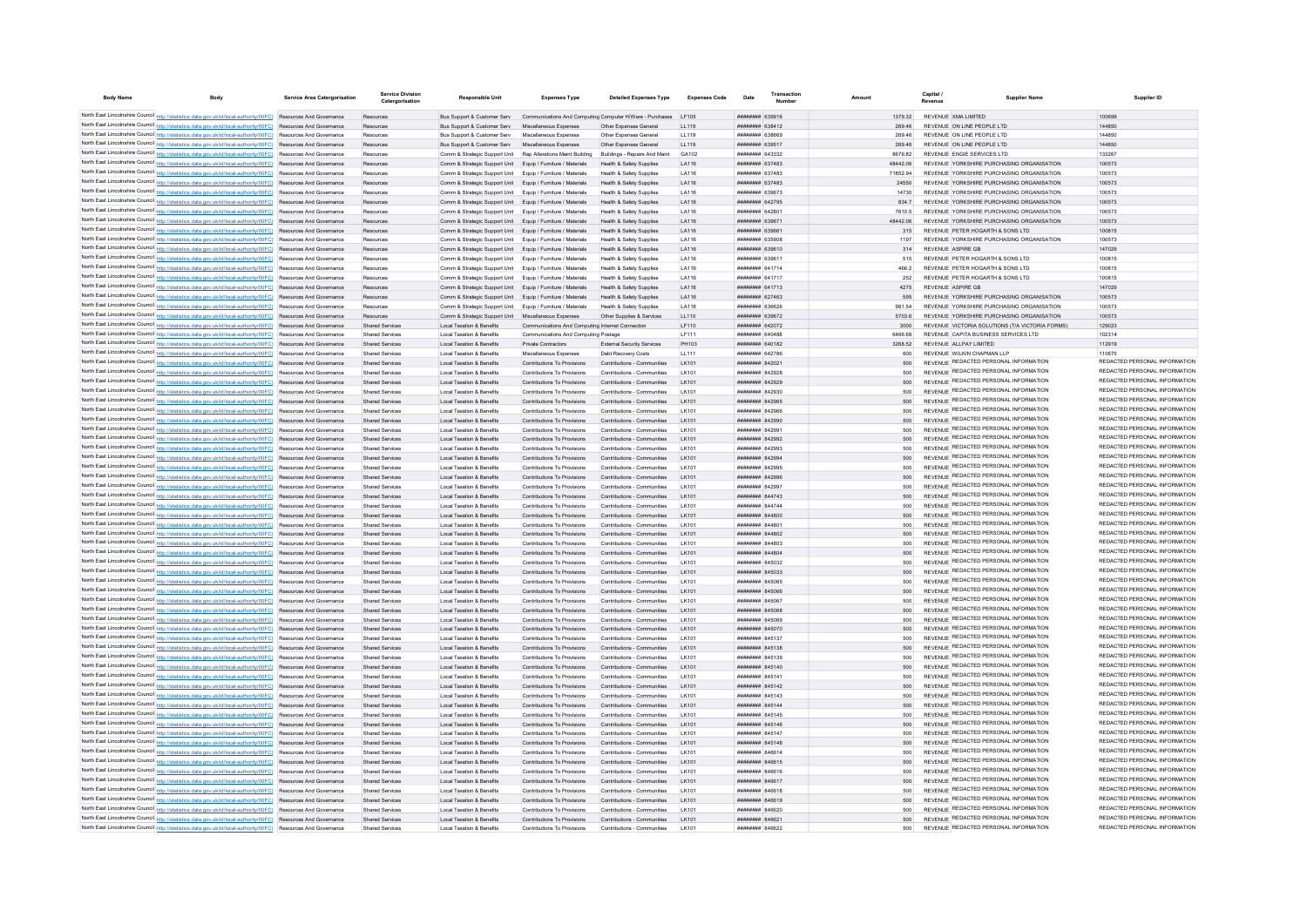| <b>Body Name</b>                            | Body                                                                                                                                                                                                                               | Service Area Catergorisation | <b>Service Division</b><br>Catergorisation | <b>Responsible Uni</b>                                                                                                     | <b>Expenses Type</b>                                                                       | <b>Detailed Expenses Type</b>                                   | <b>Expenses Code</b> | Date                                            | Transaction | Amount          | Canital<br><b>Supplier Name</b><br>Revenue                                             | Supplier ID                                                    |
|---------------------------------------------|------------------------------------------------------------------------------------------------------------------------------------------------------------------------------------------------------------------------------------|------------------------------|--------------------------------------------|----------------------------------------------------------------------------------------------------------------------------|--------------------------------------------------------------------------------------------|-----------------------------------------------------------------|----------------------|-------------------------------------------------|-------------|-----------------|----------------------------------------------------------------------------------------|----------------------------------------------------------------|
|                                             | North East Lincolnshire Council http://statistics.data.gov.uk/id/local-authority/00FC) Resources And Governance                                                                                                                    |                              | Resources                                  |                                                                                                                            | Bus Support & Customer Serv Communications And Computing Computer H/Ware - Purchases LF105 |                                                                 |                      | <b>ATODER HUBBBBBB</b>                          |             | 1379 32         | REVENUE XMA LIMITED                                                                    | 100699                                                         |
|                                             | North East Lincolnshire Council http://statistics.data.gov.uk/id/local-authority/00FC) Resources And Governance                                                                                                                    |                              | Resources                                  | Bus Support & Customer Serv Miscellaneous Expenses                                                                         |                                                                                            | Other Expenses General                                          | 119                  | <b>ПППНИНИН</b> 638412                          |             | 269.46          | REVENUE ON LINE PEOPLE LTD                                                             | 144850                                                         |
|                                             | North East Lincolnshire Council http://statistics.data.gov.uk/id/local-authority/00FC) Resources And Governance                                                                                                                    |                              | Resources                                  | Bus Support & Customer Serv Miscellaneous Expenses                                                                         |                                                                                            | Other Expenses General                                          | 11119                | <b>PAREA MMMMMM</b>                             |             | 269.46          | REVENUE ON LINE PEOPLE LTD                                                             | 144850                                                         |
|                                             | North East Lincolnshire Council http://statistics.data.gov.uk/id/local-authority/00FC) Resources And Governance                                                                                                                    |                              | Resources                                  | Bus Support & Customer Serv Miscellaneous Expenses                                                                         |                                                                                            | Other Expenses General                                          | LL119                | ######## 639517                                 |             | 269.46          | REVENUE ON LINE PEOPLE LTD                                                             | 144850                                                         |
|                                             | North East Lincolnshire Council http://statistics.data.gov.uk/id/local-authority/00FC) Resources And Governance                                                                                                                    |                              | Resources                                  |                                                                                                                            | Comm & Strategic Support Unit Rep Alterations Maint Building Buildings - Repairs And Maint |                                                                 | GA102                | ######## 643332                                 |             | 8679.82         | REVENUE ENGIE SERVICES LTD                                                             | 133267                                                         |
|                                             | North East Lincolnshire Council http://statistics.data.gov.uk/id/local-authority/00FC) Resources And Governance                                                                                                                    |                              | Resources                                  | Comm & Strategic Support Unit Equip / Furniture / Materials                                                                |                                                                                            | Health & Safety Supplies                                        | LA116                | ######## 637483                                 |             | 48442.06        | REVENUE YORKSHIRE PURCHASING ORGANISATION                                              | 100573                                                         |
|                                             | North East Lincolnshire Council http://statistics.data.gov.uk/id/local-authority/00FC) Resources And Governance                                                                                                                    |                              | Resources                                  | Comm & Strategic Support Unit Equip / Furniture / Materials                                                                |                                                                                            | Health & Safety Supplies                                        | LA116                | ######## 637483                                 |             | 71852.94        | REVENUE YORKSHIRE PURCHASING ORGANISATION                                              | 100573                                                         |
|                                             | North East Lincolnshire Council http://statistics.data.gov.uk/id/local-authority/00FC) Resources And Governance                                                                                                                    |                              | Resources                                  | Comm & Strategic Support Unit Equip / Furniture / Materials                                                                |                                                                                            | Health & Safety Supplies                                        | LA116                | <b>пппппппп</b> 637483                          |             | 24550           | REVENUE YORKSHIRE PURCHASING ORGANISATION                                              | 100573                                                         |
|                                             | North East Lincolnshire Council http://statistics.data.gov.uk/id/local-authority/00FC) Resources And Governance                                                                                                                    |                              | Resources                                  | Comm & Strategic Support Unit Equip / Furniture / Materials                                                                |                                                                                            | Health & Safety Sunnlies                                        | LA116                | <b>пппппппп</b> 639673                          |             | 14730           | REVENUE YORKSHIRE PURCHASING ORGANISATION                                              | 100573                                                         |
|                                             | North East Lincolnshire Council http://statistics.data.gov.uk/id/local-authority/00FC) Resources And Governance<br>North East Lincolnshire Council http://statistics.data.gov.uk/id/local-authority/00FC) Resources And Governance |                              | Resources<br>Resources                     | Comm & Strategic Support Unit Equip / Furniture / Materials<br>Comm & Strategic Support Unit Equip / Furniture / Materials |                                                                                            | Health & Safety Supplies<br><b>Health &amp; Safety Supplies</b> | LA116<br>LA116       | ######## 642795<br>####### 64280                |             | 834.7<br>7610.5 | REVENUE YORKSHIRE PURCHASING ORGANISATION<br>REVENUE YORKSHIRE PURCHASING ORGANISATION | 100573<br>100573                                               |
|                                             | North East Lincolnshire Council http://statistics.data.gov.uk/id/local-authority/00FC) Resources And Governance                                                                                                                    |                              | Resources                                  | Comm & Strategic Support Unit                                                                                              | Equip / Furniture / Materials                                                              | <b>Health &amp; Safety Supplies</b>                             | LA116                | ######## 639671                                 |             | 48442.06        | REVENUE YORKSHIRE PURCHASING ORGANISATION                                              | 100573                                                         |
|                                             | North East Lincolnshire Council http://statistics.data.gov.uk/id/local-authority/00FC) Resources And Governance                                                                                                                    |                              | Resources                                  | Comm & Strategic Support Unit                                                                                              | Equip / Furniture / Materials                                                              | <b>Health &amp; Safety Supplies</b>                             | LA116                | ######## 639661                                 |             | 315             | REVENUE PETER HOGARTH & SONS LTD                                                       | 100815                                                         |
|                                             | North East Lincolnshire Council http://statistics.data.gov.uk/id/local-authority/00FC) Resources And Governance                                                                                                                    |                              | Resources                                  | Comm & Strategic Support Unit Equip / Furniture / Materials                                                                |                                                                                            | Health & Safety Supplies                                        | LA116                | <b>########</b> 635908                          |             | 1197            | REVENUE YORKSHIRE PURCHASING ORGANISATION                                              | 100573                                                         |
|                                             | North East Lincolnshire Council http://statistics.data.gov.uk/id/local-authority/00FC) Resources And Governance                                                                                                                    |                              | Resources                                  | Comm & Strategic Support Unit Equip / Furniture / Materials                                                                |                                                                                            | Health & Safety Supplies                                        | LA116                | ######## 639610                                 |             | 314             | <b>REVENUE ASPIRE GB</b>                                                               | 147029                                                         |
|                                             | North East Lincolnshire Council http://statistics.data.gov.uk/id/local-authority/00FC) Resources And Governance                                                                                                                    |                              | Resources                                  | Comm & Strategic Support Unit Equip / Furniture / Materials                                                                |                                                                                            | Health & Safety Supplies                                        | LA116                | ######## 639611                                 |             | 515             | REVENUE PETER HOGARTH & SONS LTD                                                       | 100815                                                         |
|                                             | North East Lincolnshire Council http://statistics.data.gov.uk/id/local-authority/00FC) Resources And Governance                                                                                                                    |                              | Resources                                  | Comm & Strategic Support Unit Equip / Furniture / Materials                                                                |                                                                                            | Health & Safety Sunnlies                                        | LA116                | <b>########</b> 641714                          |             | 466.2           | REVENUE PETER HOGARTH & SONS ITD                                                       | 100815                                                         |
|                                             | North East Lincolnshire Council http://statistics.data.gov.uk/id/local-authority/00FC) Resources And Governance                                                                                                                    |                              | Resources                                  | Comm & Strategic Support Unit Equip / Furniture / Materials                                                                |                                                                                            | <b>Health &amp; Safety Supplies</b>                             | LA116                | <b>HUHHHHH 641717</b>                           |             | 252             | REVENUE PETER HOGARTH & SONS LTD                                                       | 100815                                                         |
|                                             | North East Lincolnshire Council http://statistics.data.gov.uk/id/local-authority/00FC) Resources And Governance                                                                                                                    |                              | Resources                                  | Comm & Strategic Support Unit Equip / Furniture / Materials                                                                |                                                                                            | Health & Safety Supplies                                        | LA116                | ######## 641713<br><b>пппппппп</b> 627463       |             | 4275            | REVENUE ASPIRE GR<br>REVENUE YORKSHIRE PURCHASING ORGANISATION                         | 147029<br>100573                                               |
|                                             | North East Lincolnshire Council http://statistics.data.gov.uk/id/local-authority/00FC) Resources And Governance<br>North East Lincolnshire Council http://statistics.data.gov.uk/id/local-authority/00FC) Resources And Governance |                              | Resources<br>Resources                     | Comm & Strategic Support Unit Equip / Furniture / Materials<br>Comm & Strategic Support Unit Foujo / Furniture / Materials |                                                                                            | Health & Safety Supplies<br>Health & Safety Sunnlies            | LA116<br>LA116       | <b>ПЕПЕЦИИ 636626</b>                           |             | 595<br>981.54   | REVENUE YORKSHIRE PURCHASING ORGANISATION                                              | 100573                                                         |
|                                             | North East Lincolnshire Council http://statistics.data.gov.uk/id/local-authority/00FC) Resources And Governance                                                                                                                    |                              | Resources                                  | Comm & Strategic Support Unit Miscellaneous Expenses                                                                       |                                                                                            | Other Sunnlies & Services                                       | 11110                | <b>ппининин</b> 639672                          |             | 5703.6          | REVENUE YORKSHIRE PURCHASING ORGANISATION                                              | 100573                                                         |
|                                             | North East Lincolnshire Council http://statistics.data.gov.uk/id/local-authority/00FC) Resources And Governance                                                                                                                    |                              | <b>Shared Services</b>                     | <b>Local Taxation &amp; Benefits</b>                                                                                       | Communications And Computing Internet Connection                                           |                                                                 | I F110               | <b>НЕННИНИИ</b> 642072                          |             | 3000            | REVENUE VICTORIA SOLUTIONS (T/A VICTORIA FORMS)                                        | 129023                                                         |
|                                             | North East Lincolnshire Council http://statistics.data.gov.uk/id/local-authority/00FC) Resources And Governance                                                                                                                    |                              | <b>Shared Service</b>                      | <b>Local Taxation &amp; Benefits</b>                                                                                       | Communications And Computing Postage                                                       |                                                                 | LF111                | HHHHHHH 640488                                  |             | 6466.68         | REVENUE CAPITA BUSINESS SERVICES LTD                                                   | 102314                                                         |
|                                             | North East Lincolnshire Council http://statistics.data.gov.uk/id/local-authority/00FC) Resources And Governance                                                                                                                    |                              | <b>Shared Services</b>                     | <b>Local Taxation &amp; Benefits</b>                                                                                       | Private Contractors                                                                        | External Security Services                                      | PH103                | ####### 640182                                  |             | 3268.52         | REVENUE ALLPAY LIMITED                                                                 | 112919                                                         |
|                                             | North East Lincolnshire Council http://statistics.data.gov.uk/id/local-authority/00FC) Resources And Governance                                                                                                                    |                              | Shared Services                            | Local Taxation & Benefits                                                                                                  | Miscellaneous Expenses                                                                     | Debt Recovery Costs                                             | LL111                | <b>ПЕННИНИ 642786</b>                           |             | 600             | REVENUE WILKIN CHAPMAN I LP                                                            | 110675                                                         |
|                                             | North East Lincolnshire Council http://statistics.data.gov.uk/id/local-authority/00FC) Resources And Governance                                                                                                                    |                              | Shared Services                            | Local Taxation & Benefits                                                                                                  | Contributions To Provisions                                                                | Contributions - Communities                                     | I K101               | <b>ПППНИНИН</b> 842021                          |             | 500             | REVENUE REDACTED PERSONAL INFORMATION                                                  | REDACTED PERSONAL INFORMATION                                  |
|                                             | North East Lincolnshire Council http://statistics.data.gov.uk/id/local-authority/00FC) Resources And Governance                                                                                                                    |                              | Shared Services                            | Local Taxation & Benefits                                                                                                  | Contributions To Provisions                                                                | Contributions - Communities                                     | <b>IK101</b>         | пппнинни 842928                                 |             | 500             | REVENUE REDACTED PERSONAL INFORMATION                                                  | REDACTED PERSONAL INFORMATION                                  |
|                                             | North East Lincolnshire Council http://statistics.data.gov.uk/id/local-authority/00FC) Resources And Governance                                                                                                                    |                              | <b>Shared Services</b>                     | Local Taxation & Benefits                                                                                                  | Contributions To Provisions                                                                | Contributions - Communities                                     | I K101               | <b>ПЕНИНИН 842929</b>                           |             | 500             | REVENUE REDACTED PERSONAL INFORMATION<br>REVENUE REDACTED PERSONAL INFORMATION         | REDACTED PERSONAL INFORMATION<br>REDACTED PERSONAL INFORMATION |
|                                             | North East Lincolnshire Council http://statistics.data.gov.uk/id/local-authority/00FC) Resources And Governance                                                                                                                    |                              | <b>Shared Services</b>                     | <b>Local Taxation &amp; Benefits</b>                                                                                       | Contributions To Provisions                                                                | Contributions - Communities                                     | LK101                | ######## 842930                                 |             | 500             | REVENUE REDACTED PERSONAL INFORMATION                                                  | REDACTED PERSONAL INFORMATION                                  |
|                                             | North East Lincolnshire Council http://statistics.data.gov.uk/id/local-authority/00FC) Resources And Governance<br>North East Lincolnshire Council http://statistics.data.gov.uk/id/local-authority/00FC) Resources And Governance |                              | <b>Shared Services</b><br>Shared Services  | <b>Local Taxation &amp; Benefits</b><br><b>Local Taxation &amp; Benefits</b>                                               | Contributions To Provisions<br>Contributions To Provisions                                 | Contributions - Communities<br>Contributions - Communities      | LK101<br>LK101       | ######## 842965<br>######## 842966              |             | 500             | REVENUE REDACTED PERSONAL INFORMATION                                                  | REDACTED PERSONAL INFORMATION                                  |
|                                             | North East Lincolnshire Council http://statistics.data.gov.uk/id/local-authority/00FC) Resources And Governance                                                                                                                    |                              | Shared Services                            | <b>Local Taxation &amp; Benefits</b>                                                                                       | Contributions To Provisions                                                                | Contributions - Communities                                     | I K101               | <b>ПЕВЕЦИИ 842990</b>                           |             | 500             | REVENUE REDACTED PERSONAL INFORMATION                                                  | REDACTED PERSONAL INFORMATION                                  |
|                                             | North East Lincolnshire Council http://statistics.data.gov.uk/id/local-authority/00FC) Resources And Governance                                                                                                                    |                              | Shared Services                            | <b>Local Taxation &amp; Benefits</b>                                                                                       | Contributions To Provisions                                                                | Contributions - Communities                                     | I K101               | HHHHHHH 842991                                  |             | 500             | REVENUE REDACTED PERSONAL INFORMATION                                                  | REDACTED PERSONAL INFORMATION                                  |
|                                             | North East Lincolnshire Council http://statistics.data.gov.uk/id/local-authority/00FC) Resources And Governance                                                                                                                    |                              | <b>Shared Services</b>                     | <b>Local Taxation &amp; Benefits</b>                                                                                       | Contributions To Provisions                                                                | Contributions - Communities                                     | I K101               | ######## 842992                                 |             | 500             | REVENUE REDACTED PERSONAL INFORMATION                                                  | REDACTED PERSONAL INFORMATION                                  |
|                                             | North East Lincolnshire Council http://statistics.data.gov.uk/id/local-authority/00FC) Resources And Governance                                                                                                                    |                              | <b>Shared Services</b>                     | <b>Local Taxation &amp; Benefits</b>                                                                                       | Contributions To Provisions                                                                | Contributions - Communities                                     | LK101                |                                                 |             |                 | REVENUE REDACTED PERSONAL INFORMATION                                                  | REDACTED PERSONAL INFORMATION                                  |
| North East Lincolnshire Council http://stat | tics.data.gov.uk/id/local-authority/00FC) Resources And Governance                                                                                                                                                                 |                              | <b>Shared Services</b>                     | <b>Local Taxation &amp; Benefits</b>                                                                                       | Contributions To Provisions                                                                | Contributions - Communities                                     | LK101                | ######## 842994                                 |             | 500             | REVENUE REDACTED PERSONAL INFORMATION                                                  | REDACTED PERSONAL INFORMATION                                  |
|                                             | North East Lincolnshire Council http://statistics.data.gov.uk/id/local-authority/00FC) Resources And Governance                                                                                                                    |                              | <b>Shared Services</b>                     | <b>Local Taxation &amp; Benefits</b>                                                                                       | Contributions To Provisions                                                                | Contributions - Communities                                     | LK101                | ######## 842995                                 |             |                 | REVENUE REDACTED PERSONAL INFORMATION                                                  | REDACTED PERSONAL INFORMATION                                  |
|                                             | North East Lincolnshire Council http://statistics.data.gov.uk/id/local-authority/00FC) Resources And Governance                                                                                                                    |                              | <b>Shared Services</b>                     | <b>Local Taxation &amp; Benefits</b>                                                                                       | Contributions To Provisions                                                                | Contributions - Communities                                     | I K101               | <b>ПЕПИЛИН 842996</b>                           |             | 500             | REVENUE REDACTED PERSONAL INFORMATION                                                  | REDACTED PERSONAL INFORMATION                                  |
|                                             | North East Lincolnshire Council http://statistics.data.gov.uk/id/local-authority/00FC) Resources And Governance                                                                                                                    |                              | <b>Shared Services</b>                     | <b>Local Taxation &amp; Benefits</b>                                                                                       | Contributions To Provisions                                                                | Contributions - Communities                                     | I K101               | <b>пппппппп</b> 842997                          |             | 500             | REVENUE REDACTED PERSONAL INFORMATION<br>REVENUE REDACTED PERSONAL INFORMATION         | REDACTED PERSONAL INFORMATION<br>REDACTED PERSONAL INFORMATION |
|                                             | North East Lincolnshire Council http://statistics.data.gov.uk/id/local-authority/00FC) Resources And Governance                                                                                                                    |                              | <b>Shared Services</b>                     | Local Taxation & Benefits                                                                                                  | Contributions To Provisions                                                                | Contributions - Communities                                     | LK101                | ######## 844743                                 |             | 500             | REVENUE REDACTED PERSONAL INFORMATION                                                  | REDACTED PERSONAL INFORMATION                                  |
|                                             | North East Lincolnshire Council http://statistics.data.gov.uk/id/local-authority/00FC) Resources And Governance<br>North East Lincolnshire Council http://statistics.data.gov.uk/id/local-authority/00FC) Resources And Governance |                              | Shared Services<br>Shared Services         | Local Taxation & Benefits<br>Local Taxation & Benefits                                                                     | Contributions To Provisions<br>Contributions To Provisions                                 | Contributions - Communities<br>Contributions - Communities      | LK101<br>LK101       | ######## 844744<br>######## 844800              |             | 500<br>500      | REVENUE REDACTED PERSONAL INFORMATION                                                  | REDACTED PERSONAL INFORMATION                                  |
|                                             | North East Lincolnshire Council http://statistics.data.gov.uk/id/local-authority/00FC) Resources And Governance                                                                                                                    |                              | <b>Shared Services</b>                     | <b>Local Taxation &amp; Benefits</b>                                                                                       | Contributions To Provisions                                                                | Contributions - Communities                                     | LK101                | ######## 844801                                 |             | 500             | REVENUE REDACTED PERSONAL INFORMATION                                                  | REDACTED PERSONAL INFORMATION                                  |
|                                             | North East Lincolnshire Council http://statistics.data.gov.uk/id/local-authority/00FC) Resources And Governance                                                                                                                    |                              | <b>Shared Services</b>                     | <b>Local Taxation &amp; Benefits</b>                                                                                       | Contributions To Provisions                                                                | Contributions - Communities                                     | I K101               | <b>пппппппп</b> 844802                          |             | 500             | REVENUE REDACTED PERSONAL INFORMATION                                                  | REDACTED PERSONAL INFORMATION                                  |
|                                             | North East Lincolnshire Council http://statistics.data.gov.uk/id/local-authority/00FC) Resources And Governance                                                                                                                    |                              | <b>Shared Services</b>                     | <b>Local Taxation &amp; Benefits</b>                                                                                       | Contributions To Provisions                                                                | Contributions - Communities                                     | I K101               | <b>пппппппп</b> 844803                          |             | 500             | REVENUE REDACTED PERSONAL INFORMATION                                                  | REDACTED PERSONAL INFORMATION                                  |
|                                             | North East Lincolnshire Council http://statistics.data.gov.uk/id/local-authority/00FC) Resources And Governance                                                                                                                    |                              | Shared Services                            | Local Taxation & Benefits                                                                                                  | Contributions To Provisions                                                                | Contributions - Communities                                     | I K101               | <b>HHHHHHHH</b> 844804                          |             | 500             | REVENUE REDACTED PERSONAL INFORMATION                                                  | REDACTED PERSONAL INFORMATION                                  |
|                                             | North East Lincolnshire Council http://statistics.data.gov.uk/id/local-authority/00FC) Resources And Governance                                                                                                                    |                              | Shared Services                            | Local Taxation & Benefits                                                                                                  | Contributions To Provisions                                                                | Contributions - Communities                                     | I K101               | <b>пппппппп</b> 845032                          |             | 500             | REVENUE REDACTED PERSONAL INFORMATION                                                  | REDACTED PERSONAL INFORMATION                                  |
|                                             | North East Lincolnshire Council http://statistics.data.gov.uk/id/local-authority/00FC) Resources And Governance                                                                                                                    |                              | <b>Shared Services</b>                     | <b>Local Taxation &amp; Benefits</b>                                                                                       | Contributions To Provisions                                                                | Contributions - Communities                                     | LK101                | ######## 845033                                 |             | 500             | REVENUE REDACTED PERSONAL INFORMATION                                                  | REDACTED PERSONAL INFORMATION                                  |
|                                             | North East Lincolnshire Council http://statistics.data.gov.uk/id/local-authority/00FC) Resources And Governance                                                                                                                    |                              | Shared Service                             | <b>Local Taxation &amp; Benefits</b>                                                                                       | Contributions To Provisions                                                                | Contributions - Communities                                     | LK101                | <b>HERHER RASOS</b>                             |             | 500             | REVENUE REDACTED PERSONAL INFORMATION                                                  | REDACTED PERSONAL INFORMATION<br>REDACTED PERSONAL INFORMATION |
|                                             | North East Lincolnshire Council http://statistics.data.gov.uk/id/local-authority/00FC) Resources And Governance                                                                                                                    |                              | <b>Shared Services</b>                     | <b>Local Taxation &amp; Benefits</b>                                                                                       | Contributions To Provisions                                                                | Contributions - Communities                                     | LK101                | 845068 HHHHHH                                   |             | 500             | REVENUE REDACTED PERSONAL INFORMATION<br>REVENUE REDACTED PERSONAL INFORMATION         | REDACTED PERSONAL INFORMATION                                  |
|                                             | North East Lincolnshire Council http://statistics.data.gov.uk/id/local-authority/00FC) Resources And Governance                                                                                                                    |                              | Shared Services                            | Local Taxation & Benefits                                                                                                  | Contributions To Provisions                                                                | Contributions - Communities                                     | <b>IK101</b>         | <b>BRENHHHH 845067</b>                          |             | 500<br>500      | REVENUE REDACTED PERSONAL INFORMATION                                                  | REDACTED PERSONAL INFORMATION                                  |
|                                             | North East Lincolnshire Council http://statistics.data.gov.uk/id/local-authority/00FC) Resources And Governance<br>North East Lincolnshire Council http://statistics.data.gov.uk/id/local-authority/00FC) Resources And Governance |                              | Shared Services<br>Shared Services         | Local Taxation & Benefits<br><b>Local Taxation &amp; Benefits</b>                                                          | Contributions To Provisions<br>Contributions To Provisions                                 | Contributions - Communities<br>Contributions - Communities      | I K101<br>I K101     | <b>######## 845068</b><br><b>HUHHHHH 845069</b> |             | 500             | REVENUE REDACTED PERSONAL INFORMATION                                                  | REDACTED PERSONAL INFORMATION                                  |
|                                             | North East Lincolnshire Council http://statistics.data.gov.uk/id/local-authority/00FC) Resources And Governance                                                                                                                    |                              | Shared Services                            | <b>Local Taxation &amp; Benefits</b>                                                                                       | Contributions To Provisions                                                                | Contributions - Communities                                     | LK101                | ######## 845070                                 |             |                 | REVENUE REDACTED PERSONAL INFORMATION                                                  | REDACTED PERSONAL INFORMATION                                  |
|                                             | North East Lincolnshire Council http://statistics.data.gov.uk/id/local-authority/00FC) Resources And Governance                                                                                                                    |                              | <b>Shared Services</b>                     | <b>Local Taxation &amp; Benefits</b>                                                                                       | Contributions To Provisions                                                                | Contributions - Communities                                     | LK101                | ####### 845137                                  |             | 500             | REVENUE REDACTED PERSONAL INFORMATION                                                  | REDACTED PERSONAL INFORMATION                                  |
|                                             | North East Lincolnshire Council http://statistics.data.gov.uk/id/local-authority/00FC) Resources And Governance                                                                                                                    |                              | <b>Shared Services</b>                     | <b>Local Taxation &amp; Benefits</b>                                                                                       | Contributions To Provisions                                                                | Contributions - Communities                                     | LK101                | ######## 845138                                 |             | 500             | REVENUE REDACTED PERSONAL INFORMATION                                                  | REDACTED PERSONAL INFORMATION                                  |
|                                             | North East Lincolnshire Council http://statistics.data.gov.uk/id/local-authority/00FC) Resources And Governance                                                                                                                    |                              | Shared Services                            | Local Taxation & Benefits                                                                                                  | Contributions To Provisions                                                                | Contributions - Communities                                     | I K101               | <b>пппппппп</b> 845139                          |             | 500             | REVENUE REDACTED PERSONAL INFORMATION                                                  | REDACTED PERSONAL INFORMATION                                  |
|                                             | North East Lincolnshire Council http://statistics.data.gov.uk/id/local-authority/00FC) Resources And Governance                                                                                                                    |                              | Shared Services                            | <b>Local Taxation &amp; Benefits</b>                                                                                       | Contributions To Provisions                                                                | Contributions - Communities                                     | I K101               | <b>HUHHHHH 845140</b>                           |             | 500             | REVENUE REDACTED PERSONAL INFORMATION                                                  | REDACTED PERSONAL INFORMATION                                  |
|                                             | North East Lincolnshire Council http://statistics.data.gov.uk/id/local-authority/00FC) Resources And Governance                                                                                                                    |                              | <b>Shared Services</b>                     | <b>Local Taxation &amp; Benefits</b>                                                                                       | Contributions To Provisions                                                                | Contributions - Communities                                     | I K101               | ######## 845141                                 |             | 500             | REVENUE REDACTED PERSONAL INFORMATION                                                  | REDACTED PERSONAL INFORMATION                                  |
|                                             | North East Lincolnshire Council http://statistics.data.gov.uk/id/local-authority/00FC) Resources And Governance                                                                                                                    |                              | <b>Shared Services</b>                     | <b>Local Taxation &amp; Benefits</b>                                                                                       | Contributions To Provisions                                                                | Contributions - Communities                                     | LK101                | ######## 845142                                 |             | 500             | REVENUE REDACTED PERSONAL INFORMATION                                                  | REDACTED PERSONAL INFORMATION<br>REDACTED PERSONAL INFORMATION |
|                                             | North East Lincolnshire Council http://statistics.data.gov.uk/id/local-authority/00FC) Resources And Governance                                                                                                                    |                              | <b>Shared Services</b>                     | <b>Local Taxation &amp; Benefits</b>                                                                                       | Contributions To Provisions                                                                | Contributions - Communities                                     | LK101                | ####### 845143                                  |             | 500             | REVENUE REDACTED PERSONAL INFORMATION<br>REVENUE REDACTED PERSONAL INFORMATION         | REDACTED PERSONAL INFORMATION                                  |
|                                             | North East Lincolnshire Council http://statistics.data.gov.uk/id/local-authority/00FC) Resources And Governance                                                                                                                    |                              | <b>Shared Services</b>                     | <b>Local Taxation &amp; Benefits</b><br>Local Taxation & Benefits                                                          | Contributions To Provisions<br>Contributions To Provisions                                 | Contributions - Communities<br>Contributions - Communities      | LK101<br>I K101      | ######## 845144<br><b>HUHHHHH 845145</b>        |             | 500<br>500      | REVENUE REDACTED PERSONAL INFORMATION                                                  | REDACTED PERSONAL INFORMATION                                  |
|                                             | North East Lincolnshire Council http://statistics.data.gov.uk/id/local-authority/00FC) Resources And Governance<br>North East Lincolnshire Council http://statistics.data.gov.uk/id/local-authority/00FC) Resources And Governance |                              | Shared Services<br>Shared Services         | <b>Local Taxation &amp; Benefits</b>                                                                                       | Contributions To Provisions                                                                | Contributions - Communities                                     | I K101               | <b>ПЕПИЛИН 845146</b>                           |             | 500             | REVENUE REDACTED PERSONAL INFORMATION                                                  | REDACTED PERSONAL INFORMATION                                  |
|                                             | North East Lincolnshire Council http://statistics.data.gov.uk/id/local-authority/00FC) Resources And Governance                                                                                                                    |                              | <b>Shared Services</b>                     | <b>Local Taxation &amp; Benefits</b>                                                                                       | Contributions To Provisions                                                                | Contributions - Communities                                     | LK101                | ######## 845147                                 |             | 500             | REVENUE REDACTED PERSONAL INFORMATION                                                  | REDACTED PERSONAL INFORMATION                                  |
|                                             | North East Lincolnshire Council http://statistics.data.gov.uk/id/local-authority/00FC) Resources And Governance                                                                                                                    |                              | Shared Services                            | Local Taxation & Benefits                                                                                                  | Contributions To Provisions                                                                | Contributions - Communities                                     | LK101                | ######## 845148                                 |             | 500             | REVENUE REDACTED PERSONAL INFORMATION                                                  | REDACTED PERSONAL INFORMATION                                  |
|                                             | North East Lincolnshire Council http://statistics.data.gov.uk/id/local-authority/00FC) Resources And Governance                                                                                                                    |                              | Shared Services                            | <b>Local Taxation &amp; Benefits</b>                                                                                       | Contributions To Provisions                                                                | Contributions - Communities                                     | LK101                | ######## 846614                                 |             | 500             | REVENUE REDACTED PERSONAL INFORMATION                                                  | REDACTED PERSONAL INFORMATION                                  |
|                                             | North East Lincolnshire Council http://statistics.data.gov.uk/id/local-authority/00FC) Resources And Governance                                                                                                                    |                              | <b>Shared Services</b>                     | <b>Local Taxation &amp; Benefits</b>                                                                                       | Contributions To Provisions                                                                | Contributions - Communities                                     | LK101                | ######## 846615                                 |             | 500             | REVENUE REDACTED PERSONAL INFORMATION                                                  | REDACTED PERSONAL INFORMATION                                  |
|                                             | North East Lincolnshire Council http://statistics.data.gov.uk/id/local-authority/00FC) Resources And Governance                                                                                                                    |                              | Shared Services                            | Local Taxation & Benefits                                                                                                  | Contributions To Provisions                                                                | Contributions - Communities                                     | I K101               | <b>HRRHHHHH</b> RAGG16                          |             | 500             | REVENUE REDACTED PERSONAL INFORMATION                                                  | REDACTED PERSONAL INFORMATION                                  |
|                                             | North East Lincolnshire Council http://statistics.data.gov.uk/id/local-authority/00FC) Resources And Governance                                                                                                                    |                              | Shared Services                            | Local Taxation & Benefits                                                                                                  | Contributions To Provisions                                                                | Contributions - Communities                                     | I K101               | <b>ПЕНИНИН</b> 846617                           |             | 500             | REVENUE REDACTED PERSONAL INFORMATION                                                  | REDACTED PERSONAL INFORMATION                                  |
|                                             | North East Lincolnshire Council http://statistics.data.gov.uk/id/local-authority/00FC) Resources And Governance                                                                                                                    |                              | Shared Services                            | Local Taxation & Benefits                                                                                                  | Contributions To Provisions                                                                | Contributions - Communities                                     | I K101               | <b>HEEHEHH RAGG18</b>                           |             | 500             | REVENUE REDACTED PERSONAL INFORMATION                                                  | REDACTED PERSONAL INFORMATION<br>REDACTED PERSONAL INFORMATION |
|                                             | North East Lincolnshire Council http://statistics.data.gov.uk/id/local-authority/00FC) Resources And Governance                                                                                                                    |                              | <b>Shared Services</b>                     | <b>Local Taxation &amp; Benefits</b>                                                                                       | Contributions To Provisions                                                                | Contributions - Communities                                     | I K101               | <b>иннинин</b> 846619                           |             | 500             | REVENUE REDACTED PERSONAL INFORMATION<br>REVENUE REDACTED PERSONAL INFORMATION         | REDACTED PERSONAL INFORMATION                                  |
|                                             | North East Lincolnshire Council http://statistics.data.gov.uk/id/local-authority/00FC) Resources And Governance                                                                                                                    |                              | Shared Services                            | <b>Local Taxation &amp; Benefits</b>                                                                                       | Contributions To Provisions                                                                | Contributions - Communities                                     | 1 K101               | пенинин вассот                                  |             | 500<br>500      | REVENUE REDACTED PERSONAL INFORMATION                                                  | REDACTED PERSONAL INFORMATION                                  |
|                                             | North East Lincolnshire Council http://statistics.data.gov.uk/id/local-authority/00FC) Resources And Governance<br>North East Lincolnshire Council http://statistics.data.gov.uk/id/local-authority/00FC) Resources And Governance |                              | <b>Shared Services</b><br>Shared Service   | <b>Local Taxation &amp; Benefits</b><br>Local Taxation & Benefits                                                          | Contributions To Provisions<br>Contributions To Provisions                                 | Contributions - Communities<br>Contributions - Communities      | LK101<br>I K101      | ######## 846621<br><b>HHHHHHH RAGG22</b>        |             | 500             | REVENUE REDACTED PERSONAL INFORMATION                                                  | REDACTED PERSONAL INFORMATION                                  |
|                                             |                                                                                                                                                                                                                                    |                              |                                            |                                                                                                                            |                                                                                            |                                                                 |                      |                                                 |             |                 |                                                                                        |                                                                |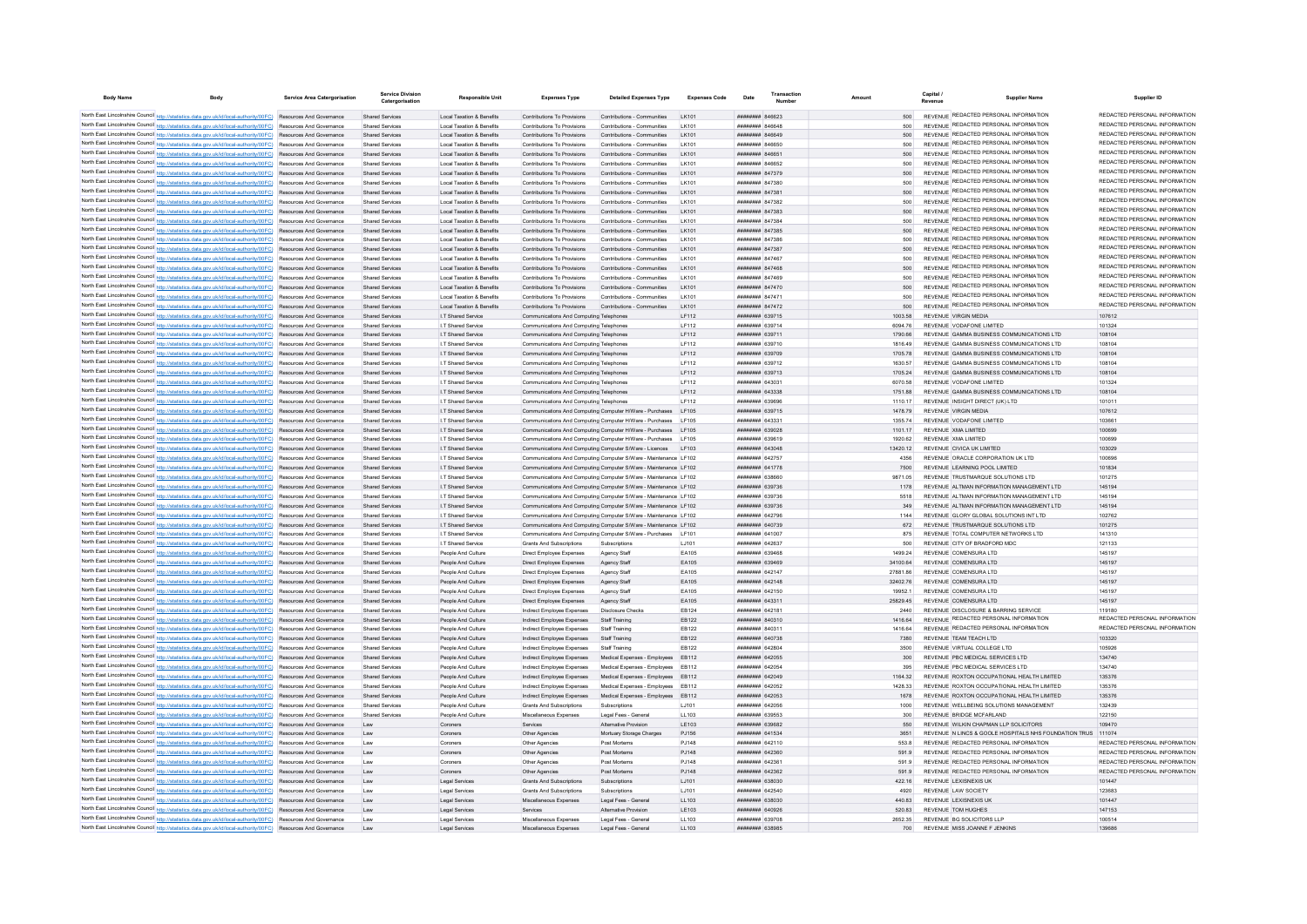| <b>Body Name</b> | <b>Body</b>                                                                                                                                                                                                                        | Service Area Catergorisation | <b>Service Division</b><br>Catergorisation       | Responsible Unit                                                  | <b>Expenses Type</b>                                                              | <b>Detailed Expenses Type</b>                                     | <b>Expenses Code</b> | Date                                             | Transaction | Amount             |             | Capital<br><b>Supplier Name</b>                                                        | Supplier ID                                                    |
|------------------|------------------------------------------------------------------------------------------------------------------------------------------------------------------------------------------------------------------------------------|------------------------------|--------------------------------------------------|-------------------------------------------------------------------|-----------------------------------------------------------------------------------|-------------------------------------------------------------------|----------------------|--------------------------------------------------|-------------|--------------------|-------------|----------------------------------------------------------------------------------------|----------------------------------------------------------------|
|                  | North East Lincolnshire Council http://statistics.data.gov.uk/id/local-authority/00FC) Resources And Governance                                                                                                                    |                              | <b>Shared Services</b>                           | <b>Local Taxation &amp; Benefits</b>                              | Contributions To Provisions                                                       | Contributions - Communities                                       | I K101               | <b>плиннин</b> 846623                            |             |                    | 500         | REVENUE REDACTED PERSONAL INFORMATION                                                  | REDACTED PERSONAL INFORMATION                                  |
|                  | North East Lincolnshire Council http://statistics.data.gov.uk/id/local-authority/00FC) Resources And Governance                                                                                                                    |                              | Shared Service                                   | <b>Local Taxation &amp; Benefits</b>                              | Contributions To Provisions                                                       | Contributions - Communities                                       | I K101               | BASSAS HERBEHER                                  |             |                    |             | REVENUE REDACTED PERSONAL INFORMATION                                                  | REDACTED PERSONAL INFORMATION                                  |
|                  | North East Lincolnshire Council http://statistics.data.gov.uk/id/local-authority/00FC) Resources And Governance                                                                                                                    |                              | <b>Shared Services</b>                           | <b>Local Taxation &amp; Benefits</b>                              | Contributions To Provisions                                                       | Contributions - Communities                                       | LK101                |                                                  |             |                    |             | REVENUE REDACTED PERSONAL INFORMATION                                                  | REDACTED PERSONAL INFORMATION                                  |
|                  | North East Lincolnshire Council http://statistics.data.gov.uk/id/local-authority/00FC) Resources And Governance                                                                                                                    |                              | <b>Shared Services</b>                           | Local Taxation & Benefits                                         | Contributions To Provisions                                                       | Contributions - Communities                                       | I K101               | DZSAN <del>HEEBERHEE</del>                       |             |                    | 500         | REVENUE REDACTED PERSONAL INFORMATION                                                  | REDACTED PERSONAL INFORMATION                                  |
|                  | North East Lincolnshire Council http://statistics.data.gov.uk/id/local-authority/00FC) Resources And Governance                                                                                                                    |                              | Shared Services                                  | Local Taxation & Benefits                                         | Contributions To Provisions                                                       | Contributions - Communities                                       | I K101               | <b>######## 846651</b>                           |             |                    | 500         | REVENUE REDACTED PERSONAL INFORMATION                                                  | REDACTED PERSONAL INFORMATION                                  |
|                  | North East Lincolnshire Council http://statistics.data.gov.uk/id/local-authority/00FC) Resources And Governance                                                                                                                    |                              | Shared Services                                  | Local Taxation & Benefits                                         | Contributions To Provisions                                                       | Contributions - Communities                                       | I K101               | пининни васс52                                   |             |                    | 500         | REVENUE REDACTED PERSONAL INFORMATION                                                  | REDACTED PERSONAL INFORMATION                                  |
|                  | North East Lincolnshire Council http://statistics.data.gov.uk/id/local-authority/00FC) Resources And Governance                                                                                                                    |                              | <b>Shared Services</b>                           | Local Taxation & Benefits                                         | Contributions To Provisions                                                       | Contributions - Communities                                       | I K101               | <b>НЕННИНИИ</b> 847379                           |             |                    | 500         | REVENUE REDACTED PERSONAL INFORMATION                                                  | REDACTED PERSONAL INFORMATION                                  |
|                  | North East Lincolnshire Council http://statistics.data.gov.uk/id/local-authority/00FC) Resources And Governance                                                                                                                    |                              | <b>Shared Services</b>                           | <b>Local Taxation &amp; Benefits</b>                              | Contributions To Provisions                                                       | Contributions - Communities                                       | LK101                | ######## 847380                                  |             |                    |             | REVENUE REDACTED PERSONAL INFORMATION                                                  | REDACTED PERSONAL INFORMATION<br>REDACTED PERSONAL INFORMATION |
|                  | North East Lincolnshire Council http://statistics.data.gov.uk/id/local-authority/00FC) Resources And Governance                                                                                                                    |                              | <b>Shared Services</b>                           | <b>Local Taxation &amp; Benefits</b>                              | Contributions To Provisions                                                       | Contributions - Communities                                       | LK101                | ######## 84738                                   |             |                    | 500         | REVENUE REDACTED PERSONAL INFORMATION<br>REVENUE REDACTED PERSONAL INFORMATION         | REDACTED PERSONAL INFORMATION                                  |
|                  | North East Lincolnshire Council http://statistics.data.gov.uk/id/local-authority/00FC) Resources And Governance                                                                                                                    |                              | <b>Shared Services</b>                           | <b>Local Taxation &amp; Benefits</b>                              | Contributions To Provisions                                                       | Contributions - Communities                                       | LK101                | <b>пппппппп</b> 847382                           |             |                    | 500         | REVENUE REDACTED PERSONAL INFORMATION                                                  | REDACTED PERSONAL INFORMATION                                  |
|                  | North East Lincolnshire Council http://statistics.data.gov.uk/id/local-authority/00FC) Resources And Governance<br>North East Lincolnshire Council http://statistics.data.gov.uk/id/local-authority/00FC) Resources And Governance |                              | Shared Services<br>Shared Services               | Local Taxation & Benefits<br><b>Local Taxation &amp; Benefits</b> | Contributions To Provisions<br>Contributions To Provisions                        | Contributions - Communities<br>Contributions - Communities        | I K101<br>I K101     | <b><i>BRENHHHH 847383</i></b><br>пппппппп 847384 |             |                    | 500<br>500  | REVENUE REDACTED PERSONAL INFORMATION                                                  | REDACTED PERSONAL INFORMATION                                  |
|                  | North East Lincolnshire Council http://statistics.data.gov.uk/id/local-authority/00FC) Resources And Governance                                                                                                                    |                              | <b>Shared Services</b>                           | <b>Local Taxation &amp; Benefits</b>                              | Contributions To Provisions                                                       | Contributions - Communities                                       | I K101               | <b>пппппппп</b> 847385                           |             |                    | 500         | REVENUE REDACTED PERSONAL INFORMATION                                                  | REDACTED PERSONAL INFORMATION                                  |
|                  | North East Lincolnshire Council http://statistics.data.gov.uk/id/local-authority/00FC) Resources And Governance                                                                                                                    |                              | <b>Shared Servicer</b>                           | <b>Local Taxation &amp; Benefits</b>                              | Contributions To Provisions                                                       | Contributions - Communities                                       | LK101                | <b>пппппппп</b> 847386                           |             |                    |             | REVENUE REDACTED PERSONAL INFORMATION                                                  | REDACTED PERSONAL INFORMATION                                  |
|                  | North East Lincolnshire Council http://statistics.data.gov.uk/id/local-authority/00FC) Resources And Governance                                                                                                                    |                              | <b>Shared Services</b>                           | <b>Local Taxation &amp; Benefits</b>                              | Contributions To Provisions                                                       | Contributions - Communities                                       | LK101                | <b>пппппппп</b> 847387                           |             |                    | 500         | REVENUE REDACTED PERSONAL INFORMATION                                                  | REDACTED PERSONAL INFORMATION                                  |
|                  | North East Lincolnshire Council http://statistics.data.gov.uk/id/local-authority/00FC) Resources And Governance                                                                                                                    |                              | <b>Shared Services</b>                           | <b>Local Taxation &amp; Benefits</b>                              | Contributions To Provisions                                                       | Contributions - Communities                                       | I K101               | <b><i>BREAMANH</i></b> 847467                    |             |                    | 500         | REVENUE REDACTED PERSONAL INFORMATION                                                  | REDACTED PERSONAL INFORMATION                                  |
|                  | North East Lincolnshire Council http://statistics.data.gov.uk/id/local-authority/00FC) Resources And Governance                                                                                                                    |                              | Shared Services                                  | Local Taxation & Benefits                                         | Contributions To Provisions                                                       | Contributions - Communities                                       | I K101               | <b><i>BRENHHHH</i></b> 847468                    |             |                    | 500         | REVENUE REDACTED PERSONAL INFORMATION                                                  | REDACTED PERSONAL INFORMATION                                  |
|                  | North East Lincolnshire Council http://statistics.data.gov.uk/id/local-authority/00FC) Resources And Governance                                                                                                                    |                              | Shared Services                                  | <b>Local Taxation &amp; Benefits</b>                              | Contributions To Provisions                                                       | Contributions - Communities                                       | I K101               | <b>пппппппп</b> 847469                           |             |                    | 500         | REVENUE REDACTED PERSONAL INFORMATION                                                  | REDACTED PERSONAL INFORMATION                                  |
|                  | North East Lincolnshire Council http://statistics.data.gov.uk/id/local-authority/00FC) Resources And Governance                                                                                                                    |                              | <b>Shared Services</b>                           | Local Taxation & Benefits                                         | Contributions To Provisions                                                       | Contributions - Communities                                       | LK101                | ######## 847470                                  |             |                    | 500         | REVENUE REDACTED PERSONAL INFORMATION                                                  | REDACTED PERSONAL INFORMATION                                  |
|                  | North East Lincolnshire Council http://statistics.data.gov.uk/id/local-authority/00FC) Resources And Governance                                                                                                                    |                              | <b>Shared Services</b>                           | <b>Local Taxation &amp; Benefits</b>                              | Contributions To Provisions                                                       | Contributions - Communities                                       | LK101                | ######## 847471                                  |             |                    |             | REVENUE REDACTED PERSONAL INFORMATION                                                  | REDACTED PERSONAL INFORMATION                                  |
|                  | North East Lincolnshire Council http://statistics.data.gov.uk/id/local-authority/00FC) Resources And Governance                                                                                                                    |                              | <b>Shared Services</b>                           | Local Taxation & Benefits                                         | Contributions To Provisions                                                       | Contributions - Communities                                       | LK101                | ######## 847472                                  |             |                    | 500         | REVENUE REDACTED PERSONAL INFORMATION                                                  | REDACTED PERSONAL INFORMATION                                  |
|                  | North East Lincolnshire Council http://statistics.data.gov.uk/id/local-authority/00FC) Resources And Governance                                                                                                                    |                              | <b>Shared Services</b>                           | I.T Shared Service                                                | Communications And Computing Telephone                                            |                                                                   | LF112                | ######## 639715                                  |             | 1003.58            |             | REVENUE VIRGIN MEDIA                                                                   | 107612                                                         |
|                  | North East Lincolnshire Council http://statistics.data.gov.uk/id/local-authority/00FC) Resources And Governance                                                                                                                    |                              | Shared Services                                  | I.T Shared Service                                                | Communications And Computing Telephones                                           |                                                                   | IF112                | <b>HENGHHAM 639714</b>                           |             | 6094.76            |             | REVENUE VODAEONE LIMITED                                                               | 101324                                                         |
|                  | North East Lincolnshire Council http://statistics.data.gov.uk/id/local-authority/00FC) Resources And Governance                                                                                                                    |                              | <b>Shared Services</b>                           | I.T Shared Service                                                | Communications And Computing Telephones                                           |                                                                   | LF112                | ######## 639711                                  |             | 1790.66            |             | REVENUE GAMMA BUSINESS COMMUNICATIONS LTD                                              | 108104                                                         |
|                  | North East Lincolnshire Council http://statistics.data.gov.uk/id/local-authority/00FC) Resources And Governance                                                                                                                    |                              | Shared Services                                  | I.T Shared Service                                                | Communications And Computing Telephones                                           |                                                                   | LF112                | ######## 639710                                  |             | 1816 49            |             | REVENUE GAMMA BUSINESS COMMUNICATIONS LTD                                              | 108104                                                         |
|                  | North East Lincolnshire Council http://statistics.data.gov.uk/id/local-authority/00FC) Resources And Governance<br>North East Lincolnshire Council http://statistics.data.gov.uk/id/local-authority/00FC) Resources And Governance |                              | <b>Shared Services</b><br>Shared Service         | I.T Shared Service<br>I.T Shared Service                          | Communications And Computing Telephones<br>Communications And Computing Telephone |                                                                   | LF112<br>LF112       | ######## 639709<br>######## 639712               |             | 1705.78<br>1630.57 |             | REVENUE GAMMA BUSINESS COMMUNICATIONS LTD<br>REVENUE GAMMA BUSINESS COMMUNICATIONS LTD | 108104<br>108104                                               |
|                  | North East Lincolnshire Council http://statistics.data.gov.uk/id/local-authority/00FC) Resources And Governance                                                                                                                    |                              | <b>Shared Services</b>                           | I.T Shared Service                                                | Communications And Computing Telephone                                            |                                                                   | LF112                | ######## 639713                                  |             | 1705.24            |             | REVENUE GAMMA BUSINESS COMMUNICATIONS LTD                                              | 108104                                                         |
|                  | North East Lincolnshire Council http://statistics.data.gov.uk/id/local-authority/00FC) Resources And Governance                                                                                                                    |                              | Shared Services                                  | <b>IT Shared Service</b>                                          | Communications And Computing Telephones                                           |                                                                   | LF112                | <b>ппинини 643031</b>                            |             | 6070.58            |             | REVENUE VODAEONE LIMITED                                                               | 101324                                                         |
|                  | North East Lincolnshire Council http://statistics.data.gov.uk/id/local-authority/00FC) Resources And Governance                                                                                                                    |                              | <b>Shared Services</b>                           | I.T Shared Service                                                | Communications And Computing Telephones                                           |                                                                   | LF112                | ######## 643338                                  |             | 1751.88            |             | REVENUE GAMMA BUSINESS COMMUNICATIONS LTD                                              | 108104                                                         |
|                  | North East Lincolnshire Council http://statistics.data.gov.uk/id/local-authority/00FC) Resources And Governance                                                                                                                    |                              | <b>Shared Services</b>                           | I.T Shared Service                                                | Communications And Computing Telephones                                           |                                                                   | LF112                | ######## 639696                                  |             | 1110.17            |             | REVENUE INSIGHT DIRECT (UK) LTD                                                        | 101011                                                         |
|                  | North East Lincolnshire Council http://statistics.data.gov.uk/id/local-authority/00FC) Resources And Governance                                                                                                                    |                              | <b>Shared Services</b>                           | I.T Shared Service                                                |                                                                                   | Communications And Computing Computer H/Ware - Purchases LF105    |                      | ######## 639715                                  |             | 1478.79            |             | REVENUE VIRGIN MEDIA                                                                   | 107612                                                         |
|                  | North East Lincolnshire Council http://statistics.data.gov.uk/id/local-authority/00FC) Resources And Governance                                                                                                                    |                              | Shared Services                                  | I.T Shared Service                                                | Communications And Computing Computer H/Ware - Purchases                          |                                                                   | LF105                | ######## 643331                                  |             | 1355.74            |             | REVENUE VODAFONE LIMITED                                                               | 103661                                                         |
|                  | North East Lincolnshire Council http://statistics.data.gov.uk/id/local-authority/00FC) Resources And Governance                                                                                                                    |                              | <b>Shared Services</b>                           | I.T Shared Service                                                | Communications And Computing Computer H/Ware - Purchases                          |                                                                   | I F105               | ######## 639028                                  |             | 1101.17            |             | REVENUE XMA LIMITED                                                                    | 100699                                                         |
|                  | North East Lincolnshire Council http://statistics.data.gov.uk/id/local-authority/00FC) Resources And Governance                                                                                                                    |                              | Shared Services                                  | I.T Shared Service                                                |                                                                                   | Communications And Computing Computer H/Ware - Purchases LF105    |                      | RESP.639619                                      |             | 1920.62            |             | REVENUE XMA LIMITED                                                                    | 100699                                                         |
|                  | North East Lincolnshire Council http://statistics.data.gov.uk/id/local-authority/00FC) Resources And Governance                                                                                                                    |                              | <b>Shared Services</b>                           | I.T Shared Service                                                | Communications And Computing Computer S/Ware - Licences                           |                                                                   | LE103                | ######## 643048                                  |             | 13420.12           |             | REVENUE CIVICA UK LIMITED                                                              | 103029                                                         |
|                  | North East Lincolnshire Council http://statistics.data.gov.uk/id/local-authority/00FC) Resources And Governance                                                                                                                    |                              | <b>Shared Services</b>                           | I.T Shared Service                                                |                                                                                   | Communications And Computing Computer S/Ware - Maintenance LF102  |                      | ######## 642757                                  |             |                    | 4356        | REVENUE ORACLE CORPORATION UK LTD                                                      | 100696                                                         |
|                  | North East Lincolnshire Council http://statistics.data.gov.uk/id/local-authority/00FC) Resources And Governance                                                                                                                    |                              | <b>Shared Services</b>                           | I.T Shared Service                                                |                                                                                   | Communications And Computing Computer S/Ware - Maintenance LF102  |                      | ######## 641778                                  |             |                    | 7500        | REVENUE LEARNING POOL LIMITED                                                          | 101834                                                         |
|                  | North East Lincolnshire Council http://statistics.data.gov.uk/id/local-authority/00FC) Resources And Governance                                                                                                                    |                              | <b>Shared Services</b>                           | I.T Shared Servio                                                 |                                                                                   | Communications And Computing Computer S/Ware - Maintenance LF102  |                      | ######## 638660                                  |             | 9871.05            |             | REVENUE TRUSTMARQUE SOLUTIONS LTD                                                      | 101275                                                         |
|                  | North East Lincolnshire Council http://statistics.data.gov.uk/id/local-authority/00FC) Resources And Governance                                                                                                                    |                              | <b>Shared Services</b>                           | I.T Shared Service                                                |                                                                                   | Communications And Computing Computer S/Ware - Maintenance LF102  |                      | ######## 639736                                  |             |                    | 1178        | REVENUE ALTMAN INFORMATION MANAGEMENT LTD                                              | 145194                                                         |
|                  | North East Lincolnshire Council http://statistics.data.gov.uk/id/local-authority/00FC) Resources And Governance                                                                                                                    |                              | Shared Services                                  | <b>IT Shared Service</b><br>I.T Shared Service                    |                                                                                   | Communications And Computing Computer S/Ware - Maintenance   F102 |                      | <b>пппппппп</b> 639736<br>######## 639736        |             |                    | 5518        | REVENUE ALTMAN INFORMATION MANAGEMENT LTD<br>REVENUE ALTMAN INFORMATION MANAGEMENT LTD | 145194<br>145194                                               |
|                  | North East Lincolnshire Council http://statistics.data.gov.uk/id/local-authority/00FC) Resources And Governance<br>North East Lincolnshire Council http://statistics.data.gov.uk/id/local-authority/00FC) Resources And Governance |                              | <b>Shared Services</b><br><b>Shared Services</b> | I.T Shared Service                                                | Communications And Computing Computer S/Ware - Maintenance LF102                  | Communications And Computing Computer S/Ware - Maintenance LF102  |                      | ######## 642796                                  |             |                    | 349<br>1144 | REVENUE GLORY GLOBAL SOLUTIONS INT LTD                                                 | 102762                                                         |
|                  | North East Lincolnshire Council http://statistics.data.gov.uk/id/local-authority/00FC) Resources And Governance                                                                                                                    |                              | Shared Services                                  | I.T Shared Service                                                |                                                                                   | Communications And Computing Computer S/Ware - Maintenance LF102  |                      | ######## 640739                                  |             |                    | 672         | REVENUE TRUSTMARQUE SOLUTIONS LTD                                                      | 101275                                                         |
|                  | North East Lincolnshire Council http://statistics.data.gov.uk/id/local-authority/00FC) Resources And Governance                                                                                                                    |                              | <b>Shared Services</b>                           | I.T Shared Service                                                |                                                                                   | Communications And Computing Computer S/Ware - Purchases LF101    |                      | ######## 641007                                  |             |                    | 875         | REVENUE TOTAL COMPUTER NETWORKS LTD                                                    | 141310                                                         |
|                  | North East Lincolnshire Council http://statistics.data.gov.uk/id/local-authority/00FC) Resources And Governance                                                                                                                    |                              | <b>Shared Services</b>                           | I.T Shared Service                                                | <b>Grants And Subscriptions</b>                                                   | Subscriptions                                                     | LJ101                | ######## 642637                                  |             |                    | 500         | REVENUE CITY OF BRADFORD MDC                                                           | 121133                                                         |
|                  | North East Lincolnshire Council http://statistics.data.gov.uk/id/local-authority/00FC) Resources And Governance                                                                                                                    |                              | Shared Services                                  | People And Culture                                                | Direct Employee Expenses                                                          | Agency Staff                                                      | EA105                | <b>плинини 639468</b>                            |             | 1499.24            |             | REVENUE COMENSURA LTD                                                                  | 145197                                                         |
|                  | North East Lincolnshire Council http://statistics.data.gov.uk/id/local-authority/00FC) Resources And Governance                                                                                                                    |                              | <b>Shared Services</b>                           | People And Culture                                                | Direct Employee Expenses                                                          | Agency Staff                                                      | EA105                | ######## 639469                                  |             | 34100.64           |             | REVENUE COMENSURA LTD                                                                  | 145197                                                         |
|                  | North East Lincolnshire Council http://statistics.data.gov.uk/id/local-authority/00FC) Resources And Governance                                                                                                                    |                              | <b>Shared Services</b>                           | People And Culture                                                | Direct Employee Expenses                                                          | Agency Staff                                                      | EA105                | ####### 642147                                   |             | 27881.86           |             | REVENUE COMENSURA LTD                                                                  | 145197                                                         |
|                  | North East Lincolnshire Council http://statistics.data.gov.uk/id/local-authority/00FC) Resources And Governance                                                                                                                    |                              | <b>Shared Services</b>                           | People And Culture                                                | Direct Employee Expenses                                                          | Agency Staff                                                      | EA105                | ####### 642148                                   |             | 32402.76           |             | REVENUE COMENSURA LTD                                                                  | 145197                                                         |
|                  | North East Lincolnshire Council http://statistics.data.gov.uk/id/local-authority/00FC) Resources And Governance                                                                                                                    |                              | Shared Services                                  | People And Culture                                                | Direct Employee Expenses                                                          | Agency Staff                                                      | EA105                | ######## 642150                                  |             | 19952.1            |             | REVENUE COMENSURA LTD                                                                  | 145197                                                         |
|                  | North East Lincolnshire Council http://statistics.data.gov.uk/id/local-authority/00FC) Resources And Governance                                                                                                                    |                              | <b>Shared Services</b>                           | People And Culture                                                | Direct Employee Expenses                                                          | Agency Staff                                                      | EA105                | ######## 643311                                  |             | 25829.45           |             | REVENUE COMENSURA LTD                                                                  | 145197                                                         |
|                  | North East Lincolnshire Council http://statistics.data.gov.uk/id/local-authority/00FC) Resources And Governance                                                                                                                    |                              | <b>Shared Services</b>                           | People And Culture                                                | Indirect Employee Expenses                                                        | <b>Disclosure Checks</b>                                          | EB124                | <b><i><u>HHHHHHH</u></i></b> 642181              |             |                    | 2440        | REVENUE DISCLOSURE & BARRING SERVICE                                                   | 110180<br>REDACTED PERSONAL INFORMATION                        |
|                  | North East Lincolnshire Council http://statistics.data.gov.uk/id/local-authority/00FC) Resources And Governance                                                                                                                    |                              | Shared Services                                  | People And Culture                                                | Indirect Employee Expenses                                                        | Staff Training                                                    | FR122<br>FR122       | <b>плинини</b> 840310<br><b>пппппппп</b> 840311  |             | 1416.64            |             | <b>REVENUE REDACTED PERSONAL INFORMATION</b>                                           | REDACTED PERSONAL INFORMATION                                  |
|                  | North East Lincolnshire Council http://statistics.data.gov.uk/id/local-authority/00FC) Resources And Governance                                                                                                                    |                              | Shared Services<br>Shared Services               | People And Culture                                                | Indirect Employee Expenses                                                        | Staff Training<br>Staff Training                                  | FR122                | <b>пппппппп</b> 640738                           |             | 1416.64            | 7380        | REVENUE REDACTED PERSONAL INFORMATION<br>REVENUE TEAM TEACH LTD                        | 103320                                                         |
|                  | North East Lincolnshire Council http://statistics.data.gov.uk/id/local-authority/00FC) Resources And Governance<br>North East Lincolnshire Council http://statistics.data.gov.uk/id/local-authority/00FC) Resources And Governance |                              | Shared Services                                  | People And Culture<br>People And Culture                          | Indirect Employee Expenses<br>Indirect Employee Expenses                          | Staff Training                                                    | FR122                | ####### 642804                                   |             |                    | 3500        | REVENUE VIRTUAL COLLEGE LTD                                                            | 105926                                                         |
|                  | North East Lincolnshire Council http://statistics.data.gov.uk/id/local-authority/00FC) Resources And Governance                                                                                                                    |                              | Shared Services                                  | People And Culture                                                | Indirect Employee Expenses                                                        | Medical Expenses - Employees                                      | FR112                | <b>НЕННИИН 642055</b>                            |             |                    | 300         | REVENUE PBC MEDICAL SERVICES LTD                                                       | 134740                                                         |
|                  | North East Lincolnshire Council http://statistics.data.gov.uk/id/local-authority/00FC) Resources And Governance                                                                                                                    |                              | <b>Shared Services</b>                           | People And Culture                                                | Indirect Employee Expenses                                                        | Medical Expenses - Employees                                      | FR112                | <b>пппппппп</b> 642054                           |             |                    | 395         | REVENUE PBC MEDICAL SERVICES LTD                                                       | 134740                                                         |
|                  | North East Lincolnshire Council http://statistics.data.gov.uk/id/local-authority/00FC) Resources And Governance                                                                                                                    |                              | Shared Services                                  | People And Culture                                                | Indirect Employee Expenses                                                        | Medical Expenses - Employees                                      | FR112                | пппннннн 642049                                  |             | 1164 32            |             | REVENUE ROXTON OCCUPATIONAL HEALTH LIMITED                                             | 135376                                                         |
|                  | North East Lincolnshire Council http://statistics.data.gov.uk/id/local-authority/00FC) Resources And Governance                                                                                                                    |                              | Shared Services                                  | People And Culture                                                | Indirect Employee Expenses                                                        | Medical Expenses - Employees                                      | FR112                | <b>иннинин</b> 642052                            |             | 1428 33            |             | REVENUE ROXTON OCCUPATIONAL HEALTH LIMITED                                             | 135376                                                         |
|                  | North East Lincolnshire Council http://statistics.data.gov.uk/id/local-authority/00FC) Resources And Governance                                                                                                                    |                              | Shared Services                                  | People And Culture                                                | Indirect Employee Expenses                                                        | Medical Expenses - Employees                                      | FR112                | <b>пппппппп</b> 642053                           |             |                    | 1678        | REVENUE ROXTON OCCUPATIONAL HEALTH LIMITED                                             | 135376                                                         |
|                  | North East Lincolnshire Council http://statistics.data.gov.uk/id/local-authority/00FC) Resources And Governance                                                                                                                    |                              | Shared Service                                   | People And Culture                                                | <b>Grants And Subscriptions</b>                                                   | Subscriptions                                                     | LJ101                | <b>ПЕВЕЦИИ 642056</b>                            |             |                    | 1000        | REVENUE WELL BEING SOLUTIONS MANAGEMENT                                                | 132439                                                         |
|                  | North East Lincolnshire Council http://statistics.data.gov.uk/id/local-authority/00FC) Resources And Governance                                                                                                                    |                              | Sharad Senices                                   | People And Culture                                                | Miscellaneous Expenses                                                            | Legal Fees - Genera                                               | LL103                | FROCA HHHHHH                                     |             |                    | 300         | REVENUE RRIDGE MCFARLAND                                                               | 122150                                                         |
|                  | North East Lincolnshire Council http://statistics.data.gov.uk/id/local-authority/00FC) Resources And Governance                                                                                                                    |                              |                                                  | Coroners                                                          | Services                                                                          | Alternative Provision                                             | LE103                | <b>пппппппп</b> 639682                           |             |                    | 550         | REVENUE WILKIN CHAPMAN LLP SOLICITORS                                                  | 109470                                                         |
|                  | North East Lincolnshire Council http://statistics.data.gov.uk/id/local-authority/00FC) Resources And Governance                                                                                                                    |                              | I aw                                             | Coroners                                                          | Other Anencies                                                                    | Mortuary Storage Charges                                          | P.1156               | <b><i>BRAHHHHH 641534</i></b>                    |             |                    | 3651        | REVENUE N LINCS & GOOLE HOSPITALS NHS FOUNDATION TRUS 111074                           |                                                                |
|                  | North East Lincolnshire Council http://statistics.data.gov.uk/id/local-authority/00FC) Resources And Governance                                                                                                                    |                              | I aw                                             | Coroners                                                          | Other Agencies                                                                    | Post Mortems                                                      | P.1148               | <b>пппппппп</b> 642110                           |             |                    | 553.8       | REVENUE REDACTED PERSONAL INFORMATION                                                  | REDACTED PERSONAL INFORMATION                                  |
|                  | North East Lincolnshire Council http://statistics.data.gov.uk/id/local-authority/00FC) Resources And Governance                                                                                                                    |                              | Law                                              | Coroners                                                          | Other Agencies                                                                    | Post Mortems                                                      | PJ148                | <b>пппппппп</b> 642360                           |             |                    | 591.9       | REVENUE REDACTED PERSONAL INFORMATION                                                  | REDACTED PERSONAL INFORMATION                                  |
|                  | North East Lincolnshire Council http://statistics.data.gov.uk/id/local-authority/00FC) Resources And Governance                                                                                                                    |                              | Law                                              | Coroners                                                          | Other Agencies                                                                    | Post Mortems                                                      | PJ148                | ######## 642361                                  |             |                    | 591.9       | REVENUE REDACTED PERSONAL INFORMATION                                                  | REDACTED PERSONAL INFORMATION                                  |
|                  | North East Lincolnshire Council http://statistics.data.gov.uk/id/local-authority/00FC) Resources And Governance                                                                                                                    |                              | Law                                              | Coroners                                                          | Other Agencies                                                                    | Post Mortems                                                      | PJ148                | <b>НЕННИИН 642362</b>                            |             |                    | 591.9       | REVENUE REDACTED PERSONAL INFORMATION                                                  | REDACTED PERSONAL INFORMATION                                  |
|                  | North East Lincolnshire Council http://statistics.data.gov.uk/id/local-authority/00FC) Resources And Governance                                                                                                                    |                              | Law                                              | Legal Services                                                    | <b>Grants And Subscriptions</b>                                                   | Subscriptions                                                     | LJ101                | <b>плиннин</b> 638030                            |             | 422.16             |             | REVENUE LEXISNEXIS UK<br>REVENUE LAW SOCIETY                                           | 101447                                                         |
|                  | North East Lincolnshire Council http://statistics.data.gov.uk/id/local-authority/00FC) Resources And Governance<br>North East Lincolnshire Council http://statistics.data.gov.uk/id/local-authority/00FC) Resources And Governance |                              | 1 aw<br>Law                                      | Legal Services<br>Legal Services                                  | <b>Grants And Subscriptions</b><br>Miscellaneous Expenses                         | Subscriptions<br>Legal Fees - Genera                              | 1.1101<br>LL103      | <b>ПППНИНИН</b> 642540<br><b>лининин 638030</b>  |             | 440.83             | 4920        | REVENUE LEXISNEXIS UK                                                                  | 123683<br>101447                                               |
|                  | North East Lincolnshire Council http://statistics.data.gov.uk/id/local-authority/00FC) Resources And Governance                                                                                                                    |                              | Law                                              | Legal Services                                                    | Services                                                                          | Alternative Provision                                             | LE103                | пппппппп 640926                                  |             | 520.83             |             | REVENUE TOM HUGHES                                                                     | 147153                                                         |
|                  | North East Lincolnshire Council http://statistics.data.gov.uk/id/local-authority/00FC) Resources And Governance                                                                                                                    |                              | Law                                              | Legal Service                                                     | Miscellaneous Expenses                                                            | Legal Fees - Genera                                               | LL103                | <b>пппппппп</b> 639708                           |             | 2652.35            |             | REVENUE BG SOLICITORS LLF                                                              | 100514                                                         |
|                  | North East Lincolnshire Council http://statistics.data.gov.uk/id/local-authority/00FC) Resources And Governance                                                                                                                    |                              |                                                  | Legal Service                                                     | Miscellaneous Expenser                                                            | Legal Fees - Genera                                               | LL103                | <b>HHHHHHH</b> 638085                            |             |                    | 700         | REVENUE MISS JOANNE E JENKINS                                                          | 139686                                                         |
|                  |                                                                                                                                                                                                                                    |                              |                                                  |                                                                   |                                                                                   |                                                                   |                      |                                                  |             |                    |             |                                                                                        |                                                                |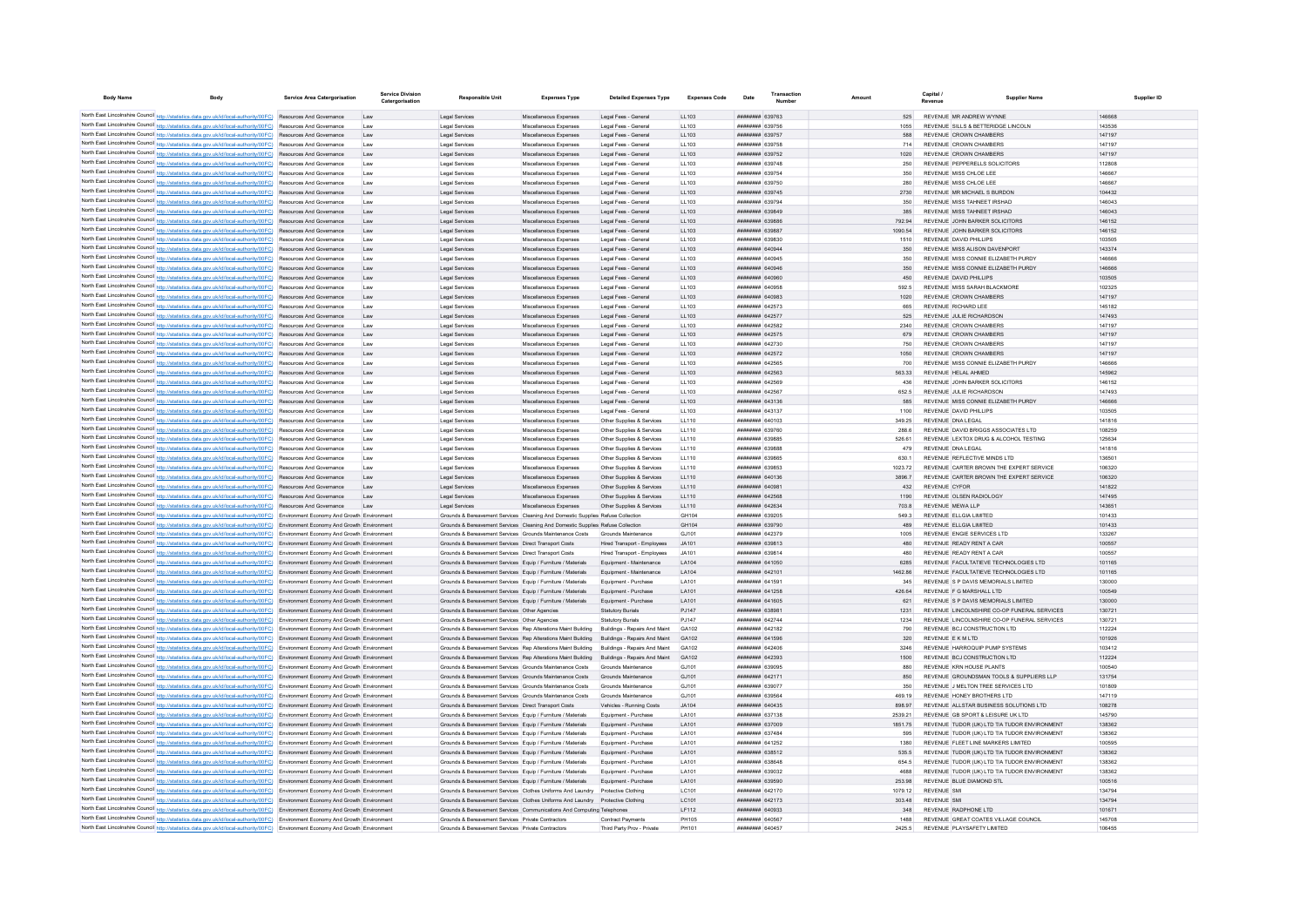| <b>Body Name</b>                                                                                                                                                                                                                                                      | <b>Body</b> | Service Area Catergorisation                         | Service Division<br>Catergorisation | <b>Responsible Unit</b>                                                                                                      | <b>Expenses Type</b>                             | <b>Detailed Expenses Type</b>                          | <b>Expenses Code</b> | Date                                      | Transactio<br>Number |                   | Canital<br>Revenue | <b>Supplier Name</b>                                                           | Supplier ID      |
|-----------------------------------------------------------------------------------------------------------------------------------------------------------------------------------------------------------------------------------------------------------------------|-------------|------------------------------------------------------|-------------------------------------|------------------------------------------------------------------------------------------------------------------------------|--------------------------------------------------|--------------------------------------------------------|----------------------|-------------------------------------------|----------------------|-------------------|--------------------|--------------------------------------------------------------------------------|------------------|
|                                                                                                                                                                                                                                                                       |             |                                                      |                                     |                                                                                                                              |                                                  |                                                        |                      |                                           |                      |                   |                    |                                                                                |                  |
| North East Lincolnshire Council http://statistics.data.gov.uk/id/local-authority/00FC) Resources And Governance<br>North East Lincolnshire Council http://statistics.data.gov.uk/id/local-authority/00FC) Resources And Governance                                    |             |                                                      | 1.8W                                | Legal Services<br>Legal Services                                                                                             | Miscellaneous Expenses<br>Miscellaneous Expenses | Legal Fees - General<br>Legal Fees - General           | LL103<br>11 103      | FATOPA MMMMMM<br>######## 639756          |                      | 525<br>1055       |                    | REVENUE MR ANDREW WYNNE<br>REVENUE SILLS & BETTERIDGE LINCOLN                  | 146668<br>143536 |
| North East Lincolnshire Council http://statistics.data.gov.uk/id/local-authority/00FC) Resources And Governance                                                                                                                                                       |             |                                                      | 18W                                 | Legal Services                                                                                                               | Miscellaneous Expenses                           | Legal Fees - General                                   | 11 103               | ######## 639757                           |                      | 588               |                    | REVENUE CROWN CHAMBERS                                                         | 147197           |
| North East Lincolnshire Council http://statistics.data.gov.uk/id/local-authority/00FC) Resources And Governance                                                                                                                                                       |             |                                                      | Law                                 | Legal Services                                                                                                               | Miscellaneous Expenses                           | Legal Fees - General                                   | LL103                | ######## 639758                           |                      | 714               |                    | REVENUE CROWN CHAMBERS                                                         | 147197           |
| North East Lincolnshire Council http://statistics.data.gov.uk/id/local-authority/00FC) Resources And Governance                                                                                                                                                       |             |                                                      | Law                                 | Legal Services                                                                                                               | Miscellaneous Expenses                           | Legal Fees - General                                   | LL103                | ######## 639752                           |                      | 1020              |                    | REVENUE CROWN CHAMBERS                                                         | 147197           |
| North East Lincolnshire Council http://statistics.data.gov.uk/id/local-authority/00FC) Resources And Governance                                                                                                                                                       |             |                                                      | Law                                 | Legal Services                                                                                                               | Miscellaneous Expenses                           | Legal Fees - General                                   | LL103                | ######## 639748                           |                      | 250               |                    | REVENUE PEPPERELLS SOLICITORS                                                  | 112808           |
| North East Lincolnshire Council http://statistics.data.gov.uk/id/local-authority/00FC) Resources And Governance                                                                                                                                                       |             |                                                      | Law                                 | Legal Services                                                                                                               | Miscellaneous Expenses                           | Legal Fees - General                                   | LL103                | ######## 639754                           |                      | 350               |                    | REVENUE MISS CHLOE LEE                                                         | 146667           |
| North East Lincolnshire Council http://statistics.data.gov.uk/id/local-authority/00FC) Resources And Governance                                                                                                                                                       |             |                                                      | Law                                 | Legal Services                                                                                                               | Miscellaneous Expenses                           | Legal Fees - General                                   | LL103                | ######## 639750                           |                      | 280               |                    | REVENUE MISS CHLOF LEE                                                         | 146667           |
| North East Lincolnshire Council http://statistics.data.gov.uk/id/local-authority/00FC) Resources And Governance                                                                                                                                                       |             |                                                      | 1 sw                                | Legal Services                                                                                                               | Miscellaneous Expenses                           | Legal Fees - General                                   | 11 103               | <b>HHHHHHH 639745</b>                     |                      | 2730              |                    | REVENUE MR MICHAEL S BURDON                                                    | 104432           |
| North East Lincolnshire Council http://statistics.data.gov.uk/id/local-authority/00FC) Resources And Governance                                                                                                                                                       |             |                                                      | Law                                 | Legal Services                                                                                                               | Miscellaneous Expenses                           | Legal Fees - General                                   | LL103                | ######## 639794                           |                      | 350               |                    | REVENUE MISS TAHNEET IRSHAD                                                    | 146043           |
| North East Lincolnshire Council http://statistics.data.gov.uk/id/local-authority/00FC)                                                                                                                                                                                |             | Resources And Governance                             | Law                                 | Legal Services                                                                                                               | Miscellaneous Expenses                           | Legal Fees - General                                   | LL103                | ####### 639849                            |                      | 385               |                    | REVENUE MISS TAHNEET IRSHAD                                                    | 146043           |
| North East Lincolnshire Council http://statistics.data.gov.uk/id/local-authority/00FC)<br>North East Lincolnshire Council http://statistics.data.gov.uk/id/local-authority/00FC)                                                                                      |             | Resources And Governance<br>Resources And Governance |                                     | Legal Services                                                                                                               | Miscellaneous Expenses                           | Legal Fees - General                                   | LL103                | ######## 639886<br>######## 639887        |                      | 792.94<br>1090.54 |                    | REVENUE JOHN BARKER SOLICITORS<br>REVENUE JOHN BARKER SOLICITORS               | 146152<br>146152 |
| North East Lincolnshire Council http://statistics.data.gov.uk/id/local-authority/00FC) Resources And Governance                                                                                                                                                       |             |                                                      | Law<br>1.8W                         | Legal Services<br>Legal Services                                                                                             | Miscellaneous Expenses<br>Miscellaneous Expenses | Legal Fees - General<br>Legal Fees - General           | LL103<br>LL103       | ######## 639830                           |                      | 1510              |                    | REVENUE DAVID PHILLIPS                                                         | 103505           |
| North East Lincolnshire Council http://statistics.data.gov.uk/id/local-authority/00FC) Resources And Governance                                                                                                                                                       |             |                                                      | Law                                 | Legal Services                                                                                                               | Miscellaneous Expenses                           | Legal Fees - General                                   | LL103                | ######## 640944                           |                      | 350               |                    | REVENUE MISS ALISON DAVENPORT                                                  | 143374           |
| North East Lincolnshire Council http://statistics.data.gov.uk/id/local-authority/00FC) Resources And Governance                                                                                                                                                       |             |                                                      | Law                                 | Legal Services                                                                                                               | Miscellaneous Expenses                           | Legal Fees - General                                   | LL103                | ####### 640945                            |                      | 350               |                    | REVENUE MISS CONNIE ELIZABETH PURDY                                            | 146666           |
| North East Lincolnshire Council http://statistics.data.gov.uk/id/local-authority/00FC)                                                                                                                                                                                |             | Resources And Governance                             | Law                                 | Legal Services                                                                                                               | Miscellaneous Expenses                           | Legal Fees - General                                   | LL103                | ####### 640946                            |                      | 350               |                    | REVENUE MISS CONNIE ELIZABETH PURDY                                            | 146666           |
| North East Lincolnshire Council http://statistics.data.gov.uk/id/local-authority/00FC) Resources And Governance                                                                                                                                                       |             |                                                      | Law                                 | Legal Services                                                                                                               | Miscellaneous Expenses                           | Legal Fees - General                                   | LL103                | ######## 640960                           |                      | 450               |                    | REVENUE DAVID PHILLIPS                                                         | 103505           |
| North East Lincolnshire Council http://statistics.data.gov.uk/id/local-authority/00FC) Resources And Governance                                                                                                                                                       |             |                                                      | Law                                 | Legal Services                                                                                                               | Miscellaneous Expenses                           | Legal Fees - General                                   | LL103                | ######## 640958                           |                      | 592.5             |                    | REVENUE MISS SARAH BLACKMORE                                                   | 102325           |
| North East Lincolnshire Council http://statistics.data.gov.uk/id/local-authority/00FC) Resources And Governance                                                                                                                                                       |             |                                                      | Law                                 | Legal Services                                                                                                               | Miscellaneous Expenses                           | Legal Fees - General                                   | LL103                | ERRODA BERREER                            |                      | 1020              |                    | REVENUE CROWN CHAMBERS                                                         | 147197           |
| North East Lincolnshire Council http://statistics.data.gov.uk/id/local-authority/00FC) Resources And Governance                                                                                                                                                       |             |                                                      | Law                                 | Legal Services                                                                                                               | Miscellaneous Expenses                           | Legal Fees - General                                   | LL103                | ######## 642573                           |                      | 665               |                    | REVENUE RICHARD LEE                                                            | 145182           |
| North East Lincolnshire Council http://statistics.data.gov.uk/id/local-authority/00FC) Resources And Governance                                                                                                                                                       |             |                                                      | Law                                 | Legal Services                                                                                                               | Miscellaneous Expenses                           | Legal Fees - General                                   | LL103                | ######## 642577                           |                      | 525               |                    | REVENUE JULIE RICHARDSON                                                       | 147493           |
| North East Lincolnshire Council http://statistics.data.gov.uk/id/local-authority/00FC)                                                                                                                                                                                |             | Resources And Governance                             | Law                                 | Legal Service                                                                                                                | Miscellaneous Expenses                           | Legal Fees - General                                   | LL103                | ######## 642582                           |                      | 2340              |                    | REVENUE CROWN CHAMBERS                                                         | 147197           |
| North East Lincolnshire Council http://statistics.data.gov.uk/id/local-authority/00FC)<br>North East Lincolnshire Council http://statistics.data.gov.uk/id/local-authority/00FC)                                                                                      |             | Resources And Governance<br>Resources And Governance | Law                                 | Legal Services                                                                                                               | Miscellaneous Expenses                           | Legal Fees - General                                   | LL103                | ######## 642575<br>######## 642730        |                      | 679<br>750        |                    | REVENUE CROWN CHAMBERS<br>REVENUE CROWN CHAMBERS                               | 147197<br>147197 |
| North East Lincolnshire Council http://statistics.data.gov.uk/id/local-authority/00FC) Resources And Governance                                                                                                                                                       |             |                                                      | Law<br>Law                          | Legal Service<br>Legal Services                                                                                              | Miscellaneous Expenser<br>Miscellaneous Expenses | Legal Fees - General<br>Legal Fees - General           | LL103<br>LL103       | ######## 642572                           |                      | 1050              |                    | REVENUE CROWN CHAMBERS                                                         | 147197           |
| North East Lincolnshire Council http://statistics.data.gov.uk/id/local-authority/00FC) Resources And Governance                                                                                                                                                       |             |                                                      | Law                                 | Legal Services                                                                                                               | Miscellaneous Expenses                           | Legal Fees - General                                   | LL103                | ######## 642565                           |                      | 700               |                    | REVENUE MISS CONNIE ELIZABETH PURDY                                            | 146666           |
| North East Lincolnshire Council http://statistics.data.gov.uk/id/local-authority/00FC) Resources And Governance                                                                                                                                                       |             |                                                      | Law                                 | Legal Services                                                                                                               | Miscellaneous Expenses                           | Legal Fees - General                                   | LL103                | ######## 642563                           |                      | 563.33            |                    | REVENUE HELAL AHMED                                                            | 145962           |
| North East Lincolnshire Council http://statistics.data.gov.uk/id/local-authority/00FC) Resources And Governance                                                                                                                                                       |             |                                                      | Law                                 | Legal Services                                                                                                               | Miscellaneous Expenses                           | Legal Fees - General                                   | LL103                | ######## 642569                           |                      | 436               |                    | REVENUE JOHN BARKER SOLICITORS                                                 | 146152           |
| North East Lincolnshire Council http://statistics.data.gov.uk/id/local-authority/00FC) Resources And Governance                                                                                                                                                       |             |                                                      | Law                                 | Legal Services                                                                                                               | Miscellaneous Expenses                           | Legal Fees - General                                   | LL103                | ######## 642567                           |                      | 652.5             |                    | REVENUE JULIE RICHARDSON                                                       | 147493           |
| North East Lincolnshire Council http://statistics.data.gov.uk/id/local-authority/00FC) Resources And Governance                                                                                                                                                       |             |                                                      | Law                                 | Legal Services                                                                                                               | Miscellaneous Expenses                           | Legal Fees - General                                   | LL103                | ######## 643136                           |                      | 585               |                    | REVENUE MISS CONNIE ELIZABETH PURDY                                            | 146666           |
| North East Lincolnshire Council http://statistics.data.gov.uk/id/local-authority/00FC) Resources And Governance                                                                                                                                                       |             |                                                      | Law                                 | Legal Services                                                                                                               | Miscellaneous Expenses                           | Legal Fees - General                                   | LL103                | ######## 643137                           |                      | 1100              |                    | REVENUE DAVID PHILLIPS                                                         | 103505           |
| North East Lincolnshire Council http://statistics.data.gov.uk/id/local-authority/00FC) Resources And Governance                                                                                                                                                       |             |                                                      | Law                                 | Legal Services                                                                                                               | Miscellaneous Expenses                           | Other Supplies & Services                              | LL110                | ######## 640103                           |                      | 349.25            |                    | REVENUE DNA LEGAL                                                              | 141816           |
| North East Lincolnshire Council http://statistics.data.gov.uk/id/local-authority/00FC) Resources And Governance                                                                                                                                                       |             |                                                      | Law                                 | Legal Services                                                                                                               | Miscellaneous Expenses                           | Other Supplies & Services                              | LL110                | ######## 639760                           |                      | 288.6             |                    | REVENUE DAVID BRIGGS ASSOCIATES LTD                                            | 108259           |
| North East Lincolnshire Council http://statistics.data.gov.uk/id/local-authority/00FC) Resources And Governance                                                                                                                                                       |             |                                                      | Law                                 | Legal Services                                                                                                               | Miscellaneous Expenses                           | Other Supplies & Services                              | LL110                | ######## 639885                           |                      | 526.61            |                    | REVENUE LEXTOX DRUG & ALCOHOL TESTING                                          | 125634           |
| North East Lincolnshire Council http://statistics.data.gov.uk/id/local-authority/00FC)                                                                                                                                                                                |             | Resources And Governance                             | Law                                 | Legal Services                                                                                                               | Miscellaneous Expenses                           | Other Supplies & Services                              | LL110                | ######## 639888                           |                      | 479               |                    | REVENUE DNA LEGAL                                                              | 141816           |
| North East Lincolnshire Council http://statistics.data.gov.uk/id/local-authority/00FC)<br>North East Lincolnshire Council http://statistics.data.gov.uk/id/local-authority/00FC)                                                                                      |             | Resources And Governance<br>Resources And Governance | Law<br>Law                          | Legal Services<br>Legal Service                                                                                              | Miscellaneous Expenses<br>Miscellaneous Expenses | Other Supplies & Services<br>Other Supplies & Services | LL110<br>LL110       | ######## 639865<br>######## 639853        |                      | 630.<br>1023 72   |                    | REVENUE REFLECTIVE MINDS LTD<br>REVENUE CARTER BROWN THE EXPERT SERVICE        | 136501<br>106320 |
| North East Lincolnshire Council http://statistics.data.gov.uk/id/local-authority/00FC) Resources And Governance                                                                                                                                                       |             |                                                      | Law                                 | <b>Legal Services</b>                                                                                                        | Miscellaneous Expenses                           | Other Supplies & Services                              | LL110                | ######## 640136                           |                      | 3896.7            |                    | REVENUE CARTER BROWN THE EXPERT SERVICE                                        | 106320           |
| North East Lincolnshire Council http://statistics.data.gov.uk/id/local-authority/00FC) Resources And Governance                                                                                                                                                       |             |                                                      | Law                                 | Legal Services                                                                                                               | Miscellaneous Expenses                           | Other Supplies & Services                              | LL110                | ######## 640981                           |                      | 432               |                    | <b>REVENUE CYFOR</b>                                                           | 141822           |
| North East Lincolnshire Council http://statistics.data.gov.uk/id/local-authority/00FC) Resources And Governance                                                                                                                                                       |             |                                                      | Law                                 | Legal Services                                                                                                               | Miscellaneous Expenses                           | Other Supplies & Services                              | LL110                | ######## 642568                           |                      | 1190              |                    | REVENUE OLSEN RADIOLOGY                                                        | 147495           |
| North East Lincolnshire Council http://statistics.data.gov.uk/id/local-authority/00FC) Resources And Governance                                                                                                                                                       |             |                                                      | Law                                 | Legal Services                                                                                                               | Miscellaneous Expenses                           | Other Supplies & Services                              | LL110                | ######## 642634                           |                      | 703.8             |                    | REVENUE MEWA LLP                                                               | 143651           |
| North East Lincolnshire Council http://statistics.data.gov.uk/id/local-authority/00FC) Environment Economy And Growth Environment                                                                                                                                     |             |                                                      |                                     | Grounds & Bereavement Services Cleaning And Domestic Supplies Refuse Collection                                              |                                                  |                                                        | GH104                | ######## 639205                           |                      | 549.3             |                    | REVENUE ELLGIA LIMITED                                                         | 101433           |
| North East Lincolnshire Council http://statistics.data.gov.uk/id/local-authority/00FC) Environment Economy And Growth Environment                                                                                                                                     |             |                                                      |                                     | Grounds & Bereavement Services Cleaning And Domestic Supplies Refuse Collection                                              |                                                  |                                                        | GH104                | ######## 639790                           |                      | 489               |                    | REVENUE ELLGIA LIMITED                                                         | 101433           |
| North East Lincolnshire Council http://statistics.data.gov.uk/id/local-authority/00FC) Environment Economy And Growth Environment                                                                                                                                     |             |                                                      |                                     | Grounds & Bereavement Services Grounds Maintenance Costs                                                                     |                                                  | Grounds Maintenance                                    | GJ101                | ######## 642379                           |                      | 1005              |                    | REVENUE ENGIE SERVICES LTD                                                     | 133267           |
| North East Lincolnshire Council http://statistics.data.gov.uk/id/local-authority/00FC) Environment Economy And Growth Environment                                                                                                                                     |             |                                                      |                                     | Grounds & Bereavement Services Direct Transport Costs                                                                        |                                                  | Hired Transport - Employees                            | JA101                | ######## 639813                           |                      | 480               |                    | REVENUE READY RENT A CAR                                                       | 100557           |
| North East Lincolnshire Council http://statistics.data.gov.uk/id/local-authority/00FC) Environment Economy And Growth Environment<br>North East Lincolnshire Council http://statistics.data.gov.uk/id/local-authority/00FC)                                           |             |                                                      |                                     | Grounds & Bereavement Services Direct Transport Costs                                                                        |                                                  | Hired Transport - Employees                            | .14101               | 839814 E39814                             |                      | 480<br>6285       |                    | REVENUE READY RENT A CAR                                                       | 100557           |
| North East Lincolnshire Council http://statistics.data.gov.uk/id/local-authority/00FC) Environment Economy And Growth Environment                                                                                                                                     |             | Environment Economy And Growth Environmen            |                                     | Grounds & Bereavement Services Equip / Furniture / Materials<br>Grounds & Bereavement Services Equip / Furniture / Materials |                                                  | Equipment - Maintenance<br>Equipment - Maintenance     | LA104<br>LA104       | ######## 641050<br><b>ППИНИНИ 642101</b>  |                      | 1462.86           |                    | REVENUE FACULTATIEVE TECHNOLOGIES LTD<br>REVENUE FACULTATIEVE TECHNOLOGIES LTD | 101165<br>101165 |
| North East Lincolnshire Council http://statistics.data.gov.uk/id/local-authority/00FC) Environment Economy And Growth Environment                                                                                                                                     |             |                                                      |                                     | Grounds & Bereavement Services Equip / Furniture / Materials                                                                 |                                                  | Equipment - Purchase                                   | LA101                | <b>HHHHHHH</b> 641501                     |                      | 345               |                    | REVENUE S P DAVIS MEMORIALS LIMITED                                            | 130000           |
| North East Lincolnshire Council http://statistics.data.gov.uk/id/local-authority/00FC) Environment Economy And Growth Environment                                                                                                                                     |             |                                                      |                                     | Grounds & Bereavement Services Foujo / Furniture / Materials                                                                 |                                                  | Foujoment - Purchase                                   | I A101               | <b>HHHHHHH 641258</b>                     |                      | 426.64            |                    | REVENUE E G MARSHALL LTD                                                       | 100549           |
| North East Lincolnshire Council http://statistics.data.gov.uk/id/local-authority/00FC) Environment Economy And Growth Environment                                                                                                                                     |             |                                                      |                                     | Grounds & Bereavement Services Equip / Furniture / Materials                                                                 |                                                  | Equipment - Purchase                                   | LA101                | <b><i>BREERERH</i></b> 641605             |                      | 621               |                    | REVENUE S P DAVIS MEMORIALS LIMITED                                            | 130000           |
| North East Lincolnshire Council http://statistics.data.gov.uk/id/local-authority/00FC) Environment Economy And Growth Environment                                                                                                                                     |             |                                                      |                                     | Grounds & Bereavement Services Other Agencies                                                                                |                                                  | <b>Statutory Burials</b>                               | P.1147               | ######## 638981                           |                      | 1231              |                    | REVENUE LINCOLNSHIRE CO-OP FUNERAL SERVICES                                    | 130721           |
| North East Lincolnshire Council http://statistics.data.gov.uk/id/local-authority/00FC) Environment Economy And Growth Environment                                                                                                                                     |             |                                                      |                                     | Grounds & Bereavement Services Other Agencies                                                                                |                                                  | <b>Statutory Burials</b>                               | PJ147                | ######## 642744                           |                      |                   |                    | REVENUE LINCOLNSHIRE CO-OP FUNERAL SERVICES                                    | 130721           |
| North East Lincolnshire Council http://statistics.data.gov.uk/id/local-authority/00FC) Environment Economy And Growth Environment                                                                                                                                     |             |                                                      |                                     | Grounds & Bereavement Services Rep Alterations Maint Building                                                                |                                                  | Buildings - Repairs And Maint                          | GA102                | <b>пппппппп</b> 642182                    |                      | 790               |                    | REVENUE BCJ CONSTRUCTION LTD                                                   | 112224           |
| North East Lincolnshire Council http://statistics.data.gov.uk/id/local-authority/00FC) Environment Economy And Growth Environment                                                                                                                                     |             |                                                      |                                     | Grounds & Bereavement Services Rep Alterations Maint Building Buildings - Repairs And Maint                                  |                                                  |                                                        | GA102                | <b>пппппппп</b> 641596                    |                      | 320               |                    | REVENUE E K M LTD                                                              | 101926           |
| North East Lincolnshire Council http://statistics.data.gov.uk/id/local-authority/00FC) Environment Economy And Growth Environment                                                                                                                                     |             |                                                      |                                     | Grounds & Bereavement Services Ren Alterations Maint Building                                                                |                                                  | Buildings - Repairs And Maint                          | GA102                | <b>ПЕПЕННИН 642406</b>                    |                      | 3246              |                    | REVENUE HARROOUIP PUMP SYSTEMS                                                 | 103412           |
| North East Lincolnshire Council http://statistics.data.gov.uk/id/local-authority/00FC) Environment Economy And Growth Environment                                                                                                                                     |             |                                                      |                                     | Grounds & Bereavement Services Rep Alterations Maint Building                                                                |                                                  | Buildings - Repairs And Maint                          | GA102                | ######## 642393                           |                      | 1500              |                    | REVENUE BCJ CONSTRUCTION LTD                                                   | 112224           |
| North East Lincolnshire Council http://statistics.data.gov.uk/id/local-authority/00FC) Environment Economy And Growth Environment                                                                                                                                     |             |                                                      |                                     | Grounds & Bereavement Services Grounds Maintenance Costs<br>Grounds & Bereavement Services Grounds Maintenance Costs         |                                                  | Grounds Maintenance<br>Grounds Maintenance             | G.1101<br>GJ101      | ######## 639095<br><b>########</b> 642171 |                      | 880<br>850        |                    | REVENUE KRN HOUSE PLANTS<br>REVENUE GROUNDSMAN TOOLS & SUPPLIERS LLP           | 100540<br>131754 |
| North East Lincolnshire Council http://statistics.data.gov.uk/id/local-authority/00FC) Environment Economy And Growth Environment<br>North East Lincolnshire Council http://statistics.data.gov.uk/id/local-authority/00FC)                                           |             | Environment Economy And Growth Environment           |                                     | Grounds & Bereavement Services Grounds Maintenance Costs                                                                     |                                                  | Grounds Maintenance                                    | GJ101                | ######## 639077                           |                      | 350               |                    | REVENUE J MELTON TREE SERVICES LTD                                             | 101809           |
| North East Lincolnshire Council http://statistics.data.gov.uk/id/local-authority/00FC)                                                                                                                                                                                |             | Environment Economy And Growth Environment           |                                     | Grounds & Bereavement Services Grounds Maintenance Costs                                                                     |                                                  | Grounds Maintenance                                    | GJ101                | ######## 639564                           |                      | 469 19            |                    | REVENUE HONEY BROTHERS LTD                                                     | 147119           |
| North East Lincolnshire Council http://statistics.data.gov.uk/id/local-authority/00FC)                                                                                                                                                                                |             | Environment Economy And Growth Environment           |                                     | Grounds & Bereavement Services Direct Transport Costs                                                                        |                                                  | Vehicles - Running Costs                               | JA104                | <b>########</b> 640435                    |                      | 898.97            |                    | REVENUE ALLSTAR BUSINESS SOLUTIONS LTD.                                        | 108278           |
| North East Lincolnshire Council http://statistics.data.gov.uk/id/local-authority/00FC) Environment Economy And Growth Environment                                                                                                                                     |             |                                                      |                                     | Grounds & Bereavement Services Equip / Furniture / Materials                                                                 |                                                  | Equipment - Purchase                                   | LA101                | ######## 637138                           |                      | 2539.21           |                    | REVENUE GB SPORT & LEISURE UK LTD                                              | 145790           |
| North East Lincolnshire Council http://statistics.data.gov.uk/id/local-authority/00FC) Environment Economy And Growth Environment                                                                                                                                     |             |                                                      |                                     | Grounds & Bereavement Services Equip / Furniture / Materials                                                                 |                                                  | Equipment - Purchase                                   | LA101                | ######## 637009                           |                      | 1851.75           |                    | REVENUE TUDOR (UK) LTD T/A TUDOR ENVIRONMENT                                   | 138362           |
| North East Lincolnshire Council http://statistics.data.gov.uk/id/local-authority/00FC) Environment Economy And Growth Environment                                                                                                                                     |             |                                                      |                                     | Grounds & Bereavement Services Equip / Furniture / Materials                                                                 |                                                  | Equipment - Purchase                                   | LA101                | ######## 637484                           |                      | 595               |                    | REVENUE TUDOR (UK) LTD T/A TUDOR ENVIRONMENT                                   | 138362           |
| North East Lincolnshire Council http://statistics.data.gov.uk/id/local-authority/00FC) Environment Economy And Growth Environment                                                                                                                                     |             |                                                      |                                     | Grounds & Bereavement Services Equip / Furniture / Materials                                                                 |                                                  | Equipment - Purchase                                   | LA101                | ######## 641252                           |                      | 1380              |                    | REVENUE FLEET LINE MARKERS LIMITED                                             | 100595           |
| North East Lincolnshire Council http://statistics.data.gov.uk/id/local-authority/00FC) Environment Economy And Growth Environment                                                                                                                                     |             |                                                      |                                     | Grounds & Bereavement Services Equip / Furniture / Materials                                                                 |                                                  | Equipment - Purchase                                   | LA101                | ######## 638512                           |                      | 535.5             |                    | REVENUE TUDOR (UK) LTD T/A TUDOR ENVIRONMENT                                   | 138362           |
| North East Lincolnshire Council http://statistics.data.gov.uk/id/local-authority/00FC) Environment Economy And Growth Environment                                                                                                                                     |             |                                                      |                                     | Grounds & Bereavement Services Equip / Furniture / Materials                                                                 |                                                  | Equipment - Purchase                                   | LA101                | <b>######## 638648</b>                    |                      | 654.5             |                    | REVENUE TUDOR (UK) LTD T/A TUDOR ENVIRONMENT                                   | 138362           |
| North East Lincolnshire Council http://statistics.data.gov.uk/id/local-authority/00FC) Environment Economy And Growth Environment                                                                                                                                     |             |                                                      |                                     | Grounds & Bereavement Services Equip / Furniture / Materials                                                                 |                                                  | Equipment - Purchase                                   | LA101                | ######## 639032                           |                      | 4688              |                    | REVENUE TUDOR (UK) LTD T/A TUDOR ENVIRONMENT                                   | 138362           |
| North East Lincolnshire Council http://statistics.data.gov.uk/id/local-authority/00FC) Environment Economy And Growth Environment<br>North East Lincolnshire Council http://statistics.data.gov.uk/id/local-authority/00FC) Environment Economy And Growth Environmen |             |                                                      |                                     | Grounds & Bereavement Services Equip / Furniture / Materials<br>Grounds & Bereavement Services Clothes Uniforms And Laundry  |                                                  | Equipment - Purchase<br>Protective Clothing            | LA101<br>LC101       | ######## 639590<br>####### 642170         |                      | 253.98<br>1079.12 |                    | REVENUE BLUE DIAMOND STL<br><b>REVENUE SM</b>                                  | 100516<br>134794 |
| North East Lincolnshire Council http://statistics.data.gov.uk/id/local-authority/00FC) Environment Economy And Growth Environment                                                                                                                                     |             |                                                      |                                     | Grounds & Bereavement Services Clothes Uniforms And Laundry Protective Clothing                                              |                                                  |                                                        | LC101                | ######## 642173                           |                      | 303.48            |                    | <b>REVENUE SMI</b>                                                             | 134794           |
| North East Lincolnshire Council http://statistics.data.gov.uk/id/local-authority/00FC) Environment Economy And Growth Environment                                                                                                                                     |             |                                                      |                                     | Grounds & Bereavement Services Communications And Computing Telephones                                                       |                                                  |                                                        | LF112                | ######## 640933                           |                      | 348               |                    | REVENUE RADPHONE LTD                                                           | 101671           |
| North East Lincolnshire Council http://statistics.data.gov.uk/id/local-authority/00FC) Environment Economy And Growth Environment                                                                                                                                     |             |                                                      |                                     | Grounds & Bereavement Services Private Contractors                                                                           |                                                  | Contract Payments                                      | PH105                | <b>######## 640567</b>                    |                      | 1488              |                    | REVENUE GREAT COATES VILLAGE COUNCIL                                           | 145708           |
| North East Lincolnshire Council http://statistics.data.gov.uk/id/local-authority/00FC) Environment Economy And Growth Environment                                                                                                                                     |             |                                                      |                                     | Grounds & Bereavement Services Private Contractors                                                                           |                                                  | Third Party Prov - Private                             | PH101                | ####### 640457                            |                      | 2425.5            |                    | REVENUE PLAYSAFETY LIMITED                                                     | 106455           |
|                                                                                                                                                                                                                                                                       |             |                                                      |                                     |                                                                                                                              |                                                  |                                                        |                      |                                           |                      |                   |                    |                                                                                |                  |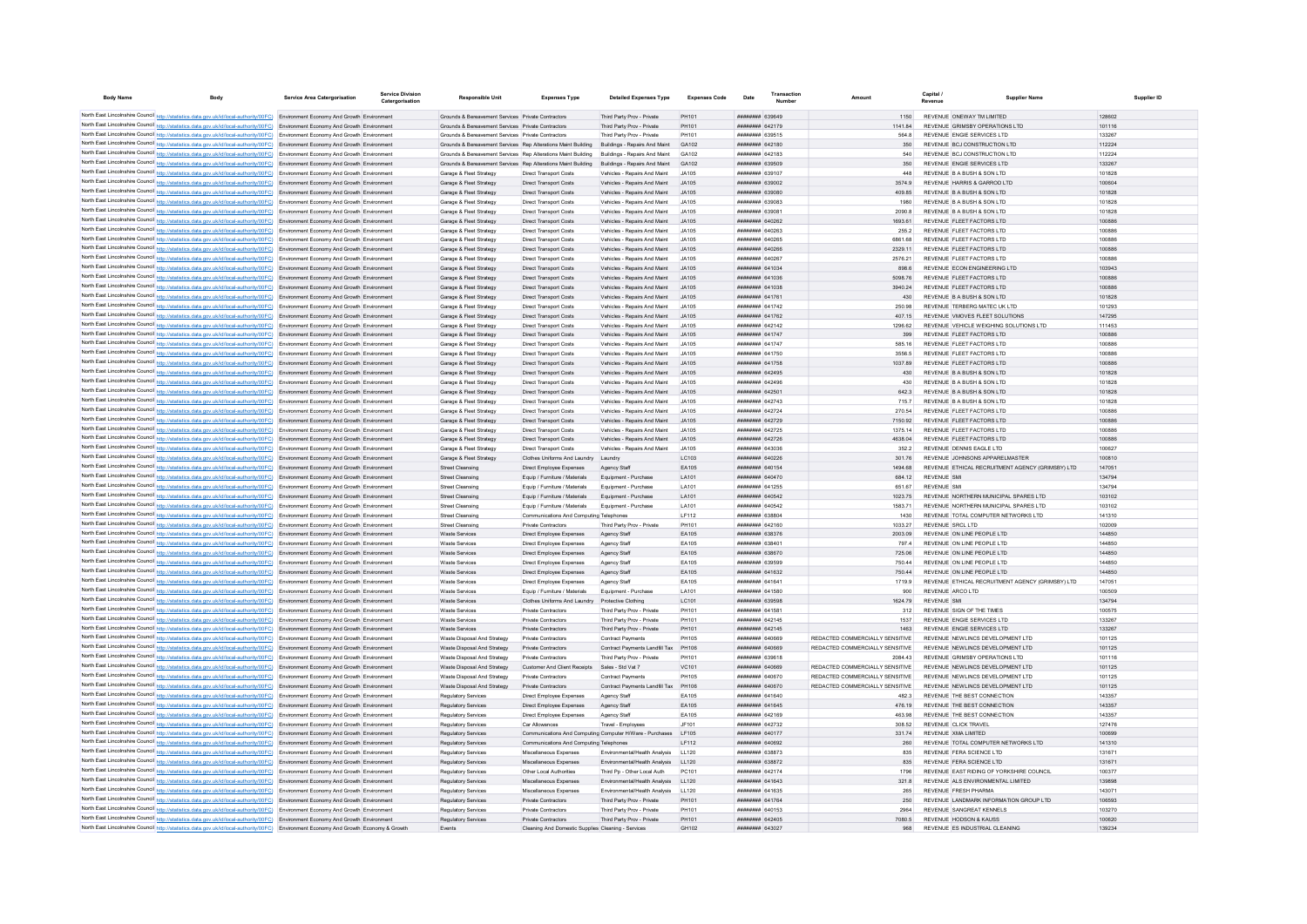| <b>Body Name</b>                            | <b>Body</b>                                                                                                                                                                                                                                                            | <b>Service Area Catergorisation</b> | Service Divisio<br>Catergorisation | <b>Responsible Unit</b>                                                                                  | <b>Expenses Type</b>                                                              | <b>Detailed Expenses Type</b>                                | <b>Expenses Code</b> | Date                                      | Amount                          | Capital                                                                      | <b>Supplier Name</b> | Supplier ID |
|---------------------------------------------|------------------------------------------------------------------------------------------------------------------------------------------------------------------------------------------------------------------------------------------------------------------------|-------------------------------------|------------------------------------|----------------------------------------------------------------------------------------------------------|-----------------------------------------------------------------------------------|--------------------------------------------------------------|----------------------|-------------------------------------------|---------------------------------|------------------------------------------------------------------------------|----------------------|-------------|
|                                             |                                                                                                                                                                                                                                                                        |                                     |                                    |                                                                                                          |                                                                                   |                                                              |                      |                                           |                                 |                                                                              |                      |             |
|                                             | North East Lincolnshire Council http://statistics.data.gov.uk/id/local-authority/00FC) Environment Economy And Growth Environment<br>North East Lincolnshire Council http://statistics.data.gov.uk/id/local-authority/00FC) Environment Economy And Growth Environment |                                     |                                    | Grounds & Bereavement Services Private Contractors<br>Grounds & Bereavement Services Private Contractors |                                                                                   | Third Party Prov - Private<br>Third Party Prov - Private     | PH101<br>PH101       | ######## 639649<br><b>HHHHHHHH 642179</b> | 1141.84                         | REVENUE ONEWAY TM LIMITED<br>REVENUE GRIMSBY OPERATIONS LTD                  | 128602<br>101116     |             |
|                                             | North East Lincolnshire Council http://statistics.data.gov.uk/id/local-authority/00FC) Environment Economy And Growth Environment                                                                                                                                      |                                     |                                    | Grounds & Bereavement Services Private Contractors                                                       |                                                                                   | Third Party Prov - Private                                   | PH101                | ######## 639515                           | <b>564.8</b>                    | REVENUE ENGIE SERVICES LTD                                                   | 133267               |             |
|                                             | North East Lincolnshire Council http://statistics.data.gov.uk/id/local-authority/00FC) Environment Economy And Growth Environment                                                                                                                                      |                                     |                                    | Grounds & Bereavement Services Ren Alterations Maint Building Buildings - Renairs And Maint              |                                                                                   |                                                              | GA102                | <b>ПППНИНИН</b> 642180                    | 350                             | REVENUE BCJ CONSTRUCTION LTD                                                 | 112224               |             |
|                                             | North East Lincolnshire Council http://statistics.data.gov.uk/id/local-authority/00FC) Environment Economy And Growth Environment                                                                                                                                      |                                     |                                    | Grounds & Bereavement Services Rep Alterations Maint Building Buildings - Repairs And Maint              |                                                                                   |                                                              | GA102                | ######## 642183                           | 540                             | REVENUE BCJ CONSTRUCTION LTD                                                 | 112224               |             |
|                                             | North East Lincolnshire Council http://statistics.data.gov.uk/id/local-authority/00FC) Environment Economy And Growth Environment                                                                                                                                      |                                     |                                    | Grounds & Bereavement Services Rep Alterations Maint Building Buildings - Repairs And Maint              |                                                                                   |                                                              | GA102                | ######## 639509                           | 350                             | REVENUE ENGIE SERVICES LTD                                                   | 133267               |             |
|                                             | North East Lincolnshire Council http://statistics.data.gov.uk/id/local-authority/00FC) Environment Economy And Growth Environment                                                                                                                                      |                                     |                                    | Garage & Fleet Strategy                                                                                  | <b>Direct Transport Costs</b>                                                     | Vehicles - Repairs And Maint                                 | JA105                | ######## 639107                           | 448                             | REVENUE B A BUSH & SON LTD                                                   | 101828               |             |
|                                             | North East Lincolnshire Council http://statistics.data.gov.uk/id/local-authority/00FC) Environment Economy And Growth Environment                                                                                                                                      |                                     |                                    | Garage & Fleet Strategy                                                                                  | <b>Direct Transport Costs</b>                                                     | Vehicles - Repairs And Maint                                 | JA105                | ######## 639002                           | 3574.9                          | REVENUE HARRIS & GARROD LTD                                                  | 100604               |             |
|                                             | North East Lincolnshire Council http://statistics.data.gov.uk/id/local-authority/00FC) Environment Economy And Growth Environment                                                                                                                                      |                                     |                                    | Garage & Fleet Strategy                                                                                  | <b>Direct Transport Costs</b>                                                     | Vehicles - Repairs And Maint                                 | JA105                | ######## 639080                           | 409.85                          | REVENUE B A BUSH & SON LTD                                                   | 101828               |             |
|                                             | North East Lincolnshire Council http://statistics.data.gov.uk/id/local-authority/00FC) Environment Economy And Growth Environment                                                                                                                                      |                                     |                                    | Garage & Fleet Strategy                                                                                  | <b>Direct Transport Costs</b>                                                     | Vehicles - Repairs And Maint                                 | .14105<br>.14105     | ######## 639083                           | 1980<br>2090.8                  | REVENUE B A BUSH & SON LTD<br>REVENUE B A BUSH & SON LTD                     | 101828<br>101828     |             |
|                                             | North East Lincolnshire Council http://statistics.data.gov.uk/id/local-authority/00FC) Environment Economy And Growth Environment<br>North East Lincolnshire Council http://statistics.data.gov.uk/id/local-authority/00FC) Environment Economy And Growth Environment |                                     |                                    | Garage & Fleet Strategy<br>Garage & Fleet Strategy                                                       | <b>Direct Transport Costs</b><br>Direct Transport Costs                           | Vehicles - Repairs And Maint<br>Vehicles - Repairs And Maint |                      | ######## 63908<br>####### 640262          | 1693.61                         | REVENUE FLEET FACTORS LTD                                                    | 100886               |             |
|                                             | North East Lincolnshire Council http://statistics.data.gov.uk/id/local-authority/00FC) Environment Economy And Growth Environment                                                                                                                                      |                                     |                                    | Garage & Fleet Strategy                                                                                  | <b>Direct Transport Costs</b>                                                     | Vehicles - Repairs And Maint                                 |                      | ####### 640263                            | 255.2                           | REVENUE FLEET FACTORS LTD                                                    | 100886               |             |
|                                             | North East Lincolnshire Council http://statistics.data.gov.uk/id/local-authority/00FC) Environment Economy And Growth Environment                                                                                                                                      |                                     |                                    | Garage & Fleet Strategy                                                                                  | <b>Direct Transport Costs</b>                                                     | Vehicles - Repairs And Maint                                 | JA105                | ######## 640265                           | 6861.68                         | REVENUE FLEET FACTORS LTD                                                    | 100886               |             |
|                                             | North East Lincolnshire Council http://statistics.data.gov.uk/id/local-authority/00FC) Environment Economy And Growth Environment                                                                                                                                      |                                     |                                    | Garage & Fleet Strategy                                                                                  | <b>Direct Transport Costs</b>                                                     | Vehicles - Repairs And Maint                                 | .14105               | <b>######## 640266</b>                    | 2329.11                         | REVENUE FLEET FACTORS LTD                                                    | 100886               |             |
|                                             | North East Lincolnshire Council http://statistics.data.gov.uk/id/local-authority/00FC) Environment Economy And Growth Environment                                                                                                                                      |                                     |                                    | Garage & Fleet Strategy                                                                                  | <b>Direct Transport Costs</b>                                                     | Vehicles - Repairs And Maint                                 | .14105               | пппппппп 640267                           | 2576.21                         | REVENUE ELEFT FACTORS LTD                                                    | 100886               |             |
|                                             | North East Lincolnshire Council http://statistics.data.gov.uk/id/local-authority/00FC) Environment Economy And Growth Environment                                                                                                                                      |                                     |                                    | Garage & Fleet Strategy                                                                                  | <b>Direct Transport Costs</b>                                                     | Vehicles - Repairs And Maint                                 | .14105               | ######## 641034                           | 898.6                           | REVENUE ECON ENGINEERING LTD                                                 | 103943               |             |
|                                             | North East Lincolnshire Council http://statistics.data.gov.uk/id/local-authority/00FC) Environment Economy And Growth Environment                                                                                                                                      |                                     |                                    | Garage & Fleet Strategy                                                                                  | <b>Direct Transport Costs</b>                                                     | Vehicles - Repairs And Maint                                 | JA105                | ######## 641036                           | 5098.76                         | REVENUE FLEET FACTORS LTD                                                    | 100886               |             |
|                                             | North East Lincolnshire Council http://statistics.data.gov.uk/id/local-authority/00FC) Environment Economy And Growth Environment                                                                                                                                      |                                     |                                    | Garage & Fleet Strategy                                                                                  | <b>Direct Transport Costs</b>                                                     | Vehicles - Repairs And Maint                                 | JA105                | ######## 641038                           | 3940.24                         | REVENUE FLEET FACTORS LTD                                                    | 100886               |             |
|                                             | North East Lincolnshire Council http://statistics.data.gov.uk/id/local-authority/00FC) Environment Economy And Growth Environment<br>North East Lincolnshire Council http://statistics.data.gov.uk/id/local-authority/00FC) Environment Economy And Growth Environment |                                     |                                    | Garage & Fleet Strategy<br>Garage & Fleet Strategy                                                       | <b>Direct Transport Costs</b><br><b>Direct Transport Costs</b>                    | Vehicles - Repairs And Maint<br>Vehicles - Repairs And Maint | JA105<br>.14105      | ######## 641761<br><b>пппппппп</b> 641742 | 430<br>250.98                   | REVENUE B A BUSH & SON LTD<br>REVENUE TERRERG MATEC UK I TD                  | 101828<br>101293     |             |
|                                             | North East Lincolnshire Council http://statistics.data.gov.uk/id/local-authority/00FC) Environment Economy And Growth Environment                                                                                                                                      |                                     |                                    | Garage & Fleet Strategy                                                                                  | <b>Direct Transport Costs</b>                                                     | Vehicles - Repairs And Maint                                 | .14105               | <b>ПЕПИНИН 641762</b>                     | 407.15                          | REVENUE VMOVES FLEET SOLUTIONS                                               | 147295               |             |
|                                             | North East Lincolnshire Council http://statistics.data.gov.uk/id/local-authority/00FC) Environment Economy And Growth Environment                                                                                                                                      |                                     |                                    | Garage & Fleet Strategy                                                                                  | <b>Direct Transport Costs</b>                                                     | Vehicles - Repairs And Maint                                 | .14105               | ######## 642142                           | 1296.62                         | REVENUE VEHICLE WEIGHING SOLUTIONS LTD                                       | 111453               |             |
|                                             | North East Lincolnshire Council http://statistics.data.gov.uk/id/local-authority/00FC) Environment Economy And Growth Environment                                                                                                                                      |                                     |                                    | Garage & Fleet Strategy                                                                                  | Direct Transport Costs                                                            | Vehicles - Repairs And Maint                                 | JA105                | ######## 641747                           | 399                             | REVENUE FLEET FACTORS LTD                                                    | 100886               |             |
| North East Lincolnshire Council http://stat | tics.data.gov.uk/id/local-authority/00FC) Environment Economy And Growth Environment                                                                                                                                                                                   |                                     |                                    | Garage & Fleet Strategy                                                                                  | Direct Transport Costs                                                            | Vehicles - Repairs And Maint                                 | JA105                | ######## 641747                           | 585.16                          | REVENUE FLEET FACTORS LTD                                                    | 100886               |             |
|                                             | North East Lincolnshire Council http://statistics.data.gov.uk/id/local-authority/00FC) Environment Economy And Growth Environment                                                                                                                                      |                                     |                                    | Garage & Fleet Strategy                                                                                  | <b>Direct Transport Costs</b>                                                     | Vehicles - Repairs And Maint                                 | JA105                | ####### 641750                            | 3556.9                          | REVENUE FLEET FACTORS LTD                                                    | 100886               |             |
|                                             | North East Lincolnshire Council http://statistics.data.gov.uk/id/local-authority/00FC) Environment Economy And Growth Environment                                                                                                                                      |                                     |                                    | Garage & Fleet Strategy                                                                                  | <b>Direct Transport Costs</b>                                                     | Vehicles - Repairs And Maint                                 | .14105               | <b><i>HHHHHHHH 641758</i></b>             | 1037 89                         | REVENUE ELEFT FACTORS LTD                                                    | 100886               |             |
|                                             | North East Lincolnshire Council http://statistics.data.gov.uk/id/local-authority/00FC) Environment Economy And Growth Environment                                                                                                                                      |                                     |                                    | Garage & Fleet Strategy                                                                                  | <b>Direct Transport Costs</b>                                                     | Vehicles - Repairs And Maint                                 | 14105                | <b>HHHHHHH 642495</b>                     | 430                             | REVENUE B A BUSH & SON LTD                                                   | 101828               |             |
|                                             | North East Lincolnshire Council http://statistics.data.gov.uk/id/local-authority/00FC) Environment Economy And Growth Environment                                                                                                                                      |                                     |                                    | Garage & Fleet Strategy                                                                                  | Direct Transport Costs                                                            | Vehicles - Renairs And Maint                                 | 14105                | <b>ПЕПЕННИН 642496</b>                    | 430                             | REVENUE B A BUSH & SON LTD                                                   | 101828               |             |
|                                             | North East Lincolnshire Council http://statistics.data.gov.uk/id/local-authority/00FC) Environment Economy And Growth Environment                                                                                                                                      |                                     |                                    | Garage & Fleet Strategy                                                                                  | <b>Direct Transport Costs</b>                                                     | Vehicles - Repairs And Maint                                 | .14105               | <b>ППИНИНИ 642501</b>                     | 642.3                           | REVENUE B A BUSH & SON LTD                                                   | 101828               |             |
|                                             | North East Lincolnshire Council http://statistics.data.gov.uk/id/local-authority/00FC) Environment Economy And Growth Environment<br>North East Lincolnshire Council http://statistics.data.gov.uk/id/local-authority/00FC) Environment Economy And Growth Environment |                                     |                                    | Garage & Fleet Strategy<br>Garage & Fleet Strategy                                                       | Direct Transport Costs<br><b>Direct Transport Costs</b>                           | Vehicles - Repairs And Maint<br>Vehicles - Repairs And Maint | IAA105<br>JA105      | <b>пппппппп</b> 642743<br>####### 642724  | 7157<br>270.54                  | REVENUE B A BUSH & SON LTD<br>REVENUE FLEET FACTORS LTD                      | 101828<br>100886     |             |
|                                             | North East Lincolnshire Council http://statistics.data.gov.uk/id/local-authority/00FC) Environment Economy And Growth Environment                                                                                                                                      |                                     |                                    | Garage & Fleet Strategy                                                                                  | <b>Direct Transport Costs</b>                                                     | Vehicles - Repairs And Maint                                 | .14105               | ######## 642729                           | 7150.92                         | REVENUE FLEET FACTORS LTD                                                    | 100886               |             |
|                                             | North East Lincolnshire Council http://statistics.data.gov.uk/id/local-authority/00FC) Environment Economy And Growth Environment                                                                                                                                      |                                     |                                    | Garage & Fleet Strategy                                                                                  | <b>Direct Transport Costs</b>                                                     | Vehicles - Repairs And Maint                                 | .14105               | <b>ППИНИНИ 642725</b>                     | 1375.14                         | REVENUE FLEET FACTORS LTD                                                    | 100886               |             |
|                                             | North East Lincolnshire Council http://statistics.data.gov.uk/id/local-authority/00FC) Environment Economy And Growth Environment                                                                                                                                      |                                     |                                    | Garage & Fleet Strategy                                                                                  | Direct Transport Costs                                                            | Vehicles - Repairs And Maint                                 | .14105               | <b>ПППНИНИН</b> 642726                    | 4638.04                         | REVENUE ELEFT FACTORS LTD                                                    | 100886               |             |
|                                             | North East Lincolnshire Council http://statistics.data.gov.uk/id/local-authority/00FC) Environment Economy And Growth Environment                                                                                                                                      |                                     |                                    | Garage & Fleet Strategy                                                                                  | <b>Direct Transport Costs</b>                                                     | Vehicles - Repairs And Maint                                 | IAA105               | <b>пппппппп</b> 643036                    | 3522                            | REVENUE DENNIS FAGLE LTD                                                     | 100627               |             |
|                                             | North East Lincolnshire Council http://statistics.data.gov.uk/id/local-authority/00FC) Environment Economy And Growth Environment                                                                                                                                      |                                     |                                    | Garage & Fleet Strategy                                                                                  | Clothes Uniforms And Laundry Laundry                                              |                                                              | LC103                | <b>ПЕВЕЦИЕ 640226</b>                     | 301.76                          | REVENUE JOHNSONS APPARELMASTER                                               | 100810               |             |
|                                             | North East Lincolnshire Council http://statistics.data.gov.uk/id/local-authority/00FC) Environment Economy And Growth Environment                                                                                                                                      |                                     |                                    | <b>Street Cleansing</b>                                                                                  | Direct Employee Expenses                                                          | Agency Staff                                                 | EA105                | ####### 640154                            | 1494.68                         | REVENUE ETHICAL RECRUITMENT AGENCY (GRIMSBY) LTD                             | 147051               |             |
|                                             | North East Lincolnshire Council http://statistics.data.gov.uk/id/local-authority/00FC) Environment Economy And Growth Environment                                                                                                                                      |                                     |                                    | <b>Street Cleansing</b>                                                                                  | Equip / Furniture / Materials                                                     | Equipment - Purchase                                         | LA101                | <b><i>BRENHHHH</i></b> 640470             | 684 12                          | <b>REVENUE SMI</b>                                                           | 134794               |             |
|                                             | North East Lincolnshire Council http://statistics.data.gov.uk/id/local-authority/00FC) Environment Economy And Growth Environment                                                                                                                                      |                                     |                                    | <b>Street Cleansing</b>                                                                                  | Equip / Furniture / Materials                                                     | Equipment - Purchase                                         | LA101                | ######## 641255                           | 651.67                          | <b>REVENUE SMI</b>                                                           | 134794               |             |
|                                             | North East Lincolnshire Council http://statistics.data.gov.uk/id/local-authority/00FC) Environment Economy And Growth Environment                                                                                                                                      |                                     |                                    | Street Cleansing                                                                                         | Foujo / Furniture / Materials                                                     | Foujoment - Purchase                                         | <b>LA101</b>         | <b>HHHHHHHH 640542</b>                    | 1023 75                         | REVENUE NORTHERN MUNICIPAL SPARES LTD                                        | 103102               |             |
|                                             | North East Lincolnshire Council http://statistics.data.gov.uk/id/local-authority/00FC) Environment Economy And Growth Environment<br>North East Lincolnshire Council http://statistics.data.gov.uk/id/local-authority/00FC) Environment Economy And Growth Environment |                                     |                                    | <b>Street Cleansing</b><br><b>Street Cleansing</b>                                                       | Equip / Furniture / Materials<br>Communications And Computing Telephones          | Equipment - Purchase                                         | LA101<br>LF112       | ####### 640542<br>######## 638804         | 1583 71<br>1430                 | REVENUE NORTHERN MUNICIPAL SPARES LTD<br>REVENUE TOTAL COMPUTER NETWORKS LTD | 103102<br>141310     |             |
|                                             | North East Lincolnshire Council http://statistics.data.gov.uk/id/local-authority/00FC) Environment Economy And Growth Environment                                                                                                                                      |                                     |                                    | <b>Street Cleansing</b>                                                                                  | Private Contractors                                                               | Third Party Prov - Private                                   | PH101                | ####### 642160                            | 1033.27                         | <b>REVENUE SRCL LTD</b>                                                      | 102009               |             |
|                                             | North East Lincolnshire Council http://statistics.data.gov.uk/id/local-authority/00FC) Environment Economy And Growth Environment                                                                                                                                      |                                     |                                    | Waste Services                                                                                           | Direct Employee Expenses                                                          | Agency Staff                                                 | EA105                | ######## 638376                           | 2003.09                         | REVENUE ON LINE PEOPLE LTD                                                   | 144850               |             |
|                                             | North East Lincolnshire Council http://statistics.data.gov.uk/id/local-authority/00FC) Environment Economy And Growth Environment                                                                                                                                      |                                     |                                    | Waste Services                                                                                           | Direct Employee Expenses                                                          | Agency Staff                                                 | EA105                | ######## 638401                           | 797.4                           | REVENUE ON LINE PEOPLE LTD                                                   | 144850               |             |
|                                             | North East Lincolnshire Council http://statistics.data.gov.uk/id/local-authority/00FC) Environment Economy And Growth Environment                                                                                                                                      |                                     |                                    | Waste Services                                                                                           | Direct Employee Expenses                                                          | Agency Staff                                                 | FA105                | <b>BREAD MANAGEMENT</b>                   | 725.06                          | REVENUE ON LINE PEOPLE LTD                                                   | 144850               |             |
|                                             | North East Lincolnshire Council http://statistics.data.gov.uk/id/local-authority/00FC) Environment Economy And Growth Environment                                                                                                                                      |                                     |                                    | Waste Services                                                                                           | Direct Employee Expenses                                                          | Agency Staff                                                 | EA105                | ######## 639599                           | 750 44                          | REVENUE ON LINE PEOPLE LTD                                                   | 144850               |             |
|                                             | North East Lincolnshire Council http://statistics.data.gov.uk/id/local-authority/00FC) Environment Economy And Growth Environment                                                                                                                                      |                                     |                                    | Waste Services                                                                                           | Direct Employee Expenses                                                          | Agency Staff                                                 | EA105                | ####### 641632                            | 750.44                          | REVENUE ON LINE PEOPLE LTD                                                   | 144850               |             |
|                                             | North East Lincolnshire Council http://statistics.data.gov.uk/id/local-authority/00FC) Environment Economy And Growth Environment                                                                                                                                      |                                     |                                    | Waste Services                                                                                           | Direct Employee Expenses                                                          | Agency Staff                                                 | EA105                | ####### 64164                             | 1719.9                          | REVENUE ETHICAL RECRUITMENT AGENCY (GRIMSBY) LTD                             | 147051               |             |
|                                             | North East Lincolnshire Council http://statistics.data.gov.uk/id/local-authority/00FC) Environment Economy And Growth Environment<br>North East Lincolnshire Council http://statistics.data.gov.uk/id/local-authority/00FC) Environment Economy And Growth Environment |                                     |                                    | Waste Service<br>Waste Services                                                                          | Equip / Furniture / Materials<br>Clothes Uniforms And Laundry Protective Clothing | Equipment - Purchase                                         | LA101<br>LC101       | ####### 641580<br><b>######## 639598</b>  | 900<br>1624 79                  | REVENUE ARCO LTD<br><b>REVENUE SMI</b>                                       | 100509<br>134794     |             |
|                                             | North East Lincolnshire Council http://statistics.data.gov.uk/id/local-authority/00FC) Environment Economy And Growth Environment                                                                                                                                      |                                     |                                    | Waste Services                                                                                           | Private Contractors                                                               | Third Party Prov - Private                                   | PH101                | <b>ппинини</b> 641581                     | 312                             | REVENUE SIGN OF THE TIMES                                                    | 100575               |             |
|                                             | North East Lincolnshire Council http://statistics.data.gov.uk/id/local-authority/00FC) Environment Economy And Growth Environment                                                                                                                                      |                                     |                                    | Waste Services                                                                                           | Private Contractors                                                               | Third Party Prov - Private                                   | PH101                | ####### 642145                            | 1537                            | REVENUE ENGIE SERVICES LTD                                                   | 133267               |             |
|                                             | North East Lincolnshire Council http://statistics.data.gov.uk/id/local-authority/00FC) Environment Economy And Growth Environment                                                                                                                                      |                                     |                                    | Waste Services                                                                                           | Private Contractors                                                               | Third Party Prov - Private                                   | PH101                | ####### 642145                            | 1463                            | REVENUE ENGIE SERVICES LTD                                                   | 133267               |             |
|                                             | North East Lincolnshire Council http://statistics.data.gov.uk/id/local-authority/00FC) Environment Economy And Growth Environment                                                                                                                                      |                                     |                                    | Waste Disposal And Strategy                                                                              | Private Contractors                                                               | Contract Payments                                            | <b>PH105</b>         | ####### 640669                            | REDACTED COMMERCIALLY SENSITIVE | REVENUE NEWLINCS DEVELOPMENT LTD                                             | 101125               |             |
|                                             | North East Lincolnshire Council http://statistics.data.gov.uk/id/local-authority/00FC) Environment Economy And Growth Environment                                                                                                                                      |                                     |                                    | Waste Disposal And Strategy                                                                              | Private Contractors                                                               | Contract Payments Landfill Tax                               | PH106                | ######## 640669                           | REDACTED COMMERCIALLY SENSITIVE | REVENUE NEWLINCS DEVELOPMENT LTD                                             | 101125               |             |
|                                             | North East Lincolnshire Council http://statistics.data.gov.uk/id/local-authority/00FC) Environment Economy And Growth Environment                                                                                                                                      |                                     |                                    | Waste Disposal And Strategy                                                                              | Private Contractors                                                               | Third Party Prov - Private                                   | PH101                | 8139623 BRB#####                          | 2084.43                         | REVENUE GRIMSBY OPERATIONS LTD                                               | 101116               |             |
|                                             | North East Lincolnshire Council http://statistics.data.gov.uk/id/local-authority/00FC) Environment Economy And Growth Environment                                                                                                                                      |                                     |                                    | Waste Disposal And Strategy                                                                              | Customer And Client Receipts Sales - Std Vat 7                                    |                                                              | VC101                | ######## 640669                           | REDACTED COMMERCIALLY SENSITIVE | REVENUE NEWLINCS DEVELOPMENT LTD                                             | 101125               |             |
|                                             | North East Lincolnshire Council http://statistics.data.gov.uk/id/local-authority/00FC) Environment Economy And Growth Environment                                                                                                                                      |                                     |                                    | Waste Disposal And Strategy                                                                              | Private Contractors                                                               | <b>Contract Payments</b>                                     | <b>PH105</b>         | ######## 640670                           | REDACTED COMMERCIALLY SENSITIVE | REVENUE NEWLINCS DEVELOPMENT LTD                                             | 101125               |             |
|                                             | North East Lincolnshire Council http://statistics.data.gov.uk/id/local-authority/00FC) Environment Economy And Growth Environment                                                                                                                                      |                                     |                                    | Waste Disposal And Strategy                                                                              | Private Contractors                                                               | Contract Payments Landfill Tax                               | PH106                | ######## 640670                           | REDACTED COMMERCIALLY SENSITIVE | REVENUE NEWLINCS DEVELOPMENT LTD                                             | 101125               |             |
|                                             | North East Lincolnshire Council http://statistics.data.gov.uk/id/local-authority/00FC) Environment Economy And Growth Environment                                                                                                                                      |                                     |                                    | Regulatory Services                                                                                      | Direct Employee Expenses                                                          | Agency Staff                                                 | EA105                | ####### 641640                            | 482.3                           | REVENUE THE BEST CONNECTION                                                  | 143357               |             |
|                                             | North East Lincolnshire Council http://statistics.data.gov.uk/id/local-authority/00FC) Environment Economy And Growth Environment<br>North East Lincolnshire Council http://statistics.data.gov.uk/id/local-authority/00FC) Environment Economy And Growth Environment |                                     |                                    | <b>Regulatory Services</b><br>Regulatory Services                                                        | Direct Employee Expenses<br>Direct Employee Expenses                              | Agency Staff<br>Agency Staff                                 | EA105<br>FA105       | ######## 641645<br><b>HHHHHHH 642169</b>  | 476.19<br>463.98                | REVENUE THE BEST CONNECTION<br>REVENUE THE REST CONNECTION                   | 143357<br>143357     |             |
|                                             | North East Lincolnshire Council http://statistics.data.gov.uk/id/local-authority/00FC) Environment Economy And Growth Environment                                                                                                                                      |                                     |                                    | <b>Regulatory Services</b>                                                                               | Car Allowances                                                                    | Travel - Employee                                            | JF101                | <b><i><u>RHRHHHH</u></i></b> 642732       | 308.52                          | REVENUE CLICK TRAVEL                                                         | 127476               |             |
|                                             | North East Lincolnshire Council http://statistics.data.gov.uk/id/local-authority/00FC) Environment Economy And Growth Environment                                                                                                                                      |                                     |                                    | Regulatory Services                                                                                      | Communications And Computing Computer H/Ware - Purchases                          |                                                              | I F105               | <b>ППИНИНИН</b> 640177                    | 331 74                          | REVENUE XMA LIMITED                                                          | 100699               |             |
|                                             | North East Lincolnshire Council http://statistics.data.gov.uk/id/local-authority/00FC) Environment Economy And Growth Environment                                                                                                                                      |                                     |                                    | Regulatory Services                                                                                      | Communications And Computing Telephones                                           |                                                              | IF112                | <b>ШИНИНИН</b> 640692                     | 260                             | REVENUE TOTAL COMPUTER NETWORKS LTD                                          | 141310               |             |
|                                             | North East Lincolnshire Council http://statistics.data.gov.uk/id/local-authority/00FC) Environment Economy And Growth Environment                                                                                                                                      |                                     |                                    | Regulatory Services                                                                                      | Miscellaneous Expenses                                                            | Environmental/Health Analysis                                | 11120                | ######## 638873                           | 835                             | REVENUE FERA SCIENCE LTD                                                     | 131671               |             |
|                                             | North East Lincolnshire Council http://statistics.data.gov.uk/id/local-authority/00FC) Environment Economy And Growth Environment                                                                                                                                      |                                     |                                    | Regulatory Services                                                                                      | Miscellaneous Expenses                                                            | Environmental/Health Analysis                                | LL120                | ######## 638872                           |                                 | REVENUE FERA SCIENCE LTD                                                     | 131671               |             |
|                                             | North East Lincolnshire Council http://statistics.data.gov.uk/id/local-authority/00FC) Environment Economy And Growth Environment                                                                                                                                      |                                     |                                    | Regulatory Services                                                                                      | Other Local Authorities                                                           | Third Pp - Other Local Auth                                  | PC101                | <b>пппппппп</b> 642174                    | 1796                            | REVENUE EAST RIDING OF YORKSHIRE COUNCIL                                     | 100377               |             |
|                                             | North East Lincolnshire Council http://statistics.data.gov.uk/id/local-authority/00FC) Environment Economy And Growth Environment                                                                                                                                      |                                     |                                    | Regulatory Services                                                                                      | Miscellaneous Expenses                                                            | Environmental/Health Analysis                                | LL120                | ######## 641643                           | 321.8                           | REVENUE ALS ENVIRONMENTAL LIMITED                                            | 139898               |             |
|                                             | North East Lincolnshire Council http://statistics.data.gov.uk/id/local-authority/00FC) Environment Economy And Growth Environment                                                                                                                                      |                                     |                                    | Regulatory Services                                                                                      | Miscellaneous Expenses                                                            | Fnyironmental/Health Analysis                                | 11120                | ######## 641635                           | 265                             | REVENUE FRESH PHARMA                                                         | 143071               |             |
|                                             | North East Lincolnshire Council http://statistics.data.gov.uk/id/local-authority/00FC) Environment Economy And Growth Environment                                                                                                                                      |                                     |                                    | <b>Regulatory Services</b>                                                                               | <b>Private Contractors</b>                                                        | Third Party Prov - Private                                   | PH101                | ######## 641764                           | 250                             | REVENUE LANDMARK INFORMATION GROUP LTD                                       | 106593<br>103270     |             |
|                                             | North East Lincolnshire Council http://statistics.data.gov.uk/id/local-authority/00FC) Environment Economy And Growth Environment<br>North East Lincolnshire Council http://statistics.data.gov.uk/id/local-authority/00FC) Environment Economy And Growth Environment |                                     |                                    | Regulatory Services<br>Regulatory Services                                                               | <b>Private Contractors</b><br>Private Contractors                                 | Third Party Prov - Private<br>Third Party Prov - Private     | PH101<br>PH101       | ######## 640153<br>####### 642405         | 2964<br>7080.5                  | REVENUE SANGREAT KENNELS<br>REVENUE HODSON & KAUSS                           | 100620               |             |
|                                             | North East Lincolnshire Council http://statistics.data.gov.uk/id/local-authority/00FC) Environment Economy And Growth Economy & Growth                                                                                                                                 |                                     |                                    | Events                                                                                                   | Cleaning And Domestic Supplies Cleaning - Services                                |                                                              | GH102                | <b>ппппппнн</b> 643027                    | 968                             | REVENUE ES INDUSTRIAL CLEANING                                               | 139234               |             |
|                                             |                                                                                                                                                                                                                                                                        |                                     |                                    |                                                                                                          |                                                                                   |                                                              |                      |                                           |                                 |                                                                              |                      |             |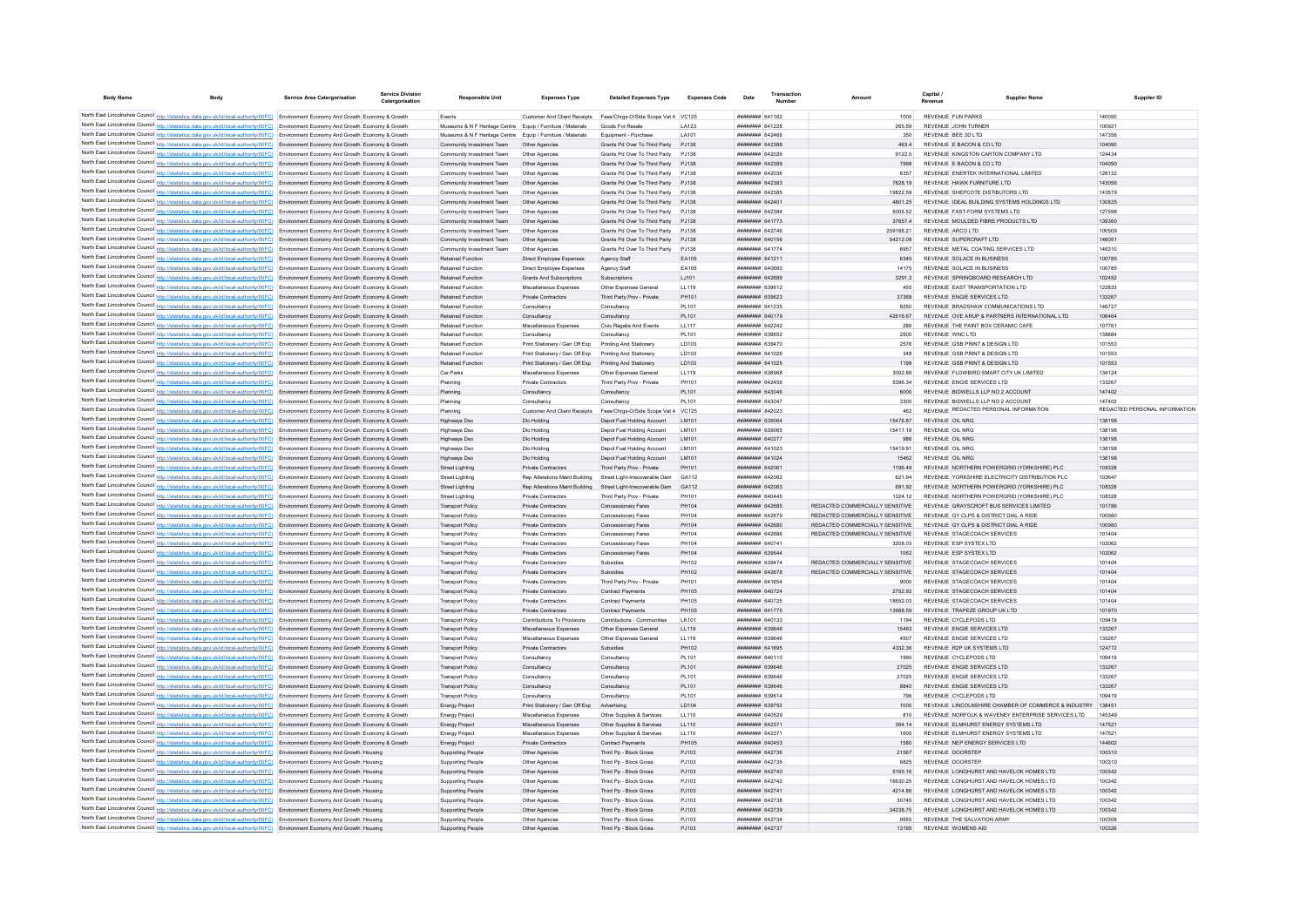| <b>Body Name</b> | <b>Body</b>                                                                                                                                                                                                                                                                      | Service Area Catergorisation | Service Division<br>Catergorisation | <b>Responsible Unit</b>                                               | <b>Expenses Type</b>                                   | <b>Detailed Expenses Type</b>                                  | <b>Expenses Code</b>  | Date                                             | Amount                                                             |                                                                                      | Supplier Name    | Supplier ID                             |
|------------------|----------------------------------------------------------------------------------------------------------------------------------------------------------------------------------------------------------------------------------------------------------------------------------|------------------------------|-------------------------------------|-----------------------------------------------------------------------|--------------------------------------------------------|----------------------------------------------------------------|-----------------------|--------------------------------------------------|--------------------------------------------------------------------|--------------------------------------------------------------------------------------|------------------|-----------------------------------------|
|                  |                                                                                                                                                                                                                                                                                  |                              |                                     |                                                                       |                                                        |                                                                |                       |                                                  |                                                                    |                                                                                      |                  |                                         |
|                  | North East Lincolnshire Council http://statistics.data.gov.uk/id/local-authority/00FC) Environment Economy And Growth Economy & Growth<br>North East Lincolnshire Council http://statistics.data.gov.uk/id/local-authority/00FC) Environment Economy And Growth Economy & Growth |                              |                                     | Events<br>Museums & N F Heritage Centre Equip / Furniture / Materials | Customer And Client Receipts                           | Fees/Chros-O/Side Scope Vat 4 VC125<br>Goods For Resale        | I A123                | <b>пппппппп</b> 641162<br><b>ПЕННИНИ 641228</b>  | 1000<br>265.59                                                     | <b>REVENUE FUN PARKS</b><br>REVENUE JOHN TURNER                                      | 100921           | 140050                                  |
|                  | North East Lincolnshire Council http://statistics.data.gov.uk/id/local-authority/00FC) Environment Economy And Growth Economy & Growth                                                                                                                                           |                              |                                     | Museums & N F Heritage Centre Equip / Furniture / Materials           |                                                        | Foujoment - Purchase                                           | LA101                 | <b>ППИНИНИ САЗАВЕ</b>                            | 350                                                                | REVENUE REE 3D LTD                                                                   | 147356           |                                         |
|                  | North East Lincolnshire Council http://statistics.data.gov.uk/id/local-authority/00FC) Environment Economy And Growth Economy & Growth                                                                                                                                           |                              |                                     | Community Investment Team                                             | Other Agencies                                         | Grants Pd Over To Third Party P.I138                           |                       | <b>ППИНИНИ 642388</b>                            | 4634                                                               | REVENUE E BACON & CO LTD                                                             | 104090           |                                         |
|                  | North East Lincolnshire Council http://statistics.data.gov.uk/id/local-authority/00FC) Environment Economy And Growth Economy & Growth                                                                                                                                           |                              |                                     | Community Investment Team                                             | Other Agencies                                         | Grants Pd Over To Third Party PJ138                            |                       | <b>пппппппп</b> 642026                           | 9122.5                                                             | REVENUE KINGSTON CARTON COMPANY LTD                                                  | 124434           |                                         |
|                  | North East Lincolnshire Council http://statistics.data.gov.uk/id/local-authority/00FC) Environment Economy And Growth Economy & Growth                                                                                                                                           |                              |                                     | Community Investment Team                                             | Other Agencies                                         | Grants Pd Over To Third Party                                  | P.1138                | ниннини 642389                                   | 7998                                                               | REVENUE E BACON & CO LTD                                                             |                  | 104090                                  |
|                  | North East Lincolnshire Council http://statistics.data.gov.uk/id/local-authority/00FC) Environment Economy And Growth Economy & Growth                                                                                                                                           |                              |                                     | Community Investment Team                                             | Other Agencies                                         | Grants Pd Over To Third Party                                  | PJ138                 | ####### 642036                                   | 6357                                                               | REVENUE ENERTEK INTERNATIONAL LIMITED                                                |                  | 128132                                  |
|                  | North East Lincolnshire Council http://statistics.data.gov.uk/id/local-authority/00FC) Environment Economy And Growth Economy & Growth                                                                                                                                           |                              |                                     | Community Investment Team                                             | Other Agencies                                         | Grants Pd Over To Third Party                                  | PJ138                 | ######## 642383                                  | 7828.19                                                            | REVENUE HAWK FURNITURE LTD                                                           | 143056           |                                         |
|                  | North East Lincolnshire Council http://statistics.data.gov.uk/id/local-authority/00FC) Environment Economy And Growth Economy & Growth                                                                                                                                           |                              |                                     | Community Investment Team                                             | Other Agencies                                         | Grants Pd Over To Third Party                                  | PJ138                 | пппппппп 642385                                  | 19822.59                                                           | REVENUE SHEPCOTE DISTIBUTORS LTD                                                     |                  | 143579                                  |
|                  | North East Lincolnshire Council http://statistics.data.gov.uk/id/local-authority/00FC) Environment Economy And Growth Economy & Growth                                                                                                                                           |                              |                                     | Community Investment Team                                             | Other Agencies                                         | Grants Pd Over To Third Party                                  | P.1138                | <b>HHHHHHHH 642401</b><br>пппппппп 642384        | 4801.25<br>5005 52                                                 | REVENUE IDEAL BUILDING SYSTEMS HOLDINGS LTD                                          | 130835           | 127598                                  |
|                  | North East Lincolnshire Council http://statistics.data.gov.uk/id/local-authority/00FC) Environment Economy And Growth Economy & Growth<br>North East Lincolnshire Council http://statistics.data.gov.uk/id/local-authority/00FC) Environment Economy And Growth Economy & Growth |                              |                                     | Community Investment Team<br>Community Investment Team                | Other Agencies<br>Other Agencies                       | Grants Pd Over To Third Party<br>Grants Pd Over To Third Party | P.1138<br>PJ138       | ######## 641773                                  | 37657.4                                                            | REVENUE FAST-FORM SYSTEMS LTD<br>REVENUE MOULDED FIBRE PRODUCTS LTD                  |                  | 139360                                  |
|                  | North East Lincolnshire Council http://statistics.data.gov.uk/id/local-authority/00FC) Environment Economy And Growth Economy & Growth                                                                                                                                           |                              |                                     | Community Investment Team                                             | Other Agencie                                          | Grants Pd Over To Third Party                                  | PJ138                 | ####### 64274                                    | 259188.21                                                          | REVENUE ARCO LTD                                                                     |                  | 100509                                  |
|                  | North East Lincolnshire Council http://statistics.data.gov.uk/id/local-authority/00FC) Environment Economy And Growth Economy & Growth                                                                                                                                           |                              |                                     | Community Investment Team                                             | Other Agencies                                         | Grants Pd Over To Third Party                                  | PJ138                 | ######## 640156                                  | 54212.08                                                           | REVENUE SUPERCRAFT ITD                                                               |                  | 146051                                  |
|                  | North East Lincolnshire Council http://statistics.data.gov.uk/id/local-authority/00FC) Environment Economy And Growth Economy & Growth                                                                                                                                           |                              |                                     | Community Investment Team                                             | Other Agencies                                         | Grants Pd Over To Third Party                                  | P.1138                | <b>BRENHHHH</b> 641774                           | 6957                                                               | REVENUE METAL COATING SERVICES LTD                                                   |                  | 146310                                  |
|                  | North East Lincolnshire Council http://statistics.data.gov.uk/id/local-authority/00FC) Environment Economy And Growth Economy & Growth                                                                                                                                           |                              |                                     | <b>Retained Function</b>                                              | Direct Employee Expenses                               | Agency Staff                                                   | FA105                 | <b>ПППНИНИН</b> 64121                            | 6345                                                               | REVENUE SOLACE IN BUSINESS                                                           |                  | 100785                                  |
|                  | North East Lincolnshire Council http://statistics.data.gov.uk/id/local-authority/00FC) Environment Economy And Growth Economy & Growth                                                                                                                                           |                              |                                     | <b>Retained Function</b>                                              | Direct Employee Expenses                               | Agency Staff                                                   | EA105                 | BAODA BERREEF                                    | 14175                                                              | REVENUE SOLACE IN BUSINESS                                                           | 100785           |                                         |
|                  | North East Lincolnshire Council http://statistics.data.gov.uk/id/local-authority/00FC) Environment Economy And Growth Economy & Growth                                                                                                                                           |                              |                                     | Retained Function                                                     | <b>Grants And Subscriptions</b>                        | Subscriptions                                                  | LJ101                 | ######## 642689                                  | 3291.3                                                             | REVENUE SPRINGBOARD RESEARCH LTD                                                     | 102452           |                                         |
|                  | North East Lincolnshire Council http://statistics.data.gov.uk/id/local-authority/00FC) Environment Economy And Growth Economy & Growth                                                                                                                                           |                              |                                     | <b>Retained Function</b>                                              | Miscellaneous Expenses                                 | Other Expenses General                                         | LL119                 | ######## 639612                                  | 455                                                                | REVENUE EAST TRANSPORTATION LTD                                                      | 122833           |                                         |
|                  | North East Lincolnshire Council http://statistics.data.gov.uk/id/local-authority/00FC) Environment Economy And Growth Economy & Growth                                                                                                                                           |                              |                                     | Retained Function                                                     | Private Contractors                                    | Third Party Prov - Private                                     | PH101                 | ######## 639623                                  | 37369                                                              | REVENUE ENGIE SERVICES LTD                                                           | 133267           |                                         |
|                  | North East Lincolnshire Council http://statistics.data.gov.uk/id/local-authority/00FC) Environment Economy And Growth Economy & Growth                                                                                                                                           |                              |                                     | Retained Function                                                     | Consultancy                                            | Consultancy                                                    | PI 101                | <b>пппппппп</b> 641235                           | 9250                                                               | REVENUE BRADSHAW COMMUNICATIONS LTD                                                  | 146727           | 106464                                  |
|                  | North East Lincolnshire Council http://statistics.data.gov.uk/id/local-authority/00FC) Environment Economy And Growth Economy & Growth<br>North East Lincolnshire Council http://statistics.data.gov.uk/id/local-authority/00FC) Environment Economy And Growth Economy & Growth |                              |                                     | <b>Retained Function</b><br>Retained Function                         | Consultancy<br>Miscellaneous Expenses                  | Consultancy<br>Civic Regalia And Events                        | PL101<br>LL117        | <b><i>BRENHHHH</i></b> 640179<br>######## 642242 | 42616.67<br>286                                                    | REVENUE OVE ARUP & PARTNERS INTERNATIONAL LTD.<br>REVENUE THE PAINT BOX CERAMIC CAFE | 107761           |                                         |
|                  | North East Lincolnshire Council http://statistics.data.gov.uk/id/local-authority/00FC) Environment Economy And Growth Economy & Growth                                                                                                                                           |                              |                                     | <b>Retained Function</b>                                              | Consultancy                                            | Consultancy                                                    | <b>PL101</b>          | ######## 639652                                  | 2500                                                               | REVENUE WNC LTD                                                                      | 138884           |                                         |
|                  | North East Lincolnshire Council http://statistics.data.gov.uk/id/local-authority/00FC) Environment Economy And Growth Economy & Growth                                                                                                                                           |                              |                                     | <b>Retained Function</b>                                              | Print Stationery / Gen Off Exp                         | Printing And Stationery                                        | LD103                 | ######## 639470                                  | 2576                                                               | REVENUE GSB PRINT & DESIGN LTD                                                       |                  | 101553                                  |
|                  | North East Lincolnshire Council http://statistics.data.gov.uk/id/local-authority/00FC) Environment Economy And Growth Economy & Growth                                                                                                                                           |                              |                                     | <b>Retained Function</b>                                              | Print Stationery / Gen Off Exp                         | Printing And Stationery                                        | LD103                 | <b>HRHHHHHH</b> 641026                           | 348                                                                | REVENUE GSB PRINT & DESIGN LTD                                                       | 101553           |                                         |
|                  | North East Lincolnshire Council http://statistics.data.gov.uk/id/local-authority/00FC) Environment Economy And Growth Economy & Growth                                                                                                                                           |                              |                                     | <b>Retained Function</b>                                              | Print Stationery / Gen Off Exp Printing And Stationery |                                                                | <b>ID103</b>          | <b>ППППППППП</b> 641025                          | 1199                                                               | REVENUE GSB PRINT & DESIGN LTD                                                       |                  | 101553                                  |
|                  | North East Lincolnshire Council http://statistics.data.gov.uk/id/local-authority/00FC) Environment Economy And Growth Economy & Growth                                                                                                                                           |                              |                                     | Car Parks                                                             | Miscellaneous Expenses                                 | Other Expenses General                                         | 11119                 | ######## 63896F                                  | 300288                                                             | REVENUE ELOWBIRD SMART CITY UK LIMITED                                               | 134124           |                                         |
|                  | North East Lincolnshire Council http://statistics.data.gov.uk/id/local-authority/00FC) Environment Economy And Growth Economy & Growth                                                                                                                                           |                              |                                     | Planning                                                              | Private Contractors                                    | Third Party Prov - Private                                     | PH101                 | <b>пппппппп</b> 642456                           | 5396.34                                                            | REVENUE ENGIE SERVICES LTD                                                           | 133267           |                                         |
|                  | North East Lincolnshire Council http://statistics.data.gov.uk/id/local-authority/00FC) Environment Economy And Growth Economy & Growth                                                                                                                                           |                              |                                     | Planning                                                              | Consultancy                                            | Consultancy                                                    | <b>PL101</b>          | ######## 643046                                  | 6000                                                               | REVENUE BIDWELLS LLP NO 2 ACCOUNT                                                    |                  | 147402                                  |
|                  | North East Lincolnshire Council http://statistics.data.gov.uk/id/local-authority/00FC) Environment Economy And Growth Economy & Growth                                                                                                                                           |                              |                                     | Planning                                                              | Consultancy                                            | Consultancy                                                    | <b>PL101</b>          | ######## 643047                                  | 3300                                                               | REVENUE BIDWELLS LLP NO 2 ACCOUNT                                                    |                  | 147402<br>REDACTED PERSONAL INFORMATION |
|                  | North East Lincolnshire Council http://statistics.data.gov.uk/id/local-authority/00FC) Environment Economy And Growth Economy & Growth                                                                                                                                           |                              |                                     | Planning                                                              | <b>Customer And Client Receipts</b>                    | Fees/Chrgs-O/Side Scope Vat 4 VC125                            |                       | ######## 842023                                  | 462                                                                | REVENUE REDACTED PERSONAL INFORMATION<br>REVENUE OIL NRG                             | 138198           |                                         |
|                  | North East Lincolnshire Council http://statistics.data.gov.uk/id/local-authority/00FC) Environment Economy And Growth Economy & Growth<br>North East Lincolnshire Council http://statistics.data.gov.uk/id/local-authority/00FC) Environment Economy And Growth Economy & Growth |                              |                                     | Highways Dso<br>Highways Dso                                          | Dio Holding<br>Dio Holding                             | Depot Fuel Holding Account<br>Depot Fuel Holding Account       | <b>IM101</b><br>IM101 | ######## 639064<br>######## 639065               | 1547687<br>15411 18                                                | REVENUE OIL NRC                                                                      | 138198           |                                         |
|                  | North East Lincolnshire Council http://statistics.data.gov.uk/id/local-authority/00FC) Environment Economy And Growth Economy & Growth                                                                                                                                           |                              |                                     | Highways Dso                                                          | Dlo Holding                                            | Depot Fuel Holding Account                                     | IM101                 | ######## 640277                                  | 986                                                                | REVENUE OIL NRG                                                                      | 138198           |                                         |
|                  | North East Lincolnshire Council http://statistics.data.gov.uk/id/local-authority/00FC) Environment Economy And Growth Economy & Growth                                                                                                                                           |                              |                                     | Highways Dso                                                          | Dlo Holding                                            | Depot Fuel Holding Account                                     | LM101                 | ####### 641023                                   | 15419.91                                                           | REVENUE OIL NRG                                                                      | 138198           |                                         |
|                  | North East Lincolnshire Council http://statistics.data.gov.uk/id/local-authority/00FC) Environment Economy And Growth Economy & Growth                                                                                                                                           |                              |                                     | Highways Dso                                                          | Dlo Holding                                            | Depot Fuel Holding Account                                     | LM101                 | ######## 641024                                  | 15462                                                              | REVENUE OIL NRG                                                                      |                  | 138198                                  |
|                  | North East Lincolnshire Council http://statistics.data.gov.uk/id/local-authority/00FC) Environment Economy And Growth Economy & Growth                                                                                                                                           |                              |                                     | <b>Street Lighting</b>                                                | Private Contractors                                    | Third Party Prov - Private                                     | PH101                 | <b>BBBBBBBB</b> 64206                            | 1196.49                                                            | REVENUE NORTHERN POWERGRID (YORKSHIRE) PLC                                           |                  | 108328                                  |
|                  | North East Lincolnshire Council http://statistics.data.gov.uk/id/local-authority/00FC) Environment Economy And Growth Economy & Growth                                                                                                                                           |                              |                                     | Street Lighting                                                       | Ren Alterations Maint Building                         | Street Light-Irrecoverable Dam                                 | GA112                 | <b>пппппппп</b> 642062                           | 621.94                                                             | REVENUE YORKSHIRE ELECTRICITY DISTRIBUTION PLC                                       | 103647           |                                         |
|                  | North East Lincolnshire Council http://statistics.data.gov.uk/id/local-authority/00FC) Environment Economy And Growth Economy & Growth                                                                                                                                           |                              |                                     | Street Lighting                                                       | Ren Alterations Maint Building                         | Street Light-Irrecoverable Dam                                 | GA112                 | <b>HHHHHHH 642063</b>                            | 691.92                                                             | REVENUE NORTHERN POWERGRID (YORKSHIRE) PLC.                                          | 108328           |                                         |
|                  | North East Lincolnshire Council http://statistics.data.gov.uk/id/local-authority/00FC) Environment Economy And Growth Economy & Growth                                                                                                                                           |                              |                                     | Street Lighting                                                       | Private Contractors                                    | Third Party Prov - Private                                     | PH101                 | <b>пппппппп</b> 640445                           | 1324.12                                                            | REVENUE NORTHERN POWERGRID (YORKSHIRE) PLC.                                          | 108328           |                                         |
|                  | North East Lincolnshire Council http://statistics.data.gov.uk/id/local-authority/00FC) Environment Economy And Growth Economy & Growth                                                                                                                                           |                              |                                     | <b>Transport Policy</b>                                               | Private Contractors                                    | Concessionary Fares                                            | PH104                 | ######## 642685                                  | REDACTED COMMERCIALLY SENSITIVE                                    | REVENUE GRAYSCROFT BUS SERVICES LIMITED                                              | 101786           |                                         |
|                  | North East Lincolnshire Council http://statistics.data.gov.uk/id/local-authority/00FC) Environment Economy And Growth Economy & Growth                                                                                                                                           |                              |                                     | <b>Transport Policy</b>                                               | Private Contractors                                    | Concessionary Fares                                            | PH104                 | ######## 642679                                  | REDACTED COMMERCIALLY SENSITIVE                                    | REVENUE GY CLPS & DISTRICT DIAL A RIDE                                               | 100980           |                                         |
|                  | North East Lincolnshire Council http://statistics.data.gov.uk/id/local-authority/00FC) Environment Economy And Growth Economy & Growth<br>North East Lincolnshire Council http://statistics.data.gov.uk/id/local-authority/00FC) Environment Economy And Growth Economy & Growth |                              |                                     | <b>Transport Policy</b><br><b>Transport Policy</b>                    | Private Contractors<br>Private Contractors             | Concessionary Fares<br>Concessionary Fares                     | PH104<br><b>PH104</b> | ######## 642680<br><b>ПЕПЕННИИ</b> 642686        | REDACTED COMMERCIALLY SENSITIVE<br>REDACTED COMMERCIALLY SENSITIVE | REVENUE GY CLPS & DISTRICT DIAL A RIDE<br>REVENUE STAGECOACH SERVICES                | 101404           | 100980                                  |
|                  | North East Lincolnshire Council http://statistics.data.gov.uk/id/local-authority/00FC) Environment Economy And Growth Economy & Growth                                                                                                                                           |                              |                                     | <b>Transport Policy</b>                                               | Private Contractors                                    | Concessionary Fares                                            | <b>PH104</b>          | <b><i>BRENHHHH</i></b> 640741                    | 3208.03                                                            | REVENUE ESP SYSTEX LTD                                                               |                  | 102062                                  |
|                  | North East Lincolnshire Council http://statistics.data.gov.uk/id/local-authority/00FC) Environment Economy And Growth Economy & Growth                                                                                                                                           |                              |                                     | <b>Transport Policy</b>                                               | <b>Private Contractors</b>                             | Concessionary Fares                                            | PH104                 | ######## 639544                                  | 1062                                                               | REVENUE ESP SYSTEX LTD                                                               | 102062           |                                         |
|                  | North East Lincolnshire Council http://statistics.data.gov.uk/id/local-authority/00FC) Environment Economy And Growth Economy & Growth                                                                                                                                           |                              |                                     | <b>Transport Policy</b>                                               | Private Contractor                                     | Subsidie                                                       | PH102                 | ######## 639474                                  | REDACTED COMMERCIALLY SENSITIVE                                    | REVENUE STAGECOACH SERVICES                                                          | 101404           |                                         |
|                  | North East Lincolnshire Council http://statistics.data.gov.uk/id/local-authority/00FC) Environment Economy And Growth Economy & Growth                                                                                                                                           |                              |                                     | <b>Transport Policy</b>                                               | Private Contractors                                    | Subsidies                                                      | PH102                 | ######## 642678                                  | REDACTED COMMERCIALLY SENSITIVE                                    | REVENUE STAGECOACH SERVICES                                                          | 101404           |                                         |
|                  | North East Lincolnshire Council http://statistics.data.gov.uk/id/local-authority/00FC) Environment Economy And Growth Economy & Growth                                                                                                                                           |                              |                                     | <b>Transport Polic</b>                                                | Private Contractors                                    | Third Party Prov - Private                                     | PH101                 | <b>HRRHHHHH</b> 641654                           | 9000                                                               | REVENUE STAGECOACH SERVICES                                                          | 101404           |                                         |
|                  | North East Lincolnshire Council http://statistics.data.gov.uk/id/local-authority/00FC) Environment Economy And Growth Economy & Growth                                                                                                                                           |                              |                                     | <b>Transport Policy</b>                                               | Private Contractors                                    | Contract Payments                                              | PH105                 | <b>ПЕПЕННИН 640724</b>                           | 2752.92                                                            | REVENUE STAGECOACH SERVICES                                                          | 101404           |                                         |
|                  | North East Lincolnshire Council http://statistics.data.gov.uk/id/local-authority/00FC) Environment Economy And Growth Economy & Growth                                                                                                                                           |                              |                                     | <b>Transport Policy</b>                                               | Private Contractors                                    | Contract Payments                                              | PH105                 | <b>ПЕПЕННИН</b> 640725                           | 18652.03                                                           | REVENUE STAGECOACH SERVICES                                                          |                  | 101404                                  |
|                  | North East Lincolnshire Council http://statistics.data.gov.uk/id/local-authority/00FC) Environment Economy And Growth Economy & Growth                                                                                                                                           |                              |                                     | <b>Transport Policy</b>                                               | Private Contractors                                    | Contract Payments                                              | PH105                 | <b>пппппппп</b> 641775                           | 13988.59                                                           | REVENUE TRAPEZE GROUP UK LTD                                                         |                  | 101970                                  |
|                  | North East Lincolnshire Council http://statistics.data.gov.uk/id/local-authority/00FC) Environment Economy And Growth Economy & Growth<br>North East Lincolnshire Council http://statistics.data.gov.uk/id/local-authority/00FC) Environment Economy And Growth Economy & Growth |                              |                                     | <b>Transport Policy</b><br><b>Transport Policy</b>                    | Contributions To Provisions<br>Miscellaneous Expenses  | Contributions - Communities<br>Other Expenses General          | LK101<br>LL119        | ######## 640133<br>######## 639646               | 1194<br>15493                                                      | REVENUE CYCLEPODS LTD<br>REVENUE ENGIE SERVICES LTD                                  | 133267           | 109419                                  |
|                  | North East Lincolnshire Council http://statistics.data.gov.uk/id/local-authority/00FC) Environment Economy And Growth Economy & Growth                                                                                                                                           |                              |                                     | Transport Policy                                                      | Miscellaneous Expenses                                 | Other Expenses General                                         | LL119                 | ######## 639646                                  | 4507                                                               | REVENUE ENGIE SERVICES LTD                                                           | 133267           |                                         |
|                  | North East Lincolnshire Council http://statistics.data.gov.uk/id/local-authority/00FC) Environment Economy And Growth Economy & Growth                                                                                                                                           |                              |                                     | <b>Transport Policy</b>                                               | Private Contractors                                    | Subsidies                                                      | PH102                 | <b>########</b> 641695                           | 4332.36                                                            | REVENUE R2P UK SYSTEMS LTD                                                           |                  | 124772                                  |
|                  | North East Lincolnshire Council http://statistics.data.gov.uk/id/local-authority/00FC) Environment Economy And Growth Economy & Growth                                                                                                                                           |                              |                                     | <b>Transport Policy</b>                                               | Consultancy                                            | Consultancy                                                    | <b>PL101</b>          | ######## 640110                                  | 1990                                                               | REVENUE CYCLEPODS LTD                                                                |                  | 109419                                  |
|                  | North East Lincolnshire Council http://statistics.data.gov.uk/id/local-authority/00FC) Environment Economy And Growth Economy & Growth                                                                                                                                           |                              |                                     | <b>Transport Policy</b>                                               | Consultancy                                            | Consultancy                                                    | <b>PL101</b>          | ######## 639646                                  | 27025                                                              | REVENUE ENGIE SERVICES LTD                                                           | 133267           |                                         |
|                  | North East Lincolnshire Council http://statistics.data.gov.uk/id/local-authority/00FC) Environment Economy And Growth Economy & Growth                                                                                                                                           |                              |                                     | <b>Transport Policy</b>                                               | Consultancy                                            | Consultancy                                                    | <b>PL101</b>          | ######## 63964                                   | 27025                                                              | REVENUE ENGIE SERVICES LTD                                                           | 133267           |                                         |
|                  | North East Lincolnshire Council http://statistics.data.gov.uk/id/local-authority/00FC) Environment Economy And Growth Economy & Growth                                                                                                                                           |                              |                                     | <b>Transport Policy</b>                                               | Consultancy                                            | Consultancy                                                    | PL101                 | ######## 639646                                  | 8840                                                               | REVENUE ENGIE SERVICES LTD                                                           |                  | 133267                                  |
|                  | North East Lincolnshire Council http://statistics.data.gov.uk/id/local-authority/00FC) Environment Economy And Growth Economy & Growth                                                                                                                                           |                              |                                     | <b>Transport Polic</b>                                                | Consultancy                                            | Consultance                                                    | <b>PL101</b>          | ######## 639614                                  | 796                                                                | REVENUE CYCLEPODS LTD                                                                |                  | 109419                                  |
|                  | North East Lincolnshire Council http://statistics.data.gov.uk/id/local-authority/00FC) Environment Economy And Growth Economy & Growth                                                                                                                                           |                              |                                     | <b>Energy Project</b>                                                 | Print Stationery / Gen Off Exp                         | Advertising                                                    | <b>ID104</b>          | <b><i>BREERERH</i></b> 639753                    | 1000                                                               | REVENUE LINCOLNSHIRE CHAMBER OF COMMERCE & INDUSTRY                                  | 138451           |                                         |
|                  | North East Lincolnshire Council http://statistics.data.gov.uk/id/local-authority/00FC) Environment Economy And Growth Economy & Growth                                                                                                                                           |                              |                                     | <b>Energy Project</b>                                                 | Miscellaneous Expenses                                 | Other Supplies & Services                                      | LL110                 | ######## 640529                                  | 810                                                                | REVENUE NORFOLK & WAVENEY ENTERPRISE SERVICES LTD                                    | 145349           |                                         |
|                  | North East Lincolnshire Council http://statistics.data.gov.uk/id/local-authority/00FC) Environment Economy And Growth Economy & Growth<br>North East Lincolnshire Council http://statistics.data.gov.uk/id/local-authority/00FC) Environment Economy And Growth Economy & Growth |                              |                                     | <b>Energy Project</b>                                                 | Miscellaneous Expenses<br>Miscellaneous Expenses       | Other Supplies & Services<br>Other Supplies & Services         | LL110<br>LL110        | ######## 642371<br>######## 64237                | 364 14<br>1600                                                     | REVENUE ELMHURST ENERGY SYSTEMS LTD<br>REVENUE ELMHURST ENERGY SYSTEMS LTD           | 147521<br>147521 |                                         |
|                  | North East Lincolnshire Council http://statistics.data.gov.uk/id/local-authority/00FC) Environment Economy And Growth Economy & Growth                                                                                                                                           |                              |                                     | Energy Project<br><b>Energy Project</b>                               | Private Contractors                                    | Contract Payments                                              | <b>PH105</b>          | ######## 640453                                  | 1580                                                               | REVENUE NEP ENERGY SERVICES LTD                                                      | 144602           |                                         |
|                  | North East Lincolnshire Council http://statistics.data.gov.uk/id/local-authority/00FC) Environment Economy And Growth Housing                                                                                                                                                    |                              |                                     | Supporting People                                                     | Other Agencies                                         | Third Pp - Block Gross                                         | PJ103                 | ######## 642736                                  | 21567                                                              | REVENUE DOORSTEP                                                                     |                  | 100310                                  |
|                  | North East Lincolnshire Council http://statistics.data.gov.uk/id/local-authority/00FC) Environment Economy And Growth Housing                                                                                                                                                    |                              |                                     | Supporting People                                                     | Other Agencies                                         | Third Pp - Block Gross                                         | P.1103                | <b>пппппппп</b> 642735                           | 6825                                                               | REVENUE DOORSTEP                                                                     |                  | 100310                                  |
|                  | North East Lincolnshire Council http://statistics.data.gov.uk/id/local-authority/00FC) Environment Economy And Growth Housing                                                                                                                                                    |                              |                                     | Supporting People                                                     | Other Agencies                                         | Third Pp - Block Gross                                         | PJ103                 | ######## 642740                                  | 5165.16                                                            | REVENUE LONGHURST AND HAVELOK HOMES LTD                                              |                  | 100342                                  |
|                  | North East Lincolnshire Council http://statistics.data.gov.uk/id/local-authority/00FC) Environment Economy And Growth Housing                                                                                                                                                    |                              |                                     | Supporting People                                                     | Other Agencies                                         | Third Pp - Block Gross                                         | PJ103                 | ######## 642742                                  | 16630.25                                                           | REVENUE LONGHURST AND HAVELOK HOMES LTD                                              |                  | 100342                                  |
|                  | North East Lincolnshire Council http://statistics.data.gov.uk/id/local-authority/00FC) Environment Economy And Growth Housing                                                                                                                                                    |                              |                                     | Supporting People                                                     | Other Agencies                                         | Third Pp - Block Gross                                         | PJ103                 | ####### 64274                                    | 4214.86                                                            | REVENUE LONGHURST AND HAVELOK HOMES LTD                                              |                  | 100342                                  |
|                  | North East Lincolnshire Council http://statistics.data.gov.uk/id/local-authority/00FC) Environment Economy And Growth Housing                                                                                                                                                    |                              |                                     | <b>Supporting People</b>                                              | Other Agencie                                          | Third Pp - Block Gross                                         | PJ103                 | ######## 642738                                  | 30745                                                              | REVENUE LONGHURST AND HAVELOK HOMES LTD                                              |                  | 100342                                  |
|                  | North East Lincolnshire Council http://statistics.data.gov.uk/id/local-authority/00FC) Environment Economy And Growth Housing                                                                                                                                                    |                              |                                     | Supporting People                                                     | Other Agencies                                         | Third Pp - Block Gross                                         | PJ103                 | ######## 642739                                  | 34238.75                                                           | REVENUE LONGHURST AND HAVELOK HOMES LTD                                              |                  | 100342                                  |
|                  | North East Lincolnshire Council http://statistics.data.gov.uk/id/local-authority/00FC) Environment Economy And Growth Housing                                                                                                                                                    |                              |                                     | Supporting People                                                     | Other Agencies                                         | Third Pp - Block Gross                                         | P.1103                | пппппппп 642734                                  | 9555                                                               | REVENUE THE SALVATION ARMY                                                           |                  | 100309                                  |
|                  | North East Lincolnshire Council http://statistics.data.gov.uk/id/local-authority/00FC) Environment Economy And Growth Housing                                                                                                                                                    |                              |                                     | Supporting People                                                     | Other Agencies                                         | Third Pp - Block Gross                                         | PJ103                 | ######## 642737                                  | 13195                                                              | REVENUE WOMENS AID                                                                   | 100326           |                                         |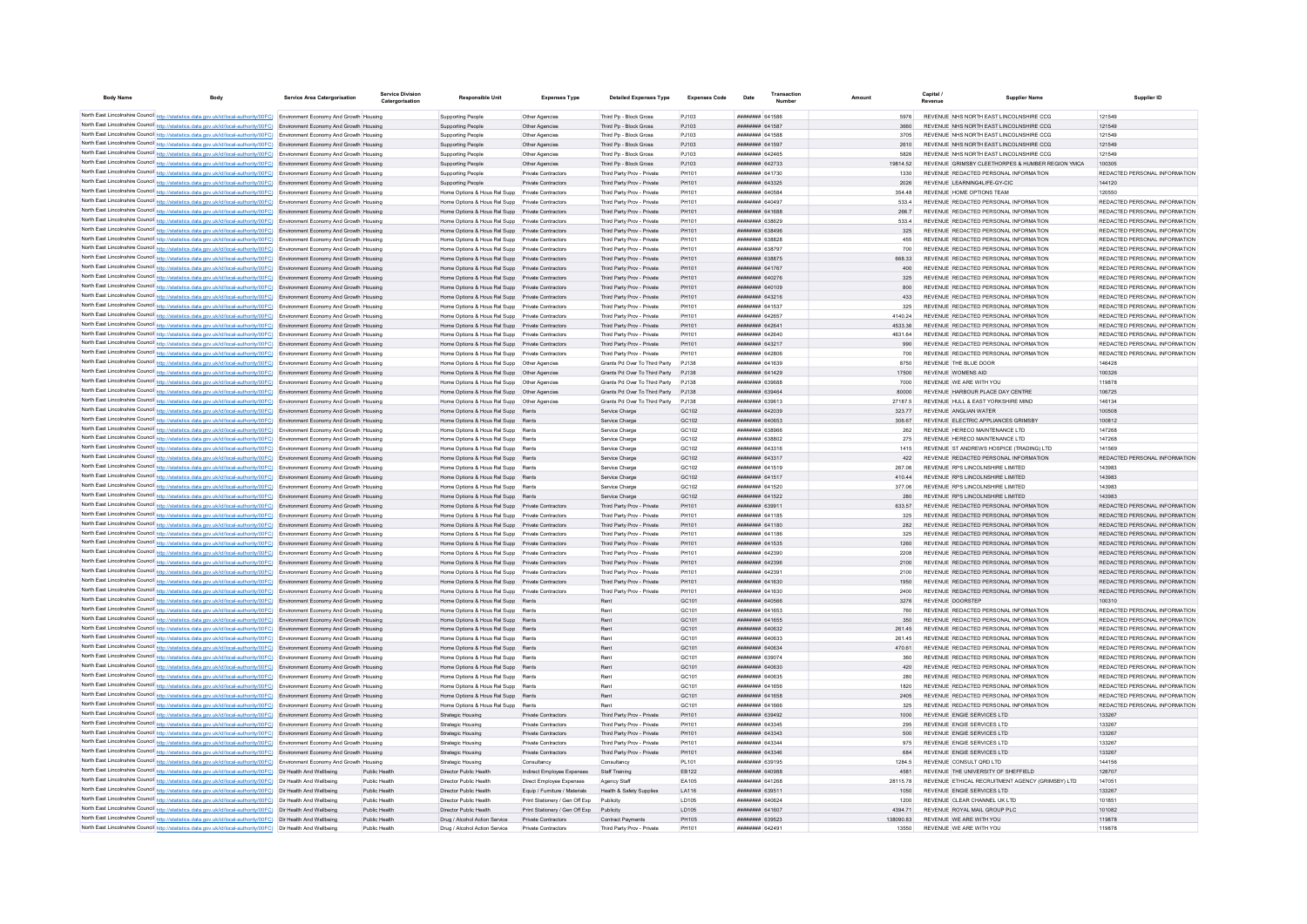| <b>Body Name</b> | Body                                                                                                                                                                                                                                                           | Service Area Catergorisation | Service Divisio<br>Catergorisation | <b>Responsible Unit</b>                                                                              | <b>Expenses Type</b>                                            | <b>Detailed Expenses Type</b>                            | <b>Expenses Code</b>  | Date                                      | Numbe | Amount           |                       | <b>Supplier Name</b>                                                                      | Supplier ID                                                    |
|------------------|----------------------------------------------------------------------------------------------------------------------------------------------------------------------------------------------------------------------------------------------------------------|------------------------------|------------------------------------|------------------------------------------------------------------------------------------------------|-----------------------------------------------------------------|----------------------------------------------------------|-----------------------|-------------------------------------------|-------|------------------|-----------------------|-------------------------------------------------------------------------------------------|----------------------------------------------------------------|
|                  | North East Lincolnshire Council http://statistics.data.gov.uk/id/local-authority/00FC) Environment Economy And Growth Housing                                                                                                                                  |                              |                                    | Supporting People                                                                                    | Other Agencies                                                  | Third Pp - Block Gross                                   | PJ103                 | <b>HERHEAD RA1586</b>                     |       |                  |                       | REVENUE NHS NORTH EAST LINCOLNSHIRE CCG                                                   | 121549                                                         |
|                  | North East Lincolnshire Council http://statistics.data.gov.uk/id/local-authority/00FC) Environment Economy And Growth Housing                                                                                                                                  |                              |                                    | <b>Supporting People</b>                                                                             | Other Agencies                                                  | Third Pp - Block Gross                                   | PJ103                 | <b>HHHHHHHH</b> 641587                    |       |                  |                       | REVENUE NHS NORTH FAST LINCOLNSHIRE CCG                                                   | 121549                                                         |
|                  | North East Lincolnshire Council http://statistics.data.gov.uk/id/local-authority/00FC) Environment Economy And Growth Housing                                                                                                                                  |                              |                                    | <b>Supporting People</b>                                                                             | Other Agencies                                                  | Third Pp - Block Gross                                   | PJ103                 | <b>HHHHHHH</b> 641588                     |       | 3705             |                       | REVENUE NHS NORTH FAST LINCOLNSHIRE CCG                                                   | 121549                                                         |
|                  | North East Lincolnshire Council http://statistics.data.gov.uk/id/local-authority/00FC) Environment Economy And Growth Housing                                                                                                                                  |                              |                                    | Supporting People                                                                                    | Other Agencies                                                  | Third Pp - Block Gross                                   | P.1103                | <b>HHHHHHH</b> 641597                     |       | 2610             |                       | REVENUE NHS NORTH FAST LINCOLNSHIRE CCG.                                                  | 121549                                                         |
|                  | North East Lincolnshire Council http://statistics.data.gov.uk/id/local-authority/00FC) Environment Economy And Growth Housing                                                                                                                                  |                              |                                    | Supporting People                                                                                    | Other Agencies                                                  | Third Pp - Block Gross                                   | PJ103                 | ####### 642465                            |       | 5826             |                       | REVENUE NHS NORTH EAST LINCOLNSHIRE CCG                                                   | 121549                                                         |
|                  | North East Lincolnshire Council http://statistics.data.gov.uk/id/local-authority/00FC) Environment Economy And Growth Housing<br>North East Lincolnshire Council http://statistics.data.gov.uk/id/local-authority/00FC) Environment Economy And Growth Housing |                              |                                    | Supporting People<br>Supporting People                                                               | Other Agencies<br>Private Contractors                           | Third Po - Block Gross<br>Third Party Prov - Private     | PJ103<br>PH101        | ######## 642733<br><b>UNUNUNUN</b> 641730 |       | 19814.52<br>1330 |                       | REVENUE GRIMSBY CLEETHORPES & HUMBER REGION YMCA<br>REVENUE REDACTED PERSONAL INFORMATION | 100305<br>REDACTED PERSONAL INFORMATION                        |
|                  | North East Lincolnshire Council http://statistics.data.gov.uk/id/local-authority/00FC) Environment Economy And Growth Housing                                                                                                                                  |                              |                                    | Supporting People                                                                                    | Private Contractors                                             | Third Party Prov - Private                               | PH101                 | ######## 643325                           |       | 2026             |                       | REVENUE LEARNING4LIFE-GY-CIC                                                              | 144120                                                         |
|                  | North East Lincolnshire Council http://statistics.data.gov.uk/id/local-authority/00FC) Environment Economy And Growth Housing                                                                                                                                  |                              |                                    | Home Options & Hous Rel Supp Private Contractors                                                     |                                                                 | Third Party Prov - Private                               | PH101                 | ####### 640584                            |       | 354.48           |                       | REVENUE HOME OPTIONS TEAM                                                                 | 120550                                                         |
|                  | North East Lincolnshire Council http://statistics.data.gov.uk/id/local-authority/00FC) Environment Economy And Growth Housing                                                                                                                                  |                              |                                    | Home Options & Hous Rel Supp Private Contractors                                                     |                                                                 | Third Party Prov - Private                               | PH101                 | <b>HHHHHHH 640497</b>                     |       | 533.4            |                       | REVENUE REDACTED PERSONAL INFORMATION                                                     | REDACTED PERSONAL INFORMATION                                  |
|                  | North East Lincolnshire Council http://statistics.data.gov.uk/id/local-authority/00FC) Environment Economy And Growth Housing                                                                                                                                  |                              |                                    | Home Options & Hous Rel Supp Private Contractors                                                     |                                                                 | Third Party Prov - Private                               | PH101                 | ######## 641688                           |       | 266.7            |                       | REVENUE REDACTED PERSONAL INFORMATION                                                     | REDACTED PERSONAL INFORMATION                                  |
|                  | North East Lincolnshire Council http://statistics.data.gov.uk/id/local-authority/00FC) Environment Economy And Growth Housing                                                                                                                                  |                              |                                    | Home Options & Hous Rel Supp Private Contractors                                                     |                                                                 | Third Party Prov - Private                               | PH101                 |                                           |       | 533.4            |                       | REVENUE REDACTED PERSONAL INFORMATION                                                     | REDACTED PERSONAL INFORMATION                                  |
|                  | North East Lincolnshire Council http://statistics.data.gov.uk/id/local-authority/00FC) Environment Economy And Growth Housing                                                                                                                                  |                              |                                    | Home Options & Hous Rel Supp Private Contractors                                                     |                                                                 | Third Party Prov - Private                               | PH101                 | ######## 638496                           |       | 325              |                       | REVENUE REDACTED PERSONAL INFORMATION                                                     | REDACTED PERSONAL INFORMATION                                  |
|                  | North East Lincolnshire Council http://statistics.data.gov.uk/id/local-authority/00FC) Environment Economy And Growth Housing                                                                                                                                  |                              |                                    | Home Options & Hous Rel Supp                                                                         | Private Contractors                                             | Third Party Prov - Private                               | PH101                 | ######## 638828                           |       | 455              |                       | REVENUE REDACTED PERSONAL INFORMATION                                                     | REDACTED PERSONAL INFORMATION                                  |
|                  | North East Lincolnshire Council http://statistics.data.gov.uk/id/local-authority/00FC) Environment Economy And Growth Housing                                                                                                                                  |                              |                                    | Home Options & Hous Rel Supp Private Contractors                                                     |                                                                 | Third Party Prov - Private                               | PH101                 | <b>HHHHHHH 638797</b>                     |       | 700              |                       | REVENUE REDACTED PERSONAL INFORMATION                                                     | REDACTED PERSONAL INFORMATION                                  |
|                  | North East Lincolnshire Council http://statistics.data.gov.uk/id/local-authority/00FC) Environment Economy And Growth Housing                                                                                                                                  |                              |                                    | Home Options & Hous Rel Supp Private Contractors                                                     |                                                                 | Third Party Prov - Private                               | PH101                 | ######## 638875                           |       | 668.33           |                       | REVENUE REDACTED PERSONAL INFORMATION                                                     | REDACTED PERSONAL INFORMATION                                  |
|                  | North East Lincolnshire Council http://statistics.data.gov.uk/id/local-authority/00FC) Environment Economy And Growth Housing<br>North East Lincolnshire Council http://statistics.data.gov.uk/id/local-authority/00FC) Environment Economy And Growth Housing |                              |                                    | Home Options & Hous Rel Supp Private Contractors                                                     |                                                                 | Third Party Prov - Private                               | PH101<br>PH101        | ######## 641767<br>######## 640276        |       | 400<br>325       |                       | REVENUE REDACTED PERSONAL INFORMATION<br>REVENUE REDACTED PERSONAL INFORMATION            | REDACTED PERSONAL INFORMATION<br>REDACTED PERSONAL INFORMATION |
|                  | North East Lincolnshire Council http://statistics.data.gov.uk/id/local-authority/00FC) Environment Economy And Growth Housing                                                                                                                                  |                              |                                    | Home Options & Hous Rel Supp Private Contractors<br>Home Options & Hous Rel Supp Private Contractors |                                                                 | Third Party Prov - Private<br>Third Party Prov - Private | PH101                 | ######## 640109                           |       | 800              |                       | REVENUE REDACTED PERSONAL INFORMATION                                                     | REDACTED PERSONAL INFORMATION                                  |
|                  | North East Lincolnshire Council http://statistics.data.gov.uk/id/local-authority/00FC) Environment Economy And Growth Housing                                                                                                                                  |                              |                                    | Home Options & Hous Rel Supp Private Contractors                                                     |                                                                 | Third Party Prov - Private                               | PH101                 | ######## 643216                           |       | 433              |                       | REVENUE REDACTED PERSONAL INFORMATION                                                     | REDACTED PERSONAL INFORMATION                                  |
|                  | North East Lincolnshire Council http://statistics.data.gov.uk/id/local-authority/00FC) Environment Economy And Growth Housing                                                                                                                                  |                              |                                    | Home Options & Hous Rel Supp Private Contractors                                                     |                                                                 | Third Party Prov - Private                               | <b>PH101</b>          | <b>пппппппп</b> 641537                    |       | 325              |                       | REVENUE REDACTED PERSONAL INFORMATION                                                     | REDACTED PERSONAL INFORMATION                                  |
|                  | North East Lincolnshire Council http://statistics.data.gov.uk/id/local-authority/00FC) Environment Economy And Growth Housing                                                                                                                                  |                              |                                    | Home Options & Hous Rel Supp Private Contractors                                                     |                                                                 | Third Party Prov - Private                               | PH101                 | <b>ПЕВЕЦИИ 642657</b>                     |       | 4140.24          |                       | REVENUE REDACTED PERSONAL INFORMATION                                                     | REDACTED PERSONAL INFORMATION                                  |
|                  | North East Lincolnshire Council http://statistics.data.gov.uk/id/local-authority/00FC) Environment Economy And Growth Housing                                                                                                                                  |                              |                                    | Home Options & Hous Rel Supp Private Contractors                                                     |                                                                 | Third Party Prov - Private                               | PH101                 | <b>ПППННННН</b> 642641                    |       | 4533.36          |                       | REVENUE REDACTED PERSONAL INFORMATION                                                     | REDACTED PERSONAL INFORMATION                                  |
|                  | North East Lincolnshire Council http://statistics.data.gov.uk/id/local-authority/00FC) Environment Economy And Growth Housing                                                                                                                                  |                              |                                    | Home Options & Hous Rel Supp Private Contractors                                                     |                                                                 | Third Party Prov - Private                               | PH101                 | пппппппп 642640                           |       | 4631.64          |                       | REVENUE REDACTED PERSONAL INFORMATION                                                     | REDACTED PERSONAL INFORMATION                                  |
|                  | North East Lincolnshire Council http://statistics.data.gov.uk/id/local-authority/00FC) Environment Economy And Growth Housing                                                                                                                                  |                              |                                    | Home Options & Hous Rel Supp Private Contractors                                                     |                                                                 | Third Party Prov - Private                               | PH101                 | <b>ППИНИНИ 643217</b>                     |       | 990              |                       | REVENUE REDACTED PERSONAL INFORMATION                                                     | REDACTED PERSONAL INFORMATION                                  |
|                  | North East Lincolnshire Council http://statistics.data.gov.uk/id/local-authority/00FC) Environment Economy And Growth Housing                                                                                                                                  |                              |                                    | Home Options & Hous Rel Supp Private Contractor                                                      |                                                                 | Third Party Prov - Private                               | PH101                 | ######## 642806                           |       | 700              |                       | REVENUE REDACTED PERSONAL INFORMATION                                                     | REDACTED PERSONAL INFORMATION                                  |
|                  | North East Lincolnshire Council http://statistics.data.gov.uk/id/local-authority/00FC) Environment Economy And Growth Housing                                                                                                                                  |                              |                                    | Home Options & Hous Rel Supp    Qther Agencies                                                       |                                                                 | Grants Pd Over To Third Party                            | P.1138                | <b>CEALDA HERBERT</b>                     |       | 8750             | REVENUE THE BLUE DOOR |                                                                                           | 146428                                                         |
|                  | North East Lincolnshire Council http://statistics.data.gov.uk/id/local-authority/00FC) Environment Economy And Growth Housing                                                                                                                                  |                              |                                    | Home Options & Hous Rel Supp  Other Agencies                                                         |                                                                 | Grants Pd Over To Third Party                            | P.1138                | <b>ПЕВЕЦИЯ</b> 641429                     |       | 17500            | REVENUE WOMENS AID    |                                                                                           | 100326                                                         |
|                  | North East Lincolnshire Council http://statistics.data.gov.uk/id/local-authority/00FC) Environment Economy And Growth Housing                                                                                                                                  |                              |                                    | Home Options & Hous Rel Supp Other Agencies                                                          |                                                                 | Grants Pd Over To Third Party P.I138                     |                       | BRACCA MMMMMMM                            |       | 7000             |                       | REVENUE WE ARE WITH YOU                                                                   | 119878                                                         |
|                  | North East Lincolnshire Council http://statistics.data.gov.uk/id/local-authority/00FC) Environment Economy And Growth Housing                                                                                                                                  |                              |                                    |                                                                                                      |                                                                 | Grants Pd Over To Third Party                            | PJ138                 | ######## 639464                           |       | 80000            |                       | REVENUE HARBOUR PLACE DAY CENTRE                                                          | 106725                                                         |
|                  | North East Lincolnshire Council http://statistics.data.gov.uk/id/local-authority/00FC) Environment Economy And Growth Housing                                                                                                                                  |                              |                                    | Home Options & Hous Rel Supp    Qther Agencies                                                       |                                                                 | Grants Pd Over To Third Party PJ138                      |                       | E1998 BURBERRE                            |       | 27187.5          |                       | REVENUE HULL & EAST YORKSHIRE MIND                                                        | 146134                                                         |
|                  | North East Lincolnshire Council http://statistics.data.gov.uk/id/local-authority/00FC) Environment Economy And Growth Housing<br>North East Lincolnshire Council http://statistics.data.gov.uk/id/local-authority/00FC) Environment Economy And Growth Housing |                              |                                    | Home Options & Hous Rel Supp Rents<br>Home Options & Hous Rel Supp Rents                             |                                                                 | Service Charge<br>Service Charge                         | GC102<br>GC102        | ######## 642039<br>######## 640653        |       | 323.77<br>306.67 |                       | REVENUE ANGLIAN WATER<br>REVENUE ELECTRIC APPLIANCES GRIMSBY                              | 100508<br>100812                                               |
|                  | North East Lincolnshire Council http://statistics.data.gov.uk/id/local-authority/00FC) Environment Economy And Growth Housing                                                                                                                                  |                              |                                    | Home Options & Hous Rel Supp Rents                                                                   |                                                                 | Service Charge                                           | GC102                 | ######## 638966                           |       | 262              |                       | REVENUE HERECO MAINTENANCE LTD                                                            | 147268                                                         |
|                  | North East Lincolnshire Council http://statistics.data.gov.uk/id/local-authority/00FC) Environment Economy And Growth Housing                                                                                                                                  |                              |                                    | Home Options & Hous Rel Supp Rents                                                                   |                                                                 | Service Charge                                           | GC102                 | <b>плинини 638802</b>                     |       | 275              |                       | REVENUE HERECO MAINTENANCE LTD                                                            | 147268                                                         |
|                  | North East Lincolnshire Council http://statistics.data.gov.uk/id/local-authority/00FC) Environment Economy And Growth Housing                                                                                                                                  |                              |                                    | Home Options & Hous Rel Supp Rents                                                                   |                                                                 | Service Charge                                           | GC102                 | ######## 643316                           |       | 1415             |                       | REVENUE ST ANDREWS HOSPICE (TRADING) LTD                                                  | 141569                                                         |
|                  | North East Lincolnshire Council http://statistics.data.gov.uk/id/local-authority/00FC) Environment Economy And Growth Housing                                                                                                                                  |                              |                                    | Home Options & Hous Rel Supp Rents                                                                   |                                                                 | Service Charge                                           | GC102                 | ######## 643317                           |       | 422              |                       | REVENUE REDACTED PERSONAL INFORMATION                                                     | REDACTED PERSONAL INFORMATION                                  |
|                  | North East Lincolnshire Council http://statistics.data.gov.uk/id/local-authority/00FC) Environment Economy And Growth Housing                                                                                                                                  |                              |                                    | Home Options & Hous Rel Supp Rents                                                                   |                                                                 | Service Charge                                           | GC102                 | ####### 641519                            |       | 267.06           |                       | REVENUE RPS LINCOLNSHIRE LIMITED                                                          | 143983                                                         |
|                  | North East Lincolnshire Council http://statistics.data.gov.uk/id/local-authority/00FC) Environment Economy And Growth Housing                                                                                                                                  |                              |                                    | Home Options & Hous Rel Supp Rents                                                                   |                                                                 | Service Charge                                           | GC102                 | ######## 641517                           |       | 410.44           |                       | REVENUE RPS LINCOLNSHIRE LIMITED                                                          | 143983                                                         |
|                  | North East Lincolnshire Council http://statistics.data.gov.uk/id/local-authority/00FC) Environment Economy And Growth Housing                                                                                                                                  |                              |                                    | Home Options & Hous Rel Supp Rents                                                                   |                                                                 | Service Charge                                           | GC102                 | ######## 641520                           |       | 377.06           |                       | REVENUE RPS LINCOLNSHIRE LIMITED                                                          | 143983                                                         |
|                  | North East Lincolnshire Council http://statistics.data.gov.uk/id/local-authority/00FC) Environment Economy And Growth Housing                                                                                                                                  |                              |                                    | Home Options & Hous Rel Supp Rents                                                                   |                                                                 | Service Charge                                           | GC102                 | <b>пппппппп</b> 641522                    |       | 280              |                       | REVENUE RPS LINCOLNSHIRE LIMITED                                                          | 143983                                                         |
|                  | North East Lincolnshire Council http://statistics.data.gov.uk/id/local-authority/00FC) Environment Economy And Growth Housing                                                                                                                                  |                              |                                    | Home Options & Hous Rel Supp Private Contractors                                                     |                                                                 | Third Party Prov - Private                               | PH101                 | ######## 639911                           |       | 633.57           |                       | REVENUE REDACTED PERSONAL INFORMATION                                                     | REDACTED PERSONAL INFORMATION                                  |
|                  | North East Lincolnshire Council http://statistics.data.gov.uk/id/local-authority/00FC) Environment Economy And Growth Housing                                                                                                                                  |                              |                                    | Home Options & Hous Rel Supp Private Contractors                                                     |                                                                 | Third Party Prov - Private                               | PH101                 | ######## 641185                           |       | 325              |                       | REVENUE REDACTED PERSONAL INFORMATION                                                     | REDACTED PERSONAL INFORMATION                                  |
|                  | North East Lincolnshire Council http://statistics.data.gov.uk/id/local-authority/00FC) Environment Economy And Growth Housing<br>North East Lincolnshire Council http://statistics.data.gov.uk/id/local-authority/00FC) Environment Economy And Growth Housing |                              |                                    | Home Options & Hous Rel Supp Private Contractors<br>Home Options & Hous Rel Supp Private Contractors |                                                                 | Third Party Prov - Private<br>Third Party Prov - Private | PH101<br>PH101        | ######## 641180<br><b>пппппппп</b> 641186 |       | 282<br>325       |                       | REVENUE REDACTED PERSONAL INFORMATION<br>REVENUE REDACTED PERSONAL INFORMATION            | REDACTED PERSONAL INFORMATION<br>REDACTED PERSONAL INFORMATION |
|                  | North East Lincolnshire Council http://statistics.data.gov.uk/id/local-authority/00FC) Environment Economy And Growth Housing                                                                                                                                  |                              |                                    | Home Options & Hous Rel Supp Private Contractors                                                     |                                                                 | Third Party Prov - Private                               | PH101                 | ######## 641535                           |       | 1260             |                       | REVENUE REDACTED PERSONAL INFORMATION                                                     | REDACTED PERSONAL INFORMATION                                  |
|                  | North East Lincolnshire Council http://statistics.data.gov.uk/id/local-authority/00FC) Environment Economy And Growth Housing                                                                                                                                  |                              |                                    | Home Options & Hous Rel Supp Private Contractors                                                     |                                                                 | Third Party Prov - Private                               | PH101                 | <b>плинини 642390</b>                     |       | 2208             |                       | REVENUE REDACTED PERSONAL INFORMATION                                                     | REDACTED PERSONAL INFORMATION                                  |
|                  | North East Lincolnshire Council http://statistics.data.gov.uk/id/local-authority/00FC) Environment Economy And Growth Housing                                                                                                                                  |                              |                                    | Home Options & Hous Rel Supp Private Contractors                                                     |                                                                 | Third Party Prov - Private                               | PH101                 | <b>ПППННННН</b> 642396                    |       | 2100             |                       | REVENUE REDACTED PERSONAL INFORMATION                                                     | REDACTED PERSONAL INFORMATION                                  |
|                  | North East Lincolnshire Council http://statistics.data.gov.uk/id/local-authority/00FC) Environment Economy And Growth Housing                                                                                                                                  |                              |                                    | Home Options & Hous Rel Supp Private Contractors                                                     |                                                                 | Third Party Prov - Private                               | PH101                 | <b>пппппппп</b> 64239-                    |       | 2100             |                       | REVENUE REDACTED PERSONAL INFORMATION                                                     | REDACTED PERSONAL INFORMATION                                  |
|                  | North East Lincolnshire Council http://statistics.data.gov.uk/id/local-authority/00FC) Environment Economy And Growth Housing                                                                                                                                  |                              |                                    | Home Options & Hous Rel Supp Private Contractors                                                     |                                                                 | Third Party Prov - Private                               | PH101                 | 641630                                    |       | 1950             |                       | REVENUE REDACTED PERSONAL INFORMATION                                                     | REDACTED PERSONAL INFORMATION                                  |
|                  | North East Lincolnshire Council http://statistics.data.gov.uk/id/local-authority/00FC) Environment Economy And Growth Housing                                                                                                                                  |                              |                                    | Home Options & Hous Rel Supp Private Contractors                                                     |                                                                 | Third Party Prov - Private                               | PH101                 | ######## 641630                           |       | 2400             |                       | REVENUE REDACTED PERSONAL INFORMATION                                                     | REDACTED PERSONAL INFORMATION                                  |
|                  | North East Lincolnshire Council http://statistics.data.gov.uk/id/local-authority/00FC) Environment Economy And Growth Housing                                                                                                                                  |                              |                                    | Home Options & Hous Rel Supp Rents                                                                   |                                                                 | Rent                                                     | GC101                 | <b>BREADAN RACESS</b>                     |       | 3276             | REVENUE DOORSTER      |                                                                                           | 100310                                                         |
|                  | North East Lincolnshire Council http://statistics.data.gov.uk/id/local-authority/00FC) Environment Economy And Growth Housing                                                                                                                                  |                              |                                    | Home Options & Hous Rel Supp Rents                                                                   |                                                                 | Rent                                                     | GC101                 | <b>плинини</b> 641653                     |       | 760              |                       | REVENUE REDACTED PERSONAL INFORMATION                                                     | REDACTED PERSONAL INFORMATION                                  |
|                  | North East Lincolnshire Council http://statistics.data.gov.uk/id/local-authority/00FC) Environment Economy And Growth Housing                                                                                                                                  |                              |                                    | Home Options & Hous Rel Supp Rents                                                                   |                                                                 | Rent                                                     | GC <sub>101</sub>     | <b><i>BREEZERE 641655</i></b>             |       | 350              |                       | REVENUE REDACTED PERSONAL INFORMATION                                                     | REDACTED PERSONAL INFORMATION                                  |
|                  | North East Lincolnshire Council http://statistics.data.gov.uk/id/local-authority/00FC) Environment Economy And Growth Housing                                                                                                                                  |                              |                                    | Home Options & Hous Rel Supp Rents                                                                   |                                                                 | Rent                                                     | GC101                 | ######## 640632                           |       | 261.45           |                       | REVENUE REDACTED PERSONAL INFORMATION                                                     | REDACTED PERSONAL INFORMATION                                  |
|                  | North East Lincolnshire Council http://statistics.data.gov.uk/id/local-authority/00FC) Environment Economy And Growth Housing                                                                                                                                  |                              |                                    | Home Options & Hous Rel Supp Rents                                                                   |                                                                 | Rent                                                     | GC101                 | <b>EFADAR MENTHER</b>                     |       | 261.45           |                       | REVENUE REDACTED PERSONAL INFORMATION                                                     | REDACTED PERSONAL INFORMATION                                  |
|                  | North East Lincolnshire Council http://statistics.data.gov.uk/id/local-authority/00FC) Environment Economy And Growth Housing                                                                                                                                  |                              |                                    | Home Options & Hous Rel Supp Rents<br>Home Options & Hous Rel Supp Rents                             |                                                                 | Rent<br>Rent                                             | GC101<br>GC101        | ######## 640634<br>######## 639074        |       | 470.61<br>360    |                       | REVENUE REDACTED PERSONAL INFORMATION<br>REVENUE REDACTED PERSONAL INFORMATION            | REDACTED PERSONAL INFORMATION<br>REDACTED PERSONAL INFORMATION |
|                  | North East Lincolnshire Council http://statistics.data.gov.uk/id/local-authority/00FC) Environment Economy And Growth Housing<br>North East Lincolnshire Council http://statistics.data.gov.uk/id/local-authority/00FC) Environment Economy And Growth Housing |                              |                                    | Home Options & Hous Rel Supp Rents                                                                   |                                                                 | Rent                                                     | GC101                 | ######## 640630                           |       | 420              |                       | REVENUE REDACTED PERSONAL INFORMATION                                                     | REDACTED PERSONAL INFORMATION                                  |
|                  | North East Lincolnshire Council http://statistics.data.gov.uk/id/local-authority/00FC) Environment Economy And Growth Housing                                                                                                                                  |                              |                                    | Home Options & Hous Rel Supp Rents                                                                   |                                                                 | Rent                                                     | GC <sub>101</sub>     | <b>HHHHHHH 640635</b>                     |       | 280              |                       | REVENUE REDACTED PERSONAL INFORMATION                                                     | REDACTED PERSONAL INFORMATION                                  |
|                  | North East Lincolnshire Council http://statistics.data.gov.uk/id/local-authority/00FC) Environment Economy And Growth Housing                                                                                                                                  |                              |                                    | Home Options & Hous Rel Supp Rents                                                                   |                                                                 | Rent                                                     | GC101                 | ####### 641656                            |       | 1820             |                       | REVENUE REDACTED PERSONAL INFORMATION                                                     | REDACTED PERSONAL INFORMATION                                  |
|                  | North East Lincolnshire Council http://statistics.data.gov.uk/id/local-authority/00FC) Environment Economy And Growth Housing                                                                                                                                  |                              |                                    | Home Options & Hous Rel Supp Rents                                                                   |                                                                 | Rent                                                     | GC101                 | ######## 641658                           |       | 2405             |                       | REVENUE REDACTED PERSONAL INFORMATION                                                     | REDACTED PERSONAL INFORMATION                                  |
|                  | North East Lincolnshire Council http://statistics.data.gov.uk/id/local-authority/00FC) Environment Economy And Growth Housing                                                                                                                                  |                              |                                    | Home Options & Hous Rel Supp Rents                                                                   |                                                                 |                                                          | GC101                 |                                           |       | 325              |                       | REVENUE REDACTED PERSONAL INFORMATION                                                     | REDACTED PERSONAL INFORMATION                                  |
|                  | North East Lincolnshire Council http://statistics.data.gov.uk/id/local-authority/00FC) Environment Economy And Growth Housing                                                                                                                                  |                              |                                    | Strategic Housing                                                                                    | Private Contractors                                             | Third Party Prov - Private                               | PH101                 | ######## 639492                           |       | 1000             |                       | REVENUE ENGIE SERVICES LTD                                                                | 133267                                                         |
|                  | North East Lincolnshire Council http://statistics.data.gov.uk/id/local-authority/00FC) Environment Economy And Growth Housing                                                                                                                                  |                              |                                    | <b>Strategic Housing</b>                                                                             | Private Contractors                                             | Third Party Prov - Private                               | PH101                 | ######## 643345                           |       | 295              |                       | REVENUE ENGIE SERVICES LTD                                                                | 133267                                                         |
|                  | North East Lincolnshire Council http://statistics.data.gov.uk/id/local-authority/00FC) Environment Economy And Growth Housing                                                                                                                                  |                              |                                    | Strategic Housing                                                                                    | Private Contractors                                             | Third Party Prov - Private                               | PH101                 | <i>ппиннин</i> 643343                     |       | 500              |                       | REVENUE ENGIE SERVICES LTD                                                                | 133267                                                         |
|                  | North East Lincolnshire Council http://statistics.data.gov.uk/id/local-authority/00FC) Environment Economy And Growth Housing                                                                                                                                  |                              |                                    | Strategic Housing                                                                                    | Private Contractors                                             | Third Party Prov - Private                               | PH101                 | ######## 643344                           |       | 975              |                       | REVENUE ENGIE SERVICES LTD                                                                | 133267                                                         |
|                  | North East Lincolnshire Council http://statistics.data.gov.uk/id/local-authority/00FC) Environment Economy And Growth Housing                                                                                                                                  |                              |                                    | Strategic Housing                                                                                    | Private Contractors                                             | Third Party Prov - Private                               | PH101                 | ######## 643346                           |       | 684              |                       | REVENUE ENGIE SERVICES LTD                                                                | 133267                                                         |
|                  | North East Lincolnshire Council http://statistics.data.gov.uk/id/local-authority/00FC) Environment Economy And Growth Housing                                                                                                                                  |                              |                                    | Strategic Housing                                                                                    | Consultancy                                                     | Consultancy                                              | PL101                 | ######## 639195                           |       | 1284.5           |                       | REVENUE CONSULT ORD LTD.                                                                  | 144156                                                         |
|                  | North East Lincolnshire Council http://statistics.data.gov.uk/id/local-authority/00FC) Dir Health And Wellbeing                                                                                                                                                |                              | Public Health                      | Director Public Health                                                                               | Indirect Employee Expenses                                      | Staff Training                                           | EB122                 | ######## 640988                           |       | 4581             |                       | REVENUE THE UNIVERSITY OF SHEFFIELD                                                       | 128707                                                         |
|                  | North East Lincolnshire Council http://statistics.data.gov.uk/id/local-authority/00FC) Dir Health And Wellbeing                                                                                                                                                |                              | Public Health<br>Public Health     | Director Public Health<br>Director Public Health                                                     | Direct Employee Expenses                                        | Agency Staff<br><b>Health &amp; Safety Supplies</b>      | EA105                 | ####### 641268<br>######## 639511         |       | 28115.78<br>1050 |                       | REVENUE ETHICAL RECRUITMENT AGENCY (GRIMSBY) LTD<br>REVENUE ENGIE SERVICES LTD            | 147051<br>133267                                               |
|                  | North East Lincolnshire Council http://statistics.data.gov.uk/id/local-authority/00FC) Dir Health And Wellbeing<br>North East Lincolnshire Council http://statistics.data.gov.uk/id/local-authority/00FC) Dir Health And Wellbeing                             |                              | Public Health                      | Director Public Health                                                                               | Equip / Furniture / Materials<br>Print Stationery / Gen Off Exp | Publicity                                                | LA116<br><b>ID105</b> | <b>HHHHHHH 640624</b>                     |       | 1200             |                       | REVENUE CLEAR CHANNEL UK LTD                                                              | 101851                                                         |
|                  | North East Lincolnshire Council http://statistics.data.gov.uk/id/local-authority/00FC) Dir Health And Wellbeing                                                                                                                                                |                              | Public Health                      | Director Public Health                                                                               | Print Stationery / Gen Off Exp. Publicity                       |                                                          | <b>ID105</b>          | <b>HHHHHHHH</b> 641607                    |       | 4394 71          |                       | REVENUE ROYAL MAIL GROUP PLC                                                              | 101082                                                         |
|                  | North East Lincolnshire Council http://statistics.data.gov.uk/id/local-authority/00FC) Dir Health And Wellbeing                                                                                                                                                |                              | Public Health                      | Drug / Alcohol Action Service                                                                        | Private Contractors                                             | <b>Contract Payments</b>                                 | <b>PH105</b>          | ######## 639523                           |       | 13809083         |                       | REVENUE WE ARE WITH YOU                                                                   | 119878                                                         |
|                  | North East Lincolnshire Council http://statistics.data.gov.uk/id/local-authority/00FC) Dir Health And Wellbeing                                                                                                                                                |                              |                                    | Drug / Alcohol Action Service                                                                        | Private Contractors                                             | Third Party Prov - Private                               | PH101                 | <b>пппппппп</b> 64249                     |       | 13550            |                       | REVENUE WE ARE WITH YOU                                                                   | 119878                                                         |